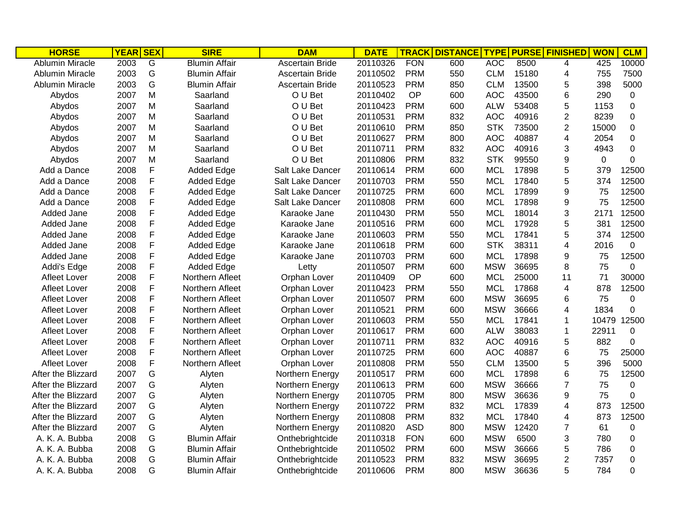| <b>HORSE</b>           | <b>YEAR SEX</b> |   | <b>SIRE</b>          | <b>DAM</b>       | <b>DATE</b> | <b>TRACK</b> | <b>DISTANCE</b> | <b>TYPE</b> |       | <b>PURSE FINISHED</b> | <b>WON</b> | <b>CLM</b>     |
|------------------------|-----------------|---|----------------------|------------------|-------------|--------------|-----------------|-------------|-------|-----------------------|------------|----------------|
| <b>Ablumin Miracle</b> | 2003            | G | <b>Blumin Affair</b> | Ascertain Bride  | 20110326    | <b>FON</b>   | 600             | <b>AOC</b>  | 8500  | 4                     | 425        | 10000          |
| <b>Ablumin Miracle</b> | 2003            | G | <b>Blumin Affair</b> | Ascertain Bride  | 20110502    | <b>PRM</b>   | 550             | <b>CLM</b>  | 15180 | 4                     | 755        | 7500           |
| <b>Ablumin Miracle</b> | 2003            | G | <b>Blumin Affair</b> | Ascertain Bride  | 20110523    | <b>PRM</b>   | 850             | <b>CLM</b>  | 13500 | 5                     | 398        | 5000           |
| Abydos                 | 2007            | M | Saarland             | O U Bet          | 20110402    | OP           | 600             | <b>AOC</b>  | 43500 | 6                     | 290        | 0              |
| Abydos                 | 2007            | M | Saarland             | O U Bet          | 20110423    | <b>PRM</b>   | 600             | <b>ALW</b>  | 53408 | 5                     | 1153       | 0              |
| Abydos                 | 2007            | M | Saarland             | O U Bet          | 20110531    | <b>PRM</b>   | 832             | <b>AOC</b>  | 40916 | $\overline{2}$        | 8239       | $\pmb{0}$      |
| Abydos                 | 2007            | M | Saarland             | O U Bet          | 20110610    | <b>PRM</b>   | 850             | <b>STK</b>  | 73500 | $\overline{2}$        | 15000      | $\mathbf 0$    |
| Abydos                 | 2007            | M | Saarland             | O U Bet          | 20110627    | <b>PRM</b>   | 800             | <b>AOC</b>  | 40887 | 4                     | 2054       | $\pmb{0}$      |
| Abydos                 | 2007            | M | Saarland             | O U Bet          | 20110711    | <b>PRM</b>   | 832             | <b>AOC</b>  | 40916 | 3                     | 4943       | $\pmb{0}$      |
| Abydos                 | 2007            | M | Saarland             | O U Bet          | 20110806    | <b>PRM</b>   | 832             | <b>STK</b>  | 99550 | 9                     | 0          | $\mathbf 0$    |
| Add a Dance            | 2008            | F | <b>Added Edge</b>    | Salt Lake Dancer | 20110614    | <b>PRM</b>   | 600             | <b>MCL</b>  | 17898 | 5                     | 379        | 12500          |
| Add a Dance            | 2008            | F | <b>Added Edge</b>    | Salt Lake Dancer | 20110703    | <b>PRM</b>   | 550             | <b>MCL</b>  | 17840 | 5                     | 374        | 12500          |
| Add a Dance            | 2008            | F | <b>Added Edge</b>    | Salt Lake Dancer | 20110725    | <b>PRM</b>   | 600             | <b>MCL</b>  | 17899 | 9                     | 75         | 12500          |
| Add a Dance            | 2008            | F | <b>Added Edge</b>    | Salt Lake Dancer | 20110808    | <b>PRM</b>   | 600             | <b>MCL</b>  | 17898 | 9                     | 75         | 12500          |
| Added Jane             | 2008            | F | <b>Added Edge</b>    | Karaoke Jane     | 20110430    | <b>PRM</b>   | 550             | <b>MCL</b>  | 18014 | 3                     | 2171       | 12500          |
| Added Jane             | 2008            | F | <b>Added Edge</b>    | Karaoke Jane     | 20110516    | <b>PRM</b>   | 600             | <b>MCL</b>  | 17928 | 5                     | 381        | 12500          |
| Added Jane             | 2008            | F | <b>Added Edge</b>    | Karaoke Jane     | 20110603    | <b>PRM</b>   | 550             | <b>MCL</b>  | 17841 | 5                     | 374        | 12500          |
| Added Jane             | 2008            | F | <b>Added Edge</b>    | Karaoke Jane     | 20110618    | <b>PRM</b>   | 600             | <b>STK</b>  | 38311 | 4                     | 2016       | $\mathbf 0$    |
| Added Jane             | 2008            | F | <b>Added Edge</b>    | Karaoke Jane     | 20110703    | <b>PRM</b>   | 600             | <b>MCL</b>  | 17898 | 9                     | 75         | 12500          |
| Addi's Edge            | 2008            | F | <b>Added Edge</b>    | Letty            | 20110507    | <b>PRM</b>   | 600             | <b>MSW</b>  | 36695 | 8                     | 75         | 0              |
| <b>Afleet Lover</b>    | 2008            | F | Northern Afleet      | Orphan Lover     | 20110409    | OP           | 600             | <b>MCL</b>  | 25000 | 11                    | 71         | 30000          |
| <b>Afleet Lover</b>    | 2008            | F | Northern Afleet      | Orphan Lover     | 20110423    | <b>PRM</b>   | 550             | <b>MCL</b>  | 17868 | 4                     | 878        | 12500          |
| <b>Afleet Lover</b>    | 2008            | F | Northern Afleet      | Orphan Lover     | 20110507    | <b>PRM</b>   | 600             | <b>MSW</b>  | 36695 | 6                     | 75         | 0              |
| <b>Afleet Lover</b>    | 2008            | F | Northern Afleet      | Orphan Lover     | 20110521    | <b>PRM</b>   | 600             | <b>MSW</b>  | 36666 | 4                     | 1834       | 0              |
| <b>Afleet Lover</b>    | 2008            | F | Northern Afleet      | Orphan Lover     | 20110603    | <b>PRM</b>   | 550             | <b>MCL</b>  | 17841 | 1                     | 10479      | 12500          |
| <b>Afleet Lover</b>    | 2008            | F | Northern Afleet      | Orphan Lover     | 20110617    | <b>PRM</b>   | 600             | <b>ALW</b>  | 38083 | 1                     | 22911      | $\mathbf 0$    |
| <b>Afleet Lover</b>    | 2008            | F | Northern Afleet      | Orphan Lover     | 20110711    | <b>PRM</b>   | 832             | <b>AOC</b>  | 40916 | 5                     | 882        | 0              |
| <b>Afleet Lover</b>    | 2008            | F | Northern Afleet      | Orphan Lover     | 20110725    | <b>PRM</b>   | 600             | <b>AOC</b>  | 40887 | 6                     | 75         | 25000          |
| <b>Afleet Lover</b>    | 2008            | F | Northern Afleet      | Orphan Lover     | 20110808    | <b>PRM</b>   | 550             | <b>CLM</b>  | 13500 | 5                     | 396        | 5000           |
| After the Blizzard     | 2007            | G | Alyten               | Northern Energy  | 20110517    | <b>PRM</b>   | 600             | <b>MCL</b>  | 17898 | 6                     | 75         | 12500          |
| After the Blizzard     | 2007            | G | Alyten               | Northern Energy  | 20110613    | <b>PRM</b>   | 600             | <b>MSW</b>  | 36666 | $\overline{7}$        | 75         | 0              |
| After the Blizzard     | 2007            | G | Alyten               | Northern Energy  | 20110705    | <b>PRM</b>   | 800             | <b>MSW</b>  | 36636 | 9                     | 75         | $\overline{0}$ |
| After the Blizzard     | 2007            | G | Alyten               | Northern Energy  | 20110722    | <b>PRM</b>   | 832             | <b>MCL</b>  | 17839 | 4                     | 873        | 12500          |
| After the Blizzard     | 2007            | G | Alyten               | Northern Energy  | 20110808    | <b>PRM</b>   | 832             | <b>MCL</b>  | 17840 | 4                     | 873        | 12500          |
| After the Blizzard     | 2007            | G | Alyten               | Northern Energy  | 20110820    | <b>ASD</b>   | 800             | <b>MSW</b>  | 12420 | 7                     | 61         | 0              |
| A. K. A. Bubba         | 2008            | G | <b>Blumin Affair</b> | Onthebrightcide  | 20110318    | <b>FON</b>   | 600             | <b>MSW</b>  | 6500  | 3                     | 780        | 0              |
| A. K. A. Bubba         | 2008            | G | <b>Blumin Affair</b> | Onthebrightcide  | 20110502    | <b>PRM</b>   | 600             | <b>MSW</b>  | 36666 | 5                     | 786        | $\mathbf 0$    |
| A. K. A. Bubba         | 2008            | G | <b>Blumin Affair</b> | Onthebrightcide  | 20110523    | <b>PRM</b>   | 832             | <b>MSW</b>  | 36695 | $\overline{2}$        | 7357       | $\pmb{0}$      |
| A. K. A. Bubba         | 2008            | G | <b>Blumin Affair</b> | Onthebrightcide  | 20110606    | <b>PRM</b>   | 800             | <b>MSW</b>  | 36636 | 5                     | 784        | 0              |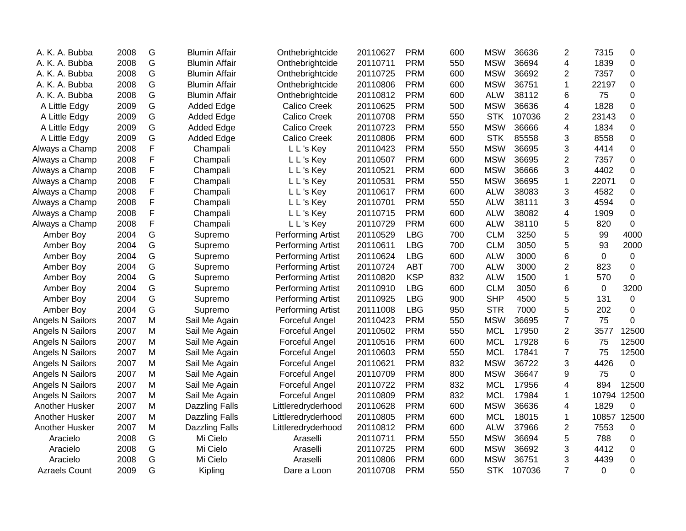| A. K. A. Bubba       | 2008 | G | <b>Blumin Affair</b>  | Onthebrightcide       | 20110627 | <b>PRM</b> | 600 | <b>MSW</b> | 36636  | $\overline{2}$ | 7315        | 0            |
|----------------------|------|---|-----------------------|-----------------------|----------|------------|-----|------------|--------|----------------|-------------|--------------|
| A. K. A. Bubba       | 2008 | G | <b>Blumin Affair</b>  | Onthebrightcide       | 20110711 | <b>PRM</b> | 550 | <b>MSW</b> | 36694  | 4              | 1839        | $\mathbf 0$  |
| A. K. A. Bubba       | 2008 | G | <b>Blumin Affair</b>  | Onthebrightcide       | 20110725 | <b>PRM</b> | 600 | <b>MSW</b> | 36692  | 2              | 7357        | 0            |
| A. K. A. Bubba       | 2008 | G | <b>Blumin Affair</b>  | Onthebrightcide       | 20110806 | <b>PRM</b> | 600 | <b>MSW</b> | 36751  | 1              | 22197       | 0            |
| A. K. A. Bubba       | 2008 | G | <b>Blumin Affair</b>  | Onthebrightcide       | 20110812 | <b>PRM</b> | 600 | <b>ALW</b> | 38112  | 6              | 75          | 0            |
| A Little Edgy        | 2009 | G | <b>Added Edge</b>     | <b>Calico Creek</b>   | 20110625 | <b>PRM</b> | 500 | <b>MSW</b> | 36636  | 4              | 1828        | $\mathbf 0$  |
| A Little Edgy        | 2009 | G | <b>Added Edge</b>     | <b>Calico Creek</b>   | 20110708 | <b>PRM</b> | 550 | <b>STK</b> | 107036 | 2              | 23143       | 0            |
| A Little Edgy        | 2009 | G | <b>Added Edge</b>     | <b>Calico Creek</b>   | 20110723 | <b>PRM</b> | 550 | <b>MSW</b> | 36666  | 4              | 1834        | 0            |
| A Little Edgy        | 2009 | G | <b>Added Edge</b>     | <b>Calico Creek</b>   | 20110806 | <b>PRM</b> | 600 | <b>STK</b> | 85558  | 3              | 8558        | 0            |
| Always a Champ       | 2008 | F | Champali              | L L's Key             | 20110423 | <b>PRM</b> | 550 | <b>MSW</b> | 36695  | 3              | 4414        | 0            |
| Always a Champ       | 2008 | F | Champali              | L L's Key             | 20110507 | <b>PRM</b> | 600 | <b>MSW</b> | 36695  | 2              | 7357        | 0            |
| Always a Champ       | 2008 | F | Champali              | L L's Key             | 20110521 | <b>PRM</b> | 600 | <b>MSW</b> | 36666  | 3              | 4402        | 0            |
| Always a Champ       | 2008 | F | Champali              | L L's Key             | 20110531 | <b>PRM</b> | 550 | <b>MSW</b> | 36695  | 1              | 22071       | 0            |
| Always a Champ       | 2008 | F | Champali              | L L's Key             | 20110617 | <b>PRM</b> | 600 | <b>ALW</b> | 38083  | 3              | 4582        | 0            |
| Always a Champ       | 2008 | F | Champali              | L L's Key             | 20110701 | <b>PRM</b> | 550 | <b>ALW</b> | 38111  | 3              | 4594        | $\mathbf 0$  |
| Always a Champ       | 2008 | F | Champali              | L L's Key             | 20110715 | <b>PRM</b> | 600 | <b>ALW</b> | 38082  | 4              | 1909        | $\pmb{0}$    |
| Always a Champ       | 2008 | F | Champali              | L L's Key             | 20110729 | <b>PRM</b> | 600 | <b>ALW</b> | 38110  | 5              | 820         | $\mathbf 0$  |
| Amber Boy            | 2004 | G | Supremo               | Performing Artist     | 20110529 | <b>LBG</b> | 700 | <b>CLM</b> | 3250   | 5              | 99          | 4000         |
| Amber Boy            | 2004 | G | Supremo               | Performing Artist     | 20110611 | <b>LBG</b> | 700 | <b>CLM</b> | 3050   | 5              | 93          | 2000         |
| Amber Boy            | 2004 | G | Supremo               | Performing Artist     | 20110624 | <b>LBG</b> | 600 | <b>ALW</b> | 3000   | 6              | $\Omega$    | $\mathbf 0$  |
| Amber Boy            | 2004 | G | Supremo               | Performing Artist     | 20110724 | ABT        | 700 | <b>ALW</b> | 3000   | 2              | 823         | 0            |
| Amber Boy            | 2004 | G | Supremo               | Performing Artist     | 20110820 | <b>KSP</b> | 832 | <b>ALW</b> | 1500   | 1              | 570         | $\mathbf{0}$ |
| Amber Boy            | 2004 | G | Supremo               | Performing Artist     | 20110910 | <b>LBG</b> | 600 | <b>CLM</b> | 3050   | 6              | 0           | 3200         |
| Amber Boy            | 2004 | G | Supremo               | Performing Artist     | 20110925 | <b>LBG</b> | 900 | <b>SHP</b> | 4500   | 5              | 131         | 0            |
| Amber Boy            | 2004 | G | Supremo               | Performing Artist     | 20111008 | <b>LBG</b> | 950 | <b>STR</b> | 7000   | 5              | 202         | $\mathbf 0$  |
| Angels N Sailors     | 2007 | M | Sail Me Again         | Forceful Angel        | 20110423 | <b>PRM</b> | 550 | <b>MSW</b> | 36695  | $\overline{7}$ | 75          | 0            |
| Angels N Sailors     | 2007 | M | Sail Me Again         | <b>Forceful Angel</b> | 20110502 | <b>PRM</b> | 550 | <b>MCL</b> | 17950  | $\overline{2}$ | 3577        | 12500        |
| Angels N Sailors     | 2007 | M | Sail Me Again         | Forceful Angel        | 20110516 | <b>PRM</b> | 600 | <b>MCL</b> | 17928  | 6              | 75          | 12500        |
| Angels N Sailors     | 2007 | M | Sail Me Again         | Forceful Angel        | 20110603 | <b>PRM</b> | 550 | <b>MCL</b> | 17841  | $\overline{7}$ | 75          | 12500        |
| Angels N Sailors     | 2007 | M | Sail Me Again         | Forceful Angel        | 20110621 | <b>PRM</b> | 832 | <b>MSW</b> | 36722  | 3              | 4426        | 0            |
| Angels N Sailors     | 2007 | M | Sail Me Again         | Forceful Angel        | 20110709 | <b>PRM</b> | 800 | <b>MSW</b> | 36647  | 9              | 75          | $\Omega$     |
| Angels N Sailors     | 2007 | M | Sail Me Again         | Forceful Angel        | 20110722 | <b>PRM</b> | 832 | <b>MCL</b> | 17956  | 4              | 894         | 12500        |
| Angels N Sailors     | 2007 | M | Sail Me Again         | Forceful Angel        | 20110809 | <b>PRM</b> | 832 | <b>MCL</b> | 17984  | 1              | 10794       | 12500        |
| Another Husker       | 2007 | M | Dazzling Falls        | Littleredryderhood    | 20110628 | <b>PRM</b> | 600 | <b>MSW</b> | 36636  | 4              | 1829        | $\mathbf 0$  |
| Another Husker       | 2007 | M | <b>Dazzling Falls</b> | Littleredryderhood    | 20110805 | <b>PRM</b> | 600 | <b>MCL</b> | 18015  | 1              | 10857       | 12500        |
| Another Husker       | 2007 | M | <b>Dazzling Falls</b> | Littleredryderhood    | 20110812 | <b>PRM</b> | 600 | <b>ALW</b> | 37966  | $\overline{2}$ | 7553        | 0            |
| Aracielo             | 2008 | G | Mi Cielo              | Araselli              | 20110711 | <b>PRM</b> | 550 | <b>MSW</b> | 36694  | 5              | 788         | 0            |
| Aracielo             | 2008 | G | Mi Cielo              | Araselli              | 20110725 | <b>PRM</b> | 600 | <b>MSW</b> | 36692  | 3              | 4412        | 0            |
| Aracielo             | 2008 | G | Mi Cielo              | Araselli              | 20110806 | <b>PRM</b> | 600 | <b>MSW</b> | 36751  | 3              | 4439        | 0            |
| <b>Azraels Count</b> | 2009 | G | Kipling               | Dare a Loon           | 20110708 | <b>PRM</b> | 550 | <b>STK</b> | 107036 | $\overline{7}$ | $\mathbf 0$ | 0            |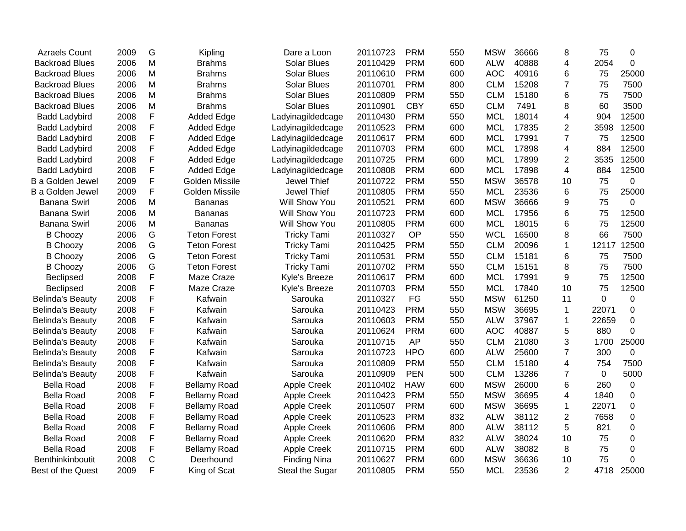| <b>Azraels Count</b>    | 2009 | G           | Kipling             | Dare a Loon         | 20110723 | <b>PRM</b> | 550 | <b>MSW</b> | 36666 | 8              | 75          | 0           |
|-------------------------|------|-------------|---------------------|---------------------|----------|------------|-----|------------|-------|----------------|-------------|-------------|
| <b>Backroad Blues</b>   | 2006 | M           | <b>Brahms</b>       | <b>Solar Blues</b>  | 20110429 | <b>PRM</b> | 600 | <b>ALW</b> | 40888 | 4              | 2054        | $\mathbf 0$ |
| <b>Backroad Blues</b>   | 2006 | M           | Brahms              | <b>Solar Blues</b>  | 20110610 | <b>PRM</b> | 600 | <b>AOC</b> | 40916 | 6              | 75          | 25000       |
| <b>Backroad Blues</b>   | 2006 | M           | <b>Brahms</b>       | <b>Solar Blues</b>  | 20110701 | <b>PRM</b> | 800 | <b>CLM</b> | 15208 | $\overline{7}$ | 75          | 7500        |
| <b>Backroad Blues</b>   | 2006 | M           | <b>Brahms</b>       | <b>Solar Blues</b>  | 20110809 | <b>PRM</b> | 550 | <b>CLM</b> | 15180 | 6              | 75          | 7500        |
| <b>Backroad Blues</b>   | 2006 | M           | <b>Brahms</b>       | <b>Solar Blues</b>  | 20110901 | <b>CBY</b> | 650 | <b>CLM</b> | 7491  | 8              | 60          | 3500        |
| <b>Badd Ladybird</b>    | 2008 | F           | <b>Added Edge</b>   | Ladyinagildedcage   | 20110430 | <b>PRM</b> | 550 | <b>MCL</b> | 18014 | 4              | 904         | 12500       |
| <b>Badd Ladybird</b>    | 2008 | F           | <b>Added Edge</b>   | Ladyinagildedcage   | 20110523 | <b>PRM</b> | 600 | <b>MCL</b> | 17835 | $\overline{c}$ | 3598        | 12500       |
| <b>Badd Ladybird</b>    | 2008 | F           | Added Edge          | Ladyinagildedcage   | 20110617 | <b>PRM</b> | 600 | <b>MCL</b> | 17991 | $\overline{7}$ | 75          | 12500       |
| <b>Badd Ladybird</b>    | 2008 | F           | <b>Added Edge</b>   | Ladyinagildedcage   | 20110703 | <b>PRM</b> | 600 | <b>MCL</b> | 17898 | 4              | 884         | 12500       |
| <b>Badd Ladybird</b>    | 2008 | F           | <b>Added Edge</b>   | Ladyinagildedcage   | 20110725 | <b>PRM</b> | 600 | <b>MCL</b> | 17899 | $\overline{2}$ | 3535        | 12500       |
| <b>Badd Ladybird</b>    | 2008 | F           | <b>Added Edge</b>   | Ladyinagildedcage   | 20110808 | <b>PRM</b> | 600 | <b>MCL</b> | 17898 | $\overline{4}$ | 884         | 12500       |
| <b>B</b> a Golden Jewel | 2009 | F           | Golden Missile      | Jewel Thief         | 20110722 | <b>PRM</b> | 550 | <b>MSW</b> | 36578 | 10             | 75          | 0           |
| B a Golden Jewel        | 2009 | F           | Golden Missile      | Jewel Thief         | 20110805 | <b>PRM</b> | 550 | <b>MCL</b> | 23536 | 6              | 75          | 25000       |
| <b>Banana Swirl</b>     | 2006 | M           | Bananas             | Will Show You       | 20110521 | <b>PRM</b> | 600 | <b>MSW</b> | 36666 | 9              | 75          | 0           |
| <b>Banana Swirl</b>     | 2006 | M           | Bananas             | Will Show You       | 20110723 | <b>PRM</b> | 600 | <b>MCL</b> | 17956 | 6              | 75          | 12500       |
| <b>Banana Swirl</b>     | 2006 | M           | <b>Bananas</b>      | Will Show You       | 20110805 | <b>PRM</b> | 600 | <b>MCL</b> | 18015 | 6              | 75          | 12500       |
| <b>B Choozy</b>         | 2006 | G           | <b>Teton Forest</b> | <b>Tricky Tami</b>  | 20110327 | OP         | 550 | <b>WCL</b> | 16500 | 8              | 66          | 7500        |
| <b>B Choozy</b>         | 2006 | G           | <b>Teton Forest</b> | <b>Tricky Tami</b>  | 20110425 | <b>PRM</b> | 550 | <b>CLM</b> | 20096 | 1              | 12117       | 12500       |
| <b>B Choozy</b>         | 2006 | G           | <b>Teton Forest</b> | <b>Tricky Tami</b>  | 20110531 | <b>PRM</b> | 550 | <b>CLM</b> | 15181 | 6              | 75          | 7500        |
| <b>B Choozy</b>         | 2006 | G           | <b>Teton Forest</b> | <b>Tricky Tami</b>  | 20110702 | <b>PRM</b> | 550 | <b>CLM</b> | 15151 | 8              | 75          | 7500        |
| <b>Beclipsed</b>        | 2008 | F           | Maze Craze          | Kyle's Breeze       | 20110617 | <b>PRM</b> | 600 | <b>MCL</b> | 17991 | 9              | 75          | 12500       |
| <b>Beclipsed</b>        | 2008 | F           | Maze Craze          | Kyle's Breeze       | 20110703 | <b>PRM</b> | 550 | <b>MCL</b> | 17840 | 10             | 75          | 12500       |
| <b>Belinda's Beauty</b> | 2008 | F           | Kafwain             | Sarouka             | 20110327 | FG         | 550 | <b>MSW</b> | 61250 | 11             | $\mathbf 0$ | 0           |
| <b>Belinda's Beauty</b> | 2008 | F           | Kafwain             | Sarouka             | 20110423 | <b>PRM</b> | 550 | <b>MSW</b> | 36695 | $\mathbf{1}$   | 22071       | $\mathbf 0$ |
| <b>Belinda's Beauty</b> | 2008 | F           | Kafwain             | Sarouka             | 20110603 | <b>PRM</b> | 550 | <b>ALW</b> | 37967 | 1              | 22659       | $\Omega$    |
| <b>Belinda's Beauty</b> | 2008 | F           | Kafwain             | Sarouka             | 20110624 | <b>PRM</b> | 600 | <b>AOC</b> | 40887 | 5              | 880         | 0           |
| <b>Belinda's Beauty</b> | 2008 | F           | Kafwain             | Sarouka             | 20110715 | <b>AP</b>  | 550 | <b>CLM</b> | 21080 | 3              | 1700        | 25000       |
| <b>Belinda's Beauty</b> | 2008 | F           | Kafwain             | Sarouka             | 20110723 | <b>HPO</b> | 600 | <b>ALW</b> | 25600 | $\overline{7}$ | 300         | 0           |
| <b>Belinda's Beauty</b> | 2008 | F           | Kafwain             | Sarouka             | 20110809 | <b>PRM</b> | 550 | <b>CLM</b> | 15180 | 4              | 754         | 7500        |
| <b>Belinda's Beauty</b> | 2008 | F           | Kafwain             | Sarouka             | 20110909 | <b>PEN</b> | 500 | <b>CLM</b> | 13286 | $\overline{7}$ | 0           | 5000        |
| <b>Bella Road</b>       | 2008 | F           | <b>Bellamy Road</b> | <b>Apple Creek</b>  | 20110402 | <b>HAW</b> | 600 | <b>MSW</b> | 26000 | 6              | 260         | $\pmb{0}$   |
| <b>Bella Road</b>       | 2008 | F           | <b>Bellamy Road</b> | Apple Creek         | 20110423 | <b>PRM</b> | 550 | <b>MSW</b> | 36695 | 4              | 1840        | $\mathbf 0$ |
| <b>Bella Road</b>       | 2008 | F           | <b>Bellamy Road</b> | Apple Creek         | 20110507 | <b>PRM</b> | 600 | <b>MSW</b> | 36695 | $\mathbf{1}$   | 22071       | $\mathbf 0$ |
| <b>Bella Road</b>       | 2008 | F           | <b>Bellamy Road</b> | Apple Creek         | 20110523 | <b>PRM</b> | 832 | <b>ALW</b> | 38112 | $\overline{2}$ | 7658        | $\mathbf 0$ |
| <b>Bella Road</b>       | 2008 | F           | <b>Bellamy Road</b> | <b>Apple Creek</b>  | 20110606 | <b>PRM</b> | 800 | <b>ALW</b> | 38112 | 5              | 821         | $\mathbf 0$ |
| <b>Bella Road</b>       | 2008 | F           | <b>Bellamy Road</b> | Apple Creek         | 20110620 | <b>PRM</b> | 832 | <b>ALW</b> | 38024 | 10             | 75          | $\mathbf 0$ |
| <b>Bella Road</b>       | 2008 | F           | <b>Bellamy Road</b> | Apple Creek         | 20110715 | <b>PRM</b> | 600 | <b>ALW</b> | 38082 | 8              | 75          | 0           |
| Benthinkinboutit        | 2008 | $\mathsf C$ | Deerhound           | <b>Finding Nina</b> | 20110627 | <b>PRM</b> | 600 | <b>MSW</b> | 36636 | 10             | 75          | $\Omega$    |
| Best of the Quest       | 2009 | F           | King of Scat        | Steal the Sugar     | 20110805 | <b>PRM</b> | 550 | <b>MCL</b> | 23536 | $\overline{2}$ | 4718        | 25000       |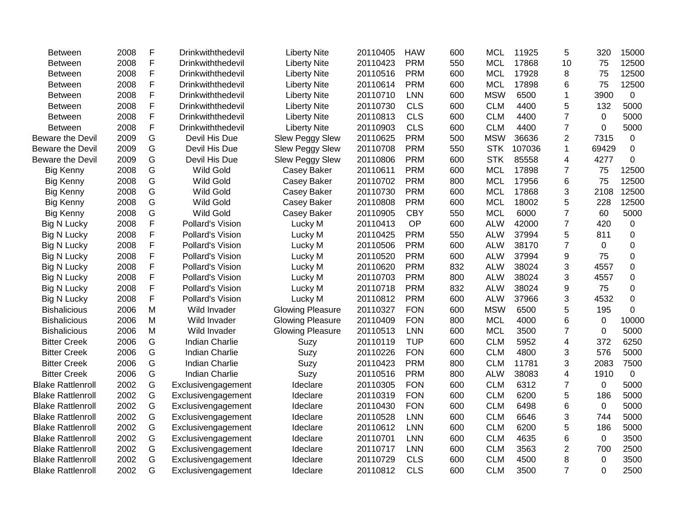| Between                  | 2008 | F | Drinkwiththedevil     | <b>Liberty Nite</b>     | 20110405 | <b>HAW</b> | 600 | <b>MCL</b> | 11925  | 5              | 320         | 15000       |
|--------------------------|------|---|-----------------------|-------------------------|----------|------------|-----|------------|--------|----------------|-------------|-------------|
| Between                  | 2008 | F | Drinkwiththedevil     | <b>Liberty Nite</b>     | 20110423 | <b>PRM</b> | 550 | <b>MCL</b> | 17868  | 10             | 75          | 12500       |
| Between                  | 2008 | F | Drinkwiththedevil     | <b>Liberty Nite</b>     | 20110516 | <b>PRM</b> | 600 | <b>MCL</b> | 17928  | 8              | 75          | 12500       |
| Between                  | 2008 | F | Drinkwiththedevil     | <b>Liberty Nite</b>     | 20110614 | <b>PRM</b> | 600 | <b>MCL</b> | 17898  | 6              | 75          | 12500       |
| Between                  | 2008 | F | Drinkwiththedevil     | <b>Liberty Nite</b>     | 20110710 | <b>LNN</b> | 600 | <b>MSW</b> | 6500   | 1              | 3900        | 0           |
| Between                  | 2008 | F | Drinkwiththedevil     | <b>Liberty Nite</b>     | 20110730 | <b>CLS</b> | 600 | <b>CLM</b> | 4400   | 5              | 132         | 5000        |
| Between                  | 2008 | F | Drinkwiththedevil     | <b>Liberty Nite</b>     | 20110813 | <b>CLS</b> | 600 | <b>CLM</b> | 4400   | 7              | 0           | 5000        |
| <b>Between</b>           | 2008 | F | Drinkwiththedevil     | <b>Liberty Nite</b>     | 20110903 | <b>CLS</b> | 600 | <b>CLM</b> | 4400   | $\overline{7}$ | 0           | 5000        |
| Beware the Devil         | 2009 | G | Devil His Due         | <b>Slew Peggy Slew</b>  | 20110625 | <b>PRM</b> | 500 | <b>MSW</b> | 36636  | $\overline{2}$ | 7315        | 0           |
| Beware the Devil         | 2009 | G | Devil His Due         | <b>Slew Peggy Slew</b>  | 20110708 | <b>PRM</b> | 550 | <b>STK</b> | 107036 | $\mathbf{1}$   | 69429       | $\mathbf 0$ |
| Beware the Devil         | 2009 | G | Devil His Due         | <b>Slew Peggy Slew</b>  | 20110806 | <b>PRM</b> | 600 | <b>STK</b> | 85558  | 4              | 4277        | $\Omega$    |
| <b>Big Kenny</b>         | 2008 | G | <b>Wild Gold</b>      | Casey Baker             | 20110611 | <b>PRM</b> | 600 | <b>MCL</b> | 17898  | $\overline{7}$ | 75          | 12500       |
| <b>Big Kenny</b>         | 2008 | G | <b>Wild Gold</b>      | Casey Baker             | 20110702 | <b>PRM</b> | 800 | <b>MCL</b> | 17956  | 6              | 75          | 12500       |
| <b>Big Kenny</b>         | 2008 | G | <b>Wild Gold</b>      | Casey Baker             | 20110730 | <b>PRM</b> | 600 | <b>MCL</b> | 17868  | 3              | 2108        | 12500       |
| <b>Big Kenny</b>         | 2008 | G | <b>Wild Gold</b>      | Casey Baker             | 20110808 | <b>PRM</b> | 600 | <b>MCL</b> | 18002  | 5              | 228         | 12500       |
| <b>Big Kenny</b>         | 2008 | G | <b>Wild Gold</b>      | Casey Baker             | 20110905 | <b>CBY</b> | 550 | <b>MCL</b> | 6000   | 7              | 60          | 5000        |
| <b>Big N Lucky</b>       | 2008 | F | Pollard's Vision      | Lucky M                 | 20110413 | OP         | 600 | <b>ALW</b> | 42000  | $\overline{7}$ | 420         | 0           |
| <b>Big N Lucky</b>       | 2008 | F | Pollard's Vision      | Lucky M                 | 20110425 | <b>PRM</b> | 550 | <b>ALW</b> | 37994  | 5              | 811         | 0           |
| <b>Big N Lucky</b>       | 2008 | F | Pollard's Vision      | Lucky M                 | 20110506 | <b>PRM</b> | 600 | <b>ALW</b> | 38170  | $\overline{7}$ | $\Omega$    | 0           |
| <b>Big N Lucky</b>       | 2008 | F | Pollard's Vision      | Lucky M                 | 20110520 | <b>PRM</b> | 600 | <b>ALW</b> | 37994  | 9              | 75          | 0           |
| <b>Big N Lucky</b>       | 2008 | F | Pollard's Vision      | Lucky M                 | 20110620 | <b>PRM</b> | 832 | <b>ALW</b> | 38024  | 3              | 4557        | $\Omega$    |
| <b>Big N Lucky</b>       | 2008 | F | Pollard's Vision      | Lucky M                 | 20110703 | <b>PRM</b> | 800 | <b>ALW</b> | 38024  | 3              | 4557        | 0           |
| <b>Big N Lucky</b>       | 2008 | F | Pollard's Vision      | Lucky M                 | 20110718 | <b>PRM</b> | 832 | <b>ALW</b> | 38024  | 9              | 75          | 0           |
| <b>Big N Lucky</b>       | 2008 | F | Pollard's Vision      | Lucky M                 | 20110812 | <b>PRM</b> | 600 | <b>ALW</b> | 37966  | 3              | 4532        | 0           |
| <b>Bishalicious</b>      | 2006 | M | Wild Invader          | <b>Glowing Pleasure</b> | 20110327 | <b>FON</b> | 600 | <b>MSW</b> | 6500   | 5              | 195         | $\Omega$    |
| <b>Bishalicious</b>      | 2006 | M | Wild Invader          | <b>Glowing Pleasure</b> | 20110409 | <b>FON</b> | 800 | <b>MCL</b> | 4000   | 6              | 0           | 10000       |
| <b>Bishalicious</b>      | 2006 | M | Wild Invader          | <b>Glowing Pleasure</b> | 20110513 | <b>LNN</b> | 600 | <b>MCL</b> | 3500   | $\overline{7}$ | 0           | 5000        |
| <b>Bitter Creek</b>      | 2006 | G | <b>Indian Charlie</b> | Suzy                    | 20110119 | <b>TUP</b> | 600 | <b>CLM</b> | 5952   | 4              | 372         | 6250        |
| <b>Bitter Creek</b>      | 2006 | G | <b>Indian Charlie</b> | Suzy                    | 20110226 | <b>FON</b> | 600 | <b>CLM</b> | 4800   | 3              | 576         | 5000        |
| <b>Bitter Creek</b>      | 2006 | G | <b>Indian Charlie</b> | Suzy                    | 20110423 | <b>PRM</b> | 800 | <b>CLM</b> | 11781  | 3              | 2083        | 7500        |
| <b>Bitter Creek</b>      | 2006 | G | <b>Indian Charlie</b> | Suzy                    | 20110516 | <b>PRM</b> | 800 | <b>ALW</b> | 38083  | 4              | 1910        | 0           |
| <b>Blake Rattlenroll</b> | 2002 | G | Exclusivengagement    | Ideclare                | 20110305 | <b>FON</b> | 600 | <b>CLM</b> | 6312   | 7              | 0           | 5000        |
| <b>Blake Rattlenroll</b> | 2002 | G | Exclusivengagement    | Ideclare                | 20110319 | <b>FON</b> | 600 | <b>CLM</b> | 6200   | 5              | 186         | 5000        |
| <b>Blake Rattlenroll</b> | 2002 | G | Exclusivengagement    | Ideclare                | 20110430 | <b>FON</b> | 600 | <b>CLM</b> | 6498   | 6              | $\mathbf 0$ | 5000        |
| <b>Blake Rattlenroll</b> | 2002 | G | Exclusivengagement    | Ideclare                | 20110528 | <b>LNN</b> | 600 | <b>CLM</b> | 6646   | 3              | 744         | 5000        |
| <b>Blake Rattlenroll</b> | 2002 | G | Exclusivengagement    | Ideclare                | 20110612 | <b>LNN</b> | 600 | <b>CLM</b> | 6200   | 5              | 186         | 5000        |
| <b>Blake Rattlenroll</b> | 2002 | G | Exclusivengagement    | Ideclare                | 20110701 | <b>LNN</b> | 600 | <b>CLM</b> | 4635   | 6              | 0           | 3500        |
| <b>Blake Rattlenroll</b> | 2002 | G | Exclusivengagement    | Ideclare                | 20110717 | <b>LNN</b> | 600 | <b>CLM</b> | 3563   | $\overline{2}$ | 700         | 2500        |
| <b>Blake Rattlenroll</b> | 2002 | G | Exclusivengagement    | Ideclare                | 20110729 | <b>CLS</b> | 600 | <b>CLM</b> | 4500   | 8              | 0           | 3500        |
| <b>Blake Rattlenroll</b> | 2002 | G | Exclusivengagement    | Ideclare                | 20110812 | <b>CLS</b> | 600 | <b>CLM</b> | 3500   | $\overline{7}$ | $\Omega$    | 2500        |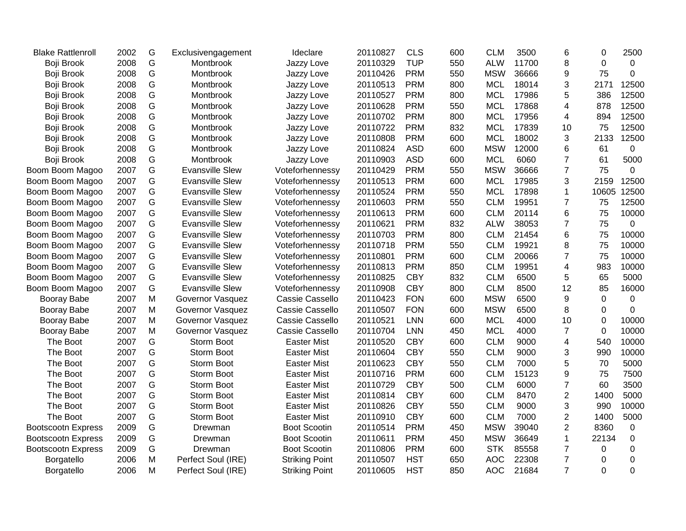| <b>Blake Rattlenroll</b>  | 2002 | G             | Exclusivengagement     | Ideclare              | 20110827 | <b>CLS</b> | 600 | <b>CLM</b> | 3500  | 6              | 0           | 2500        |
|---------------------------|------|---------------|------------------------|-----------------------|----------|------------|-----|------------|-------|----------------|-------------|-------------|
| Boji Brook                | 2008 | ${\mathsf G}$ | Montbrook              | Jazzy Love            | 20110329 | <b>TUP</b> | 550 | <b>ALW</b> | 11700 | 8              | $\mathbf 0$ | $\mathbf 0$ |
| Boji Brook                | 2008 | G             | Montbrook              | Jazzy Love            | 20110426 | <b>PRM</b> | 550 | <b>MSW</b> | 36666 | 9              | 75          | $\mathbf 0$ |
| Boji Brook                | 2008 | G             | Montbrook              | Jazzy Love            | 20110513 | <b>PRM</b> | 800 | <b>MCL</b> | 18014 | 3              | 2171        | 12500       |
| Boji Brook                | 2008 | G             | Montbrook              | Jazzy Love            | 20110527 | <b>PRM</b> | 800 | <b>MCL</b> | 17986 | 5              | 386         | 12500       |
| Boji Brook                | 2008 | G             | Montbrook              | Jazzy Love            | 20110628 | <b>PRM</b> | 550 | <b>MCL</b> | 17868 | 4              | 878         | 12500       |
| Boji Brook                | 2008 | G             | Montbrook              | Jazzy Love            | 20110702 | <b>PRM</b> | 800 | <b>MCL</b> | 17956 | $\overline{4}$ | 894         | 12500       |
| Boji Brook                | 2008 | G             | Montbrook              | Jazzy Love            | 20110722 | <b>PRM</b> | 832 | <b>MCL</b> | 17839 | 10             | 75          | 12500       |
| Boji Brook                | 2008 | G             | Montbrook              | Jazzy Love            | 20110808 | <b>PRM</b> | 600 | <b>MCL</b> | 18002 | 3              | 2133        | 12500       |
| Boji Brook                | 2008 | G             | Montbrook              | Jazzy Love            | 20110824 | <b>ASD</b> | 600 | <b>MSW</b> | 12000 | 6              | 61          | 0           |
| Boji Brook                | 2008 | G             | Montbrook              | Jazzy Love            | 20110903 | <b>ASD</b> | 600 | <b>MCL</b> | 6060  | $\overline{7}$ | 61          | 5000        |
| Boom Boom Magoo           | 2007 | G             | <b>Evansville Slew</b> | Voteforhennessy       | 20110429 | <b>PRM</b> | 550 | <b>MSW</b> | 36666 | $\overline{7}$ | 75          | $\mathbf 0$ |
| Boom Boom Magoo           | 2007 | G             | <b>Evansville Slew</b> | Voteforhennessy       | 20110513 | <b>PRM</b> | 600 | <b>MCL</b> | 17985 | 3              | 2159        | 12500       |
| Boom Boom Magoo           | 2007 | G             | <b>Evansville Slew</b> | Voteforhennessy       | 20110524 | <b>PRM</b> | 550 | <b>MCL</b> | 17898 | $\mathbf{1}$   | 10605       | 12500       |
| Boom Boom Magoo           | 2007 | G             | <b>Evansville Slew</b> | Voteforhennessy       | 20110603 | <b>PRM</b> | 550 | <b>CLM</b> | 19951 | $\overline{7}$ | 75          | 12500       |
| Boom Boom Magoo           | 2007 | G             | <b>Evansville Slew</b> | Voteforhennessy       | 20110613 | <b>PRM</b> | 600 | <b>CLM</b> | 20114 | 6              | 75          | 10000       |
| Boom Boom Magoo           | 2007 | G             | <b>Evansville Slew</b> | Voteforhennessy       | 20110621 | <b>PRM</b> | 832 | <b>ALW</b> | 38053 | $\overline{7}$ | 75          | 0           |
| Boom Boom Magoo           | 2007 | G             | <b>Evansville Slew</b> | Voteforhennessy       | 20110703 | <b>PRM</b> | 800 | <b>CLM</b> | 21454 | 6              | 75          | 10000       |
| Boom Boom Magoo           | 2007 | G             | <b>Evansville Slew</b> | Voteforhennessy       | 20110718 | <b>PRM</b> | 550 | <b>CLM</b> | 19921 | 8              | 75          | 10000       |
| Boom Boom Magoo           | 2007 | G             | <b>Evansville Slew</b> | Voteforhennessy       | 20110801 | <b>PRM</b> | 600 | <b>CLM</b> | 20066 | $\overline{7}$ | 75          | 10000       |
| Boom Boom Magoo           | 2007 | G             | <b>Evansville Slew</b> | Voteforhennessy       | 20110813 | <b>PRM</b> | 850 | <b>CLM</b> | 19951 | $\overline{4}$ | 983         | 10000       |
| Boom Boom Magoo           | 2007 | G             | <b>Evansville Slew</b> | Voteforhennessy       | 20110825 | <b>CBY</b> | 832 | <b>CLM</b> | 6500  | 5              | 65          | 5000        |
| Boom Boom Magoo           | 2007 | G             | <b>Evansville Slew</b> | Voteforhennessy       | 20110908 | <b>CBY</b> | 800 | <b>CLM</b> | 8500  | 12             | 85          | 16000       |
| Booray Babe               | 2007 | M             | Governor Vasquez       | Cassie Cassello       | 20110423 | <b>FON</b> | 600 | <b>MSW</b> | 6500  | 9              | $\mathbf 0$ | 0           |
| Booray Babe               | 2007 | ${\sf M}$     | Governor Vasquez       | Cassie Cassello       | 20110507 | <b>FON</b> | 600 | <b>MSW</b> | 6500  | 8              | $\mathbf 0$ | $\mathbf 0$ |
| Booray Babe               | 2007 | M             | Governor Vasquez       | Cassie Cassello       | 20110521 | <b>LNN</b> | 600 | <b>MCL</b> | 4000  | 10             | 0           | 10000       |
| Booray Babe               | 2007 | ${\sf M}$     | Governor Vasquez       | Cassie Cassello       | 20110704 | <b>LNN</b> | 450 | <b>MCL</b> | 4000  | $\overline{7}$ | $\Omega$    | 10000       |
| The Boot                  | 2007 | G             | Storm Boot             | <b>Easter Mist</b>    | 20110520 | <b>CBY</b> | 600 | <b>CLM</b> | 9000  | $\overline{4}$ | 540         | 10000       |
| The Boot                  | 2007 | G             | Storm Boot             | <b>Easter Mist</b>    | 20110604 | <b>CBY</b> | 550 | <b>CLM</b> | 9000  | 3              | 990         | 10000       |
| The Boot                  | 2007 | G             | Storm Boot             | <b>Easter Mist</b>    | 20110623 | <b>CBY</b> | 550 | <b>CLM</b> | 7000  | 5              | 70          | 5000        |
| The Boot                  | 2007 | G             | Storm Boot             | <b>Easter Mist</b>    | 20110716 | <b>PRM</b> | 600 | <b>CLM</b> | 15123 | 9              | 75          | 7500        |
| The Boot                  | 2007 | G             | Storm Boot             | <b>Easter Mist</b>    | 20110729 | <b>CBY</b> | 500 | <b>CLM</b> | 6000  | $\overline{7}$ | 60          | 3500        |
| The Boot                  | 2007 | G             | Storm Boot             | <b>Easter Mist</b>    | 20110814 | <b>CBY</b> | 600 | <b>CLM</b> | 8470  | $\overline{2}$ | 1400        | 5000        |
| The Boot                  | 2007 | G             | Storm Boot             | <b>Easter Mist</b>    | 20110826 | <b>CBY</b> | 550 | <b>CLM</b> | 9000  | 3              | 990         | 10000       |
| The Boot                  | 2007 | G             | Storm Boot             | <b>Easter Mist</b>    | 20110910 | <b>CBY</b> | 600 | <b>CLM</b> | 7000  | $\overline{2}$ | 1400        | 5000        |
| <b>Bootscootn Express</b> | 2009 | G             | Drewman                | <b>Boot Scootin</b>   | 20110514 | <b>PRM</b> | 450 | <b>MSW</b> | 39040 | $\mathbf{2}$   | 8360        | $\mathbf 0$ |
| <b>Bootscootn Express</b> | 2009 | G             | Drewman                | <b>Boot Scootin</b>   | 20110611 | <b>PRM</b> | 450 | <b>MSW</b> | 36649 | $\mathbf{1}$   | 22134       | $\mathbf 0$ |
| <b>Bootscootn Express</b> | 2009 | G             | Drewman                | <b>Boot Scootin</b>   | 20110806 | <b>PRM</b> | 600 | <b>STK</b> | 85558 | $\overline{7}$ | 0           | $\mathbf 0$ |
| Borgatello                | 2006 | M             | Perfect Soul (IRE)     | <b>Striking Point</b> | 20110507 | <b>HST</b> | 650 | <b>AOC</b> | 22308 | $\overline{7}$ | 0           | $\mathbf 0$ |
| Borgatello                | 2006 | M             | Perfect Soul (IRE)     | <b>Striking Point</b> | 20110605 | <b>HST</b> | 850 | <b>AOC</b> | 21684 | $\overline{7}$ | $\mathbf 0$ | $\mathbf 0$ |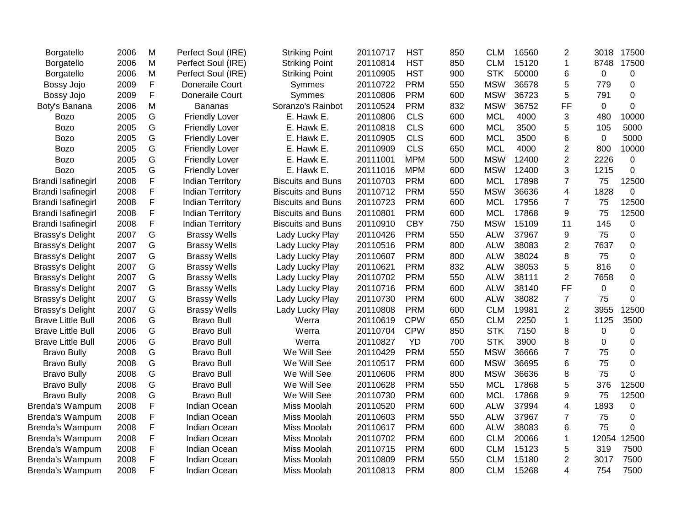| Borgatello                | 2006 | M | Perfect Soul (IRE)      | <b>Striking Point</b>    | 20110717 | <b>HST</b> | 850 | <b>CLM</b> | 16560 | $\overline{2}$ | 3018        | 17500          |
|---------------------------|------|---|-------------------------|--------------------------|----------|------------|-----|------------|-------|----------------|-------------|----------------|
| Borgatello                | 2006 | M | Perfect Soul (IRE)      | <b>Striking Point</b>    | 20110814 | <b>HST</b> | 850 | <b>CLM</b> | 15120 | 1              | 8748        | 17500          |
| Borgatello                | 2006 | M | Perfect Soul (IRE)      | <b>Striking Point</b>    | 20110905 | <b>HST</b> | 900 | <b>STK</b> | 50000 | 6              | $\mathbf 0$ | 0              |
| Bossy Jojo                | 2009 | F | Doneraile Court         | Symmes                   | 20110722 | <b>PRM</b> | 550 | <b>MSW</b> | 36578 | 5              | 779         | 0              |
| Bossy Jojo                | 2009 | F | Doneraile Court         | Symmes                   | 20110806 | <b>PRM</b> | 600 | <b>MSW</b> | 36723 | 5              | 791         | $\overline{0}$ |
| Boty's Banana             | 2006 | M | <b>Bananas</b>          | Soranzo's Rainbot        | 20110524 | <b>PRM</b> | 832 | <b>MSW</b> | 36752 | <b>FF</b>      | $\Omega$    | $\Omega$       |
| Bozo                      | 2005 | G | <b>Friendly Lover</b>   | E. Hawk E.               | 20110806 | <b>CLS</b> | 600 | <b>MCL</b> | 4000  | 3              | 480         | 10000          |
| Bozo                      | 2005 | G | <b>Friendly Lover</b>   | E. Hawk E.               | 20110818 | <b>CLS</b> | 600 | <b>MCL</b> | 3500  | 5              | 105         | 5000           |
| <b>Bozo</b>               | 2005 | G | <b>Friendly Lover</b>   | E. Hawk E.               | 20110905 | <b>CLS</b> | 600 | <b>MCL</b> | 3500  | 6              | 0           | 5000           |
| <b>Bozo</b>               | 2005 | G | <b>Friendly Lover</b>   | E. Hawk E.               | 20110909 | <b>CLS</b> | 650 | <b>MCL</b> | 4000  | $\overline{2}$ | 800         | 10000          |
| <b>Bozo</b>               | 2005 | G | <b>Friendly Lover</b>   | E. Hawk E.               | 20111001 | <b>MPM</b> | 500 | <b>MSW</b> | 12400 | $\overline{2}$ | 2226        | 0              |
| <b>Bozo</b>               | 2005 | G | <b>Friendly Lover</b>   | E. Hawk E.               | 20111016 | <b>MPM</b> | 600 | <b>MSW</b> | 12400 | 3              | 1215        | 0              |
| <b>Brandi Isafinegirl</b> | 2008 | F | <b>Indian Territory</b> | <b>Biscuits and Buns</b> | 20110703 | <b>PRM</b> | 600 | <b>MCL</b> | 17898 | $\overline{7}$ | 75          | 12500          |
| <b>Brandi Isafinegirl</b> | 2008 | F | <b>Indian Territory</b> | <b>Biscuits and Buns</b> | 20110712 | <b>PRM</b> | 550 | <b>MSW</b> | 36636 | $\overline{4}$ | 1828        | 0              |
| Brandi Isafinegirl        | 2008 | F | <b>Indian Territory</b> | <b>Biscuits and Buns</b> | 20110723 | <b>PRM</b> | 600 | <b>MCL</b> | 17956 | 7              | 75          | 12500          |
| Brandi Isafinegirl        | 2008 | F | <b>Indian Territory</b> | <b>Biscuits and Buns</b> | 20110801 | <b>PRM</b> | 600 | <b>MCL</b> | 17868 | 9              | 75          | 12500          |
| Brandi Isafinegirl        | 2008 | F | Indian Territory        | <b>Biscuits and Buns</b> | 20110910 | <b>CBY</b> | 750 | <b>MSW</b> | 15109 | 11             | 145         | 0              |
| Brassy's Delight          | 2007 | G | <b>Brassy Wells</b>     | Lady Lucky Play          | 20110426 | <b>PRM</b> | 550 | <b>ALW</b> | 37967 | 9              | 75          | $\mathbf 0$    |
| <b>Brassy's Delight</b>   | 2007 | G | <b>Brassy Wells</b>     | Lady Lucky Play          | 20110516 | <b>PRM</b> | 800 | <b>ALW</b> | 38083 | $\overline{2}$ | 7637        | 0              |
| Brassy's Delight          | 2007 | G | <b>Brassy Wells</b>     | Lady Lucky Play          | 20110607 | <b>PRM</b> | 800 | <b>ALW</b> | 38024 | 8              | 75          | 0              |
| Brassy's Delight          | 2007 | G | <b>Brassy Wells</b>     | Lady Lucky Play          | 20110621 | <b>PRM</b> | 832 | <b>ALW</b> | 38053 | 5              | 816         | 0              |
| Brassy's Delight          | 2007 | G | <b>Brassy Wells</b>     | Lady Lucky Play          | 20110702 | <b>PRM</b> | 550 | <b>ALW</b> | 38111 | $\overline{2}$ | 7658        | $\mathbf 0$    |
| Brassy's Delight          | 2007 | G | <b>Brassy Wells</b>     | Lady Lucky Play          | 20110716 | <b>PRM</b> | 600 | <b>ALW</b> | 38140 | <b>FF</b>      | 0           | $\mathbf 0$    |
| Brassy's Delight          | 2007 | G | <b>Brassy Wells</b>     | Lady Lucky Play          | 20110730 | <b>PRM</b> | 600 | <b>ALW</b> | 38082 | $\overline{7}$ | 75          | 0              |
| Brassy's Delight          | 2007 | G | <b>Brassy Wells</b>     | Lady Lucky Play          | 20110808 | <b>PRM</b> | 600 | <b>CLM</b> | 19981 | $\overline{2}$ | 3955        | 12500          |
| <b>Brave Little Bull</b>  | 2006 | G | <b>Bravo Bull</b>       | Werra                    | 20110619 | <b>CPW</b> | 650 | <b>CLM</b> | 2250  | $\mathbf{1}$   | 1125        | 3500           |
| <b>Brave Little Bull</b>  | 2006 | G | <b>Bravo Bull</b>       | Werra                    | 20110704 | <b>CPW</b> | 850 | <b>STK</b> | 7150  | 8              | $\Omega$    | 0              |
| <b>Brave Little Bull</b>  | 2006 | G | <b>Bravo Bull</b>       | Werra                    | 20110827 | YD         | 700 | <b>STK</b> | 3900  | 8              | $\Omega$    | $\mathbf 0$    |
| <b>Bravo Bully</b>        | 2008 | G | <b>Bravo Bull</b>       | We Will See              | 20110429 | <b>PRM</b> | 550 | <b>MSW</b> | 36666 | 7              | 75          | 0              |
| <b>Bravo Bully</b>        | 2008 | G | <b>Bravo Bull</b>       | We Will See              | 20110517 | <b>PRM</b> | 600 | <b>MSW</b> | 36695 | 6              | 75          | 0              |
| <b>Bravo Bully</b>        | 2008 | G | <b>Bravo Bull</b>       | We Will See              | 20110606 | <b>PRM</b> | 800 | <b>MSW</b> | 36636 | 8              | 75          | 0              |
| <b>Bravo Bully</b>        | 2008 | G | <b>Bravo Bull</b>       | We Will See              | 20110628 | <b>PRM</b> | 550 | <b>MCL</b> | 17868 | 5              | 376         | 12500          |
| <b>Bravo Bully</b>        | 2008 | G | <b>Bravo Bull</b>       | We Will See              | 20110730 | <b>PRM</b> | 600 | <b>MCL</b> | 17868 | 9              | 75          | 12500          |
| Brenda's Wampum           | 2008 | F | Indian Ocean            | Miss Moolah              | 20110520 | <b>PRM</b> | 600 | <b>ALW</b> | 37994 | $\overline{4}$ | 1893        | 0              |
| Brenda's Wampum           | 2008 | F | Indian Ocean            | Miss Moolah              | 20110603 | <b>PRM</b> | 550 | <b>ALW</b> | 37967 | 7              | 75          | 0              |
| Brenda's Wampum           | 2008 | F | <b>Indian Ocean</b>     | Miss Moolah              | 20110617 | <b>PRM</b> | 600 | <b>ALW</b> | 38083 | 6              | 75          | 0              |
| Brenda's Wampum           | 2008 | F | Indian Ocean            | Miss Moolah              | 20110702 | <b>PRM</b> | 600 | <b>CLM</b> | 20066 | 1              | 12054       | 12500          |
| <b>Brenda's Wampum</b>    | 2008 | F | Indian Ocean            | Miss Moolah              | 20110715 | <b>PRM</b> | 600 | <b>CLM</b> | 15123 | 5              | 319         | 7500           |
| Brenda's Wampum           | 2008 | F | Indian Ocean            | Miss Moolah              | 20110809 | <b>PRM</b> | 550 | <b>CLM</b> | 15180 | $\overline{2}$ | 3017        | 7500           |
| Brenda's Wampum           | 2008 | F | Indian Ocean            | Miss Moolah              | 20110813 | <b>PRM</b> | 800 | <b>CLM</b> | 15268 | 4              | 754         | 7500           |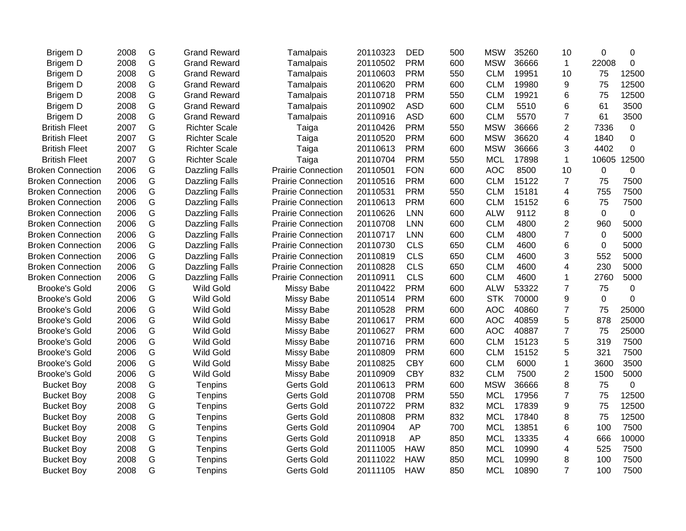| Brigem D                 | 2008 | G | <b>Grand Reward</b>   | Tamalpais                 | 20110323 | <b>DED</b> | 500 | <b>MSW</b> | 35260 | 10                      | 0              | 0           |
|--------------------------|------|---|-----------------------|---------------------------|----------|------------|-----|------------|-------|-------------------------|----------------|-------------|
| Brigem D                 | 2008 | G | <b>Grand Reward</b>   | Tamalpais                 | 20110502 | <b>PRM</b> | 600 | <b>MSW</b> | 36666 | $\mathbf{1}$            | 22008          | $\mathbf 0$ |
| Brigem D                 | 2008 | G | <b>Grand Reward</b>   | Tamalpais                 | 20110603 | <b>PRM</b> | 550 | <b>CLM</b> | 19951 | 10                      | 75             | 12500       |
| Brigem D                 | 2008 | G | <b>Grand Reward</b>   | Tamalpais                 | 20110620 | <b>PRM</b> | 600 | <b>CLM</b> | 19980 | 9                       | 75             | 12500       |
| Brigem D                 | 2008 | G | <b>Grand Reward</b>   | Tamalpais                 | 20110718 | <b>PRM</b> | 550 | <b>CLM</b> | 19921 | 6                       | 75             | 12500       |
| Brigem D                 | 2008 | G | <b>Grand Reward</b>   | Tamalpais                 | 20110902 | <b>ASD</b> | 600 | <b>CLM</b> | 5510  | 6                       | 61             | 3500        |
| Brigem D                 | 2008 | G | <b>Grand Reward</b>   | Tamalpais                 | 20110916 | <b>ASD</b> | 600 | <b>CLM</b> | 5570  | $\overline{7}$          | 61             | 3500        |
| <b>British Fleet</b>     | 2007 | G | <b>Richter Scale</b>  | Taiga                     | 20110426 | <b>PRM</b> | 550 | <b>MSW</b> | 36666 | $\overline{2}$          | 7336           | $\mathbf 0$ |
| <b>British Fleet</b>     | 2007 | G | <b>Richter Scale</b>  | Taiga                     | 20110520 | <b>PRM</b> | 600 | <b>MSW</b> | 36620 | $\overline{\mathbf{4}}$ | 1840           | 0           |
| <b>British Fleet</b>     | 2007 | G | <b>Richter Scale</b>  | Taiga                     | 20110613 | <b>PRM</b> | 600 | <b>MSW</b> | 36666 | 3                       | 4402           | 0           |
| <b>British Fleet</b>     | 2007 | G | <b>Richter Scale</b>  | Taiga                     | 20110704 | <b>PRM</b> | 550 | <b>MCL</b> | 17898 | $\mathbf{1}$            | 10605          | 12500       |
| <b>Broken Connection</b> | 2006 | G | <b>Dazzling Falls</b> | <b>Prairie Connection</b> | 20110501 | <b>FON</b> | 600 | <b>AOC</b> | 8500  | 10                      | $\mathbf 0$    | 0           |
| <b>Broken Connection</b> | 2006 | G | Dazzling Falls        | <b>Prairie Connection</b> | 20110516 | <b>PRM</b> | 600 | <b>CLM</b> | 15122 | $\overline{7}$          | 75             | 7500        |
| <b>Broken Connection</b> | 2006 | G | <b>Dazzling Falls</b> | <b>Prairie Connection</b> | 20110531 | <b>PRM</b> | 550 | <b>CLM</b> | 15181 | 4                       | 755            | 7500        |
| <b>Broken Connection</b> | 2006 | G | <b>Dazzling Falls</b> | <b>Prairie Connection</b> | 20110613 | <b>PRM</b> | 600 | <b>CLM</b> | 15152 | 6                       | 75             | 7500        |
| <b>Broken Connection</b> | 2006 | G | <b>Dazzling Falls</b> | <b>Prairie Connection</b> | 20110626 | <b>LNN</b> | 600 | <b>ALW</b> | 9112  | 8                       | $\overline{0}$ | $\mathbf 0$ |
| <b>Broken Connection</b> | 2006 | G | <b>Dazzling Falls</b> | <b>Prairie Connection</b> | 20110708 | <b>LNN</b> | 600 | <b>CLM</b> | 4800  | $\overline{2}$          | 960            | 5000        |
| <b>Broken Connection</b> | 2006 | G | <b>Dazzling Falls</b> | <b>Prairie Connection</b> | 20110717 | <b>LNN</b> | 600 | <b>CLM</b> | 4800  | $\overline{7}$          | $\mathbf 0$    | 5000        |
| <b>Broken Connection</b> | 2006 | G | <b>Dazzling Falls</b> | <b>Prairie Connection</b> | 20110730 | <b>CLS</b> | 650 | <b>CLM</b> | 4600  | 6                       | 0              | 5000        |
| <b>Broken Connection</b> | 2006 | G | <b>Dazzling Falls</b> | <b>Prairie Connection</b> | 20110819 | <b>CLS</b> | 650 | <b>CLM</b> | 4600  | 3                       | 552            | 5000        |
| <b>Broken Connection</b> | 2006 | G | Dazzling Falls        | <b>Prairie Connection</b> | 20110828 | <b>CLS</b> | 650 | <b>CLM</b> | 4600  | 4                       | 230            | 5000        |
| <b>Broken Connection</b> | 2006 | G | <b>Dazzling Falls</b> | <b>Prairie Connection</b> | 20110911 | <b>CLS</b> | 600 | <b>CLM</b> | 4600  | 1                       | 2760           | 5000        |
| <b>Brooke's Gold</b>     | 2006 | G | <b>Wild Gold</b>      | Missy Babe                | 20110422 | <b>PRM</b> | 600 | <b>ALW</b> | 53322 | $\overline{7}$          | 75             | $\mathbf 0$ |
| <b>Brooke's Gold</b>     | 2006 | G | <b>Wild Gold</b>      | Missy Babe                | 20110514 | <b>PRM</b> | 600 | <b>STK</b> | 70000 | $\boldsymbol{9}$        | $\mathbf 0$    | 0           |
| <b>Brooke's Gold</b>     | 2006 | G | <b>Wild Gold</b>      | Missy Babe                | 20110528 | <b>PRM</b> | 600 | <b>AOC</b> | 40860 | $\overline{7}$          | 75             | 25000       |
| <b>Brooke's Gold</b>     | 2006 | G | <b>Wild Gold</b>      | <b>Missy Babe</b>         | 20110617 | <b>PRM</b> | 600 | <b>AOC</b> | 40859 | 5                       | 878            | 25000       |
| <b>Brooke's Gold</b>     | 2006 | G | <b>Wild Gold</b>      | <b>Missy Babe</b>         | 20110627 | <b>PRM</b> | 600 | <b>AOC</b> | 40887 | $\overline{7}$          | 75             | 25000       |
| <b>Brooke's Gold</b>     | 2006 | G | <b>Wild Gold</b>      | Missy Babe                | 20110716 | <b>PRM</b> | 600 | <b>CLM</b> | 15123 | 5                       | 319            | 7500        |
| <b>Brooke's Gold</b>     | 2006 | G | <b>Wild Gold</b>      | Missy Babe                | 20110809 | <b>PRM</b> | 600 | <b>CLM</b> | 15152 | 5                       | 321            | 7500        |
| Brooke's Gold            | 2006 | G | <b>Wild Gold</b>      | Missy Babe                | 20110825 | <b>CBY</b> | 600 | <b>CLM</b> | 6000  | 1                       | 3600           | 3500        |
| <b>Brooke's Gold</b>     | 2006 | G | <b>Wild Gold</b>      | <b>Missy Babe</b>         | 20110909 | <b>CBY</b> | 832 | <b>CLM</b> | 7500  | $\overline{2}$          | 1500           | 5000        |
| <b>Bucket Boy</b>        | 2008 | G | Tenpins               | Gerts Gold                | 20110613 | <b>PRM</b> | 600 | <b>MSW</b> | 36666 | 8                       | 75             | $\mathbf 0$ |
| <b>Bucket Boy</b>        | 2008 | G | Tenpins               | Gerts Gold                | 20110708 | <b>PRM</b> | 550 | <b>MCL</b> | 17956 | $\overline{7}$          | 75             | 12500       |
| <b>Bucket Boy</b>        | 2008 | G | Tenpins               | Gerts Gold                | 20110722 | <b>PRM</b> | 832 | <b>MCL</b> | 17839 | 9                       | 75             | 12500       |
| <b>Bucket Boy</b>        | 2008 | G | Tenpins               | Gerts Gold                | 20110808 | <b>PRM</b> | 832 | <b>MCL</b> | 17840 | 8                       | 75             | 12500       |
| <b>Bucket Boy</b>        | 2008 | G | Tenpins               | Gerts Gold                | 20110904 | AP         | 700 | <b>MCL</b> | 13851 | 6                       | 100            | 7500        |
| <b>Bucket Boy</b>        | 2008 | G | Tenpins               | Gerts Gold                | 20110918 | AP         | 850 | <b>MCL</b> | 13335 | $\overline{4}$          | 666            | 10000       |
| <b>Bucket Boy</b>        | 2008 | G | Tenpins               | Gerts Gold                | 20111005 | <b>HAW</b> | 850 | <b>MCL</b> | 10990 | 4                       | 525            | 7500        |
| <b>Bucket Boy</b>        | 2008 | G | Tenpins               | <b>Gerts Gold</b>         | 20111022 | <b>HAW</b> | 850 | <b>MCL</b> | 10990 | 8                       | 100            | 7500        |
| <b>Bucket Boy</b>        | 2008 | G | Tenpins               | Gerts Gold                | 20111105 | <b>HAW</b> | 850 | <b>MCL</b> | 10890 | $\overline{7}$          | 100            | 7500        |
|                          |      |   |                       |                           |          |            |     |            |       |                         |                |             |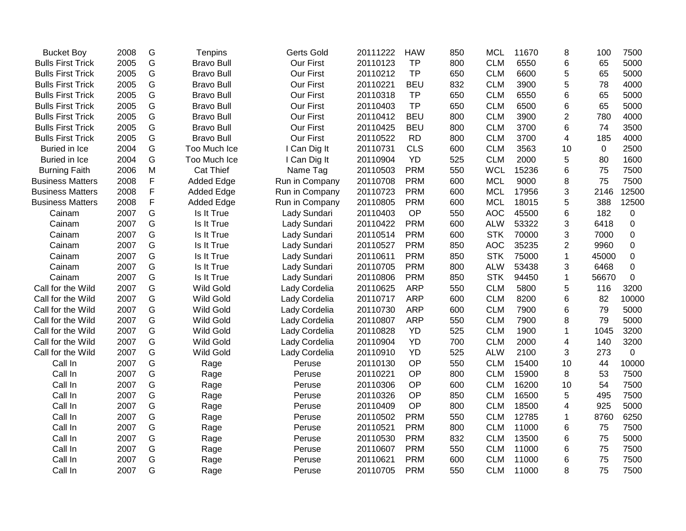| <b>Bucket Boy</b>        | 2008 | G           | Tenpins           | <b>Gerts Gold</b> | 20111222 | <b>HAW</b> | 850 | <b>MCL</b> | 11670 | 8              | 100         | 7500        |
|--------------------------|------|-------------|-------------------|-------------------|----------|------------|-----|------------|-------|----------------|-------------|-------------|
| <b>Bulls First Trick</b> | 2005 | G           | <b>Bravo Bull</b> | <b>Our First</b>  | 20110123 | <b>TP</b>  | 800 | <b>CLM</b> | 6550  | 6              | 65          | 5000        |
| <b>Bulls First Trick</b> | 2005 | G           | <b>Bravo Bull</b> | Our First         | 20110212 | <b>TP</b>  | 650 | <b>CLM</b> | 6600  | 5              | 65          | 5000        |
| <b>Bulls First Trick</b> | 2005 | G           | <b>Bravo Bull</b> | Our First         | 20110221 | <b>BEU</b> | 832 | <b>CLM</b> | 3900  | 5              | 78          | 4000        |
| <b>Bulls First Trick</b> | 2005 | G           | <b>Bravo Bull</b> | Our First         | 20110318 | <b>TP</b>  | 650 | <b>CLM</b> | 6550  | 6              | 65          | 5000        |
| <b>Bulls First Trick</b> | 2005 | G           | <b>Bravo Bull</b> | Our First         | 20110403 | <b>TP</b>  | 650 | <b>CLM</b> | 6500  | 6              | 65          | 5000        |
| <b>Bulls First Trick</b> | 2005 | G           | <b>Bravo Bull</b> | Our First         | 20110412 | <b>BEU</b> | 800 | <b>CLM</b> | 3900  | $\overline{2}$ | 780         | 4000        |
| <b>Bulls First Trick</b> | 2005 | G           | <b>Bravo Bull</b> | Our First         | 20110425 | <b>BEU</b> | 800 | <b>CLM</b> | 3700  | 6              | 74          | 3500        |
| <b>Bulls First Trick</b> | 2005 | G           | <b>Bravo Bull</b> | Our First         | 20110522 | <b>RD</b>  | 800 | <b>CLM</b> | 3700  | 4              | 185         | 4000        |
| Buried in Ice            | 2004 | G           | Too Much Ice      | I Can Dig It      | 20110731 | <b>CLS</b> | 600 | <b>CLM</b> | 3563  | 10             | $\mathbf 0$ | 2500        |
| Buried in Ice            | 2004 | G           | Too Much Ice      | I Can Dig It      | 20110904 | <b>YD</b>  | 525 | <b>CLM</b> | 2000  | 5              | 80          | 1600        |
| <b>Burning Faith</b>     | 2006 | M           | <b>Cat Thief</b>  | Name Tag          | 20110503 | <b>PRM</b> | 550 | <b>WCL</b> | 15236 | 6              | 75          | 7500        |
| <b>Business Matters</b>  | 2008 | F           | <b>Added Edge</b> | Run in Company    | 20110708 | <b>PRM</b> | 600 | <b>MCL</b> | 9000  | 8              | 75          | 7500        |
| <b>Business Matters</b>  | 2008 | F           | <b>Added Edge</b> | Run in Company    | 20110723 | <b>PRM</b> | 600 | <b>MCL</b> | 17956 | 3              | 2146        | 12500       |
| <b>Business Matters</b>  | 2008 | $\mathsf F$ | <b>Added Edge</b> | Run in Company    | 20110805 | <b>PRM</b> | 600 | <b>MCL</b> | 18015 | 5              | 388         | 12500       |
| Cainam                   | 2007 | G           | Is It True        | Lady Sundari      | 20110403 | OP         | 550 | <b>AOC</b> | 45500 | 6              | 182         | $\mathbf 0$ |
| Cainam                   | 2007 | G           | Is It True        | Lady Sundari      | 20110422 | <b>PRM</b> | 600 | <b>ALW</b> | 53322 | 3              | 6418        | $\mathbf 0$ |
| Cainam                   | 2007 | G           | Is It True        | Lady Sundari      | 20110514 | <b>PRM</b> | 600 | <b>STK</b> | 70000 | 3              | 7000        | 0           |
| Cainam                   | 2007 | G           | Is It True        | Lady Sundari      | 20110527 | <b>PRM</b> | 850 | <b>AOC</b> | 35235 | $\overline{2}$ | 9960        | $\mathbf 0$ |
| Cainam                   | 2007 | G           | Is It True        | Lady Sundari      | 20110611 | <b>PRM</b> | 850 | <b>STK</b> | 75000 | 1              | 45000       | $\pmb{0}$   |
| Cainam                   | 2007 | G           | Is It True        | Lady Sundari      | 20110705 | <b>PRM</b> | 800 | <b>ALW</b> | 53438 | 3              | 6468        | $\mathbf 0$ |
| Cainam                   | 2007 | G           | Is It True        | Lady Sundari      | 20110806 | <b>PRM</b> | 850 | <b>STK</b> | 94450 | 1              | 56670       | 0           |
| Call for the Wild        | 2007 | G           | <b>Wild Gold</b>  | Lady Cordelia     | 20110625 | <b>ARP</b> | 550 | <b>CLM</b> | 5800  | 5              | 116         | 3200        |
| Call for the Wild        | 2007 | G           | Wild Gold         | Lady Cordelia     | 20110717 | <b>ARP</b> | 600 | <b>CLM</b> | 8200  | 6              | 82          | 10000       |
| Call for the Wild        | 2007 | G           | <b>Wild Gold</b>  | Lady Cordelia     | 20110730 | <b>ARP</b> | 600 | <b>CLM</b> | 7900  | 6              | 79          | 5000        |
| Call for the Wild        | 2007 | G           | <b>Wild Gold</b>  | Lady Cordelia     | 20110807 | <b>ARP</b> | 550 | <b>CLM</b> | 7900  | 8              | 79          | 5000        |
| Call for the Wild        | 2007 | G           | <b>Wild Gold</b>  | Lady Cordelia     | 20110828 | <b>YD</b>  | 525 | <b>CLM</b> | 1900  | 1              | 1045        | 3200        |
| Call for the Wild        | 2007 | G           | <b>Wild Gold</b>  | Lady Cordelia     | 20110904 | YD         | 700 | <b>CLM</b> | 2000  | 4              | 140         | 3200        |
| Call for the Wild        | 2007 | G           | Wild Gold         | Lady Cordelia     | 20110910 | YD         | 525 | <b>ALW</b> | 2100  | 3              | 273         | 0           |
| Call In                  | 2007 | G           | Rage              | Peruse            | 20110130 | OP         | 550 | <b>CLM</b> | 15400 | 10             | 44          | 10000       |
| Call In                  | 2007 | G           | Rage              | Peruse            | 20110221 | OP         | 800 | <b>CLM</b> | 15900 | 8              | 53          | 7500        |
| Call In                  | 2007 | G           | Rage              | Peruse            | 20110306 | OP         | 600 | <b>CLM</b> | 16200 | 10             | 54          | 7500        |
| Call In                  | 2007 | G           | Rage              | Peruse            | 20110326 | OP         | 850 | <b>CLM</b> | 16500 | 5              | 495         | 7500        |
| Call In                  | 2007 | G           | Rage              | Peruse            | 20110409 | OP         | 800 | <b>CLM</b> | 18500 | 4              | 925         | 5000        |
| Call In                  | 2007 | G           | Rage              | Peruse            | 20110502 | <b>PRM</b> | 550 | <b>CLM</b> | 12785 | 1              | 8760        | 6250        |
| Call In                  | 2007 | G           | Rage              | Peruse            | 20110521 | <b>PRM</b> | 800 | <b>CLM</b> | 11000 | 6              | 75          | 7500        |
| Call In                  | 2007 | G           | Rage              | Peruse            | 20110530 | <b>PRM</b> | 832 | <b>CLM</b> | 13500 | 6              | 75          | 5000        |
| Call In                  | 2007 | G           | Rage              | Peruse            | 20110607 | <b>PRM</b> | 550 | <b>CLM</b> | 11000 | 6              | 75          | 7500        |
| Call In                  | 2007 | G           | Rage              | Peruse            | 20110621 | <b>PRM</b> | 600 | <b>CLM</b> | 11000 | 6              | 75          | 7500        |
| Call In                  | 2007 | G           | Rage              | Peruse            | 20110705 | <b>PRM</b> | 550 | <b>CLM</b> | 11000 | 8              | 75          | 7500        |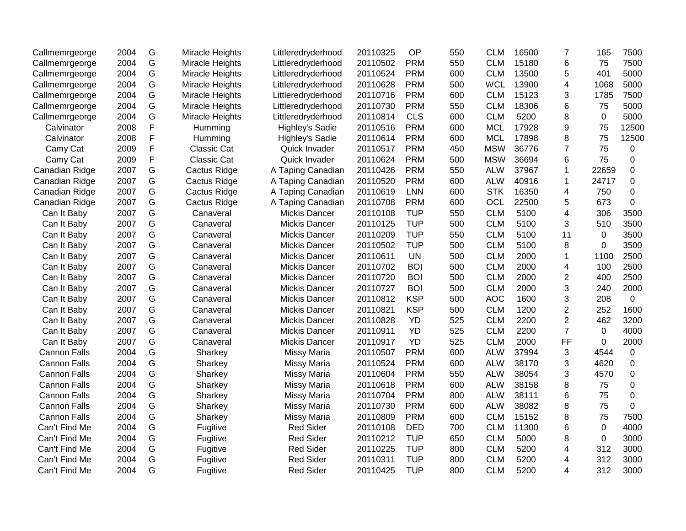| Callmemrgeorge      | 2004 | G | Miracle Heights    | Littleredryderhood   | 20110325 | OP         | 550 | <b>CLM</b> | 16500 | 7              | 165         | 7500        |
|---------------------|------|---|--------------------|----------------------|----------|------------|-----|------------|-------|----------------|-------------|-------------|
| Callmemrgeorge      | 2004 | G | Miracle Heights    | Littleredryderhood   | 20110502 | <b>PRM</b> | 550 | <b>CLM</b> | 15180 | 6              | 75          | 7500        |
| Callmemrgeorge      | 2004 | G | Miracle Heights    | Littleredryderhood   | 20110524 | <b>PRM</b> | 600 | <b>CLM</b> | 13500 | 5              | 401         | 5000        |
| Callmemrgeorge      | 2004 | G | Miracle Heights    | Littleredryderhood   | 20110628 | <b>PRM</b> | 500 | <b>WCL</b> | 13900 | 4              | 1068        | 5000        |
| Callmemrgeorge      | 2004 | G | Miracle Heights    | Littleredryderhood   | 20110716 | <b>PRM</b> | 600 | <b>CLM</b> | 15123 | 3              | 1785        | 7500        |
| Callmemrgeorge      | 2004 | G | Miracle Heights    | Littleredryderhood   | 20110730 | <b>PRM</b> | 550 | <b>CLM</b> | 18306 | 6              | 75          | 5000        |
| Callmemrgeorge      | 2004 | G | Miracle Heights    | Littleredryderhood   | 20110814 | <b>CLS</b> | 600 | <b>CLM</b> | 5200  | 8              | $\mathbf 0$ | 5000        |
| Calvinator          | 2008 | F | Humming            | Highley's Sadie      | 20110516 | <b>PRM</b> | 600 | <b>MCL</b> | 17928 | 9              | 75          | 12500       |
| Calvinator          | 2008 | F | Humming            | Highley's Sadie      | 20110614 | <b>PRM</b> | 600 | <b>MCL</b> | 17898 | 8              | 75          | 12500       |
| Camy Cat            | 2009 | F | <b>Classic Cat</b> | Quick Invader        | 20110517 | <b>PRM</b> | 450 | <b>MSW</b> | 36776 | $\overline{7}$ | 75          | 0           |
| Camy Cat            | 2009 | F | <b>Classic Cat</b> | Quick Invader        | 20110624 | <b>PRM</b> | 500 | <b>MSW</b> | 36694 | 6              | 75          | $\mathbf 0$ |
| Canadian Ridge      | 2007 | G | Cactus Ridge       | A Taping Canadian    | 20110426 | <b>PRM</b> | 550 | <b>ALW</b> | 37967 | 1              | 22659       | 0           |
| Canadian Ridge      | 2007 | G | Cactus Ridge       | A Taping Canadian    | 20110520 | <b>PRM</b> | 600 | <b>ALW</b> | 40916 | 1              | 24717       | 0           |
| Canadian Ridge      | 2007 | G | Cactus Ridge       | A Taping Canadian    | 20110619 | <b>LNN</b> | 600 | <b>STK</b> | 16350 | 4              | 750         | 0           |
| Canadian Ridge      | 2007 | G | Cactus Ridge       | A Taping Canadian    | 20110708 | <b>PRM</b> | 600 | OCL        | 22500 | 5              | 673         | 0           |
| Can It Baby         | 2007 | G | Canaveral          | Mickis Dancer        | 20110108 | <b>TUP</b> | 550 | <b>CLM</b> | 5100  | $\overline{4}$ | 306         | 3500        |
| Can It Baby         | 2007 | G | Canaveral          | <b>Mickis Dancer</b> | 20110125 | <b>TUP</b> | 500 | <b>CLM</b> | 5100  | 3              | 510         | 3500        |
| Can It Baby         | 2007 | G | Canaveral          | <b>Mickis Dancer</b> | 20110209 | <b>TUP</b> | 550 | <b>CLM</b> | 5100  | 11             | $\Omega$    | 3500        |
| Can It Baby         | 2007 | G | Canaveral          | <b>Mickis Dancer</b> | 20110502 | <b>TUP</b> | 500 | <b>CLM</b> | 5100  | 8              | $\Omega$    | 3500        |
| Can It Baby         | 2007 | G | Canaveral          | <b>Mickis Dancer</b> | 20110611 | <b>UN</b>  | 500 | <b>CLM</b> | 2000  | 1              | 1100        | 2500        |
| Can It Baby         | 2007 | G | Canaveral          | <b>Mickis Dancer</b> | 20110702 | <b>BOI</b> | 500 | <b>CLM</b> | 2000  | 4              | 100         | 2500        |
| Can It Baby         | 2007 | G | Canaveral          | <b>Mickis Dancer</b> | 20110720 | <b>BOI</b> | 500 | <b>CLM</b> | 2000  | $\overline{c}$ | 400         | 2500        |
| Can It Baby         | 2007 | G | Canaveral          | <b>Mickis Dancer</b> | 20110727 | <b>BOI</b> | 500 | <b>CLM</b> | 2000  | 3              | 240         | 2000        |
| Can It Baby         | 2007 | G | Canaveral          | <b>Mickis Dancer</b> | 20110812 | <b>KSP</b> | 500 | <b>AOC</b> | 1600  | 3              | 208         | $\mathbf 0$ |
| Can It Baby         | 2007 | G | Canaveral          | <b>Mickis Dancer</b> | 20110821 | <b>KSP</b> | 500 | <b>CLM</b> | 1200  | $\overline{2}$ | 252         | 1600        |
| Can It Baby         | 2007 | G | Canaveral          | <b>Mickis Dancer</b> | 20110828 | YD         | 525 | <b>CLM</b> | 2200  | $\overline{2}$ | 462         | 3200        |
| Can It Baby         | 2007 | G | Canaveral          | <b>Mickis Dancer</b> | 20110911 | YD         | 525 | <b>CLM</b> | 2200  | $\overline{7}$ | 0           | 4000        |
| Can It Baby         | 2007 | G | Canaveral          | <b>Mickis Dancer</b> | 20110917 | YD         | 525 | <b>CLM</b> | 2000  | FF             | 0           | 2000        |
| <b>Cannon Falls</b> | 2004 | G | Sharkey            | <b>Missy Maria</b>   | 20110507 | <b>PRM</b> | 600 | <b>ALW</b> | 37994 | 3              | 4544        | 0           |
| <b>Cannon Falls</b> | 2004 | G | Sharkey            | <b>Missy Maria</b>   | 20110524 | <b>PRM</b> | 600 | <b>ALW</b> | 38170 | 3              | 4620        | $\mathbf 0$ |
| <b>Cannon Falls</b> | 2004 | G | Sharkey            | <b>Missy Maria</b>   | 20110604 | <b>PRM</b> | 550 | <b>ALW</b> | 38054 | 3              | 4570        | $\mathbf 0$ |
| <b>Cannon Falls</b> | 2004 | G | Sharkey            | <b>Missy Maria</b>   | 20110618 | <b>PRM</b> | 600 | <b>ALW</b> | 38158 | 8              | 75          | $\pmb{0}$   |
| <b>Cannon Falls</b> | 2004 | G | Sharkey            | <b>Missy Maria</b>   | 20110704 | <b>PRM</b> | 800 | <b>ALW</b> | 38111 | 6              | 75          | $\mathbf 0$ |
| <b>Cannon Falls</b> | 2004 | G | Sharkey            | <b>Missy Maria</b>   | 20110730 | <b>PRM</b> | 600 | <b>ALW</b> | 38082 | 8              | 75          | $\Omega$    |
| <b>Cannon Falls</b> | 2004 | G | Sharkey            | <b>Missy Maria</b>   | 20110809 | <b>PRM</b> | 600 | <b>CLM</b> | 15152 | 8              | 75          | 7500        |
| Can't Find Me       | 2004 | G | Fugitive           | <b>Red Sider</b>     | 20110108 | <b>DED</b> | 700 | <b>CLM</b> | 11300 | 6              | 0           | 4000        |
| Can't Find Me       | 2004 | G | Fugitive           | <b>Red Sider</b>     | 20110212 | <b>TUP</b> | 650 | <b>CLM</b> | 5000  | 8              | $\mathbf 0$ | 3000        |
| Can't Find Me       | 2004 | G | Fugitive           | <b>Red Sider</b>     | 20110225 | <b>TUP</b> | 800 | <b>CLM</b> | 5200  | 4              | 312         | 3000        |
| Can't Find Me       | 2004 | G | Fugitive           | <b>Red Sider</b>     | 20110311 | <b>TUP</b> | 800 | <b>CLM</b> | 5200  | 4              | 312         | 3000        |
| Can't Find Me       | 2004 | G | Fugitive           | <b>Red Sider</b>     | 20110425 | <b>TUP</b> | 800 | <b>CLM</b> | 5200  | 4              | 312         | 3000        |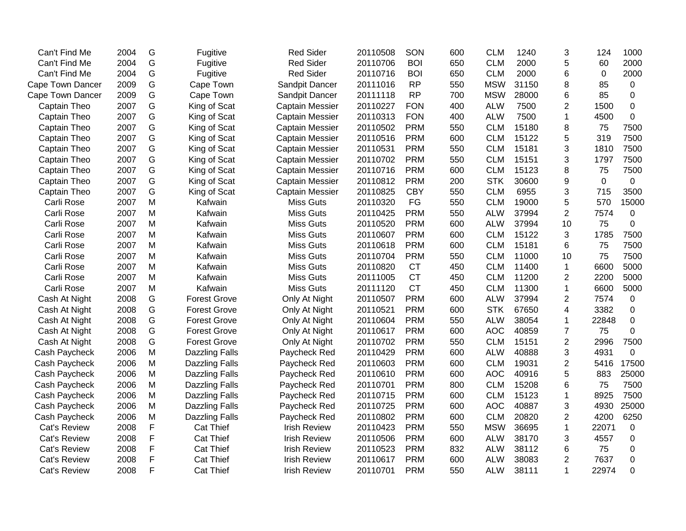| Can't Find Me       | 2004 | G             | Fugitive              | <b>Red Sider</b>       | 20110508 | SON        | 600 | <b>CLM</b> | 1240  | 3              | 124   | 1000        |
|---------------------|------|---------------|-----------------------|------------------------|----------|------------|-----|------------|-------|----------------|-------|-------------|
| Can't Find Me       | 2004 | G             | Fugitive              | <b>Red Sider</b>       | 20110706 | <b>BOI</b> | 650 | <b>CLM</b> | 2000  | 5              | 60    | 2000        |
| Can't Find Me       | 2004 | G             | Fugitive              | <b>Red Sider</b>       | 20110716 | <b>BOI</b> | 650 | <b>CLM</b> | 2000  | 6              | 0     | 2000        |
| Cape Town Dancer    | 2009 | G             | Cape Town             | Sandpit Dancer         | 20111016 | <b>RP</b>  | 550 | <b>MSW</b> | 31150 | 8              | 85    | $\mathbf 0$ |
| Cape Town Dancer    | 2009 | G             | Cape Town             | Sandpit Dancer         | 20111118 | <b>RP</b>  | 700 | <b>MSW</b> | 28000 | 6              | 85    | 0           |
| Captain Theo        | 2007 | G             | King of Scat          | Captain Messier        | 20110227 | <b>FON</b> | 400 | <b>ALW</b> | 7500  | 2              | 1500  | $\pmb{0}$   |
| Captain Theo        | 2007 | G             | King of Scat          | <b>Captain Messier</b> | 20110313 | <b>FON</b> | 400 | <b>ALW</b> | 7500  | 1              | 4500  | $\pmb{0}$   |
| Captain Theo        | 2007 | G             | King of Scat          | <b>Captain Messier</b> | 20110502 | <b>PRM</b> | 550 | <b>CLM</b> | 15180 | 8              | 75    | 7500        |
| Captain Theo        | 2007 | G             | King of Scat          | <b>Captain Messier</b> | 20110516 | <b>PRM</b> | 600 | <b>CLM</b> | 15122 | 5              | 319   | 7500        |
| Captain Theo        | 2007 | G             | King of Scat          | <b>Captain Messier</b> | 20110531 | <b>PRM</b> | 550 | <b>CLM</b> | 15181 | 3              | 1810  | 7500        |
| Captain Theo        | 2007 | G             | King of Scat          | <b>Captain Messier</b> | 20110702 | <b>PRM</b> | 550 | <b>CLM</b> | 15151 | 3              | 1797  | 7500        |
| Captain Theo        | 2007 | G             | King of Scat          | <b>Captain Messier</b> | 20110716 | <b>PRM</b> | 600 | <b>CLM</b> | 15123 | 8              | 75    | 7500        |
| Captain Theo        | 2007 | G             | King of Scat          | <b>Captain Messier</b> | 20110812 | <b>PRM</b> | 200 | <b>STK</b> | 30600 | 9              | 0     | $\mathbf 0$ |
| Captain Theo        | 2007 | G             | King of Scat          | <b>Captain Messier</b> | 20110825 | <b>CBY</b> | 550 | <b>CLM</b> | 6955  | 3              | 715   | 3500        |
| Carli Rose          | 2007 | M             | Kafwain               | <b>Miss Guts</b>       | 20110320 | FG         | 550 | <b>CLM</b> | 19000 | 5              | 570   | 15000       |
| Carli Rose          | 2007 | M             | Kafwain               | Miss Guts              | 20110425 | <b>PRM</b> | 550 | <b>ALW</b> | 37994 | $\overline{2}$ | 7574  | 0           |
| Carli Rose          | 2007 | M             | Kafwain               | <b>Miss Guts</b>       | 20110520 | <b>PRM</b> | 600 | <b>ALW</b> | 37994 | 10             | 75    | $\pmb{0}$   |
| Carli Rose          | 2007 | M             | Kafwain               | <b>Miss Guts</b>       | 20110607 | <b>PRM</b> | 600 | <b>CLM</b> | 15122 | 3              | 1785  | 7500        |
| Carli Rose          | 2007 | M             | Kafwain               | <b>Miss Guts</b>       | 20110618 | <b>PRM</b> | 600 | <b>CLM</b> | 15181 | 6              | 75    | 7500        |
| Carli Rose          | 2007 | M             | Kafwain               | <b>Miss Guts</b>       | 20110704 | <b>PRM</b> | 550 | <b>CLM</b> | 11000 | 10             | 75    | 7500        |
| Carli Rose          | 2007 | M             | Kafwain               | <b>Miss Guts</b>       | 20110820 | <b>CT</b>  | 450 | <b>CLM</b> | 11400 | 1              | 6600  | 5000        |
| Carli Rose          | 2007 | M             | Kafwain               | <b>Miss Guts</b>       | 20111005 | <b>CT</b>  | 450 | <b>CLM</b> | 11200 | $\overline{2}$ | 2200  | 5000        |
| Carli Rose          | 2007 | M             | Kafwain               | <b>Miss Guts</b>       | 20111120 | <b>CT</b>  | 450 | <b>CLM</b> | 11300 | 1              | 6600  | 5000        |
| Cash At Night       | 2008 | G             | <b>Forest Grove</b>   | Only At Night          | 20110507 | <b>PRM</b> | 600 | <b>ALW</b> | 37994 | 2              | 7574  | $\mathbf 0$ |
| Cash At Night       | 2008 | G             | <b>Forest Grove</b>   | Only At Night          | 20110521 | <b>PRM</b> | 600 | <b>STK</b> | 67650 | 4              | 3382  | $\mathbf 0$ |
| Cash At Night       | 2008 | G             | <b>Forest Grove</b>   | Only At Night          | 20110604 | <b>PRM</b> | 550 | <b>ALW</b> | 38054 | 1              | 22848 | $\mathbf 0$ |
| Cash At Night       | 2008 | G             | <b>Forest Grove</b>   | Only At Night          | 20110617 | <b>PRM</b> | 600 | <b>AOC</b> | 40859 | $\overline{7}$ | 75    | 0           |
| Cash At Night       | 2008 | ${\mathsf G}$ | <b>Forest Grove</b>   | Only At Night          | 20110702 | <b>PRM</b> | 550 | <b>CLM</b> | 15151 | $\overline{2}$ | 2996  | 7500        |
| Cash Paycheck       | 2006 | M             | <b>Dazzling Falls</b> | Paycheck Red           | 20110429 | <b>PRM</b> | 600 | <b>ALW</b> | 40888 | 3              | 4931  | 0           |
| Cash Paycheck       | 2006 | M             | <b>Dazzling Falls</b> | Paycheck Red           | 20110603 | <b>PRM</b> | 600 | <b>CLM</b> | 19031 | $\overline{2}$ | 5416  | 17500       |
| Cash Paycheck       | 2006 | M             | <b>Dazzling Falls</b> | Paycheck Red           | 20110610 | <b>PRM</b> | 600 | <b>AOC</b> | 40916 | 5              | 883   | 25000       |
| Cash Paycheck       | 2006 | M             | <b>Dazzling Falls</b> | Paycheck Red           | 20110701 | <b>PRM</b> | 800 | <b>CLM</b> | 15208 | 6              | 75    | 7500        |
| Cash Paycheck       | 2006 | M             | <b>Dazzling Falls</b> | Paycheck Red           | 20110715 | <b>PRM</b> | 600 | <b>CLM</b> | 15123 | 1              | 8925  | 7500        |
| Cash Paycheck       | 2006 | M             | <b>Dazzling Falls</b> | Paycheck Red           | 20110725 | <b>PRM</b> | 600 | <b>AOC</b> | 40887 | 3              | 4930  | 25000       |
| Cash Paycheck       | 2006 | M             | <b>Dazzling Falls</b> | Paycheck Red           | 20110802 | <b>PRM</b> | 600 | <b>CLM</b> | 20820 | 2              | 4200  | 6250        |
| Cat's Review        | 2008 | F             | <b>Cat Thief</b>      | <b>Irish Review</b>    | 20110423 | <b>PRM</b> | 550 | <b>MSW</b> | 36695 | 1              | 22071 | 0           |
| Cat's Review        | 2008 | F             | <b>Cat Thief</b>      | <b>Irish Review</b>    | 20110506 | <b>PRM</b> | 600 | <b>ALW</b> | 38170 | 3              | 4557  | $\pmb{0}$   |
| Cat's Review        | 2008 | F             | <b>Cat Thief</b>      | <b>Irish Review</b>    | 20110523 | <b>PRM</b> | 832 | <b>ALW</b> | 38112 | 6              | 75    | 0           |
| <b>Cat's Review</b> | 2008 | F             | Cat Thief             | <b>Irish Review</b>    | 20110617 | <b>PRM</b> | 600 | <b>ALW</b> | 38083 | 2              | 7637  | $\pmb{0}$   |
| Cat's Review        | 2008 | F             | <b>Cat Thief</b>      | <b>Irish Review</b>    | 20110701 | <b>PRM</b> | 550 | <b>ALW</b> | 38111 | 1              | 22974 | $\Omega$    |
|                     |      |               |                       |                        |          |            |     |            |       |                |       |             |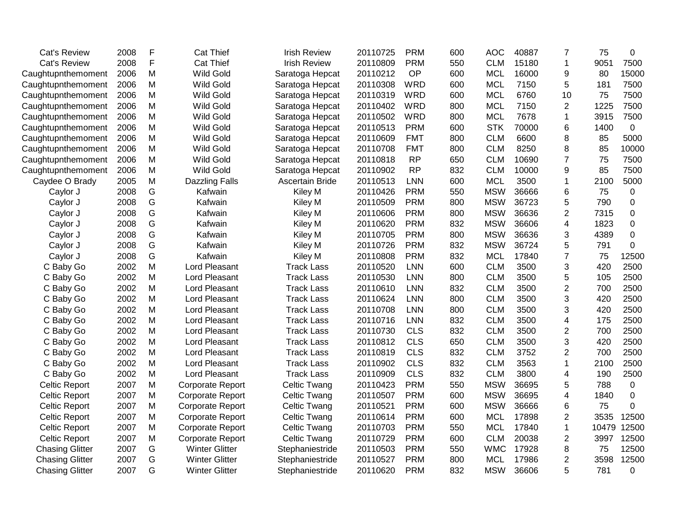| <b>Cat's Review</b>    | 2008 | F | <b>Cat Thief</b>        | <b>Irish Review</b> | 20110725 | <b>PRM</b> | 600 | <b>AOC</b> | 40887 | 7              | 75    | 0           |
|------------------------|------|---|-------------------------|---------------------|----------|------------|-----|------------|-------|----------------|-------|-------------|
| <b>Cat's Review</b>    | 2008 | F | <b>Cat Thief</b>        | <b>Irish Review</b> | 20110809 | <b>PRM</b> | 550 | <b>CLM</b> | 15180 | $\mathbf{1}$   | 9051  | 7500        |
| Caughtupnthemoment     | 2006 | M | <b>Wild Gold</b>        | Saratoga Hepcat     | 20110212 | OP         | 600 | <b>MCL</b> | 16000 | 9              | 80    | 15000       |
| Caughtupnthemoment     | 2006 | M | <b>Wild Gold</b>        | Saratoga Hepcat     | 20110308 | <b>WRD</b> | 600 | <b>MCL</b> | 7150  | 5              | 181   | 7500        |
| Caughtupnthemoment     | 2006 | M | <b>Wild Gold</b>        | Saratoga Hepcat     | 20110319 | <b>WRD</b> | 600 | <b>MCL</b> | 6760  | 10             | 75    | 7500        |
| Caughtupnthemoment     | 2006 | M | <b>Wild Gold</b>        | Saratoga Hepcat     | 20110402 | <b>WRD</b> | 800 | <b>MCL</b> | 7150  | 2              | 1225  | 7500        |
| Caughtupnthemoment     | 2006 | M | <b>Wild Gold</b>        | Saratoga Hepcat     | 20110502 | <b>WRD</b> | 800 | <b>MCL</b> | 7678  | 1              | 3915  | 7500        |
| Caughtupnthemoment     | 2006 | M | <b>Wild Gold</b>        | Saratoga Hepcat     | 20110513 | <b>PRM</b> | 600 | <b>STK</b> | 70000 | 6              | 1400  | $\mathbf 0$ |
| Caughtupnthemoment     | 2006 | M | <b>Wild Gold</b>        | Saratoga Hepcat     | 20110609 | <b>FMT</b> | 800 | <b>CLM</b> | 6600  | 8              | 85    | 5000        |
| Caughtupnthemoment     | 2006 | M | <b>Wild Gold</b>        | Saratoga Hepcat     | 20110708 | <b>FMT</b> | 800 | <b>CLM</b> | 8250  | 8              | 85    | 10000       |
| Caughtupnthemoment     | 2006 | M | Wild Gold               | Saratoga Hepcat     | 20110818 | <b>RP</b>  | 650 | <b>CLM</b> | 10690 | $\overline{7}$ | 75    | 7500        |
| Caughtupnthemoment     | 2006 | M | <b>Wild Gold</b>        | Saratoga Hepcat     | 20110902 | <b>RP</b>  | 832 | <b>CLM</b> | 10000 | 9              | 85    | 7500        |
| Caydee O Brady         | 2005 | M | <b>Dazzling Falls</b>   | Ascertain Bride     | 20110513 | <b>LNN</b> | 600 | <b>MCL</b> | 3500  | 1              | 2100  | 5000        |
| Caylor J               | 2008 | G | Kafwain                 | Kiley M             | 20110426 | <b>PRM</b> | 550 | <b>MSW</b> | 36666 | 6              | 75    | 0           |
| Caylor J               | 2008 | G | Kafwain                 | Kiley M             | 20110509 | <b>PRM</b> | 800 | <b>MSW</b> | 36723 | 5              | 790   | $\pmb{0}$   |
| Caylor J               | 2008 | G | Kafwain                 | Kiley M             | 20110606 | <b>PRM</b> | 800 | <b>MSW</b> | 36636 | $\overline{2}$ | 7315  | $\pmb{0}$   |
| Caylor J               | 2008 | G | Kafwain                 | Kiley M             | 20110620 | <b>PRM</b> | 832 | <b>MSW</b> | 36606 | 4              | 1823  | $\Omega$    |
| Caylor J               | 2008 | G | Kafwain                 | Kiley M             | 20110705 | <b>PRM</b> | 800 | <b>MSW</b> | 36636 | 3              | 4389  | 0           |
| Caylor J               | 2008 | G | Kafwain                 | Kiley M             | 20110726 | <b>PRM</b> | 832 | <b>MSW</b> | 36724 | 5              | 791   | 0           |
| Caylor J               | 2008 | G | Kafwain                 | Kiley M             | 20110808 | <b>PRM</b> | 832 | <b>MCL</b> | 17840 | $\overline{7}$ | 75    | 12500       |
| C Baby Go              | 2002 | M | Lord Pleasant           | <b>Track Lass</b>   | 20110520 | <b>LNN</b> | 600 | <b>CLM</b> | 3500  | 3              | 420   | 2500        |
| C Baby Go              | 2002 | M | Lord Pleasant           | <b>Track Lass</b>   | 20110530 | <b>LNN</b> | 800 | <b>CLM</b> | 3500  | 5              | 105   | 2500        |
| C Baby Go              | 2002 | M | <b>Lord Pleasant</b>    | <b>Track Lass</b>   | 20110610 | <b>LNN</b> | 832 | <b>CLM</b> | 3500  | $\overline{2}$ | 700   | 2500        |
| C Baby Go              | 2002 | M | <b>Lord Pleasant</b>    | <b>Track Lass</b>   | 20110624 | <b>LNN</b> | 800 | <b>CLM</b> | 3500  | 3              | 420   | 2500        |
| C Baby Go              | 2002 | M | Lord Pleasant           | <b>Track Lass</b>   | 20110708 | <b>LNN</b> | 800 | <b>CLM</b> | 3500  | 3              | 420   | 2500        |
| C Baby Go              | 2002 | M | Lord Pleasant           | <b>Track Lass</b>   | 20110716 | <b>LNN</b> | 832 | <b>CLM</b> | 3500  | 4              | 175   | 2500        |
| C Baby Go              | 2002 | M | Lord Pleasant           | <b>Track Lass</b>   | 20110730 | <b>CLS</b> | 832 | <b>CLM</b> | 3500  | $\overline{2}$ | 700   | 2500        |
| C Baby Go              | 2002 | M | Lord Pleasant           | <b>Track Lass</b>   | 20110812 | <b>CLS</b> | 650 | <b>CLM</b> | 3500  | 3              | 420   | 2500        |
| C Baby Go              | 2002 | M | Lord Pleasant           | <b>Track Lass</b>   | 20110819 | <b>CLS</b> | 832 | <b>CLM</b> | 3752  | 2              | 700   | 2500        |
| C Baby Go              | 2002 | M | Lord Pleasant           | <b>Track Lass</b>   | 20110902 | <b>CLS</b> | 832 | <b>CLM</b> | 3563  | 1              | 2100  | 2500        |
| C Baby Go              | 2002 | M | Lord Pleasant           | <b>Track Lass</b>   | 20110909 | <b>CLS</b> | 832 | <b>CLM</b> | 3800  | 4              | 190   | 2500        |
| Celtic Report          | 2007 | M | <b>Corporate Report</b> | <b>Celtic Twang</b> | 20110423 | <b>PRM</b> | 550 | <b>MSW</b> | 36695 | 5              | 788   | 0           |
| <b>Celtic Report</b>   | 2007 | M | <b>Corporate Report</b> | <b>Celtic Twang</b> | 20110507 | <b>PRM</b> | 600 | <b>MSW</b> | 36695 | 4              | 1840  | 0           |
| <b>Celtic Report</b>   | 2007 | M | <b>Corporate Report</b> | <b>Celtic Twang</b> | 20110521 | <b>PRM</b> | 600 | <b>MSW</b> | 36666 | 6              | 75    | $\mathbf 0$ |
| <b>Celtic Report</b>   | 2007 | M | <b>Corporate Report</b> | Celtic Twang        | 20110614 | <b>PRM</b> | 600 | <b>MCL</b> | 17898 | $\overline{2}$ | 3535  | 12500       |
| <b>Celtic Report</b>   | 2007 | M | <b>Corporate Report</b> | <b>Celtic Twang</b> | 20110703 | <b>PRM</b> | 550 | <b>MCL</b> | 17840 | 1              | 10479 | 12500       |
| <b>Celtic Report</b>   | 2007 | M | <b>Corporate Report</b> | <b>Celtic Twang</b> | 20110729 | <b>PRM</b> | 600 | <b>CLM</b> | 20038 | $\overline{2}$ | 3997  | 12500       |
| <b>Chasing Glitter</b> | 2007 | G | <b>Winter Glitter</b>   | Stephaniestride     | 20110503 | <b>PRM</b> | 550 | <b>WMC</b> | 17928 | 8              | 75    | 12500       |
| <b>Chasing Glitter</b> | 2007 | G | <b>Winter Glitter</b>   | Stephaniestride     | 20110527 | <b>PRM</b> | 800 | <b>MCL</b> | 17986 | $\overline{2}$ | 3598  | 12500       |
| <b>Chasing Glitter</b> | 2007 | G | <b>Winter Glitter</b>   | Stephaniestride     | 20110620 | <b>PRM</b> | 832 | <b>MSW</b> | 36606 | 5              | 781   | $\Omega$    |
|                        |      |   |                         |                     |          |            |     |            |       |                |       |             |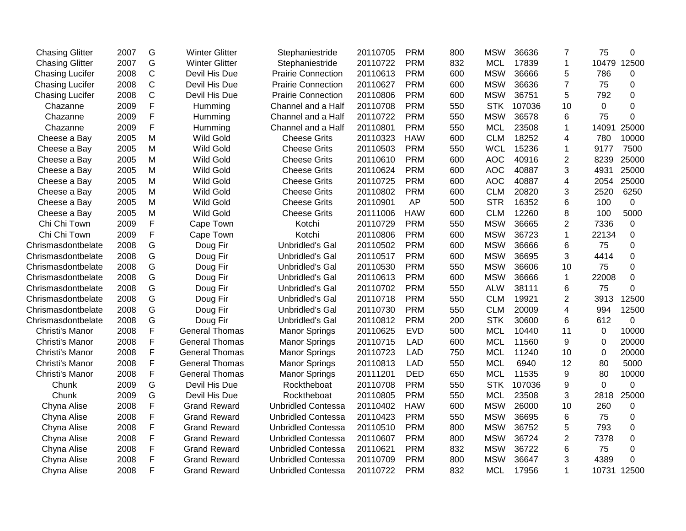| <b>Chasing Glitter</b> | 2007 | G            | <b>Winter Glitter</b> | Stephaniestride           | 20110705 | <b>PRM</b> | 800 | <b>MSW</b> | 36636  | $\overline{7}$          | 75             | 0           |
|------------------------|------|--------------|-----------------------|---------------------------|----------|------------|-----|------------|--------|-------------------------|----------------|-------------|
| <b>Chasing Glitter</b> | 2007 | G            | <b>Winter Glitter</b> | Stephaniestride           | 20110722 | <b>PRM</b> | 832 | <b>MCL</b> | 17839  | $\mathbf{1}$            | 10479          | 12500       |
| <b>Chasing Lucifer</b> | 2008 | $\mathsf C$  | Devil His Due         | <b>Prairie Connection</b> | 20110613 | <b>PRM</b> | 600 | <b>MSW</b> | 36666  | 5                       | 786            | 0           |
| <b>Chasing Lucifer</b> | 2008 | $\mathsf C$  | Devil His Due         | <b>Prairie Connection</b> | 20110627 | <b>PRM</b> | 600 | <b>MSW</b> | 36636  | $\overline{7}$          | 75             | 0           |
| <b>Chasing Lucifer</b> | 2008 | $\mathsf{C}$ | Devil His Due         | <b>Prairie Connection</b> | 20110806 | <b>PRM</b> | 600 | <b>MSW</b> | 36751  | 5                       | 792            | 0           |
| Chazanne               | 2009 | F            | Humming               | Channel and a Half        | 20110708 | <b>PRM</b> | 550 | <b>STK</b> | 107036 | 10                      | 0              | 0           |
| Chazanne               | 2009 | F            | Humming               | Channel and a Half        | 20110722 | <b>PRM</b> | 550 | <b>MSW</b> | 36578  | 6                       | 75             | 0           |
| Chazanne               | 2009 | F            | Humming               | Channel and a Half        | 20110801 | <b>PRM</b> | 550 | <b>MCL</b> | 23508  | 1                       | 14091          | 25000       |
| Cheese a Bay           | 2005 | M            | <b>Wild Gold</b>      | <b>Cheese Grits</b>       | 20110323 | <b>HAW</b> | 600 | <b>CLM</b> | 18252  | $\overline{4}$          | 780            | 10000       |
| Cheese a Bay           | 2005 | M            | <b>Wild Gold</b>      | <b>Cheese Grits</b>       | 20110503 | <b>PRM</b> | 550 | <b>WCL</b> | 15236  | 1                       | 9177           | 7500        |
| Cheese a Bay           | 2005 | M            | <b>Wild Gold</b>      | <b>Cheese Grits</b>       | 20110610 | <b>PRM</b> | 600 | <b>AOC</b> | 40916  | $\overline{2}$          | 8239           | 25000       |
| Cheese a Bay           | 2005 | M            | <b>Wild Gold</b>      | <b>Cheese Grits</b>       | 20110624 | <b>PRM</b> | 600 | <b>AOC</b> | 40887  | 3                       | 4931           | 25000       |
| Cheese a Bay           | 2005 | M            | <b>Wild Gold</b>      | <b>Cheese Grits</b>       | 20110725 | <b>PRM</b> | 600 | <b>AOC</b> | 40887  | $\overline{4}$          | 2054           | 25000       |
| Cheese a Bay           | 2005 | M            | <b>Wild Gold</b>      | <b>Cheese Grits</b>       | 20110802 | <b>PRM</b> | 600 | <b>CLM</b> | 20820  | 3                       | 2520           | 6250        |
| Cheese a Bay           | 2005 | M            | Wild Gold             | <b>Cheese Grits</b>       | 20110901 | <b>AP</b>  | 500 | <b>STR</b> | 16352  | 6                       | 100            | $\pmb{0}$   |
| Cheese a Bay           | 2005 | M            | <b>Wild Gold</b>      | <b>Cheese Grits</b>       | 20111006 | <b>HAW</b> | 600 | <b>CLM</b> | 12260  | 8                       | 100            | 5000        |
| Chi Chi Town           | 2009 | F            | Cape Town             | Kotchi                    | 20110729 | <b>PRM</b> | 550 | <b>MSW</b> | 36665  | $\mathbf{2}$            | 7336           | $\mathbf 0$ |
| Chi Chi Town           | 2009 | F            | Cape Town             | Kotchi                    | 20110806 | <b>PRM</b> | 600 | <b>MSW</b> | 36723  | $\mathbf{1}$            | 22134          | 0           |
| Chrismasdontbelate     | 2008 | G            | Doug Fir              | <b>Unbridled's Gal</b>    | 20110502 | <b>PRM</b> | 600 | <b>MSW</b> | 36666  | 6                       | 75             | 0           |
| Chrismasdontbelate     | 2008 | G            | Doug Fir              | Unbridled's Gal           | 20110517 | <b>PRM</b> | 600 | <b>MSW</b> | 36695  | 3                       | 4414           | 0           |
| Chrismasdontbelate     | 2008 | G            | Doug Fir              | Unbridled's Gal           | 20110530 | <b>PRM</b> | 550 | <b>MSW</b> | 36606  | 10                      | 75             | 0           |
| Chrismasdontbelate     | 2008 | G            | Doug Fir              | Unbridled's Gal           | 20110613 | <b>PRM</b> | 600 | <b>MSW</b> | 36666  | $\mathbf{1}$            | 22008          | $\mathbf 0$ |
| Chrismasdontbelate     | 2008 | G            | Doug Fir              | <b>Unbridled's Gal</b>    | 20110702 | <b>PRM</b> | 550 | <b>ALW</b> | 38111  | 6                       | 75             | 0           |
| Chrismasdontbelate     | 2008 | G            | Doug Fir              | <b>Unbridled's Gal</b>    | 20110718 | <b>PRM</b> | 550 | <b>CLM</b> | 19921  | $\overline{2}$          | 3913           | 12500       |
| Chrismasdontbelate     | 2008 | G            | Doug Fir              | <b>Unbridled's Gal</b>    | 20110730 | <b>PRM</b> | 550 | <b>CLM</b> | 20009  | $\overline{\mathbf{4}}$ | 994            | 12500       |
| Chrismasdontbelate     | 2008 | G            | Doug Fir              | <b>Unbridled's Gal</b>    | 20110812 | <b>PRM</b> | 200 | <b>STK</b> | 30600  | 6                       | 612            | 0           |
| Christi's Manor        | 2008 | F            | <b>General Thomas</b> | <b>Manor Springs</b>      | 20110625 | <b>EVD</b> | 500 | <b>MCL</b> | 10440  | 11                      | $\mathbf 0$    | 10000       |
| Christi's Manor        | 2008 | F            | <b>General Thomas</b> | <b>Manor Springs</b>      | 20110715 | <b>LAD</b> | 600 | <b>MCL</b> | 11560  | 9                       | 0              | 20000       |
| Christi's Manor        | 2008 | F            | <b>General Thomas</b> | <b>Manor Springs</b>      | 20110723 | <b>LAD</b> | 750 | <b>MCL</b> | 11240  | 10                      | 0              | 20000       |
| Christi's Manor        | 2008 | F            | <b>General Thomas</b> | <b>Manor Springs</b>      | 20110813 | <b>LAD</b> | 550 | <b>MCL</b> | 6940   | 12                      | 80             | 5000        |
| Christi's Manor        | 2008 | F            | <b>General Thomas</b> | <b>Manor Springs</b>      | 20111201 | <b>DED</b> | 650 | <b>MCL</b> | 11535  | 9                       | 80             | 10000       |
| Chunk                  | 2009 | G            | Devil His Due         | Rocktheboat               | 20110708 | <b>PRM</b> | 550 | <b>STK</b> | 107036 | 9                       | $\overline{0}$ | $\mathbf 0$ |
| Chunk                  | 2009 | G            | Devil His Due         | Rocktheboat               | 20110805 | <b>PRM</b> | 550 | <b>MCL</b> | 23508  | 3                       | 2818           | 25000       |
| Chyna Alise            | 2008 | F            | <b>Grand Reward</b>   | <b>Unbridled Contessa</b> | 20110402 | <b>HAW</b> | 600 | <b>MSW</b> | 26000  | 10                      | 260            | 0           |
| Chyna Alise            | 2008 | F            | <b>Grand Reward</b>   | <b>Unbridled Contessa</b> | 20110423 | <b>PRM</b> | 550 | <b>MSW</b> | 36695  | 6                       | 75             | 0           |
| Chyna Alise            | 2008 | F            | <b>Grand Reward</b>   | <b>Unbridled Contessa</b> | 20110510 | <b>PRM</b> | 800 | <b>MSW</b> | 36752  | 5                       | 793            | 0           |
| Chyna Alise            | 2008 | F            | <b>Grand Reward</b>   | <b>Unbridled Contessa</b> | 20110607 | <b>PRM</b> | 800 | <b>MSW</b> | 36724  | $\overline{2}$          | 7378           | 0           |
| Chyna Alise            | 2008 | F            | <b>Grand Reward</b>   | <b>Unbridled Contessa</b> | 20110621 | <b>PRM</b> | 832 | <b>MSW</b> | 36722  | 6                       | 75             | 0           |
| Chyna Alise            | 2008 | F            | <b>Grand Reward</b>   | <b>Unbridled Contessa</b> | 20110709 | <b>PRM</b> | 800 | <b>MSW</b> | 36647  | 3                       | 4389           | 0           |
| Chyna Alise            | 2008 | $\mathsf F$  | <b>Grand Reward</b>   | <b>Unbridled Contessa</b> | 20110722 | <b>PRM</b> | 832 | <b>MCL</b> | 17956  | $\mathbf{1}$            | 10731          | 12500       |
|                        |      |              |                       |                           |          |            |     |            |        |                         |                |             |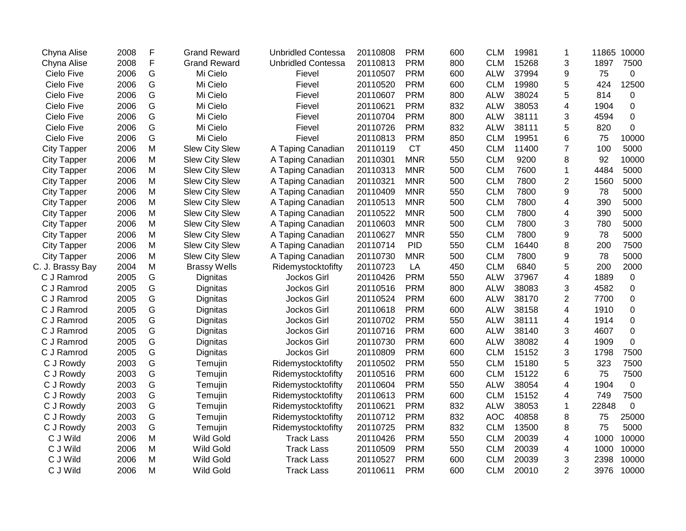| Chyna Alise        | 2008 | F | <b>Grand Reward</b>   | <b>Unbridled Contessa</b> | 20110808 | <b>PRM</b> | 600 | <b>CLM</b> | 19981 | 1              | 11865 | 10000        |
|--------------------|------|---|-----------------------|---------------------------|----------|------------|-----|------------|-------|----------------|-------|--------------|
| Chyna Alise        | 2008 | F | <b>Grand Reward</b>   | <b>Unbridled Contessa</b> | 20110813 | <b>PRM</b> | 800 | <b>CLM</b> | 15268 | 3              | 1897  | 7500         |
| Cielo Five         | 2006 | G | Mi Cielo              | Fievel                    | 20110507 | <b>PRM</b> | 600 | <b>ALW</b> | 37994 | 9              | 75    | 0            |
| Cielo Five         | 2006 | G | Mi Cielo              | Fievel                    | 20110520 | <b>PRM</b> | 600 | <b>CLM</b> | 19980 | 5              | 424   | 12500        |
| Cielo Five         | 2006 | G | Mi Cielo              | Fievel                    | 20110607 | <b>PRM</b> | 800 | <b>ALW</b> | 38024 | 5              | 814   | 0            |
| Cielo Five         | 2006 | G | Mi Cielo              | Fievel                    | 20110621 | <b>PRM</b> | 832 | <b>ALW</b> | 38053 | 4              | 1904  | 0            |
| Cielo Five         | 2006 | G | Mi Cielo              | Fievel                    | 20110704 | <b>PRM</b> | 800 | <b>ALW</b> | 38111 | 3              | 4594  | 0            |
| Cielo Five         | 2006 | G | Mi Cielo              | Fievel                    | 20110726 | <b>PRM</b> | 832 | <b>ALW</b> | 38111 | 5              | 820   | 0            |
| Cielo Five         | 2006 | G | Mi Cielo              | Fievel                    | 20110813 | <b>PRM</b> | 850 | <b>CLM</b> | 19951 | 6              | 75    | 10000        |
| <b>City Tapper</b> | 2006 | M | <b>Slew City Slew</b> | A Taping Canadian         | 20110119 | <b>CT</b>  | 450 | <b>CLM</b> | 11400 | $\overline{7}$ | 100   | 5000         |
| <b>City Tapper</b> | 2006 | M | <b>Slew City Slew</b> | A Taping Canadian         | 20110301 | <b>MNR</b> | 550 | <b>CLM</b> | 9200  | 8              | 92    | 10000        |
| <b>City Tapper</b> | 2006 | M | <b>Slew City Slew</b> | A Taping Canadian         | 20110313 | <b>MNR</b> | 500 | <b>CLM</b> | 7600  | 1              | 4484  | 5000         |
| <b>City Tapper</b> | 2006 | M | <b>Slew City Slew</b> | A Taping Canadian         | 20110321 | <b>MNR</b> | 500 | <b>CLM</b> | 7800  | 2              | 1560  | 5000         |
| <b>City Tapper</b> | 2006 | M | <b>Slew City Slew</b> | A Taping Canadian         | 20110409 | <b>MNR</b> | 550 | <b>CLM</b> | 7800  | 9              | 78    | 5000         |
| <b>City Tapper</b> | 2006 | M | <b>Slew City Slew</b> | A Taping Canadian         | 20110513 | <b>MNR</b> | 500 | <b>CLM</b> | 7800  | 4              | 390   | 5000         |
| <b>City Tapper</b> | 2006 | M | <b>Slew City Slew</b> | A Taping Canadian         | 20110522 | <b>MNR</b> | 500 | <b>CLM</b> | 7800  | 4              | 390   | 5000         |
| <b>City Tapper</b> | 2006 | M | <b>Slew City Slew</b> | A Taping Canadian         | 20110603 | <b>MNR</b> | 500 | <b>CLM</b> | 7800  | 3              | 780   | 5000         |
| <b>City Tapper</b> | 2006 | M | <b>Slew City Slew</b> | A Taping Canadian         | 20110627 | <b>MNR</b> | 550 | <b>CLM</b> | 7800  | 9              | 78    | 5000         |
| <b>City Tapper</b> | 2006 | M | <b>Slew City Slew</b> | A Taping Canadian         | 20110714 | <b>PID</b> | 550 | <b>CLM</b> | 16440 | 8              | 200   | 7500         |
| <b>City Tapper</b> | 2006 | M | <b>Slew City Slew</b> | A Taping Canadian         | 20110730 | <b>MNR</b> | 500 | <b>CLM</b> | 7800  | 9              | 78    | 5000         |
| C. J. Brassy Bay   | 2004 | M | <b>Brassy Wells</b>   | Ridemystocktofifty        | 20110723 | LA         | 450 | <b>CLM</b> | 6840  | 5              | 200   | 2000         |
| C J Ramrod         | 2005 | G | Dignitas              | Jockos Girl               | 20110426 | <b>PRM</b> | 550 | <b>ALW</b> | 37967 | 4              | 1889  | 0            |
| C J Ramrod         | 2005 | G | Dignitas              | Jockos Girl               | 20110516 | <b>PRM</b> | 800 | <b>ALW</b> | 38083 | 3              | 4582  | 0            |
| C J Ramrod         | 2005 | G | Dignitas              | Jockos Girl               | 20110524 | <b>PRM</b> | 600 | <b>ALW</b> | 38170 | $\overline{2}$ | 7700  | 0            |
| C J Ramrod         | 2005 | G | Dignitas              | Jockos Girl               | 20110618 | <b>PRM</b> | 600 | <b>ALW</b> | 38158 | 4              | 1910  | 0            |
| C J Ramrod         | 2005 | G | Dignitas              | Jockos Girl               | 20110702 | <b>PRM</b> | 550 | <b>ALW</b> | 38111 | 4              | 1914  | 0            |
| C J Ramrod         | 2005 | G | Dignitas              | Jockos Girl               | 20110716 | <b>PRM</b> | 600 | <b>ALW</b> | 38140 | 3              | 4607  | 0            |
| C J Ramrod         | 2005 | G | Dignitas              | Jockos Girl               | 20110730 | <b>PRM</b> | 600 | <b>ALW</b> | 38082 | 4              | 1909  | 0            |
| C J Ramrod         | 2005 | G | Dignitas              | Jockos Girl               | 20110809 | <b>PRM</b> | 600 | <b>CLM</b> | 15152 | 3              | 1798  | 7500         |
| C J Rowdy          | 2003 | G | Temujin               | Ridemystocktofifty        | 20110502 | <b>PRM</b> | 550 | <b>CLM</b> | 15180 | 5              | 323   | 7500         |
| C J Rowdy          | 2003 | G | Temujin               | Ridemystocktofifty        | 20110516 | <b>PRM</b> | 600 | <b>CLM</b> | 15122 | 6              | 75    | 7500         |
| C J Rowdy          | 2003 | G | Temujin               | Ridemystocktofifty        | 20110604 | <b>PRM</b> | 550 | <b>ALW</b> | 38054 | 4              | 1904  | $\mathbf 0$  |
| C J Rowdy          | 2003 | G | Temujin               | Ridemystocktofifty        | 20110613 | <b>PRM</b> | 600 | <b>CLM</b> | 15152 | 4              | 749   | 7500         |
| C J Rowdy          | 2003 | G | Temujin               | Ridemystocktofifty        | 20110621 | <b>PRM</b> | 832 | <b>ALW</b> | 38053 | 1              | 22848 | $\mathbf{0}$ |
| C J Rowdy          | 2003 | G | Temujin               | Ridemystocktofifty        | 20110712 | <b>PRM</b> | 832 | <b>AOC</b> | 40858 | 8              | 75    | 25000        |
| C J Rowdy          | 2003 | G | Temujin               | Ridemystocktofifty        | 20110725 | <b>PRM</b> | 832 | <b>CLM</b> | 13500 | 8              | 75    | 5000         |
| C J Wild           | 2006 | M | <b>Wild Gold</b>      | <b>Track Lass</b>         | 20110426 | <b>PRM</b> | 550 | <b>CLM</b> | 20039 | 4              | 1000  | 10000        |
| C J Wild           | 2006 | M | <b>Wild Gold</b>      | <b>Track Lass</b>         | 20110509 | <b>PRM</b> | 550 | <b>CLM</b> | 20039 | 4              | 1000  | 10000        |
| C J Wild           | 2006 | M | <b>Wild Gold</b>      | <b>Track Lass</b>         | 20110527 | <b>PRM</b> | 600 | <b>CLM</b> | 20039 | 3              | 2398  | 10000        |
| C J Wild           | 2006 | M | <b>Wild Gold</b>      | <b>Track Lass</b>         | 20110611 | <b>PRM</b> | 600 | <b>CLM</b> | 20010 | $\overline{2}$ | 3976  | 10000        |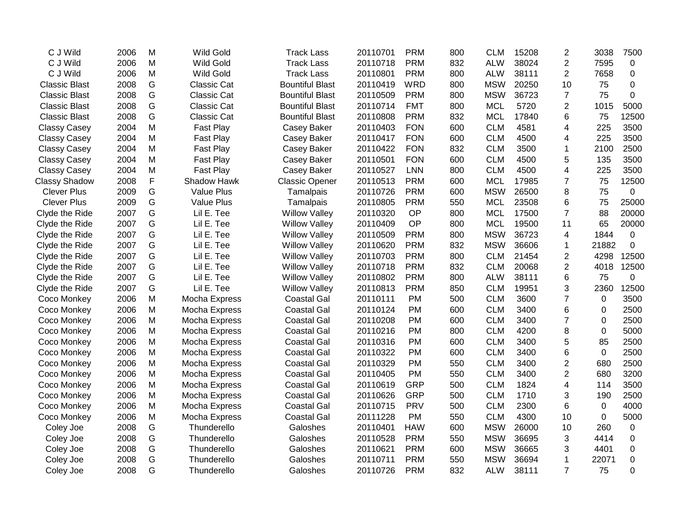| C J Wild             | 2006 | M | <b>Wild Gold</b>   | <b>Track Lass</b>      | 20110701 | <b>PRM</b> | 800 | <b>CLM</b> | 15208 | $\overline{2}$ | 3038        | 7500        |
|----------------------|------|---|--------------------|------------------------|----------|------------|-----|------------|-------|----------------|-------------|-------------|
| C J Wild             | 2006 | M | <b>Wild Gold</b>   | <b>Track Lass</b>      | 20110718 | <b>PRM</b> | 832 | <b>ALW</b> | 38024 | $\overline{2}$ | 7595        | 0           |
| C J Wild             | 2006 | M | <b>Wild Gold</b>   | <b>Track Lass</b>      | 20110801 | <b>PRM</b> | 800 | <b>ALW</b> | 38111 | $\overline{2}$ | 7658        | 0           |
| <b>Classic Blast</b> | 2008 | G | <b>Classic Cat</b> | <b>Bountiful Blast</b> | 20110419 | <b>WRD</b> | 800 | <b>MSW</b> | 20250 | 10             | 75          | $\mathbf 0$ |
| <b>Classic Blast</b> | 2008 | G | <b>Classic Cat</b> | <b>Bountiful Blast</b> | 20110509 | <b>PRM</b> | 800 | <b>MSW</b> | 36723 | $\overline{7}$ | 75          | $\mathbf 0$ |
| <b>Classic Blast</b> | 2008 | G | <b>Classic Cat</b> | <b>Bountiful Blast</b> | 20110714 | <b>FMT</b> | 800 | <b>MCL</b> | 5720  | $\overline{2}$ | 1015        | 5000        |
| <b>Classic Blast</b> | 2008 | G | Classic Cat        | <b>Bountiful Blast</b> | 20110808 | <b>PRM</b> | 832 | <b>MCL</b> | 17840 | 6              | 75          | 12500       |
| <b>Classy Casey</b>  | 2004 | M | Fast Play          | Casey Baker            | 20110403 | <b>FON</b> | 600 | <b>CLM</b> | 4581  | 4              | 225         | 3500        |
| <b>Classy Casey</b>  | 2004 | M | Fast Play          | Casey Baker            | 20110417 | <b>FON</b> | 600 | <b>CLM</b> | 4500  | 4              | 225         | 3500        |
| <b>Classy Casey</b>  | 2004 | M | Fast Play          | Casey Baker            | 20110422 | <b>FON</b> | 832 | <b>CLM</b> | 3500  | 1              | 2100        | 2500        |
| <b>Classy Casey</b>  | 2004 | M | Fast Play          | Casey Baker            | 20110501 | <b>FON</b> | 600 | <b>CLM</b> | 4500  | 5              | 135         | 3500        |
| <b>Classy Casey</b>  | 2004 | M | Fast Play          | Casey Baker            | 20110527 | <b>LNN</b> | 800 | <b>CLM</b> | 4500  | 4              | 225         | 3500        |
| <b>Classy Shadow</b> | 2008 | F | Shadow Hawk        | <b>Classic Opener</b>  | 20110513 | <b>PRM</b> | 600 | <b>MCL</b> | 17985 | 7              | 75          | 12500       |
| <b>Clever Plus</b>   | 2009 | G | <b>Value Plus</b>  | Tamalpais              | 20110726 | <b>PRM</b> | 600 | <b>MSW</b> | 26500 | 8              | 75          | 0           |
| <b>Clever Plus</b>   | 2009 | G | <b>Value Plus</b>  | Tamalpais              | 20110805 | <b>PRM</b> | 550 | <b>MCL</b> | 23508 | 6              | 75          | 25000       |
| Clyde the Ride       | 2007 | G | Lil E. Tee         | <b>Willow Valley</b>   | 20110320 | OP         | 800 | <b>MCL</b> | 17500 | $\overline{7}$ | 88          | 20000       |
| Clyde the Ride       | 2007 | G | Lil E. Tee         | <b>Willow Valley</b>   | 20110409 | OP         | 800 | <b>MCL</b> | 19500 | 11             | 65          | 20000       |
| Clyde the Ride       | 2007 | G | Lil E. Tee         | <b>Willow Valley</b>   | 20110509 | <b>PRM</b> | 800 | <b>MSW</b> | 36723 | 4              | 1844        | $\mathbf 0$ |
| Clyde the Ride       | 2007 | G | Lil E. Tee         | <b>Willow Valley</b>   | 20110620 | <b>PRM</b> | 832 | <b>MSW</b> | 36606 | 1              | 21882       | $\mathbf 0$ |
| Clyde the Ride       | 2007 | G | Lil E. Tee         | <b>Willow Valley</b>   | 20110703 | <b>PRM</b> | 800 | <b>CLM</b> | 21454 | $\overline{2}$ | 4298        | 12500       |
| Clyde the Ride       | 2007 | G | Lil E. Tee         | <b>Willow Valley</b>   | 20110718 | <b>PRM</b> | 832 | <b>CLM</b> | 20068 | $\overline{2}$ | 4018        | 12500       |
| Clyde the Ride       | 2007 | G | Lil E. Tee         | <b>Willow Valley</b>   | 20110802 | <b>PRM</b> | 800 | <b>ALW</b> | 38111 | 6              | 75          | 0           |
| Clyde the Ride       | 2007 | G | Lil E. Tee         | <b>Willow Valley</b>   | 20110813 | <b>PRM</b> | 850 | <b>CLM</b> | 19951 | 3              | 2360        | 12500       |
| Coco Monkey          | 2006 | M | Mocha Express      | <b>Coastal Gal</b>     | 20110111 | <b>PM</b>  | 500 | <b>CLM</b> | 3600  | $\overline{7}$ | $\mathbf 0$ | 3500        |
| Coco Monkey          | 2006 | M | Mocha Express      | <b>Coastal Gal</b>     | 20110124 | <b>PM</b>  | 600 | <b>CLM</b> | 3400  | 6              | 0           | 2500        |
| Coco Monkey          | 2006 | M | Mocha Express      | <b>Coastal Gal</b>     | 20110208 | <b>PM</b>  | 600 | <b>CLM</b> | 3400  | 7              | 0           | 2500        |
| Coco Monkey          | 2006 | M | Mocha Express      | <b>Coastal Gal</b>     | 20110216 | <b>PM</b>  | 800 | <b>CLM</b> | 4200  | 8              | 0           | 5000        |
| Coco Monkey          | 2006 | M | Mocha Express      | <b>Coastal Gal</b>     | 20110316 | <b>PM</b>  | 600 | <b>CLM</b> | 3400  | 5              | 85          | 2500        |
| Coco Monkey          | 2006 | M | Mocha Express      | <b>Coastal Gal</b>     | 20110322 | <b>PM</b>  | 600 | <b>CLM</b> | 3400  | 6              | $\mathbf 0$ | 2500        |
| Coco Monkey          | 2006 | M | Mocha Express      | <b>Coastal Gal</b>     | 20110329 | PM         | 550 | <b>CLM</b> | 3400  | $\overline{2}$ | 680         | 2500        |
| Coco Monkey          | 2006 | M | Mocha Express      | <b>Coastal Gal</b>     | 20110405 | <b>PM</b>  | 550 | <b>CLM</b> | 3400  | $\overline{2}$ | 680         | 3200        |
| Coco Monkey          | 2006 | M | Mocha Express      | <b>Coastal Gal</b>     | 20110619 | <b>GRP</b> | 500 | <b>CLM</b> | 1824  | 4              | 114         | 3500        |
| Coco Monkey          | 2006 | M | Mocha Express      | <b>Coastal Gal</b>     | 20110626 | <b>GRP</b> | 500 | <b>CLM</b> | 1710  | 3              | 190         | 2500        |
| Coco Monkey          | 2006 | M | Mocha Express      | <b>Coastal Gal</b>     | 20110715 | <b>PRV</b> | 500 | <b>CLM</b> | 2300  | 6              | $\mathbf 0$ | 4000        |
| Coco Monkey          | 2006 | M | Mocha Express      | <b>Coastal Gal</b>     | 20111228 | PM         | 550 | <b>CLM</b> | 4300  | 10             | $\Omega$    | 5000        |
| Coley Joe            | 2008 | G | Thunderello        | Galoshes               | 20110401 | <b>HAW</b> | 600 | <b>MSW</b> | 26000 | 10             | 260         | $\pmb{0}$   |
| Coley Joe            | 2008 | G | Thunderello        | Galoshes               | 20110528 | <b>PRM</b> | 550 | <b>MSW</b> | 36695 | 3              | 4414        | 0           |
| Coley Joe            | 2008 | G | Thunderello        | Galoshes               | 20110621 | <b>PRM</b> | 600 | <b>MSW</b> | 36665 | 3              | 4401        | 0           |
| Coley Joe            | 2008 | G | Thunderello        | Galoshes               | 20110711 | <b>PRM</b> | 550 | <b>MSW</b> | 36694 | 1              | 22071       | 0           |
| Coley Joe            | 2008 | G | Thunderello        | Galoshes               | 20110726 | <b>PRM</b> | 832 | <b>ALW</b> | 38111 | $\overline{7}$ | 75          | 0           |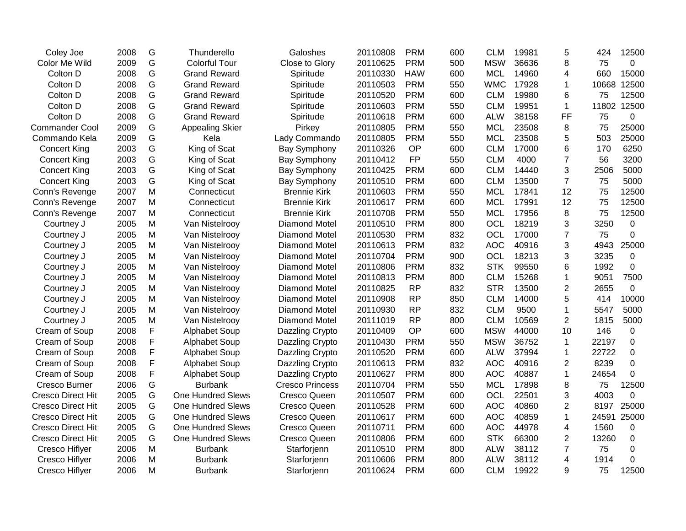| Coley Joe                | 2008 | G | Thunderello              | Galoshes               | 20110808 | <b>PRM</b> | 600 | <b>CLM</b> | 19981 | 5              | 424   | 12500          |
|--------------------------|------|---|--------------------------|------------------------|----------|------------|-----|------------|-------|----------------|-------|----------------|
| Color Me Wild            | 2009 | G | <b>Colorful Tour</b>     | Close to Glory         | 20110625 | <b>PRM</b> | 500 | <b>MSW</b> | 36636 | 8              | 75    | $\overline{0}$ |
| Colton D                 | 2008 | G | <b>Grand Reward</b>      | Spiritude              | 20110330 | <b>HAW</b> | 600 | <b>MCL</b> | 14960 | 4              | 660   | 15000          |
| Colton D                 | 2008 | G | <b>Grand Reward</b>      | Spiritude              | 20110503 | <b>PRM</b> | 550 | <b>WMC</b> | 17928 | 1              | 10668 | 12500          |
| Colton D                 | 2008 | G | <b>Grand Reward</b>      | Spiritude              | 20110520 | <b>PRM</b> | 600 | <b>CLM</b> | 19980 | 6              | 75    | 12500          |
| Colton D                 | 2008 | G | <b>Grand Reward</b>      | Spiritude              | 20110603 | <b>PRM</b> | 550 | <b>CLM</b> | 19951 | $\mathbf{1}$   | 11802 | 12500          |
| Colton D                 | 2008 | G | <b>Grand Reward</b>      | Spiritude              | 20110618 | <b>PRM</b> | 600 | <b>ALW</b> | 38158 | FF             | 75    | 0              |
| <b>Commander Cool</b>    | 2009 | G | <b>Appealing Skier</b>   | Pirkey                 | 20110805 | <b>PRM</b> | 550 | <b>MCL</b> | 23508 | 8              | 75    | 25000          |
| Commando Kela            | 2009 | G | Kela                     | Lady Commando          | 20110805 | <b>PRM</b> | 550 | <b>MCL</b> | 23508 | 5              | 503   | 25000          |
| <b>Concert King</b>      | 2003 | G | King of Scat             | <b>Bay Symphony</b>    | 20110326 | <b>OP</b>  | 600 | <b>CLM</b> | 17000 | 6              | 170   | 6250           |
| <b>Concert King</b>      | 2003 | G | King of Scat             | Bay Symphony           | 20110412 | <b>FP</b>  | 550 | <b>CLM</b> | 4000  | $\overline{7}$ | 56    | 3200           |
| <b>Concert King</b>      | 2003 | G | King of Scat             | Bay Symphony           | 20110425 | <b>PRM</b> | 600 | <b>CLM</b> | 14440 | 3              | 2506  | 5000           |
| <b>Concert King</b>      | 2003 | G | King of Scat             | <b>Bay Symphony</b>    | 20110510 | <b>PRM</b> | 600 | <b>CLM</b> | 13500 | $\overline{7}$ | 75    | 5000           |
| Conn's Revenge           | 2007 | M | Connecticut              | <b>Brennie Kirk</b>    | 20110603 | <b>PRM</b> | 550 | <b>MCL</b> | 17841 | 12             | 75    | 12500          |
| Conn's Revenge           | 2007 | M | Connecticut              | <b>Brennie Kirk</b>    | 20110617 | <b>PRM</b> | 600 | <b>MCL</b> | 17991 | 12             | 75    | 12500          |
| Conn's Revenge           | 2007 | M | Connecticut              | <b>Brennie Kirk</b>    | 20110708 | <b>PRM</b> | 550 | <b>MCL</b> | 17956 | 8              | 75    | 12500          |
| Courtney J               | 2005 | M | Van Nistelrooy           | Diamond Motel          | 20110510 | <b>PRM</b> | 800 | OCL        | 18219 | 3              | 3250  | $\mathbf 0$    |
| Courtney J               | 2005 | M | Van Nistelrooy           | <b>Diamond Motel</b>   | 20110530 | <b>PRM</b> | 832 | OCL        | 17000 | $\overline{7}$ | 75    | 0              |
| Courtney J               | 2005 | M | Van Nistelrooy           | Diamond Motel          | 20110613 | <b>PRM</b> | 832 | <b>AOC</b> | 40916 | 3              | 4943  | 25000          |
| Courtney J               | 2005 | M | Van Nistelrooy           | <b>Diamond Motel</b>   | 20110704 | <b>PRM</b> | 900 | OCL        | 18213 | 3              | 3235  | $\mathbf 0$    |
| Courtney J               | 2005 | M | Van Nistelrooy           | Diamond Motel          | 20110806 | <b>PRM</b> | 832 | <b>STK</b> | 99550 | 6              | 1992  | 0              |
| Courtney J               | 2005 | M | Van Nistelrooy           | <b>Diamond Motel</b>   | 20110813 | <b>PRM</b> | 800 | <b>CLM</b> | 15268 | 1              | 9051  | 7500           |
| Courtney J               | 2005 | M | Van Nistelrooy           | Diamond Motel          | 20110825 | <b>RP</b>  | 832 | <b>STR</b> | 13500 | $\overline{2}$ | 2655  | 0              |
| Courtney J               | 2005 | M | Van Nistelrooy           | <b>Diamond Motel</b>   | 20110908 | <b>RP</b>  | 850 | <b>CLM</b> | 14000 | 5              | 414   | 10000          |
| Courtney J               | 2005 | M | Van Nistelrooy           | <b>Diamond Motel</b>   | 20110930 | <b>RP</b>  | 832 | <b>CLM</b> | 9500  | $\mathbf{1}$   | 5547  | 5000           |
| Courtney J               | 2005 | M | Van Nistelrooy           | <b>Diamond Motel</b>   | 20111019 | <b>RP</b>  | 800 | <b>CLM</b> | 10569 | $\overline{2}$ | 1815  | 5000           |
| Cream of Soup            | 2008 | F | <b>Alphabet Soup</b>     | Dazzling Crypto        | 20110409 | <b>OP</b>  | 600 | <b>MSW</b> | 44000 | 10             | 146   | $\mathbf 0$    |
| Cream of Soup            | 2008 | F | <b>Alphabet Soup</b>     | Dazzling Crypto        | 20110430 | <b>PRM</b> | 550 | <b>MSW</b> | 36752 | 1              | 22197 | $\mathbf 0$    |
| Cream of Soup            | 2008 | F | Alphabet Soup            | Dazzling Crypto        | 20110520 | <b>PRM</b> | 600 | <b>ALW</b> | 37994 | 1              | 22722 | 0              |
| Cream of Soup            | 2008 | F | <b>Alphabet Soup</b>     | Dazzling Crypto        | 20110613 | <b>PRM</b> | 832 | <b>AOC</b> | 40916 | $\overline{2}$ | 8239  | 0              |
| Cream of Soup            | 2008 | F | <b>Alphabet Soup</b>     | Dazzling Crypto        | 20110627 | <b>PRM</b> | 800 | <b>AOC</b> | 40887 | $\mathbf 1$    | 24654 | 0              |
| Cresco Burner            | 2006 | G | <b>Burbank</b>           | <b>Cresco Princess</b> | 20110704 | <b>PRM</b> | 550 | <b>MCL</b> | 17898 | 8              | 75    | 12500          |
| <b>Cresco Direct Hit</b> | 2005 | G | <b>One Hundred Slews</b> | Cresco Queen           | 20110507 | <b>PRM</b> | 600 | OCL        | 22501 | 3              | 4003  | $\Omega$       |
| <b>Cresco Direct Hit</b> | 2005 | G | <b>One Hundred Slews</b> | Cresco Queen           | 20110528 | <b>PRM</b> | 600 | <b>AOC</b> | 40860 | $\overline{c}$ | 8197  | 25000          |
| <b>Cresco Direct Hit</b> | 2005 | G | <b>One Hundred Slews</b> | Cresco Queen           | 20110617 | <b>PRM</b> | 600 | <b>AOC</b> | 40859 | 1              | 24591 | 25000          |
| <b>Cresco Direct Hit</b> | 2005 | G | <b>One Hundred Slews</b> | Cresco Queen           | 20110711 | <b>PRM</b> | 600 | <b>AOC</b> | 44978 | 4              | 1560  | 0              |
| <b>Cresco Direct Hit</b> | 2005 | G | <b>One Hundred Slews</b> | Cresco Queen           | 20110806 | <b>PRM</b> | 600 | <b>STK</b> | 66300 | $\overline{2}$ | 13260 | 0              |
| Cresco Hiflyer           | 2006 | M | <b>Burbank</b>           | Starforjenn            | 20110510 | <b>PRM</b> | 800 | <b>ALW</b> | 38112 | 7              | 75    | 0              |
| Cresco Hiflyer           | 2006 | M | <b>Burbank</b>           | Starforjenn            | 20110606 | <b>PRM</b> | 800 | <b>ALW</b> | 38112 | 4              | 1914  | 0              |
| Cresco Hiflyer           | 2006 | M | <b>Burbank</b>           | Starforjenn            | 20110624 | <b>PRM</b> | 600 | <b>CLM</b> | 19922 | 9              | 75    | 12500          |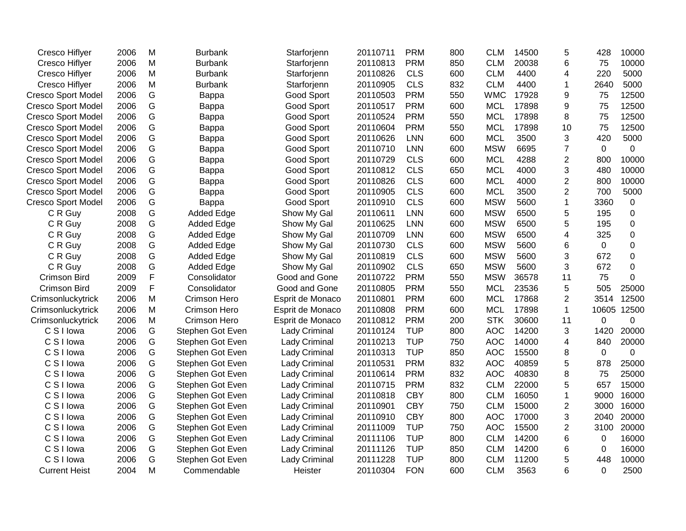| <b>Cresco Hiflyer</b>     | 2006 | M | Burbank           | Starforjenn          | 20110711 | <b>PRM</b> | 800 | <b>CLM</b> | 14500 | 5              | 428         | 10000       |
|---------------------------|------|---|-------------------|----------------------|----------|------------|-----|------------|-------|----------------|-------------|-------------|
| <b>Cresco Hiflyer</b>     | 2006 | M | <b>Burbank</b>    | Starforjenn          | 20110813 | <b>PRM</b> | 850 | <b>CLM</b> | 20038 | 6              | 75          | 10000       |
| <b>Cresco Hiflyer</b>     | 2006 | M | <b>Burbank</b>    | Starforjenn          | 20110826 | <b>CLS</b> | 600 | <b>CLM</b> | 4400  | 4              | 220         | 5000        |
| Cresco Hiflyer            | 2006 | M | <b>Burbank</b>    | Starforjenn          | 20110905 | <b>CLS</b> | 832 | <b>CLM</b> | 4400  | 1              | 2640        | 5000        |
| <b>Cresco Sport Model</b> | 2006 | G | Bappa             | Good Sport           | 20110503 | <b>PRM</b> | 550 | <b>WMC</b> | 17928 | 9              | 75          | 12500       |
| <b>Cresco Sport Model</b> | 2006 | G | Bappa             | Good Sport           | 20110517 | <b>PRM</b> | 600 | <b>MCL</b> | 17898 | 9              | 75          | 12500       |
| <b>Cresco Sport Model</b> | 2006 | G | Bappa             | Good Sport           | 20110524 | <b>PRM</b> | 550 | <b>MCL</b> | 17898 | 8              | 75          | 12500       |
| <b>Cresco Sport Model</b> | 2006 | G | Bappa             | Good Sport           | 20110604 | <b>PRM</b> | 550 | <b>MCL</b> | 17898 | 10             | 75          | 12500       |
| <b>Cresco Sport Model</b> | 2006 | G | Bappa             | Good Sport           | 20110626 | <b>LNN</b> | 600 | <b>MCL</b> | 3500  | 3              | 420         | 5000        |
| <b>Cresco Sport Model</b> | 2006 | G | Bappa             | Good Sport           | 20110710 | <b>LNN</b> | 600 | <b>MSW</b> | 6695  | $\overline{7}$ | $\mathbf 0$ | 0           |
| <b>Cresco Sport Model</b> | 2006 | G | <b>Bappa</b>      | Good Sport           | 20110729 | <b>CLS</b> | 600 | <b>MCL</b> | 4288  | $\overline{2}$ | 800         | 10000       |
| <b>Cresco Sport Model</b> | 2006 | G | Bappa             | Good Sport           | 20110812 | <b>CLS</b> | 650 | <b>MCL</b> | 4000  | 3              | 480         | 10000       |
| <b>Cresco Sport Model</b> | 2006 | G | Bappa             | Good Sport           | 20110826 | <b>CLS</b> | 600 | <b>MCL</b> | 4000  | $\overline{2}$ | 800         | 10000       |
| <b>Cresco Sport Model</b> | 2006 | G | <b>Bappa</b>      | <b>Good Sport</b>    | 20110905 | <b>CLS</b> | 600 | <b>MCL</b> | 3500  | $\overline{2}$ | 700         | 5000        |
| <b>Cresco Sport Model</b> | 2006 | G | <b>Bappa</b>      | Good Sport           | 20110910 | <b>CLS</b> | 600 | <b>MSW</b> | 5600  | 1              | 3360        | 0           |
| C R Guy                   | 2008 | G | Added Edge        | Show My Gal          | 20110611 | <b>LNN</b> | 600 | <b>MSW</b> | 6500  | 5              | 195         | 0           |
| C R Guy                   | 2008 | G | <b>Added Edge</b> | Show My Gal          | 20110625 | LNN        | 600 | <b>MSW</b> | 6500  | 5              | 195         | 0           |
| C R Guy                   | 2008 | G | <b>Added Edge</b> | Show My Gal          | 20110709 | <b>LNN</b> | 600 | <b>MSW</b> | 6500  | 4              | 325         | 0           |
| C R Guy                   | 2008 | G | <b>Added Edge</b> | Show My Gal          | 20110730 | <b>CLS</b> | 600 | <b>MSW</b> | 5600  | 6              | 0           | 0           |
| C R Guy                   | 2008 | G | <b>Added Edge</b> | Show My Gal          | 20110819 | <b>CLS</b> | 600 | <b>MSW</b> | 5600  | 3              | 672         | $\mathbf 0$ |
| C R Guy                   | 2008 | G | Added Edge        | Show My Gal          | 20110902 | <b>CLS</b> | 650 | <b>MSW</b> | 5600  | 3              | 672         | $\mathbf 0$ |
| <b>Crimson Bird</b>       | 2009 | F | Consolidator      | Good and Gone        | 20110722 | <b>PRM</b> | 550 | <b>MSW</b> | 36578 | 11             | 75          | 0           |
| <b>Crimson Bird</b>       | 2009 | F | Consolidator      | Good and Gone        | 20110805 | <b>PRM</b> | 550 | <b>MCL</b> | 23536 | 5              | 505         | 25000       |
| Crimsonluckytrick         | 2006 | M | Crimson Hero      | Esprit de Monaco     | 20110801 | <b>PRM</b> | 600 | <b>MCL</b> | 17868 | $\overline{2}$ | 3514        | 12500       |
| Crimsonluckytrick         | 2006 | M | Crimson Hero      | Esprit de Monaco     | 20110808 | <b>PRM</b> | 600 | <b>MCL</b> | 17898 | $\mathbf{1}$   | 10605       | 12500       |
| Crimsonluckytrick         | 2006 | M | Crimson Hero      | Esprit de Monaco     | 20110812 | <b>PRM</b> | 200 | <b>STK</b> | 30600 | 11             | 0           | 0           |
| C S I lowa                | 2006 | G | Stephen Got Even  | Lady Criminal        | 20110124 | <b>TUP</b> | 800 | <b>AOC</b> | 14200 | 3              | 1420        | 20000       |
| C S I lowa                | 2006 | G | Stephen Got Even  | Lady Criminal        | 20110213 | <b>TUP</b> | 750 | <b>AOC</b> | 14000 | 4              | 840         | 20000       |
| C S I lowa                | 2006 | G | Stephen Got Even  | Lady Criminal        | 20110313 | <b>TUP</b> | 850 | <b>AOC</b> | 15500 | 8              | 0           | 0           |
| C S I lowa                | 2006 | G | Stephen Got Even  | Lady Criminal        | 20110531 | <b>PRM</b> | 832 | <b>AOC</b> | 40859 | 5              | 878         | 25000       |
| C S I lowa                | 2006 | G | Stephen Got Even  | Lady Criminal        | 20110614 | <b>PRM</b> | 832 | <b>AOC</b> | 40830 | 8              | 75          | 25000       |
| C S I lowa                | 2006 | G | Stephen Got Even  | <b>Lady Criminal</b> | 20110715 | <b>PRM</b> | 832 | <b>CLM</b> | 22000 | 5              | 657         | 15000       |
| C S I lowa                | 2006 | G | Stephen Got Even  | <b>Lady Criminal</b> | 20110818 | <b>CBY</b> | 800 | <b>CLM</b> | 16050 | $\mathbf{1}$   | 9000        | 16000       |
| C S I lowa                | 2006 | G | Stephen Got Even  | Lady Criminal        | 20110901 | <b>CBY</b> | 750 | <b>CLM</b> | 15000 | $\overline{2}$ | 3000        | 16000       |
| C S I lowa                | 2006 | G | Stephen Got Even  | Lady Criminal        | 20110910 | <b>CBY</b> | 800 | <b>AOC</b> | 17000 | 3              | 2040        | 20000       |
| C S I lowa                | 2006 | G | Stephen Got Even  | Lady Criminal        | 20111009 | <b>TUP</b> | 750 | <b>AOC</b> | 15500 | $\overline{2}$ | 3100        | 20000       |
| C S I lowa                | 2006 | G | Stephen Got Even  | <b>Lady Criminal</b> | 20111106 | <b>TUP</b> | 800 | <b>CLM</b> | 14200 | 6              | 0           | 16000       |
| C S I lowa                | 2006 | G | Stephen Got Even  | <b>Lady Criminal</b> | 20111126 | <b>TUP</b> | 850 | <b>CLM</b> | 14200 | 6              | $\Omega$    | 16000       |
| C S I lowa                | 2006 | G | Stephen Got Even  | Lady Criminal        | 20111228 | <b>TUP</b> | 800 | <b>CLM</b> | 11200 | 5              | 448         | 10000       |
| <b>Current Heist</b>      | 2004 | M | Commendable       | Heister              | 20110304 | <b>FON</b> | 600 | <b>CLM</b> | 3563  | 6              | $\mathbf 0$ | 2500        |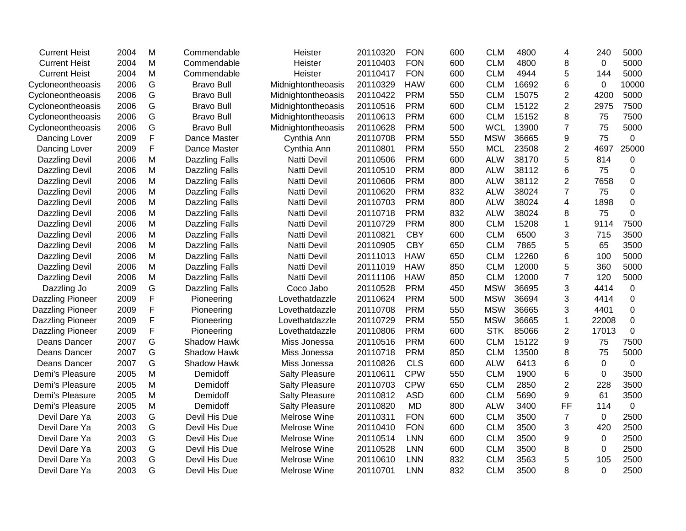| 2004<br>M<br><b>FON</b><br><b>CLM</b><br>5000<br><b>Current Heist</b><br>Commendable<br>Heister<br>20110403<br>600<br>4800<br>8<br>0<br>2004<br>M<br><b>FON</b><br><b>CLM</b><br>4944<br>5000<br><b>Current Heist</b><br>Commendable<br>Heister<br>20110417<br>600<br>5<br>144<br>G<br>2006<br><b>CLM</b><br>16692<br>10000<br><b>Bravo Bull</b><br>Midnightontheoasis<br>20110329<br><b>HAW</b><br>600<br>6<br>0<br>Cycloneontheoasis<br>G<br>2006<br><b>Bravo Bull</b><br><b>PRM</b><br><b>CLM</b><br>15075<br>$\overline{2}$<br>4200<br>5000<br>Midnightontheoasis<br>20110422<br>550<br>Cycloneontheoasis<br>G<br>2006<br><b>PRM</b><br>600<br>15122<br>2<br>7500<br>Cycloneontheoasis<br><b>Bravo Bull</b><br>Midnightontheoasis<br>20110516<br><b>CLM</b><br>2975<br>G<br>2006<br><b>Bravo Bull</b><br>20110613<br><b>PRM</b><br>600<br><b>CLM</b><br>15152<br>8<br>7500<br>Cycloneontheoasis<br>Midnightontheoasis<br>75<br>G<br>2006<br><b>Bravo Bull</b><br>20110628<br><b>PRM</b><br>500<br><b>WCL</b><br>13900<br>$\overline{7}$<br>75<br>5000<br>Cycloneontheoasis<br>Midnightontheoasis<br>F<br>75<br>2009<br>Dance Master<br>20110708<br><b>PRM</b><br>550<br><b>MSW</b><br>36665<br>9<br>$\mathbf 0$<br>Dancing Lover<br>Cynthia Ann<br>F<br><b>PRM</b><br>$\overline{2}$<br>25000<br>2009<br>20110801<br>550<br><b>MCL</b><br>23508<br>4697<br>Dancing Lover<br>Dance Master<br>Cynthia Ann<br>5<br>2006<br>M<br><b>PRM</b><br>600<br><b>ALW</b><br>38170<br>814<br>0<br><b>Dazzling Devil</b><br><b>Dazzling Falls</b><br><b>Natti Devil</b><br>20110506<br>2006<br>M<br>Natti Devil<br>20110510<br><b>PRM</b><br>800<br><b>ALW</b><br>38112<br>6<br>75<br>0<br>Dazzling Devil<br><b>Dazzling Falls</b><br>M<br>$\overline{2}$<br>2006<br><b>PRM</b><br>800<br><b>ALW</b><br>38112<br>7658<br>0<br>Dazzling Devil<br><b>Dazzling Falls</b><br>Natti Devil<br>20110606<br>M<br><b>PRM</b><br>832<br>38024<br>2006<br>20110620<br><b>ALW</b><br>$\overline{7}$<br>75<br>$\mathbf 0$<br>Dazzling Devil<br><b>Dazzling Falls</b><br><b>Natti Devil</b><br>M<br>38024<br>$\mathbf 0$<br>2006<br><b>Dazzling Falls</b><br>20110703<br><b>PRM</b><br>800<br><b>ALW</b><br>4<br>1898<br>Dazzling Devil<br><b>Natti Devil</b><br>2006<br>M<br>20110718<br><b>PRM</b><br>832<br><b>ALW</b><br>38024<br>75<br>$\mathbf 0$<br><b>Dazzling Devil</b><br><b>Dazzling Falls</b><br>Natti Devil<br>8<br>M<br><b>CLM</b><br>15208<br>$\mathbf{1}$<br>9114<br>7500<br><b>Dazzling Devil</b><br>2006<br><b>Dazzling Falls</b><br>Natti Devil<br>20110729<br><b>PRM</b><br>800<br>2006<br>M<br>20110821<br><b>CBY</b><br><b>CLM</b><br>6500<br>3<br>715<br>3500<br><b>Dazzling Falls</b><br><b>Natti Devil</b><br>600<br>Dazzling Devil<br>M<br>Natti Devil<br><b>CBY</b><br><b>CLM</b><br>5<br>65<br>3500<br>Dazzling Devil<br>2006<br><b>Dazzling Falls</b><br>20110905<br>650<br>7865<br>2006<br>M<br>650<br><b>CLM</b><br>12260<br>5000<br><b>Dazzling Falls</b><br><b>Natti Devil</b><br>20111013<br><b>HAW</b><br>6<br>100<br><b>Dazzling Devil</b><br>M<br><b>CLM</b><br>12000<br>5<br>360<br>5000<br>Dazzling Devil<br>2006<br><b>Dazzling Falls</b><br><b>Natti Devil</b><br>20111019<br><b>HAW</b><br>850<br>M<br>2006<br><b>HAW</b><br>850<br><b>CLM</b><br>12000<br>120<br>5000<br>Dazzling Devil<br><b>Dazzling Falls</b><br>Natti Devil<br>20111106<br>7<br>${\mathsf G}$<br>2009<br><b>PRM</b><br><b>MSW</b><br>36695<br>3<br>4414<br>$\mathbf 0$<br>Dazzling Jo<br><b>Dazzling Falls</b><br>Coco Jabo<br>20110528<br>450<br>F<br>2009<br>20110624<br><b>PRM</b><br>500<br><b>MSW</b><br>36694<br>3<br>4414<br>$\mathbf 0$<br>Dazzling Pioneer<br>Pioneering<br>Lovethatdazzle<br>$\mathsf F$<br><b>PRM</b><br>2009<br>550<br><b>MSW</b><br>36665<br>3<br>$\mathbf 0$<br>Dazzling Pioneer<br>Pioneering<br>Lovethatdazzle<br>20110708<br>4401<br>F<br><b>PRM</b><br>2009<br>20110729<br>550<br><b>MSW</b><br>36665<br>22008<br>$\mathbf 0$<br><b>Dazzling Pioneer</b><br>Pioneering<br>1<br>Lovethatdazzle<br>F<br><b>STK</b><br>$\overline{2}$<br>$\mathbf 0$<br>2009<br>20110806<br><b>PRM</b><br>85066<br>17013<br><b>Dazzling Pioneer</b><br>Pioneering<br>Lovethatdazzle<br>600<br>G<br>2007<br>20110516<br><b>PRM</b><br>600<br><b>CLM</b><br>15122<br>9<br>7500<br>Deans Dancer<br>Shadow Hawk<br>Miss Jonessa<br>75<br>G<br>75<br>5000<br>2007<br><b>Shadow Hawk</b><br><b>PRM</b><br>850<br><b>CLM</b><br>13500<br>8<br>Deans Dancer<br>Miss Jonessa<br>20110718<br>G<br>2007<br><b>CLS</b><br>Deans Dancer<br>Shadow Hawk<br>Miss Jonessa<br>20110826<br>600<br><b>ALW</b><br>6413<br>6<br>$\mathbf 0$<br>$\mathbf 0$<br>M<br><b>CPW</b><br><b>CLM</b><br>6<br>3500<br>Demi's Pleasure<br>2005<br>Demidoff<br><b>Salty Pleasure</b><br>20110611<br>550<br>1900<br>0<br>Demi's Pleasure<br>M<br><b>CPW</b><br><b>CLM</b><br>$\overline{2}$<br>228<br>3500<br>2005<br>Demidoff<br><b>Salty Pleasure</b><br>20110703<br>650<br>2850<br><b>ASD</b><br>Demi's Pleasure<br>M<br><b>CLM</b><br>9<br>61<br>3500<br>2005<br>Demidoff<br><b>Salty Pleasure</b><br>20110812<br>600<br>5690<br>FF<br>Demi's Pleasure<br>2005<br>M<br>Demidoff<br><b>MD</b><br>800<br><b>ALW</b><br>3400<br>$\mathbf 0$<br><b>Salty Pleasure</b><br>20110820<br>114<br>2003<br>G<br>20110311<br><b>FON</b><br><b>CLM</b><br>3500<br>2500<br>Devil Dare Ya<br>Devil His Due<br>Melrose Wine<br>600<br>$\overline{7}$<br>0<br>G<br><b>CLM</b><br>420<br>2500<br>Devil Dare Ya<br>2003<br>Devil His Due<br>Melrose Wine<br>20110410<br><b>FON</b><br>600<br>3500<br>3<br>G<br>2003<br>Devil His Due<br>LNN<br>600<br><b>CLM</b><br>3500<br>2500<br>Devil Dare Ya<br>Melrose Wine<br>20110514<br>9<br>0<br>G<br>2003<br>Devil His Due<br>8<br>2500<br>Devil Dare Ya<br>Melrose Wine<br>20110528<br><b>LNN</b><br>600<br><b>CLM</b><br>3500<br>0<br>G<br>2003<br>Devil His Due<br><b>LNN</b><br>832<br><b>CLM</b><br>3563<br>5<br>105<br>2500<br>Devil Dare Ya<br>Melrose Wine<br>20110610<br>G<br>8<br>2003<br>Devil His Due<br><b>LNN</b><br>832<br><b>CLM</b><br>3500<br>0<br>2500<br>Devil Dare Ya<br>Melrose Wine<br>20110701 | <b>Current Heist</b> | 2004 | M | Commendable | Heister | 20110320 | <b>FON</b> | 600 | <b>CLM</b> | 4800 | 4 | 240 | 5000 |
|------------------------------------------------------------------------------------------------------------------------------------------------------------------------------------------------------------------------------------------------------------------------------------------------------------------------------------------------------------------------------------------------------------------------------------------------------------------------------------------------------------------------------------------------------------------------------------------------------------------------------------------------------------------------------------------------------------------------------------------------------------------------------------------------------------------------------------------------------------------------------------------------------------------------------------------------------------------------------------------------------------------------------------------------------------------------------------------------------------------------------------------------------------------------------------------------------------------------------------------------------------------------------------------------------------------------------------------------------------------------------------------------------------------------------------------------------------------------------------------------------------------------------------------------------------------------------------------------------------------------------------------------------------------------------------------------------------------------------------------------------------------------------------------------------------------------------------------------------------------------------------------------------------------------------------------------------------------------------------------------------------------------------------------------------------------------------------------------------------------------------------------------------------------------------------------------------------------------------------------------------------------------------------------------------------------------------------------------------------------------------------------------------------------------------------------------------------------------------------------------------------------------------------------------------------------------------------------------------------------------------------------------------------------------------------------------------------------------------------------------------------------------------------------------------------------------------------------------------------------------------------------------------------------------------------------------------------------------------------------------------------------------------------------------------------------------------------------------------------------------------------------------------------------------------------------------------------------------------------------------------------------------------------------------------------------------------------------------------------------------------------------------------------------------------------------------------------------------------------------------------------------------------------------------------------------------------------------------------------------------------------------------------------------------------------------------------------------------------------------------------------------------------------------------------------------------------------------------------------------------------------------------------------------------------------------------------------------------------------------------------------------------------------------------------------------------------------------------------------------------------------------------------------------------------------------------------------------------------------------------------------------------------------------------------------------------------------------------------------------------------------------------------------------------------------------------------------------------------------------------------------------------------------------------------------------------------------------------------------------------------------------------------------------------------------------------------------------------------------------------------------------------------------------------------------------------------------------------------------------------------------------------------------------------------------------------------------------------------------------------------------------------------------------------------------------------------------------------------------------------------------------------------------------------------------------------------------------------------------------------------------------------------------------------------------------------------------------------------------------------------------------------------------------------------------------------------------------------------------------------------------------------------------------------------------------------------------------------------------------------------------------------------------------------------------------------------------------------------------------------------------------------------------------------------------------------------------------------------------------------------------------------------------------------------------------------------------------------------------------------------------------------------------------------------------------------------------------------------------------------|----------------------|------|---|-------------|---------|----------|------------|-----|------------|------|---|-----|------|
|                                                                                                                                                                                                                                                                                                                                                                                                                                                                                                                                                                                                                                                                                                                                                                                                                                                                                                                                                                                                                                                                                                                                                                                                                                                                                                                                                                                                                                                                                                                                                                                                                                                                                                                                                                                                                                                                                                                                                                                                                                                                                                                                                                                                                                                                                                                                                                                                                                                                                                                                                                                                                                                                                                                                                                                                                                                                                                                                                                                                                                                                                                                                                                                                                                                                                                                                                                                                                                                                                                                                                                                                                                                                                                                                                                                                                                                                                                                                                                                                                                                                                                                                                                                                                                                                                                                                                                                                                                                                                                                                                                                                                                                                                                                                                                                                                                                                                                                                                                                                                                                                                                                                                                                                                                                                                                                                                                                                                                                                                                                                                                                                                                                                                                                                                                                                                                                                                                                                                                                                                                                                                                                        |                      |      |   |             |         |          |            |     |            |      |   |     |      |
|                                                                                                                                                                                                                                                                                                                                                                                                                                                                                                                                                                                                                                                                                                                                                                                                                                                                                                                                                                                                                                                                                                                                                                                                                                                                                                                                                                                                                                                                                                                                                                                                                                                                                                                                                                                                                                                                                                                                                                                                                                                                                                                                                                                                                                                                                                                                                                                                                                                                                                                                                                                                                                                                                                                                                                                                                                                                                                                                                                                                                                                                                                                                                                                                                                                                                                                                                                                                                                                                                                                                                                                                                                                                                                                                                                                                                                                                                                                                                                                                                                                                                                                                                                                                                                                                                                                                                                                                                                                                                                                                                                                                                                                                                                                                                                                                                                                                                                                                                                                                                                                                                                                                                                                                                                                                                                                                                                                                                                                                                                                                                                                                                                                                                                                                                                                                                                                                                                                                                                                                                                                                                                                        |                      |      |   |             |         |          |            |     |            |      |   |     |      |
|                                                                                                                                                                                                                                                                                                                                                                                                                                                                                                                                                                                                                                                                                                                                                                                                                                                                                                                                                                                                                                                                                                                                                                                                                                                                                                                                                                                                                                                                                                                                                                                                                                                                                                                                                                                                                                                                                                                                                                                                                                                                                                                                                                                                                                                                                                                                                                                                                                                                                                                                                                                                                                                                                                                                                                                                                                                                                                                                                                                                                                                                                                                                                                                                                                                                                                                                                                                                                                                                                                                                                                                                                                                                                                                                                                                                                                                                                                                                                                                                                                                                                                                                                                                                                                                                                                                                                                                                                                                                                                                                                                                                                                                                                                                                                                                                                                                                                                                                                                                                                                                                                                                                                                                                                                                                                                                                                                                                                                                                                                                                                                                                                                                                                                                                                                                                                                                                                                                                                                                                                                                                                                                        |                      |      |   |             |         |          |            |     |            |      |   |     |      |
|                                                                                                                                                                                                                                                                                                                                                                                                                                                                                                                                                                                                                                                                                                                                                                                                                                                                                                                                                                                                                                                                                                                                                                                                                                                                                                                                                                                                                                                                                                                                                                                                                                                                                                                                                                                                                                                                                                                                                                                                                                                                                                                                                                                                                                                                                                                                                                                                                                                                                                                                                                                                                                                                                                                                                                                                                                                                                                                                                                                                                                                                                                                                                                                                                                                                                                                                                                                                                                                                                                                                                                                                                                                                                                                                                                                                                                                                                                                                                                                                                                                                                                                                                                                                                                                                                                                                                                                                                                                                                                                                                                                                                                                                                                                                                                                                                                                                                                                                                                                                                                                                                                                                                                                                                                                                                                                                                                                                                                                                                                                                                                                                                                                                                                                                                                                                                                                                                                                                                                                                                                                                                                                        |                      |      |   |             |         |          |            |     |            |      |   |     |      |
|                                                                                                                                                                                                                                                                                                                                                                                                                                                                                                                                                                                                                                                                                                                                                                                                                                                                                                                                                                                                                                                                                                                                                                                                                                                                                                                                                                                                                                                                                                                                                                                                                                                                                                                                                                                                                                                                                                                                                                                                                                                                                                                                                                                                                                                                                                                                                                                                                                                                                                                                                                                                                                                                                                                                                                                                                                                                                                                                                                                                                                                                                                                                                                                                                                                                                                                                                                                                                                                                                                                                                                                                                                                                                                                                                                                                                                                                                                                                                                                                                                                                                                                                                                                                                                                                                                                                                                                                                                                                                                                                                                                                                                                                                                                                                                                                                                                                                                                                                                                                                                                                                                                                                                                                                                                                                                                                                                                                                                                                                                                                                                                                                                                                                                                                                                                                                                                                                                                                                                                                                                                                                                                        |                      |      |   |             |         |          |            |     |            |      |   |     |      |
|                                                                                                                                                                                                                                                                                                                                                                                                                                                                                                                                                                                                                                                                                                                                                                                                                                                                                                                                                                                                                                                                                                                                                                                                                                                                                                                                                                                                                                                                                                                                                                                                                                                                                                                                                                                                                                                                                                                                                                                                                                                                                                                                                                                                                                                                                                                                                                                                                                                                                                                                                                                                                                                                                                                                                                                                                                                                                                                                                                                                                                                                                                                                                                                                                                                                                                                                                                                                                                                                                                                                                                                                                                                                                                                                                                                                                                                                                                                                                                                                                                                                                                                                                                                                                                                                                                                                                                                                                                                                                                                                                                                                                                                                                                                                                                                                                                                                                                                                                                                                                                                                                                                                                                                                                                                                                                                                                                                                                                                                                                                                                                                                                                                                                                                                                                                                                                                                                                                                                                                                                                                                                                                        |                      |      |   |             |         |          |            |     |            |      |   |     |      |
|                                                                                                                                                                                                                                                                                                                                                                                                                                                                                                                                                                                                                                                                                                                                                                                                                                                                                                                                                                                                                                                                                                                                                                                                                                                                                                                                                                                                                                                                                                                                                                                                                                                                                                                                                                                                                                                                                                                                                                                                                                                                                                                                                                                                                                                                                                                                                                                                                                                                                                                                                                                                                                                                                                                                                                                                                                                                                                                                                                                                                                                                                                                                                                                                                                                                                                                                                                                                                                                                                                                                                                                                                                                                                                                                                                                                                                                                                                                                                                                                                                                                                                                                                                                                                                                                                                                                                                                                                                                                                                                                                                                                                                                                                                                                                                                                                                                                                                                                                                                                                                                                                                                                                                                                                                                                                                                                                                                                                                                                                                                                                                                                                                                                                                                                                                                                                                                                                                                                                                                                                                                                                                                        |                      |      |   |             |         |          |            |     |            |      |   |     |      |
|                                                                                                                                                                                                                                                                                                                                                                                                                                                                                                                                                                                                                                                                                                                                                                                                                                                                                                                                                                                                                                                                                                                                                                                                                                                                                                                                                                                                                                                                                                                                                                                                                                                                                                                                                                                                                                                                                                                                                                                                                                                                                                                                                                                                                                                                                                                                                                                                                                                                                                                                                                                                                                                                                                                                                                                                                                                                                                                                                                                                                                                                                                                                                                                                                                                                                                                                                                                                                                                                                                                                                                                                                                                                                                                                                                                                                                                                                                                                                                                                                                                                                                                                                                                                                                                                                                                                                                                                                                                                                                                                                                                                                                                                                                                                                                                                                                                                                                                                                                                                                                                                                                                                                                                                                                                                                                                                                                                                                                                                                                                                                                                                                                                                                                                                                                                                                                                                                                                                                                                                                                                                                                                        |                      |      |   |             |         |          |            |     |            |      |   |     |      |
|                                                                                                                                                                                                                                                                                                                                                                                                                                                                                                                                                                                                                                                                                                                                                                                                                                                                                                                                                                                                                                                                                                                                                                                                                                                                                                                                                                                                                                                                                                                                                                                                                                                                                                                                                                                                                                                                                                                                                                                                                                                                                                                                                                                                                                                                                                                                                                                                                                                                                                                                                                                                                                                                                                                                                                                                                                                                                                                                                                                                                                                                                                                                                                                                                                                                                                                                                                                                                                                                                                                                                                                                                                                                                                                                                                                                                                                                                                                                                                                                                                                                                                                                                                                                                                                                                                                                                                                                                                                                                                                                                                                                                                                                                                                                                                                                                                                                                                                                                                                                                                                                                                                                                                                                                                                                                                                                                                                                                                                                                                                                                                                                                                                                                                                                                                                                                                                                                                                                                                                                                                                                                                                        |                      |      |   |             |         |          |            |     |            |      |   |     |      |
|                                                                                                                                                                                                                                                                                                                                                                                                                                                                                                                                                                                                                                                                                                                                                                                                                                                                                                                                                                                                                                                                                                                                                                                                                                                                                                                                                                                                                                                                                                                                                                                                                                                                                                                                                                                                                                                                                                                                                                                                                                                                                                                                                                                                                                                                                                                                                                                                                                                                                                                                                                                                                                                                                                                                                                                                                                                                                                                                                                                                                                                                                                                                                                                                                                                                                                                                                                                                                                                                                                                                                                                                                                                                                                                                                                                                                                                                                                                                                                                                                                                                                                                                                                                                                                                                                                                                                                                                                                                                                                                                                                                                                                                                                                                                                                                                                                                                                                                                                                                                                                                                                                                                                                                                                                                                                                                                                                                                                                                                                                                                                                                                                                                                                                                                                                                                                                                                                                                                                                                                                                                                                                                        |                      |      |   |             |         |          |            |     |            |      |   |     |      |
|                                                                                                                                                                                                                                                                                                                                                                                                                                                                                                                                                                                                                                                                                                                                                                                                                                                                                                                                                                                                                                                                                                                                                                                                                                                                                                                                                                                                                                                                                                                                                                                                                                                                                                                                                                                                                                                                                                                                                                                                                                                                                                                                                                                                                                                                                                                                                                                                                                                                                                                                                                                                                                                                                                                                                                                                                                                                                                                                                                                                                                                                                                                                                                                                                                                                                                                                                                                                                                                                                                                                                                                                                                                                                                                                                                                                                                                                                                                                                                                                                                                                                                                                                                                                                                                                                                                                                                                                                                                                                                                                                                                                                                                                                                                                                                                                                                                                                                                                                                                                                                                                                                                                                                                                                                                                                                                                                                                                                                                                                                                                                                                                                                                                                                                                                                                                                                                                                                                                                                                                                                                                                                                        |                      |      |   |             |         |          |            |     |            |      |   |     |      |
|                                                                                                                                                                                                                                                                                                                                                                                                                                                                                                                                                                                                                                                                                                                                                                                                                                                                                                                                                                                                                                                                                                                                                                                                                                                                                                                                                                                                                                                                                                                                                                                                                                                                                                                                                                                                                                                                                                                                                                                                                                                                                                                                                                                                                                                                                                                                                                                                                                                                                                                                                                                                                                                                                                                                                                                                                                                                                                                                                                                                                                                                                                                                                                                                                                                                                                                                                                                                                                                                                                                                                                                                                                                                                                                                                                                                                                                                                                                                                                                                                                                                                                                                                                                                                                                                                                                                                                                                                                                                                                                                                                                                                                                                                                                                                                                                                                                                                                                                                                                                                                                                                                                                                                                                                                                                                                                                                                                                                                                                                                                                                                                                                                                                                                                                                                                                                                                                                                                                                                                                                                                                                                                        |                      |      |   |             |         |          |            |     |            |      |   |     |      |
|                                                                                                                                                                                                                                                                                                                                                                                                                                                                                                                                                                                                                                                                                                                                                                                                                                                                                                                                                                                                                                                                                                                                                                                                                                                                                                                                                                                                                                                                                                                                                                                                                                                                                                                                                                                                                                                                                                                                                                                                                                                                                                                                                                                                                                                                                                                                                                                                                                                                                                                                                                                                                                                                                                                                                                                                                                                                                                                                                                                                                                                                                                                                                                                                                                                                                                                                                                                                                                                                                                                                                                                                                                                                                                                                                                                                                                                                                                                                                                                                                                                                                                                                                                                                                                                                                                                                                                                                                                                                                                                                                                                                                                                                                                                                                                                                                                                                                                                                                                                                                                                                                                                                                                                                                                                                                                                                                                                                                                                                                                                                                                                                                                                                                                                                                                                                                                                                                                                                                                                                                                                                                                                        |                      |      |   |             |         |          |            |     |            |      |   |     |      |
|                                                                                                                                                                                                                                                                                                                                                                                                                                                                                                                                                                                                                                                                                                                                                                                                                                                                                                                                                                                                                                                                                                                                                                                                                                                                                                                                                                                                                                                                                                                                                                                                                                                                                                                                                                                                                                                                                                                                                                                                                                                                                                                                                                                                                                                                                                                                                                                                                                                                                                                                                                                                                                                                                                                                                                                                                                                                                                                                                                                                                                                                                                                                                                                                                                                                                                                                                                                                                                                                                                                                                                                                                                                                                                                                                                                                                                                                                                                                                                                                                                                                                                                                                                                                                                                                                                                                                                                                                                                                                                                                                                                                                                                                                                                                                                                                                                                                                                                                                                                                                                                                                                                                                                                                                                                                                                                                                                                                                                                                                                                                                                                                                                                                                                                                                                                                                                                                                                                                                                                                                                                                                                                        |                      |      |   |             |         |          |            |     |            |      |   |     |      |
|                                                                                                                                                                                                                                                                                                                                                                                                                                                                                                                                                                                                                                                                                                                                                                                                                                                                                                                                                                                                                                                                                                                                                                                                                                                                                                                                                                                                                                                                                                                                                                                                                                                                                                                                                                                                                                                                                                                                                                                                                                                                                                                                                                                                                                                                                                                                                                                                                                                                                                                                                                                                                                                                                                                                                                                                                                                                                                                                                                                                                                                                                                                                                                                                                                                                                                                                                                                                                                                                                                                                                                                                                                                                                                                                                                                                                                                                                                                                                                                                                                                                                                                                                                                                                                                                                                                                                                                                                                                                                                                                                                                                                                                                                                                                                                                                                                                                                                                                                                                                                                                                                                                                                                                                                                                                                                                                                                                                                                                                                                                                                                                                                                                                                                                                                                                                                                                                                                                                                                                                                                                                                                                        |                      |      |   |             |         |          |            |     |            |      |   |     |      |
|                                                                                                                                                                                                                                                                                                                                                                                                                                                                                                                                                                                                                                                                                                                                                                                                                                                                                                                                                                                                                                                                                                                                                                                                                                                                                                                                                                                                                                                                                                                                                                                                                                                                                                                                                                                                                                                                                                                                                                                                                                                                                                                                                                                                                                                                                                                                                                                                                                                                                                                                                                                                                                                                                                                                                                                                                                                                                                                                                                                                                                                                                                                                                                                                                                                                                                                                                                                                                                                                                                                                                                                                                                                                                                                                                                                                                                                                                                                                                                                                                                                                                                                                                                                                                                                                                                                                                                                                                                                                                                                                                                                                                                                                                                                                                                                                                                                                                                                                                                                                                                                                                                                                                                                                                                                                                                                                                                                                                                                                                                                                                                                                                                                                                                                                                                                                                                                                                                                                                                                                                                                                                                                        |                      |      |   |             |         |          |            |     |            |      |   |     |      |
|                                                                                                                                                                                                                                                                                                                                                                                                                                                                                                                                                                                                                                                                                                                                                                                                                                                                                                                                                                                                                                                                                                                                                                                                                                                                                                                                                                                                                                                                                                                                                                                                                                                                                                                                                                                                                                                                                                                                                                                                                                                                                                                                                                                                                                                                                                                                                                                                                                                                                                                                                                                                                                                                                                                                                                                                                                                                                                                                                                                                                                                                                                                                                                                                                                                                                                                                                                                                                                                                                                                                                                                                                                                                                                                                                                                                                                                                                                                                                                                                                                                                                                                                                                                                                                                                                                                                                                                                                                                                                                                                                                                                                                                                                                                                                                                                                                                                                                                                                                                                                                                                                                                                                                                                                                                                                                                                                                                                                                                                                                                                                                                                                                                                                                                                                                                                                                                                                                                                                                                                                                                                                                                        |                      |      |   |             |         |          |            |     |            |      |   |     |      |
|                                                                                                                                                                                                                                                                                                                                                                                                                                                                                                                                                                                                                                                                                                                                                                                                                                                                                                                                                                                                                                                                                                                                                                                                                                                                                                                                                                                                                                                                                                                                                                                                                                                                                                                                                                                                                                                                                                                                                                                                                                                                                                                                                                                                                                                                                                                                                                                                                                                                                                                                                                                                                                                                                                                                                                                                                                                                                                                                                                                                                                                                                                                                                                                                                                                                                                                                                                                                                                                                                                                                                                                                                                                                                                                                                                                                                                                                                                                                                                                                                                                                                                                                                                                                                                                                                                                                                                                                                                                                                                                                                                                                                                                                                                                                                                                                                                                                                                                                                                                                                                                                                                                                                                                                                                                                                                                                                                                                                                                                                                                                                                                                                                                                                                                                                                                                                                                                                                                                                                                                                                                                                                                        |                      |      |   |             |         |          |            |     |            |      |   |     |      |
|                                                                                                                                                                                                                                                                                                                                                                                                                                                                                                                                                                                                                                                                                                                                                                                                                                                                                                                                                                                                                                                                                                                                                                                                                                                                                                                                                                                                                                                                                                                                                                                                                                                                                                                                                                                                                                                                                                                                                                                                                                                                                                                                                                                                                                                                                                                                                                                                                                                                                                                                                                                                                                                                                                                                                                                                                                                                                                                                                                                                                                                                                                                                                                                                                                                                                                                                                                                                                                                                                                                                                                                                                                                                                                                                                                                                                                                                                                                                                                                                                                                                                                                                                                                                                                                                                                                                                                                                                                                                                                                                                                                                                                                                                                                                                                                                                                                                                                                                                                                                                                                                                                                                                                                                                                                                                                                                                                                                                                                                                                                                                                                                                                                                                                                                                                                                                                                                                                                                                                                                                                                                                                                        |                      |      |   |             |         |          |            |     |            |      |   |     |      |
|                                                                                                                                                                                                                                                                                                                                                                                                                                                                                                                                                                                                                                                                                                                                                                                                                                                                                                                                                                                                                                                                                                                                                                                                                                                                                                                                                                                                                                                                                                                                                                                                                                                                                                                                                                                                                                                                                                                                                                                                                                                                                                                                                                                                                                                                                                                                                                                                                                                                                                                                                                                                                                                                                                                                                                                                                                                                                                                                                                                                                                                                                                                                                                                                                                                                                                                                                                                                                                                                                                                                                                                                                                                                                                                                                                                                                                                                                                                                                                                                                                                                                                                                                                                                                                                                                                                                                                                                                                                                                                                                                                                                                                                                                                                                                                                                                                                                                                                                                                                                                                                                                                                                                                                                                                                                                                                                                                                                                                                                                                                                                                                                                                                                                                                                                                                                                                                                                                                                                                                                                                                                                                                        |                      |      |   |             |         |          |            |     |            |      |   |     |      |
|                                                                                                                                                                                                                                                                                                                                                                                                                                                                                                                                                                                                                                                                                                                                                                                                                                                                                                                                                                                                                                                                                                                                                                                                                                                                                                                                                                                                                                                                                                                                                                                                                                                                                                                                                                                                                                                                                                                                                                                                                                                                                                                                                                                                                                                                                                                                                                                                                                                                                                                                                                                                                                                                                                                                                                                                                                                                                                                                                                                                                                                                                                                                                                                                                                                                                                                                                                                                                                                                                                                                                                                                                                                                                                                                                                                                                                                                                                                                                                                                                                                                                                                                                                                                                                                                                                                                                                                                                                                                                                                                                                                                                                                                                                                                                                                                                                                                                                                                                                                                                                                                                                                                                                                                                                                                                                                                                                                                                                                                                                                                                                                                                                                                                                                                                                                                                                                                                                                                                                                                                                                                                                                        |                      |      |   |             |         |          |            |     |            |      |   |     |      |
|                                                                                                                                                                                                                                                                                                                                                                                                                                                                                                                                                                                                                                                                                                                                                                                                                                                                                                                                                                                                                                                                                                                                                                                                                                                                                                                                                                                                                                                                                                                                                                                                                                                                                                                                                                                                                                                                                                                                                                                                                                                                                                                                                                                                                                                                                                                                                                                                                                                                                                                                                                                                                                                                                                                                                                                                                                                                                                                                                                                                                                                                                                                                                                                                                                                                                                                                                                                                                                                                                                                                                                                                                                                                                                                                                                                                                                                                                                                                                                                                                                                                                                                                                                                                                                                                                                                                                                                                                                                                                                                                                                                                                                                                                                                                                                                                                                                                                                                                                                                                                                                                                                                                                                                                                                                                                                                                                                                                                                                                                                                                                                                                                                                                                                                                                                                                                                                                                                                                                                                                                                                                                                                        |                      |      |   |             |         |          |            |     |            |      |   |     |      |
|                                                                                                                                                                                                                                                                                                                                                                                                                                                                                                                                                                                                                                                                                                                                                                                                                                                                                                                                                                                                                                                                                                                                                                                                                                                                                                                                                                                                                                                                                                                                                                                                                                                                                                                                                                                                                                                                                                                                                                                                                                                                                                                                                                                                                                                                                                                                                                                                                                                                                                                                                                                                                                                                                                                                                                                                                                                                                                                                                                                                                                                                                                                                                                                                                                                                                                                                                                                                                                                                                                                                                                                                                                                                                                                                                                                                                                                                                                                                                                                                                                                                                                                                                                                                                                                                                                                                                                                                                                                                                                                                                                                                                                                                                                                                                                                                                                                                                                                                                                                                                                                                                                                                                                                                                                                                                                                                                                                                                                                                                                                                                                                                                                                                                                                                                                                                                                                                                                                                                                                                                                                                                                                        |                      |      |   |             |         |          |            |     |            |      |   |     |      |
|                                                                                                                                                                                                                                                                                                                                                                                                                                                                                                                                                                                                                                                                                                                                                                                                                                                                                                                                                                                                                                                                                                                                                                                                                                                                                                                                                                                                                                                                                                                                                                                                                                                                                                                                                                                                                                                                                                                                                                                                                                                                                                                                                                                                                                                                                                                                                                                                                                                                                                                                                                                                                                                                                                                                                                                                                                                                                                                                                                                                                                                                                                                                                                                                                                                                                                                                                                                                                                                                                                                                                                                                                                                                                                                                                                                                                                                                                                                                                                                                                                                                                                                                                                                                                                                                                                                                                                                                                                                                                                                                                                                                                                                                                                                                                                                                                                                                                                                                                                                                                                                                                                                                                                                                                                                                                                                                                                                                                                                                                                                                                                                                                                                                                                                                                                                                                                                                                                                                                                                                                                                                                                                        |                      |      |   |             |         |          |            |     |            |      |   |     |      |
|                                                                                                                                                                                                                                                                                                                                                                                                                                                                                                                                                                                                                                                                                                                                                                                                                                                                                                                                                                                                                                                                                                                                                                                                                                                                                                                                                                                                                                                                                                                                                                                                                                                                                                                                                                                                                                                                                                                                                                                                                                                                                                                                                                                                                                                                                                                                                                                                                                                                                                                                                                                                                                                                                                                                                                                                                                                                                                                                                                                                                                                                                                                                                                                                                                                                                                                                                                                                                                                                                                                                                                                                                                                                                                                                                                                                                                                                                                                                                                                                                                                                                                                                                                                                                                                                                                                                                                                                                                                                                                                                                                                                                                                                                                                                                                                                                                                                                                                                                                                                                                                                                                                                                                                                                                                                                                                                                                                                                                                                                                                                                                                                                                                                                                                                                                                                                                                                                                                                                                                                                                                                                                                        |                      |      |   |             |         |          |            |     |            |      |   |     |      |
|                                                                                                                                                                                                                                                                                                                                                                                                                                                                                                                                                                                                                                                                                                                                                                                                                                                                                                                                                                                                                                                                                                                                                                                                                                                                                                                                                                                                                                                                                                                                                                                                                                                                                                                                                                                                                                                                                                                                                                                                                                                                                                                                                                                                                                                                                                                                                                                                                                                                                                                                                                                                                                                                                                                                                                                                                                                                                                                                                                                                                                                                                                                                                                                                                                                                                                                                                                                                                                                                                                                                                                                                                                                                                                                                                                                                                                                                                                                                                                                                                                                                                                                                                                                                                                                                                                                                                                                                                                                                                                                                                                                                                                                                                                                                                                                                                                                                                                                                                                                                                                                                                                                                                                                                                                                                                                                                                                                                                                                                                                                                                                                                                                                                                                                                                                                                                                                                                                                                                                                                                                                                                                                        |                      |      |   |             |         |          |            |     |            |      |   |     |      |
|                                                                                                                                                                                                                                                                                                                                                                                                                                                                                                                                                                                                                                                                                                                                                                                                                                                                                                                                                                                                                                                                                                                                                                                                                                                                                                                                                                                                                                                                                                                                                                                                                                                                                                                                                                                                                                                                                                                                                                                                                                                                                                                                                                                                                                                                                                                                                                                                                                                                                                                                                                                                                                                                                                                                                                                                                                                                                                                                                                                                                                                                                                                                                                                                                                                                                                                                                                                                                                                                                                                                                                                                                                                                                                                                                                                                                                                                                                                                                                                                                                                                                                                                                                                                                                                                                                                                                                                                                                                                                                                                                                                                                                                                                                                                                                                                                                                                                                                                                                                                                                                                                                                                                                                                                                                                                                                                                                                                                                                                                                                                                                                                                                                                                                                                                                                                                                                                                                                                                                                                                                                                                                                        |                      |      |   |             |         |          |            |     |            |      |   |     |      |
|                                                                                                                                                                                                                                                                                                                                                                                                                                                                                                                                                                                                                                                                                                                                                                                                                                                                                                                                                                                                                                                                                                                                                                                                                                                                                                                                                                                                                                                                                                                                                                                                                                                                                                                                                                                                                                                                                                                                                                                                                                                                                                                                                                                                                                                                                                                                                                                                                                                                                                                                                                                                                                                                                                                                                                                                                                                                                                                                                                                                                                                                                                                                                                                                                                                                                                                                                                                                                                                                                                                                                                                                                                                                                                                                                                                                                                                                                                                                                                                                                                                                                                                                                                                                                                                                                                                                                                                                                                                                                                                                                                                                                                                                                                                                                                                                                                                                                                                                                                                                                                                                                                                                                                                                                                                                                                                                                                                                                                                                                                                                                                                                                                                                                                                                                                                                                                                                                                                                                                                                                                                                                                                        |                      |      |   |             |         |          |            |     |            |      |   |     |      |
|                                                                                                                                                                                                                                                                                                                                                                                                                                                                                                                                                                                                                                                                                                                                                                                                                                                                                                                                                                                                                                                                                                                                                                                                                                                                                                                                                                                                                                                                                                                                                                                                                                                                                                                                                                                                                                                                                                                                                                                                                                                                                                                                                                                                                                                                                                                                                                                                                                                                                                                                                                                                                                                                                                                                                                                                                                                                                                                                                                                                                                                                                                                                                                                                                                                                                                                                                                                                                                                                                                                                                                                                                                                                                                                                                                                                                                                                                                                                                                                                                                                                                                                                                                                                                                                                                                                                                                                                                                                                                                                                                                                                                                                                                                                                                                                                                                                                                                                                                                                                                                                                                                                                                                                                                                                                                                                                                                                                                                                                                                                                                                                                                                                                                                                                                                                                                                                                                                                                                                                                                                                                                                                        |                      |      |   |             |         |          |            |     |            |      |   |     |      |
|                                                                                                                                                                                                                                                                                                                                                                                                                                                                                                                                                                                                                                                                                                                                                                                                                                                                                                                                                                                                                                                                                                                                                                                                                                                                                                                                                                                                                                                                                                                                                                                                                                                                                                                                                                                                                                                                                                                                                                                                                                                                                                                                                                                                                                                                                                                                                                                                                                                                                                                                                                                                                                                                                                                                                                                                                                                                                                                                                                                                                                                                                                                                                                                                                                                                                                                                                                                                                                                                                                                                                                                                                                                                                                                                                                                                                                                                                                                                                                                                                                                                                                                                                                                                                                                                                                                                                                                                                                                                                                                                                                                                                                                                                                                                                                                                                                                                                                                                                                                                                                                                                                                                                                                                                                                                                                                                                                                                                                                                                                                                                                                                                                                                                                                                                                                                                                                                                                                                                                                                                                                                                                                        |                      |      |   |             |         |          |            |     |            |      |   |     |      |
|                                                                                                                                                                                                                                                                                                                                                                                                                                                                                                                                                                                                                                                                                                                                                                                                                                                                                                                                                                                                                                                                                                                                                                                                                                                                                                                                                                                                                                                                                                                                                                                                                                                                                                                                                                                                                                                                                                                                                                                                                                                                                                                                                                                                                                                                                                                                                                                                                                                                                                                                                                                                                                                                                                                                                                                                                                                                                                                                                                                                                                                                                                                                                                                                                                                                                                                                                                                                                                                                                                                                                                                                                                                                                                                                                                                                                                                                                                                                                                                                                                                                                                                                                                                                                                                                                                                                                                                                                                                                                                                                                                                                                                                                                                                                                                                                                                                                                                                                                                                                                                                                                                                                                                                                                                                                                                                                                                                                                                                                                                                                                                                                                                                                                                                                                                                                                                                                                                                                                                                                                                                                                                                        |                      |      |   |             |         |          |            |     |            |      |   |     |      |
|                                                                                                                                                                                                                                                                                                                                                                                                                                                                                                                                                                                                                                                                                                                                                                                                                                                                                                                                                                                                                                                                                                                                                                                                                                                                                                                                                                                                                                                                                                                                                                                                                                                                                                                                                                                                                                                                                                                                                                                                                                                                                                                                                                                                                                                                                                                                                                                                                                                                                                                                                                                                                                                                                                                                                                                                                                                                                                                                                                                                                                                                                                                                                                                                                                                                                                                                                                                                                                                                                                                                                                                                                                                                                                                                                                                                                                                                                                                                                                                                                                                                                                                                                                                                                                                                                                                                                                                                                                                                                                                                                                                                                                                                                                                                                                                                                                                                                                                                                                                                                                                                                                                                                                                                                                                                                                                                                                                                                                                                                                                                                                                                                                                                                                                                                                                                                                                                                                                                                                                                                                                                                                                        |                      |      |   |             |         |          |            |     |            |      |   |     |      |
|                                                                                                                                                                                                                                                                                                                                                                                                                                                                                                                                                                                                                                                                                                                                                                                                                                                                                                                                                                                                                                                                                                                                                                                                                                                                                                                                                                                                                                                                                                                                                                                                                                                                                                                                                                                                                                                                                                                                                                                                                                                                                                                                                                                                                                                                                                                                                                                                                                                                                                                                                                                                                                                                                                                                                                                                                                                                                                                                                                                                                                                                                                                                                                                                                                                                                                                                                                                                                                                                                                                                                                                                                                                                                                                                                                                                                                                                                                                                                                                                                                                                                                                                                                                                                                                                                                                                                                                                                                                                                                                                                                                                                                                                                                                                                                                                                                                                                                                                                                                                                                                                                                                                                                                                                                                                                                                                                                                                                                                                                                                                                                                                                                                                                                                                                                                                                                                                                                                                                                                                                                                                                                                        |                      |      |   |             |         |          |            |     |            |      |   |     |      |
|                                                                                                                                                                                                                                                                                                                                                                                                                                                                                                                                                                                                                                                                                                                                                                                                                                                                                                                                                                                                                                                                                                                                                                                                                                                                                                                                                                                                                                                                                                                                                                                                                                                                                                                                                                                                                                                                                                                                                                                                                                                                                                                                                                                                                                                                                                                                                                                                                                                                                                                                                                                                                                                                                                                                                                                                                                                                                                                                                                                                                                                                                                                                                                                                                                                                                                                                                                                                                                                                                                                                                                                                                                                                                                                                                                                                                                                                                                                                                                                                                                                                                                                                                                                                                                                                                                                                                                                                                                                                                                                                                                                                                                                                                                                                                                                                                                                                                                                                                                                                                                                                                                                                                                                                                                                                                                                                                                                                                                                                                                                                                                                                                                                                                                                                                                                                                                                                                                                                                                                                                                                                                                                        |                      |      |   |             |         |          |            |     |            |      |   |     |      |
|                                                                                                                                                                                                                                                                                                                                                                                                                                                                                                                                                                                                                                                                                                                                                                                                                                                                                                                                                                                                                                                                                                                                                                                                                                                                                                                                                                                                                                                                                                                                                                                                                                                                                                                                                                                                                                                                                                                                                                                                                                                                                                                                                                                                                                                                                                                                                                                                                                                                                                                                                                                                                                                                                                                                                                                                                                                                                                                                                                                                                                                                                                                                                                                                                                                                                                                                                                                                                                                                                                                                                                                                                                                                                                                                                                                                                                                                                                                                                                                                                                                                                                                                                                                                                                                                                                                                                                                                                                                                                                                                                                                                                                                                                                                                                                                                                                                                                                                                                                                                                                                                                                                                                                                                                                                                                                                                                                                                                                                                                                                                                                                                                                                                                                                                                                                                                                                                                                                                                                                                                                                                                                                        |                      |      |   |             |         |          |            |     |            |      |   |     |      |
|                                                                                                                                                                                                                                                                                                                                                                                                                                                                                                                                                                                                                                                                                                                                                                                                                                                                                                                                                                                                                                                                                                                                                                                                                                                                                                                                                                                                                                                                                                                                                                                                                                                                                                                                                                                                                                                                                                                                                                                                                                                                                                                                                                                                                                                                                                                                                                                                                                                                                                                                                                                                                                                                                                                                                                                                                                                                                                                                                                                                                                                                                                                                                                                                                                                                                                                                                                                                                                                                                                                                                                                                                                                                                                                                                                                                                                                                                                                                                                                                                                                                                                                                                                                                                                                                                                                                                                                                                                                                                                                                                                                                                                                                                                                                                                                                                                                                                                                                                                                                                                                                                                                                                                                                                                                                                                                                                                                                                                                                                                                                                                                                                                                                                                                                                                                                                                                                                                                                                                                                                                                                                                                        |                      |      |   |             |         |          |            |     |            |      |   |     |      |
|                                                                                                                                                                                                                                                                                                                                                                                                                                                                                                                                                                                                                                                                                                                                                                                                                                                                                                                                                                                                                                                                                                                                                                                                                                                                                                                                                                                                                                                                                                                                                                                                                                                                                                                                                                                                                                                                                                                                                                                                                                                                                                                                                                                                                                                                                                                                                                                                                                                                                                                                                                                                                                                                                                                                                                                                                                                                                                                                                                                                                                                                                                                                                                                                                                                                                                                                                                                                                                                                                                                                                                                                                                                                                                                                                                                                                                                                                                                                                                                                                                                                                                                                                                                                                                                                                                                                                                                                                                                                                                                                                                                                                                                                                                                                                                                                                                                                                                                                                                                                                                                                                                                                                                                                                                                                                                                                                                                                                                                                                                                                                                                                                                                                                                                                                                                                                                                                                                                                                                                                                                                                                                                        |                      |      |   |             |         |          |            |     |            |      |   |     |      |
|                                                                                                                                                                                                                                                                                                                                                                                                                                                                                                                                                                                                                                                                                                                                                                                                                                                                                                                                                                                                                                                                                                                                                                                                                                                                                                                                                                                                                                                                                                                                                                                                                                                                                                                                                                                                                                                                                                                                                                                                                                                                                                                                                                                                                                                                                                                                                                                                                                                                                                                                                                                                                                                                                                                                                                                                                                                                                                                                                                                                                                                                                                                                                                                                                                                                                                                                                                                                                                                                                                                                                                                                                                                                                                                                                                                                                                                                                                                                                                                                                                                                                                                                                                                                                                                                                                                                                                                                                                                                                                                                                                                                                                                                                                                                                                                                                                                                                                                                                                                                                                                                                                                                                                                                                                                                                                                                                                                                                                                                                                                                                                                                                                                                                                                                                                                                                                                                                                                                                                                                                                                                                                                        |                      |      |   |             |         |          |            |     |            |      |   |     |      |
|                                                                                                                                                                                                                                                                                                                                                                                                                                                                                                                                                                                                                                                                                                                                                                                                                                                                                                                                                                                                                                                                                                                                                                                                                                                                                                                                                                                                                                                                                                                                                                                                                                                                                                                                                                                                                                                                                                                                                                                                                                                                                                                                                                                                                                                                                                                                                                                                                                                                                                                                                                                                                                                                                                                                                                                                                                                                                                                                                                                                                                                                                                                                                                                                                                                                                                                                                                                                                                                                                                                                                                                                                                                                                                                                                                                                                                                                                                                                                                                                                                                                                                                                                                                                                                                                                                                                                                                                                                                                                                                                                                                                                                                                                                                                                                                                                                                                                                                                                                                                                                                                                                                                                                                                                                                                                                                                                                                                                                                                                                                                                                                                                                                                                                                                                                                                                                                                                                                                                                                                                                                                                                                        |                      |      |   |             |         |          |            |     |            |      |   |     |      |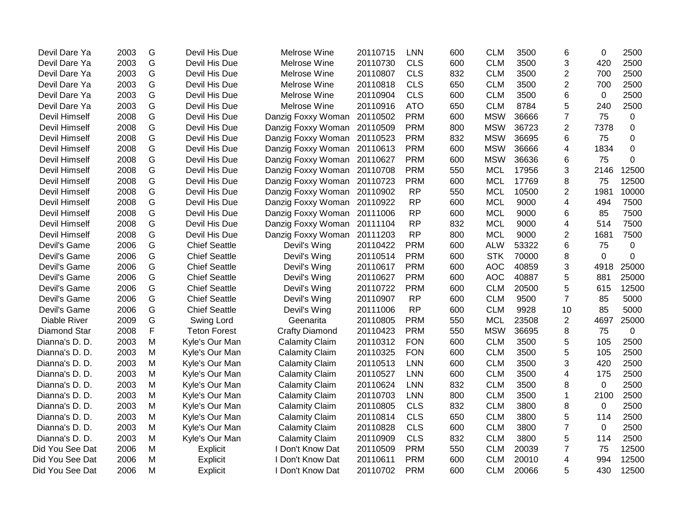| Devil Dare Ya        | 2003 | G | Devil His Due        | Melrose Wine                | 20110715 | <b>LNN</b> | 600 | <b>CLM</b> | 3500  | 6              | $\Omega$ | 2500      |
|----------------------|------|---|----------------------|-----------------------------|----------|------------|-----|------------|-------|----------------|----------|-----------|
| Devil Dare Ya        | 2003 | G | Devil His Due        | Melrose Wine                | 20110730 | <b>CLS</b> | 600 | <b>CLM</b> | 3500  | 3              | 420      | 2500      |
| Devil Dare Ya        | 2003 | G | Devil His Due        | Melrose Wine                | 20110807 | <b>CLS</b> | 832 | <b>CLM</b> | 3500  | $\overline{2}$ | 700      | 2500      |
| Devil Dare Ya        | 2003 | G | Devil His Due        | Melrose Wine                | 20110818 | <b>CLS</b> | 650 | <b>CLM</b> | 3500  | $\overline{2}$ | 700      | 2500      |
| Devil Dare Ya        | 2003 | G | Devil His Due        | Melrose Wine                | 20110904 | <b>CLS</b> | 600 | <b>CLM</b> | 3500  | 6              | 0        | 2500      |
| Devil Dare Ya        | 2003 | G | Devil His Due        | Melrose Wine                | 20110916 | <b>ATO</b> | 650 | <b>CLM</b> | 8784  | 5              | 240      | 2500      |
| Devil Himself        | 2008 | G | Devil His Due        | Danzig Foxxy Woman          | 20110502 | <b>PRM</b> | 600 | <b>MSW</b> | 36666 | $\overline{7}$ | 75       | 0         |
| <b>Devil Himself</b> | 2008 | G | Devil His Due        | Danzig Foxxy Woman          | 20110509 | <b>PRM</b> | 800 | <b>MSW</b> | 36723 | $\overline{2}$ | 7378     | 0         |
| Devil Himself        | 2008 | G | Devil His Due        | Danzig Foxxy Woman 20110523 |          | <b>PRM</b> | 832 | <b>MSW</b> | 36695 | 6              | 75       | 0         |
| Devil Himself        | 2008 | G | Devil His Due        | Danzig Foxxy Woman          | 20110613 | <b>PRM</b> | 600 | <b>MSW</b> | 36666 | 4              | 1834     | 0         |
| Devil Himself        | 2008 | G | Devil His Due        | Danzig Foxxy Woman          | 20110627 | <b>PRM</b> | 600 | <b>MSW</b> | 36636 | 6              | 75       | $\Omega$  |
| Devil Himself        | 2008 | G | Devil His Due        | Danzig Foxxy Woman          | 20110708 | <b>PRM</b> | 550 | <b>MCL</b> | 17956 | 3              | 2146     | 12500     |
| Devil Himself        | 2008 | G | Devil His Due        | Danzig Foxxy Woman          | 20110723 | <b>PRM</b> | 600 | <b>MCL</b> | 17769 | 8              | 75       | 12500     |
| Devil Himself        | 2008 | G | Devil His Due        | Danzig Foxxy Woman          | 20110902 | <b>RP</b>  | 550 | <b>MCL</b> | 10500 | $\overline{c}$ | 1981     | 10000     |
| Devil Himself        | 2008 | G | Devil His Due        | Danzig Foxxy Woman          | 20110922 | <b>RP</b>  | 600 | <b>MCL</b> | 9000  | 4              | 494      | 7500      |
| <b>Devil Himself</b> | 2008 | G | Devil His Due        | Danzig Foxxy Woman          | 20111006 | <b>RP</b>  | 600 | <b>MCL</b> | 9000  | 6              | 85       | 7500      |
| Devil Himself        | 2008 | G | Devil His Due        | Danzig Foxxy Woman          | 20111104 | <b>RP</b>  | 832 | <b>MCL</b> | 9000  | 4              | 514      | 7500      |
| Devil Himself        | 2008 | G | Devil His Due        | Danzig Foxxy Woman          | 20111203 | <b>RP</b>  | 800 | <b>MCL</b> | 9000  | $\overline{2}$ | 1681     | 7500      |
| Devil's Game         | 2006 | G | <b>Chief Seattle</b> | Devil's Wing                | 20110422 | <b>PRM</b> | 600 | <b>ALW</b> | 53322 | 6              | 75       | 0         |
| Devil's Game         | 2006 | G | <b>Chief Seattle</b> | Devil's Wing                | 20110514 | <b>PRM</b> | 600 | <b>STK</b> | 70000 | 8              | $\Omega$ | 0         |
| Devil's Game         | 2006 | G | <b>Chief Seattle</b> | Devil's Wing                | 20110617 | <b>PRM</b> | 600 | <b>AOC</b> | 40859 | 3              | 4918     | 25000     |
| Devil's Game         | 2006 | G | <b>Chief Seattle</b> | Devil's Wing                | 20110627 | <b>PRM</b> | 600 | <b>AOC</b> | 40887 | 5              | 881      | 25000     |
| Devil's Game         | 2006 | G | <b>Chief Seattle</b> | Devil's Wing                | 20110722 | <b>PRM</b> | 600 | <b>CLM</b> | 20500 | 5              | 615      | 12500     |
| Devil's Game         | 2006 | G | <b>Chief Seattle</b> | Devil's Wing                | 20110907 | <b>RP</b>  | 600 | <b>CLM</b> | 9500  | $\overline{7}$ | 85       | 5000      |
| Devil's Game         | 2006 | G | <b>Chief Seattle</b> | Devil's Wing                | 20111006 | <b>RP</b>  | 600 | <b>CLM</b> | 9928  | 10             | 85       | 5000      |
| Diable River         | 2009 | G | Swing Lord           | Geenarita                   | 20110805 | <b>PRM</b> | 550 | <b>MCL</b> | 23508 | $\overline{2}$ | 4697     | 25000     |
| <b>Diamond Star</b>  | 2008 | F | <b>Teton Forest</b>  | <b>Crafty Diamond</b>       | 20110423 | <b>PRM</b> | 550 | <b>MSW</b> | 36695 | 8              | 75       | $\pmb{0}$ |
| Dianna's D. D.       | 2003 | M | Kyle's Our Man       | <b>Calamity Claim</b>       | 20110312 | <b>FON</b> | 600 | <b>CLM</b> | 3500  | 5              | 105      | 2500      |
| Dianna's D. D.       | 2003 | M | Kyle's Our Man       | <b>Calamity Claim</b>       | 20110325 | <b>FON</b> | 600 | <b>CLM</b> | 3500  | 5              | 105      | 2500      |
| Dianna's D. D.       | 2003 | M | Kyle's Our Man       | <b>Calamity Claim</b>       | 20110513 | <b>LNN</b> | 600 | <b>CLM</b> | 3500  | 3              | 420      | 2500      |
| Dianna's D. D.       | 2003 | M | Kyle's Our Man       | <b>Calamity Claim</b>       | 20110527 | <b>LNN</b> | 600 | <b>CLM</b> | 3500  | 4              | 175      | 2500      |
| Dianna's D. D.       | 2003 | M | Kyle's Our Man       | <b>Calamity Claim</b>       | 20110624 | <b>LNN</b> | 832 | <b>CLM</b> | 3500  | 8              | $\Omega$ | 2500      |
| Dianna's D. D.       | 2003 | M | Kyle's Our Man       | <b>Calamity Claim</b>       | 20110703 | <b>LNN</b> | 800 | <b>CLM</b> | 3500  | $\mathbf{1}$   | 2100     | 2500      |
| Dianna's D. D.       | 2003 | M | Kyle's Our Man       | <b>Calamity Claim</b>       | 20110805 | <b>CLS</b> | 832 | <b>CLM</b> | 3800  | 8              | $\Omega$ | 2500      |
| Dianna's D. D.       | 2003 | M | Kyle's Our Man       | <b>Calamity Claim</b>       | 20110814 | <b>CLS</b> | 650 | <b>CLM</b> | 3800  | 5              | 114      | 2500      |
| Dianna's D. D.       | 2003 | M | Kyle's Our Man       | <b>Calamity Claim</b>       | 20110828 | <b>CLS</b> | 600 | <b>CLM</b> | 3800  | $\overline{7}$ | 0        | 2500      |
| Dianna's D. D.       | 2003 | M | Kyle's Our Man       | <b>Calamity Claim</b>       | 20110909 | <b>CLS</b> | 832 | <b>CLM</b> | 3800  | 5              | 114      | 2500      |
| Did You See Dat      | 2006 | M | Explicit             | I Don't Know Dat            | 20110509 | <b>PRM</b> | 550 | <b>CLM</b> | 20039 | 7              | 75       | 12500     |
| Did You See Dat      | 2006 | M | Explicit             | I Don't Know Dat            | 20110611 | <b>PRM</b> | 600 | <b>CLM</b> | 20010 | 4              | 994      | 12500     |
| Did You See Dat      | 2006 | M | Explicit             | I Don't Know Dat            | 20110702 | <b>PRM</b> | 600 | <b>CLM</b> | 20066 | 5              | 430      | 12500     |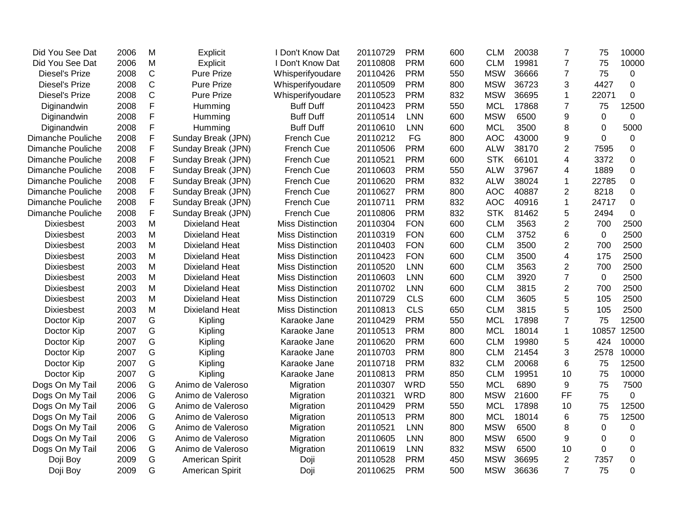| Did You See Dat          | 2006 | M            | <b>Explicit</b>        | I Don't Know Dat        | 20110729 | <b>PRM</b> | 600 | <b>CLM</b> | 20038 | 7                | 75          | 10000          |
|--------------------------|------|--------------|------------------------|-------------------------|----------|------------|-----|------------|-------|------------------|-------------|----------------|
| Did You See Dat          | 2006 | M            | Explicit               | I Don't Know Dat        | 20110808 | <b>PRM</b> | 600 | <b>CLM</b> | 19981 | $\overline{7}$   | 75          | 10000          |
| <b>Diesel's Prize</b>    | 2008 | $\mathsf{C}$ | <b>Pure Prize</b>      | Whisperifyoudare        | 20110426 | <b>PRM</b> | 550 | <b>MSW</b> | 36666 | 7                | 75          | 0              |
| <b>Diesel's Prize</b>    | 2008 | $\mathsf C$  | <b>Pure Prize</b>      | Whisperifyoudare        | 20110509 | <b>PRM</b> | 800 | <b>MSW</b> | 36723 | 3                | 4427        | $\overline{0}$ |
| <b>Diesel's Prize</b>    | 2008 | $\mathsf C$  | <b>Pure Prize</b>      | Whisperifyoudare        | 20110523 | <b>PRM</b> | 832 | <b>MSW</b> | 36695 | $\mathbf{1}$     | 22071       | 0              |
| Diginandwin              | 2008 | F            | Humming                | <b>Buff Duff</b>        | 20110423 | <b>PRM</b> | 550 | <b>MCL</b> | 17868 | 7                | 75          | 12500          |
| Diginandwin              | 2008 | F            | Humming                | <b>Buff Duff</b>        | 20110514 | <b>LNN</b> | 600 | <b>MSW</b> | 6500  | $\boldsymbol{9}$ | 0           | 0              |
| Diginandwin              | 2008 | F            | Humming                | <b>Buff Duff</b>        | 20110610 | LNN        | 600 | <b>MCL</b> | 3500  | 8                | $\mathbf 0$ | 5000           |
| Dimanche Pouliche        | 2008 | F            | Sunday Break (JPN)     | French Cue              | 20110212 | FG         | 800 | <b>AOC</b> | 43000 | 9                | $\Omega$    | 0              |
| Dimanche Pouliche        | 2008 | F            | Sunday Break (JPN)     | French Cue              | 20110506 | <b>PRM</b> | 600 | <b>ALW</b> | 38170 | $\overline{2}$   | 7595        | $\mathbf 0$    |
| Dimanche Pouliche        | 2008 | F            | Sunday Break (JPN)     | French Cue              | 20110521 | <b>PRM</b> | 600 | <b>STK</b> | 66101 | 4                | 3372        | 0              |
| Dimanche Pouliche        | 2008 | F            | Sunday Break (JPN)     | French Cue              | 20110603 | <b>PRM</b> | 550 | <b>ALW</b> | 37967 | 4                | 1889        | 0              |
| Dimanche Pouliche        | 2008 | F            | Sunday Break (JPN)     | French Cue              | 20110620 | <b>PRM</b> | 832 | <b>ALW</b> | 38024 | 1                | 22785       | 0              |
| Dimanche Pouliche        | 2008 | F            | Sunday Break (JPN)     | French Cue              | 20110627 | <b>PRM</b> | 800 | <b>AOC</b> | 40887 | $\overline{2}$   | 8218        | 0              |
| <b>Dimanche Pouliche</b> | 2008 | F            | Sunday Break (JPN)     | French Cue              | 20110711 | <b>PRM</b> | 832 | <b>AOC</b> | 40916 | $\mathbf 1$      | 24717       | 0              |
| Dimanche Pouliche        | 2008 | F            | Sunday Break (JPN)     | French Cue              | 20110806 | <b>PRM</b> | 832 | <b>STK</b> | 81462 | 5                | 2494        | 0              |
| <b>Dixiesbest</b>        | 2003 | M            | <b>Dixieland Heat</b>  | <b>Miss Distinction</b> | 20110304 | <b>FON</b> | 600 | <b>CLM</b> | 3563  | $\overline{2}$   | 700         | 2500           |
| <b>Dixiesbest</b>        | 2003 | M            | <b>Dixieland Heat</b>  | <b>Miss Distinction</b> | 20110319 | <b>FON</b> | 600 | <b>CLM</b> | 3752  | 6                | 0           | 2500           |
| <b>Dixiesbest</b>        | 2003 | M            | <b>Dixieland Heat</b>  | <b>Miss Distinction</b> | 20110403 | <b>FON</b> | 600 | <b>CLM</b> | 3500  | $\overline{2}$   | 700         | 2500           |
| <b>Dixiesbest</b>        | 2003 | M            | <b>Dixieland Heat</b>  | <b>Miss Distinction</b> | 20110423 | <b>FON</b> | 600 | <b>CLM</b> | 3500  | 4                | 175         | 2500           |
| <b>Dixiesbest</b>        | 2003 | M            | <b>Dixieland Heat</b>  | <b>Miss Distinction</b> | 20110520 | <b>LNN</b> | 600 | <b>CLM</b> | 3563  | 2                | 700         | 2500           |
| <b>Dixiesbest</b>        | 2003 | M            | <b>Dixieland Heat</b>  | <b>Miss Distinction</b> | 20110603 | <b>LNN</b> | 600 | <b>CLM</b> | 3920  | $\overline{7}$   | 0           | 2500           |
| <b>Dixiesbest</b>        | 2003 | M            | <b>Dixieland Heat</b>  | <b>Miss Distinction</b> | 20110702 | LNN        | 600 | <b>CLM</b> | 3815  | 2                | 700         | 2500           |
| <b>Dixiesbest</b>        | 2003 | M            | <b>Dixieland Heat</b>  | <b>Miss Distinction</b> | 20110729 | <b>CLS</b> | 600 | <b>CLM</b> | 3605  | 5                | 105         | 2500           |
| <b>Dixiesbest</b>        | 2003 | M            | <b>Dixieland Heat</b>  | <b>Miss Distinction</b> | 20110813 | <b>CLS</b> | 650 | <b>CLM</b> | 3815  | 5                | 105         | 2500           |
| Doctor Kip               | 2007 | G            | Kipling                | Karaoke Jane            | 20110429 | <b>PRM</b> | 550 | <b>MCL</b> | 17898 | 7                | 75          | 12500          |
| Doctor Kip               | 2007 | G            | Kipling                | Karaoke Jane            | 20110513 | <b>PRM</b> | 800 | <b>MCL</b> | 18014 | 1                | 10857       | 12500          |
| Doctor Kip               | 2007 | G            | Kipling                | Karaoke Jane            | 20110620 | <b>PRM</b> | 600 | <b>CLM</b> | 19980 | 5                | 424         | 10000          |
| Doctor Kip               | 2007 | G            | Kipling                | Karaoke Jane            | 20110703 | <b>PRM</b> | 800 | <b>CLM</b> | 21454 | 3                | 2578        | 10000          |
| Doctor Kip               | 2007 | G            | Kipling                | Karaoke Jane            | 20110718 | <b>PRM</b> | 832 | <b>CLM</b> | 20068 | 6                | 75          | 12500          |
| Doctor Kip               | 2007 | G            | Kipling                | Karaoke Jane            | 20110813 | <b>PRM</b> | 850 | <b>CLM</b> | 19951 | 10               | 75          | 10000          |
| Dogs On My Tail          | 2006 | G            | Animo de Valeroso      | Migration               | 20110307 | <b>WRD</b> | 550 | <b>MCL</b> | 6890  | 9                | 75          | 7500           |
| Dogs On My Tail          | 2006 | G            | Animo de Valeroso      | Migration               | 20110321 | <b>WRD</b> | 800 | <b>MSW</b> | 21600 | <b>FF</b>        | 75          | $\mathbf{0}$   |
| Dogs On My Tail          | 2006 | G            | Animo de Valeroso      | Migration               | 20110429 | <b>PRM</b> | 550 | <b>MCL</b> | 17898 | 10               | 75          | 12500          |
| Dogs On My Tail          | 2006 | G            | Animo de Valeroso      | Migration               | 20110513 | <b>PRM</b> | 800 | <b>MCL</b> | 18014 | 6                | 75          | 12500          |
| Dogs On My Tail          | 2006 | G            | Animo de Valeroso      | Migration               | 20110521 | <b>LNN</b> | 800 | <b>MSW</b> | 6500  | 8                | $\Omega$    | $\mathbf 0$    |
| Dogs On My Tail          | 2006 | G            | Animo de Valeroso      | Migration               | 20110605 | <b>LNN</b> | 800 | <b>MSW</b> | 6500  | 9                | $\Omega$    | 0              |
| Dogs On My Tail          | 2006 | G            | Animo de Valeroso      | Migration               | 20110619 | <b>LNN</b> | 832 | <b>MSW</b> | 6500  | 10               | 0           | 0              |
| Doji Boy                 | 2009 | G            | <b>American Spirit</b> | Doji                    | 20110528 | <b>PRM</b> | 450 | <b>MSW</b> | 36695 | $\overline{2}$   | 7357        | 0              |
| Doji Boy                 | 2009 | G            | <b>American Spirit</b> | Doji                    | 20110625 | <b>PRM</b> | 500 | <b>MSW</b> | 36636 | $\overline{7}$   | 75          | 0              |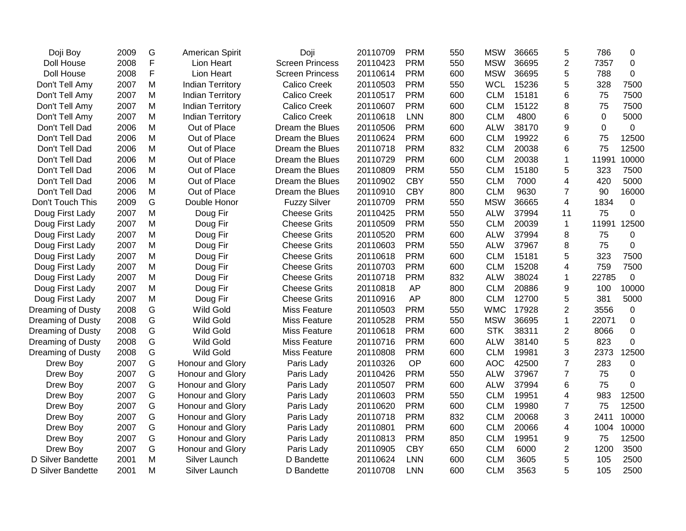| Doji Boy          | 2009 | G           | <b>American Spirit</b>  | Doji                   | 20110709 | <b>PRM</b> | 550 | <b>MSW</b> | 36665 | 5              | 786   | 0           |
|-------------------|------|-------------|-------------------------|------------------------|----------|------------|-----|------------|-------|----------------|-------|-------------|
| Doll House        | 2008 | $\mathsf F$ | Lion Heart              | <b>Screen Princess</b> | 20110423 | <b>PRM</b> | 550 | <b>MSW</b> | 36695 | $\overline{2}$ | 7357  | $\mathbf 0$ |
| Doll House        | 2008 | F           | Lion Heart              | <b>Screen Princess</b> | 20110614 | <b>PRM</b> | 600 | <b>MSW</b> | 36695 | 5              | 788   | $\mathbf 0$ |
| Don't Tell Amy    | 2007 | M           | <b>Indian Territory</b> | <b>Calico Creek</b>    | 20110503 | <b>PRM</b> | 550 | <b>WCL</b> | 15236 | 5              | 328   | 7500        |
| Don't Tell Amy    | 2007 | M           | <b>Indian Territory</b> | <b>Calico Creek</b>    | 20110517 | <b>PRM</b> | 600 | <b>CLM</b> | 15181 | 6              | 75    | 7500        |
| Don't Tell Amy    | 2007 | M           | <b>Indian Territory</b> | <b>Calico Creek</b>    | 20110607 | <b>PRM</b> | 600 | <b>CLM</b> | 15122 | 8              | 75    | 7500        |
| Don't Tell Amy    | 2007 | M           | <b>Indian Territory</b> | Calico Creek           | 20110618 | <b>LNN</b> | 800 | <b>CLM</b> | 4800  | 6              | 0     | 5000        |
| Don't Tell Dad    | 2006 | M           | Out of Place            | Dream the Blues        | 20110506 | <b>PRM</b> | 600 | <b>ALW</b> | 38170 | 9              | 0     | $\mathbf 0$ |
| Don't Tell Dad    | 2006 | M           | Out of Place            | Dream the Blues        | 20110624 | <b>PRM</b> | 600 | <b>CLM</b> | 19922 | 6              | 75    | 12500       |
| Don't Tell Dad    | 2006 | M           | Out of Place            | Dream the Blues        | 20110718 | <b>PRM</b> | 832 | <b>CLM</b> | 20038 | 6              | 75    | 12500       |
| Don't Tell Dad    | 2006 | M           | Out of Place            | Dream the Blues        | 20110729 | <b>PRM</b> | 600 | <b>CLM</b> | 20038 | $\mathbf 1$    | 11991 | 10000       |
| Don't Tell Dad    | 2006 | M           | Out of Place            | Dream the Blues        | 20110809 | <b>PRM</b> | 550 | <b>CLM</b> | 15180 | 5              | 323   | 7500        |
| Don't Tell Dad    | 2006 | M           | Out of Place            | Dream the Blues        | 20110902 | <b>CBY</b> | 550 | <b>CLM</b> | 7000  | $\overline{4}$ | 420   | 5000        |
| Don't Tell Dad    | 2006 | M           | Out of Place            | Dream the Blues        | 20110910 | <b>CBY</b> | 800 | <b>CLM</b> | 9630  | $\overline{7}$ | 90    | 16000       |
| Don't Touch This  | 2009 | G           | Double Honor            | <b>Fuzzy Silver</b>    | 20110709 | <b>PRM</b> | 550 | <b>MSW</b> | 36665 | 4              | 1834  | 0           |
| Doug First Lady   | 2007 | M           | Doug Fir                | <b>Cheese Grits</b>    | 20110425 | <b>PRM</b> | 550 | <b>ALW</b> | 37994 | 11             | 75    | 0           |
| Doug First Lady   | 2007 | M           | Doug Fir                | <b>Cheese Grits</b>    | 20110509 | <b>PRM</b> | 550 | <b>CLM</b> | 20039 | $\mathbf{1}$   | 11991 | 12500       |
| Doug First Lady   | 2007 | M           | Doug Fir                | <b>Cheese Grits</b>    | 20110520 | <b>PRM</b> | 600 | <b>ALW</b> | 37994 | 8              | 75    | $\Omega$    |
| Doug First Lady   | 2007 | M           | Doug Fir                | <b>Cheese Grits</b>    | 20110603 | <b>PRM</b> | 550 | <b>ALW</b> | 37967 | 8              | 75    | $\mathbf 0$ |
| Doug First Lady   | 2007 | M           | Doug Fir                | <b>Cheese Grits</b>    | 20110618 | <b>PRM</b> | 600 | <b>CLM</b> | 15181 | 5              | 323   | 7500        |
| Doug First Lady   | 2007 | M           | Doug Fir                | <b>Cheese Grits</b>    | 20110703 | <b>PRM</b> | 600 | <b>CLM</b> | 15208 | 4              | 759   | 7500        |
| Doug First Lady   | 2007 | M           | Doug Fir                | <b>Cheese Grits</b>    | 20110718 | <b>PRM</b> | 832 | <b>ALW</b> | 38024 | $\mathbf{1}$   | 22785 | 0           |
| Doug First Lady   | 2007 | M           | Doug Fir                | <b>Cheese Grits</b>    | 20110818 | AP         | 800 | <b>CLM</b> | 20886 | 9              | 100   | 10000       |
| Doug First Lady   | 2007 | M           | Doug Fir                | <b>Cheese Grits</b>    | 20110916 | AP         | 800 | <b>CLM</b> | 12700 | 5              | 381   | 5000        |
| Dreaming of Dusty | 2008 | G           | <b>Wild Gold</b>        | <b>Miss Feature</b>    | 20110503 | <b>PRM</b> | 550 | <b>WMC</b> | 17928 | $\overline{2}$ | 3556  | 0           |
| Dreaming of Dusty | 2008 | G           | Wild Gold               | <b>Miss Feature</b>    | 20110528 | <b>PRM</b> | 550 | <b>MSW</b> | 36695 | $\mathbf{1}$   | 22071 | 0           |
| Dreaming of Dusty | 2008 | G           | <b>Wild Gold</b>        | <b>Miss Feature</b>    | 20110618 | <b>PRM</b> | 600 | <b>STK</b> | 38311 | 2              | 8066  | 0           |
| Dreaming of Dusty | 2008 | G           | <b>Wild Gold</b>        | <b>Miss Feature</b>    | 20110716 | <b>PRM</b> | 600 | <b>ALW</b> | 38140 | 5              | 823   | $\mathbf 0$ |
| Dreaming of Dusty | 2008 | G           | <b>Wild Gold</b>        | <b>Miss Feature</b>    | 20110808 | <b>PRM</b> | 600 | <b>CLM</b> | 19981 | 3              | 2373  | 12500       |
| Drew Boy          | 2007 | G           | Honour and Glory        | Paris Lady             | 20110326 | OP         | 600 | <b>AOC</b> | 42500 | $\overline{7}$ | 283   | $\mathbf 0$ |
| Drew Boy          | 2007 | G           | Honour and Glory        | Paris Lady             | 20110426 | <b>PRM</b> | 550 | <b>ALW</b> | 37967 | $\overline{7}$ | 75    | $\mathbf 0$ |
| Drew Boy          | 2007 | G           | Honour and Glory        | Paris Lady             | 20110507 | <b>PRM</b> | 600 | <b>ALW</b> | 37994 | 6              | 75    | $\Omega$    |
| Drew Boy          | 2007 | G           | Honour and Glory        | Paris Lady             | 20110603 | <b>PRM</b> | 550 | <b>CLM</b> | 19951 | $\overline{4}$ | 983   | 12500       |
| Drew Boy          | 2007 | G           | Honour and Glory        | Paris Lady             | 20110620 | <b>PRM</b> | 600 | <b>CLM</b> | 19980 | $\overline{7}$ | 75    | 12500       |
| Drew Boy          | 2007 | G           | Honour and Glory        | Paris Lady             | 20110718 | <b>PRM</b> | 832 | <b>CLM</b> | 20068 | 3              | 2411  | 10000       |
| Drew Boy          | 2007 | G           | Honour and Glory        | Paris Lady             | 20110801 | <b>PRM</b> | 600 | <b>CLM</b> | 20066 | 4              | 1004  | 10000       |
| Drew Boy          | 2007 | G           | Honour and Glory        | Paris Lady             | 20110813 | <b>PRM</b> | 850 | <b>CLM</b> | 19951 | 9              | 75    | 12500       |
| Drew Boy          | 2007 | G           | Honour and Glory        | Paris Lady             | 20110905 | <b>CBY</b> | 650 | <b>CLM</b> | 6000  | $\overline{2}$ | 1200  | 3500        |
| D Silver Bandette | 2001 | M           | Silver Launch           | D Bandette             | 20110624 | <b>LNN</b> | 600 | <b>CLM</b> | 3605  | 5              | 105   | 2500        |
| D Silver Bandette | 2001 | M           | Silver Launch           | D Bandette             | 20110708 | <b>LNN</b> | 600 | <b>CLM</b> | 3563  | 5              | 105   | 2500        |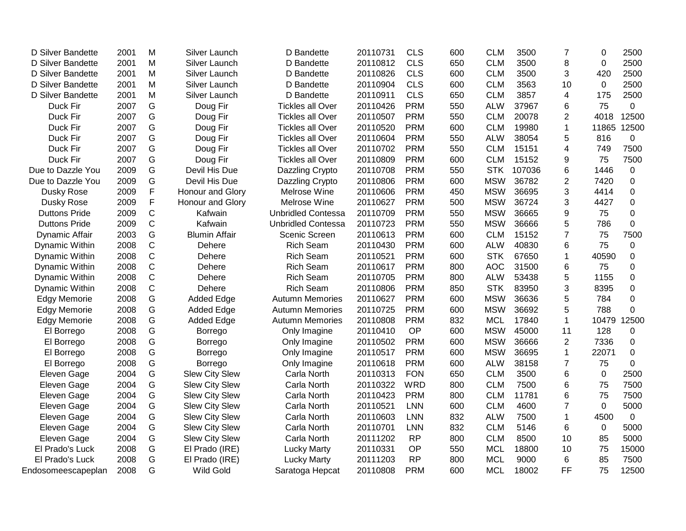| D Silver Bandette    | 2001 | M            | Silver Launch         | D Bandette                | 20110731 | <b>CLS</b> | 600 | <b>CLM</b> | 3500   | 7              | $\Omega$     | 2500        |
|----------------------|------|--------------|-----------------------|---------------------------|----------|------------|-----|------------|--------|----------------|--------------|-------------|
| D Silver Bandette    | 2001 | M            | Silver Launch         | D Bandette                | 20110812 | <b>CLS</b> | 650 | <b>CLM</b> | 3500   | 8              | $\Omega$     | 2500        |
| D Silver Bandette    | 2001 | M            | Silver Launch         | D Bandette                | 20110826 | <b>CLS</b> | 600 | <b>CLM</b> | 3500   | 3              | 420          | 2500        |
| D Silver Bandette    | 2001 | M            | Silver Launch         | D Bandette                | 20110904 | <b>CLS</b> | 600 | <b>CLM</b> | 3563   | 10             | $\mathbf{0}$ | 2500        |
| D Silver Bandette    | 2001 | M            | Silver Launch         | D Bandette                | 20110911 | <b>CLS</b> | 650 | <b>CLM</b> | 3857   | 4              | 175          | 2500        |
| Duck Fir             | 2007 | G            | Doug Fir              | <b>Tickles all Over</b>   | 20110426 | <b>PRM</b> | 550 | <b>ALW</b> | 37967  | 6              | 75           | $\mathbf 0$ |
| Duck Fir             | 2007 | G            | Doug Fir              | <b>Tickles all Over</b>   | 20110507 | <b>PRM</b> | 550 | <b>CLM</b> | 20078  | 2              | 4018         | 12500       |
| Duck Fir             | 2007 | G            | Doug Fir              | <b>Tickles all Over</b>   | 20110520 | <b>PRM</b> | 600 | <b>CLM</b> | 19980  | 1              | 11865        | 12500       |
| Duck Fir             | 2007 | G            | Doug Fir              | <b>Tickles all Over</b>   | 20110604 | <b>PRM</b> | 550 | <b>ALW</b> | 38054  | 5              | 816          | 0           |
| Duck Fir             | 2007 | G            | Doug Fir              | <b>Tickles all Over</b>   | 20110702 | <b>PRM</b> | 550 | <b>CLM</b> | 15151  | 4              | 749          | 7500        |
| Duck Fir             | 2007 | G            | Doug Fir              | <b>Tickles all Over</b>   | 20110809 | <b>PRM</b> | 600 | <b>CLM</b> | 15152  | 9              | 75           | 7500        |
| Due to Dazzle You    | 2009 | G            | Devil His Due         | Dazzling Crypto           | 20110708 | <b>PRM</b> | 550 | <b>STK</b> | 107036 | 6              | 1446         | 0           |
| Due to Dazzle You    | 2009 | G            | Devil His Due         | Dazzling Crypto           | 20110806 | <b>PRM</b> | 600 | <b>MSW</b> | 36782  | $\overline{2}$ | 7420         | 0           |
| Dusky Rose           | 2009 | F            | Honour and Glory      | Melrose Wine              | 20110606 | <b>PRM</b> | 450 | <b>MSW</b> | 36695  | 3              | 4414         | 0           |
| Dusky Rose           | 2009 | $\mathsf F$  | Honour and Glory      | Melrose Wine              | 20110627 | <b>PRM</b> | 500 | <b>MSW</b> | 36724  | 3              | 4427         | $\mathbf 0$ |
| <b>Duttons Pride</b> | 2009 | C            | Kafwain               | <b>Unbridled Contessa</b> | 20110709 | <b>PRM</b> | 550 | <b>MSW</b> | 36665  | 9              | 75           | $\mathbf 0$ |
| <b>Duttons Pride</b> | 2009 | $\mathsf{C}$ | Kafwain               | <b>Unbridled Contessa</b> | 20110723 | <b>PRM</b> | 550 | <b>MSW</b> | 36666  | 5              | 786          | $\mathbf 0$ |
| Dynamic Affair       | 2003 | G            | <b>Blumin Affair</b>  | Scenic Screen             | 20110613 | <b>PRM</b> | 600 | <b>CLM</b> | 15152  | 7              | 75           | 7500        |
| Dynamic Within       | 2008 | C            | Dehere                | <b>Rich Seam</b>          | 20110430 | <b>PRM</b> | 600 | <b>ALW</b> | 40830  | 6              | 75           | $\mathbf 0$ |
| Dynamic Within       | 2008 | C            | Dehere                | <b>Rich Seam</b>          | 20110521 | <b>PRM</b> | 600 | <b>STK</b> | 67650  | 1              | 40590        | 0           |
| Dynamic Within       | 2008 | C            | Dehere                | <b>Rich Seam</b>          | 20110617 | <b>PRM</b> | 800 | <b>AOC</b> | 31500  | 6              | 75           | 0           |
| Dynamic Within       | 2008 | C            | Dehere                | <b>Rich Seam</b>          | 20110705 | <b>PRM</b> | 800 | <b>ALW</b> | 53438  | 5              | 1155         | $\mathbf 0$ |
| Dynamic Within       | 2008 | C            | Dehere                | <b>Rich Seam</b>          | 20110806 | <b>PRM</b> | 850 | <b>STK</b> | 83950  | 3              | 8395         | $\mathbf 0$ |
| <b>Edgy Memorie</b>  | 2008 | G            | <b>Added Edge</b>     | <b>Autumn Memories</b>    | 20110627 | <b>PRM</b> | 600 | <b>MSW</b> | 36636  | 5              | 784          | $\mathbf 0$ |
| <b>Edgy Memorie</b>  | 2008 | G            | Added Edge            | <b>Autumn Memories</b>    | 20110725 | <b>PRM</b> | 600 | <b>MSW</b> | 36692  | 5              | 788          | 0           |
| <b>Edgy Memorie</b>  | 2008 | G            | <b>Added Edge</b>     | <b>Autumn Memories</b>    | 20110808 | <b>PRM</b> | 832 | <b>MCL</b> | 17840  | 1              | 10479        | 12500       |
| El Borrego           | 2008 | G            | Borrego               | Only Imagine              | 20110410 | OP         | 600 | <b>MSW</b> | 45000  | 11             | 128          | $\mathbf 0$ |
| El Borrego           | 2008 | G            | Borrego               | Only Imagine              | 20110502 | <b>PRM</b> | 600 | <b>MSW</b> | 36666  | 2              | 7336         | 0           |
| El Borrego           | 2008 | G            | Borrego               | Only Imagine              | 20110517 | <b>PRM</b> | 600 | <b>MSW</b> | 36695  | $\mathbf{1}$   | 22071        | 0           |
| El Borrego           | 2008 | G            | Borrego               | Only Imagine              | 20110618 | <b>PRM</b> | 600 | <b>ALW</b> | 38158  | 7              | 75           | 0           |
| Eleven Gage          | 2004 | G            | <b>Slew City Slew</b> | Carla North               | 20110313 | <b>FON</b> | 650 | <b>CLM</b> | 3500   | 6              | 0            | 2500        |
| Eleven Gage          | 2004 | G            | <b>Slew City Slew</b> | Carla North               | 20110322 | <b>WRD</b> | 800 | <b>CLM</b> | 7500   | 6              | 75           | 7500        |
| Eleven Gage          | 2004 | G            | <b>Slew City Slew</b> | Carla North               | 20110423 | <b>PRM</b> | 800 | <b>CLM</b> | 11781  | 6              | 75           | 7500        |
| Eleven Gage          | 2004 | G            | Slew City Slew        | Carla North               | 20110521 | <b>LNN</b> | 600 | <b>CLM</b> | 4600   | 7              | $\Omega$     | 5000        |
| Eleven Gage          | 2004 | G            | <b>Slew City Slew</b> | Carla North               | 20110603 | <b>LNN</b> | 832 | <b>ALW</b> | 7500   | 1              | 4500         | $\mathbf 0$ |
| Eleven Gage          | 2004 | G            | <b>Slew City Slew</b> | Carla North               | 20110701 | <b>LNN</b> | 832 | <b>CLM</b> | 5146   | 6              | 0            | 5000        |
| Eleven Gage          | 2004 | G            | Slew City Slew        | Carla North               | 20111202 | <b>RP</b>  | 800 | <b>CLM</b> | 8500   | 10             | 85           | 5000        |
| El Prado's Luck      | 2008 | G            | El Prado (IRE)        | <b>Lucky Marty</b>        | 20110331 | OP         | 550 | <b>MCL</b> | 18800  | 10             | 75           | 15000       |
| El Prado's Luck      | 2008 | G            | El Prado (IRE)        | <b>Lucky Marty</b>        | 20111203 | <b>RP</b>  | 800 | <b>MCL</b> | 9000   | 6              | 85           | 7500        |
| Endosomeescapeplan   | 2008 | G            | <b>Wild Gold</b>      | Saratoga Hepcat           | 20110808 | <b>PRM</b> | 600 | <b>MCL</b> | 18002  | <b>FF</b>      | 75           | 12500       |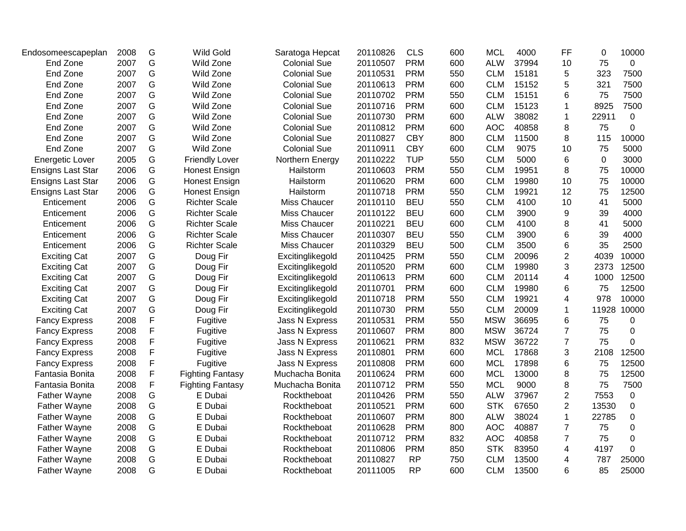| G<br>75<br>Wild Zone<br><b>Colonial Sue</b><br><b>PRM</b><br>600<br><b>ALW</b><br>37994<br>$\mathbf 0$<br>End Zone<br>2007<br>20110507<br>10<br>End Zone<br>2007<br>G<br>Wild Zone<br><b>Colonial Sue</b><br><b>PRM</b><br>550<br><b>CLM</b><br>15181<br>5<br>323<br>7500<br>20110531<br>2007<br>G<br>7500<br>End Zone<br>Wild Zone<br><b>Colonial Sue</b><br>20110613<br><b>PRM</b><br>600<br><b>CLM</b><br>15152<br>321<br>5<br>G<br>End Zone<br>2007<br>Wild Zone<br><b>Colonial Sue</b><br><b>PRM</b><br>550<br>75<br>7500<br>20110702<br><b>CLM</b><br>15151<br>6<br>G<br>600<br>7500<br>End Zone<br>2007<br>Wild Zone<br><b>Colonial Sue</b><br><b>PRM</b><br>15123<br>8925<br>20110716<br><b>CLM</b><br>1<br>G<br><b>PRM</b><br>End Zone<br>2007<br>Wild Zone<br><b>Colonial Sue</b><br>20110730<br>600<br><b>ALW</b><br>38082<br>22911<br>$\mathbf 0$<br>1<br>G<br>2007<br><b>PRM</b><br><b>AOC</b><br>40858<br>75<br>0<br>End Zone<br>Wild Zone<br><b>Colonial Sue</b><br>20110812<br>600<br>8<br>G<br><b>CBY</b><br>8<br>End Zone<br>2007<br>Wild Zone<br><b>Colonial Sue</b><br>20110827<br>800<br><b>CLM</b><br>11500<br>115<br>10000<br>G<br>2007<br>Wild Zone<br><b>CBY</b><br>600<br>9075<br>75<br>5000<br>End Zone<br><b>Colonial Sue</b><br>20110911<br><b>CLM</b><br>10<br>G<br>2005<br><b>TUP</b><br><b>CLM</b><br>$\mathbf 0$<br>3000<br><b>Energetic Lover</b><br><b>Friendly Lover</b><br>Northern Energy<br>20110222<br>550<br>5000<br>6<br>G<br>2006<br>20110603<br><b>PRM</b><br>550<br>75<br>10000<br><b>Ensigns Last Star</b><br><b>Honest Ensign</b><br><b>CLM</b><br>19951<br>8<br>Hailstorm<br>G<br>75<br><b>PRM</b><br>10000<br><b>Ensigns Last Star</b><br>2006<br><b>Honest Ensign</b><br>Hailstorm<br>20110620<br>600<br><b>CLM</b><br>19980<br>10<br>G<br>2006<br><b>PRM</b><br>550<br><b>CLM</b><br>19921<br>12<br>75<br>12500<br><b>Honest Ensign</b><br>Hailstorm<br>20110718<br><b>Ensigns Last Star</b><br>G<br>41<br>2006<br><b>Richter Scale</b><br>Miss Chaucer<br><b>BEU</b><br>550<br><b>CLM</b><br>4100<br>10<br>5000<br>Enticement<br>20110110<br>G<br><b>BEU</b><br>2006<br><b>Richter Scale</b><br>Miss Chaucer<br>20110122<br>600<br><b>CLM</b><br>3900<br>9<br>39<br>4000<br>Enticement<br>G<br><b>Richter Scale</b><br><b>BEU</b><br>2006<br>Miss Chaucer<br><b>CLM</b><br>4100<br>8<br>41<br>5000<br>20110221<br>600<br>Enticement<br>2006<br>G<br><b>Richter Scale</b><br><b>BEU</b><br>39<br>4000<br>Miss Chaucer<br>20110307<br>550<br><b>CLM</b><br>3900<br>6<br>Enticement<br>2006<br>G<br><b>BEU</b><br>2500<br><b>Richter Scale</b><br>Miss Chaucer<br>20110329<br>500<br><b>CLM</b><br>3500<br>6<br>35<br>Enticement<br>G<br>2007<br><b>PRM</b><br>20096<br>$\overline{2}$<br>10000<br>20110425<br>550<br><b>CLM</b><br>4039<br><b>Exciting Cat</b><br>Doug Fir<br>Excitinglikegold<br>G<br>3<br>2007<br>Doug Fir<br>Excitinglikegold<br>20110520<br><b>PRM</b><br>600<br><b>CLM</b><br>19980<br>2373<br>12500<br><b>Exciting Cat</b><br>G<br>2007<br><b>PRM</b><br>600<br>12500<br>20110613<br><b>CLM</b><br>20114<br>4<br>1000<br><b>Exciting Cat</b><br>Doug Fir<br>Excitinglikegold<br>G<br>2007<br><b>PRM</b><br>600<br><b>CLM</b><br>75<br>12500<br><b>Exciting Cat</b><br>Doug Fir<br>Excitinglikegold<br>20110701<br>19980<br>6<br>G<br>2007<br><b>PRM</b><br>550<br>19921<br>4<br>978<br>10000<br><b>Exciting Cat</b><br>Doug Fir<br>Excitinglikegold<br>20110718<br><b>CLM</b><br>G<br><b>PRM</b><br>2007<br>550<br><b>CLM</b><br>20009<br>11928<br>10000<br><b>Exciting Cat</b><br>Doug Fir<br>Excitinglikegold<br>20110730<br>$\mathbf{1}$<br>F<br>2008<br><b>PRM</b><br>550<br><b>MSW</b><br>36695<br>6<br>75<br><b>Fancy Express</b><br>Fugitive<br>Jass N Express<br>20110531<br>0<br>F<br>2008<br>20110607<br><b>PRM</b><br>800<br><b>MSW</b><br>36724<br>$\overline{7}$<br>75<br>0<br><b>Fancy Express</b><br>Fugitive<br>Jass N Express<br>F<br>2008<br>20110621<br><b>PRM</b><br>832<br><b>MSW</b><br>36722<br>$\overline{7}$<br>75<br>0<br>Fugitive<br>Jass N Express<br><b>Fancy Express</b><br>F<br>600<br>17868<br>3<br>2008<br>20110801<br><b>PRM</b><br><b>MCL</b><br>2108<br>12500<br>Fugitive<br>Jass N Express<br><b>Fancy Express</b><br>F<br><b>PRM</b><br><b>MCL</b><br>2008<br>Fugitive<br>20110808<br>600<br>17898<br>6<br>75<br>12500<br><b>Fancy Express</b><br>Jass N Express<br>F<br><b>PRM</b><br><b>MCL</b><br>13000<br>75<br>12500<br>2008<br><b>Fighting Fantasy</b><br>20110624<br>600<br>8<br>Fantasia Bonita<br>Muchacha Bonita<br>F<br><b>PRM</b><br><b>MCL</b><br>8<br>75<br>7500<br>Fantasia Bonita<br>2008<br><b>Fighting Fantasy</b><br>Muchacha Bonita<br>20110712<br>550<br>9000<br>G<br>2008<br><b>PRM</b><br>550<br><b>ALW</b><br>37967<br>$\overline{2}$<br>7553<br>$\mathbf 0$<br>E Dubai<br>Rocktheboat<br>20110426<br><b>Father Wayne</b><br>G<br>2008<br>E Dubai<br><b>PRM</b><br><b>STK</b><br>67650<br>$\overline{2}$<br><b>Father Wayne</b><br>Rocktheboat<br>20110521<br>600<br>13530<br>$\mathbf 0$<br>G<br>2008<br><b>PRM</b><br>38024<br>$\mathbf{1}$<br>22785<br>$\mathbf 0$<br><b>Father Wayne</b><br>E Dubai<br>Rocktheboat<br>20110607<br>800<br><b>ALW</b><br>G<br><b>PRM</b><br>800<br><b>AOC</b><br>40887<br>Father Wayne<br>2008<br>E Dubai<br>Rocktheboat<br>20110628<br>7<br>75<br>0<br>G<br>$\overline{7}$<br>75<br>2008<br><b>PRM</b><br>832<br><b>AOC</b><br>40858<br>$\mathbf 0$<br>Father Wayne<br>E Dubai<br>Rocktheboat<br>20110712<br>G<br>2008<br><b>PRM</b><br><b>STK</b><br>83950<br>4<br>4197<br>0<br>Father Wayne<br>E Dubai<br>Rocktheboat<br>20110806<br>850<br>G<br>2008<br>E Dubai<br>20110827<br><b>RP</b><br>750<br><b>CLM</b><br>13500<br>787<br>25000<br>Father Wayne<br>Rocktheboat<br>4<br>G<br><b>RP</b><br>600<br>85<br>25000<br>2008<br>E Dubai<br><b>CLM</b><br>13500<br>6<br>Father Wayne<br>Rocktheboat<br>20111005 | Endosomeescapeplan | 2008 | G | <b>Wild Gold</b> | Saratoga Hepcat | 20110826 | <b>CLS</b> | 600 | <b>MCL</b> | 4000 | <b>FF</b> | 0 | 10000 |
|------------------------------------------------------------------------------------------------------------------------------------------------------------------------------------------------------------------------------------------------------------------------------------------------------------------------------------------------------------------------------------------------------------------------------------------------------------------------------------------------------------------------------------------------------------------------------------------------------------------------------------------------------------------------------------------------------------------------------------------------------------------------------------------------------------------------------------------------------------------------------------------------------------------------------------------------------------------------------------------------------------------------------------------------------------------------------------------------------------------------------------------------------------------------------------------------------------------------------------------------------------------------------------------------------------------------------------------------------------------------------------------------------------------------------------------------------------------------------------------------------------------------------------------------------------------------------------------------------------------------------------------------------------------------------------------------------------------------------------------------------------------------------------------------------------------------------------------------------------------------------------------------------------------------------------------------------------------------------------------------------------------------------------------------------------------------------------------------------------------------------------------------------------------------------------------------------------------------------------------------------------------------------------------------------------------------------------------------------------------------------------------------------------------------------------------------------------------------------------------------------------------------------------------------------------------------------------------------------------------------------------------------------------------------------------------------------------------------------------------------------------------------------------------------------------------------------------------------------------------------------------------------------------------------------------------------------------------------------------------------------------------------------------------------------------------------------------------------------------------------------------------------------------------------------------------------------------------------------------------------------------------------------------------------------------------------------------------------------------------------------------------------------------------------------------------------------------------------------------------------------------------------------------------------------------------------------------------------------------------------------------------------------------------------------------------------------------------------------------------------------------------------------------------------------------------------------------------------------------------------------------------------------------------------------------------------------------------------------------------------------------------------------------------------------------------------------------------------------------------------------------------------------------------------------------------------------------------------------------------------------------------------------------------------------------------------------------------------------------------------------------------------------------------------------------------------------------------------------------------------------------------------------------------------------------------------------------------------------------------------------------------------------------------------------------------------------------------------------------------------------------------------------------------------------------------------------------------------------------------------------------------------------------------------------------------------------------------------------------------------------------------------------------------------------------------------------------------------------------------------------------------------------------------------------------------------------------------------------------------------------------------------------------------------------------------------------------------------------------------------------------------------------------------------------------------------------------------------------------------------------------------------------------------------------------------------------------------------------------------------------------------------------------------------------------------------------------------------------------------------------------------------------------------------------------------------------------------------------------------------------------------|--------------------|------|---|------------------|-----------------|----------|------------|-----|------------|------|-----------|---|-------|
|                                                                                                                                                                                                                                                                                                                                                                                                                                                                                                                                                                                                                                                                                                                                                                                                                                                                                                                                                                                                                                                                                                                                                                                                                                                                                                                                                                                                                                                                                                                                                                                                                                                                                                                                                                                                                                                                                                                                                                                                                                                                                                                                                                                                                                                                                                                                                                                                                                                                                                                                                                                                                                                                                                                                                                                                                                                                                                                                                                                                                                                                                                                                                                                                                                                                                                                                                                                                                                                                                                                                                                                                                                                                                                                                                                                                                                                                                                                                                                                                                                                                                                                                                                                                                                                                                                                                                                                                                                                                                                                                                                                                                                                                                                                                                                                                                                                                                                                                                                                                                                                                                                                                                                                                                                                                                                                                                                                                                                                                                                                                                                                                                                                                                                                                                                                                                                                                                          |                    |      |   |                  |                 |          |            |     |            |      |           |   |       |
|                                                                                                                                                                                                                                                                                                                                                                                                                                                                                                                                                                                                                                                                                                                                                                                                                                                                                                                                                                                                                                                                                                                                                                                                                                                                                                                                                                                                                                                                                                                                                                                                                                                                                                                                                                                                                                                                                                                                                                                                                                                                                                                                                                                                                                                                                                                                                                                                                                                                                                                                                                                                                                                                                                                                                                                                                                                                                                                                                                                                                                                                                                                                                                                                                                                                                                                                                                                                                                                                                                                                                                                                                                                                                                                                                                                                                                                                                                                                                                                                                                                                                                                                                                                                                                                                                                                                                                                                                                                                                                                                                                                                                                                                                                                                                                                                                                                                                                                                                                                                                                                                                                                                                                                                                                                                                                                                                                                                                                                                                                                                                                                                                                                                                                                                                                                                                                                                                          |                    |      |   |                  |                 |          |            |     |            |      |           |   |       |
|                                                                                                                                                                                                                                                                                                                                                                                                                                                                                                                                                                                                                                                                                                                                                                                                                                                                                                                                                                                                                                                                                                                                                                                                                                                                                                                                                                                                                                                                                                                                                                                                                                                                                                                                                                                                                                                                                                                                                                                                                                                                                                                                                                                                                                                                                                                                                                                                                                                                                                                                                                                                                                                                                                                                                                                                                                                                                                                                                                                                                                                                                                                                                                                                                                                                                                                                                                                                                                                                                                                                                                                                                                                                                                                                                                                                                                                                                                                                                                                                                                                                                                                                                                                                                                                                                                                                                                                                                                                                                                                                                                                                                                                                                                                                                                                                                                                                                                                                                                                                                                                                                                                                                                                                                                                                                                                                                                                                                                                                                                                                                                                                                                                                                                                                                                                                                                                                                          |                    |      |   |                  |                 |          |            |     |            |      |           |   |       |
|                                                                                                                                                                                                                                                                                                                                                                                                                                                                                                                                                                                                                                                                                                                                                                                                                                                                                                                                                                                                                                                                                                                                                                                                                                                                                                                                                                                                                                                                                                                                                                                                                                                                                                                                                                                                                                                                                                                                                                                                                                                                                                                                                                                                                                                                                                                                                                                                                                                                                                                                                                                                                                                                                                                                                                                                                                                                                                                                                                                                                                                                                                                                                                                                                                                                                                                                                                                                                                                                                                                                                                                                                                                                                                                                                                                                                                                                                                                                                                                                                                                                                                                                                                                                                                                                                                                                                                                                                                                                                                                                                                                                                                                                                                                                                                                                                                                                                                                                                                                                                                                                                                                                                                                                                                                                                                                                                                                                                                                                                                                                                                                                                                                                                                                                                                                                                                                                                          |                    |      |   |                  |                 |          |            |     |            |      |           |   |       |
|                                                                                                                                                                                                                                                                                                                                                                                                                                                                                                                                                                                                                                                                                                                                                                                                                                                                                                                                                                                                                                                                                                                                                                                                                                                                                                                                                                                                                                                                                                                                                                                                                                                                                                                                                                                                                                                                                                                                                                                                                                                                                                                                                                                                                                                                                                                                                                                                                                                                                                                                                                                                                                                                                                                                                                                                                                                                                                                                                                                                                                                                                                                                                                                                                                                                                                                                                                                                                                                                                                                                                                                                                                                                                                                                                                                                                                                                                                                                                                                                                                                                                                                                                                                                                                                                                                                                                                                                                                                                                                                                                                                                                                                                                                                                                                                                                                                                                                                                                                                                                                                                                                                                                                                                                                                                                                                                                                                                                                                                                                                                                                                                                                                                                                                                                                                                                                                                                          |                    |      |   |                  |                 |          |            |     |            |      |           |   |       |
|                                                                                                                                                                                                                                                                                                                                                                                                                                                                                                                                                                                                                                                                                                                                                                                                                                                                                                                                                                                                                                                                                                                                                                                                                                                                                                                                                                                                                                                                                                                                                                                                                                                                                                                                                                                                                                                                                                                                                                                                                                                                                                                                                                                                                                                                                                                                                                                                                                                                                                                                                                                                                                                                                                                                                                                                                                                                                                                                                                                                                                                                                                                                                                                                                                                                                                                                                                                                                                                                                                                                                                                                                                                                                                                                                                                                                                                                                                                                                                                                                                                                                                                                                                                                                                                                                                                                                                                                                                                                                                                                                                                                                                                                                                                                                                                                                                                                                                                                                                                                                                                                                                                                                                                                                                                                                                                                                                                                                                                                                                                                                                                                                                                                                                                                                                                                                                                                                          |                    |      |   |                  |                 |          |            |     |            |      |           |   |       |
|                                                                                                                                                                                                                                                                                                                                                                                                                                                                                                                                                                                                                                                                                                                                                                                                                                                                                                                                                                                                                                                                                                                                                                                                                                                                                                                                                                                                                                                                                                                                                                                                                                                                                                                                                                                                                                                                                                                                                                                                                                                                                                                                                                                                                                                                                                                                                                                                                                                                                                                                                                                                                                                                                                                                                                                                                                                                                                                                                                                                                                                                                                                                                                                                                                                                                                                                                                                                                                                                                                                                                                                                                                                                                                                                                                                                                                                                                                                                                                                                                                                                                                                                                                                                                                                                                                                                                                                                                                                                                                                                                                                                                                                                                                                                                                                                                                                                                                                                                                                                                                                                                                                                                                                                                                                                                                                                                                                                                                                                                                                                                                                                                                                                                                                                                                                                                                                                                          |                    |      |   |                  |                 |          |            |     |            |      |           |   |       |
|                                                                                                                                                                                                                                                                                                                                                                                                                                                                                                                                                                                                                                                                                                                                                                                                                                                                                                                                                                                                                                                                                                                                                                                                                                                                                                                                                                                                                                                                                                                                                                                                                                                                                                                                                                                                                                                                                                                                                                                                                                                                                                                                                                                                                                                                                                                                                                                                                                                                                                                                                                                                                                                                                                                                                                                                                                                                                                                                                                                                                                                                                                                                                                                                                                                                                                                                                                                                                                                                                                                                                                                                                                                                                                                                                                                                                                                                                                                                                                                                                                                                                                                                                                                                                                                                                                                                                                                                                                                                                                                                                                                                                                                                                                                                                                                                                                                                                                                                                                                                                                                                                                                                                                                                                                                                                                                                                                                                                                                                                                                                                                                                                                                                                                                                                                                                                                                                                          |                    |      |   |                  |                 |          |            |     |            |      |           |   |       |
|                                                                                                                                                                                                                                                                                                                                                                                                                                                                                                                                                                                                                                                                                                                                                                                                                                                                                                                                                                                                                                                                                                                                                                                                                                                                                                                                                                                                                                                                                                                                                                                                                                                                                                                                                                                                                                                                                                                                                                                                                                                                                                                                                                                                                                                                                                                                                                                                                                                                                                                                                                                                                                                                                                                                                                                                                                                                                                                                                                                                                                                                                                                                                                                                                                                                                                                                                                                                                                                                                                                                                                                                                                                                                                                                                                                                                                                                                                                                                                                                                                                                                                                                                                                                                                                                                                                                                                                                                                                                                                                                                                                                                                                                                                                                                                                                                                                                                                                                                                                                                                                                                                                                                                                                                                                                                                                                                                                                                                                                                                                                                                                                                                                                                                                                                                                                                                                                                          |                    |      |   |                  |                 |          |            |     |            |      |           |   |       |
|                                                                                                                                                                                                                                                                                                                                                                                                                                                                                                                                                                                                                                                                                                                                                                                                                                                                                                                                                                                                                                                                                                                                                                                                                                                                                                                                                                                                                                                                                                                                                                                                                                                                                                                                                                                                                                                                                                                                                                                                                                                                                                                                                                                                                                                                                                                                                                                                                                                                                                                                                                                                                                                                                                                                                                                                                                                                                                                                                                                                                                                                                                                                                                                                                                                                                                                                                                                                                                                                                                                                                                                                                                                                                                                                                                                                                                                                                                                                                                                                                                                                                                                                                                                                                                                                                                                                                                                                                                                                                                                                                                                                                                                                                                                                                                                                                                                                                                                                                                                                                                                                                                                                                                                                                                                                                                                                                                                                                                                                                                                                                                                                                                                                                                                                                                                                                                                                                          |                    |      |   |                  |                 |          |            |     |            |      |           |   |       |
|                                                                                                                                                                                                                                                                                                                                                                                                                                                                                                                                                                                                                                                                                                                                                                                                                                                                                                                                                                                                                                                                                                                                                                                                                                                                                                                                                                                                                                                                                                                                                                                                                                                                                                                                                                                                                                                                                                                                                                                                                                                                                                                                                                                                                                                                                                                                                                                                                                                                                                                                                                                                                                                                                                                                                                                                                                                                                                                                                                                                                                                                                                                                                                                                                                                                                                                                                                                                                                                                                                                                                                                                                                                                                                                                                                                                                                                                                                                                                                                                                                                                                                                                                                                                                                                                                                                                                                                                                                                                                                                                                                                                                                                                                                                                                                                                                                                                                                                                                                                                                                                                                                                                                                                                                                                                                                                                                                                                                                                                                                                                                                                                                                                                                                                                                                                                                                                                                          |                    |      |   |                  |                 |          |            |     |            |      |           |   |       |
|                                                                                                                                                                                                                                                                                                                                                                                                                                                                                                                                                                                                                                                                                                                                                                                                                                                                                                                                                                                                                                                                                                                                                                                                                                                                                                                                                                                                                                                                                                                                                                                                                                                                                                                                                                                                                                                                                                                                                                                                                                                                                                                                                                                                                                                                                                                                                                                                                                                                                                                                                                                                                                                                                                                                                                                                                                                                                                                                                                                                                                                                                                                                                                                                                                                                                                                                                                                                                                                                                                                                                                                                                                                                                                                                                                                                                                                                                                                                                                                                                                                                                                                                                                                                                                                                                                                                                                                                                                                                                                                                                                                                                                                                                                                                                                                                                                                                                                                                                                                                                                                                                                                                                                                                                                                                                                                                                                                                                                                                                                                                                                                                                                                                                                                                                                                                                                                                                          |                    |      |   |                  |                 |          |            |     |            |      |           |   |       |
|                                                                                                                                                                                                                                                                                                                                                                                                                                                                                                                                                                                                                                                                                                                                                                                                                                                                                                                                                                                                                                                                                                                                                                                                                                                                                                                                                                                                                                                                                                                                                                                                                                                                                                                                                                                                                                                                                                                                                                                                                                                                                                                                                                                                                                                                                                                                                                                                                                                                                                                                                                                                                                                                                                                                                                                                                                                                                                                                                                                                                                                                                                                                                                                                                                                                                                                                                                                                                                                                                                                                                                                                                                                                                                                                                                                                                                                                                                                                                                                                                                                                                                                                                                                                                                                                                                                                                                                                                                                                                                                                                                                                                                                                                                                                                                                                                                                                                                                                                                                                                                                                                                                                                                                                                                                                                                                                                                                                                                                                                                                                                                                                                                                                                                                                                                                                                                                                                          |                    |      |   |                  |                 |          |            |     |            |      |           |   |       |
|                                                                                                                                                                                                                                                                                                                                                                                                                                                                                                                                                                                                                                                                                                                                                                                                                                                                                                                                                                                                                                                                                                                                                                                                                                                                                                                                                                                                                                                                                                                                                                                                                                                                                                                                                                                                                                                                                                                                                                                                                                                                                                                                                                                                                                                                                                                                                                                                                                                                                                                                                                                                                                                                                                                                                                                                                                                                                                                                                                                                                                                                                                                                                                                                                                                                                                                                                                                                                                                                                                                                                                                                                                                                                                                                                                                                                                                                                                                                                                                                                                                                                                                                                                                                                                                                                                                                                                                                                                                                                                                                                                                                                                                                                                                                                                                                                                                                                                                                                                                                                                                                                                                                                                                                                                                                                                                                                                                                                                                                                                                                                                                                                                                                                                                                                                                                                                                                                          |                    |      |   |                  |                 |          |            |     |            |      |           |   |       |
|                                                                                                                                                                                                                                                                                                                                                                                                                                                                                                                                                                                                                                                                                                                                                                                                                                                                                                                                                                                                                                                                                                                                                                                                                                                                                                                                                                                                                                                                                                                                                                                                                                                                                                                                                                                                                                                                                                                                                                                                                                                                                                                                                                                                                                                                                                                                                                                                                                                                                                                                                                                                                                                                                                                                                                                                                                                                                                                                                                                                                                                                                                                                                                                                                                                                                                                                                                                                                                                                                                                                                                                                                                                                                                                                                                                                                                                                                                                                                                                                                                                                                                                                                                                                                                                                                                                                                                                                                                                                                                                                                                                                                                                                                                                                                                                                                                                                                                                                                                                                                                                                                                                                                                                                                                                                                                                                                                                                                                                                                                                                                                                                                                                                                                                                                                                                                                                                                          |                    |      |   |                  |                 |          |            |     |            |      |           |   |       |
|                                                                                                                                                                                                                                                                                                                                                                                                                                                                                                                                                                                                                                                                                                                                                                                                                                                                                                                                                                                                                                                                                                                                                                                                                                                                                                                                                                                                                                                                                                                                                                                                                                                                                                                                                                                                                                                                                                                                                                                                                                                                                                                                                                                                                                                                                                                                                                                                                                                                                                                                                                                                                                                                                                                                                                                                                                                                                                                                                                                                                                                                                                                                                                                                                                                                                                                                                                                                                                                                                                                                                                                                                                                                                                                                                                                                                                                                                                                                                                                                                                                                                                                                                                                                                                                                                                                                                                                                                                                                                                                                                                                                                                                                                                                                                                                                                                                                                                                                                                                                                                                                                                                                                                                                                                                                                                                                                                                                                                                                                                                                                                                                                                                                                                                                                                                                                                                                                          |                    |      |   |                  |                 |          |            |     |            |      |           |   |       |
|                                                                                                                                                                                                                                                                                                                                                                                                                                                                                                                                                                                                                                                                                                                                                                                                                                                                                                                                                                                                                                                                                                                                                                                                                                                                                                                                                                                                                                                                                                                                                                                                                                                                                                                                                                                                                                                                                                                                                                                                                                                                                                                                                                                                                                                                                                                                                                                                                                                                                                                                                                                                                                                                                                                                                                                                                                                                                                                                                                                                                                                                                                                                                                                                                                                                                                                                                                                                                                                                                                                                                                                                                                                                                                                                                                                                                                                                                                                                                                                                                                                                                                                                                                                                                                                                                                                                                                                                                                                                                                                                                                                                                                                                                                                                                                                                                                                                                                                                                                                                                                                                                                                                                                                                                                                                                                                                                                                                                                                                                                                                                                                                                                                                                                                                                                                                                                                                                          |                    |      |   |                  |                 |          |            |     |            |      |           |   |       |
|                                                                                                                                                                                                                                                                                                                                                                                                                                                                                                                                                                                                                                                                                                                                                                                                                                                                                                                                                                                                                                                                                                                                                                                                                                                                                                                                                                                                                                                                                                                                                                                                                                                                                                                                                                                                                                                                                                                                                                                                                                                                                                                                                                                                                                                                                                                                                                                                                                                                                                                                                                                                                                                                                                                                                                                                                                                                                                                                                                                                                                                                                                                                                                                                                                                                                                                                                                                                                                                                                                                                                                                                                                                                                                                                                                                                                                                                                                                                                                                                                                                                                                                                                                                                                                                                                                                                                                                                                                                                                                                                                                                                                                                                                                                                                                                                                                                                                                                                                                                                                                                                                                                                                                                                                                                                                                                                                                                                                                                                                                                                                                                                                                                                                                                                                                                                                                                                                          |                    |      |   |                  |                 |          |            |     |            |      |           |   |       |
|                                                                                                                                                                                                                                                                                                                                                                                                                                                                                                                                                                                                                                                                                                                                                                                                                                                                                                                                                                                                                                                                                                                                                                                                                                                                                                                                                                                                                                                                                                                                                                                                                                                                                                                                                                                                                                                                                                                                                                                                                                                                                                                                                                                                                                                                                                                                                                                                                                                                                                                                                                                                                                                                                                                                                                                                                                                                                                                                                                                                                                                                                                                                                                                                                                                                                                                                                                                                                                                                                                                                                                                                                                                                                                                                                                                                                                                                                                                                                                                                                                                                                                                                                                                                                                                                                                                                                                                                                                                                                                                                                                                                                                                                                                                                                                                                                                                                                                                                                                                                                                                                                                                                                                                                                                                                                                                                                                                                                                                                                                                                                                                                                                                                                                                                                                                                                                                                                          |                    |      |   |                  |                 |          |            |     |            |      |           |   |       |
|                                                                                                                                                                                                                                                                                                                                                                                                                                                                                                                                                                                                                                                                                                                                                                                                                                                                                                                                                                                                                                                                                                                                                                                                                                                                                                                                                                                                                                                                                                                                                                                                                                                                                                                                                                                                                                                                                                                                                                                                                                                                                                                                                                                                                                                                                                                                                                                                                                                                                                                                                                                                                                                                                                                                                                                                                                                                                                                                                                                                                                                                                                                                                                                                                                                                                                                                                                                                                                                                                                                                                                                                                                                                                                                                                                                                                                                                                                                                                                                                                                                                                                                                                                                                                                                                                                                                                                                                                                                                                                                                                                                                                                                                                                                                                                                                                                                                                                                                                                                                                                                                                                                                                                                                                                                                                                                                                                                                                                                                                                                                                                                                                                                                                                                                                                                                                                                                                          |                    |      |   |                  |                 |          |            |     |            |      |           |   |       |
|                                                                                                                                                                                                                                                                                                                                                                                                                                                                                                                                                                                                                                                                                                                                                                                                                                                                                                                                                                                                                                                                                                                                                                                                                                                                                                                                                                                                                                                                                                                                                                                                                                                                                                                                                                                                                                                                                                                                                                                                                                                                                                                                                                                                                                                                                                                                                                                                                                                                                                                                                                                                                                                                                                                                                                                                                                                                                                                                                                                                                                                                                                                                                                                                                                                                                                                                                                                                                                                                                                                                                                                                                                                                                                                                                                                                                                                                                                                                                                                                                                                                                                                                                                                                                                                                                                                                                                                                                                                                                                                                                                                                                                                                                                                                                                                                                                                                                                                                                                                                                                                                                                                                                                                                                                                                                                                                                                                                                                                                                                                                                                                                                                                                                                                                                                                                                                                                                          |                    |      |   |                  |                 |          |            |     |            |      |           |   |       |
|                                                                                                                                                                                                                                                                                                                                                                                                                                                                                                                                                                                                                                                                                                                                                                                                                                                                                                                                                                                                                                                                                                                                                                                                                                                                                                                                                                                                                                                                                                                                                                                                                                                                                                                                                                                                                                                                                                                                                                                                                                                                                                                                                                                                                                                                                                                                                                                                                                                                                                                                                                                                                                                                                                                                                                                                                                                                                                                                                                                                                                                                                                                                                                                                                                                                                                                                                                                                                                                                                                                                                                                                                                                                                                                                                                                                                                                                                                                                                                                                                                                                                                                                                                                                                                                                                                                                                                                                                                                                                                                                                                                                                                                                                                                                                                                                                                                                                                                                                                                                                                                                                                                                                                                                                                                                                                                                                                                                                                                                                                                                                                                                                                                                                                                                                                                                                                                                                          |                    |      |   |                  |                 |          |            |     |            |      |           |   |       |
|                                                                                                                                                                                                                                                                                                                                                                                                                                                                                                                                                                                                                                                                                                                                                                                                                                                                                                                                                                                                                                                                                                                                                                                                                                                                                                                                                                                                                                                                                                                                                                                                                                                                                                                                                                                                                                                                                                                                                                                                                                                                                                                                                                                                                                                                                                                                                                                                                                                                                                                                                                                                                                                                                                                                                                                                                                                                                                                                                                                                                                                                                                                                                                                                                                                                                                                                                                                                                                                                                                                                                                                                                                                                                                                                                                                                                                                                                                                                                                                                                                                                                                                                                                                                                                                                                                                                                                                                                                                                                                                                                                                                                                                                                                                                                                                                                                                                                                                                                                                                                                                                                                                                                                                                                                                                                                                                                                                                                                                                                                                                                                                                                                                                                                                                                                                                                                                                                          |                    |      |   |                  |                 |          |            |     |            |      |           |   |       |
|                                                                                                                                                                                                                                                                                                                                                                                                                                                                                                                                                                                                                                                                                                                                                                                                                                                                                                                                                                                                                                                                                                                                                                                                                                                                                                                                                                                                                                                                                                                                                                                                                                                                                                                                                                                                                                                                                                                                                                                                                                                                                                                                                                                                                                                                                                                                                                                                                                                                                                                                                                                                                                                                                                                                                                                                                                                                                                                                                                                                                                                                                                                                                                                                                                                                                                                                                                                                                                                                                                                                                                                                                                                                                                                                                                                                                                                                                                                                                                                                                                                                                                                                                                                                                                                                                                                                                                                                                                                                                                                                                                                                                                                                                                                                                                                                                                                                                                                                                                                                                                                                                                                                                                                                                                                                                                                                                                                                                                                                                                                                                                                                                                                                                                                                                                                                                                                                                          |                    |      |   |                  |                 |          |            |     |            |      |           |   |       |
|                                                                                                                                                                                                                                                                                                                                                                                                                                                                                                                                                                                                                                                                                                                                                                                                                                                                                                                                                                                                                                                                                                                                                                                                                                                                                                                                                                                                                                                                                                                                                                                                                                                                                                                                                                                                                                                                                                                                                                                                                                                                                                                                                                                                                                                                                                                                                                                                                                                                                                                                                                                                                                                                                                                                                                                                                                                                                                                                                                                                                                                                                                                                                                                                                                                                                                                                                                                                                                                                                                                                                                                                                                                                                                                                                                                                                                                                                                                                                                                                                                                                                                                                                                                                                                                                                                                                                                                                                                                                                                                                                                                                                                                                                                                                                                                                                                                                                                                                                                                                                                                                                                                                                                                                                                                                                                                                                                                                                                                                                                                                                                                                                                                                                                                                                                                                                                                                                          |                    |      |   |                  |                 |          |            |     |            |      |           |   |       |
|                                                                                                                                                                                                                                                                                                                                                                                                                                                                                                                                                                                                                                                                                                                                                                                                                                                                                                                                                                                                                                                                                                                                                                                                                                                                                                                                                                                                                                                                                                                                                                                                                                                                                                                                                                                                                                                                                                                                                                                                                                                                                                                                                                                                                                                                                                                                                                                                                                                                                                                                                                                                                                                                                                                                                                                                                                                                                                                                                                                                                                                                                                                                                                                                                                                                                                                                                                                                                                                                                                                                                                                                                                                                                                                                                                                                                                                                                                                                                                                                                                                                                                                                                                                                                                                                                                                                                                                                                                                                                                                                                                                                                                                                                                                                                                                                                                                                                                                                                                                                                                                                                                                                                                                                                                                                                                                                                                                                                                                                                                                                                                                                                                                                                                                                                                                                                                                                                          |                    |      |   |                  |                 |          |            |     |            |      |           |   |       |
|                                                                                                                                                                                                                                                                                                                                                                                                                                                                                                                                                                                                                                                                                                                                                                                                                                                                                                                                                                                                                                                                                                                                                                                                                                                                                                                                                                                                                                                                                                                                                                                                                                                                                                                                                                                                                                                                                                                                                                                                                                                                                                                                                                                                                                                                                                                                                                                                                                                                                                                                                                                                                                                                                                                                                                                                                                                                                                                                                                                                                                                                                                                                                                                                                                                                                                                                                                                                                                                                                                                                                                                                                                                                                                                                                                                                                                                                                                                                                                                                                                                                                                                                                                                                                                                                                                                                                                                                                                                                                                                                                                                                                                                                                                                                                                                                                                                                                                                                                                                                                                                                                                                                                                                                                                                                                                                                                                                                                                                                                                                                                                                                                                                                                                                                                                                                                                                                                          |                    |      |   |                  |                 |          |            |     |            |      |           |   |       |
|                                                                                                                                                                                                                                                                                                                                                                                                                                                                                                                                                                                                                                                                                                                                                                                                                                                                                                                                                                                                                                                                                                                                                                                                                                                                                                                                                                                                                                                                                                                                                                                                                                                                                                                                                                                                                                                                                                                                                                                                                                                                                                                                                                                                                                                                                                                                                                                                                                                                                                                                                                                                                                                                                                                                                                                                                                                                                                                                                                                                                                                                                                                                                                                                                                                                                                                                                                                                                                                                                                                                                                                                                                                                                                                                                                                                                                                                                                                                                                                                                                                                                                                                                                                                                                                                                                                                                                                                                                                                                                                                                                                                                                                                                                                                                                                                                                                                                                                                                                                                                                                                                                                                                                                                                                                                                                                                                                                                                                                                                                                                                                                                                                                                                                                                                                                                                                                                                          |                    |      |   |                  |                 |          |            |     |            |      |           |   |       |
|                                                                                                                                                                                                                                                                                                                                                                                                                                                                                                                                                                                                                                                                                                                                                                                                                                                                                                                                                                                                                                                                                                                                                                                                                                                                                                                                                                                                                                                                                                                                                                                                                                                                                                                                                                                                                                                                                                                                                                                                                                                                                                                                                                                                                                                                                                                                                                                                                                                                                                                                                                                                                                                                                                                                                                                                                                                                                                                                                                                                                                                                                                                                                                                                                                                                                                                                                                                                                                                                                                                                                                                                                                                                                                                                                                                                                                                                                                                                                                                                                                                                                                                                                                                                                                                                                                                                                                                                                                                                                                                                                                                                                                                                                                                                                                                                                                                                                                                                                                                                                                                                                                                                                                                                                                                                                                                                                                                                                                                                                                                                                                                                                                                                                                                                                                                                                                                                                          |                    |      |   |                  |                 |          |            |     |            |      |           |   |       |
|                                                                                                                                                                                                                                                                                                                                                                                                                                                                                                                                                                                                                                                                                                                                                                                                                                                                                                                                                                                                                                                                                                                                                                                                                                                                                                                                                                                                                                                                                                                                                                                                                                                                                                                                                                                                                                                                                                                                                                                                                                                                                                                                                                                                                                                                                                                                                                                                                                                                                                                                                                                                                                                                                                                                                                                                                                                                                                                                                                                                                                                                                                                                                                                                                                                                                                                                                                                                                                                                                                                                                                                                                                                                                                                                                                                                                                                                                                                                                                                                                                                                                                                                                                                                                                                                                                                                                                                                                                                                                                                                                                                                                                                                                                                                                                                                                                                                                                                                                                                                                                                                                                                                                                                                                                                                                                                                                                                                                                                                                                                                                                                                                                                                                                                                                                                                                                                                                          |                    |      |   |                  |                 |          |            |     |            |      |           |   |       |
|                                                                                                                                                                                                                                                                                                                                                                                                                                                                                                                                                                                                                                                                                                                                                                                                                                                                                                                                                                                                                                                                                                                                                                                                                                                                                                                                                                                                                                                                                                                                                                                                                                                                                                                                                                                                                                                                                                                                                                                                                                                                                                                                                                                                                                                                                                                                                                                                                                                                                                                                                                                                                                                                                                                                                                                                                                                                                                                                                                                                                                                                                                                                                                                                                                                                                                                                                                                                                                                                                                                                                                                                                                                                                                                                                                                                                                                                                                                                                                                                                                                                                                                                                                                                                                                                                                                                                                                                                                                                                                                                                                                                                                                                                                                                                                                                                                                                                                                                                                                                                                                                                                                                                                                                                                                                                                                                                                                                                                                                                                                                                                                                                                                                                                                                                                                                                                                                                          |                    |      |   |                  |                 |          |            |     |            |      |           |   |       |
|                                                                                                                                                                                                                                                                                                                                                                                                                                                                                                                                                                                                                                                                                                                                                                                                                                                                                                                                                                                                                                                                                                                                                                                                                                                                                                                                                                                                                                                                                                                                                                                                                                                                                                                                                                                                                                                                                                                                                                                                                                                                                                                                                                                                                                                                                                                                                                                                                                                                                                                                                                                                                                                                                                                                                                                                                                                                                                                                                                                                                                                                                                                                                                                                                                                                                                                                                                                                                                                                                                                                                                                                                                                                                                                                                                                                                                                                                                                                                                                                                                                                                                                                                                                                                                                                                                                                                                                                                                                                                                                                                                                                                                                                                                                                                                                                                                                                                                                                                                                                                                                                                                                                                                                                                                                                                                                                                                                                                                                                                                                                                                                                                                                                                                                                                                                                                                                                                          |                    |      |   |                  |                 |          |            |     |            |      |           |   |       |
|                                                                                                                                                                                                                                                                                                                                                                                                                                                                                                                                                                                                                                                                                                                                                                                                                                                                                                                                                                                                                                                                                                                                                                                                                                                                                                                                                                                                                                                                                                                                                                                                                                                                                                                                                                                                                                                                                                                                                                                                                                                                                                                                                                                                                                                                                                                                                                                                                                                                                                                                                                                                                                                                                                                                                                                                                                                                                                                                                                                                                                                                                                                                                                                                                                                                                                                                                                                                                                                                                                                                                                                                                                                                                                                                                                                                                                                                                                                                                                                                                                                                                                                                                                                                                                                                                                                                                                                                                                                                                                                                                                                                                                                                                                                                                                                                                                                                                                                                                                                                                                                                                                                                                                                                                                                                                                                                                                                                                                                                                                                                                                                                                                                                                                                                                                                                                                                                                          |                    |      |   |                  |                 |          |            |     |            |      |           |   |       |
|                                                                                                                                                                                                                                                                                                                                                                                                                                                                                                                                                                                                                                                                                                                                                                                                                                                                                                                                                                                                                                                                                                                                                                                                                                                                                                                                                                                                                                                                                                                                                                                                                                                                                                                                                                                                                                                                                                                                                                                                                                                                                                                                                                                                                                                                                                                                                                                                                                                                                                                                                                                                                                                                                                                                                                                                                                                                                                                                                                                                                                                                                                                                                                                                                                                                                                                                                                                                                                                                                                                                                                                                                                                                                                                                                                                                                                                                                                                                                                                                                                                                                                                                                                                                                                                                                                                                                                                                                                                                                                                                                                                                                                                                                                                                                                                                                                                                                                                                                                                                                                                                                                                                                                                                                                                                                                                                                                                                                                                                                                                                                                                                                                                                                                                                                                                                                                                                                          |                    |      |   |                  |                 |          |            |     |            |      |           |   |       |
|                                                                                                                                                                                                                                                                                                                                                                                                                                                                                                                                                                                                                                                                                                                                                                                                                                                                                                                                                                                                                                                                                                                                                                                                                                                                                                                                                                                                                                                                                                                                                                                                                                                                                                                                                                                                                                                                                                                                                                                                                                                                                                                                                                                                                                                                                                                                                                                                                                                                                                                                                                                                                                                                                                                                                                                                                                                                                                                                                                                                                                                                                                                                                                                                                                                                                                                                                                                                                                                                                                                                                                                                                                                                                                                                                                                                                                                                                                                                                                                                                                                                                                                                                                                                                                                                                                                                                                                                                                                                                                                                                                                                                                                                                                                                                                                                                                                                                                                                                                                                                                                                                                                                                                                                                                                                                                                                                                                                                                                                                                                                                                                                                                                                                                                                                                                                                                                                                          |                    |      |   |                  |                 |          |            |     |            |      |           |   |       |
|                                                                                                                                                                                                                                                                                                                                                                                                                                                                                                                                                                                                                                                                                                                                                                                                                                                                                                                                                                                                                                                                                                                                                                                                                                                                                                                                                                                                                                                                                                                                                                                                                                                                                                                                                                                                                                                                                                                                                                                                                                                                                                                                                                                                                                                                                                                                                                                                                                                                                                                                                                                                                                                                                                                                                                                                                                                                                                                                                                                                                                                                                                                                                                                                                                                                                                                                                                                                                                                                                                                                                                                                                                                                                                                                                                                                                                                                                                                                                                                                                                                                                                                                                                                                                                                                                                                                                                                                                                                                                                                                                                                                                                                                                                                                                                                                                                                                                                                                                                                                                                                                                                                                                                                                                                                                                                                                                                                                                                                                                                                                                                                                                                                                                                                                                                                                                                                                                          |                    |      |   |                  |                 |          |            |     |            |      |           |   |       |
|                                                                                                                                                                                                                                                                                                                                                                                                                                                                                                                                                                                                                                                                                                                                                                                                                                                                                                                                                                                                                                                                                                                                                                                                                                                                                                                                                                                                                                                                                                                                                                                                                                                                                                                                                                                                                                                                                                                                                                                                                                                                                                                                                                                                                                                                                                                                                                                                                                                                                                                                                                                                                                                                                                                                                                                                                                                                                                                                                                                                                                                                                                                                                                                                                                                                                                                                                                                                                                                                                                                                                                                                                                                                                                                                                                                                                                                                                                                                                                                                                                                                                                                                                                                                                                                                                                                                                                                                                                                                                                                                                                                                                                                                                                                                                                                                                                                                                                                                                                                                                                                                                                                                                                                                                                                                                                                                                                                                                                                                                                                                                                                                                                                                                                                                                                                                                                                                                          |                    |      |   |                  |                 |          |            |     |            |      |           |   |       |
|                                                                                                                                                                                                                                                                                                                                                                                                                                                                                                                                                                                                                                                                                                                                                                                                                                                                                                                                                                                                                                                                                                                                                                                                                                                                                                                                                                                                                                                                                                                                                                                                                                                                                                                                                                                                                                                                                                                                                                                                                                                                                                                                                                                                                                                                                                                                                                                                                                                                                                                                                                                                                                                                                                                                                                                                                                                                                                                                                                                                                                                                                                                                                                                                                                                                                                                                                                                                                                                                                                                                                                                                                                                                                                                                                                                                                                                                                                                                                                                                                                                                                                                                                                                                                                                                                                                                                                                                                                                                                                                                                                                                                                                                                                                                                                                                                                                                                                                                                                                                                                                                                                                                                                                                                                                                                                                                                                                                                                                                                                                                                                                                                                                                                                                                                                                                                                                                                          |                    |      |   |                  |                 |          |            |     |            |      |           |   |       |
|                                                                                                                                                                                                                                                                                                                                                                                                                                                                                                                                                                                                                                                                                                                                                                                                                                                                                                                                                                                                                                                                                                                                                                                                                                                                                                                                                                                                                                                                                                                                                                                                                                                                                                                                                                                                                                                                                                                                                                                                                                                                                                                                                                                                                                                                                                                                                                                                                                                                                                                                                                                                                                                                                                                                                                                                                                                                                                                                                                                                                                                                                                                                                                                                                                                                                                                                                                                                                                                                                                                                                                                                                                                                                                                                                                                                                                                                                                                                                                                                                                                                                                                                                                                                                                                                                                                                                                                                                                                                                                                                                                                                                                                                                                                                                                                                                                                                                                                                                                                                                                                                                                                                                                                                                                                                                                                                                                                                                                                                                                                                                                                                                                                                                                                                                                                                                                                                                          |                    |      |   |                  |                 |          |            |     |            |      |           |   |       |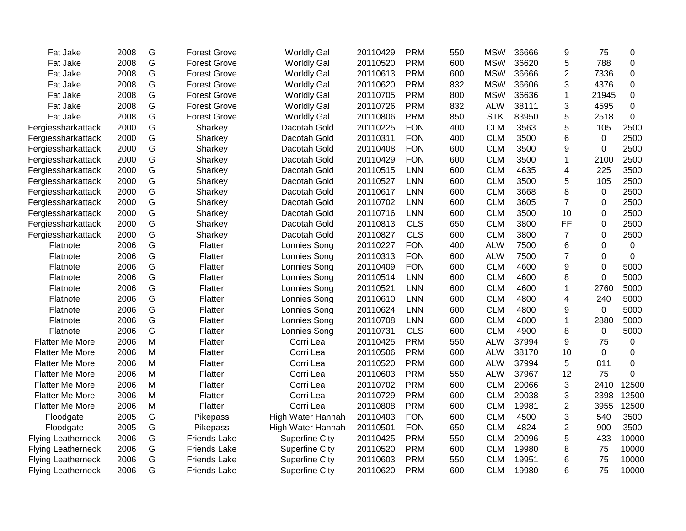| Fat Jake                  | 2008 | G         | <b>Forest Grove</b> | <b>Worldly Gal</b>    | 20110429 | <b>PRM</b> | 550 | <b>MSW</b> | 36666 | 9              | 75          | 0           |
|---------------------------|------|-----------|---------------------|-----------------------|----------|------------|-----|------------|-------|----------------|-------------|-------------|
| Fat Jake                  | 2008 | G         | <b>Forest Grove</b> | <b>Worldly Gal</b>    | 20110520 | <b>PRM</b> | 600 | <b>MSW</b> | 36620 | 5              | 788         | 0           |
| Fat Jake                  | 2008 | G         | <b>Forest Grove</b> | <b>Worldly Gal</b>    | 20110613 | <b>PRM</b> | 600 | <b>MSW</b> | 36666 | 2              | 7336        | 0           |
| Fat Jake                  | 2008 | G         | <b>Forest Grove</b> | <b>Worldly Gal</b>    | 20110620 | <b>PRM</b> | 832 | <b>MSW</b> | 36606 | 3              | 4376        | 0           |
| Fat Jake                  | 2008 | G         | <b>Forest Grove</b> | <b>Worldly Gal</b>    | 20110705 | <b>PRM</b> | 800 | <b>MSW</b> | 36636 | 1              | 21945       | 0           |
| Fat Jake                  | 2008 | G         | <b>Forest Grove</b> | <b>Worldly Gal</b>    | 20110726 | <b>PRM</b> | 832 | <b>ALW</b> | 38111 | 3              | 4595        | 0           |
| Fat Jake                  | 2008 | G         | <b>Forest Grove</b> | <b>Worldly Gal</b>    | 20110806 | <b>PRM</b> | 850 | <b>STK</b> | 83950 | 5              | 2518        | 0           |
| Fergiessharkattack        | 2000 | G         | Sharkey             | Dacotah Gold          | 20110225 | <b>FON</b> | 400 | <b>CLM</b> | 3563  | 5              | 105         | 2500        |
| Fergiessharkattack        | 2000 | G         | Sharkey             | Dacotah Gold          | 20110311 | <b>FON</b> | 400 | <b>CLM</b> | 3500  | 6              | $\mathbf 0$ | 2500        |
| Fergiessharkattack        | 2000 | G         | Sharkey             | Dacotah Gold          | 20110408 | <b>FON</b> | 600 | <b>CLM</b> | 3500  | 9              | 0           | 2500        |
| Fergiessharkattack        | 2000 | G         | Sharkey             | Dacotah Gold          | 20110429 | <b>FON</b> | 600 | <b>CLM</b> | 3500  | $\mathbf 1$    | 2100        | 2500        |
| Fergiessharkattack        | 2000 | G         | Sharkey             | Dacotah Gold          | 20110515 | <b>LNN</b> | 600 | <b>CLM</b> | 4635  | 4              | 225         | 3500        |
| Fergiessharkattack        | 2000 | G         | Sharkey             | Dacotah Gold          | 20110527 | <b>LNN</b> | 600 | <b>CLM</b> | 3500  | 5              | 105         | 2500        |
| Fergiessharkattack        | 2000 | G         | Sharkey             | Dacotah Gold          | 20110617 | <b>LNN</b> | 600 | <b>CLM</b> | 3668  | 8              | 0           | 2500        |
| Fergiessharkattack        | 2000 | G         | Sharkey             | Dacotah Gold          | 20110702 | <b>LNN</b> | 600 | <b>CLM</b> | 3605  | $\overline{7}$ | 0           | 2500        |
| Fergiessharkattack        | 2000 | G         | Sharkey             | Dacotah Gold          | 20110716 | <b>LNN</b> | 600 | <b>CLM</b> | 3500  | 10             | 0           | 2500        |
| Fergiessharkattack        | 2000 | G         | Sharkey             | Dacotah Gold          | 20110813 | <b>CLS</b> | 650 | <b>CLM</b> | 3800  | <b>FF</b>      | $\mathbf 0$ | 2500        |
| Fergiessharkattack        | 2000 | G         | Sharkey             | Dacotah Gold          | 20110827 | <b>CLS</b> | 600 | <b>CLM</b> | 3800  | $\overline{7}$ | 0           | 2500        |
| Flatnote                  | 2006 | G         | Flatter             | Lonnies Song          | 20110227 | <b>FON</b> | 400 | <b>ALW</b> | 7500  | 6              | 0           | $\mathbf 0$ |
| Flatnote                  | 2006 | G         | Flatter             | Lonnies Song          | 20110313 | <b>FON</b> | 600 | <b>ALW</b> | 7500  | 7              | 0           | 0           |
| Flatnote                  | 2006 | G         | Flatter             | Lonnies Song          | 20110409 | <b>FON</b> | 600 | <b>CLM</b> | 4600  | 9              | $\Omega$    | 5000        |
| Flatnote                  | 2006 | G         | Flatter             | Lonnies Song          | 20110514 | <b>LNN</b> | 600 | <b>CLM</b> | 4600  | 8              | $\Omega$    | 5000        |
| Flatnote                  | 2006 | G         | Flatter             | Lonnies Song          | 20110521 | <b>LNN</b> | 600 | <b>CLM</b> | 4600  | 1              | 2760        | 5000        |
| Flatnote                  | 2006 | G         | Flatter             | Lonnies Song          | 20110610 | <b>LNN</b> | 600 | <b>CLM</b> | 4800  | 4              | 240         | 5000        |
| Flatnote                  | 2006 | G         | Flatter             | Lonnies Song          | 20110624 | <b>LNN</b> | 600 | <b>CLM</b> | 4800  | 9              | 0           | 5000        |
| Flatnote                  | 2006 | G         | Flatter             | Lonnies Song          | 20110708 | <b>LNN</b> | 600 | <b>CLM</b> | 4800  | 1              | 2880        | 5000        |
| Flatnote                  | 2006 | G         | Flatter             | Lonnies Song          | 20110731 | <b>CLS</b> | 600 | <b>CLM</b> | 4900  | 8              | 0           | 5000        |
| <b>Flatter Me More</b>    | 2006 | M         | Flatter             | Corri Lea             | 20110425 | <b>PRM</b> | 550 | <b>ALW</b> | 37994 | 9              | 75          | 0           |
| <b>Flatter Me More</b>    | 2006 | M         | Flatter             | Corri Lea             | 20110506 | <b>PRM</b> | 600 | <b>ALW</b> | 38170 | 10             | $\Omega$    | 0           |
| <b>Flatter Me More</b>    | 2006 | ${\sf M}$ | Flatter             | Corri Lea             | 20110520 | <b>PRM</b> | 600 | <b>ALW</b> | 37994 | 5              | 811         | 0           |
| <b>Flatter Me More</b>    | 2006 | M         | Flatter             | Corri Lea             | 20110603 | <b>PRM</b> | 550 | <b>ALW</b> | 37967 | 12             | 75          | 0           |
| <b>Flatter Me More</b>    | 2006 | M         | Flatter             | Corri Lea             | 20110702 | <b>PRM</b> | 600 | <b>CLM</b> | 20066 | 3              | 2410        | 12500       |
| <b>Flatter Me More</b>    | 2006 | M         | Flatter             | Corri Lea             | 20110729 | <b>PRM</b> | 600 | <b>CLM</b> | 20038 | 3              | 2398        | 12500       |
| <b>Flatter Me More</b>    | 2006 | M         | Flatter             | Corri Lea             | 20110808 | <b>PRM</b> | 600 | <b>CLM</b> | 19981 | 2              | 3955        | 12500       |
| Floodgate                 | 2005 | G         | Pikepass            | High Water Hannah     | 20110403 | <b>FON</b> | 600 | <b>CLM</b> | 4500  | 3              | 540         | 3500        |
| Floodgate                 | 2005 | G         | Pikepass            | High Water Hannah     | 20110501 | <b>FON</b> | 650 | <b>CLM</b> | 4824  | $\overline{2}$ | 900         | 3500        |
| <b>Flying Leatherneck</b> | 2006 | G         | <b>Friends Lake</b> | <b>Superfine City</b> | 20110425 | <b>PRM</b> | 550 | <b>CLM</b> | 20096 | 5              | 433         | 10000       |
| <b>Flying Leatherneck</b> | 2006 | G         | <b>Friends Lake</b> | <b>Superfine City</b> | 20110520 | <b>PRM</b> | 600 | <b>CLM</b> | 19980 | 8              | 75          | 10000       |
| <b>Flying Leatherneck</b> | 2006 | G         | <b>Friends Lake</b> | <b>Superfine City</b> | 20110603 | <b>PRM</b> | 550 | <b>CLM</b> | 19951 | 6              | 75          | 10000       |
| <b>Flying Leatherneck</b> | 2006 | G         | <b>Friends Lake</b> | <b>Superfine City</b> | 20110620 | <b>PRM</b> | 600 | <b>CLM</b> | 19980 | 6              | 75          | 10000       |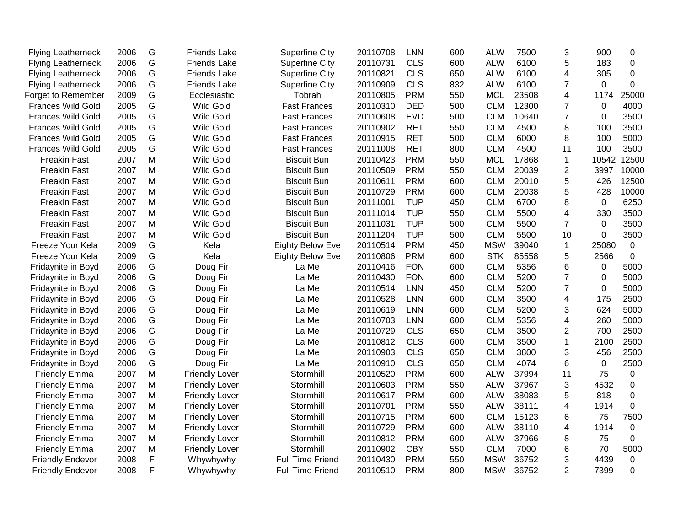| <b>Flying Leatherneck</b> | 2006 | G             | <b>Friends Lake</b>   | <b>Superfine City</b>   | 20110708 | <b>LNN</b> | 600 | <b>ALW</b> | 7500  | 3              | 900         | 0            |
|---------------------------|------|---------------|-----------------------|-------------------------|----------|------------|-----|------------|-------|----------------|-------------|--------------|
| <b>Flying Leatherneck</b> | 2006 | G             | <b>Friends Lake</b>   | <b>Superfine City</b>   | 20110731 | <b>CLS</b> | 600 | <b>ALW</b> | 6100  | 5              | 183         | $\mathbf 0$  |
| <b>Flying Leatherneck</b> | 2006 | G             | <b>Friends Lake</b>   | <b>Superfine City</b>   | 20110821 | <b>CLS</b> | 650 | <b>ALW</b> | 6100  | 4              | 305         | 0            |
| <b>Flying Leatherneck</b> | 2006 | G             | <b>Friends Lake</b>   | <b>Superfine City</b>   | 20110909 | <b>CLS</b> | 832 | <b>ALW</b> | 6100  | $\overline{7}$ | $\Omega$    | $\mathbf 0$  |
| Forget to Remember        | 2009 | G             | Ecclesiastic          | Tobrah                  | 20110805 | <b>PRM</b> | 550 | <b>MCL</b> | 23508 | 4              | 1174        | 25000        |
| <b>Frances Wild Gold</b>  | 2005 | G             | <b>Wild Gold</b>      | <b>Fast Frances</b>     | 20110310 | <b>DED</b> | 500 | <b>CLM</b> | 12300 | 7              | 0           | 4000         |
| Frances Wild Gold         | 2005 | ${\mathsf G}$ | Wild Gold             | <b>Fast Frances</b>     | 20110608 | <b>EVD</b> | 500 | <b>CLM</b> | 10640 | $\overline{7}$ | $\Omega$    | 3500         |
| <b>Frances Wild Gold</b>  | 2005 | G             | <b>Wild Gold</b>      | <b>Fast Frances</b>     | 20110902 | <b>RET</b> | 550 | <b>CLM</b> | 4500  | 8              | 100         | 3500         |
| <b>Frances Wild Gold</b>  | 2005 | ${\mathsf G}$ | <b>Wild Gold</b>      | <b>Fast Frances</b>     | 20110915 | <b>RET</b> | 500 | <b>CLM</b> | 6000  | 8              | 100         | 5000         |
| <b>Frances Wild Gold</b>  | 2005 | G             | <b>Wild Gold</b>      | <b>Fast Frances</b>     | 20111008 | <b>RET</b> | 800 | <b>CLM</b> | 4500  | 11             | 100         | 3500         |
| <b>Freakin Fast</b>       | 2007 | M             | <b>Wild Gold</b>      | <b>Biscuit Bun</b>      | 20110423 | <b>PRM</b> | 550 | <b>MCL</b> | 17868 | $\mathbf 1$    | 10542       | 12500        |
| <b>Freakin Fast</b>       | 2007 | M             | <b>Wild Gold</b>      | <b>Biscuit Bun</b>      | 20110509 | <b>PRM</b> | 550 | <b>CLM</b> | 20039 | $\overline{2}$ | 3997        | 10000        |
| <b>Freakin Fast</b>       | 2007 | M             | <b>Wild Gold</b>      | <b>Biscuit Bun</b>      | 20110611 | <b>PRM</b> | 600 | <b>CLM</b> | 20010 | 5              | 426         | 12500        |
| <b>Freakin Fast</b>       | 2007 | M             | <b>Wild Gold</b>      | <b>Biscuit Bun</b>      | 20110729 | <b>PRM</b> | 600 | <b>CLM</b> | 20038 | 5              | 428         | 10000        |
| <b>Freakin Fast</b>       | 2007 | M             | <b>Wild Gold</b>      | <b>Biscuit Bun</b>      | 20111001 | <b>TUP</b> | 450 | <b>CLM</b> | 6700  | 8              | $\mathbf 0$ | 6250         |
| <b>Freakin Fast</b>       | 2007 | M             | <b>Wild Gold</b>      | <b>Biscuit Bun</b>      | 20111014 | <b>TUP</b> | 550 | <b>CLM</b> | 5500  | 4              | 330         | 3500         |
| <b>Freakin Fast</b>       | 2007 | M             | <b>Wild Gold</b>      | <b>Biscuit Bun</b>      | 20111031 | <b>TUP</b> | 500 | <b>CLM</b> | 5500  | $\overline{7}$ | 0           | 3500         |
| <b>Freakin Fast</b>       | 2007 | M             | Wild Gold             | <b>Biscuit Bun</b>      | 20111204 | <b>TUP</b> | 500 | <b>CLM</b> | 5500  | 10             | $\Omega$    | 3500         |
| Freeze Your Kela          | 2009 | G             | Kela                  | <b>Eighty Below Eve</b> | 20110514 | <b>PRM</b> | 450 | <b>MSW</b> | 39040 | $\mathbf{1}$   | 25080       | $\mathbf 0$  |
| Freeze Your Kela          | 2009 | G             | Kela                  | <b>Eighty Below Eve</b> | 20110806 | <b>PRM</b> | 600 | <b>STK</b> | 85558 | 5              | 2566        | $\mathbf 0$  |
| Fridaynite in Boyd        | 2006 | ${\mathsf G}$ | Doug Fir              | La Me                   | 20110416 | <b>FON</b> | 600 | <b>CLM</b> | 5356  | 6              | 0           | 5000         |
| Fridaynite in Boyd        | 2006 | G             | Doug Fir              | La Me                   | 20110430 | <b>FON</b> | 600 | <b>CLM</b> | 5200  | $\overline{7}$ | $\Omega$    | 5000         |
| Fridaynite in Boyd        | 2006 | G             | Doug Fir              | La Me                   | 20110514 | <b>LNN</b> | 450 | <b>CLM</b> | 5200  | $\overline{7}$ | 0           | 5000         |
| Fridaynite in Boyd        | 2006 | ${\mathsf G}$ | Doug Fir              | La Me                   | 20110528 | <b>LNN</b> | 600 | <b>CLM</b> | 3500  | 4              | 175         | 2500         |
| Fridaynite in Boyd        | 2006 | G             | Doug Fir              | La Me                   | 20110619 | <b>LNN</b> | 600 | <b>CLM</b> | 5200  | 3              | 624         | 5000         |
| Fridaynite in Boyd        | 2006 | G             | Doug Fir              | La Me                   | 20110703 | <b>LNN</b> | 600 | <b>CLM</b> | 5356  | 4              | 260         | 5000         |
| Fridaynite in Boyd        | 2006 | G             | Doug Fir              | La Me                   | 20110729 | <b>CLS</b> | 650 | <b>CLM</b> | 3500  | 2              | 700         | 2500         |
| Fridaynite in Boyd        | 2006 | G             | Doug Fir              | La Me                   | 20110812 | <b>CLS</b> | 600 | <b>CLM</b> | 3500  | 1              | 2100        | 2500         |
| Fridaynite in Boyd        | 2006 | G             | Doug Fir              | La Me                   | 20110903 | <b>CLS</b> | 650 | <b>CLM</b> | 3800  | 3              | 456         | 2500         |
| Fridaynite in Boyd        | 2006 | G             | Doug Fir              | La Me                   | 20110910 | <b>CLS</b> | 650 | <b>CLM</b> | 4074  | 6              | 0           | 2500         |
| <b>Friendly Emma</b>      | 2007 | M             | <b>Friendly Lover</b> | Stormhill               | 20110520 | <b>PRM</b> | 600 | <b>ALW</b> | 37994 | 11             | 75          | $\mathbf 0$  |
| <b>Friendly Emma</b>      | 2007 | M             | <b>Friendly Lover</b> | Stormhill               | 20110603 | <b>PRM</b> | 550 | <b>ALW</b> | 37967 | 3              | 4532        | $\pmb{0}$    |
| <b>Friendly Emma</b>      | 2007 | M             | <b>Friendly Lover</b> | Stormhill               | 20110617 | <b>PRM</b> | 600 | <b>ALW</b> | 38083 | 5              | 818         | $\mathbf 0$  |
| <b>Friendly Emma</b>      | 2007 | M             | <b>Friendly Lover</b> | Stormhill               | 20110701 | <b>PRM</b> | 550 | <b>ALW</b> | 38111 | 4              | 1914        | $\mathbf 0$  |
| <b>Friendly Emma</b>      | 2007 | M             | <b>Friendly Lover</b> | Stormhill               | 20110715 | <b>PRM</b> | 600 | <b>CLM</b> | 15123 | 6              | 75          | 7500         |
| <b>Friendly Emma</b>      | 2007 | M             | <b>Friendly Lover</b> | Stormhill               | 20110729 | <b>PRM</b> | 600 | <b>ALW</b> | 38110 | 4              | 1914        | $\mathbf 0$  |
| <b>Friendly Emma</b>      | 2007 | M             | <b>Friendly Lover</b> | Stormhill               | 20110812 | <b>PRM</b> | 600 | <b>ALW</b> | 37966 | 8              | 75          | $\mathbf{0}$ |
| <b>Friendly Emma</b>      | 2007 | M             | <b>Friendly Lover</b> | Stormhill               | 20110902 | <b>CBY</b> | 550 | <b>CLM</b> | 7000  | 6              | 70          | 5000         |
| <b>Friendly Endevor</b>   | 2008 | F             | Whywhywhy             | <b>Full Time Friend</b> | 20110430 | <b>PRM</b> | 550 | <b>MSW</b> | 36752 | 3              | 4439        | $\mathbf 0$  |
| <b>Friendly Endevor</b>   | 2008 | F             | Whywhywhy             | <b>Full Time Friend</b> | 20110510 | <b>PRM</b> | 800 | <b>MSW</b> | 36752 | $\overline{2}$ | 7399        | 0            |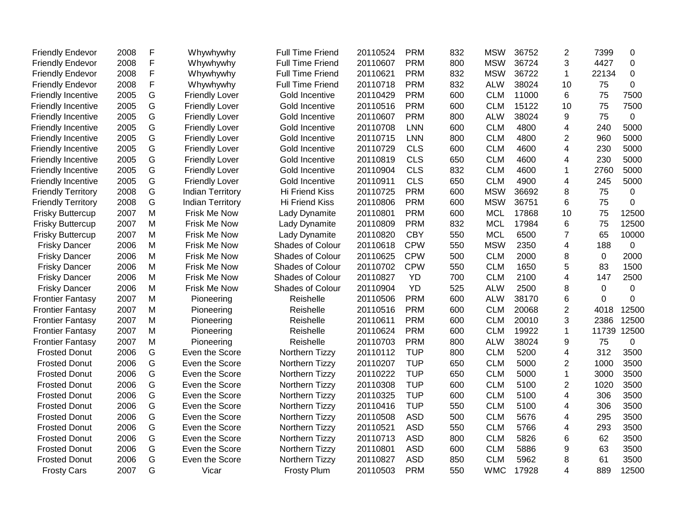| <b>Friendly Endevor</b>   | 2008 | F | Whywhywhy               | <b>Full Time Friend</b> | 20110524 | <b>PRM</b> | 832 | <b>MSW</b> | 36752 | 2              | 7399         | 0           |
|---------------------------|------|---|-------------------------|-------------------------|----------|------------|-----|------------|-------|----------------|--------------|-------------|
| <b>Friendly Endevor</b>   | 2008 | F | Whywhywhy               | <b>Full Time Friend</b> | 20110607 | <b>PRM</b> | 800 | <b>MSW</b> | 36724 | 3              | 4427         | $\mathbf 0$ |
| <b>Friendly Endevor</b>   | 2008 | F | Whywhywhy               | <b>Full Time Friend</b> | 20110621 | <b>PRM</b> | 832 | <b>MSW</b> | 36722 | $\mathbf{1}$   | 22134        | $\Omega$    |
| <b>Friendly Endevor</b>   | 2008 | F | Whywhywhy               | <b>Full Time Friend</b> | 20110718 | <b>PRM</b> | 832 | <b>ALW</b> | 38024 | 10             | 75           | 0           |
| <b>Friendly Incentive</b> | 2005 | G | <b>Friendly Lover</b>   | Gold Incentive          | 20110429 | <b>PRM</b> | 600 | <b>CLM</b> | 11000 | 6              | 75           | 7500        |
| <b>Friendly Incentive</b> | 2005 | G | <b>Friendly Lover</b>   | Gold Incentive          | 20110516 | <b>PRM</b> | 600 | <b>CLM</b> | 15122 | 10             | 75           | 7500        |
| <b>Friendly Incentive</b> | 2005 | G | <b>Friendly Lover</b>   | Gold Incentive          | 20110607 | <b>PRM</b> | 800 | <b>ALW</b> | 38024 | 9              | 75           | 0           |
| <b>Friendly Incentive</b> | 2005 | G | <b>Friendly Lover</b>   | Gold Incentive          | 20110708 | <b>LNN</b> | 600 | <b>CLM</b> | 4800  | 4              | 240          | 5000        |
| <b>Friendly Incentive</b> | 2005 | G | <b>Friendly Lover</b>   | Gold Incentive          | 20110715 | LNN        | 800 | <b>CLM</b> | 4800  | $\overline{2}$ | 960          | 5000        |
| <b>Friendly Incentive</b> | 2005 | G | <b>Friendly Lover</b>   | Gold Incentive          | 20110729 | <b>CLS</b> | 600 | <b>CLM</b> | 4600  | 4              | 230          | 5000        |
| <b>Friendly Incentive</b> | 2005 | G | <b>Friendly Lover</b>   | Gold Incentive          | 20110819 | <b>CLS</b> | 650 | <b>CLM</b> | 4600  | 4              | 230          | 5000        |
| <b>Friendly Incentive</b> | 2005 | G | <b>Friendly Lover</b>   | Gold Incentive          | 20110904 | <b>CLS</b> | 832 | <b>CLM</b> | 4600  | -1             | 2760         | 5000        |
| <b>Friendly Incentive</b> | 2005 | G | <b>Friendly Lover</b>   | Gold Incentive          | 20110911 | <b>CLS</b> | 650 | <b>CLM</b> | 4900  | 4              | 245          | 5000        |
| <b>Friendly Territory</b> | 2008 | G | <b>Indian Territory</b> | Hi Friend Kiss          | 20110725 | <b>PRM</b> | 600 | <b>MSW</b> | 36692 | 8              | 75           | 0           |
| <b>Friendly Territory</b> | 2008 | G | <b>Indian Territory</b> | Hi Friend Kiss          | 20110806 | <b>PRM</b> | 600 | <b>MSW</b> | 36751 | 6              | 75           | 0           |
| <b>Frisky Buttercup</b>   | 2007 | M | Frisk Me Now            | Lady Dynamite           | 20110801 | <b>PRM</b> | 600 | <b>MCL</b> | 17868 | 10             | 75           | 12500       |
| <b>Frisky Buttercup</b>   | 2007 | M | Frisk Me Now            | Lady Dynamite           | 20110809 | <b>PRM</b> | 832 | <b>MCL</b> | 17984 | 6              | 75           | 12500       |
| <b>Frisky Buttercup</b>   | 2007 | M | Frisk Me Now            | Lady Dynamite           | 20110820 | <b>CBY</b> | 550 | <b>MCL</b> | 6500  | $\overline{7}$ | 65           | 10000       |
| <b>Frisky Dancer</b>      | 2006 | M | Frisk Me Now            | Shades of Colour        | 20110618 | <b>CPW</b> | 550 | <b>MSW</b> | 2350  | 4              | 188          | $\mathbf 0$ |
| <b>Frisky Dancer</b>      | 2006 | М | <b>Frisk Me Now</b>     | <b>Shades of Colour</b> | 20110625 | <b>CPW</b> | 500 | <b>CLM</b> | 2000  | 8              | 0            | 2000        |
| <b>Frisky Dancer</b>      | 2006 | M | Frisk Me Now            | Shades of Colour        | 20110702 | <b>CPW</b> | 550 | <b>CLM</b> | 1650  | 5              | 83           | 1500        |
| <b>Frisky Dancer</b>      | 2006 | M | Frisk Me Now            | Shades of Colour        | 20110827 | <b>YD</b>  | 700 | <b>CLM</b> | 2100  | 4              | 147          | 2500        |
| <b>Frisky Dancer</b>      | 2006 | M | Frisk Me Now            | Shades of Colour        | 20110904 | YD         | 525 | <b>ALW</b> | 2500  | 8              | 0            | 0           |
| <b>Frontier Fantasy</b>   | 2007 | M | Pioneering              | Reishelle               | 20110506 | <b>PRM</b> | 600 | <b>ALW</b> | 38170 | 6              | $\mathbf{0}$ | 0           |
| <b>Frontier Fantasy</b>   | 2007 | M | Pioneering              | Reishelle               | 20110516 | <b>PRM</b> | 600 | <b>CLM</b> | 20068 | $\overline{2}$ | 4018         | 12500       |
| <b>Frontier Fantasy</b>   | 2007 | M | Pioneering              | Reishelle               | 20110611 | <b>PRM</b> | 600 | <b>CLM</b> | 20010 | 3              | 2386         | 12500       |
| <b>Frontier Fantasy</b>   | 2007 | M | Pioneering              | Reishelle               | 20110624 | <b>PRM</b> | 600 | <b>CLM</b> | 19922 | 1              | 11739        | 12500       |
| <b>Frontier Fantasy</b>   | 2007 | M | Pioneering              | Reishelle               | 20110703 | <b>PRM</b> | 800 | <b>ALW</b> | 38024 | 9              | 75           | 0           |
| <b>Frosted Donut</b>      | 2006 | G | Even the Score          | Northern Tizzy          | 20110112 | <b>TUP</b> | 800 | <b>CLM</b> | 5200  | 4              | 312          | 3500        |
| <b>Frosted Donut</b>      | 2006 | G | Even the Score          | Northern Tizzy          | 20110207 | <b>TUP</b> | 650 | <b>CLM</b> | 5000  | 2              | 1000         | 3500        |
| <b>Frosted Donut</b>      | 2006 | G | Even the Score          | Northern Tizzy          | 20110222 | <b>TUP</b> | 650 | <b>CLM</b> | 5000  | $\mathbf{1}$   | 3000         | 3500        |
| <b>Frosted Donut</b>      | 2006 | G | Even the Score          | Northern Tizzy          | 20110308 | <b>TUP</b> | 600 | <b>CLM</b> | 5100  | $\overline{2}$ | 1020         | 3500        |
| <b>Frosted Donut</b>      | 2006 | G | Even the Score          | Northern Tizzy          | 20110325 | <b>TUP</b> | 600 | <b>CLM</b> | 5100  | 4              | 306          | 3500        |
| <b>Frosted Donut</b>      | 2006 | G | Even the Score          | Northern Tizzy          | 20110416 | <b>TUP</b> | 550 | <b>CLM</b> | 5100  | 4              | 306          | 3500        |
| <b>Frosted Donut</b>      | 2006 | G | Even the Score          | Northern Tizzy          | 20110508 | <b>ASD</b> | 500 | <b>CLM</b> | 5676  | 4              | 295          | 3500        |
| <b>Frosted Donut</b>      | 2006 | G | Even the Score          | Northern Tizzy          | 20110521 | <b>ASD</b> | 550 | <b>CLM</b> | 5766  | 4              | 293          | 3500        |
| <b>Frosted Donut</b>      | 2006 | G | Even the Score          | Northern Tizzy          | 20110713 | <b>ASD</b> | 800 | <b>CLM</b> | 5826  | 6              | 62           | 3500        |
| <b>Frosted Donut</b>      | 2006 | G | Even the Score          | Northern Tizzy          | 20110801 | <b>ASD</b> | 600 | <b>CLM</b> | 5886  | 9              | 63           | 3500        |
| <b>Frosted Donut</b>      | 2006 | G | Even the Score          | Northern Tizzy          | 20110827 | <b>ASD</b> | 850 | <b>CLM</b> | 5962  | 8              | 61           | 3500        |
| <b>Frosty Cars</b>        | 2007 | G | Vicar                   | <b>Frosty Plum</b>      | 20110503 | <b>PRM</b> | 550 | <b>WMC</b> | 17928 | 4              | 889          | 12500       |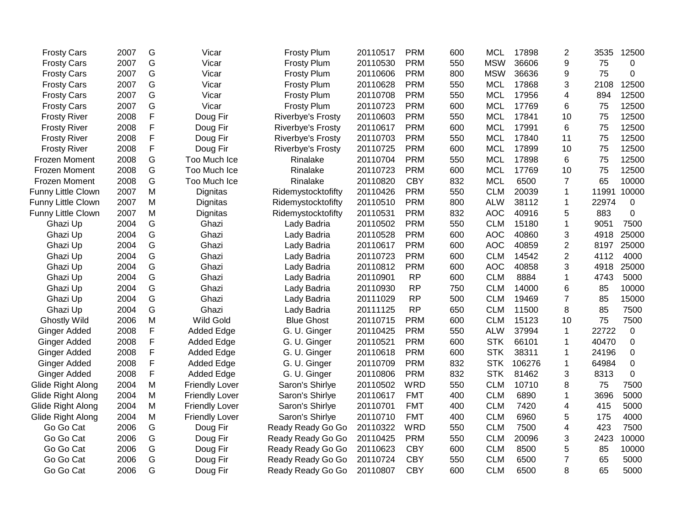| <b>Frosty Cars</b>        | 2007 | G | Vicar                 | Frosty Plum              | 20110517 | <b>PRM</b> | 600 | <b>MCL</b> | 17898  | 2              | 3535  | 12500       |
|---------------------------|------|---|-----------------------|--------------------------|----------|------------|-----|------------|--------|----------------|-------|-------------|
| <b>Frosty Cars</b>        | 2007 | G | Vicar                 | <b>Frosty Plum</b>       | 20110530 | <b>PRM</b> | 550 | <b>MSW</b> | 36606  | 9              | 75    | 0           |
| <b>Frosty Cars</b>        | 2007 | G | Vicar                 | <b>Frosty Plum</b>       | 20110606 | <b>PRM</b> | 800 | <b>MSW</b> | 36636  | 9              | 75    | 0           |
| <b>Frosty Cars</b>        | 2007 | G | Vicar                 | <b>Frosty Plum</b>       | 20110628 | <b>PRM</b> | 550 | <b>MCL</b> | 17868  | 3              | 2108  | 12500       |
| <b>Frosty Cars</b>        | 2007 | G | Vicar                 | <b>Frosty Plum</b>       | 20110708 | <b>PRM</b> | 550 | <b>MCL</b> | 17956  | 4              | 894   | 12500       |
| <b>Frosty Cars</b>        | 2007 | G | Vicar                 | <b>Frosty Plum</b>       | 20110723 | <b>PRM</b> | 600 | <b>MCL</b> | 17769  | 6              | 75    | 12500       |
| <b>Frosty River</b>       | 2008 | F | Doug Fir              | <b>Riverbye's Frosty</b> | 20110603 | <b>PRM</b> | 550 | <b>MCL</b> | 17841  | 10             | 75    | 12500       |
| <b>Frosty River</b>       | 2008 | F | Doug Fir              | <b>Riverbye's Frosty</b> | 20110617 | <b>PRM</b> | 600 | <b>MCL</b> | 17991  | 6              | 75    | 12500       |
| <b>Frosty River</b>       | 2008 | F | Doug Fir              | <b>Riverbye's Frosty</b> | 20110703 | <b>PRM</b> | 550 | <b>MCL</b> | 17840  | 11             | 75    | 12500       |
| <b>Frosty River</b>       | 2008 | F | Doug Fir              | Riverbye's Frosty        | 20110725 | <b>PRM</b> | 600 | <b>MCL</b> | 17899  | 10             | 75    | 12500       |
| Frozen Moment             | 2008 | G | Too Much Ice          | Rinalake                 | 20110704 | <b>PRM</b> | 550 | <b>MCL</b> | 17898  | 6              | 75    | 12500       |
| Frozen Moment             | 2008 | G | Too Much Ice          | Rinalake                 | 20110723 | <b>PRM</b> | 600 | <b>MCL</b> | 17769  | 10             | 75    | 12500       |
| Frozen Moment             | 2008 | G | Too Much Ice          | Rinalake                 | 20110820 | <b>CBY</b> | 832 | <b>MCL</b> | 6500   | $\overline{7}$ | 65    | 10000       |
| Funny Little Clown        | 2007 | M | Dignitas              | Ridemystocktofifty       | 20110426 | <b>PRM</b> | 550 | <b>CLM</b> | 20039  | 1              | 11991 | 10000       |
| Funny Little Clown        | 2007 | M | Dignitas              | Ridemystocktofifty       | 20110510 | <b>PRM</b> | 800 | <b>ALW</b> | 38112  | 1              | 22974 | 0           |
| <b>Funny Little Clown</b> | 2007 | M | Dignitas              | Ridemystocktofifty       | 20110531 | <b>PRM</b> | 832 | <b>AOC</b> | 40916  | 5              | 883   | 0           |
| Ghazi Up                  | 2004 | G | Ghazi                 | Lady Badria              | 20110502 | <b>PRM</b> | 550 | <b>CLM</b> | 15180  | 1              | 9051  | 7500        |
| Ghazi Up                  | 2004 | G | Ghazi                 | Lady Badria              | 20110528 | <b>PRM</b> | 600 | <b>AOC</b> | 40860  | 3              | 4918  | 25000       |
| Ghazi Up                  | 2004 | G | Ghazi                 | Lady Badria              | 20110617 | <b>PRM</b> | 600 | <b>AOC</b> | 40859  | $\overline{2}$ | 8197  | 25000       |
| Ghazi Up                  | 2004 | G | Ghazi                 | Lady Badria              | 20110723 | <b>PRM</b> | 600 | <b>CLM</b> | 14542  | $\overline{2}$ | 4112  | 4000        |
| Ghazi Up                  | 2004 | G | Ghazi                 | Lady Badria              | 20110812 | <b>PRM</b> | 600 | <b>AOC</b> | 40858  | 3              | 4918  | 25000       |
| Ghazi Up                  | 2004 | G | Ghazi                 | Lady Badria              | 20110901 | <b>RP</b>  | 600 | <b>CLM</b> | 8884   | 1              | 4743  | 5000        |
| Ghazi Up                  | 2004 | G | Ghazi                 | Lady Badria              | 20110930 | <b>RP</b>  | 750 | <b>CLM</b> | 14000  | 6              | 85    | 10000       |
| Ghazi Up                  | 2004 | G | Ghazi                 | Lady Badria              | 20111029 | <b>RP</b>  | 500 | <b>CLM</b> | 19469  | $\overline{7}$ | 85    | 15000       |
| Ghazi Up                  | 2004 | G | Ghazi                 | Lady Badria              | 20111125 | <b>RP</b>  | 650 | <b>CLM</b> | 11500  | 8              | 85    | 7500        |
| <b>Ghostly Wild</b>       | 2006 | M | <b>Wild Gold</b>      | <b>Blue Ghost</b>        | 20110715 | <b>PRM</b> | 600 | <b>CLM</b> | 15123  | 10             | 75    | 7500        |
| <b>Ginger Added</b>       | 2008 | F | <b>Added Edge</b>     | G. U. Ginger             | 20110425 | <b>PRM</b> | 550 | <b>ALW</b> | 37994  | $\mathbf 1$    | 22722 | $\pmb{0}$   |
| <b>Ginger Added</b>       | 2008 | F | <b>Added Edge</b>     | G. U. Ginger             | 20110521 | <b>PRM</b> | 600 | <b>STK</b> | 66101  | 1              | 40470 | $\mathbf 0$ |
| <b>Ginger Added</b>       | 2008 | F | <b>Added Edge</b>     | G. U. Ginger             | 20110618 | <b>PRM</b> | 600 | <b>STK</b> | 38311  | 1              | 24196 | 0           |
| <b>Ginger Added</b>       | 2008 | F | <b>Added Edge</b>     | G. U. Ginger             | 20110709 | <b>PRM</b> | 832 | <b>STK</b> | 106276 | 1              | 64984 | 0           |
| <b>Ginger Added</b>       | 2008 | F | <b>Added Edge</b>     | G. U. Ginger             | 20110806 | <b>PRM</b> | 832 | <b>STK</b> | 81462  | 3              | 8313  | 0           |
| Glide Right Along         | 2004 | M | <b>Friendly Lover</b> | Saron's Shirlye          | 20110502 | <b>WRD</b> | 550 | <b>CLM</b> | 10710  | 8              | 75    | 7500        |
| Glide Right Along         | 2004 | M | <b>Friendly Lover</b> | Saron's Shirlye          | 20110617 | <b>FMT</b> | 400 | <b>CLM</b> | 6890   | 1              | 3696  | 5000        |
| Glide Right Along         | 2004 | M | <b>Friendly Lover</b> | Saron's Shirlye          | 20110701 | <b>FMT</b> | 400 | <b>CLM</b> | 7420   | 4              | 415   | 5000        |
| Glide Right Along         | 2004 | M | <b>Friendly Lover</b> | Saron's Shirlye          | 20110710 | <b>FMT</b> | 400 | <b>CLM</b> | 6960   | 5              | 175   | 4000        |
| Go Go Cat                 | 2006 | G | Doug Fir              | Ready Ready Go Go        | 20110322 | <b>WRD</b> | 550 | <b>CLM</b> | 7500   | 4              | 423   | 7500        |
| Go Go Cat                 | 2006 | G | Doug Fir              | Ready Ready Go Go        | 20110425 | <b>PRM</b> | 550 | <b>CLM</b> | 20096  | 3              | 2423  | 10000       |
| Go Go Cat                 | 2006 | G | Doug Fir              | Ready Ready Go Go        | 20110623 | <b>CBY</b> | 600 | <b>CLM</b> | 8500   | 5              | 85    | 10000       |
| Go Go Cat                 | 2006 | G | Doug Fir              | Ready Ready Go Go        | 20110724 | <b>CBY</b> | 550 | <b>CLM</b> | 6500   | 7              | 65    | 5000        |
| Go Go Cat                 | 2006 | G | Doug Fir              | Ready Ready Go Go        | 20110807 | <b>CBY</b> | 600 | <b>CLM</b> | 6500   | 8              | 65    | 5000        |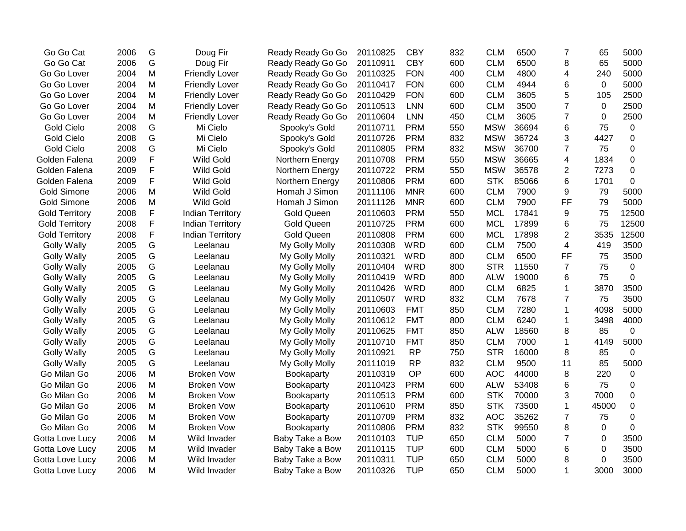| Go Go Cat             | 2006 | G | Doug Fir                | Ready Ready Go Go | 20110825 | <b>CBY</b> | 832 | <b>CLM</b> | 6500  | $\overline{7}$ | 65    | 5000        |
|-----------------------|------|---|-------------------------|-------------------|----------|------------|-----|------------|-------|----------------|-------|-------------|
| Go Go Cat             | 2006 | G | Doug Fir                | Ready Ready Go Go | 20110911 | <b>CBY</b> | 600 | <b>CLM</b> | 6500  | 8              | 65    | 5000        |
| Go Go Lover           | 2004 | M | <b>Friendly Lover</b>   | Ready Ready Go Go | 20110325 | <b>FON</b> | 400 | <b>CLM</b> | 4800  | 4              | 240   | 5000        |
| Go Go Lover           | 2004 | M | <b>Friendly Lover</b>   | Ready Ready Go Go | 20110417 | <b>FON</b> | 600 | <b>CLM</b> | 4944  | 6              | 0     | 5000        |
| Go Go Lover           | 2004 | M | <b>Friendly Lover</b>   | Ready Ready Go Go | 20110429 | <b>FON</b> | 600 | <b>CLM</b> | 3605  | 5              | 105   | 2500        |
| Go Go Lover           | 2004 | M | <b>Friendly Lover</b>   | Ready Ready Go Go | 20110513 | <b>LNN</b> | 600 | <b>CLM</b> | 3500  | 7              | 0     | 2500        |
| Go Go Lover           | 2004 | M | <b>Friendly Lover</b>   | Ready Ready Go Go | 20110604 | <b>LNN</b> | 450 | <b>CLM</b> | 3605  | 7              | 0     | 2500        |
| <b>Gold Cielo</b>     | 2008 | G | Mi Cielo                | Spooky's Gold     | 20110711 | <b>PRM</b> | 550 | <b>MSW</b> | 36694 | 6              | 75    | 0           |
| <b>Gold Cielo</b>     | 2008 | G | Mi Cielo                | Spooky's Gold     | 20110726 | <b>PRM</b> | 832 | <b>MSW</b> | 36724 | 3              | 4427  | $\mathbf 0$ |
| <b>Gold Cielo</b>     | 2008 | G | Mi Cielo                | Spooky's Gold     | 20110805 | <b>PRM</b> | 832 | <b>MSW</b> | 36700 | $\overline{7}$ | 75    | 0           |
| Golden Falena         | 2009 | F | <b>Wild Gold</b>        | Northern Energy   | 20110708 | <b>PRM</b> | 550 | <b>MSW</b> | 36665 | 4              | 1834  | 0           |
| Golden Falena         | 2009 | F | <b>Wild Gold</b>        | Northern Energy   | 20110722 | <b>PRM</b> | 550 | <b>MSW</b> | 36578 | 2              | 7273  | 0           |
| Golden Falena         | 2009 | F | <b>Wild Gold</b>        | Northern Energy   | 20110806 | <b>PRM</b> | 600 | <b>STK</b> | 85066 | 6              | 1701  | $\mathbf 0$ |
| Gold Simone           | 2006 | M | <b>Wild Gold</b>        | Homah J Simon     | 20111106 | <b>MNR</b> | 600 | <b>CLM</b> | 7900  | 9              | 79    | 5000        |
| <b>Gold Simone</b>    | 2006 | M | <b>Wild Gold</b>        | Homah J Simon     | 20111126 | <b>MNR</b> | 600 | <b>CLM</b> | 7900  | FF             | 79    | 5000        |
| <b>Gold Territory</b> | 2008 | F | <b>Indian Territory</b> | <b>Gold Queen</b> | 20110603 | <b>PRM</b> | 550 | <b>MCL</b> | 17841 | 9              | 75    | 12500       |
| <b>Gold Territory</b> | 2008 | F | <b>Indian Territory</b> | <b>Gold Queen</b> | 20110725 | <b>PRM</b> | 600 | <b>MCL</b> | 17899 | 6              | 75    | 12500       |
| <b>Gold Territory</b> | 2008 | F | <b>Indian Territory</b> | <b>Gold Queen</b> | 20110808 | <b>PRM</b> | 600 | <b>MCL</b> | 17898 | $\overline{2}$ | 3535  | 12500       |
| <b>Golly Wally</b>    | 2005 | G | Leelanau                | My Golly Molly    | 20110308 | <b>WRD</b> | 600 | <b>CLM</b> | 7500  | 4              | 419   | 3500        |
| <b>Golly Wally</b>    | 2005 | G | Leelanau                | My Golly Molly    | 20110321 | <b>WRD</b> | 800 | <b>CLM</b> | 6500  | FF             | 75    | 3500        |
| <b>Golly Wally</b>    | 2005 | G | Leelanau                | My Golly Molly    | 20110404 | <b>WRD</b> | 800 | <b>STR</b> | 11550 | $\overline{7}$ | 75    | $\mathbf 0$ |
| <b>Golly Wally</b>    | 2005 | G | Leelanau                | My Golly Molly    | 20110419 | <b>WRD</b> | 800 | <b>ALW</b> | 19000 | 6              | 75    | 0           |
| <b>Golly Wally</b>    | 2005 | G | Leelanau                | My Golly Molly    | 20110426 | <b>WRD</b> | 800 | <b>CLM</b> | 6825  | $\mathbf 1$    | 3870  | 3500        |
| <b>Golly Wally</b>    | 2005 | G | Leelanau                | My Golly Molly    | 20110507 | <b>WRD</b> | 832 | <b>CLM</b> | 7678  | 7              | 75    | 3500        |
| <b>Golly Wally</b>    | 2005 | G | Leelanau                | My Golly Molly    | 20110603 | <b>FMT</b> | 850 | <b>CLM</b> | 7280  | 1              | 4098  | 5000        |
| <b>Golly Wally</b>    | 2005 | G | Leelanau                | My Golly Molly    | 20110612 | <b>FMT</b> | 800 | <b>CLM</b> | 6240  | 1              | 3498  | 4000        |
| <b>Golly Wally</b>    | 2005 | G | Leelanau                | My Golly Molly    | 20110625 | <b>FMT</b> | 850 | <b>ALW</b> | 18560 | 8              | 85    | $\mathbf 0$ |
| <b>Golly Wally</b>    | 2005 | G | Leelanau                | My Golly Molly    | 20110710 | <b>FMT</b> | 850 | <b>CLM</b> | 7000  | 1              | 4149  | 5000        |
| <b>Golly Wally</b>    | 2005 | G | Leelanau                | My Golly Molly    | 20110921 | <b>RP</b>  | 750 | <b>STR</b> | 16000 | 8              | 85    | $\mathbf 0$ |
| <b>Golly Wally</b>    | 2005 | G | Leelanau                | My Golly Molly    | 20111019 | <b>RP</b>  | 832 | <b>CLM</b> | 9500  | 11             | 85    | 5000        |
| Go Milan Go           | 2006 | M | <b>Broken Vow</b>       | Bookaparty        | 20110319 | OP         | 600 | <b>AOC</b> | 44000 | 8              | 220   | $\mathbf 0$ |
| Go Milan Go           | 2006 | M | <b>Broken Vow</b>       | Bookaparty        | 20110423 | <b>PRM</b> | 600 | <b>ALW</b> | 53408 | 6              | 75    | $\pmb{0}$   |
| Go Milan Go           | 2006 | M | <b>Broken Vow</b>       | Bookaparty        | 20110513 | <b>PRM</b> | 600 | <b>STK</b> | 70000 | 3              | 7000  | 0           |
| Go Milan Go           | 2006 | M | <b>Broken Vow</b>       | Bookaparty        | 20110610 | <b>PRM</b> | 850 | <b>STK</b> | 73500 | 1              | 45000 | 0           |
| Go Milan Go           | 2006 | M | <b>Broken Vow</b>       | Bookaparty        | 20110709 | <b>PRM</b> | 832 | <b>AOC</b> | 35262 | 7              | 75    | 0           |
| Go Milan Go           | 2006 | M | <b>Broken Vow</b>       | Bookaparty        | 20110806 | <b>PRM</b> | 832 | <b>STK</b> | 99550 | 8              | 0     | $\Omega$    |
| Gotta Love Lucy       | 2006 | M | Wild Invader            | Baby Take a Bow   | 20110103 | <b>TUP</b> | 650 | <b>CLM</b> | 5000  | 7              | 0     | 3500        |
| Gotta Love Lucy       | 2006 | M | Wild Invader            | Baby Take a Bow   | 20110115 | <b>TUP</b> | 600 | <b>CLM</b> | 5000  | 6              | 0     | 3500        |
| Gotta Love Lucy       | 2006 | M | Wild Invader            | Baby Take a Bow   | 20110311 | <b>TUP</b> | 650 | <b>CLM</b> | 5000  | 8              | 0     | 3500        |
| Gotta Love Lucy       | 2006 | M | Wild Invader            | Baby Take a Bow   | 20110326 | <b>TUP</b> | 650 | <b>CLM</b> | 5000  | 1              | 3000  | 3000        |
|                       |      |   |                         |                   |          |            |     |            |       |                |       |             |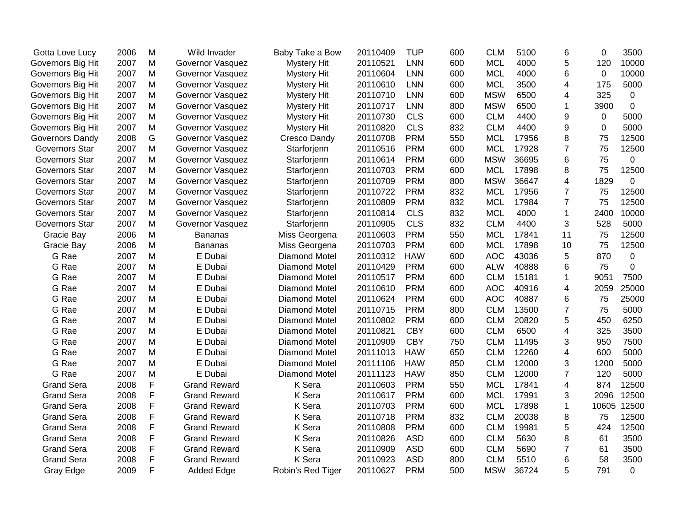| Gotta Love Lucy       | 2006 | M | Wild Invader        | Baby Take a Bow      | 20110409 | <b>TUP</b> | 600 | <b>CLM</b> | 5100  | 6              | 0           | 3500        |
|-----------------------|------|---|---------------------|----------------------|----------|------------|-----|------------|-------|----------------|-------------|-------------|
| Governors Big Hit     | 2007 | M | Governor Vasquez    | <b>Mystery Hit</b>   | 20110521 | <b>LNN</b> | 600 | <b>MCL</b> | 4000  | 5              | 120         | 10000       |
| Governors Big Hit     | 2007 | M | Governor Vasquez    | <b>Mystery Hit</b>   | 20110604 | <b>LNN</b> | 600 | <b>MCL</b> | 4000  | 6              | $\mathbf 0$ | 10000       |
| Governors Big Hit     | 2007 | M | Governor Vasquez    | <b>Mystery Hit</b>   | 20110610 | <b>LNN</b> | 600 | <b>MCL</b> | 3500  | 4              | 175         | 5000        |
| Governors Big Hit     | 2007 | M | Governor Vasquez    | Mystery Hit          | 20110710 | <b>LNN</b> | 600 | <b>MSW</b> | 6500  | 4              | 325         | 0           |
| Governors Big Hit     | 2007 | M | Governor Vasquez    | <b>Mystery Hit</b>   | 20110717 | <b>LNN</b> | 800 | <b>MSW</b> | 6500  | 1              | 3900        | $\mathbf 0$ |
| Governors Big Hit     | 2007 | M | Governor Vasquez    | <b>Mystery Hit</b>   | 20110730 | <b>CLS</b> | 600 | <b>CLM</b> | 4400  | 9              | $\mathbf 0$ | 5000        |
| Governors Big Hit     | 2007 | M | Governor Vasquez    | <b>Mystery Hit</b>   | 20110820 | <b>CLS</b> | 832 | <b>CLM</b> | 4400  | 9              | 0           | 5000        |
| Governors Dandy       | 2008 | G | Governor Vasquez    | <b>Cresco Dandy</b>  | 20110708 | <b>PRM</b> | 550 | <b>MCL</b> | 17956 | 8              | 75          | 12500       |
| Governors Star        | 2007 | M | Governor Vasquez    | Starforjenn          | 20110516 | <b>PRM</b> | 600 | <b>MCL</b> | 17928 | $\overline{7}$ | 75          | 12500       |
| Governors Star        | 2007 | M | Governor Vasquez    | Starforjenn          | 20110614 | <b>PRM</b> | 600 | <b>MSW</b> | 36695 | 6              | 75          | $\pmb{0}$   |
| <b>Governors Star</b> | 2007 | M | Governor Vasquez    | Starforjenn          | 20110703 | <b>PRM</b> | 600 | <b>MCL</b> | 17898 | 8              | 75          | 12500       |
| <b>Governors Star</b> | 2007 | M | Governor Vasquez    | Starforjenn          | 20110709 | <b>PRM</b> | 800 | <b>MSW</b> | 36647 | 4              | 1829        | 0           |
| Governors Star        | 2007 | M | Governor Vasquez    | Starforjenn          | 20110722 | <b>PRM</b> | 832 | <b>MCL</b> | 17956 | 7              | 75          | 12500       |
| <b>Governors Star</b> | 2007 | M | Governor Vasquez    | Starforjenn          | 20110809 | <b>PRM</b> | 832 | <b>MCL</b> | 17984 | 7              | 75          | 12500       |
| Governors Star        | 2007 | M | Governor Vasquez    | Starforjenn          | 20110814 | <b>CLS</b> | 832 | <b>MCL</b> | 4000  | $\mathbf{1}$   | 2400        | 10000       |
| Governors Star        | 2007 | M | Governor Vasquez    | Starforjenn          | 20110905 | <b>CLS</b> | 832 | <b>CLM</b> | 4400  | 3              | 528         | 5000        |
| Gracie Bay            | 2006 | M | <b>Bananas</b>      | Miss Georgena        | 20110603 | <b>PRM</b> | 550 | <b>MCL</b> | 17841 | 11             | 75          | 12500       |
| Gracie Bay            | 2006 | M | <b>Bananas</b>      | Miss Georgena        | 20110703 | <b>PRM</b> | 600 | <b>MCL</b> | 17898 | 10             | 75          | 12500       |
| G Rae                 | 2007 | M | E Dubai             | <b>Diamond Motel</b> | 20110312 | <b>HAW</b> | 600 | <b>AOC</b> | 43036 | 5              | 870         | $\mathbf 0$ |
| G Rae                 | 2007 | M | E Dubai             | <b>Diamond Motel</b> | 20110429 | <b>PRM</b> | 600 | <b>ALW</b> | 40888 | 6              | 75          | 0           |
| G Rae                 | 2007 | M | E Dubai             | <b>Diamond Motel</b> | 20110517 | <b>PRM</b> | 600 | <b>CLM</b> | 15181 | 1              | 9051        | 7500        |
| G Rae                 | 2007 | M | E Dubai             | <b>Diamond Motel</b> | 20110610 | <b>PRM</b> | 600 | <b>AOC</b> | 40916 | 4              | 2059        | 25000       |
| G Rae                 | 2007 | M | E Dubai             | <b>Diamond Motel</b> | 20110624 | <b>PRM</b> | 600 | <b>AOC</b> | 40887 | 6              | 75          | 25000       |
| G Rae                 | 2007 | M | E Dubai             | Diamond Motel        | 20110715 | <b>PRM</b> | 800 | <b>CLM</b> | 13500 | $\overline{7}$ | 75          | 5000        |
| G Rae                 | 2007 | M | E Dubai             | <b>Diamond Motel</b> | 20110802 | <b>PRM</b> | 600 | <b>CLM</b> | 20820 | 5              | 450         | 6250        |
| G Rae                 | 2007 | M | E Dubai             | <b>Diamond Motel</b> | 20110821 | <b>CBY</b> | 600 | <b>CLM</b> | 6500  | 4              | 325         | 3500        |
| G Rae                 | 2007 | M | E Dubai             | <b>Diamond Motel</b> | 20110909 | <b>CBY</b> | 750 | <b>CLM</b> | 11495 | 3              | 950         | 7500        |
| G Rae                 | 2007 | M | E Dubai             | <b>Diamond Motel</b> | 20111013 | <b>HAW</b> | 650 | <b>CLM</b> | 12260 | 4              | 600         | 5000        |
| G Rae                 | 2007 | M | E Dubai             | <b>Diamond Motel</b> | 20111106 | <b>HAW</b> | 850 | <b>CLM</b> | 12000 | 3              | 1200        | 5000        |
| G Rae                 | 2007 | M | E Dubai             | <b>Diamond Motel</b> | 20111123 | <b>HAW</b> | 850 | <b>CLM</b> | 12000 | $\overline{7}$ | 120         | 5000        |
| <b>Grand Sera</b>     | 2008 | F | <b>Grand Reward</b> | K Sera               | 20110603 | <b>PRM</b> | 550 | <b>MCL</b> | 17841 | 4              | 874         | 12500       |
| <b>Grand Sera</b>     | 2008 | F | <b>Grand Reward</b> | K Sera               | 20110617 | <b>PRM</b> | 600 | <b>MCL</b> | 17991 | 3              | 2096        | 12500       |
| <b>Grand Sera</b>     | 2008 | F | <b>Grand Reward</b> | K Sera               | 20110703 | <b>PRM</b> | 600 | <b>MCL</b> | 17898 | $\mathbf{1}$   | 10605       | 12500       |
| <b>Grand Sera</b>     | 2008 | F | <b>Grand Reward</b> | K Sera               | 20110718 | <b>PRM</b> | 832 | <b>CLM</b> | 20038 | 8              | 75          | 12500       |
| <b>Grand Sera</b>     | 2008 | F | <b>Grand Reward</b> | K Sera               | 20110808 | <b>PRM</b> | 600 | <b>CLM</b> | 19981 | 5              | 424         | 12500       |
| <b>Grand Sera</b>     | 2008 | F | <b>Grand Reward</b> | K Sera               | 20110826 | <b>ASD</b> | 600 | <b>CLM</b> | 5630  | 8              | 61          | 3500        |
| <b>Grand Sera</b>     | 2008 | F | <b>Grand Reward</b> | K Sera               | 20110909 | <b>ASD</b> | 600 | <b>CLM</b> | 5690  | $\overline{7}$ | 61          | 3500        |
| <b>Grand Sera</b>     | 2008 | F | <b>Grand Reward</b> | K Sera               | 20110923 | <b>ASD</b> | 800 | <b>CLM</b> | 5510  | 6              | 58          | 3500        |
| Gray Edge             | 2009 | F | <b>Added Edge</b>   | Robin's Red Tiger    | 20110627 | <b>PRM</b> | 500 | <b>MSW</b> | 36724 | 5              | 791         | $\mathbf 0$ |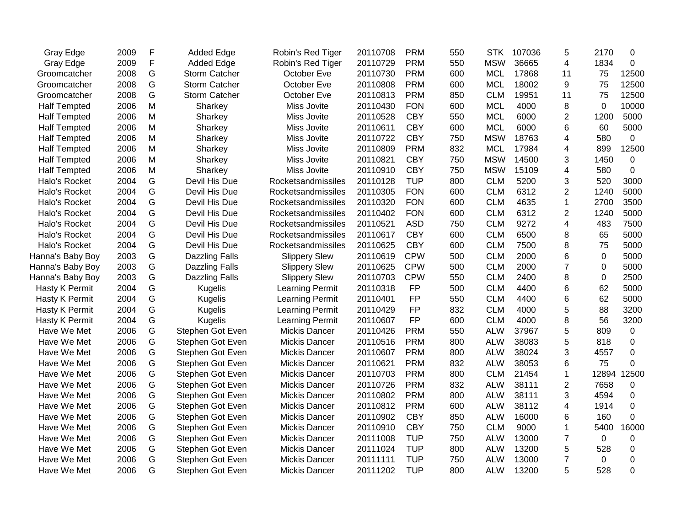| Gray Edge           | 2009 | F | <b>Added Edge</b>    | Robin's Red Tiger      | 20110708 | <b>PRM</b> | 550 | <b>STK</b> | 107036 | 5              | 2170        | 0        |
|---------------------|------|---|----------------------|------------------------|----------|------------|-----|------------|--------|----------------|-------------|----------|
| Gray Edge           | 2009 | F | <b>Added Edge</b>    | Robin's Red Tiger      | 20110729 | <b>PRM</b> | 550 | <b>MSW</b> | 36665  | 4              | 1834        | 0        |
| Groomcatcher        | 2008 | G | <b>Storm Catcher</b> | October Eve            | 20110730 | <b>PRM</b> | 600 | <b>MCL</b> | 17868  | 11             | 75          | 12500    |
| Groomcatcher        | 2008 | G | <b>Storm Catcher</b> | October Eve            | 20110808 | <b>PRM</b> | 600 | <b>MCL</b> | 18002  | 9              | 75          | 12500    |
| Groomcatcher        | 2008 | G | <b>Storm Catcher</b> | October Eve            | 20110813 | <b>PRM</b> | 850 | <b>CLM</b> | 19951  | 11             | 75          | 12500    |
| <b>Half Tempted</b> | 2006 | M | Sharkey              | Miss Jovite            | 20110430 | <b>FON</b> | 600 | <b>MCL</b> | 4000   | 8              | 0           | 10000    |
| <b>Half Tempted</b> | 2006 | Μ | Sharkey              | Miss Jovite            | 20110528 | <b>CBY</b> | 550 | <b>MCL</b> | 6000   | $\overline{c}$ | 1200        | 5000     |
| <b>Half Tempted</b> | 2006 | M | Sharkey              | Miss Jovite            | 20110611 | <b>CBY</b> | 600 | <b>MCL</b> | 6000   | 6              | 60          | 5000     |
| <b>Half Tempted</b> | 2006 | M | Sharkey              | Miss Jovite            | 20110722 | <b>CBY</b> | 750 | <b>MSW</b> | 18763  | 4              | 580         | 0        |
| <b>Half Tempted</b> | 2006 | M | Sharkey              | Miss Jovite            | 20110809 | <b>PRM</b> | 832 | <b>MCL</b> | 17984  | 4              | 899         | 12500    |
| <b>Half Tempted</b> | 2006 | M | Sharkey              | Miss Jovite            | 20110821 | <b>CBY</b> | 750 | <b>MSW</b> | 14500  | 3              | 1450        | 0        |
| <b>Half Tempted</b> | 2006 | M | Sharkey              | Miss Jovite            | 20110910 | <b>CBY</b> | 750 | <b>MSW</b> | 15109  | $\overline{4}$ | 580         | 0        |
| Halo's Rocket       | 2004 | G | Devil His Due        | Rocketsandmissiles     | 20110128 | <b>TUP</b> | 800 | <b>CLM</b> | 5200   | 3              | 520         | 3000     |
| Halo's Rocket       | 2004 | G | Devil His Due        | Rocketsandmissiles     | 20110305 | <b>FON</b> | 600 | <b>CLM</b> | 6312   | $\overline{2}$ | 1240        | 5000     |
| Halo's Rocket       | 2004 | G | Devil His Due        | Rocketsandmissiles     | 20110320 | <b>FON</b> | 600 | <b>CLM</b> | 4635   | $\mathbf{1}$   | 2700        | 3500     |
| Halo's Rocket       | 2004 | G | Devil His Due        | Rocketsandmissiles     | 20110402 | <b>FON</b> | 600 | <b>CLM</b> | 6312   | $\overline{2}$ | 1240        | 5000     |
| Halo's Rocket       | 2004 | G | Devil His Due        | Rocketsandmissiles     | 20110521 | <b>ASD</b> | 750 | <b>CLM</b> | 9272   | 4              | 483         | 7500     |
| Halo's Rocket       | 2004 | G | Devil His Due        | Rocketsandmissiles     | 20110617 | <b>CBY</b> | 600 | <b>CLM</b> | 6500   | 8              | 65          | 5000     |
| Halo's Rocket       | 2004 | G | Devil His Due        | Rocketsandmissiles     | 20110625 | <b>CBY</b> | 600 | <b>CLM</b> | 7500   | 8              | 75          | 5000     |
| Hanna's Baby Boy    | 2003 | G | Dazzling Falls       | <b>Slippery Slew</b>   | 20110619 | <b>CPW</b> | 500 | <b>CLM</b> | 2000   | 6              | 0           | 5000     |
| Hanna's Baby Boy    | 2003 | G | Dazzling Falls       | <b>Slippery Slew</b>   | 20110625 | <b>CPW</b> | 500 | <b>CLM</b> | 2000   | $\overline{7}$ | 0           | 5000     |
| Hanna's Baby Boy    | 2003 | G | Dazzling Falls       | <b>Slippery Slew</b>   | 20110703 | <b>CPW</b> | 550 | <b>CLM</b> | 2400   | 8              | 0           | 2500     |
| Hasty K Permit      | 2004 | G | <b>Kugelis</b>       | Learning Permit        | 20110318 | FP         | 500 | <b>CLM</b> | 4400   | 6              | 62          | 5000     |
| Hasty K Permit      | 2004 | G | <b>Kugelis</b>       | Learning Permit        | 20110401 | FP         | 550 | <b>CLM</b> | 4400   | 6              | 62          | 5000     |
| Hasty K Permit      | 2004 | G | <b>Kugelis</b>       | Learning Permit        | 20110429 | <b>FP</b>  | 832 | <b>CLM</b> | 4000   | 5              | 88          | 3200     |
| Hasty K Permit      | 2004 | G | <b>Kugelis</b>       | <b>Learning Permit</b> | 20110607 | <b>FP</b>  | 600 | <b>CLM</b> | 4000   | 8              | 56          | 3200     |
| Have We Met         | 2006 | G | Stephen Got Even     | Mickis Dancer          | 20110426 | <b>PRM</b> | 550 | <b>ALW</b> | 37967  | 5              | 809         | 0        |
| Have We Met         | 2006 | G | Stephen Got Even     | <b>Mickis Dancer</b>   | 20110516 | <b>PRM</b> | 800 | <b>ALW</b> | 38083  | 5              | 818         | 0        |
| Have We Met         | 2006 | G | Stephen Got Even     | <b>Mickis Dancer</b>   | 20110607 | <b>PRM</b> | 800 | <b>ALW</b> | 38024  | 3              | 4557        | 0        |
| Have We Met         | 2006 | G | Stephen Got Even     | <b>Mickis Dancer</b>   | 20110621 | <b>PRM</b> | 832 | <b>ALW</b> | 38053  | 6              | 75          | 0        |
| Have We Met         | 2006 | G | Stephen Got Even     | Mickis Dancer          | 20110703 | <b>PRM</b> | 800 | <b>CLM</b> | 21454  | 1              | 12894       | 12500    |
| Have We Met         | 2006 | G | Stephen Got Even     | <b>Mickis Dancer</b>   | 20110726 | <b>PRM</b> | 832 | <b>ALW</b> | 38111  | $\overline{2}$ | 7658        | 0        |
| Have We Met         | 2006 | G | Stephen Got Even     | <b>Mickis Dancer</b>   | 20110802 | <b>PRM</b> | 800 | <b>ALW</b> | 38111  | 3              | 4594        | 0        |
| Have We Met         | 2006 | G | Stephen Got Even     | <b>Mickis Dancer</b>   | 20110812 | <b>PRM</b> | 600 | <b>ALW</b> | 38112  | 4              | 1914        | $\Omega$ |
| Have We Met         | 2006 | G | Stephen Got Even     | <b>Mickis Dancer</b>   | 20110902 | <b>CBY</b> | 850 | <b>ALW</b> | 16000  | 6              | 160         | 0        |
| Have We Met         | 2006 | G | Stephen Got Even     | <b>Mickis Dancer</b>   | 20110910 | <b>CBY</b> | 750 | <b>CLM</b> | 9000   | 1              | 5400        | 16000    |
| Have We Met         | 2006 | G | Stephen Got Even     | <b>Mickis Dancer</b>   | 20111008 | <b>TUP</b> | 750 | <b>ALW</b> | 13000  | $\overline{7}$ | $\mathbf 0$ | 0        |
| Have We Met         | 2006 | G | Stephen Got Even     | <b>Mickis Dancer</b>   | 20111024 | <b>TUP</b> | 800 | <b>ALW</b> | 13200  | 5              | 528         | 0        |
| Have We Met         | 2006 | G | Stephen Got Even     | <b>Mickis Dancer</b>   | 20111111 | <b>TUP</b> | 750 | <b>ALW</b> | 13000  | $\overline{7}$ | 0           | 0        |
| Have We Met         | 2006 | G | Stephen Got Even     | <b>Mickis Dancer</b>   | 20111202 | <b>TUP</b> | 800 | <b>ALW</b> | 13200  | 5              | 528         | 0        |
|                     |      |   |                      |                        |          |            |     |            |        |                |             |          |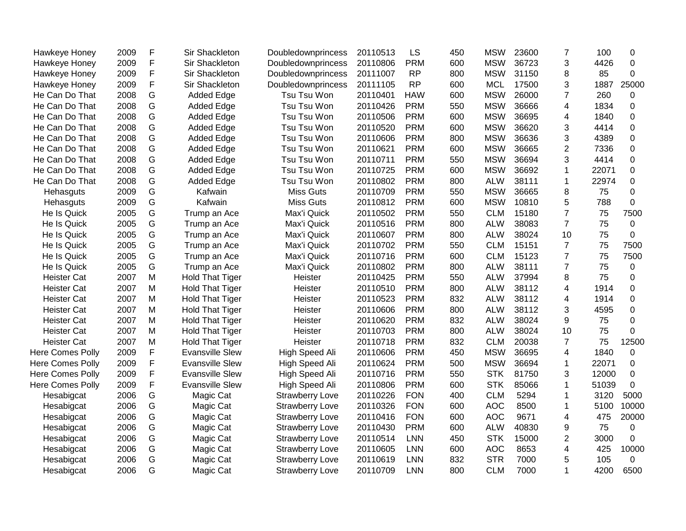| Hawkeye Honey           | 2009 | F             | Sir Shackleton         | Doubledownprincess     | 20110513 | LS         | 450 | <b>MSW</b> | 23600 | 7              | 100   | 0           |
|-------------------------|------|---------------|------------------------|------------------------|----------|------------|-----|------------|-------|----------------|-------|-------------|
| Hawkeye Honey           | 2009 | F             | Sir Shackleton         | Doubledownprincess     | 20110806 | <b>PRM</b> | 600 | <b>MSW</b> | 36723 | 3              | 4426  | 0           |
| Hawkeye Honey           | 2009 | F             | Sir Shackleton         | Doubledownprincess     | 20111007 | <b>RP</b>  | 800 | <b>MSW</b> | 31150 | 8              | 85    | 0           |
| Hawkeye Honey           | 2009 | F             | Sir Shackleton         | Doubledownprincess     | 20111105 | <b>RP</b>  | 600 | <b>MCL</b> | 17500 | 3              | 1887  | 25000       |
| He Can Do That          | 2008 | G             | <b>Added Edge</b>      | Tsu Tsu Won            | 20110401 | <b>HAW</b> | 600 | <b>MSW</b> | 26000 | $\overline{7}$ | 260   | 0           |
| He Can Do That          | 2008 | G             | <b>Added Edge</b>      | Tsu Tsu Won            | 20110426 | <b>PRM</b> | 550 | <b>MSW</b> | 36666 | 4              | 1834  | 0           |
| He Can Do That          | 2008 | G             | <b>Added Edge</b>      | Tsu Tsu Won            | 20110506 | <b>PRM</b> | 600 | <b>MSW</b> | 36695 | 4              | 1840  | 0           |
| He Can Do That          | 2008 | G             | Added Edge             | Tsu Tsu Won            | 20110520 | <b>PRM</b> | 600 | <b>MSW</b> | 36620 | 3              | 4414  | 0           |
| He Can Do That          | 2008 | G             | <b>Added Edge</b>      | Tsu Tsu Won            | 20110606 | <b>PRM</b> | 800 | <b>MSW</b> | 36636 | 3              | 4389  | 0           |
| He Can Do That          | 2008 | G             | <b>Added Edge</b>      | Tsu Tsu Won            | 20110621 | <b>PRM</b> | 600 | <b>MSW</b> | 36665 | $\overline{2}$ | 7336  | 0           |
| He Can Do That          | 2008 | G             | <b>Added Edge</b>      | Tsu Tsu Won            | 20110711 | <b>PRM</b> | 550 | <b>MSW</b> | 36694 | 3              | 4414  | 0           |
| He Can Do That          | 2008 | G             | Added Edge             | Tsu Tsu Won            | 20110725 | <b>PRM</b> | 600 | <b>MSW</b> | 36692 | 1              | 22071 | 0           |
| He Can Do That          | 2008 | G             | <b>Added Edge</b>      | Tsu Tsu Won            | 20110802 | <b>PRM</b> | 800 | <b>ALW</b> | 38111 | $\mathbf{1}$   | 22974 | 0           |
| Hehasguts               | 2009 | G             | Kafwain                | <b>Miss Guts</b>       | 20110709 | <b>PRM</b> | 550 | <b>MSW</b> | 36665 | 8              | 75    | 0           |
| Hehasguts               | 2009 | ${\mathsf G}$ | Kafwain                | <b>Miss Guts</b>       | 20110812 | <b>PRM</b> | 600 | <b>MSW</b> | 10810 | 5              | 788   | $\mathbf 0$ |
| He Is Quick             | 2005 | G             | Trump an Ace           | Max'i Quick            | 20110502 | <b>PRM</b> | 550 | <b>CLM</b> | 15180 | $\overline{7}$ | 75    | 7500        |
| He Is Quick             | 2005 | G             | Trump an Ace           | Max'i Quick            | 20110516 | <b>PRM</b> | 800 | <b>ALW</b> | 38083 | $\overline{7}$ | 75    | 0           |
| He Is Quick             | 2005 | G             | Trump an Ace           | Max'i Quick            | 20110607 | <b>PRM</b> | 800 | <b>ALW</b> | 38024 | 10             | 75    | $\mathbf 0$ |
| He Is Quick             | 2005 | G             | Trump an Ace           | Max'i Quick            | 20110702 | <b>PRM</b> | 550 | <b>CLM</b> | 15151 | $\overline{7}$ | 75    | 7500        |
| He Is Quick             | 2005 | G             | Trump an Ace           | Max'i Quick            | 20110716 | <b>PRM</b> | 600 | <b>CLM</b> | 15123 | $\overline{7}$ | 75    | 7500        |
| He Is Quick             | 2005 | G             | Trump an Ace           | Max'i Quick            | 20110802 | <b>PRM</b> | 800 | <b>ALW</b> | 38111 | $\overline{7}$ | 75    | 0           |
| <b>Heister Cat</b>      | 2007 | M             | <b>Hold That Tiger</b> | Heister                | 20110425 | <b>PRM</b> | 550 | <b>ALW</b> | 37994 | 8              | 75    | 0           |
| <b>Heister Cat</b>      | 2007 | M             | <b>Hold That Tiger</b> | Heister                | 20110510 | <b>PRM</b> | 800 | <b>ALW</b> | 38112 | 4              | 1914  | 0           |
| <b>Heister Cat</b>      | 2007 | M             | <b>Hold That Tiger</b> | Heister                | 20110523 | <b>PRM</b> | 832 | <b>ALW</b> | 38112 | 4              | 1914  | 0           |
| <b>Heister Cat</b>      | 2007 | M             | <b>Hold That Tiger</b> | Heister                | 20110606 | <b>PRM</b> | 800 | <b>ALW</b> | 38112 | 3              | 4595  | $\pmb{0}$   |
| <b>Heister Cat</b>      | 2007 | M             | <b>Hold That Tiger</b> | Heister                | 20110620 | <b>PRM</b> | 832 | <b>ALW</b> | 38024 | 9              | 75    | 0           |
| <b>Heister Cat</b>      | 2007 | M             | <b>Hold That Tiger</b> | Heister                | 20110703 | <b>PRM</b> | 800 | <b>ALW</b> | 38024 | 10             | 75    | 0           |
| <b>Heister Cat</b>      | 2007 | M             | <b>Hold That Tiger</b> | Heister                | 20110718 | <b>PRM</b> | 832 | <b>CLM</b> | 20038 | 7              | 75    | 12500       |
| <b>Here Comes Polly</b> | 2009 | F             | <b>Evansville Slew</b> | High Speed Ali         | 20110606 | <b>PRM</b> | 450 | <b>MSW</b> | 36695 | 4              | 1840  | 0           |
| Here Comes Polly        | 2009 | F             | <b>Evansville Slew</b> | High Speed Ali         | 20110624 | <b>PRM</b> | 500 | <b>MSW</b> | 36694 | $\mathbf{1}$   | 22071 | 0           |
| Here Comes Polly        | 2009 | F             | <b>Evansville Slew</b> | High Speed Ali         | 20110716 | <b>PRM</b> | 550 | <b>STK</b> | 81750 | 3              | 12000 | $\mathbf 0$ |
| Here Comes Polly        | 2009 | F             | <b>Evansville Slew</b> | High Speed Ali         | 20110806 | <b>PRM</b> | 600 | <b>STK</b> | 85066 | $\mathbf{1}$   | 51039 | $\mathbf 0$ |
| Hesabigcat              | 2006 | G             | Magic Cat              | <b>Strawberry Love</b> | 20110226 | <b>FON</b> | 400 | <b>CLM</b> | 5294  | $\mathbf{1}$   | 3120  | 5000        |
| Hesabigcat              | 2006 | G             | Magic Cat              | <b>Strawberry Love</b> | 20110326 | <b>FON</b> | 600 | <b>AOC</b> | 8500  | $\mathbf{1}$   | 5100  | 10000       |
| Hesabigcat              | 2006 | G             | Magic Cat              | <b>Strawberry Love</b> | 20110416 | <b>FON</b> | 600 | <b>AOC</b> | 9671  | 4              | 475   | 20000       |
| Hesabigcat              | 2006 | G             | Magic Cat              | <b>Strawberry Love</b> | 20110430 | <b>PRM</b> | 600 | <b>ALW</b> | 40830 | 9              | 75    | 0           |
| Hesabigcat              | 2006 | G             | Magic Cat              | <b>Strawberry Love</b> | 20110514 | <b>LNN</b> | 450 | <b>STK</b> | 15000 | $\overline{2}$ | 3000  | 0           |
| Hesabigcat              | 2006 | G             | Magic Cat              | <b>Strawberry Love</b> | 20110605 | <b>LNN</b> | 600 | <b>AOC</b> | 8653  | $\overline{4}$ | 425   | 10000       |
| Hesabigcat              | 2006 | G             | Magic Cat              | <b>Strawberry Love</b> | 20110619 | <b>LNN</b> | 832 | <b>STR</b> | 7000  | 5              | 105   | 0           |
| Hesabigcat              | 2006 | G             | Magic Cat              | <b>Strawberry Love</b> | 20110709 | <b>LNN</b> | 800 | <b>CLM</b> | 7000  | $\mathbf{1}$   | 4200  | 6500        |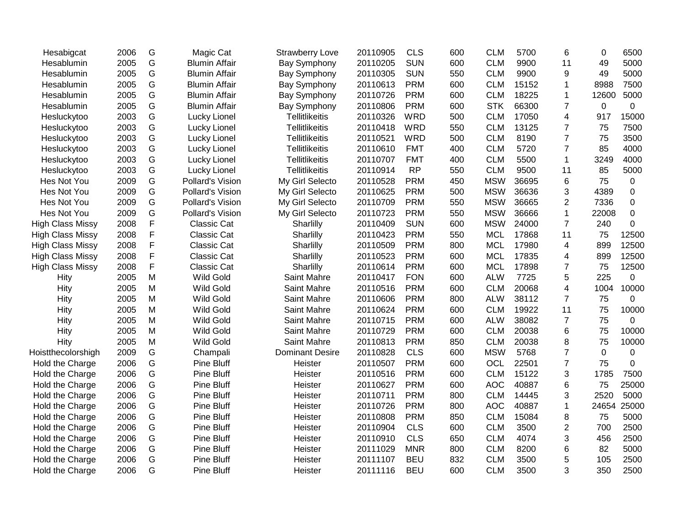| Hesabigcat              | 2006 | G           | Magic Cat            | <b>Strawberry Love</b> | 20110905 | <b>CLS</b> | 600 | <b>CLM</b> | 5700  | 6              | 0        | 6500        |
|-------------------------|------|-------------|----------------------|------------------------|----------|------------|-----|------------|-------|----------------|----------|-------------|
| Hesablumin              | 2005 | G           | <b>Blumin Affair</b> | <b>Bay Symphony</b>    | 20110205 | <b>SUN</b> | 600 | <b>CLM</b> | 9900  | 11             | 49       | 5000        |
| Hesablumin              | 2005 | G           | <b>Blumin Affair</b> | <b>Bay Symphony</b>    | 20110305 | <b>SUN</b> | 550 | <b>CLM</b> | 9900  | 9              | 49       | 5000        |
| Hesablumin              | 2005 | G           | <b>Blumin Affair</b> | <b>Bay Symphony</b>    | 20110613 | <b>PRM</b> | 600 | <b>CLM</b> | 15152 | 1              | 8988     | 7500        |
| Hesablumin              | 2005 | G           | <b>Blumin Affair</b> | Bay Symphony           | 20110726 | <b>PRM</b> | 600 | <b>CLM</b> | 18225 | 1              | 12600    | 5000        |
| Hesablumin              | 2005 | G           | <b>Blumin Affair</b> | <b>Bay Symphony</b>    | 20110806 | <b>PRM</b> | 600 | <b>STK</b> | 66300 | $\overline{7}$ | 0        | 0           |
| Hesluckytoo             | 2003 | G           | Lucky Lionel         | <b>Tellitlikeitis</b>  | 20110326 | <b>WRD</b> | 500 | <b>CLM</b> | 17050 | 4              | 917      | 15000       |
| Hesluckytoo             | 2003 | G           | Lucky Lionel         | <b>Tellitlikeitis</b>  | 20110418 | <b>WRD</b> | 550 | <b>CLM</b> | 13125 | $\overline{7}$ | 75       | 7500        |
| Hesluckytoo             | 2003 | G           | Lucky Lionel         | Tellitlikeitis         | 20110521 | <b>WRD</b> | 500 | <b>CLM</b> | 8190  | $\overline{7}$ | 75       | 3500        |
| Hesluckytoo             | 2003 | G           | Lucky Lionel         | <b>Tellitlikeitis</b>  | 20110610 | <b>FMT</b> | 400 | <b>CLM</b> | 5720  | $\overline{7}$ | 85       | 4000        |
| Hesluckytoo             | 2003 | G           | Lucky Lionel         | <b>Tellitlikeitis</b>  | 20110707 | <b>FMT</b> | 400 | <b>CLM</b> | 5500  | $\mathbf{1}$   | 3249     | 4000        |
| Hesluckytoo             | 2003 | G           | Lucky Lionel         | <b>Tellitlikeitis</b>  | 20110914 | <b>RP</b>  | 550 | <b>CLM</b> | 9500  | 11             | 85       | 5000        |
| Hes Not You             | 2009 | G           | Pollard's Vision     | My Girl Selecto        | 20110528 | <b>PRM</b> | 450 | <b>MSW</b> | 36695 | 6              | 75       | $\pmb{0}$   |
| Hes Not You             | 2009 | G           | Pollard's Vision     | My Girl Selecto        | 20110625 | <b>PRM</b> | 500 | <b>MSW</b> | 36636 | 3              | 4389     | $\mathbf 0$ |
| Hes Not You             | 2009 | G           | Pollard's Vision     | My Girl Selecto        | 20110709 | <b>PRM</b> | 550 | <b>MSW</b> | 36665 | $\overline{2}$ | 7336     | 0           |
| Hes Not You             | 2009 | G           | Pollard's Vision     | My Girl Selecto        | 20110723 | <b>PRM</b> | 550 | <b>MSW</b> | 36666 | $\mathbf{1}$   | 22008    | $\pmb{0}$   |
| <b>High Class Missy</b> | 2008 | F           | <b>Classic Cat</b>   | Sharlilly              | 20110409 | <b>SUN</b> | 600 | <b>MSW</b> | 24000 | $\overline{7}$ | 240      | 0           |
| <b>High Class Missy</b> | 2008 | F           | <b>Classic Cat</b>   | Sharlilly              | 20110423 | <b>PRM</b> | 550 | <b>MCL</b> | 17868 | 11             | 75       | 12500       |
| <b>High Class Missy</b> | 2008 | F           | Classic Cat          | Sharlilly              | 20110509 | <b>PRM</b> | 800 | <b>MCL</b> | 17980 | $\overline{4}$ | 899      | 12500       |
| <b>High Class Missy</b> | 2008 | $\mathsf F$ | <b>Classic Cat</b>   | Sharlilly              | 20110523 | <b>PRM</b> | 600 | <b>MCL</b> | 17835 | 4              | 899      | 12500       |
| <b>High Class Missy</b> | 2008 | F           | <b>Classic Cat</b>   | Sharlilly              | 20110614 | <b>PRM</b> | 600 | <b>MCL</b> | 17898 | $\overline{7}$ | 75       | 12500       |
| Hity                    | 2005 | M           | <b>Wild Gold</b>     | Saint Mahre            | 20110417 | <b>FON</b> | 600 | <b>ALW</b> | 7725  | 5              | 225      | 0           |
| Hity                    | 2005 | М           | <b>Wild Gold</b>     | Saint Mahre            | 20110516 | <b>PRM</b> | 600 | <b>CLM</b> | 20068 | 4              | 1004     | 10000       |
| Hity                    | 2005 | М           | <b>Wild Gold</b>     | Saint Mahre            | 20110606 | <b>PRM</b> | 800 | <b>ALW</b> | 38112 | $\overline{7}$ | 75       | 0           |
| Hity                    | 2005 | M           | <b>Wild Gold</b>     | Saint Mahre            | 20110624 | <b>PRM</b> | 600 | <b>CLM</b> | 19922 | 11             | 75       | 10000       |
| Hity                    | 2005 | Μ           | <b>Wild Gold</b>     | Saint Mahre            | 20110715 | <b>PRM</b> | 600 | <b>ALW</b> | 38082 | $\overline{7}$ | 75       | 0           |
| Hity                    | 2005 | Μ           | <b>Wild Gold</b>     | Saint Mahre            | 20110729 | <b>PRM</b> | 600 | <b>CLM</b> | 20038 | 6              | 75       | 10000       |
| Hity                    | 2005 | Μ           | <b>Wild Gold</b>     | Saint Mahre            | 20110813 | <b>PRM</b> | 850 | <b>CLM</b> | 20038 | 8              | 75       | 10000       |
| Hoistthecolorshigh      | 2009 | G           | Champali             | <b>Dominant Desire</b> | 20110828 | <b>CLS</b> | 600 | <b>MSW</b> | 5768  | $\overline{7}$ | $\Omega$ | 0           |
| Hold the Charge         | 2006 | G           | <b>Pine Bluff</b>    | Heister                | 20110507 | <b>PRM</b> | 600 | OCL        | 22501 | $\overline{7}$ | 75       | 0           |
| Hold the Charge         | 2006 | G           | <b>Pine Bluff</b>    | Heister                | 20110516 | <b>PRM</b> | 600 | <b>CLM</b> | 15122 | 3              | 1785     | 7500        |
| Hold the Charge         | 2006 | G           | <b>Pine Bluff</b>    | Heister                | 20110627 | <b>PRM</b> | 600 | <b>AOC</b> | 40887 | 6              | 75       | 25000       |
| Hold the Charge         | 2006 | G           | <b>Pine Bluff</b>    | Heister                | 20110711 | <b>PRM</b> | 800 | <b>CLM</b> | 14445 | 3              | 2520     | 5000        |
| Hold the Charge         | 2006 | G           | <b>Pine Bluff</b>    | Heister                | 20110726 | <b>PRM</b> | 800 | <b>AOC</b> | 40887 | $\mathbf{1}$   | 24654    | 25000       |
| Hold the Charge         | 2006 | G           | <b>Pine Bluff</b>    | Heister                | 20110808 | <b>PRM</b> | 850 | <b>CLM</b> | 15084 | 8              | 75       | 5000        |
| Hold the Charge         | 2006 | G           | <b>Pine Bluff</b>    | Heister                | 20110904 | <b>CLS</b> | 600 | <b>CLM</b> | 3500  | $\overline{2}$ | 700      | 2500        |
| Hold the Charge         | 2006 | G           | <b>Pine Bluff</b>    | Heister                | 20110910 | <b>CLS</b> | 650 | <b>CLM</b> | 4074  | 3              | 456      | 2500        |
| Hold the Charge         | 2006 | G           | <b>Pine Bluff</b>    | Heister                | 20111029 | <b>MNR</b> | 800 | <b>CLM</b> | 8200  | 6              | 82       | 5000        |
| Hold the Charge         | 2006 | G           | <b>Pine Bluff</b>    | Heister                | 20111107 | <b>BEU</b> | 832 | <b>CLM</b> | 3500  | 5              | 105      | 2500        |
| Hold the Charge         | 2006 | G           | <b>Pine Bluff</b>    | Heister                | 20111116 | <b>BEU</b> | 600 | <b>CLM</b> | 3500  | 3              | 350      | 2500        |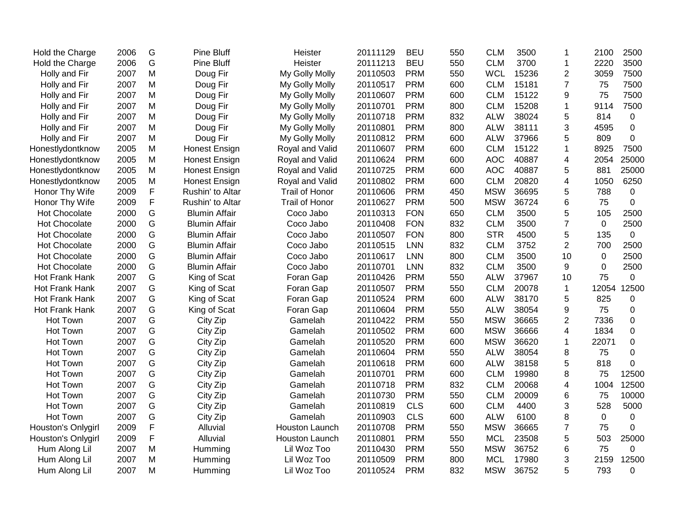| 2006 | G         | <b>Pine Bluff</b>    | Heister               | 20111129 | <b>BEU</b> | 550 | <b>CLM</b> | 3500  | -1             | 2100        | 2500        |
|------|-----------|----------------------|-----------------------|----------|------------|-----|------------|-------|----------------|-------------|-------------|
| 2006 | G         | <b>Pine Bluff</b>    | Heister               | 20111213 | <b>BEU</b> | 550 | <b>CLM</b> | 3700  | $\mathbf{1}$   | 2220        | 3500        |
| 2007 | M         | Doug Fir             | My Golly Molly        | 20110503 | <b>PRM</b> | 550 | <b>WCL</b> | 15236 | $\overline{2}$ | 3059        | 7500        |
| 2007 | M         | Doug Fir             | My Golly Molly        | 20110517 | <b>PRM</b> | 600 | <b>CLM</b> | 15181 | $\overline{7}$ | 75          | 7500        |
| 2007 | M         | Doug Fir             | My Golly Molly        | 20110607 | <b>PRM</b> | 600 | <b>CLM</b> | 15122 | 9              | 75          | 7500        |
| 2007 | M         | Doug Fir             | My Golly Molly        | 20110701 | <b>PRM</b> | 800 | <b>CLM</b> | 15208 | $\mathbf 1$    | 9114        | 7500        |
| 2007 | M         | Doug Fir             | My Golly Molly        | 20110718 | <b>PRM</b> | 832 | <b>ALW</b> | 38024 | 5              | 814         | $\mathbf 0$ |
| 2007 | M         | Doug Fir             | My Golly Molly        | 20110801 | <b>PRM</b> | 800 | <b>ALW</b> | 38111 | 3              | 4595        | $\mathbf 0$ |
| 2007 | M         | Doug Fir             | My Golly Molly        | 20110812 | <b>PRM</b> | 600 | <b>ALW</b> | 37966 | 5              | 809         | 0           |
| 2005 | M         | Honest Ensign        | Royal and Valid       | 20110607 | <b>PRM</b> | 600 | <b>CLM</b> | 15122 | $\mathbf{1}$   | 8925        | 7500        |
| 2005 | M         | <b>Honest Ensign</b> | Royal and Valid       | 20110624 | <b>PRM</b> | 600 | <b>AOC</b> | 40887 | 4              | 2054        | 25000       |
| 2005 | M         | <b>Honest Ensign</b> | Royal and Valid       | 20110725 | <b>PRM</b> | 600 | <b>AOC</b> | 40887 | 5              | 881         | 25000       |
| 2005 | M         | <b>Honest Ensign</b> | Royal and Valid       | 20110802 | <b>PRM</b> | 600 | <b>CLM</b> | 20820 | 4              | 1050        | 6250        |
| 2009 | F         | Rushin' to Altar     | <b>Trail of Honor</b> | 20110606 | <b>PRM</b> | 450 | <b>MSW</b> | 36695 | 5              | 788         | 0           |
| 2009 | F         | Rushin' to Altar     | <b>Trail of Honor</b> | 20110627 | <b>PRM</b> | 500 | <b>MSW</b> | 36724 | 6              | 75          | 0           |
| 2000 | G         | <b>Blumin Affair</b> | Coco Jabo             | 20110313 | <b>FON</b> | 650 | <b>CLM</b> | 3500  | 5              | 105         | 2500        |
| 2000 | G         | <b>Blumin Affair</b> | Coco Jabo             | 20110408 | <b>FON</b> | 832 | <b>CLM</b> | 3500  | $\overline{7}$ | 0           | 2500        |
| 2000 | G         | <b>Blumin Affair</b> | Coco Jabo             | 20110507 | <b>FON</b> | 800 | <b>STR</b> | 4500  | 5              | 135         | $\mathbf 0$ |
| 2000 | G         | <b>Blumin Affair</b> | Coco Jabo             | 20110515 | <b>LNN</b> | 832 | <b>CLM</b> | 3752  | $\overline{2}$ | 700         | 2500        |
| 2000 | G         | <b>Blumin Affair</b> | Coco Jabo             | 20110617 | <b>LNN</b> | 800 | <b>CLM</b> | 3500  | 10             | $\mathbf 0$ | 2500        |
| 2000 | G         | <b>Blumin Affair</b> | Coco Jabo             | 20110701 | <b>LNN</b> | 832 | <b>CLM</b> | 3500  | 9              | 0           | 2500        |
| 2007 | G         | King of Scat         | Foran Gap             | 20110426 | <b>PRM</b> | 550 | <b>ALW</b> | 37967 | 10             | 75          | 0           |
| 2007 | G         | King of Scat         | Foran Gap             | 20110507 | <b>PRM</b> | 550 | <b>CLM</b> | 20078 | $\mathbf{1}$   | 12054       | 12500       |
| 2007 | G         | King of Scat         | Foran Gap             | 20110524 | <b>PRM</b> | 600 | <b>ALW</b> | 38170 | 5              | 825         | $\mathbf 0$ |
| 2007 | G         | King of Scat         | Foran Gap             | 20110604 | <b>PRM</b> | 550 | <b>ALW</b> | 38054 | 9              | 75          | $\mathbf 0$ |
| 2007 | G         | City Zip             | Gamelah               | 20110422 | <b>PRM</b> | 550 | <b>MSW</b> | 36665 | $\overline{2}$ | 7336        | 0           |
| 2007 | G         | City Zip             | Gamelah               | 20110502 | <b>PRM</b> | 600 | <b>MSW</b> | 36666 | 4              | 1834        | 0           |
| 2007 | G         | City Zip             | Gamelah               | 20110520 | <b>PRM</b> | 600 | <b>MSW</b> | 36620 | $\mathbf 1$    | 22071       | 0           |
| 2007 | G         |                      | Gamelah               | 20110604 | <b>PRM</b> | 550 | <b>ALW</b> | 38054 | 8              | 75          | 0           |
| 2007 | G         | City Zip             | Gamelah               | 20110618 | <b>PRM</b> | 600 | <b>ALW</b> | 38158 | 5              | 818         | 0           |
| 2007 | G         | City Zip             | Gamelah               | 20110701 | <b>PRM</b> | 600 | <b>CLM</b> | 19980 | 8              | 75          | 12500       |
| 2007 | G         | City Zip             | Gamelah               | 20110718 | <b>PRM</b> | 832 | <b>CLM</b> | 20068 | 4              | 1004        | 12500       |
| 2007 | G         | City Zip             | Gamelah               | 20110730 | <b>PRM</b> | 550 | <b>CLM</b> | 20009 | 6              | 75          | 10000       |
| 2007 | G         | City Zip             | Gamelah               | 20110819 | <b>CLS</b> | 600 | <b>CLM</b> | 4400  | 3              | 528         | 5000        |
| 2007 | G         | City Zip             | Gamelah               | 20110903 | <b>CLS</b> | 600 | <b>ALW</b> | 6100  | 8              | 0           | $\mathbf 0$ |
| 2009 | F         | Alluvial             | Houston Launch        | 20110708 | <b>PRM</b> | 550 | <b>MSW</b> | 36665 | $\overline{7}$ | 75          | 0           |
| 2009 | F         | Alluvial             | Houston Launch        | 20110801 | <b>PRM</b> | 550 | <b>MCL</b> | 23508 | 5              | 503         | 25000       |
| 2007 | ${\sf M}$ | Humming              | Lil Woz Too           | 20110430 | <b>PRM</b> | 550 | <b>MSW</b> | 36752 | 6              | 75          | 0           |
| 2007 | M         | Humming              | Lil Woz Too           | 20110509 | <b>PRM</b> | 800 | <b>MCL</b> | 17980 | 3              | 2159        | 12500       |
| 2007 | M         | Humming              | Lil Woz Too           | 20110524 | <b>PRM</b> | 832 | <b>MSW</b> | 36752 | 5              | 793         | 0           |
|      |           |                      | City Zip              |          |            |     |            |       |                |             |             |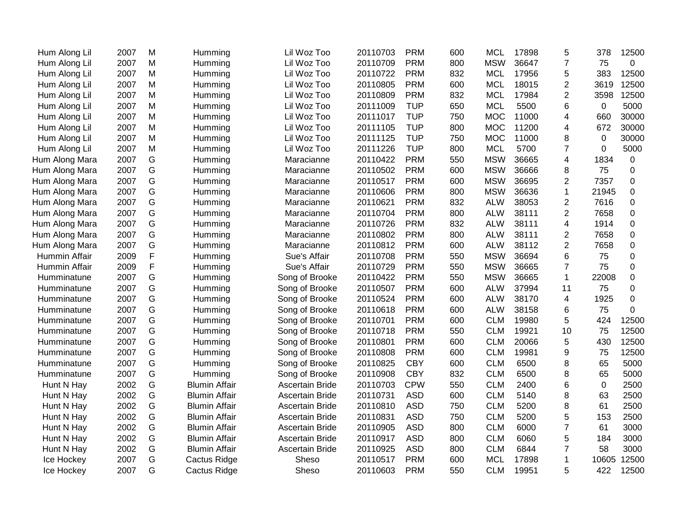| Hum Along Lil  | 2007 | M | Humming              | Lil Woz Too            | 20110703 | <b>PRM</b> | 600 | <b>MCL</b> | 17898 | 5              | 378            | 12500            |
|----------------|------|---|----------------------|------------------------|----------|------------|-----|------------|-------|----------------|----------------|------------------|
| Hum Along Lil  | 2007 | М | Humming              | Lil Woz Too            | 20110709 | <b>PRM</b> | 800 | <b>MSW</b> | 36647 | 7              | 75             | $\Omega$         |
| Hum Along Lil  | 2007 | Μ | Humming              | Lil Woz Too            | 20110722 | <b>PRM</b> | 832 | <b>MCL</b> | 17956 | 5              | 383            | 12500            |
| Hum Along Lil  | 2007 | Μ | Humming              | Lil Woz Too            | 20110805 | <b>PRM</b> | 600 | <b>MCL</b> | 18015 | 2              | 3619           | 12500            |
| Hum Along Lil  | 2007 | Μ | Humming              | Lil Woz Too            | 20110809 | <b>PRM</b> | 832 | <b>MCL</b> | 17984 | $\overline{2}$ | 3598           | 12500            |
| Hum Along Lil  | 2007 | Μ | Humming              | Lil Woz Too            | 20111009 | <b>TUP</b> | 650 | <b>MCL</b> | 5500  | 6              | $\mathbf 0$    | 5000             |
| Hum Along Lil  | 2007 | Μ | Humming              | Lil Woz Too            | 20111017 | <b>TUP</b> | 750 | <b>MOC</b> | 11000 | 4              | 660            | 30000            |
| Hum Along Lil  | 2007 | M | Humming              | Lil Woz Too            | 20111105 | <b>TUP</b> | 800 | <b>MOC</b> | 11200 | 4              | 672            | 30000            |
| Hum Along Lil  | 2007 | M | Humming              | Lil Woz Too            | 20111125 | <b>TUP</b> | 750 | <b>MOC</b> | 11000 | 8              | $\mathbf 0$    | 30000            |
| Hum Along Lil  | 2007 | M | Humming              | Lil Woz Too            | 20111226 | <b>TUP</b> | 800 | <b>MCL</b> | 5700  | $\overline{7}$ | $\overline{0}$ | 5000             |
| Hum Along Mara | 2007 | G | Humming              | Maracianne             | 20110422 | <b>PRM</b> | 550 | <b>MSW</b> | 36665 | 4              | 1834           | 0                |
| Hum Along Mara | 2007 | G | Humming              | Maracianne             | 20110502 | <b>PRM</b> | 600 | <b>MSW</b> | 36666 | 8              | 75             | $\overline{0}$   |
| Hum Along Mara | 2007 | G | Humming              | Maracianne             | 20110517 | <b>PRM</b> | 600 | <b>MSW</b> | 36695 | 2              | 7357           | 0                |
| Hum Along Mara | 2007 | G | Humming              | Maracianne             | 20110606 | <b>PRM</b> | 800 | <b>MSW</b> | 36636 | $\mathbf{1}$   | 21945          | $\Omega$         |
| Hum Along Mara | 2007 | G | Humming              | Maracianne             | 20110621 | <b>PRM</b> | 832 | <b>ALW</b> | 38053 | $\mathbf{2}$   | 7616           | $\mathbf 0$      |
| Hum Along Mara | 2007 | G | Humming              | Maracianne             | 20110704 | <b>PRM</b> | 800 | <b>ALW</b> | 38111 | 2              | 7658           | 0                |
| Hum Along Mara | 2007 | G | Humming              | Maracianne             | 20110726 | <b>PRM</b> | 832 | <b>ALW</b> | 38111 | 4              | 1914           | $\boldsymbol{0}$ |
| Hum Along Mara | 2007 | G | Humming              | Maracianne             | 20110802 | <b>PRM</b> | 800 | <b>ALW</b> | 38111 | $\mathbf{2}$   | 7658           | $\mathbf 0$      |
| Hum Along Mara | 2007 | G | Humming              | Maracianne             | 20110812 | <b>PRM</b> | 600 | <b>ALW</b> | 38112 | $\overline{2}$ | 7658           | $\boldsymbol{0}$ |
| Hummin Affair  | 2009 | F | Humming              | Sue's Affair           | 20110708 | <b>PRM</b> | 550 | <b>MSW</b> | 36694 | 6              | 75             | $\mathbf 0$      |
| Hummin Affair  | 2009 | F | Humming              | Sue's Affair           | 20110729 | <b>PRM</b> | 550 | <b>MSW</b> | 36665 | $\overline{7}$ | 75             | 0                |
| Humminatune    | 2007 | G | Humming              | Song of Brooke         | 20110422 | <b>PRM</b> | 550 | <b>MSW</b> | 36665 | $\mathbf{1}$   | 22008          | $\mathbf 0$      |
| Humminatune    | 2007 | G | Humming              | Song of Brooke         | 20110507 | <b>PRM</b> | 600 | <b>ALW</b> | 37994 | 11             | 75             | 0                |
| Humminatune    | 2007 | G | Humming              | Song of Brooke         | 20110524 | <b>PRM</b> | 600 | <b>ALW</b> | 38170 | $\overline{4}$ | 1925           | $\mathbf 0$      |
| Humminatune    | 2007 | G | Humming              | Song of Brooke         | 20110618 | <b>PRM</b> | 600 | <b>ALW</b> | 38158 | 6              | 75             | 0                |
| Humminatune    | 2007 | G | Humming              | Song of Brooke         | 20110701 | <b>PRM</b> | 600 | <b>CLM</b> | 19980 | 5              | 424            | 12500            |
| Humminatune    | 2007 | G | Humming              | Song of Brooke         | 20110718 | <b>PRM</b> | 550 | <b>CLM</b> | 19921 | 10             | 75             | 12500            |
| Humminatune    | 2007 | G | Humming              | Song of Brooke         | 20110801 | <b>PRM</b> | 600 | <b>CLM</b> | 20066 | 5              | 430            | 12500            |
| Humminatune    | 2007 | G | Humming              | Song of Brooke         | 20110808 | <b>PRM</b> | 600 | <b>CLM</b> | 19981 | 9              | 75             | 12500            |
| Humminatune    | 2007 | G | Humming              | Song of Brooke         | 20110825 | <b>CBY</b> | 600 | <b>CLM</b> | 6500  | 8              | 65             | 5000             |
| Humminatune    | 2007 | G | Humming              | Song of Brooke         | 20110908 | <b>CBY</b> | 832 | <b>CLM</b> | 6500  | 8              | 65             | 5000             |
| Hunt N Hay     | 2002 | G | <b>Blumin Affair</b> | Ascertain Bride        | 20110703 | <b>CPW</b> | 550 | <b>CLM</b> | 2400  | 6              | $\mathbf 0$    | 2500             |
| Hunt N Hay     | 2002 | G | <b>Blumin Affair</b> | Ascertain Bride        | 20110731 | <b>ASD</b> | 600 | <b>CLM</b> | 5140  | 8              | 63             | 2500             |
| Hunt N Hay     | 2002 | G | <b>Blumin Affair</b> | <b>Ascertain Bride</b> | 20110810 | <b>ASD</b> | 750 | <b>CLM</b> | 5200  | 8              | 61             | 2500             |
| Hunt N Hay     | 2002 | G | <b>Blumin Affair</b> | <b>Ascertain Bride</b> | 20110831 | <b>ASD</b> | 750 | <b>CLM</b> | 5200  | 5              | 153            | 2500             |
| Hunt N Hay     | 2002 | G | <b>Blumin Affair</b> | <b>Ascertain Bride</b> | 20110905 | <b>ASD</b> | 800 | <b>CLM</b> | 6000  | $\overline{7}$ | 61             | 3000             |
| Hunt N Hay     | 2002 | G | <b>Blumin Affair</b> | <b>Ascertain Bride</b> | 20110917 | <b>ASD</b> | 800 | <b>CLM</b> | 6060  | 5              | 184            | 3000             |
| Hunt N Hay     | 2002 | G | <b>Blumin Affair</b> | Ascertain Bride        | 20110925 | <b>ASD</b> | 800 | <b>CLM</b> | 6844  | 7              | 58             | 3000             |
| Ice Hockey     | 2007 | G | Cactus Ridge         | Sheso                  | 20110517 | <b>PRM</b> | 600 | <b>MCL</b> | 17898 | 1              | 10605          | 12500            |
| Ice Hockey     | 2007 | G | Cactus Ridge         | Sheso                  | 20110603 | <b>PRM</b> | 550 | <b>CLM</b> | 19951 | 5              | 422            | 12500            |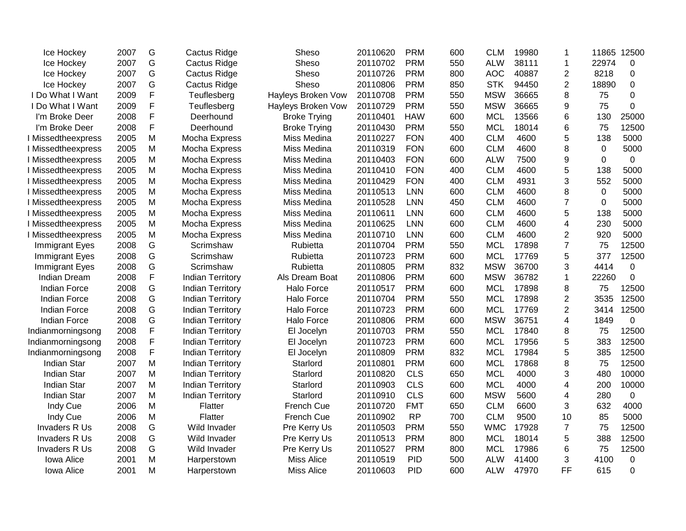| Ice Hockey            | 2007 | G           | Cactus Ridge            | Sheso               | 20110620 | <b>PRM</b> | 600 | <b>CLM</b> | 19980 | 1              | 11865 12500 |             |
|-----------------------|------|-------------|-------------------------|---------------------|----------|------------|-----|------------|-------|----------------|-------------|-------------|
| Ice Hockey            | 2007 | G           | <b>Cactus Ridge</b>     | Sheso               | 20110702 | <b>PRM</b> | 550 | <b>ALW</b> | 38111 | 1              | 22974       | $\mathbf 0$ |
| Ice Hockey            | 2007 | G           | Cactus Ridge            | Sheso               | 20110726 | <b>PRM</b> | 800 | <b>AOC</b> | 40887 | $\overline{c}$ | 8218        | 0           |
| Ice Hockey            | 2007 | G           | Cactus Ridge            | Sheso               | 20110806 | <b>PRM</b> | 850 | <b>STK</b> | 94450 | $\overline{2}$ | 18890       | $\mathbf 0$ |
| I Do What I Want      | 2009 | F           | Teuflesberg             | Hayleys Broken Vow  | 20110708 | <b>PRM</b> | 550 | <b>MSW</b> | 36665 | 8              | 75          | 0           |
| I Do What I Want      | 2009 | F           | Teuflesberg             | Hayleys Broken Vow  | 20110729 | <b>PRM</b> | 550 | <b>MSW</b> | 36665 | 9              | 75          | 0           |
| I'm Broke Deer        | 2008 | F           | Deerhound               | <b>Broke Trying</b> | 20110401 | <b>HAW</b> | 600 | <b>MCL</b> | 13566 | 6              | 130         | 25000       |
| I'm Broke Deer        | 2008 | F           | Deerhound               | <b>Broke Trying</b> | 20110430 | <b>PRM</b> | 550 | <b>MCL</b> | 18014 | 6              | 75          | 12500       |
| I Missedtheexpress    | 2005 | M           | Mocha Express           | Miss Medina         | 20110227 | <b>FON</b> | 400 | <b>CLM</b> | 4600  | 5              | 138         | 5000        |
| I Missedtheexpress    | 2005 | M           | Mocha Express           | Miss Medina         | 20110319 | <b>FON</b> | 600 | <b>CLM</b> | 4600  | 8              | 0           | 5000        |
| I Missedtheexpress    | 2005 | M           | Mocha Express           | Miss Medina         | 20110403 | <b>FON</b> | 600 | <b>ALW</b> | 7500  | 9              | $\Omega$    | 0           |
| I Missedtheexpress    | 2005 | M           | Mocha Express           | Miss Medina         | 20110410 | <b>FON</b> | 400 | <b>CLM</b> | 4600  | 5              | 138         | 5000        |
| I Missedtheexpress    | 2005 | M           | Mocha Express           | Miss Medina         | 20110429 | <b>FON</b> | 400 | <b>CLM</b> | 4931  | 3              | 552         | 5000        |
| I Missedtheexpress    | 2005 | M           | Mocha Express           | Miss Medina         | 20110513 | LNN        | 600 | <b>CLM</b> | 4600  | 8              | 0           | 5000        |
| I Missedtheexpress    | 2005 | M           | Mocha Express           | Miss Medina         | 20110528 | <b>LNN</b> | 450 | <b>CLM</b> | 4600  | $\overline{7}$ | 0           | 5000        |
| I Missedtheexpress    | 2005 | M           | Mocha Express           | Miss Medina         | 20110611 | LNN        | 600 | <b>CLM</b> | 4600  | 5              | 138         | 5000        |
| I Missedtheexpress    | 2005 | M           | Mocha Express           | Miss Medina         | 20110625 | <b>LNN</b> | 600 | <b>CLM</b> | 4600  | 4              | 230         | 5000        |
| I Missedtheexpress    | 2005 | M           | Mocha Express           | Miss Medina         | 20110710 | <b>LNN</b> | 600 | <b>CLM</b> | 4600  | $\overline{2}$ | 920         | 5000        |
| <b>Immigrant Eyes</b> | 2008 | G           | Scrimshaw               | Rubietta            | 20110704 | <b>PRM</b> | 550 | <b>MCL</b> | 17898 | $\overline{7}$ | 75          | 12500       |
| Immigrant Eyes        | 2008 | G           | Scrimshaw               | Rubietta            | 20110723 | <b>PRM</b> | 600 | <b>MCL</b> | 17769 | 5              | 377         | 12500       |
| Immigrant Eyes        | 2008 | G           | Scrimshaw               | Rubietta            | 20110805 | <b>PRM</b> | 832 | <b>MSW</b> | 36700 | 3              | 4414        | 0           |
| <b>Indian Dream</b>   | 2008 | $\mathsf F$ | <b>Indian Territory</b> | Als Dream Boat      | 20110806 | <b>PRM</b> | 600 | <b>MSW</b> | 36782 | 1              | 22260       | $\mathbf 0$ |
| Indian Force          | 2008 | G           | <b>Indian Territory</b> | <b>Halo Force</b>   | 20110517 | <b>PRM</b> | 600 | <b>MCL</b> | 17898 | 8              | 75          | 12500       |
| Indian Force          | 2008 | G           | <b>Indian Territory</b> | Halo Force          | 20110704 | <b>PRM</b> | 550 | <b>MCL</b> | 17898 | $\overline{2}$ | 3535        | 12500       |
| Indian Force          | 2008 | G           | <b>Indian Territory</b> | Halo Force          | 20110723 | <b>PRM</b> | 600 | <b>MCL</b> | 17769 | $\overline{2}$ | 3414        | 12500       |
| <b>Indian Force</b>   | 2008 | G           | <b>Indian Territory</b> | Halo Force          | 20110806 | <b>PRM</b> | 600 | <b>MSW</b> | 36751 | 4              | 1849        | 0           |
| Indianmorningsong     | 2008 | F           | <b>Indian Territory</b> | El Jocelyn          | 20110703 | <b>PRM</b> | 550 | <b>MCL</b> | 17840 | 8              | 75          | 12500       |
| Indianmorningsong     | 2008 | F           | <b>Indian Territory</b> | El Jocelyn          | 20110723 | <b>PRM</b> | 600 | <b>MCL</b> | 17956 | 5              | 383         | 12500       |
| Indianmorningsong     | 2008 | F           | <b>Indian Territory</b> | El Jocelyn          | 20110809 | <b>PRM</b> | 832 | <b>MCL</b> | 17984 | 5              | 385         | 12500       |
| <b>Indian Star</b>    | 2007 | M           | <b>Indian Territory</b> | Starlord            | 20110801 | <b>PRM</b> | 600 | <b>MCL</b> | 17868 | 8              | 75          | 12500       |
| <b>Indian Star</b>    | 2007 | M           | <b>Indian Territory</b> | Starlord            | 20110820 | <b>CLS</b> | 650 | <b>MCL</b> | 4000  | 3              | 480         | 10000       |
| <b>Indian Star</b>    | 2007 | M           | <b>Indian Territory</b> | Starlord            | 20110903 | <b>CLS</b> | 600 | <b>MCL</b> | 4000  | 4              | 200         | 10000       |
| <b>Indian Star</b>    | 2007 | M           | <b>Indian Territory</b> | Starlord            | 20110910 | <b>CLS</b> | 600 | <b>MSW</b> | 5600  | 4              | 280         | $\mathbf 0$ |
| Indy Cue              | 2006 | M           | Flatter                 | French Cue          | 20110720 | <b>FMT</b> | 650 | <b>CLM</b> | 6600  | 3              | 632         | 4000        |
| Indy Cue              | 2006 | M           | Flatter                 | French Cue          | 20110902 | <b>RP</b>  | 700 | <b>CLM</b> | 9500  | 10             | 85          | 5000        |
| <b>Invaders R Us</b>  | 2008 | G           | Wild Invader            | Pre Kerry Us        | 20110503 | <b>PRM</b> | 550 | <b>WMC</b> | 17928 | $\overline{7}$ | 75          | 12500       |
| Invaders R Us         | 2008 | G           | Wild Invader            | Pre Kerry Us        | 20110513 | <b>PRM</b> | 800 | <b>MCL</b> | 18014 | 5              | 388         | 12500       |
| <b>Invaders R Us</b>  | 2008 | G           | Wild Invader            | Pre Kerry Us        | 20110527 | <b>PRM</b> | 800 | <b>MCL</b> | 17986 | 6              | 75          | 12500       |
| Iowa Alice            | 2001 | M           | Harperstown             | <b>Miss Alice</b>   | 20110519 | <b>PID</b> | 500 | <b>ALW</b> | 41400 | 3              | 4100        | 0           |
| Iowa Alice            | 2001 | M           | Harperstown             | <b>Miss Alice</b>   | 20110603 | <b>PID</b> | 600 | <b>ALW</b> | 47970 | <b>FF</b>      | 615         | 0           |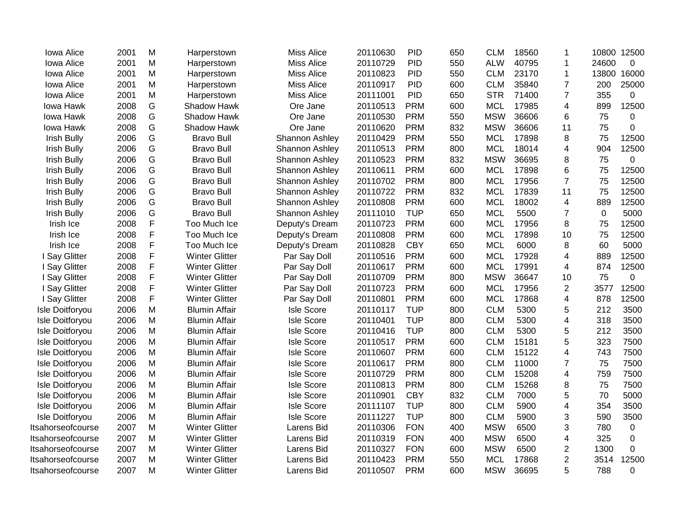| Iowa Alice         | 2001 | M | Harperstown           | <b>Miss Alice</b>     | 20110630 | <b>PID</b> | 650 | <b>CLM</b> | 18560 | 1              | 10800       | 12500          |
|--------------------|------|---|-----------------------|-----------------------|----------|------------|-----|------------|-------|----------------|-------------|----------------|
| Iowa Alice         | 2001 | M | Harperstown           | <b>Miss Alice</b>     | 20110729 | <b>PID</b> | 550 | <b>ALW</b> | 40795 | 1              | 24600       | $\mathbf 0$    |
| Iowa Alice         | 2001 | M | Harperstown           | <b>Miss Alice</b>     | 20110823 | <b>PID</b> | 550 | <b>CLM</b> | 23170 | 1              | 13800       | 16000          |
| Iowa Alice         | 2001 | M | Harperstown           | <b>Miss Alice</b>     | 20110917 | <b>PID</b> | 600 | <b>CLM</b> | 35840 | $\overline{7}$ | 200         | 25000          |
| Iowa Alice         | 2001 | M | Harperstown           | <b>Miss Alice</b>     | 20111001 | <b>PID</b> | 650 | <b>STR</b> | 71400 | 7              | 355         | 0              |
| Iowa Hawk          | 2008 | G | Shadow Hawk           | Ore Jane              | 20110513 | <b>PRM</b> | 600 | <b>MCL</b> | 17985 | 4              | 899         | 12500          |
| Iowa Hawk          | 2008 | G | Shadow Hawk           | Ore Jane              | 20110530 | <b>PRM</b> | 550 | <b>MSW</b> | 36606 | 6              | 75          | 0              |
| Iowa Hawk          | 2008 | G | Shadow Hawk           | Ore Jane              | 20110620 | <b>PRM</b> | 832 | <b>MSW</b> | 36606 | 11             | 75          | $\overline{0}$ |
| <b>Irish Bully</b> | 2006 | G | <b>Bravo Bull</b>     | Shannon Ashley        | 20110429 | <b>PRM</b> | 550 | <b>MCL</b> | 17898 | 8              | 75          | 12500          |
| <b>Irish Bully</b> | 2006 | G | <b>Bravo Bull</b>     | Shannon Ashley        | 20110513 | <b>PRM</b> | 800 | <b>MCL</b> | 18014 | 4              | 904         | 12500          |
| <b>Irish Bully</b> | 2006 | G | <b>Bravo Bull</b>     | Shannon Ashley        | 20110523 | <b>PRM</b> | 832 | <b>MSW</b> | 36695 | 8              | 75          | 0              |
| <b>Irish Bully</b> | 2006 | G | <b>Bravo Bull</b>     | Shannon Ashley        | 20110611 | <b>PRM</b> | 600 | <b>MCL</b> | 17898 | 6              | 75          | 12500          |
| <b>Irish Bully</b> | 2006 | G | <b>Bravo Bull</b>     | <b>Shannon Ashley</b> | 20110702 | <b>PRM</b> | 800 | <b>MCL</b> | 17956 | $\overline{7}$ | 75          | 12500          |
| <b>Irish Bully</b> | 2006 | G | <b>Bravo Bull</b>     | Shannon Ashley        | 20110722 | <b>PRM</b> | 832 | <b>MCL</b> | 17839 | 11             | 75          | 12500          |
| <b>Irish Bully</b> | 2006 | G | <b>Bravo Bull</b>     | <b>Shannon Ashley</b> | 20110808 | <b>PRM</b> | 600 | <b>MCL</b> | 18002 | 4              | 889         | 12500          |
| <b>Irish Bully</b> | 2006 | G | <b>Bravo Bull</b>     | <b>Shannon Ashley</b> | 20111010 | <b>TUP</b> | 650 | <b>MCL</b> | 5500  | $\overline{7}$ | $\mathbf 0$ | 5000           |
| Irish Ice          | 2008 | F | Too Much Ice          | Deputy's Dream        | 20110723 | <b>PRM</b> | 600 | <b>MCL</b> | 17956 | 8              | 75          | 12500          |
| Irish Ice          | 2008 | F | Too Much Ice          | Deputy's Dream        | 20110808 | <b>PRM</b> | 600 | <b>MCL</b> | 17898 | 10             | 75          | 12500          |
| Irish Ice          | 2008 | F | Too Much Ice          | Deputy's Dream        | 20110828 | <b>CBY</b> | 650 | <b>MCL</b> | 6000  | 8              | 60          | 5000           |
| I Say Glitter      | 2008 | F | <b>Winter Glitter</b> | Par Say Doll          | 20110516 | <b>PRM</b> | 600 | <b>MCL</b> | 17928 | 4              | 889         | 12500          |
| I Say Glitter      | 2008 | F | <b>Winter Glitter</b> | Par Say Doll          | 20110617 | <b>PRM</b> | 600 | <b>MCL</b> | 17991 | 4              | 874         | 12500          |
| I Say Glitter      | 2008 | F | <b>Winter Glitter</b> | Par Say Doll          | 20110709 | <b>PRM</b> | 800 | <b>MSW</b> | 36647 | 10             | 75          | 0              |
| I Say Glitter      | 2008 | F | <b>Winter Glitter</b> | Par Say Doll          | 20110723 | <b>PRM</b> | 600 | <b>MCL</b> | 17956 | 2              | 3577        | 12500          |
| I Say Glitter      | 2008 | F | <b>Winter Glitter</b> | Par Say Doll          | 20110801 | <b>PRM</b> | 600 | <b>MCL</b> | 17868 | 4              | 878         | 12500          |
| Isle Doitforyou    | 2006 | M | <b>Blumin Affair</b>  | <b>Isle Score</b>     | 20110117 | <b>TUP</b> | 800 | <b>CLM</b> | 5300  | 5              | 212         | 3500           |
| Isle Doitforyou    | 2006 | M | <b>Blumin Affair</b>  | <b>Isle Score</b>     | 20110401 | <b>TUP</b> | 800 | <b>CLM</b> | 5300  | 4              | 318         | 3500           |
| Isle Doitforyou    | 2006 | M | <b>Blumin Affair</b>  | <b>Isle Score</b>     | 20110416 | <b>TUP</b> | 800 | <b>CLM</b> | 5300  | 5              | 212         | 3500           |
| Isle Doitforyou    | 2006 | M | <b>Blumin Affair</b>  | <b>Isle Score</b>     | 20110517 | <b>PRM</b> | 600 | <b>CLM</b> | 15181 | 5              | 323         | 7500           |
| Isle Doitforyou    | 2006 | M | <b>Blumin Affair</b>  | <b>Isle Score</b>     | 20110607 | <b>PRM</b> | 600 | <b>CLM</b> | 15122 | 4              | 743         | 7500           |
| Isle Doitforyou    | 2006 | M | <b>Blumin Affair</b>  | <b>Isle Score</b>     | 20110617 | <b>PRM</b> | 800 | <b>CLM</b> | 11000 | 7              | 75          | 7500           |
| Isle Doitforyou    | 2006 | M | <b>Blumin Affair</b>  | <b>Isle Score</b>     | 20110729 | <b>PRM</b> | 800 | <b>CLM</b> | 15208 | 4              | 759         | 7500           |
| Isle Doitforyou    | 2006 | M | <b>Blumin Affair</b>  | <b>Isle Score</b>     | 20110813 | <b>PRM</b> | 800 | <b>CLM</b> | 15268 | 8              | 75          | 7500           |
| Isle Doitforyou    | 2006 | M | <b>Blumin Affair</b>  | <b>Isle Score</b>     | 20110901 | <b>CBY</b> | 832 | <b>CLM</b> | 7000  | 5              | 70          | 5000           |
| Isle Doitforyou    | 2006 | M | <b>Blumin Affair</b>  | <b>Isle Score</b>     | 20111107 | <b>TUP</b> | 800 | <b>CLM</b> | 5900  | 4              | 354         | 3500           |
| Isle Doitforyou    | 2006 | M | <b>Blumin Affair</b>  | <b>Isle Score</b>     | 20111227 | <b>TUP</b> | 800 | <b>CLM</b> | 5900  | 3              | 590         | 3500           |
| Itsahorseofcourse  | 2007 | M | <b>Winter Glitter</b> | Larens Bid            | 20110306 | <b>FON</b> | 400 | <b>MSW</b> | 6500  | 3              | 780         | 0              |
| Itsahorseofcourse  | 2007 | M | <b>Winter Glitter</b> | Larens Bid            | 20110319 | <b>FON</b> | 400 | <b>MSW</b> | 6500  | 4              | 325         | $\mathbf 0$    |
| Itsahorseofcourse  | 2007 | M | <b>Winter Glitter</b> | Larens Bid            | 20110327 | <b>FON</b> | 600 | <b>MSW</b> | 6500  | $\overline{2}$ | 1300        | 0              |
| Itsahorseofcourse  | 2007 | M | <b>Winter Glitter</b> | Larens Bid            | 20110423 | <b>PRM</b> | 550 | <b>MCL</b> | 17868 | $\overline{2}$ | 3514        | 12500          |
| Itsahorseofcourse  | 2007 | M | <b>Winter Glitter</b> | Larens Bid            | 20110507 | <b>PRM</b> | 600 | <b>MSW</b> | 36695 | 5              | 788         | 0              |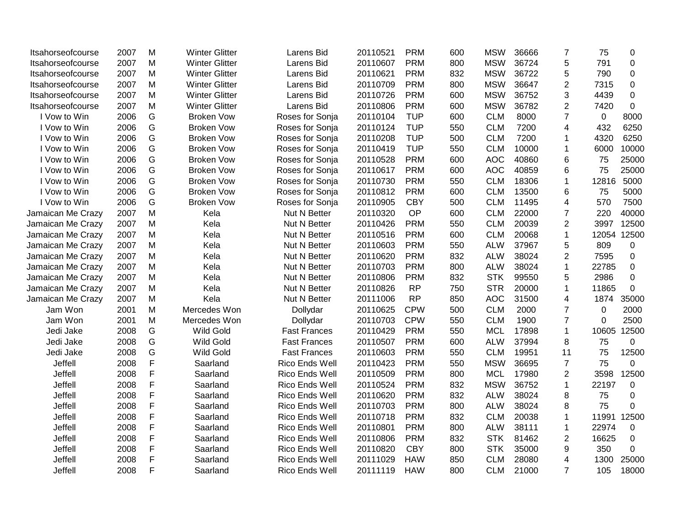| Itsahorseofcourse | 2007 | M           | <b>Winter Glitter</b> | Larens Bid          | 20110521 | <b>PRM</b> | 600 | <b>MSW</b> | 36666 | $\overline{7}$ | 75          | $\mathbf 0$      |
|-------------------|------|-------------|-----------------------|---------------------|----------|------------|-----|------------|-------|----------------|-------------|------------------|
| Itsahorseofcourse | 2007 | M           | <b>Winter Glitter</b> | Larens Bid          | 20110607 | <b>PRM</b> | 800 | <b>MSW</b> | 36724 | 5              | 791         | $\mathbf 0$      |
| Itsahorseofcourse | 2007 | M           | <b>Winter Glitter</b> | Larens Bid          | 20110621 | <b>PRM</b> | 832 | <b>MSW</b> | 36722 | 5              | 790         | $\mathbf 0$      |
| Itsahorseofcourse | 2007 | M           | <b>Winter Glitter</b> | Larens Bid          | 20110709 | <b>PRM</b> | 800 | <b>MSW</b> | 36647 | 2              | 7315        | 0                |
| Itsahorseofcourse | 2007 | M           | <b>Winter Glitter</b> | Larens Bid          | 20110726 | <b>PRM</b> | 600 | <b>MSW</b> | 36752 | 3              | 4439        | $\mathbf 0$      |
| Itsahorseofcourse | 2007 | M           | <b>Winter Glitter</b> | Larens Bid          | 20110806 | <b>PRM</b> | 600 | <b>MSW</b> | 36782 | $\overline{2}$ | 7420        | $\mathbf 0$      |
| I Vow to Win      | 2006 | G           | <b>Broken Vow</b>     | Roses for Sonja     | 20110104 | <b>TUP</b> | 600 | <b>CLM</b> | 8000  | $\overline{7}$ | $\mathbf 0$ | 8000             |
| I Vow to Win      | 2006 | G           | <b>Broken Vow</b>     | Roses for Sonja     | 20110124 | <b>TUP</b> | 550 | <b>CLM</b> | 7200  | 4              | 432         | 6250             |
| I Vow to Win      | 2006 | G           | <b>Broken Vow</b>     | Roses for Sonja     | 20110208 | <b>TUP</b> | 500 | <b>CLM</b> | 7200  | 1              | 4320        | 6250             |
| I Vow to Win      | 2006 | G           | <b>Broken Vow</b>     | Roses for Sonja     | 20110419 | <b>TUP</b> | 550 | <b>CLM</b> | 10000 | 1              | 6000        | 10000            |
| I Vow to Win      | 2006 | G           | <b>Broken Vow</b>     | Roses for Sonja     | 20110528 | <b>PRM</b> | 600 | <b>AOC</b> | 40860 | 6              | 75          | 25000            |
| I Vow to Win      | 2006 | G           | <b>Broken Vow</b>     | Roses for Sonja     | 20110617 | <b>PRM</b> | 600 | <b>AOC</b> | 40859 | 6              | 75          | 25000            |
| I Vow to Win      | 2006 | G           | <b>Broken Vow</b>     | Roses for Sonja     | 20110730 | <b>PRM</b> | 550 | <b>CLM</b> | 18306 | $\mathbf{1}$   | 12816       | 5000             |
| I Vow to Win      | 2006 | G           | <b>Broken Vow</b>     | Roses for Sonja     | 20110812 | <b>PRM</b> | 600 | <b>CLM</b> | 13500 | 6              | 75          | 5000             |
| I Vow to Win      | 2006 | G           | <b>Broken Vow</b>     | Roses for Sonja     | 20110905 | <b>CBY</b> | 500 | <b>CLM</b> | 11495 | 4              | 570         | 7500             |
| Jamaican Me Crazy | 2007 | M           | Kela                  | Nut N Better        | 20110320 | OP         | 600 | <b>CLM</b> | 22000 | $\overline{7}$ | 220         | 40000            |
| Jamaican Me Crazy | 2007 | M           | Kela                  | Nut N Better        | 20110426 | <b>PRM</b> | 550 | <b>CLM</b> | 20039 | $\overline{2}$ | 3997        | 12500            |
| Jamaican Me Crazy | 2007 | M           | Kela                  | Nut N Better        | 20110516 | <b>PRM</b> | 600 | <b>CLM</b> | 20068 | $\mathbf{1}$   | 12054       | 12500            |
| Jamaican Me Crazy | 2007 | M           | Kela                  | Nut N Better        | 20110603 | <b>PRM</b> | 550 | <b>ALW</b> | 37967 | 5              | 809         | $\mathbf 0$      |
| Jamaican Me Crazy | 2007 | M           | Kela                  | Nut N Better        | 20110620 | <b>PRM</b> | 832 | <b>ALW</b> | 38024 | $\overline{2}$ | 7595        | $\mathbf 0$      |
| Jamaican Me Crazy | 2007 | M           | Kela                  | Nut N Better        | 20110703 | <b>PRM</b> | 800 | <b>ALW</b> | 38024 | $\mathbf{1}$   | 22785       | $\mathbf 0$      |
| Jamaican Me Crazy | 2007 | M           | Kela                  | Nut N Better        | 20110806 | <b>PRM</b> | 832 | <b>STK</b> | 99550 | 5              | 2986        | $\mathbf 0$      |
| Jamaican Me Crazy | 2007 | M           | Kela                  | Nut N Better        | 20110826 | <b>RP</b>  | 750 | <b>STR</b> | 20000 | $\mathbf 1$    | 11865       | $\boldsymbol{0}$ |
| Jamaican Me Crazy | 2007 | M           | Kela                  | Nut N Better        | 20111006 | <b>RP</b>  | 850 | <b>AOC</b> | 31500 | 4              | 1874        | 35000            |
| Jam Won           | 2001 | M           | Mercedes Won          | Dollydar            | 20110625 | <b>CPW</b> | 500 | <b>CLM</b> | 2000  | $\overline{7}$ | $\mathbf 0$ | 2000             |
| Jam Won           | 2001 | Μ           | Mercedes Won          | Dollydar            | 20110703 | <b>CPW</b> | 550 | <b>CLM</b> | 1900  | $\overline{7}$ | $\Omega$    | 2500             |
| Jedi Jake         | 2008 | G           | <b>Wild Gold</b>      | <b>Fast Frances</b> | 20110429 | <b>PRM</b> | 550 | <b>MCL</b> | 17898 | $\mathbf{1}$   | 10605       | 12500            |
| Jedi Jake         | 2008 | G           | <b>Wild Gold</b>      | <b>Fast Frances</b> | 20110507 | <b>PRM</b> | 600 | <b>ALW</b> | 37994 | 8              | 75          | $\mathbf 0$      |
| Jedi Jake         | 2008 | G           | <b>Wild Gold</b>      | <b>Fast Frances</b> | 20110603 | <b>PRM</b> | 550 | <b>CLM</b> | 19951 | 11             | 75          | 12500            |
| Jeffell           | 2008 | F           | Saarland              | Rico Ends Well      | 20110423 | <b>PRM</b> | 550 | <b>MSW</b> | 36695 | $\overline{7}$ | 75          | 0                |
| Jeffell           | 2008 | F           | Saarland              | Rico Ends Well      | 20110509 | <b>PRM</b> | 800 | <b>MCL</b> | 17980 | $\overline{2}$ | 3598        | 12500            |
| Jeffell           | 2008 | $\mathsf F$ | Saarland              | Rico Ends Well      | 20110524 | <b>PRM</b> | 832 | <b>MSW</b> | 36752 | $\mathbf{1}$   | 22197       | 0                |
| Jeffell           | 2008 | F           | Saarland              | Rico Ends Well      | 20110620 | <b>PRM</b> | 832 | <b>ALW</b> | 38024 | 8              | 75          | $\mathbf 0$      |
| Jeffell           | 2008 | F           | Saarland              | Rico Ends Well      | 20110703 | <b>PRM</b> | 800 | <b>ALW</b> | 38024 | 8              | 75          | $\mathbf 0$      |
| Jeffell           | 2008 | $\mathsf F$ | Saarland              | Rico Ends Well      | 20110718 | <b>PRM</b> | 832 | <b>CLM</b> | 20038 | 1              | 11991       | 12500            |
| Jeffell           | 2008 | F           | Saarland              | Rico Ends Well      | 20110801 | <b>PRM</b> | 800 | <b>ALW</b> | 38111 | 1              | 22974       | 0                |
| Jeffell           | 2008 | F           | Saarland              | Rico Ends Well      | 20110806 | <b>PRM</b> | 832 | <b>STK</b> | 81462 | $\overline{2}$ | 16625       | $\mathbf 0$      |
| Jeffell           | 2008 | F           | Saarland              | Rico Ends Well      | 20110820 | <b>CBY</b> | 800 | <b>STK</b> | 35000 | 9              | 350         | 0                |
| Jeffell           | 2008 | $\mathsf F$ | Saarland              | Rico Ends Well      | 20111029 | <b>HAW</b> | 850 | <b>CLM</b> | 28080 | 4              | 1300        | 25000            |
| Jeffell           | 2008 | F           | Saarland              | Rico Ends Well      | 20111119 | <b>HAW</b> | 800 | <b>CLM</b> | 21000 | $\overline{7}$ | 105         | 18000            |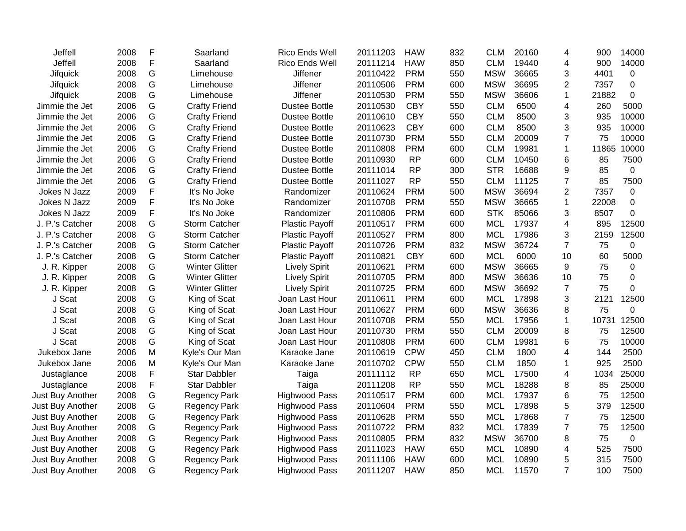| Jeffell          | 2008 | F | Saarland              | Rico Ends Well        | 20111203 | <b>HAW</b> | 832 | <b>CLM</b> | 20160 | 4              | 900   | 14000       |
|------------------|------|---|-----------------------|-----------------------|----------|------------|-----|------------|-------|----------------|-------|-------------|
| Jeffell          | 2008 | F | Saarland              | Rico Ends Well        | 20111214 | <b>HAW</b> | 850 | <b>CLM</b> | 19440 | 4              | 900   | 14000       |
| <b>Jifquick</b>  | 2008 | G | Limehouse             | Jiffener              | 20110422 | <b>PRM</b> | 550 | <b>MSW</b> | 36665 | 3              | 4401  | 0           |
| <b>Jifquick</b>  | 2008 | G | Limehouse             | <b>Jiffener</b>       | 20110506 | <b>PRM</b> | 600 | <b>MSW</b> | 36695 | 2              | 7357  | $\mathbf 0$ |
| <b>Jifquick</b>  | 2008 | G | Limehouse             | <b>Jiffener</b>       | 20110530 | <b>PRM</b> | 550 | <b>MSW</b> | 36606 | 1              | 21882 | $\Omega$    |
| Jimmie the Jet   | 2006 | G | <b>Crafty Friend</b>  | <b>Dustee Bottle</b>  | 20110530 | <b>CBY</b> | 550 | <b>CLM</b> | 6500  | 4              | 260   | 5000        |
| Jimmie the Jet   | 2006 | G | <b>Crafty Friend</b>  | <b>Dustee Bottle</b>  | 20110610 | <b>CBY</b> | 550 | <b>CLM</b> | 8500  | 3              | 935   | 10000       |
| Jimmie the Jet   | 2006 | G | <b>Crafty Friend</b>  | <b>Dustee Bottle</b>  | 20110623 | <b>CBY</b> | 600 | <b>CLM</b> | 8500  | 3              | 935   | 10000       |
| Jimmie the Jet   | 2006 | G | <b>Crafty Friend</b>  | <b>Dustee Bottle</b>  | 20110730 | <b>PRM</b> | 550 | <b>CLM</b> | 20009 | $\overline{7}$ | 75    | 10000       |
| Jimmie the Jet   | 2006 | G | <b>Crafty Friend</b>  | <b>Dustee Bottle</b>  | 20110808 | <b>PRM</b> | 600 | <b>CLM</b> | 19981 | $\mathbf{1}$   | 11865 | 10000       |
| Jimmie the Jet   | 2006 | G | <b>Crafty Friend</b>  | <b>Dustee Bottle</b>  | 20110930 | <b>RP</b>  | 600 | <b>CLM</b> | 10450 | 6              | 85    | 7500        |
| Jimmie the Jet   | 2006 | G | <b>Crafty Friend</b>  | <b>Dustee Bottle</b>  | 20111014 | <b>RP</b>  | 300 | <b>STR</b> | 16688 | 9              | 85    | 0           |
| Jimmie the Jet   | 2006 | G | <b>Crafty Friend</b>  | <b>Dustee Bottle</b>  | 20111027 | <b>RP</b>  | 550 | <b>CLM</b> | 11125 | $\overline{7}$ | 85    | 7500        |
| Jokes N Jazz     | 2009 | F | It's No Joke          | Randomizer            | 20110624 | <b>PRM</b> | 500 | <b>MSW</b> | 36694 | 2              | 7357  | 0           |
| Jokes N Jazz     | 2009 | F | It's No Joke          | Randomizer            | 20110708 | <b>PRM</b> | 550 | <b>MSW</b> | 36665 | $\mathbf{1}$   | 22008 | $\pmb{0}$   |
| Jokes N Jazz     | 2009 | F | It's No Joke          | Randomizer            | 20110806 | <b>PRM</b> | 600 | <b>STK</b> | 85066 | 3              | 8507  | 0           |
| J. P.'s Catcher  | 2008 | G | Storm Catcher         | <b>Plastic Payoff</b> | 20110517 | <b>PRM</b> | 600 | <b>MCL</b> | 17937 | 4              | 895   | 12500       |
| J. P.'s Catcher  | 2008 | G | <b>Storm Catcher</b>  | <b>Plastic Payoff</b> | 20110527 | <b>PRM</b> | 800 | <b>MCL</b> | 17986 | 3              | 2159  | 12500       |
| J. P.'s Catcher  | 2008 | G | <b>Storm Catcher</b>  | <b>Plastic Payoff</b> | 20110726 | <b>PRM</b> | 832 | <b>MSW</b> | 36724 | 7              | 75    | 0           |
| J. P.'s Catcher  | 2008 | G | <b>Storm Catcher</b>  | <b>Plastic Payoff</b> | 20110821 | <b>CBY</b> | 600 | <b>MCL</b> | 6000  | 10             | 60    | 5000        |
| J. R. Kipper     | 2008 | G | <b>Winter Glitter</b> | <b>Lively Spirit</b>  | 20110621 | <b>PRM</b> | 600 | <b>MSW</b> | 36665 | 9              | 75    | 0           |
| J. R. Kipper     | 2008 | G | <b>Winter Glitter</b> | <b>Lively Spirit</b>  | 20110705 | <b>PRM</b> | 800 | <b>MSW</b> | 36636 | 10             | 75    | 0           |
| J. R. Kipper     | 2008 | G | <b>Winter Glitter</b> | <b>Lively Spirit</b>  | 20110725 | <b>PRM</b> | 600 | <b>MSW</b> | 36692 | $\overline{7}$ | 75    | 0           |
| J Scat           | 2008 | G | King of Scat          | Joan Last Hour        | 20110611 | <b>PRM</b> | 600 | <b>MCL</b> | 17898 | 3              | 2121  | 12500       |
| J Scat           | 2008 | G | King of Scat          | Joan Last Hour        | 20110627 | <b>PRM</b> | 600 | <b>MSW</b> | 36636 | 8              | 75    | 0           |
| J Scat           | 2008 | G | King of Scat          | Joan Last Hour        | 20110708 | <b>PRM</b> | 550 | <b>MCL</b> | 17956 | $\mathbf{1}$   | 10731 | 12500       |
| J Scat           | 2008 | G | King of Scat          | Joan Last Hour        | 20110730 | <b>PRM</b> | 550 | <b>CLM</b> | 20009 | 8              | 75    | 12500       |
| J Scat           | 2008 | G | King of Scat          | Joan Last Hour        | 20110808 | <b>PRM</b> | 600 | <b>CLM</b> | 19981 | 6              | 75    | 10000       |
| Jukebox Jane     | 2006 | M | Kyle's Our Man        | Karaoke Jane          | 20110619 | <b>CPW</b> | 450 | <b>CLM</b> | 1800  | 4              | 144   | 2500        |
| Jukebox Jane     | 2006 | M | Kyle's Our Man        | Karaoke Jane          | 20110702 | <b>CPW</b> | 550 | <b>CLM</b> | 1850  | 1              | 925   | 2500        |
| Justaglance      | 2008 | F | <b>Star Dabbler</b>   | Taiga                 | 20111112 | <b>RP</b>  | 650 | <b>MCL</b> | 17500 | 4              | 1034  | 25000       |
| Justaglance      | 2008 | F | Star Dabbler          | Taiga                 | 20111208 | <b>RP</b>  | 550 | <b>MCL</b> | 18288 | 8              | 85    | 25000       |
| Just Buy Another | 2008 | G | <b>Regency Park</b>   | <b>Highwood Pass</b>  | 20110517 | <b>PRM</b> | 600 | <b>MCL</b> | 17937 | 6              | 75    | 12500       |
| Just Buy Another | 2008 | G | <b>Regency Park</b>   | <b>Highwood Pass</b>  | 20110604 | <b>PRM</b> | 550 | <b>MCL</b> | 17898 | 5              | 379   | 12500       |
| Just Buy Another | 2008 | G | <b>Regency Park</b>   | <b>Highwood Pass</b>  | 20110628 | <b>PRM</b> | 550 | <b>MCL</b> | 17868 | 7              | 75    | 12500       |
| Just Buy Another | 2008 | G | <b>Regency Park</b>   | <b>Highwood Pass</b>  | 20110722 | <b>PRM</b> | 832 | <b>MCL</b> | 17839 | $\overline{7}$ | 75    | 12500       |
| Just Buy Another | 2008 | G | <b>Regency Park</b>   | <b>Highwood Pass</b>  | 20110805 | <b>PRM</b> | 832 | <b>MSW</b> | 36700 | 8              | 75    | 0           |
| Just Buy Another | 2008 | G | <b>Regency Park</b>   | <b>Highwood Pass</b>  | 20111023 | <b>HAW</b> | 650 | <b>MCL</b> | 10890 | 4              | 525   | 7500        |
| Just Buy Another | 2008 | G | <b>Regency Park</b>   | <b>Highwood Pass</b>  | 20111106 | <b>HAW</b> | 600 | <b>MCL</b> | 10890 | 5              | 315   | 7500        |
| Just Buy Another | 2008 | G | <b>Regency Park</b>   | <b>Highwood Pass</b>  | 20111207 | <b>HAW</b> | 850 | <b>MCL</b> | 11570 | $\overline{7}$ | 100   | 7500        |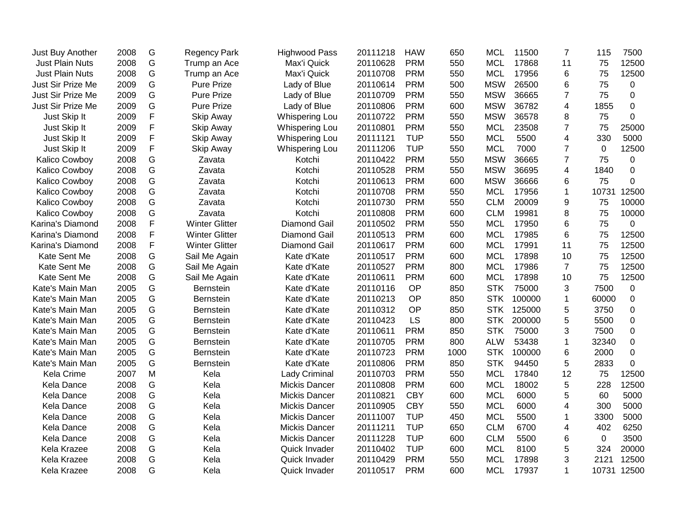| Just Buy Another       | 2008 | G             | <b>Regency Park</b>   | <b>Highwood Pass</b>  | 20111218 | <b>HAW</b> | 650  | <b>MCL</b> | 11500  | $\overline{7}$ | 115   | 7500        |
|------------------------|------|---------------|-----------------------|-----------------------|----------|------------|------|------------|--------|----------------|-------|-------------|
| <b>Just Plain Nuts</b> | 2008 | G             | Trump an Ace          | Max'i Quick           | 20110628 | <b>PRM</b> | 550  | <b>MCL</b> | 17868  | 11             | 75    | 12500       |
| <b>Just Plain Nuts</b> | 2008 | G             | Trump an Ace          | Max'i Quick           | 20110708 | <b>PRM</b> | 550  | <b>MCL</b> | 17956  | 6              | 75    | 12500       |
| Just Sir Prize Me      | 2009 | G             | <b>Pure Prize</b>     | Lady of Blue          | 20110614 | <b>PRM</b> | 500  | <b>MSW</b> | 26500  | 6              | 75    | 0           |
| Just Sir Prize Me      | 2009 | G             | <b>Pure Prize</b>     | Lady of Blue          | 20110709 | <b>PRM</b> | 550  | <b>MSW</b> | 36665  | 7              | 75    | 0           |
| Just Sir Prize Me      | 2009 | ${\mathsf G}$ | <b>Pure Prize</b>     | Lady of Blue          | 20110806 | <b>PRM</b> | 600  | <b>MSW</b> | 36782  | 4              | 1855  | 0           |
| Just Skip It           | 2009 | F             | Skip Away             | Whispering Lou        | 20110722 | <b>PRM</b> | 550  | <b>MSW</b> | 36578  | 8              | 75    | 0           |
| Just Skip It           | 2009 | F             | Skip Away             | Whispering Lou        | 20110801 | <b>PRM</b> | 550  | <b>MCL</b> | 23508  | $\overline{7}$ | 75    | 25000       |
| Just Skip It           | 2009 | F             | Skip Away             | <b>Whispering Lou</b> | 20111121 | <b>TUP</b> | 550  | <b>MCL</b> | 5500   | 4              | 330   | 5000        |
| Just Skip It           | 2009 | F             | Skip Away             | <b>Whispering Lou</b> | 20111206 | <b>TUP</b> | 550  | <b>MCL</b> | 7000   | $\overline{7}$ | 0     | 12500       |
| Kalico Cowboy          | 2008 | G             | Zavata                | Kotchi                | 20110422 | <b>PRM</b> | 550  | <b>MSW</b> | 36665  | $\overline{7}$ | 75    | 0           |
| Kalico Cowboy          | 2008 | G             | Zavata                | Kotchi                | 20110528 | <b>PRM</b> | 550  | <b>MSW</b> | 36695  | 4              | 1840  | 0           |
| Kalico Cowboy          | 2008 | G             | Zavata                | Kotchi                | 20110613 | <b>PRM</b> | 600  | <b>MSW</b> | 36666  | 6              | 75    | 0           |
| Kalico Cowboy          | 2008 | ${\mathsf G}$ | Zavata                | Kotchi                | 20110708 | <b>PRM</b> | 550  | <b>MCL</b> | 17956  | 1              | 10731 | 12500       |
| Kalico Cowboy          | 2008 | ${\mathsf G}$ | Zavata                | Kotchi                | 20110730 | <b>PRM</b> | 550  | <b>CLM</b> | 20009  | 9              | 75    | 10000       |
| Kalico Cowboy          | 2008 | ${\mathsf G}$ | Zavata                | Kotchi                | 20110808 | <b>PRM</b> | 600  | <b>CLM</b> | 19981  | 8              | 75    | 10000       |
| Karina's Diamond       | 2008 | F             | <b>Winter Glitter</b> | <b>Diamond Gail</b>   | 20110502 | <b>PRM</b> | 550  | <b>MCL</b> | 17950  | 6              | 75    | 0           |
| Karina's Diamond       | 2008 | F             | <b>Winter Glitter</b> | <b>Diamond Gail</b>   | 20110513 | <b>PRM</b> | 600  | <b>MCL</b> | 17985  | 6              | 75    | 12500       |
| Karina's Diamond       | 2008 | F             | <b>Winter Glitter</b> | <b>Diamond Gail</b>   | 20110617 | <b>PRM</b> | 600  | <b>MCL</b> | 17991  | 11             | 75    | 12500       |
| Kate Sent Me           | 2008 | G             | Sail Me Again         | Kate d'Kate           | 20110517 | <b>PRM</b> | 600  | <b>MCL</b> | 17898  | 10             | 75    | 12500       |
| Kate Sent Me           | 2008 | G             | Sail Me Again         | Kate d'Kate           | 20110527 | <b>PRM</b> | 800  | <b>MCL</b> | 17986  | $\overline{7}$ | 75    | 12500       |
| Kate Sent Me           | 2008 | G             | Sail Me Again         | Kate d'Kate           | 20110611 | <b>PRM</b> | 600  | <b>MCL</b> | 17898  | 10             | 75    | 12500       |
| Kate's Main Man        | 2005 | G             | Bernstein             | Kate d'Kate           | 20110116 | OP         | 850  | <b>STK</b> | 75000  | 3              | 7500  | 0           |
| Kate's Main Man        | 2005 | ${\mathsf G}$ | Bernstein             | Kate d'Kate           | 20110213 | OP         | 850  | <b>STK</b> | 100000 | 1              | 60000 | 0           |
| Kate's Main Man        | 2005 | G             | Bernstein             | Kate d'Kate           | 20110312 | OP         | 850  | <b>STK</b> | 125000 | 5              | 3750  | 0           |
| Kate's Main Man        | 2005 | G             | Bernstein             | Kate d'Kate           | 20110423 | LS         | 800  | <b>STK</b> | 200000 | 5              | 5500  | 0           |
| Kate's Main Man        | 2005 | G             | Bernstein             | Kate d'Kate           | 20110611 | <b>PRM</b> | 850  | <b>STK</b> | 75000  | 3              | 7500  | 0           |
| Kate's Main Man        | 2005 | G             | Bernstein             | Kate d'Kate           | 20110705 | <b>PRM</b> | 800  | <b>ALW</b> | 53438  | $\mathbf{1}$   | 32340 | 0           |
| Kate's Main Man        | 2005 | G             | <b>Bernstein</b>      | Kate d'Kate           | 20110723 | <b>PRM</b> | 1000 | <b>STK</b> | 100000 | 6              | 2000  | 0           |
| Kate's Main Man        | 2005 | ${\mathsf G}$ | Bernstein             | Kate d'Kate           | 20110806 | <b>PRM</b> | 850  | <b>STK</b> | 94450  | 5              | 2833  | 0           |
| Kela Crime             | 2007 | M             | Kela                  | Lady Criminal         | 20110703 | <b>PRM</b> | 550  | <b>MCL</b> | 17840  | 12             | 75    | 12500       |
| Kela Dance             | 2008 | G             | Kela                  | <b>Mickis Dancer</b>  | 20110808 | <b>PRM</b> | 600  | <b>MCL</b> | 18002  | 5              | 228   | 12500       |
| <b>Kela Dance</b>      | 2008 | G             | Kela                  | <b>Mickis Dancer</b>  | 20110821 | <b>CBY</b> | 600  | <b>MCL</b> | 6000   | 5              | 60    | 5000        |
| <b>Kela Dance</b>      | 2008 | G             | Kela                  | <b>Mickis Dancer</b>  | 20110905 | <b>CBY</b> | 550  | <b>MCL</b> | 6000   | 4              | 300   | 5000        |
| <b>Kela Dance</b>      | 2008 | G             | Kela                  | <b>Mickis Dancer</b>  | 20111007 | <b>TUP</b> | 450  | <b>MCL</b> | 5500   | 1              | 3300  | 5000        |
| <b>Kela Dance</b>      | 2008 | G             | Kela                  | <b>Mickis Dancer</b>  | 20111211 | <b>TUP</b> | 650  | <b>CLM</b> | 6700   | 4              | 402   | 6250        |
| Kela Dance             | 2008 | G             | Kela                  | <b>Mickis Dancer</b>  | 20111228 | <b>TUP</b> | 600  | <b>CLM</b> | 5500   | 6              | 0     | 3500        |
| Kela Krazee            | 2008 | ${\mathsf G}$ | Kela                  | Quick Invader         | 20110402 | <b>TUP</b> | 600  | <b>MCL</b> | 8100   | 5              | 324   | 20000       |
| Kela Krazee            | 2008 | G             | Kela                  | Quick Invader         | 20110429 | <b>PRM</b> | 550  | <b>MCL</b> | 17898  | 3              | 2121  | 12500       |
| Kela Krazee            | 2008 | G             | Kela                  | Quick Invader         | 20110517 | <b>PRM</b> | 600  | <b>MCL</b> | 17937  | 1              |       | 10731 12500 |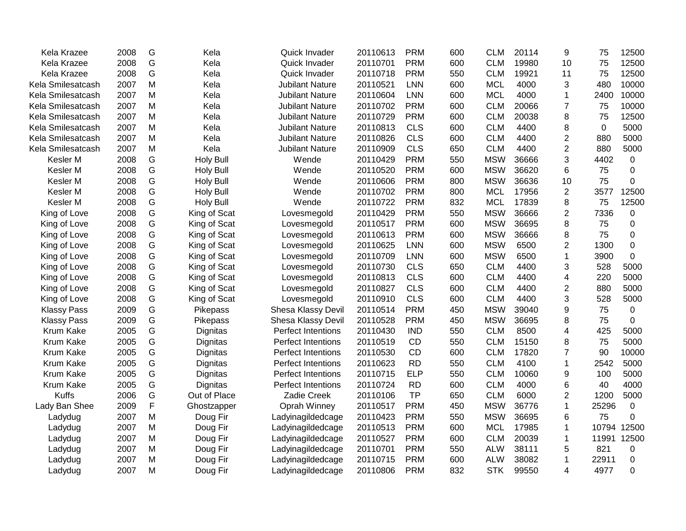| Kela Krazee        | 2008 | G           | Kela             | Quick Invader          | 20110613 | <b>PRM</b> | 600 | <b>CLM</b> | 20114 | 9              | 75    | 12500       |
|--------------------|------|-------------|------------------|------------------------|----------|------------|-----|------------|-------|----------------|-------|-------------|
| Kela Krazee        | 2008 | G           | Kela             | Quick Invader          | 20110701 | <b>PRM</b> | 600 | <b>CLM</b> | 19980 | 10             | 75    | 12500       |
| Kela Krazee        | 2008 | G           | Kela             | Quick Invader          | 20110718 | <b>PRM</b> | 550 | <b>CLM</b> | 19921 | 11             | 75    | 12500       |
| Kela Smilesatcash  | 2007 | Μ           | Kela             | <b>Jubilant Nature</b> | 20110521 | <b>LNN</b> | 600 | <b>MCL</b> | 4000  | 3              | 480   | 10000       |
| Kela Smilesatcash  | 2007 | М           | Kela             | <b>Jubilant Nature</b> | 20110604 | <b>LNN</b> | 600 | <b>MCL</b> | 4000  | $\mathbf{1}$   | 2400  | 10000       |
| Kela Smilesatcash  | 2007 | M           | Kela             | <b>Jubilant Nature</b> | 20110702 | <b>PRM</b> | 600 | <b>CLM</b> | 20066 | $\overline{7}$ | 75    | 10000       |
| Kela Smilesatcash  | 2007 | M           | Kela             | <b>Jubilant Nature</b> | 20110729 | <b>PRM</b> | 600 | <b>CLM</b> | 20038 | 8              | 75    | 12500       |
| Kela Smilesatcash  | 2007 | M           | Kela             | <b>Jubilant Nature</b> | 20110813 | <b>CLS</b> | 600 | <b>CLM</b> | 4400  | 8              | 0     | 5000        |
| Kela Smilesatcash  | 2007 | Μ           | Kela             | <b>Jubilant Nature</b> | 20110826 | <b>CLS</b> | 600 | <b>CLM</b> | 4400  | $\overline{2}$ | 880   | 5000        |
| Kela Smilesatcash  | 2007 | Μ           | Kela             | <b>Jubilant Nature</b> | 20110909 | <b>CLS</b> | 650 | <b>CLM</b> | 4400  | $\overline{2}$ | 880   | 5000        |
| Kesler M           | 2008 | G           | <b>Holy Bull</b> | Wende                  | 20110429 | <b>PRM</b> | 550 | <b>MSW</b> | 36666 | 3              | 4402  | $\mathbf 0$ |
| Kesler M           | 2008 | G           | <b>Holy Bull</b> | Wende                  | 20110520 | <b>PRM</b> | 600 | <b>MSW</b> | 36620 | 6              | 75    | 0           |
| Kesler M           | 2008 | G           | <b>Holy Bull</b> | Wende                  | 20110606 | <b>PRM</b> | 800 | <b>MSW</b> | 36636 | 10             | 75    | 0           |
| Kesler M           | 2008 | G           | <b>Holy Bull</b> | Wende                  | 20110702 | <b>PRM</b> | 800 | <b>MCL</b> | 17956 | $\overline{2}$ | 3577  | 12500       |
| Kesler M           | 2008 | G           | <b>Holy Bull</b> | Wende                  | 20110722 | <b>PRM</b> | 832 | <b>MCL</b> | 17839 | 8              | 75    | 12500       |
| King of Love       | 2008 | G           | King of Scat     | Lovesmegold            | 20110429 | <b>PRM</b> | 550 | <b>MSW</b> | 36666 | $\overline{2}$ | 7336  | 0           |
| King of Love       | 2008 | G           | King of Scat     | Lovesmegold            | 20110517 | <b>PRM</b> | 600 | <b>MSW</b> | 36695 | 8              | 75    | $\mathbf 0$ |
| King of Love       | 2008 | G           | King of Scat     | Lovesmegold            | 20110613 | <b>PRM</b> | 600 | <b>MSW</b> | 36666 | 8              | 75    | 0           |
| King of Love       | 2008 | G           | King of Scat     | Lovesmegold            | 20110625 | <b>LNN</b> | 600 | <b>MSW</b> | 6500  | $\overline{2}$ | 1300  | $\mathbf 0$ |
| King of Love       | 2008 | G           | King of Scat     | Lovesmegold            | 20110709 | <b>LNN</b> | 600 | <b>MSW</b> | 6500  | $\mathbf{1}$   | 3900  | $\mathbf 0$ |
| King of Love       | 2008 | G           | King of Scat     | Lovesmegold            | 20110730 | <b>CLS</b> | 650 | <b>CLM</b> | 4400  | 3              | 528   | 5000        |
| King of Love       | 2008 | G           | King of Scat     | Lovesmegold            | 20110813 | <b>CLS</b> | 600 | <b>CLM</b> | 4400  | 4              | 220   | 5000        |
| King of Love       | 2008 | G           | King of Scat     | Lovesmegold            | 20110827 | <b>CLS</b> | 600 | <b>CLM</b> | 4400  | $\mathbf{2}$   | 880   | 5000        |
| King of Love       | 2008 | G           | King of Scat     | Lovesmegold            | 20110910 | <b>CLS</b> | 600 | <b>CLM</b> | 4400  | 3              | 528   | 5000        |
| <b>Klassy Pass</b> | 2009 | G           | Pikepass         | Shesa Klassy Devil     | 20110514 | <b>PRM</b> | 450 | <b>MSW</b> | 39040 | 9              | 75    | 0           |
| <b>Klassy Pass</b> | 2009 | G           | Pikepass         | Shesa Klassy Devil     | 20110528 | <b>PRM</b> | 450 | <b>MSW</b> | 36695 | 8              | 75    | 0           |
| Krum Kake          | 2005 | G           | Dignitas         | Perfect Intentions     | 20110430 | <b>IND</b> | 550 | <b>CLM</b> | 8500  | 4              | 425   | 5000        |
| Krum Kake          | 2005 | G           | Dignitas         | Perfect Intentions     | 20110519 | <b>CD</b>  | 550 | <b>CLM</b> | 15150 | 8              | 75    | 5000        |
| Krum Kake          | 2005 | G           | Dignitas         | Perfect Intentions     | 20110530 | CD         | 600 | <b>CLM</b> | 17820 | $\overline{7}$ | 90    | 10000       |
| Krum Kake          | 2005 | G           | Dignitas         | Perfect Intentions     | 20110623 | <b>RD</b>  | 550 | <b>CLM</b> | 4100  | $\mathbf{1}$   | 2542  | 5000        |
| Krum Kake          | 2005 | G           | Dignitas         | Perfect Intentions     | 20110715 | <b>ELP</b> | 550 | <b>CLM</b> | 10060 | 9              | 100   | 5000        |
| Krum Kake          | 2005 | G           | Dignitas         | Perfect Intentions     | 20110724 | <b>RD</b>  | 600 | <b>CLM</b> | 4000  | 6              | 40    | 4000        |
| <b>Kuffs</b>       | 2006 | G           | Out of Place     | Zadie Creek            | 20110106 | <b>TP</b>  | 650 | <b>CLM</b> | 6000  | $\overline{2}$ | 1200  | 5000        |
| Lady Ban Shee      | 2009 | $\mathsf F$ | Ghostzapper      | Oprah Winney           | 20110517 | <b>PRM</b> | 450 | <b>MSW</b> | 36776 | $\mathbf{1}$   | 25296 | $\mathbf 0$ |
| Ladydug            | 2007 | M           | Doug Fir         | Ladyinagildedcage      | 20110423 | <b>PRM</b> | 550 | <b>MSW</b> | 36695 | 6              | 75    | $\mathbf 0$ |
| Ladydug            | 2007 | M           | Doug Fir         | Ladyinagildedcage      | 20110513 | <b>PRM</b> | 600 | <b>MCL</b> | 17985 | $\mathbf{1}$   | 10794 | 12500       |
| Ladydug            | 2007 | M           | Doug Fir         | Ladyinagildedcage      | 20110527 | <b>PRM</b> | 600 | <b>CLM</b> | 20039 | $\mathbf{1}$   | 11991 | 12500       |
| Ladydug            | 2007 | Μ           | Doug Fir         | Ladyinagildedcage      | 20110701 | <b>PRM</b> | 550 | <b>ALW</b> | 38111 | 5              | 821   | 0           |
| Ladydug            | 2007 | Μ           | Doug Fir         | Ladyinagildedcage      | 20110715 | <b>PRM</b> | 600 | <b>ALW</b> | 38082 | 1              | 22911 | 0           |
| Ladydug            | 2007 | M           | Doug Fir         | Ladyinagildedcage      | 20110806 | <b>PRM</b> | 832 | <b>STK</b> | 99550 | 4              | 4977  | 0           |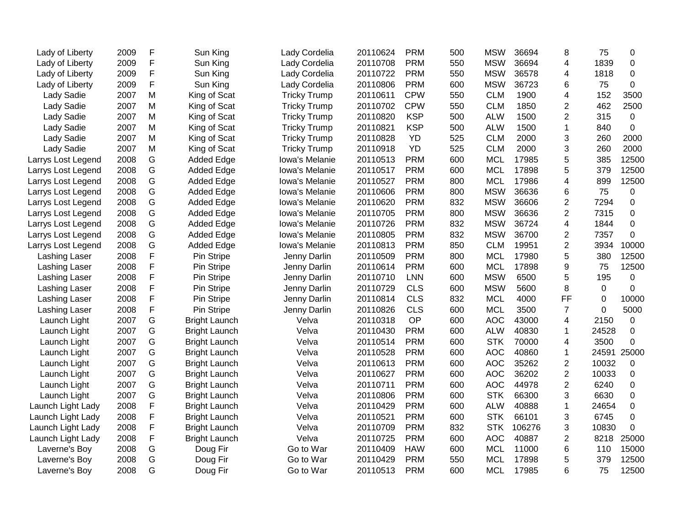| Lady of Liberty    | 2009 | F | Sun King             | Lady Cordelia       | 20110624 | <b>PRM</b> | 500 | <b>MSW</b> | 36694  | 8              | 75          | 0           |
|--------------------|------|---|----------------------|---------------------|----------|------------|-----|------------|--------|----------------|-------------|-------------|
| Lady of Liberty    | 2009 | F | Sun King             | Lady Cordelia       | 20110708 | <b>PRM</b> | 550 | <b>MSW</b> | 36694  | 4              | 1839        | $\mathbf 0$ |
| Lady of Liberty    | 2009 | F | Sun King             | Lady Cordelia       | 20110722 | <b>PRM</b> | 550 | <b>MSW</b> | 36578  | 4              | 1818        | $\Omega$    |
| Lady of Liberty    | 2009 | F | Sun King             | Lady Cordelia       | 20110806 | <b>PRM</b> | 600 | <b>MSW</b> | 36723  | 6              | 75          | $\mathbf 0$ |
| Lady Sadie         | 2007 | M | King of Scat         | <b>Tricky Trump</b> | 20110611 | <b>CPW</b> | 550 | <b>CLM</b> | 1900   | 4              | 152         | 3500        |
| Lady Sadie         | 2007 | M | King of Scat         | <b>Tricky Trump</b> | 20110702 | <b>CPW</b> | 550 | <b>CLM</b> | 1850   | $\overline{c}$ | 462         | 2500        |
| Lady Sadie         | 2007 | Μ | King of Scat         | <b>Tricky Trump</b> | 20110820 | <b>KSP</b> | 500 | <b>ALW</b> | 1500   | $\overline{2}$ | 315         | 0           |
| Lady Sadie         | 2007 | Μ | King of Scat         | <b>Tricky Trump</b> | 20110821 | <b>KSP</b> | 500 | <b>ALW</b> | 1500   | $\mathbf{1}$   | 840         | $\mathbf 0$ |
| Lady Sadie         | 2007 | Μ | King of Scat         | <b>Tricky Trump</b> | 20110828 | YD         | 525 | <b>CLM</b> | 2000   | 3              | 260         | 2000        |
| Lady Sadie         | 2007 | Μ | King of Scat         | <b>Tricky Trump</b> | 20110918 | <b>YD</b>  | 525 | <b>CLM</b> | 2000   | 3              | 260         | 2000        |
| Larrys Lost Legend | 2008 | G | <b>Added Edge</b>    | Iowa's Melanie      | 20110513 | <b>PRM</b> | 600 | <b>MCL</b> | 17985  | 5              | 385         | 12500       |
| Larrys Lost Legend | 2008 | G | <b>Added Edge</b>    | Iowa's Melanie      | 20110517 | <b>PRM</b> | 600 | <b>MCL</b> | 17898  | 5              | 379         | 12500       |
| Larrys Lost Legend | 2008 | G | <b>Added Edge</b>    | Iowa's Melanie      | 20110527 | <b>PRM</b> | 800 | <b>MCL</b> | 17986  | 4              | 899         | 12500       |
| Larrys Lost Legend | 2008 | G | <b>Added Edge</b>    | Iowa's Melanie      | 20110606 | <b>PRM</b> | 800 | <b>MSW</b> | 36636  | 6              | 75          | 0           |
| Larrys Lost Legend | 2008 | G | <b>Added Edge</b>    | Iowa's Melanie      | 20110620 | <b>PRM</b> | 832 | <b>MSW</b> | 36606  | $\overline{2}$ | 7294        | $\mathbf 0$ |
| Larrys Lost Legend | 2008 | G | <b>Added Edge</b>    | Iowa's Melanie      | 20110705 | <b>PRM</b> | 800 | <b>MSW</b> | 36636  | $\overline{2}$ | 7315        | $\mathbf 0$ |
| Larrys Lost Legend | 2008 | G | <b>Added Edge</b>    | Iowa's Melanie      | 20110726 | <b>PRM</b> | 832 | <b>MSW</b> | 36724  | 4              | 1844        | $\mathbf 0$ |
| Larrys Lost Legend | 2008 | G | <b>Added Edge</b>    | Iowa's Melanie      | 20110805 | <b>PRM</b> | 832 | <b>MSW</b> | 36700  | $\overline{2}$ | 7357        | $\mathbf 0$ |
| Larrys Lost Legend | 2008 | G | <b>Added Edge</b>    | Iowa's Melanie      | 20110813 | <b>PRM</b> | 850 | <b>CLM</b> | 19951  | $\overline{2}$ | 3934        | 10000       |
| Lashing Laser      | 2008 | F | Pin Stripe           | Jenny Darlin        | 20110509 | <b>PRM</b> | 800 | <b>MCL</b> | 17980  | 5              | 380         | 12500       |
| Lashing Laser      | 2008 | F | Pin Stripe           | Jenny Darlin        | 20110614 | <b>PRM</b> | 600 | <b>MCL</b> | 17898  | 9              | 75          | 12500       |
| Lashing Laser      | 2008 | F | Pin Stripe           | Jenny Darlin        | 20110710 | <b>LNN</b> | 600 | <b>MSW</b> | 6500   | 5              | 195         | $\mathbf 0$ |
| Lashing Laser      | 2008 | F | Pin Stripe           | Jenny Darlin        | 20110729 | <b>CLS</b> | 600 | <b>MSW</b> | 5600   | 8              | $\mathbf 0$ | $\mathbf 0$ |
| Lashing Laser      | 2008 | F | Pin Stripe           | Jenny Darlin        | 20110814 | <b>CLS</b> | 832 | <b>MCL</b> | 4000   | FF             | $\mathbf 0$ | 10000       |
| Lashing Laser      | 2008 | F | Pin Stripe           | Jenny Darlin        | 20110826 | <b>CLS</b> | 600 | <b>MCL</b> | 3500   | $\overline{7}$ | 0           | 5000        |
| Launch Light       | 2007 | G | <b>Bright Launch</b> | Velva               | 20110318 | OP         | 600 | <b>AOC</b> | 43000  | 4              | 2150        | $\mathbf 0$ |
| Launch Light       | 2007 | G | <b>Bright Launch</b> | Velva               | 20110430 | <b>PRM</b> | 600 | <b>ALW</b> | 40830  | $\mathbf{1}$   | 24528       | 0           |
| Launch Light       | 2007 | G | <b>Bright Launch</b> | Velva               | 20110514 | <b>PRM</b> | 600 | <b>STK</b> | 70000  | 4              | 3500        | $\mathbf 0$ |
| Launch Light       | 2007 | G | <b>Bright Launch</b> | Velva               | 20110528 | <b>PRM</b> | 600 | <b>AOC</b> | 40860  | 1              | 24591       | 25000       |
| Launch Light       | 2007 | G | <b>Bright Launch</b> | Velva               | 20110613 | <b>PRM</b> | 600 | <b>AOC</b> | 35262  | $\overline{2}$ | 10032       | $\mathbf 0$ |
| Launch Light       | 2007 | G | <b>Bright Launch</b> | Velva               | 20110627 | <b>PRM</b> | 600 | <b>AOC</b> | 36202  | $\overline{2}$ | 10033       | $\mathbf 0$ |
| Launch Light       | 2007 | G | <b>Bright Launch</b> | Velva               | 20110711 | <b>PRM</b> | 600 | <b>AOC</b> | 44978  | $\overline{2}$ | 6240        | $\mathbf 0$ |
| Launch Light       | 2007 | G | <b>Bright Launch</b> | Velva               | 20110806 | <b>PRM</b> | 600 | <b>STK</b> | 66300  | 3              | 6630        | $\mathbf 0$ |
| Launch Light Lady  | 2008 | F | <b>Bright Launch</b> | Velva               | 20110429 | <b>PRM</b> | 600 | <b>ALW</b> | 40888  | $\mathbf{1}$   | 24654       | $\mathbf 0$ |
| Launch Light Lady  | 2008 | F | <b>Bright Launch</b> | Velva               | 20110521 | <b>PRM</b> | 600 | <b>STK</b> | 66101  | 3              | 6745        | $\mathbf 0$ |
| Launch Light Lady  | 2008 | F | <b>Bright Launch</b> | Velva               | 20110709 | <b>PRM</b> | 832 | <b>STK</b> | 106276 | 3              | 10830       | $\mathbf 0$ |
| Launch Light Lady  | 2008 | F | <b>Bright Launch</b> | Velva               | 20110725 | <b>PRM</b> | 600 | <b>AOC</b> | 40887  | 2              | 8218        | 25000       |
| Laverne's Boy      | 2008 | G | Doug Fir             | Go to War           | 20110409 | <b>HAW</b> | 600 | <b>MCL</b> | 11000  | 6              | 110         | 15000       |
| Laverne's Boy      | 2008 | G | Doug Fir             | Go to War           | 20110429 | <b>PRM</b> | 550 | <b>MCL</b> | 17898  | 5              | 379         | 12500       |
| Laverne's Boy      | 2008 | G | Doug Fir             | Go to War           | 20110513 | <b>PRM</b> | 600 | <b>MCL</b> | 17985  | 6              | 75          | 12500       |
|                    |      |   |                      |                     |          |            |     |            |        |                |             |             |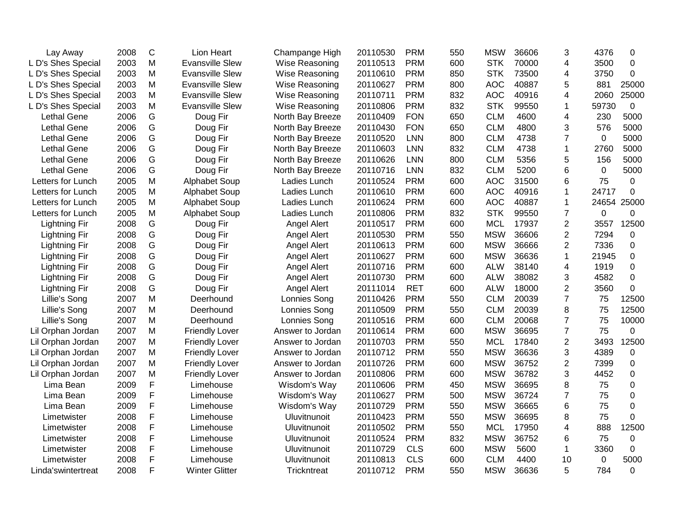| Lay Away             | 2008 | $\mathsf C$ | Lion Heart             | Champange High      | 20110530 | <b>PRM</b> | 550 | <b>MSW</b> | 36606 | 3                       | 4376        | 0           |
|----------------------|------|-------------|------------------------|---------------------|----------|------------|-----|------------|-------|-------------------------|-------------|-------------|
| L D's Shes Special   | 2003 | M           | <b>Evansville Slew</b> | Wise Reasoning      | 20110513 | <b>PRM</b> | 600 | <b>STK</b> | 70000 | $\overline{4}$          | 3500        | 0           |
| L D's Shes Special   | 2003 | M           | <b>Evansville Slew</b> | Wise Reasoning      | 20110610 | <b>PRM</b> | 850 | <b>STK</b> | 73500 | $\overline{4}$          | 3750        | 0           |
| L D's Shes Special   | 2003 | M           | <b>Evansville Slew</b> | Wise Reasoning      | 20110627 | <b>PRM</b> | 800 | <b>AOC</b> | 40887 | 5                       | 881         | 25000       |
| L D's Shes Special   | 2003 | M           | <b>Evansville Slew</b> | Wise Reasoning      | 20110711 | <b>PRM</b> | 832 | <b>AOC</b> | 40916 | $\overline{\mathbf{4}}$ | 2060        | 25000       |
| L D's Shes Special   | 2003 | M           | <b>Evansville Slew</b> | Wise Reasoning      | 20110806 | <b>PRM</b> | 832 | <b>STK</b> | 99550 | 1                       | 59730       | 0           |
| <b>Lethal Gene</b>   | 2006 | G           | Doug Fir               | North Bay Breeze    | 20110409 | <b>FON</b> | 650 | <b>CLM</b> | 4600  | 4                       | 230         | 5000        |
| <b>Lethal Gene</b>   | 2006 | G           | Doug Fir               | North Bay Breeze    | 20110430 | <b>FON</b> | 650 | <b>CLM</b> | 4800  | 3                       | 576         | 5000        |
| <b>Lethal Gene</b>   | 2006 | G           | Doug Fir               | North Bay Breeze    | 20110520 | <b>LNN</b> | 800 | <b>CLM</b> | 4738  | $\overline{7}$          | 0           | 5000        |
| <b>Lethal Gene</b>   | 2006 | G           | Doug Fir               | North Bay Breeze    | 20110603 | <b>LNN</b> | 832 | <b>CLM</b> | 4738  | $\mathbf{1}$            | 2760        | 5000        |
| <b>Lethal Gene</b>   | 2006 | G           | Doug Fir               | North Bay Breeze    | 20110626 | <b>LNN</b> | 800 | <b>CLM</b> | 5356  | 5                       | 156         | 5000        |
| <b>Lethal Gene</b>   | 2006 | G           | Doug Fir               | North Bay Breeze    | 20110716 | <b>LNN</b> | 832 | <b>CLM</b> | 5200  | 6                       | $\mathbf 0$ | 5000        |
| Letters for Lunch    | 2005 | M           | <b>Alphabet Soup</b>   | Ladies Lunch        | 20110524 | <b>PRM</b> | 600 | <b>AOC</b> | 31500 | 6                       | 75          | 0           |
| Letters for Lunch    | 2005 | M           | Alphabet Soup          | Ladies Lunch        | 20110610 | <b>PRM</b> | 600 | <b>AOC</b> | 40916 | $\mathbf{1}$            | 24717       | 0           |
| Letters for Lunch    | 2005 | M           | <b>Alphabet Soup</b>   | Ladies Lunch        | 20110624 | <b>PRM</b> | 600 | <b>AOC</b> | 40887 | 1                       | 24654       | 25000       |
| Letters for Lunch    | 2005 | M           | <b>Alphabet Soup</b>   | Ladies Lunch        | 20110806 | <b>PRM</b> | 832 | <b>STK</b> | 99550 | $\overline{7}$          | $\mathbf 0$ | 0           |
| <b>Lightning Fir</b> | 2008 | G           | Doug Fir               | Angel Alert         | 20110517 | <b>PRM</b> | 600 | <b>MCL</b> | 17937 | $\overline{2}$          | 3557        | 12500       |
| <b>Lightning Fir</b> | 2008 | G           | Doug Fir               | Angel Alert         | 20110530 | <b>PRM</b> | 550 | <b>MSW</b> | 36606 | $\overline{2}$          | 7294        | 0           |
| <b>Lightning Fir</b> | 2008 | G           | Doug Fir               | Angel Alert         | 20110613 | <b>PRM</b> | 600 | <b>MSW</b> | 36666 | $\overline{2}$          | 7336        | 0           |
| <b>Lightning Fir</b> | 2008 | G           | Doug Fir               | Angel Alert         | 20110627 | <b>PRM</b> | 600 | <b>MSW</b> | 36636 | $\mathbf{1}$            | 21945       | 0           |
| <b>Lightning Fir</b> | 2008 | G           | Doug Fir               | Angel Alert         | 20110716 | <b>PRM</b> | 600 | <b>ALW</b> | 38140 | 4                       | 1919        | 0           |
| <b>Lightning Fir</b> | 2008 | G           | Doug Fir               | Angel Alert         | 20110730 | <b>PRM</b> | 600 | <b>ALW</b> | 38082 | 3                       | 4582        | 0           |
| <b>Lightning Fir</b> | 2008 | G           | Doug Fir               | Angel Alert         | 20111014 | <b>RET</b> | 600 | <b>ALW</b> | 18000 | $\overline{2}$          | 3560        | $\mathbf 0$ |
| Lillie's Song        | 2007 | M           | Deerhound              | Lonnies Song        | 20110426 | <b>PRM</b> | 550 | <b>CLM</b> | 20039 | $\overline{7}$          | 75          | 12500       |
| Lillie's Song        | 2007 | M           | Deerhound              | Lonnies Song        | 20110509 | <b>PRM</b> | 550 | <b>CLM</b> | 20039 | 8                       | 75          | 12500       |
| Lillie's Song        | 2007 | M           | Deerhound              | Lonnies Song        | 20110516 | <b>PRM</b> | 600 | <b>CLM</b> | 20068 | $\overline{7}$          | 75          | 10000       |
| Lil Orphan Jordan    | 2007 | M           | <b>Friendly Lover</b>  | Answer to Jordan    | 20110614 | <b>PRM</b> | 600 | <b>MSW</b> | 36695 | $\overline{7}$          | 75          | 0           |
| Lil Orphan Jordan    | 2007 | M           | <b>Friendly Lover</b>  | Answer to Jordan    | 20110703 | <b>PRM</b> | 550 | <b>MCL</b> | 17840 | $\overline{2}$          | 3493        | 12500       |
| Lil Orphan Jordan    | 2007 | M           | <b>Friendly Lover</b>  | Answer to Jordan    | 20110712 | <b>PRM</b> | 550 | <b>MSW</b> | 36636 | 3                       | 4389        | 0           |
| Lil Orphan Jordan    | 2007 | M           | <b>Friendly Lover</b>  | Answer to Jordan    | 20110726 | <b>PRM</b> | 600 | <b>MSW</b> | 36752 | $\overline{2}$          | 7399        | 0           |
| Lil Orphan Jordan    | 2007 | M           | <b>Friendly Lover</b>  | Answer to Jordan    | 20110806 | <b>PRM</b> | 600 | <b>MSW</b> | 36782 | 3                       | 4452        | 0           |
| Lima Bean            | 2009 | F           | Limehouse              | Wisdom's Way        | 20110606 | <b>PRM</b> | 450 | <b>MSW</b> | 36695 | 8                       | 75          | 0           |
| Lima Bean            | 2009 | F           | Limehouse              | Wisdom's Way        | 20110627 | <b>PRM</b> | 500 | <b>MSW</b> | 36724 | $\overline{7}$          | 75          | 0           |
| Lima Bean            | 2009 | F           | Limehouse              | Wisdom's Way        | 20110729 | <b>PRM</b> | 550 | <b>MSW</b> | 36665 | 6                       | 75          | 0           |
| Limetwister          | 2008 | F           | Limehouse              | Uluvitnunoit        | 20110423 | <b>PRM</b> | 550 | <b>MSW</b> | 36695 | 8                       | 75          | 0           |
| Limetwister          | 2008 | F           | Limehouse              | Uluvitnunoit        | 20110502 | <b>PRM</b> | 550 | <b>MCL</b> | 17950 | $\overline{4}$          | 888         | 12500       |
| Limetwister          | 2008 | F           | Limehouse              | Uluvitnunoit        | 20110524 | <b>PRM</b> | 832 | <b>MSW</b> | 36752 | 6                       | 75          | 0           |
| Limetwister          | 2008 | F           | Limehouse              | Uluvitnunoit        | 20110729 | <b>CLS</b> | 600 | <b>MSW</b> | 5600  | $\mathbf{1}$            | 3360        | $\mathbf 0$ |
| Limetwister          | 2008 | F           | Limehouse              | <b>Uluvitnunoit</b> | 20110813 | <b>CLS</b> | 600 | <b>CLM</b> | 4400  | 10                      | 0           | 5000        |
| Linda'swintertreat   | 2008 | F           | <b>Winter Glitter</b>  | Trickntreat         | 20110712 | <b>PRM</b> | 550 | <b>MSW</b> | 36636 | 5                       | 784         | 0           |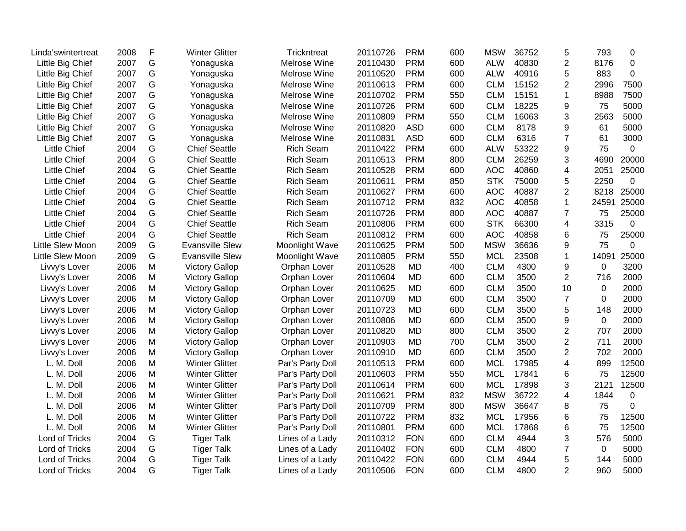| Linda'swintertreat  | 2008 | F | <b>Winter Glitter</b>  | Trickntreat      | 20110726 | <b>PRM</b> | 600 | <b>MSW</b> | 36752 | 5              | 793         | 0           |
|---------------------|------|---|------------------------|------------------|----------|------------|-----|------------|-------|----------------|-------------|-------------|
| Little Big Chief    | 2007 | G | Yonaguska              | Melrose Wine     | 20110430 | <b>PRM</b> | 600 | <b>ALW</b> | 40830 | $\overline{2}$ | 8176        | 0           |
| Little Big Chief    | 2007 | G | Yonaguska              | Melrose Wine     | 20110520 | <b>PRM</b> | 600 | <b>ALW</b> | 40916 | 5              | 883         | $\Omega$    |
| Little Big Chief    | 2007 | G | Yonaguska              | Melrose Wine     | 20110613 | <b>PRM</b> | 600 | <b>CLM</b> | 15152 | $\overline{2}$ | 2996        | 7500        |
| Little Big Chief    | 2007 | G | Yonaguska              | Melrose Wine     | 20110702 | <b>PRM</b> | 550 | <b>CLM</b> | 15151 | 1              | 8988        | 7500        |
| Little Big Chief    | 2007 | G | Yonaguska              | Melrose Wine     | 20110726 | <b>PRM</b> | 600 | <b>CLM</b> | 18225 | 9              | 75          | 5000        |
| Little Big Chief    | 2007 | G | Yonaguska              | Melrose Wine     | 20110809 | <b>PRM</b> | 550 | <b>CLM</b> | 16063 | 3              | 2563        | 5000        |
| Little Big Chief    | 2007 | G | Yonaguska              | Melrose Wine     | 20110820 | <b>ASD</b> | 600 | <b>CLM</b> | 8178  | 9              | 61          | 5000        |
| Little Big Chief    | 2007 | G | Yonaguska              | Melrose Wine     | 20110831 | <b>ASD</b> | 600 | <b>CLM</b> | 6316  | $\overline{7}$ | 61          | 3000        |
| <b>Little Chief</b> | 2004 | G | <b>Chief Seattle</b>   | <b>Rich Seam</b> | 20110422 | <b>PRM</b> | 600 | <b>ALW</b> | 53322 | 9              | 75          | 0           |
| <b>Little Chief</b> | 2004 | G | <b>Chief Seattle</b>   | <b>Rich Seam</b> | 20110513 | <b>PRM</b> | 800 | <b>CLM</b> | 26259 | 3              | 4690        | 20000       |
| <b>Little Chief</b> | 2004 | G | <b>Chief Seattle</b>   | <b>Rich Seam</b> | 20110528 | <b>PRM</b> | 600 | <b>AOC</b> | 40860 | 4              | 2051        | 25000       |
| <b>Little Chief</b> | 2004 | G | <b>Chief Seattle</b>   | <b>Rich Seam</b> | 20110611 | <b>PRM</b> | 850 | <b>STK</b> | 75000 | 5              | 2250        | 0           |
| <b>Little Chief</b> | 2004 | G | <b>Chief Seattle</b>   | <b>Rich Seam</b> | 20110627 | <b>PRM</b> | 600 | <b>AOC</b> | 40887 | $\overline{2}$ | 8218        | 25000       |
| <b>Little Chief</b> | 2004 | G | <b>Chief Seattle</b>   | <b>Rich Seam</b> | 20110712 | <b>PRM</b> | 832 | <b>AOC</b> | 40858 | $\mathbf{1}$   | 24591       | 25000       |
| <b>Little Chief</b> | 2004 | G | <b>Chief Seattle</b>   | <b>Rich Seam</b> | 20110726 | <b>PRM</b> | 800 | <b>AOC</b> | 40887 | 7              | 75          | 25000       |
| <b>Little Chief</b> | 2004 | G | <b>Chief Seattle</b>   | <b>Rich Seam</b> | 20110806 | <b>PRM</b> | 600 | <b>STK</b> | 66300 | 4              | 3315        | $\mathbf 0$ |
| <b>Little Chief</b> | 2004 | G | <b>Chief Seattle</b>   | <b>Rich Seam</b> | 20110812 | <b>PRM</b> | 600 | <b>AOC</b> | 40858 | 6              | 75          | 25000       |
| Little Slew Moon    | 2009 | G | <b>Evansville Slew</b> | Moonlight Wave   | 20110625 | <b>PRM</b> | 500 | <b>MSW</b> | 36636 | 9              | 75          | 0           |
| Little Slew Moon    | 2009 | G | <b>Evansville Slew</b> | Moonlight Wave   | 20110805 | <b>PRM</b> | 550 | <b>MCL</b> | 23508 | $\mathbf{1}$   | 14091       | 25000       |
| Livvy's Lover       | 2006 | M | <b>Victory Gallop</b>  | Orphan Lover     | 20110528 | <b>MD</b>  | 400 | <b>CLM</b> | 4300  | 9              | 0           | 3200        |
| Livvy's Lover       | 2006 | M | <b>Victory Gallop</b>  | Orphan Lover     | 20110604 | <b>MD</b>  | 600 | <b>CLM</b> | 3500  | $\overline{2}$ | 716         | 2000        |
| Livvy's Lover       | 2006 | M | <b>Victory Gallop</b>  | Orphan Lover     | 20110625 | <b>MD</b>  | 600 | <b>CLM</b> | 3500  | 10             | 0           | 2000        |
| Livvy's Lover       | 2006 | M | <b>Victory Gallop</b>  | Orphan Lover     | 20110709 | <b>MD</b>  | 600 | <b>CLM</b> | 3500  | $\overline{7}$ | $\Omega$    | 2000        |
| Livvy's Lover       | 2006 | M | <b>Victory Gallop</b>  | Orphan Lover     | 20110723 | <b>MD</b>  | 600 | <b>CLM</b> | 3500  | 5              | 148         | 2000        |
| Livvy's Lover       | 2006 | M | <b>Victory Gallop</b>  | Orphan Lover     | 20110806 | <b>MD</b>  | 600 | <b>CLM</b> | 3500  | 9              | $\Omega$    | 2000        |
| Livvy's Lover       | 2006 | M | <b>Victory Gallop</b>  | Orphan Lover     | 20110820 | <b>MD</b>  | 800 | <b>CLM</b> | 3500  | $\overline{2}$ | 707         | 2000        |
| Livvy's Lover       | 2006 | M | <b>Victory Gallop</b>  | Orphan Lover     | 20110903 | <b>MD</b>  | 700 | <b>CLM</b> | 3500  | $\mathbf{2}$   | 711         | 2000        |
| Livvy's Lover       | 2006 | M | <b>Victory Gallop</b>  | Orphan Lover     | 20110910 | <b>MD</b>  | 600 | <b>CLM</b> | 3500  | 2              | 702         | 2000        |
| L. M. Doll          | 2006 | M | <b>Winter Glitter</b>  | Par's Party Doll | 20110513 | <b>PRM</b> | 600 | <b>MCL</b> | 17985 | 4              | 899         | 12500       |
| L. M. Doll          | 2006 | M | <b>Winter Glitter</b>  | Par's Party Doll | 20110603 | <b>PRM</b> | 550 | <b>MCL</b> | 17841 | 6              | 75          | 12500       |
| L. M. Doll          | 2006 | M | <b>Winter Glitter</b>  | Par's Party Doll | 20110614 | <b>PRM</b> | 600 | <b>MCL</b> | 17898 | 3              | 2121        | 12500       |
| L. M. Doll          | 2006 | M | <b>Winter Glitter</b>  | Par's Party Doll | 20110621 | <b>PRM</b> | 832 | <b>MSW</b> | 36722 | $\overline{4}$ | 1844        | $\mathbf 0$ |
| L. M. Doll          | 2006 | M | <b>Winter Glitter</b>  | Par's Party Doll | 20110709 | <b>PRM</b> | 800 | <b>MSW</b> | 36647 | 8              | 75          | $\Omega$    |
| L. M. Doll          | 2006 | M | <b>Winter Glitter</b>  | Par's Party Doll | 20110722 | <b>PRM</b> | 832 | <b>MCL</b> | 17956 | 6              | 75          | 12500       |
| L. M. Doll          | 2006 | M | <b>Winter Glitter</b>  | Par's Party Doll | 20110801 | <b>PRM</b> | 600 | <b>MCL</b> | 17868 | 6              | 75          | 12500       |
| Lord of Tricks      | 2004 | G | <b>Tiger Talk</b>      | Lines of a Lady  | 20110312 | <b>FON</b> | 600 | <b>CLM</b> | 4944  | 3              | 576         | 5000        |
| Lord of Tricks      | 2004 | G | <b>Tiger Talk</b>      | Lines of a Lady  | 20110402 | <b>FON</b> | 600 | <b>CLM</b> | 4800  | $\overline{7}$ | $\mathbf 0$ | 5000        |
| Lord of Tricks      | 2004 | G | <b>Tiger Talk</b>      | Lines of a Lady  | 20110422 | <b>FON</b> | 600 | <b>CLM</b> | 4944  | 5              | 144         | 5000        |
| Lord of Tricks      | 2004 | G | <b>Tiger Talk</b>      | Lines of a Lady  | 20110506 | <b>FON</b> | 600 | <b>CLM</b> | 4800  | 2              | 960         | 5000        |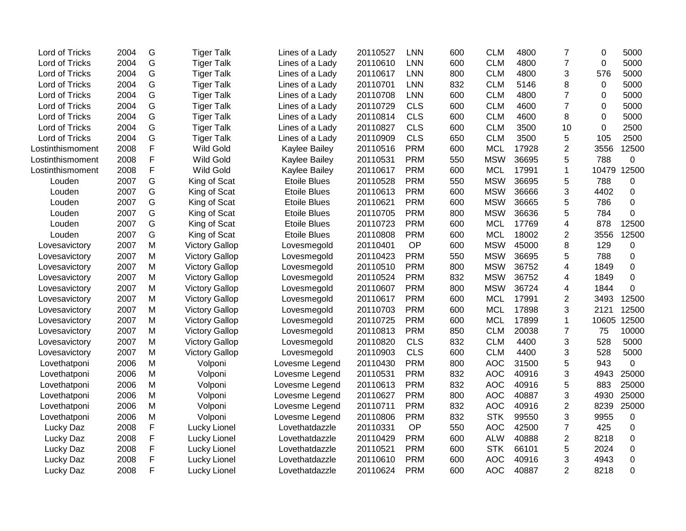| Lord of Tricks   | 2004 | G         | <b>Tiger Talk</b>     | Lines of a Lady     | 20110527 | <b>LNN</b> | 600 | <b>CLM</b> | 4800  | $\overline{7}$ | $\Omega$       | 5000        |
|------------------|------|-----------|-----------------------|---------------------|----------|------------|-----|------------|-------|----------------|----------------|-------------|
| Lord of Tricks   | 2004 | G         | <b>Tiger Talk</b>     | Lines of a Lady     | 20110610 | <b>LNN</b> | 600 | <b>CLM</b> | 4800  | $\overline{7}$ | $\overline{0}$ | 5000        |
| Lord of Tricks   | 2004 | G         | <b>Tiger Talk</b>     | Lines of a Lady     | 20110617 | <b>LNN</b> | 800 | <b>CLM</b> | 4800  | 3              | 576            | 5000        |
| Lord of Tricks   | 2004 | G         | <b>Tiger Talk</b>     | Lines of a Lady     | 20110701 | <b>LNN</b> | 832 | <b>CLM</b> | 5146  | 8              | 0              | 5000        |
| Lord of Tricks   | 2004 | G         | <b>Tiger Talk</b>     | Lines of a Lady     | 20110708 | <b>LNN</b> | 600 | <b>CLM</b> | 4800  | $\overline{7}$ | 0              | 5000        |
| Lord of Tricks   | 2004 | G         | <b>Tiger Talk</b>     | Lines of a Lady     | 20110729 | <b>CLS</b> | 600 | <b>CLM</b> | 4600  | $\overline{7}$ | 0              | 5000        |
| Lord of Tricks   | 2004 | G         | <b>Tiger Talk</b>     | Lines of a Lady     | 20110814 | <b>CLS</b> | 600 | <b>CLM</b> | 4600  | 8              | 0              | 5000        |
| Lord of Tricks   | 2004 | G         | <b>Tiger Talk</b>     | Lines of a Lady     | 20110827 | <b>CLS</b> | 600 | <b>CLM</b> | 3500  | 10             | 0              | 2500        |
| Lord of Tricks   | 2004 | G         | <b>Tiger Talk</b>     | Lines of a Lady     | 20110909 | <b>CLS</b> | 650 | <b>CLM</b> | 3500  | 5              | 105            | 2500        |
| Lostinthismoment | 2008 | F         | Wild Gold             | Kaylee Bailey       | 20110516 | <b>PRM</b> | 600 | <b>MCL</b> | 17928 | $\overline{2}$ | 3556           | 12500       |
| Lostinthismoment | 2008 | F         | Wild Gold             | Kaylee Bailey       | 20110531 | <b>PRM</b> | 550 | <b>MSW</b> | 36695 | 5              | 788            | $\mathbf 0$ |
| Lostinthismoment | 2008 | F         | <b>Wild Gold</b>      | Kaylee Bailey       | 20110617 | <b>PRM</b> | 600 | <b>MCL</b> | 17991 | $\mathbf{1}$   | 10479          | 12500       |
| Louden           | 2007 | G         | King of Scat          | <b>Etoile Blues</b> | 20110528 | <b>PRM</b> | 550 | <b>MSW</b> | 36695 | 5              | 788            | 0           |
| Louden           | 2007 | G         | King of Scat          | <b>Etoile Blues</b> | 20110613 | <b>PRM</b> | 600 | <b>MSW</b> | 36666 | 3              | 4402           | 0           |
| Louden           | 2007 | G         | King of Scat          | <b>Etoile Blues</b> | 20110621 | <b>PRM</b> | 600 | <b>MSW</b> | 36665 | 5              | 786            | $\mathbf 0$ |
| Louden           | 2007 | G         | King of Scat          | <b>Etoile Blues</b> | 20110705 | <b>PRM</b> | 800 | <b>MSW</b> | 36636 | 5              | 784            | 0           |
| Louden           | 2007 | G         | King of Scat          | <b>Etoile Blues</b> | 20110723 | <b>PRM</b> | 600 | <b>MCL</b> | 17769 | $\overline{4}$ | 878            | 12500       |
| Louden           | 2007 | G         | King of Scat          | <b>Etoile Blues</b> | 20110808 | <b>PRM</b> | 600 | <b>MCL</b> | 18002 | $\overline{2}$ | 3556           | 12500       |
| Lovesavictory    | 2007 | M         | <b>Victory Gallop</b> | Lovesmegold         | 20110401 | OP         | 600 | <b>MSW</b> | 45000 | 8              | 129            | 0           |
| Lovesavictory    | 2007 | M         | <b>Victory Gallop</b> | Lovesmegold         | 20110423 | <b>PRM</b> | 550 | <b>MSW</b> | 36695 | 5              | 788            | $\mathbf 0$ |
| Lovesavictory    | 2007 | M         | <b>Victory Gallop</b> | Lovesmegold         | 20110510 | <b>PRM</b> | 800 | <b>MSW</b> | 36752 | $\overline{4}$ | 1849           | $\mathbf 0$ |
| Lovesavictory    | 2007 | M         | <b>Victory Gallop</b> | Lovesmegold         | 20110524 | <b>PRM</b> | 832 | <b>MSW</b> | 36752 | 4              | 1849           | $\mathbf 0$ |
| Lovesavictory    | 2007 | M         | <b>Victory Gallop</b> | Lovesmegold         | 20110607 | <b>PRM</b> | 800 | <b>MSW</b> | 36724 | 4              | 1844           | 0           |
| Lovesavictory    | 2007 | M         | <b>Victory Gallop</b> | Lovesmegold         | 20110617 | <b>PRM</b> | 600 | <b>MCL</b> | 17991 | $\overline{2}$ | 3493           | 12500       |
| Lovesavictory    | 2007 | M         | <b>Victory Gallop</b> | Lovesmegold         | 20110703 | <b>PRM</b> | 600 | <b>MCL</b> | 17898 | 3              | 2121           | 12500       |
| Lovesavictory    | 2007 | M         | <b>Victory Gallop</b> | Lovesmegold         | 20110725 | <b>PRM</b> | 600 | <b>MCL</b> | 17899 | $\mathbf{1}$   | 10605          | 12500       |
| Lovesavictory    | 2007 | M         | <b>Victory Gallop</b> | Lovesmegold         | 20110813 | <b>PRM</b> | 850 | <b>CLM</b> | 20038 | $\overline{7}$ | 75             | 10000       |
| Lovesavictory    | 2007 | M         | <b>Victory Gallop</b> | Lovesmegold         | 20110820 | <b>CLS</b> | 832 | <b>CLM</b> | 4400  | 3              | 528            | 5000        |
| Lovesavictory    | 2007 | M         | <b>Victory Gallop</b> | Lovesmegold         | 20110903 | <b>CLS</b> | 600 | <b>CLM</b> | 4400  | 3              | 528            | 5000        |
| Lovethatponi     | 2006 | ${\sf M}$ | Volponi               | Lovesme Legend      | 20110430 | <b>PRM</b> | 800 | <b>AOC</b> | 31500 | 5              | 943            | $\mathbf 0$ |
| Lovethatponi     | 2006 | ${\sf M}$ | Volponi               | Lovesme Legend      | 20110531 | <b>PRM</b> | 832 | <b>AOC</b> | 40916 | 3              | 4943           | 25000       |
| Lovethatponi     | 2006 | M         | Volponi               | Lovesme Legend      | 20110613 | <b>PRM</b> | 832 | <b>AOC</b> | 40916 | 5              | 883            | 25000       |
| Lovethatponi     | 2006 | M         | Volponi               | Lovesme Legend      | 20110627 | <b>PRM</b> | 800 | <b>AOC</b> | 40887 | 3              | 4930           | 25000       |
| Lovethatponi     | 2006 | M         | Volponi               | Lovesme Legend      | 20110711 | <b>PRM</b> | 832 | <b>AOC</b> | 40916 | $\overline{2}$ | 8239           | 25000       |
| Lovethatponi     | 2006 | M         | Volponi               | Lovesme Legend      | 20110806 | <b>PRM</b> | 832 | <b>STK</b> | 99550 | 3              | 9955           | $\mathbf 0$ |
| Lucky Daz        | 2008 | F         | Lucky Lionel          | Lovethatdazzle      | 20110331 | <b>OP</b>  | 550 | <b>AOC</b> | 42500 | $\overline{7}$ | 425            | 0           |
| Lucky Daz        | 2008 | F         | Lucky Lionel          | Lovethatdazzle      | 20110429 | <b>PRM</b> | 600 | <b>ALW</b> | 40888 | $\overline{2}$ | 8218           | $\mathbf 0$ |
| Lucky Daz        | 2008 | F         | Lucky Lionel          | Lovethatdazzle      | 20110521 | <b>PRM</b> | 600 | <b>STK</b> | 66101 | 5              | 2024           | $\mathbf 0$ |
| Lucky Daz        | 2008 | F         | Lucky Lionel          | Lovethatdazzle      | 20110610 | <b>PRM</b> | 600 | <b>AOC</b> | 40916 | 3              | 4943           | $\mathbf 0$ |
| Lucky Daz        | 2008 | F         | Lucky Lionel          | Lovethatdazzle      | 20110624 | <b>PRM</b> | 600 | <b>AOC</b> | 40887 | $\overline{2}$ | 8218           | $\mathbf 0$ |
|                  |      |           |                       |                     |          |            |     |            |       |                |                |             |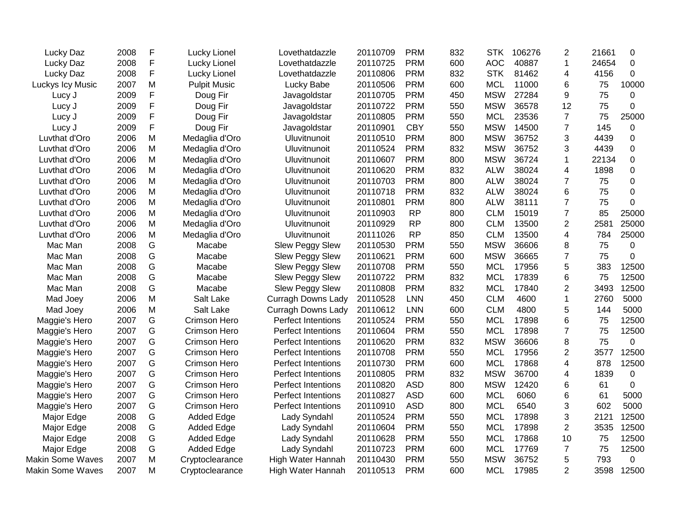| Lucky Daz               | 2008 | F           | Lucky Lionel        | Lovethatdazzle            | 20110709 | <b>PRM</b> | 832 | <b>STK</b> | 106276 | 2              | 21661 | 0           |
|-------------------------|------|-------------|---------------------|---------------------------|----------|------------|-----|------------|--------|----------------|-------|-------------|
| Lucky Daz               | 2008 | $\mathsf F$ | Lucky Lionel        | Lovethatdazzle            | 20110725 | <b>PRM</b> | 600 | <b>AOC</b> | 40887  | $\mathbf{1}$   | 24654 | $\Omega$    |
| Lucky Daz               | 2008 | F           | Lucky Lionel        | Lovethatdazzle            | 20110806 | <b>PRM</b> | 832 | <b>STK</b> | 81462  | 4              | 4156  | $\Omega$    |
| Luckys Icy Music        | 2007 | M           | <b>Pulpit Music</b> | Lucky Babe                | 20110506 | <b>PRM</b> | 600 | <b>MCL</b> | 11000  | 6              | 75    | 10000       |
| Lucy J                  | 2009 | F           | Doug Fir            | Javagoldstar              | 20110705 | <b>PRM</b> | 450 | <b>MSW</b> | 27284  | 9              | 75    | 0           |
| Lucy J                  | 2009 | F           | Doug Fir            | Javagoldstar              | 20110722 | <b>PRM</b> | 550 | <b>MSW</b> | 36578  | 12             | 75    | 0           |
| Lucy J                  | 2009 | F           | Doug Fir            | Javagoldstar              | 20110805 | <b>PRM</b> | 550 | <b>MCL</b> | 23536  | $\overline{7}$ | 75    | 25000       |
| Lucy J                  | 2009 | F           | Doug Fir            | Javagoldstar              | 20110901 | <b>CBY</b> | 550 | <b>MSW</b> | 14500  | $\overline{7}$ | 145   | 0           |
| Luvthat d'Oro           | 2006 | M           | Medaglia d'Oro      | Uluvitnunoit              | 20110510 | <b>PRM</b> | 800 | <b>MSW</b> | 36752  | 3              | 4439  | $\mathbf 0$ |
| Luvthat d'Oro           | 2006 | M           | Medaglia d'Oro      | Uluvitnunoit              | 20110524 | <b>PRM</b> | 832 | <b>MSW</b> | 36752  | 3              | 4439  | $\Omega$    |
| Luvthat d'Oro           | 2006 | M           | Medaglia d'Oro      | Uluvitnunoit              | 20110607 | <b>PRM</b> | 800 | <b>MSW</b> | 36724  | 1              | 22134 | 0           |
| Luvthat d'Oro           | 2006 | М           | Medaglia d'Oro      | Uluvitnunoit              | 20110620 | <b>PRM</b> | 832 | <b>ALW</b> | 38024  | 4              | 1898  | 0           |
| Luvthat d'Oro           | 2006 | M           | Medaglia d'Oro      | Uluvitnunoit              | 20110703 | <b>PRM</b> | 800 | <b>ALW</b> | 38024  | $\overline{7}$ | 75    | $\Omega$    |
| Luvthat d'Oro           | 2006 | M           | Medaglia d'Oro      | Uluvitnunoit              | 20110718 | <b>PRM</b> | 832 | <b>ALW</b> | 38024  | 6              | 75    | $\Omega$    |
| Luvthat d'Oro           | 2006 | M           | Medaglia d'Oro      | Uluvitnunoit              | 20110801 | <b>PRM</b> | 800 | <b>ALW</b> | 38111  | $\overline{7}$ | 75    | 0           |
| Luvthat d'Oro           | 2006 | M           | Medaglia d'Oro      | Uluvitnunoit              | 20110903 | <b>RP</b>  | 800 | <b>CLM</b> | 15019  | $\overline{7}$ | 85    | 25000       |
| Luvthat d'Oro           | 2006 | M           | Medaglia d'Oro      | Uluvitnunoit              | 20110929 | <b>RP</b>  | 800 | <b>CLM</b> | 13500  | $\overline{2}$ | 2581  | 25000       |
| Luvthat d'Oro           | 2006 | M           | Medaglia d'Oro      | Uluvitnunoit              | 20111026 | <b>RP</b>  | 850 | <b>CLM</b> | 13500  | 4              | 784   | 25000       |
| Mac Man                 | 2008 | G           | Macabe              | <b>Slew Peggy Slew</b>    | 20110530 | <b>PRM</b> | 550 | <b>MSW</b> | 36606  | 8              | 75    | 0           |
| Mac Man                 | 2008 | G           | Macabe              | Slew Peggy Slew           | 20110621 | <b>PRM</b> | 600 | <b>MSW</b> | 36665  | $\overline{7}$ | 75    | 0           |
| Mac Man                 | 2008 | G           | Macabe              | <b>Slew Peggy Slew</b>    | 20110708 | <b>PRM</b> | 550 | <b>MCL</b> | 17956  | 5              | 383   | 12500       |
| Mac Man                 | 2008 | G           | Macabe              | Slew Peggy Slew           | 20110722 | <b>PRM</b> | 832 | <b>MCL</b> | 17839  | 6              | 75    | 12500       |
| Mac Man                 | 2008 | G           | Macabe              | Slew Peggy Slew           | 20110808 | <b>PRM</b> | 832 | <b>MCL</b> | 17840  | $\overline{2}$ | 3493  | 12500       |
| Mad Joey                | 2006 | M           | Salt Lake           | <b>Curragh Downs Lady</b> | 20110528 | <b>LNN</b> | 450 | <b>CLM</b> | 4600   | $\mathbf{1}$   | 2760  | 5000        |
| Mad Joey                | 2006 | M           | Salt Lake           | <b>Curragh Downs Lady</b> | 20110612 | <b>LNN</b> | 600 | <b>CLM</b> | 4800   | 5              | 144   | 5000        |
| Maggie's Hero           | 2007 | G           | Crimson Hero        | <b>Perfect Intentions</b> | 20110524 | <b>PRM</b> | 550 | <b>MCL</b> | 17898  | 6              | 75    | 12500       |
| Maggie's Hero           | 2007 | G           | Crimson Hero        | <b>Perfect Intentions</b> | 20110604 | <b>PRM</b> | 550 | <b>MCL</b> | 17898  | $\overline{7}$ | 75    | 12500       |
| Maggie's Hero           | 2007 | G           | Crimson Hero        | Perfect Intentions        | 20110620 | <b>PRM</b> | 832 | <b>MSW</b> | 36606  | 8              | 75    | 0           |
| Maggie's Hero           | 2007 | G           | Crimson Hero        | Perfect Intentions        | 20110708 | <b>PRM</b> | 550 | <b>MCL</b> | 17956  | $\overline{2}$ | 3577  | 12500       |
| Maggie's Hero           | 2007 | G           | Crimson Hero        | Perfect Intentions        | 20110730 | <b>PRM</b> | 600 | <b>MCL</b> | 17868  | $\overline{4}$ | 878   | 12500       |
| Maggie's Hero           | 2007 | G           | Crimson Hero        | <b>Perfect Intentions</b> | 20110805 | <b>PRM</b> | 832 | <b>MSW</b> | 36700  | 4              | 1839  | 0           |
| Maggie's Hero           | 2007 | G           | Crimson Hero        | Perfect Intentions        | 20110820 | <b>ASD</b> | 800 | <b>MSW</b> | 12420  | 6              | 61    | $\mathbf 0$ |
| Maggie's Hero           | 2007 | G           | Crimson Hero        | <b>Perfect Intentions</b> | 20110827 | <b>ASD</b> | 600 | <b>MCL</b> | 6060   | 6              | 61    | 5000        |
| Maggie's Hero           | 2007 | G           | Crimson Hero        | <b>Perfect Intentions</b> | 20110910 | <b>ASD</b> | 800 | <b>MCL</b> | 6540   | 3              | 602   | 5000        |
| Major Edge              | 2008 | G           | <b>Added Edge</b>   | Lady Syndahl              | 20110524 | <b>PRM</b> | 550 | <b>MCL</b> | 17898  | 3              | 2121  | 12500       |
| Major Edge              | 2008 | G           | <b>Added Edge</b>   | Lady Syndahl              | 20110604 | <b>PRM</b> | 550 | <b>MCL</b> | 17898  | $\overline{c}$ | 3535  | 12500       |
| Major Edge              | 2008 | G           | <b>Added Edge</b>   | Lady Syndahl              | 20110628 | <b>PRM</b> | 550 | <b>MCL</b> | 17868  | 10             | 75    | 12500       |
| Major Edge              | 2008 | G           | <b>Added Edge</b>   | Lady Syndahl              | 20110723 | <b>PRM</b> | 600 | <b>MCL</b> | 17769  | $\overline{7}$ | 75    | 12500       |
| <b>Makin Some Waves</b> | 2007 | M           | Cryptoclearance     | High Water Hannah         | 20110430 | <b>PRM</b> | 550 | <b>MSW</b> | 36752  | 5              | 793   | 0           |
| <b>Makin Some Waves</b> | 2007 | M           | Cryptoclearance     | High Water Hannah         | 20110513 | <b>PRM</b> | 600 | <b>MCL</b> | 17985  | $\overline{2}$ | 3598  | 12500       |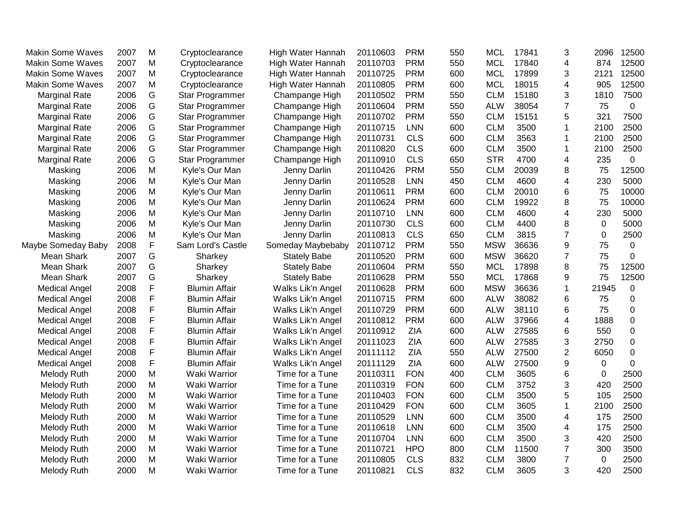| <b>Makin Some Waves</b> | 2007 | M           | Cryptoclearance      | High Water Hannah   | 20110603 | <b>PRM</b> | 550 | <b>MCL</b> | 17841 | 3              | 2096  | 12500       |
|-------------------------|------|-------------|----------------------|---------------------|----------|------------|-----|------------|-------|----------------|-------|-------------|
| <b>Makin Some Waves</b> | 2007 | M           | Cryptoclearance      | High Water Hannah   | 20110703 | <b>PRM</b> | 550 | <b>MCL</b> | 17840 | 4              | 874   | 12500       |
| <b>Makin Some Waves</b> | 2007 | M           | Cryptoclearance      | High Water Hannah   | 20110725 | <b>PRM</b> | 600 | <b>MCL</b> | 17899 | 3              | 2121  | 12500       |
| <b>Makin Some Waves</b> | 2007 | M           | Cryptoclearance      | High Water Hannah   | 20110805 | <b>PRM</b> | 600 | <b>MCL</b> | 18015 | 4              | 905   | 12500       |
| <b>Marginal Rate</b>    | 2006 | G           | Star Programmer      | Champange High      | 20110502 | <b>PRM</b> | 550 | <b>CLM</b> | 15180 | 3              | 1810  | 7500        |
| <b>Marginal Rate</b>    | 2006 | G           | Star Programmer      | Champange High      | 20110604 | <b>PRM</b> | 550 | <b>ALW</b> | 38054 | $\overline{7}$ | 75    | $\mathbf 0$ |
| <b>Marginal Rate</b>    | 2006 | G           | Star Programmer      | Champange High      | 20110702 | <b>PRM</b> | 550 | <b>CLM</b> | 15151 | 5              | 321   | 7500        |
| <b>Marginal Rate</b>    | 2006 | G           | Star Programmer      | Champange High      | 20110715 | <b>LNN</b> | 600 | <b>CLM</b> | 3500  | 1              | 2100  | 2500        |
| <b>Marginal Rate</b>    | 2006 | G           | Star Programmer      | Champange High      | 20110731 | <b>CLS</b> | 600 | <b>CLM</b> | 3563  | 1              | 2100  | 2500        |
| <b>Marginal Rate</b>    | 2006 | G           | Star Programmer      | Champange High      | 20110820 | <b>CLS</b> | 600 | <b>CLM</b> | 3500  | 1              | 2100  | 2500        |
| <b>Marginal Rate</b>    | 2006 | G           | Star Programmer      | Champange High      | 20110910 | <b>CLS</b> | 650 | <b>STR</b> | 4700  | 4              | 235   | 0           |
| Masking                 | 2006 | M           | Kyle's Our Man       | Jenny Darlin        | 20110426 | <b>PRM</b> | 550 | <b>CLM</b> | 20039 | 8              | 75    | 12500       |
| Masking                 | 2006 | M           | Kyle's Our Man       | Jenny Darlin        | 20110528 | <b>LNN</b> | 450 | <b>CLM</b> | 4600  | 4              | 230   | 5000        |
| Masking                 | 2006 | M           | Kyle's Our Man       | Jenny Darlin        | 20110611 | <b>PRM</b> | 600 | <b>CLM</b> | 20010 | 6              | 75    | 10000       |
| Masking                 | 2006 | M           | Kyle's Our Man       | Jenny Darlin        | 20110624 | <b>PRM</b> | 600 | <b>CLM</b> | 19922 | 8              | 75    | 10000       |
| Masking                 | 2006 | M           | Kyle's Our Man       | Jenny Darlin        | 20110710 | <b>LNN</b> | 600 | <b>CLM</b> | 4600  | 4              | 230   | 5000        |
| Masking                 | 2006 | M           | Kyle's Our Man       | Jenny Darlin        | 20110730 | <b>CLS</b> | 600 | <b>CLM</b> | 4400  | 8              | 0     | 5000        |
| Masking                 | 2006 | M           | Kyle's Our Man       | Jenny Darlin        | 20110813 | <b>CLS</b> | 650 | <b>CLM</b> | 3815  | $\overline{7}$ | 0     | 2500        |
| Maybe Someday Baby      | 2008 | $\mathsf F$ | Sam Lord's Castle    | Someday Maybebaby   | 20110712 | <b>PRM</b> | 550 | <b>MSW</b> | 36636 | 9              | 75    | 0           |
| Mean Shark              | 2007 | G           | Sharkey              | <b>Stately Babe</b> | 20110520 | <b>PRM</b> | 600 | <b>MSW</b> | 36620 | $\overline{7}$ | 75    | 0           |
| <b>Mean Shark</b>       | 2007 | G           | Sharkey              | <b>Stately Babe</b> | 20110604 | <b>PRM</b> | 550 | <b>MCL</b> | 17898 | 8              | 75    | 12500       |
| Mean Shark              | 2007 | G           | Sharkey              | <b>Stately Babe</b> | 20110628 | <b>PRM</b> | 550 | <b>MCL</b> | 17868 | 9              | 75    | 12500       |
| <b>Medical Angel</b>    | 2008 | $\mathsf F$ | <b>Blumin Affair</b> | Walks Lik'n Angel   | 20110628 | <b>PRM</b> | 600 | <b>MSW</b> | 36636 | 1              | 21945 | $\mathbf 0$ |
| <b>Medical Angel</b>    | 2008 | F           | <b>Blumin Affair</b> | Walks Lik'n Angel   | 20110715 | <b>PRM</b> | 600 | <b>ALW</b> | 38082 | 6              | 75    | 0           |
| <b>Medical Angel</b>    | 2008 | F           | <b>Blumin Affair</b> | Walks Lik'n Angel   | 20110729 | <b>PRM</b> | 600 | <b>ALW</b> | 38110 | 6              | 75    | 0           |
| <b>Medical Angel</b>    | 2008 | F           | <b>Blumin Affair</b> | Walks Lik'n Angel   | 20110812 | <b>PRM</b> | 600 | <b>ALW</b> | 37966 | 4              | 1888  | 0           |
| <b>Medical Angel</b>    | 2008 | F           | <b>Blumin Affair</b> | Walks Lik'n Angel   | 20110912 | <b>ZIA</b> | 600 | <b>ALW</b> | 27585 | 6              | 550   | 0           |
| <b>Medical Angel</b>    | 2008 | F           | <b>Blumin Affair</b> | Walks Lik'n Angel   | 20111023 | <b>ZIA</b> | 600 | <b>ALW</b> | 27585 | 3              | 2750  | 0           |
| <b>Medical Angel</b>    | 2008 | F           | <b>Blumin Affair</b> | Walks Lik'n Angel   | 20111112 | <b>ZIA</b> | 550 | <b>ALW</b> | 27500 | $\overline{2}$ | 6050  | 0           |
| <b>Medical Angel</b>    | 2008 | F           | <b>Blumin Affair</b> | Walks Lik'n Angel   | 20111129 | <b>ZIA</b> | 600 | <b>ALW</b> | 27500 | 9              | 0     | 0           |
| Melody Ruth             | 2000 | M           | Waki Warrior         | Time for a Tune     | 20110311 | <b>FON</b> | 400 | <b>CLM</b> | 3605  | 6              | 0     | 2500        |
| Melody Ruth             | 2000 | M           | Waki Warrior         | Time for a Tune     | 20110319 | <b>FON</b> | 600 | <b>CLM</b> | 3752  | 3              | 420   | 2500        |
| Melody Ruth             | 2000 | M           | Waki Warrior         | Time for a Tune     | 20110403 | <b>FON</b> | 600 | <b>CLM</b> | 3500  | 5              | 105   | 2500        |
| Melody Ruth             | 2000 | M           | Waki Warrior         | Time for a Tune     | 20110429 | <b>FON</b> | 600 | <b>CLM</b> | 3605  | 1              | 2100  | 2500        |
| Melody Ruth             | 2000 | M           | Waki Warrior         | Time for a Tune     | 20110529 | <b>LNN</b> | 600 | <b>CLM</b> | 3500  | 4              | 175   | 2500        |
| Melody Ruth             | 2000 | M           | Waki Warrior         | Time for a Tune     | 20110618 | <b>LNN</b> | 600 | <b>CLM</b> | 3500  | 4              | 175   | 2500        |
| Melody Ruth             | 2000 | M           | Waki Warrior         | Time for a Tune     | 20110704 | <b>LNN</b> | 600 | <b>CLM</b> | 3500  | 3              | 420   | 2500        |
| Melody Ruth             | 2000 | M           | Waki Warrior         | Time for a Tune     | 20110721 | <b>HPO</b> | 800 | <b>CLM</b> | 11500 | $\overline{7}$ | 300   | 3500        |
| Melody Ruth             | 2000 | M           | Waki Warrior         | Time for a Tune     | 20110805 | <b>CLS</b> | 832 | <b>CLM</b> | 3800  | $\overline{7}$ | 0     | 2500        |
| Melody Ruth             | 2000 | M           | Waki Warrior         | Time for a Tune     | 20110821 | <b>CLS</b> | 832 | <b>CLM</b> | 3605  | 3              | 420   | 2500        |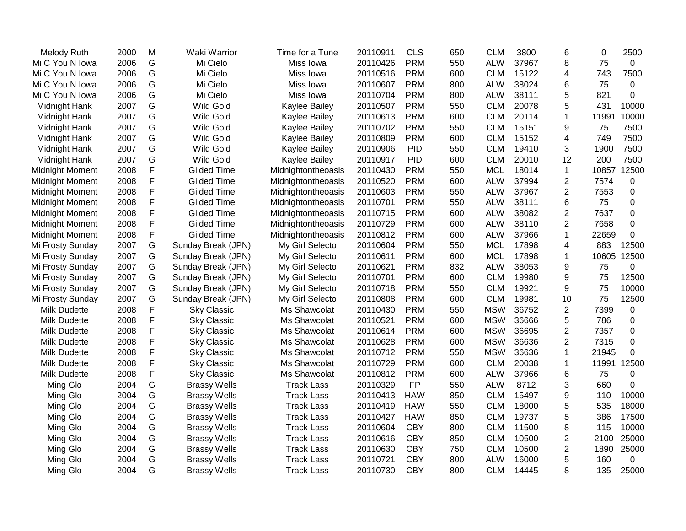| Melody Ruth            | 2000 | M | Waki Warrior        | Time for a Tune    | 20110911 | <b>CLS</b> | 650 | <b>CLM</b> | 3800  | 6              | 0     | 2500        |
|------------------------|------|---|---------------------|--------------------|----------|------------|-----|------------|-------|----------------|-------|-------------|
| Mi C You N Iowa        | 2006 | G | Mi Cielo            | Miss Iowa          | 20110426 | <b>PRM</b> | 550 | <b>ALW</b> | 37967 | 8              | 75    | $\mathbf 0$ |
| Mi C You N Iowa        | 2006 | G | Mi Cielo            | Miss Iowa          | 20110516 | <b>PRM</b> | 600 | <b>CLM</b> | 15122 | 4              | 743   | 7500        |
| Mi C You N Iowa        | 2006 | G | Mi Cielo            | Miss Iowa          | 20110607 | <b>PRM</b> | 800 | <b>ALW</b> | 38024 | 6              | 75    | $\mathbf 0$ |
| Mi C You N Iowa        | 2006 | G | Mi Cielo            | Miss Iowa          | 20110704 | <b>PRM</b> | 800 | <b>ALW</b> | 38111 | 5              | 821   | 0           |
| Midnight Hank          | 2007 | G | <b>Wild Gold</b>    | Kaylee Bailey      | 20110507 | <b>PRM</b> | 550 | <b>CLM</b> | 20078 | 5              | 431   | 10000       |
| Midnight Hank          | 2007 | G | <b>Wild Gold</b>    | Kaylee Bailey      | 20110613 | <b>PRM</b> | 600 | <b>CLM</b> | 20114 | 1              | 11991 | 10000       |
| Midnight Hank          | 2007 | G | <b>Wild Gold</b>    | Kaylee Bailey      | 20110702 | <b>PRM</b> | 550 | <b>CLM</b> | 15151 | 9              | 75    | 7500        |
| Midnight Hank          | 2007 | G | <b>Wild Gold</b>    | Kaylee Bailey      | 20110809 | <b>PRM</b> | 600 | <b>CLM</b> | 15152 | 4              | 749   | 7500        |
| Midnight Hank          | 2007 | G | <b>Wild Gold</b>    | Kaylee Bailey      | 20110906 | <b>PID</b> | 550 | <b>CLM</b> | 19410 | 3              | 1900  | 7500        |
| Midnight Hank          | 2007 | G | <b>Wild Gold</b>    | Kaylee Bailey      | 20110917 | <b>PID</b> | 600 | <b>CLM</b> | 20010 | 12             | 200   | 7500        |
| <b>Midnight Moment</b> | 2008 | F | Gilded Time         | Midnightontheoasis | 20110430 | <b>PRM</b> | 550 | <b>MCL</b> | 18014 | $\mathbf{1}$   | 10857 | 12500       |
| <b>Midnight Moment</b> | 2008 | F | <b>Gilded Time</b>  | Midnightontheoasis | 20110520 | <b>PRM</b> | 600 | <b>ALW</b> | 37994 | $\overline{c}$ | 7574  | 0           |
| <b>Midnight Moment</b> | 2008 | F | <b>Gilded Time</b>  | Midnightontheoasis | 20110603 | <b>PRM</b> | 550 | <b>ALW</b> | 37967 | $\overline{2}$ | 7553  | 0           |
| <b>Midnight Moment</b> | 2008 | F | <b>Gilded Time</b>  | Midnightontheoasis | 20110701 | <b>PRM</b> | 550 | <b>ALW</b> | 38111 | 6              | 75    | 0           |
| <b>Midnight Moment</b> | 2008 | F | <b>Gilded Time</b>  | Midnightontheoasis | 20110715 | <b>PRM</b> | 600 | <b>ALW</b> | 38082 | $\mathbf{2}$   | 7637  | 0           |
| <b>Midnight Moment</b> | 2008 | F | <b>Gilded Time</b>  | Midnightontheoasis | 20110729 | <b>PRM</b> | 600 | <b>ALW</b> | 38110 | $\overline{2}$ | 7658  | 0           |
| <b>Midnight Moment</b> | 2008 | F | <b>Gilded Time</b>  | Midnightontheoasis | 20110812 | <b>PRM</b> | 600 | <b>ALW</b> | 37966 | $\mathbf{1}$   | 22659 | $\mathbf 0$ |
| Mi Frosty Sunday       | 2007 | G | Sunday Break (JPN)  | My Girl Selecto    | 20110604 | <b>PRM</b> | 550 | <b>MCL</b> | 17898 | 4              | 883   | 12500       |
| Mi Frosty Sunday       | 2007 | G | Sunday Break (JPN)  | My Girl Selecto    | 20110611 | <b>PRM</b> | 600 | <b>MCL</b> | 17898 | $\mathbf{1}$   | 10605 | 12500       |
| Mi Frosty Sunday       | 2007 | G | Sunday Break (JPN)  | My Girl Selecto    | 20110621 | <b>PRM</b> | 832 | <b>ALW</b> | 38053 | 9              | 75    | 0           |
| Mi Frosty Sunday       | 2007 | G | Sunday Break (JPN)  | My Girl Selecto    | 20110701 | <b>PRM</b> | 600 | <b>CLM</b> | 19980 | 9              | 75    | 12500       |
| Mi Frosty Sunday       | 2007 | G | Sunday Break (JPN)  | My Girl Selecto    | 20110718 | <b>PRM</b> | 550 | <b>CLM</b> | 19921 | 9              | 75    | 10000       |
| Mi Frosty Sunday       | 2007 | G | Sunday Break (JPN)  | My Girl Selecto    | 20110808 | <b>PRM</b> | 600 | <b>CLM</b> | 19981 | 10             | 75    | 12500       |
| Milk Dudette           | 2008 | F | <b>Sky Classic</b>  | Ms Shawcolat       | 20110430 | <b>PRM</b> | 550 | <b>MSW</b> | 36752 | $\overline{2}$ | 7399  | 0           |
| <b>Milk Dudette</b>    | 2008 | F | <b>Sky Classic</b>  | Ms Shawcolat       | 20110521 | <b>PRM</b> | 600 | <b>MSW</b> | 36666 | 5              | 786   | 0           |
| <b>Milk Dudette</b>    | 2008 | F | <b>Sky Classic</b>  | Ms Shawcolat       | 20110614 | <b>PRM</b> | 600 | <b>MSW</b> | 36695 | $\overline{2}$ | 7357  | 0           |
| <b>Milk Dudette</b>    | 2008 | F | <b>Sky Classic</b>  | Ms Shawcolat       | 20110628 | <b>PRM</b> | 600 | <b>MSW</b> | 36636 | $\overline{2}$ | 7315  | 0           |
| <b>Milk Dudette</b>    | 2008 | F | <b>Sky Classic</b>  | Ms Shawcolat       | 20110712 | <b>PRM</b> | 550 | <b>MSW</b> | 36636 | $\mathbf{1}$   | 21945 | 0           |
| Milk Dudette           | 2008 | F | <b>Sky Classic</b>  | Ms Shawcolat       | 20110729 | <b>PRM</b> | 600 | <b>CLM</b> | 20038 | $\mathbf{1}$   | 11991 | 12500       |
| <b>Milk Dudette</b>    | 2008 | F | <b>Sky Classic</b>  | Ms Shawcolat       | 20110812 | <b>PRM</b> | 600 | <b>ALW</b> | 37966 | 6              | 75    | 0           |
| Ming Glo               | 2004 | G | <b>Brassy Wells</b> | <b>Track Lass</b>  | 20110329 | <b>FP</b>  | 550 | <b>ALW</b> | 8712  | $\sqrt{3}$     | 660   | 0           |
| Ming Glo               | 2004 | G | <b>Brassy Wells</b> | <b>Track Lass</b>  | 20110413 | <b>HAW</b> | 850 | <b>CLM</b> | 15497 | 9              | 110   | 10000       |
| Ming Glo               | 2004 | G | <b>Brassy Wells</b> | <b>Track Lass</b>  | 20110419 | <b>HAW</b> | 550 | <b>CLM</b> | 18000 | 5              | 535   | 18000       |
| Ming Glo               | 2004 | G | <b>Brassy Wells</b> | <b>Track Lass</b>  | 20110427 | <b>HAW</b> | 850 | <b>CLM</b> | 19737 | 5              | 386   | 17500       |
| Ming Glo               | 2004 | G | <b>Brassy Wells</b> | <b>Track Lass</b>  | 20110604 | <b>CBY</b> | 800 | <b>CLM</b> | 11500 | 8              | 115   | 10000       |
| Ming Glo               | 2004 | G | <b>Brassy Wells</b> | <b>Track Lass</b>  | 20110616 | <b>CBY</b> | 850 | <b>CLM</b> | 10500 | $\mathbf{2}$   | 2100  | 25000       |
| Ming Glo               | 2004 | G | <b>Brassy Wells</b> | <b>Track Lass</b>  | 20110630 | <b>CBY</b> | 750 | <b>CLM</b> | 10500 | $\mathbf{2}$   | 1890  | 25000       |
| Ming Glo               | 2004 | G | <b>Brassy Wells</b> | <b>Track Lass</b>  | 20110721 | <b>CBY</b> | 800 | <b>ALW</b> | 16000 | 5              | 160   | 0           |
| Ming Glo               | 2004 | G | <b>Brassy Wells</b> | <b>Track Lass</b>  | 20110730 | <b>CBY</b> | 800 | <b>CLM</b> | 14445 | 8              | 135   | 25000       |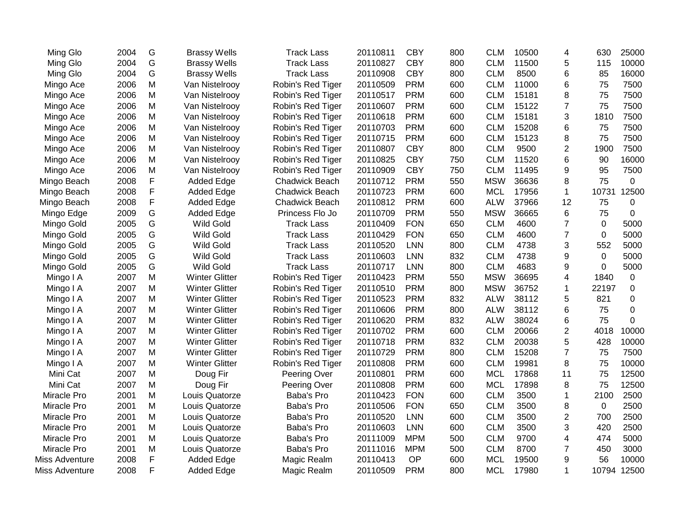| Ming Glo       | 2004 | G | <b>Brassy Wells</b>   | <b>Track Lass</b>     | 20110811 | <b>CBY</b> | 800 | <b>CLM</b> | 10500 | 4              | 630         | 25000 |
|----------------|------|---|-----------------------|-----------------------|----------|------------|-----|------------|-------|----------------|-------------|-------|
| Ming Glo       | 2004 | G | <b>Brassy Wells</b>   | <b>Track Lass</b>     | 20110827 | <b>CBY</b> | 800 | <b>CLM</b> | 11500 | 5              | 115         | 10000 |
| Ming Glo       | 2004 | G | <b>Brassy Wells</b>   | <b>Track Lass</b>     | 20110908 | <b>CBY</b> | 800 | <b>CLM</b> | 8500  | 6              | 85          | 16000 |
| Mingo Ace      | 2006 | M | Van Nistelrooy        | Robin's Red Tiger     | 20110509 | <b>PRM</b> | 600 | <b>CLM</b> | 11000 | 6              | 75          | 7500  |
| Mingo Ace      | 2006 | M | Van Nistelrooy        | Robin's Red Tiger     | 20110517 | <b>PRM</b> | 600 | <b>CLM</b> | 15181 | 8              | 75          | 7500  |
| Mingo Ace      | 2006 | M | Van Nistelrooy        | Robin's Red Tiger     | 20110607 | <b>PRM</b> | 600 | <b>CLM</b> | 15122 | $\overline{7}$ | 75          | 7500  |
| Mingo Ace      | 2006 | M | Van Nistelrooy        | Robin's Red Tiger     | 20110618 | <b>PRM</b> | 600 | <b>CLM</b> | 15181 | 3              | 1810        | 7500  |
| Mingo Ace      | 2006 | M | Van Nistelrooy        | Robin's Red Tiger     | 20110703 | <b>PRM</b> | 600 | <b>CLM</b> | 15208 | 6              | 75          | 7500  |
| Mingo Ace      | 2006 | M | Van Nistelrooy        | Robin's Red Tiger     | 20110715 | <b>PRM</b> | 600 | <b>CLM</b> | 15123 | 8              | 75          | 7500  |
| Mingo Ace      | 2006 | M | Van Nistelrooy        | Robin's Red Tiger     | 20110807 | <b>CBY</b> | 800 | <b>CLM</b> | 9500  | $\overline{c}$ | 1900        | 7500  |
| Mingo Ace      | 2006 | M | Van Nistelrooy        | Robin's Red Tiger     | 20110825 | <b>CBY</b> | 750 | <b>CLM</b> | 11520 | 6              | 90          | 16000 |
| Mingo Ace      | 2006 | M | Van Nistelrooy        | Robin's Red Tiger     | 20110909 | <b>CBY</b> | 750 | <b>CLM</b> | 11495 | 9              | 95          | 7500  |
| Mingo Beach    | 2008 | F | Added Edge            | <b>Chadwick Beach</b> | 20110712 | <b>PRM</b> | 550 | <b>MSW</b> | 36636 | 8              | 75          | 0     |
| Mingo Beach    | 2008 | F | Added Edge            | Chadwick Beach        | 20110723 | <b>PRM</b> | 600 | <b>MCL</b> | 17956 | $\mathbf{1}$   | 10731       | 12500 |
| Mingo Beach    | 2008 | F | Added Edge            | <b>Chadwick Beach</b> | 20110812 | <b>PRM</b> | 600 | <b>ALW</b> | 37966 | 12             | 75          | 0     |
| Mingo Edge     | 2009 | G | Added Edge            | Princess Flo Jo       | 20110709 | <b>PRM</b> | 550 | <b>MSW</b> | 36665 | 6              | 75          | 0     |
| Mingo Gold     | 2005 | G | <b>Wild Gold</b>      | <b>Track Lass</b>     | 20110409 | <b>FON</b> | 650 | <b>CLM</b> | 4600  | $\overline{7}$ | $\mathbf 0$ | 5000  |
| Mingo Gold     | 2005 | G | Wild Gold             | <b>Track Lass</b>     | 20110429 | <b>FON</b> | 650 | <b>CLM</b> | 4600  | $\overline{7}$ | $\mathbf 0$ | 5000  |
| Mingo Gold     | 2005 | G | <b>Wild Gold</b>      | <b>Track Lass</b>     | 20110520 | <b>LNN</b> | 800 | <b>CLM</b> | 4738  | 3              | 552         | 5000  |
| Mingo Gold     | 2005 | G | <b>Wild Gold</b>      | <b>Track Lass</b>     | 20110603 | <b>LNN</b> | 832 | <b>CLM</b> | 4738  | 9              | 0           | 5000  |
| Mingo Gold     | 2005 | G | <b>Wild Gold</b>      | <b>Track Lass</b>     | 20110717 | <b>LNN</b> | 800 | <b>CLM</b> | 4683  | 9              | 0           | 5000  |
| Mingo I A      | 2007 | M | <b>Winter Glitter</b> | Robin's Red Tiger     | 20110423 | <b>PRM</b> | 550 | <b>MSW</b> | 36695 | 4              | 1840        | 0     |
| Mingo I A      | 2007 | M | <b>Winter Glitter</b> | Robin's Red Tiger     | 20110510 | <b>PRM</b> | 800 | <b>MSW</b> | 36752 | 1              | 22197       | 0     |
| Mingo I A      | 2007 | M | <b>Winter Glitter</b> | Robin's Red Tiger     | 20110523 | <b>PRM</b> | 832 | <b>ALW</b> | 38112 | 5              | 821         | 0     |
| Mingo I A      | 2007 | M | <b>Winter Glitter</b> | Robin's Red Tiger     | 20110606 | <b>PRM</b> | 800 | <b>ALW</b> | 38112 | 6              | 75          | 0     |
| Mingo I A      | 2007 | M | <b>Winter Glitter</b> | Robin's Red Tiger     | 20110620 | <b>PRM</b> | 832 | <b>ALW</b> | 38024 | 6              | 75          | 0     |
| Mingo I A      | 2007 | M | <b>Winter Glitter</b> | Robin's Red Tiger     | 20110702 | <b>PRM</b> | 600 | <b>CLM</b> | 20066 | $\overline{c}$ | 4018        | 10000 |
| Mingo I A      | 2007 | M | <b>Winter Glitter</b> | Robin's Red Tiger     | 20110718 | <b>PRM</b> | 832 | <b>CLM</b> | 20038 | 5              | 428         | 10000 |
| Mingo I A      | 2007 | M | <b>Winter Glitter</b> | Robin's Red Tiger     | 20110729 | <b>PRM</b> | 800 | <b>CLM</b> | 15208 | $\overline{7}$ | 75          | 7500  |
| Mingo I A      | 2007 | M | <b>Winter Glitter</b> | Robin's Red Tiger     | 20110808 | <b>PRM</b> | 600 | <b>CLM</b> | 19981 | 8              | 75          | 10000 |
| Mini Cat       | 2007 | M | Doug Fir              | Peering Over          | 20110801 | <b>PRM</b> | 600 | <b>MCL</b> | 17868 | 11             | 75          | 12500 |
| Mini Cat       | 2007 | M | Doug Fir              | Peering Over          | 20110808 | <b>PRM</b> | 600 | <b>MCL</b> | 17898 | 8              | 75          | 12500 |
| Miracle Pro    | 2001 | M | Louis Quatorze        | Baba's Pro            | 20110423 | <b>FON</b> | 600 | <b>CLM</b> | 3500  | 1              | 2100        | 2500  |
| Miracle Pro    | 2001 | M | Louis Quatorze        | Baba's Pro            | 20110506 | <b>FON</b> | 650 | <b>CLM</b> | 3500  | 8              | $\mathbf 0$ | 2500  |
| Miracle Pro    | 2001 | M | Louis Quatorze        | Baba's Pro            | 20110520 | <b>LNN</b> | 600 | <b>CLM</b> | 3500  | $\overline{2}$ | 700         | 2500  |
| Miracle Pro    | 2001 | M | Louis Quatorze        | Baba's Pro            | 20110603 | <b>LNN</b> | 600 | <b>CLM</b> | 3500  | 3              | 420         | 2500  |
| Miracle Pro    | 2001 | M | Louis Quatorze        | Baba's Pro            | 20111009 | <b>MPM</b> | 500 | <b>CLM</b> | 9700  | 4              | 474         | 5000  |
| Miracle Pro    | 2001 | M | Louis Quatorze        | Baba's Pro            | 20111016 | <b>MPM</b> | 500 | <b>CLM</b> | 8700  | $\overline{7}$ | 450         | 3000  |
| Miss Adventure | 2008 | F | Added Edge            | Magic Realm           | 20110413 | <b>OP</b>  | 600 | <b>MCL</b> | 19500 | 9              | 56          | 10000 |
| Miss Adventure | 2008 | F | Added Edge            | Magic Realm           | 20110509 | <b>PRM</b> | 800 | <b>MCL</b> | 17980 | 1              | 10794       | 12500 |
|                |      |   |                       |                       |          |            |     |            |       |                |             |       |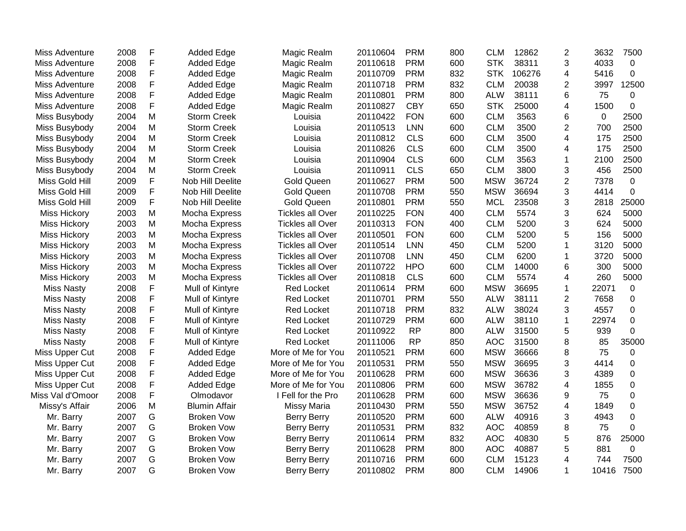| Miss Adventure      | 2008 | F | <b>Added Edge</b>    | Magic Realm             | 20110604 | <b>PRM</b> | 800 | <b>CLM</b> | 12862  | $\overline{2}$ | 3632  | 7500     |
|---------------------|------|---|----------------------|-------------------------|----------|------------|-----|------------|--------|----------------|-------|----------|
| Miss Adventure      | 2008 | F | <b>Added Edge</b>    | Magic Realm             | 20110618 | <b>PRM</b> | 600 | <b>STK</b> | 38311  | 3              | 4033  | 0        |
| Miss Adventure      | 2008 | F | <b>Added Edge</b>    | Magic Realm             | 20110709 | <b>PRM</b> | 832 | <b>STK</b> | 106276 | 4              | 5416  | 0        |
| Miss Adventure      | 2008 | F | <b>Added Edge</b>    | Magic Realm             | 20110718 | <b>PRM</b> | 832 | <b>CLM</b> | 20038  | 2              | 3997  | 12500    |
| Miss Adventure      | 2008 | F | Added Edge           | Magic Realm             | 20110801 | <b>PRM</b> | 800 | <b>ALW</b> | 38111  | 6              | 75    | 0        |
| Miss Adventure      | 2008 | F | Added Edge           | Magic Realm             | 20110827 | <b>CBY</b> | 650 | <b>STK</b> | 25000  | 4              | 1500  | 0        |
| Miss Busybody       | 2004 | M | <b>Storm Creek</b>   | Louisia                 | 20110422 | <b>FON</b> | 600 | <b>CLM</b> | 3563   | 6              | 0     | 2500     |
| Miss Busybody       | 2004 | M | <b>Storm Creek</b>   | Louisia                 | 20110513 | <b>LNN</b> | 600 | <b>CLM</b> | 3500   | $\overline{2}$ | 700   | 2500     |
| Miss Busybody       | 2004 | M | <b>Storm Creek</b>   | Louisia                 | 20110812 | <b>CLS</b> | 600 | <b>CLM</b> | 3500   | 4              | 175   | 2500     |
| Miss Busybody       | 2004 | M | <b>Storm Creek</b>   | Louisia                 | 20110826 | <b>CLS</b> | 600 | <b>CLM</b> | 3500   | 4              | 175   | 2500     |
| Miss Busybody       | 2004 | M | <b>Storm Creek</b>   | Louisia                 | 20110904 | <b>CLS</b> | 600 | <b>CLM</b> | 3563   | 1              | 2100  | 2500     |
| Miss Busybody       | 2004 | M | <b>Storm Creek</b>   | Louisia                 | 20110911 | <b>CLS</b> | 650 | <b>CLM</b> | 3800   | 3              | 456   | 2500     |
| Miss Gold Hill      | 2009 | F | Nob Hill Deelite     | <b>Gold Queen</b>       | 20110627 | <b>PRM</b> | 500 | <b>MSW</b> | 36724  | $\overline{2}$ | 7378  | 0        |
| Miss Gold Hill      | 2009 | F | Nob Hill Deelite     | <b>Gold Queen</b>       | 20110708 | <b>PRM</b> | 550 | <b>MSW</b> | 36694  | 3              | 4414  | 0        |
| Miss Gold Hill      | 2009 | F | Nob Hill Deelite     | <b>Gold Queen</b>       | 20110801 | <b>PRM</b> | 550 | <b>MCL</b> | 23508  | 3              | 2818  | 25000    |
| <b>Miss Hickory</b> | 2003 | M | Mocha Express        | <b>Tickles all Over</b> | 20110225 | <b>FON</b> | 400 | <b>CLM</b> | 5574   | 3              | 624   | 5000     |
| <b>Miss Hickory</b> | 2003 | M | Mocha Express        | <b>Tickles all Over</b> | 20110313 | <b>FON</b> | 400 | <b>CLM</b> | 5200   | 3              | 624   | 5000     |
| <b>Miss Hickory</b> | 2003 | M | Mocha Express        | <b>Tickles all Over</b> | 20110501 | <b>FON</b> | 600 | <b>CLM</b> | 5200   | 5              | 156   | 5000     |
| <b>Miss Hickory</b> | 2003 | M | Mocha Express        | <b>Tickles all Over</b> | 20110514 | <b>LNN</b> | 450 | <b>CLM</b> | 5200   | 1              | 3120  | 5000     |
| <b>Miss Hickory</b> | 2003 | M | Mocha Express        | <b>Tickles all Over</b> | 20110708 | <b>LNN</b> | 450 | <b>CLM</b> | 6200   | 1              | 3720  | 5000     |
| <b>Miss Hickory</b> | 2003 | M | Mocha Express        | <b>Tickles all Over</b> | 20110722 | <b>HPO</b> | 600 | <b>CLM</b> | 14000  | 6              | 300   | 5000     |
| <b>Miss Hickory</b> | 2003 | M | Mocha Express        | <b>Tickles all Over</b> | 20110818 | <b>CLS</b> | 600 | <b>CLM</b> | 5574   | $\overline{4}$ | 260   | 5000     |
| <b>Miss Nasty</b>   | 2008 | F | Mull of Kintyre      | <b>Red Locket</b>       | 20110614 | <b>PRM</b> | 600 | <b>MSW</b> | 36695  | 1              | 22071 | 0        |
| <b>Miss Nasty</b>   | 2008 | F | Mull of Kintyre      | Red Locket              | 20110701 | <b>PRM</b> | 550 | <b>ALW</b> | 38111  | $\overline{2}$ | 7658  | 0        |
| <b>Miss Nasty</b>   | 2008 | F | Mull of Kintyre      | <b>Red Locket</b>       | 20110718 | <b>PRM</b> | 832 | <b>ALW</b> | 38024  | 3              | 4557  | 0        |
| <b>Miss Nasty</b>   | 2008 | F | Mull of Kintyre      | Red Locket              | 20110729 | <b>PRM</b> | 600 | <b>ALW</b> | 38110  | 1              | 22974 | 0        |
| <b>Miss Nasty</b>   | 2008 | F | Mull of Kintyre      | Red Locket              | 20110922 | <b>RP</b>  | 800 | <b>ALW</b> | 31500  | 5              | 939   | $\Omega$ |
| <b>Miss Nasty</b>   | 2008 | F | Mull of Kintyre      | <b>Red Locket</b>       | 20111006 | <b>RP</b>  | 850 | <b>AOC</b> | 31500  | 8              | 85    | 35000    |
| Miss Upper Cut      | 2008 | F | <b>Added Edge</b>    | More of Me for You      | 20110521 | <b>PRM</b> | 600 | <b>MSW</b> | 36666  | 8              | 75    | 0        |
| Miss Upper Cut      | 2008 | F | <b>Added Edge</b>    | More of Me for You      | 20110531 | <b>PRM</b> | 550 | <b>MSW</b> | 36695  | 3              | 4414  | 0        |
| Miss Upper Cut      | 2008 | F | <b>Added Edge</b>    | More of Me for You      | 20110628 | <b>PRM</b> | 600 | <b>MSW</b> | 36636  | 3              | 4389  | 0        |
| Miss Upper Cut      | 2008 | F | <b>Added Edge</b>    | More of Me for You      | 20110806 | <b>PRM</b> | 600 | <b>MSW</b> | 36782  | 4              | 1855  | 0        |
| Miss Val d'Omoor    | 2008 | F | Olmodavor            | I Fell for the Pro      | 20110628 | <b>PRM</b> | 600 | <b>MSW</b> | 36636  | 9              | 75    | 0        |
| Missy's Affair      | 2006 | M | <b>Blumin Affair</b> | <b>Missy Maria</b>      | 20110430 | <b>PRM</b> | 550 | <b>MSW</b> | 36752  | 4              | 1849  | 0        |
| Mr. Barry           | 2007 | G | <b>Broken Vow</b>    | <b>Berry Berry</b>      | 20110520 | <b>PRM</b> | 600 | <b>ALW</b> | 40916  | 3              | 4943  | 0        |
| Mr. Barry           | 2007 | G | <b>Broken Vow</b>    | <b>Berry Berry</b>      | 20110531 | <b>PRM</b> | 832 | <b>AOC</b> | 40859  | 8              | 75    | 0        |
| Mr. Barry           | 2007 | G | <b>Broken Vow</b>    | <b>Berry Berry</b>      | 20110614 | <b>PRM</b> | 832 | <b>AOC</b> | 40830  | 5              | 876   | 25000    |
| Mr. Barry           | 2007 | G | <b>Broken Vow</b>    | <b>Berry Berry</b>      | 20110628 | <b>PRM</b> | 800 | <b>AOC</b> | 40887  | 5              | 881   | 0        |
| Mr. Barry           | 2007 | G | <b>Broken Vow</b>    | <b>Berry Berry</b>      | 20110716 | <b>PRM</b> | 600 | <b>CLM</b> | 15123  | 4              | 744   | 7500     |
| Mr. Barry           | 2007 | G | <b>Broken Vow</b>    | <b>Berry Berry</b>      | 20110802 | <b>PRM</b> | 800 | <b>CLM</b> | 14906  | 1              | 10416 | 7500     |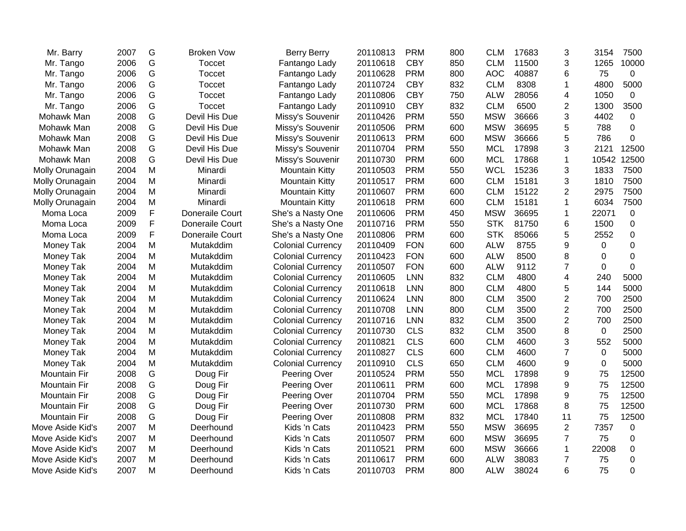| Mr. Barry           | 2007 | G           | <b>Broken Vow</b> | <b>Berry Berry</b>       | 20110813 | <b>PRM</b> | 800 | <b>CLM</b> | 17683 | 3              | 3154     | 7500  |
|---------------------|------|-------------|-------------------|--------------------------|----------|------------|-----|------------|-------|----------------|----------|-------|
| Mr. Tango           | 2006 | G           | Toccet            | Fantango Lady            | 20110618 | <b>CBY</b> | 850 | <b>CLM</b> | 11500 | 3              | 1265     | 10000 |
| Mr. Tango           | 2006 | G           | Toccet            | Fantango Lady            | 20110628 | <b>PRM</b> | 800 | <b>AOC</b> | 40887 | 6              | 75       | 0     |
| Mr. Tango           | 2006 | G           | Toccet            | Fantango Lady            | 20110724 | <b>CBY</b> | 832 | <b>CLM</b> | 8308  | 1              | 4800     | 5000  |
| Mr. Tango           | 2006 | G           | Toccet            | Fantango Lady            | 20110806 | <b>CBY</b> | 750 | <b>ALW</b> | 28056 | 4              | 1050     | 0     |
| Mr. Tango           | 2006 | G           | <b>Toccet</b>     | Fantango Lady            | 20110910 | <b>CBY</b> | 832 | <b>CLM</b> | 6500  | $\overline{2}$ | 1300     | 3500  |
| Mohawk Man          | 2008 | G           | Devil His Due     | Missy's Souvenir         | 20110426 | <b>PRM</b> | 550 | <b>MSW</b> | 36666 | 3              | 4402     | 0     |
| Mohawk Man          | 2008 | G           | Devil His Due     | Missy's Souvenir         | 20110506 | <b>PRM</b> | 600 | <b>MSW</b> | 36695 | 5              | 788      | 0     |
| Mohawk Man          | 2008 | G           | Devil His Due     | Missy's Souvenir         | 20110613 | <b>PRM</b> | 600 | <b>MSW</b> | 36666 | 5              | 786      | 0     |
| Mohawk Man          | 2008 | G           | Devil His Due     | Missy's Souvenir         | 20110704 | <b>PRM</b> | 550 | <b>MCL</b> | 17898 | 3              | 2121     | 12500 |
| Mohawk Man          | 2008 | G           | Devil His Due     | Missy's Souvenir         | 20110730 | <b>PRM</b> | 600 | <b>MCL</b> | 17868 | 1              | 10542    | 12500 |
| Molly Orunagain     | 2004 | M           | Minardi           | <b>Mountain Kitty</b>    | 20110503 | <b>PRM</b> | 550 | <b>WCL</b> | 15236 | 3              | 1833     | 7500  |
| Molly Orunagain     | 2004 | M           | Minardi           | <b>Mountain Kitty</b>    | 20110517 | <b>PRM</b> | 600 | <b>CLM</b> | 15181 | 3              | 1810     | 7500  |
| Molly Orunagain     | 2004 | M           | Minardi           | <b>Mountain Kitty</b>    | 20110607 | <b>PRM</b> | 600 | <b>CLM</b> | 15122 | $\overline{2}$ | 2975     | 7500  |
| Molly Orunagain     | 2004 | M           | Minardi           | <b>Mountain Kitty</b>    | 20110618 | <b>PRM</b> | 600 | <b>CLM</b> | 15181 | 1              | 6034     | 7500  |
| Moma Loca           | 2009 | $\mathsf F$ | Doneraile Court   | She's a Nasty One        | 20110606 | <b>PRM</b> | 450 | <b>MSW</b> | 36695 | 1              | 22071    | 0     |
| Moma Loca           | 2009 | $\mathsf F$ | Doneraile Court   | She's a Nasty One        | 20110716 | <b>PRM</b> | 550 | <b>STK</b> | 81750 | 6              | 1500     | 0     |
| Moma Loca           | 2009 | F           | Doneraile Court   | She's a Nasty One        | 20110806 | <b>PRM</b> | 600 | <b>STK</b> | 85066 | 5              | 2552     | 0     |
| Money Tak           | 2004 | M           | Mutakddim         | <b>Colonial Currency</b> | 20110409 | <b>FON</b> | 600 | <b>ALW</b> | 8755  | 9              | $\Omega$ | 0     |
| Money Tak           | 2004 | M           | Mutakddim         | <b>Colonial Currency</b> | 20110423 | <b>FON</b> | 600 | <b>ALW</b> | 8500  | 8              | 0        | 0     |
| Money Tak           | 2004 | M           | Mutakddim         | <b>Colonial Currency</b> | 20110507 | <b>FON</b> | 600 | <b>ALW</b> | 9112  | $\overline{7}$ | 0        | 0     |
| Money Tak           | 2004 | M           | Mutakddim         | <b>Colonial Currency</b> | 20110605 | <b>LNN</b> | 832 | <b>CLM</b> | 4800  | 4              | 240      | 5000  |
| Money Tak           | 2004 | M           | Mutakddim         | <b>Colonial Currency</b> | 20110618 | <b>LNN</b> | 800 | <b>CLM</b> | 4800  | 5              | 144      | 5000  |
| Money Tak           | 2004 | M           | Mutakddim         | <b>Colonial Currency</b> | 20110624 | <b>LNN</b> | 800 | <b>CLM</b> | 3500  | $\overline{c}$ | 700      | 2500  |
| Money Tak           | 2004 | M           | Mutakddim         | <b>Colonial Currency</b> | 20110708 | <b>LNN</b> | 800 | <b>CLM</b> | 3500  | $\overline{c}$ | 700      | 2500  |
| Money Tak           | 2004 | M           | Mutakddim         | <b>Colonial Currency</b> | 20110716 | <b>LNN</b> | 832 | <b>CLM</b> | 3500  | $\overline{2}$ | 700      | 2500  |
| Money Tak           | 2004 | M           | Mutakddim         | <b>Colonial Currency</b> | 20110730 | <b>CLS</b> | 832 | <b>CLM</b> | 3500  | 8              | 0        | 2500  |
| Money Tak           | 2004 | M           | Mutakddim         | <b>Colonial Currency</b> | 20110821 | <b>CLS</b> | 600 | <b>CLM</b> | 4600  | 3              | 552      | 5000  |
| Money Tak           | 2004 | M           | Mutakddim         | <b>Colonial Currency</b> | 20110827 | <b>CLS</b> | 600 | <b>CLM</b> | 4600  | $\overline{7}$ | 0        | 5000  |
| Money Tak           | 2004 | M           | Mutakddim         | <b>Colonial Currency</b> | 20110910 | <b>CLS</b> | 650 | <b>CLM</b> | 4600  | 9              | 0        | 5000  |
| <b>Mountain Fir</b> | 2008 | G           | Doug Fir          | Peering Over             | 20110524 | <b>PRM</b> | 550 | <b>MCL</b> | 17898 | 9              | 75       | 12500 |
| Mountain Fir        | 2008 | G           | Doug Fir          | Peering Over             | 20110611 | <b>PRM</b> | 600 | <b>MCL</b> | 17898 | 9              | 75       | 12500 |
| <b>Mountain Fir</b> | 2008 | G           | Doug Fir          | Peering Over             | 20110704 | <b>PRM</b> | 550 | <b>MCL</b> | 17898 | 9              | 75       | 12500 |
| <b>Mountain Fir</b> | 2008 | G           | Doug Fir          | Peering Over             | 20110730 | <b>PRM</b> | 600 | <b>MCL</b> | 17868 | 8              | 75       | 12500 |
| <b>Mountain Fir</b> | 2008 | G           | Doug Fir          | Peering Over             | 20110808 | <b>PRM</b> | 832 | <b>MCL</b> | 17840 | 11             | 75       | 12500 |
| Move Aside Kid's    | 2007 | M           | Deerhound         | Kids 'n Cats             | 20110423 | <b>PRM</b> | 550 | <b>MSW</b> | 36695 | $\overline{2}$ | 7357     | 0     |
| Move Aside Kid's    | 2007 | M           | Deerhound         | Kids 'n Cats             | 20110507 | <b>PRM</b> | 600 | <b>MSW</b> | 36695 | $\overline{7}$ | 75       | 0     |
| Move Aside Kid's    | 2007 | M           | Deerhound         | Kids 'n Cats             | 20110521 | <b>PRM</b> | 600 | <b>MSW</b> | 36666 | 1              | 22008    | 0     |
| Move Aside Kid's    | 2007 | M           | Deerhound         | Kids 'n Cats             | 20110617 | <b>PRM</b> | 600 | <b>ALW</b> | 38083 | 7              | 75       | 0     |
| Move Aside Kid's    | 2007 | M           | Deerhound         | Kids 'n Cats             | 20110703 | <b>PRM</b> | 800 | <b>ALW</b> | 38024 | 6              | 75       | 0     |
|                     |      |             |                   |                          |          |            |     |            |       |                |          |       |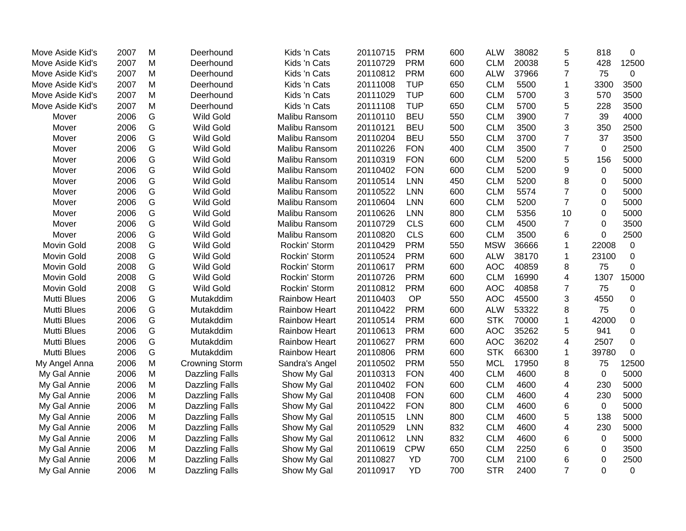| Move Aside Kid's   | 2007 | M | Deerhound             | Kids 'n Cats         | 20110715 | <b>PRM</b> | 600 | <b>ALW</b> | 38082 | 5              | 818         | 0                |
|--------------------|------|---|-----------------------|----------------------|----------|------------|-----|------------|-------|----------------|-------------|------------------|
| Move Aside Kid's   | 2007 | M | Deerhound             | Kids 'n Cats         | 20110729 | <b>PRM</b> | 600 | <b>CLM</b> | 20038 | 5              | 428         | 12500            |
| Move Aside Kid's   | 2007 | M | Deerhound             | Kids 'n Cats         | 20110812 | <b>PRM</b> | 600 | <b>ALW</b> | 37966 | $\overline{7}$ | 75          | $\mathbf 0$      |
| Move Aside Kid's   | 2007 | M | Deerhound             | Kids 'n Cats         | 20111008 | <b>TUP</b> | 650 | <b>CLM</b> | 5500  | $\mathbf{1}$   | 3300        | 3500             |
| Move Aside Kid's   | 2007 | M | Deerhound             | Kids 'n Cats         | 20111029 | <b>TUP</b> | 600 | <b>CLM</b> | 5700  | 3              | 570         | 3500             |
| Move Aside Kid's   | 2007 | M | Deerhound             | Kids 'n Cats         | 20111108 | <b>TUP</b> | 650 | <b>CLM</b> | 5700  | 5              | 228         | 3500             |
| Mover              | 2006 | G | Wild Gold             | Malibu Ransom        | 20110110 | <b>BEU</b> | 550 | <b>CLM</b> | 3900  | $\overline{7}$ | 39          | 4000             |
| Mover              | 2006 | G | <b>Wild Gold</b>      | Malibu Ransom        | 20110121 | <b>BEU</b> | 500 | <b>CLM</b> | 3500  | 3              | 350         | 2500             |
| Mover              | 2006 | G | <b>Wild Gold</b>      | Malibu Ransom        | 20110204 | <b>BEU</b> | 550 | <b>CLM</b> | 3700  | $\overline{7}$ | 37          | 3500             |
| Mover              | 2006 | G | <b>Wild Gold</b>      | Malibu Ransom        | 20110226 | <b>FON</b> | 400 | <b>CLM</b> | 3500  | $\overline{7}$ | $\mathbf 0$ | 2500             |
| Mover              | 2006 | G | <b>Wild Gold</b>      | Malibu Ransom        | 20110319 | <b>FON</b> | 600 | <b>CLM</b> | 5200  | 5              | 156         | 5000             |
| Mover              | 2006 | G | <b>Wild Gold</b>      | Malibu Ransom        | 20110402 | <b>FON</b> | 600 | <b>CLM</b> | 5200  | 9              | $\mathbf 0$ | 5000             |
| Mover              | 2006 | G | <b>Wild Gold</b>      | Malibu Ransom        | 20110514 | <b>LNN</b> | 450 | <b>CLM</b> | 5200  | 8              | 0           | 5000             |
| Mover              | 2006 | G | <b>Wild Gold</b>      | Malibu Ransom        | 20110522 | <b>LNN</b> | 600 | <b>CLM</b> | 5574  | $\overline{7}$ | 0           | 5000             |
| Mover              | 2006 | G | Wild Gold             | Malibu Ransom        | 20110604 | <b>LNN</b> | 600 | <b>CLM</b> | 5200  | $\overline{7}$ | 0           | 5000             |
| Mover              | 2006 | G | <b>Wild Gold</b>      | Malibu Ransom        | 20110626 | <b>LNN</b> | 800 | <b>CLM</b> | 5356  | 10             | 0           | 5000             |
| Mover              | 2006 | G | <b>Wild Gold</b>      | Malibu Ransom        | 20110729 | <b>CLS</b> | 600 | <b>CLM</b> | 4500  | $\overline{7}$ | 0           | 3500             |
| Mover              | 2006 | G | <b>Wild Gold</b>      | Malibu Ransom        | 20110820 | <b>CLS</b> | 600 | <b>CLM</b> | 3500  | 6              | $\mathbf 0$ | 2500             |
| <b>Movin Gold</b>  | 2008 | G | <b>Wild Gold</b>      | Rockin' Storm        | 20110429 | <b>PRM</b> | 550 | <b>MSW</b> | 36666 | 1              | 22008       | $\boldsymbol{0}$ |
| <b>Movin Gold</b>  | 2008 | G | <b>Wild Gold</b>      | Rockin' Storm        | 20110524 | <b>PRM</b> | 600 | <b>ALW</b> | 38170 | $\mathbf{1}$   | 23100       | $\mathbf 0$      |
| <b>Movin Gold</b>  | 2008 | G | <b>Wild Gold</b>      | Rockin' Storm        | 20110617 | <b>PRM</b> | 600 | <b>AOC</b> | 40859 | 8              | 75          | 0                |
| <b>Movin Gold</b>  | 2008 | G | <b>Wild Gold</b>      | Rockin' Storm        | 20110726 | <b>PRM</b> | 600 | <b>CLM</b> | 16990 | $\overline{4}$ | 1307        | 15000            |
| Movin Gold         | 2008 | G | <b>Wild Gold</b>      | Rockin' Storm        | 20110812 | <b>PRM</b> | 600 | <b>AOC</b> | 40858 | $\overline{7}$ | 75          | 0                |
| <b>Mutti Blues</b> | 2006 | G | Mutakddim             | <b>Rainbow Heart</b> | 20110403 | OP         | 550 | <b>AOC</b> | 45500 | 3              | 4550        | 0                |
| <b>Mutti Blues</b> | 2006 | G | Mutakddim             | <b>Rainbow Heart</b> | 20110422 | <b>PRM</b> | 600 | <b>ALW</b> | 53322 | 8              | 75          | 0                |
| <b>Mutti Blues</b> | 2006 | G | Mutakddim             | <b>Rainbow Heart</b> | 20110514 | <b>PRM</b> | 600 | <b>STK</b> | 70000 | $\mathbf{1}$   | 42000       | $\pmb{0}$        |
| <b>Mutti Blues</b> | 2006 | G | Mutakddim             | <b>Rainbow Heart</b> | 20110613 | <b>PRM</b> | 600 | <b>AOC</b> | 35262 | 5              | 941         | 0                |
| <b>Mutti Blues</b> | 2006 | G | Mutakddim             | <b>Rainbow Heart</b> | 20110627 | <b>PRM</b> | 600 | <b>AOC</b> | 36202 | 4              | 2507        | 0                |
| <b>Mutti Blues</b> | 2006 | G | Mutakddim             | <b>Rainbow Heart</b> | 20110806 | <b>PRM</b> | 600 | <b>STK</b> | 66300 | $\mathbf{1}$   | 39780       | $\mathbf 0$      |
| My Angel Anna      | 2006 | M | <b>Crowning Storm</b> | Sandra's Angel       | 20110502 | <b>PRM</b> | 550 | <b>MCL</b> | 17950 | 8              | 75          | 12500            |
| My Gal Annie       | 2006 | M | <b>Dazzling Falls</b> | Show My Gal          | 20110313 | <b>FON</b> | 400 | <b>CLM</b> | 4600  | 8              | $\mathbf 0$ | 5000             |
| My Gal Annie       | 2006 | M | <b>Dazzling Falls</b> | Show My Gal          | 20110402 | <b>FON</b> | 600 | <b>CLM</b> | 4600  | 4              | 230         | 5000             |
| My Gal Annie       | 2006 | M | Dazzling Falls        | Show My Gal          | 20110408 | <b>FON</b> | 600 | <b>CLM</b> | 4600  | 4              | 230         | 5000             |
| My Gal Annie       | 2006 | M | <b>Dazzling Falls</b> | Show My Gal          | 20110422 | <b>FON</b> | 800 | <b>CLM</b> | 4600  | 6              | $\mathbf 0$ | 5000             |
| My Gal Annie       | 2006 | M | <b>Dazzling Falls</b> | Show My Gal          | 20110515 | <b>LNN</b> | 800 | <b>CLM</b> | 4600  | 5              | 138         | 5000             |
| My Gal Annie       | 2006 | M | Dazzling Falls        | Show My Gal          | 20110529 | <b>LNN</b> | 832 | <b>CLM</b> | 4600  | 4              | 230         | 5000             |
| My Gal Annie       | 2006 | M | <b>Dazzling Falls</b> | Show My Gal          | 20110612 | <b>LNN</b> | 832 | <b>CLM</b> | 4600  | 6              | 0           | 5000             |
| My Gal Annie       | 2006 | M | <b>Dazzling Falls</b> | Show My Gal          | 20110619 | <b>CPW</b> | 650 | <b>CLM</b> | 2250  | 6              | 0           | 3500             |
| My Gal Annie       | 2006 | M | <b>Dazzling Falls</b> | Show My Gal          | 20110827 | YD         | 700 | <b>CLM</b> | 2100  | 6              | 0           | 2500             |
| My Gal Annie       | 2006 | M | <b>Dazzling Falls</b> | Show My Gal          | 20110917 | <b>YD</b>  | 700 | <b>STR</b> | 2400  | $\overline{7}$ | $\Omega$    | 0                |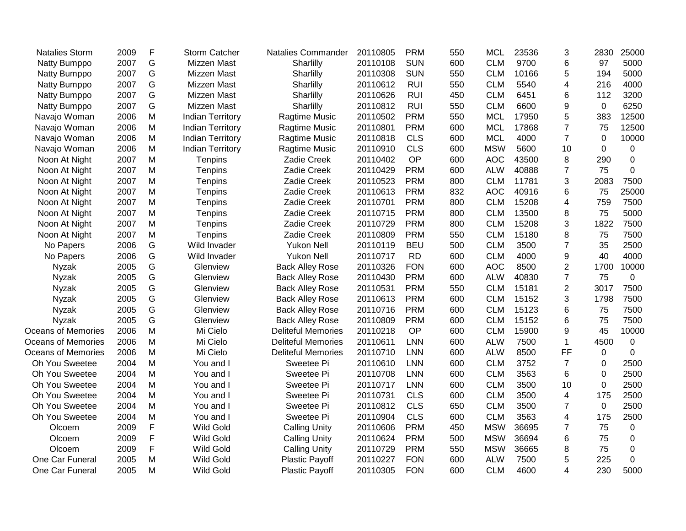| <b>Natalies Storm</b>     | 2009 | F | <b>Storm Catcher</b>    | <b>Natalies Commander</b> | 20110805 | <b>PRM</b> | 550 | <b>MCL</b> | 23536 | 3              | 2830        | 25000       |
|---------------------------|------|---|-------------------------|---------------------------|----------|------------|-----|------------|-------|----------------|-------------|-------------|
| Natty Bumppo              | 2007 | G | Mizzen Mast             | Sharlilly                 | 20110108 | <b>SUN</b> | 600 | <b>CLM</b> | 9700  | 6              | 97          | 5000        |
| Natty Bumppo              | 2007 | G | Mizzen Mast             | Sharlilly                 | 20110308 | <b>SUN</b> | 550 | <b>CLM</b> | 10166 | 5              | 194         | 5000        |
| Natty Bumppo              | 2007 | G | Mizzen Mast             | Sharlilly                 | 20110612 | <b>RUI</b> | 550 | <b>CLM</b> | 5540  | 4              | 216         | 4000        |
| Natty Bumppo              | 2007 | G | Mizzen Mast             | Sharlilly                 | 20110626 | <b>RUI</b> | 450 | <b>CLM</b> | 6451  | 6              | 112         | 3200        |
| Natty Bumppo              | 2007 | G | Mizzen Mast             | Sharlilly                 | 20110812 | <b>RUI</b> | 550 | <b>CLM</b> | 6600  | 9              | 0           | 6250        |
| Navajo Woman              | 2006 | M | <b>Indian Territory</b> | Ragtime Music             | 20110502 | <b>PRM</b> | 550 | <b>MCL</b> | 17950 | 5              | 383         | 12500       |
| Navajo Woman              | 2006 | M | <b>Indian Territory</b> | Ragtime Music             | 20110801 | <b>PRM</b> | 600 | <b>MCL</b> | 17868 | $\overline{7}$ | 75          | 12500       |
| Navajo Woman              | 2006 | M | <b>Indian Territory</b> | Ragtime Music             | 20110818 | <b>CLS</b> | 600 | <b>MCL</b> | 4000  | $\overline{7}$ | $\mathbf 0$ | 10000       |
| Navajo Woman              | 2006 | M | <b>Indian Territory</b> | Ragtime Music             | 20110910 | <b>CLS</b> | 600 | <b>MSW</b> | 5600  | 10             | $\Omega$    | 0           |
| Noon At Night             | 2007 | M | Tenpins                 | Zadie Creek               | 20110402 | OP         | 600 | <b>AOC</b> | 43500 | 8              | 290         | 0           |
| Noon At Night             | 2007 | Μ | Tenpins                 | Zadie Creek               | 20110429 | <b>PRM</b> | 600 | <b>ALW</b> | 40888 | $\overline{7}$ | 75          | $\Omega$    |
| Noon At Night             | 2007 | M | Tenpins                 | Zadie Creek               | 20110523 | <b>PRM</b> | 800 | <b>CLM</b> | 11781 | 3              | 2083        | 7500        |
| Noon At Night             | 2007 | M | Tenpins                 | Zadie Creek               | 20110613 | <b>PRM</b> | 832 | <b>AOC</b> | 40916 | 6              | 75          | 25000       |
| Noon At Night             | 2007 | M | Tenpins                 | Zadie Creek               | 20110701 | <b>PRM</b> | 800 | <b>CLM</b> | 15208 | 4              | 759         | 7500        |
| Noon At Night             | 2007 | M | Tenpins                 | Zadie Creek               | 20110715 | <b>PRM</b> | 800 | <b>CLM</b> | 13500 | 8              | 75          | 5000        |
| Noon At Night             | 2007 | M | Tenpins                 | Zadie Creek               | 20110729 | <b>PRM</b> | 800 | <b>CLM</b> | 15208 | 3              | 1822        | 7500        |
| Noon At Night             | 2007 | M | Tenpins                 | Zadie Creek               | 20110809 | <b>PRM</b> | 550 | <b>CLM</b> | 15180 | 8              | 75          | 7500        |
| No Papers                 | 2006 | G | Wild Invader            | <b>Yukon Nell</b>         | 20110119 | <b>BEU</b> | 500 | <b>CLM</b> | 3500  | $\overline{7}$ | 35          | 2500        |
| No Papers                 | 2006 | G | Wild Invader            | <b>Yukon Nell</b>         | 20110717 | <b>RD</b>  | 600 | <b>CLM</b> | 4000  | 9              | 40          | 4000        |
| <b>Nyzak</b>              | 2005 | G | Glenview                | <b>Back Alley Rose</b>    | 20110326 | <b>FON</b> | 600 | <b>AOC</b> | 8500  | $\overline{2}$ | 1700        | 10000       |
| <b>Nyzak</b>              | 2005 | G | Glenview                | <b>Back Alley Rose</b>    | 20110430 | <b>PRM</b> | 600 | <b>ALW</b> | 40830 | $\overline{7}$ | 75          | $\mathbf 0$ |
| Nyzak                     | 2005 | G | Glenview                | <b>Back Alley Rose</b>    | 20110531 | <b>PRM</b> | 550 | <b>CLM</b> | 15181 | $\overline{2}$ | 3017        | 7500        |
| Nyzak                     | 2005 | G | Glenview                | <b>Back Alley Rose</b>    | 20110613 | <b>PRM</b> | 600 | <b>CLM</b> | 15152 | 3              | 1798        | 7500        |
| Nyzak                     | 2005 | G | Glenview                | <b>Back Alley Rose</b>    | 20110716 | <b>PRM</b> | 600 | <b>CLM</b> | 15123 | 6              | 75          | 7500        |
| <b>Nyzak</b>              | 2005 | G | Glenview                | <b>Back Alley Rose</b>    | 20110809 | <b>PRM</b> | 600 | <b>CLM</b> | 15152 | 6              | 75          | 7500        |
| <b>Oceans of Memories</b> | 2006 | M | Mi Cielo                | <b>Deliteful Memories</b> | 20110218 | OP         | 600 | <b>CLM</b> | 15900 | 9              | 45          | 10000       |
| <b>Oceans of Memories</b> | 2006 | M | Mi Cielo                | <b>Deliteful Memories</b> | 20110611 | <b>LNN</b> | 600 | <b>ALW</b> | 7500  | 1              | 4500        | $\mathbf 0$ |
| <b>Oceans of Memories</b> | 2006 | M | Mi Cielo                | <b>Deliteful Memories</b> | 20110710 | <b>LNN</b> | 600 | <b>ALW</b> | 8500  | FF             | 0           | $\Omega$    |
| Oh You Sweetee            | 2004 | M | You and I               | Sweetee Pi                | 20110610 | <b>LNN</b> | 600 | <b>CLM</b> | 3752  | $\overline{7}$ | 0           | 2500        |
| Oh You Sweetee            | 2004 | M | You and I               | Sweetee Pi                | 20110708 | <b>LNN</b> | 600 | <b>CLM</b> | 3563  | 6              | $\mathbf 0$ | 2500        |
| Oh You Sweetee            | 2004 | M | You and I               | Sweetee Pi                | 20110717 | <b>LNN</b> | 600 | <b>CLM</b> | 3500  | 10             | $\mathbf 0$ | 2500        |
| Oh You Sweetee            | 2004 | M | You and I               | Sweetee Pi                | 20110731 | <b>CLS</b> | 600 | <b>CLM</b> | 3500  | 4              | 175         | 2500        |
| Oh You Sweetee            | 2004 | Μ | You and I               | Sweetee Pi                | 20110812 | <b>CLS</b> | 650 | <b>CLM</b> | 3500  | $\overline{7}$ | $\Omega$    | 2500        |
| Oh You Sweetee            | 2004 | Μ | You and I               | Sweetee Pi                | 20110904 | <b>CLS</b> | 600 | <b>CLM</b> | 3563  | 4              | 175         | 2500        |
| Olcoem                    | 2009 | F | <b>Wild Gold</b>        | <b>Calling Unity</b>      | 20110606 | <b>PRM</b> | 450 | <b>MSW</b> | 36695 | 7              | 75          | 0           |
| Olcoem                    | 2009 | F | <b>Wild Gold</b>        | <b>Calling Unity</b>      | 20110624 | <b>PRM</b> | 500 | <b>MSW</b> | 36694 | 6              | 75          | 0           |
| Olcoem                    | 2009 | F | <b>Wild Gold</b>        | <b>Calling Unity</b>      | 20110729 | <b>PRM</b> | 550 | <b>MSW</b> | 36665 | 8              | 75          | $\mathbf 0$ |
| One Car Funeral           | 2005 | M | <b>Wild Gold</b>        | <b>Plastic Payoff</b>     | 20110227 | <b>FON</b> | 600 | <b>ALW</b> | 7500  | 5              | 225         | $\mathbf 0$ |
| One Car Funeral           | 2005 | M | <b>Wild Gold</b>        | <b>Plastic Payoff</b>     | 20110305 | <b>FON</b> | 600 | <b>CLM</b> | 4600  | 4              | 230         | 5000        |
|                           |      |   |                         |                           |          |            |     |            |       |                |             |             |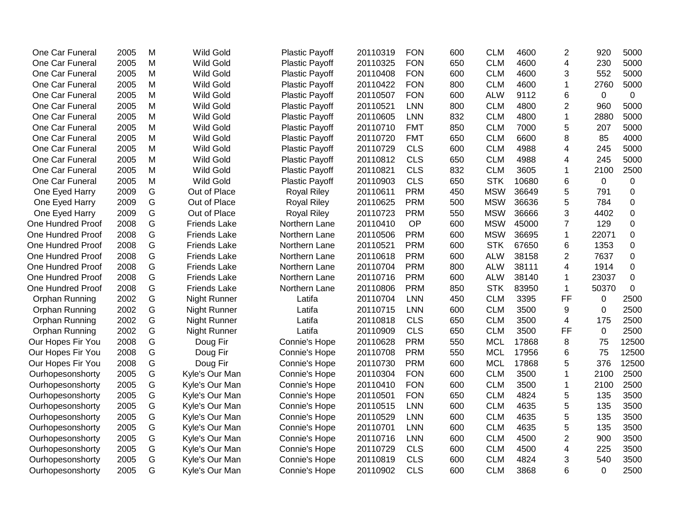| One Car Funeral          | 2005 | M | <b>Wild Gold</b>    | <b>Plastic Payoff</b> | 20110319 | <b>FON</b> | 600 | <b>CLM</b> | 4600  | 2              | 920         | 5000  |
|--------------------------|------|---|---------------------|-----------------------|----------|------------|-----|------------|-------|----------------|-------------|-------|
| One Car Funeral          | 2005 | M | <b>Wild Gold</b>    | Plastic Payoff        | 20110325 | <b>FON</b> | 650 | <b>CLM</b> | 4600  | 4              | 230         | 5000  |
| One Car Funeral          | 2005 | M | <b>Wild Gold</b>    | Plastic Payoff        | 20110408 | <b>FON</b> | 600 | <b>CLM</b> | 4600  | 3              | 552         | 5000  |
| One Car Funeral          | 2005 | M | <b>Wild Gold</b>    | <b>Plastic Payoff</b> | 20110422 | <b>FON</b> | 800 | <b>CLM</b> | 4600  | 1              | 2760        | 5000  |
| One Car Funeral          | 2005 | M | <b>Wild Gold</b>    | <b>Plastic Payoff</b> | 20110507 | <b>FON</b> | 600 | <b>ALW</b> | 9112  | 6              | $\mathbf 0$ | 0     |
| One Car Funeral          | 2005 | M | <b>Wild Gold</b>    | <b>Plastic Payoff</b> | 20110521 | <b>LNN</b> | 800 | <b>CLM</b> | 4800  | 2              | 960         | 5000  |
| One Car Funeral          | 2005 | M | Wild Gold           | <b>Plastic Payoff</b> | 20110605 | <b>LNN</b> | 832 | <b>CLM</b> | 4800  | 1              | 2880        | 5000  |
| One Car Funeral          | 2005 | M | Wild Gold           | <b>Plastic Payoff</b> | 20110710 | <b>FMT</b> | 850 | <b>CLM</b> | 7000  | 5              | 207         | 5000  |
| One Car Funeral          | 2005 | M | <b>Wild Gold</b>    | <b>Plastic Payoff</b> | 20110720 | <b>FMT</b> | 650 | <b>CLM</b> | 6600  | 8              | 85          | 4000  |
| One Car Funeral          | 2005 | M | Wild Gold           | <b>Plastic Payoff</b> | 20110729 | <b>CLS</b> | 600 | <b>CLM</b> | 4988  | 4              | 245         | 5000  |
| One Car Funeral          | 2005 | M | <b>Wild Gold</b>    | <b>Plastic Payoff</b> | 20110812 | <b>CLS</b> | 650 | <b>CLM</b> | 4988  | 4              | 245         | 5000  |
| One Car Funeral          | 2005 | M | <b>Wild Gold</b>    | Plastic Payoff        | 20110821 | <b>CLS</b> | 832 | <b>CLM</b> | 3605  | 1              | 2100        | 2500  |
| One Car Funeral          | 2005 | M | Wild Gold           | <b>Plastic Payoff</b> | 20110903 | <b>CLS</b> | 650 | <b>STK</b> | 10680 | 6              | 0           | 0     |
| One Eyed Harry           | 2009 | G | Out of Place        | <b>Royal Riley</b>    | 20110611 | <b>PRM</b> | 450 | <b>MSW</b> | 36649 | 5              | 791         | 0     |
| One Eyed Harry           | 2009 | G | Out of Place        | <b>Royal Riley</b>    | 20110625 | <b>PRM</b> | 500 | <b>MSW</b> | 36636 | 5              | 784         | 0     |
| One Eyed Harry           | 2009 | G | Out of Place        | <b>Royal Riley</b>    | 20110723 | <b>PRM</b> | 550 | <b>MSW</b> | 36666 | 3              | 4402        | 0     |
| <b>One Hundred Proof</b> | 2008 | G | <b>Friends Lake</b> | Northern Lane         | 20110410 | OP         | 600 | <b>MSW</b> | 45000 | 7              | 129         | 0     |
| One Hundred Proof        | 2008 | G | <b>Friends Lake</b> | Northern Lane         | 20110506 | <b>PRM</b> | 600 | <b>MSW</b> | 36695 | 1              | 22071       | 0     |
| <b>One Hundred Proof</b> | 2008 | G | <b>Friends Lake</b> | Northern Lane         | 20110521 | <b>PRM</b> | 600 | <b>STK</b> | 67650 | 6              | 1353        | 0     |
| <b>One Hundred Proof</b> | 2008 | G | <b>Friends Lake</b> | Northern Lane         | 20110618 | <b>PRM</b> | 600 | <b>ALW</b> | 38158 | $\overline{2}$ | 7637        | 0     |
| <b>One Hundred Proof</b> | 2008 | G | <b>Friends Lake</b> | Northern Lane         | 20110704 | <b>PRM</b> | 800 | <b>ALW</b> | 38111 | 4              | 1914        | 0     |
| <b>One Hundred Proof</b> | 2008 | G | <b>Friends Lake</b> | Northern Lane         | 20110716 | <b>PRM</b> | 600 | <b>ALW</b> | 38140 | 1              | 23037       | 0     |
| One Hundred Proof        | 2008 | G | <b>Friends Lake</b> | Northern Lane         | 20110806 | <b>PRM</b> | 850 | <b>STK</b> | 83950 | $\mathbf{1}$   | 50370       | 0     |
| Orphan Running           | 2002 | G | <b>Night Runner</b> | Latifa                | 20110704 | <b>LNN</b> | 450 | <b>CLM</b> | 3395  | <b>FF</b>      | $\pmb{0}$   | 2500  |
| Orphan Running           | 2002 | G | Night Runner        | Latifa                | 20110715 | <b>LNN</b> | 600 | <b>CLM</b> | 3500  | 9              | $\mathbf 0$ | 2500  |
| Orphan Running           | 2002 | G | Night Runner        | Latifa                | 20110818 | <b>CLS</b> | 650 | <b>CLM</b> | 3500  | 4              | 175         | 2500  |
| Orphan Running           | 2002 | G | Night Runner        | Latifa                | 20110909 | <b>CLS</b> | 650 | <b>CLM</b> | 3500  | FF             | $\mathbf 0$ | 2500  |
| Our Hopes Fir You        | 2008 | G | Doug Fir            | Connie's Hope         | 20110628 | <b>PRM</b> | 550 | <b>MCL</b> | 17868 | 8              | 75          | 12500 |
| Our Hopes Fir You        | 2008 | G | Doug Fir            | Connie's Hope         | 20110708 | <b>PRM</b> | 550 | <b>MCL</b> | 17956 | 6              | 75          | 12500 |
| Our Hopes Fir You        | 2008 | G | Doug Fir            | Connie's Hope         | 20110730 | <b>PRM</b> | 600 | <b>MCL</b> | 17868 | 5              | 376         | 12500 |
| Ourhopesonshorty         | 2005 | G | Kyle's Our Man      | Connie's Hope         | 20110304 | <b>FON</b> | 600 | <b>CLM</b> | 3500  | 1              | 2100        | 2500  |
| Ourhopesonshorty         | 2005 | G | Kyle's Our Man      | Connie's Hope         | 20110410 | <b>FON</b> | 600 | <b>CLM</b> | 3500  | 1              | 2100        | 2500  |
| Ourhopesonshorty         | 2005 | G | Kyle's Our Man      | Connie's Hope         | 20110501 | <b>FON</b> | 650 | <b>CLM</b> | 4824  | 5              | 135         | 3500  |
| Ourhopesonshorty         | 2005 | G | Kyle's Our Man      | <b>Connie's Hope</b>  | 20110515 | <b>LNN</b> | 600 | <b>CLM</b> | 4635  | 5              | 135         | 3500  |
| Ourhopesonshorty         | 2005 | G | Kyle's Our Man      | Connie's Hope         | 20110529 | <b>LNN</b> | 600 | <b>CLM</b> | 4635  | 5              | 135         | 3500  |
| Ourhopesonshorty         | 2005 | G | Kyle's Our Man      | Connie's Hope         | 20110701 | <b>LNN</b> | 600 | <b>CLM</b> | 4635  | 5              | 135         | 3500  |
| Ourhopesonshorty         | 2005 | G | Kyle's Our Man      | Connie's Hope         | 20110716 | <b>LNN</b> | 600 | <b>CLM</b> | 4500  | $\overline{2}$ | 900         | 3500  |
| Ourhopesonshorty         | 2005 | G | Kyle's Our Man      | Connie's Hope         | 20110729 | <b>CLS</b> | 600 | <b>CLM</b> | 4500  | 4              | 225         | 3500  |
| Ourhopesonshorty         | 2005 | G | Kyle's Our Man      | Connie's Hope         | 20110819 | <b>CLS</b> | 600 | <b>CLM</b> | 4824  | 3              | 540         | 3500  |
| Ourhopesonshorty         | 2005 | G | Kyle's Our Man      | Connie's Hope         | 20110902 | <b>CLS</b> | 600 | <b>CLM</b> | 3868  | 6              | $\Omega$    | 2500  |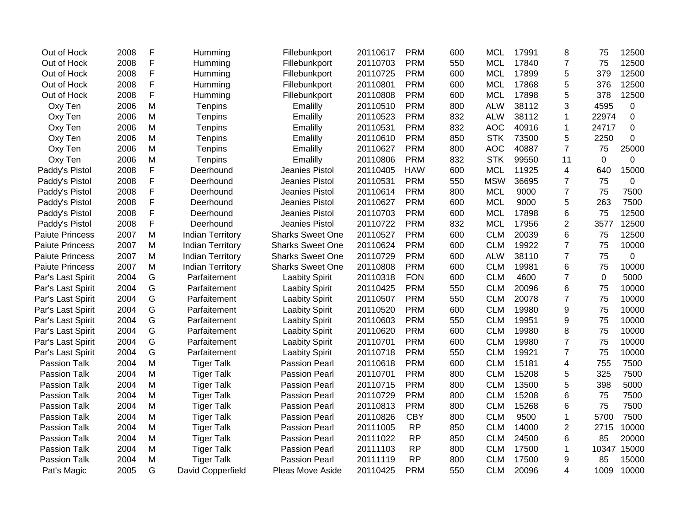| Out of Hock            | 2008 | F | Humming                 | Fillebunkport           | 20110617 | <b>PRM</b> | 600 | <b>MCL</b> | 17991 | 8              | 75    | 12500          |
|------------------------|------|---|-------------------------|-------------------------|----------|------------|-----|------------|-------|----------------|-------|----------------|
| Out of Hock            | 2008 | F | Humming                 | Fillebunkport           | 20110703 | <b>PRM</b> | 550 | <b>MCL</b> | 17840 | $\overline{7}$ | 75    | 12500          |
| Out of Hock            | 2008 | F | Humming                 | Fillebunkport           | 20110725 | <b>PRM</b> | 600 | <b>MCL</b> | 17899 | 5              | 379   | 12500          |
| Out of Hock            | 2008 | F | Humming                 | Fillebunkport           | 20110801 | <b>PRM</b> | 600 | <b>MCL</b> | 17868 | 5              | 376   | 12500          |
| Out of Hock            | 2008 | F | Humming                 | Fillebunkport           | 20110808 | <b>PRM</b> | 600 | <b>MCL</b> | 17898 | 5              | 378   | 12500          |
| Oxy Ten                | 2006 | M | Tenpins                 | Emalilly                | 20110510 | <b>PRM</b> | 800 | <b>ALW</b> | 38112 | 3              | 4595  | 0              |
| Oxy Ten                | 2006 | M | Tenpins                 | Emalilly                | 20110523 | <b>PRM</b> | 832 | <b>ALW</b> | 38112 | 1              | 22974 | $\mathbf 0$    |
| Oxy Ten                | 2006 | M | Tenpins                 | Emalilly                | 20110531 | <b>PRM</b> | 832 | <b>AOC</b> | 40916 | 1              | 24717 | 0              |
| Oxy Ten                | 2006 | M | Tenpins                 | Emalilly                | 20110610 | <b>PRM</b> | 850 | <b>STK</b> | 73500 | 5              | 2250  | $\mathbf 0$    |
| Oxy Ten                | 2006 | M | Tenpins                 | Emalilly                | 20110627 | <b>PRM</b> | 800 | <b>AOC</b> | 40887 | $\overline{7}$ | 75    | 25000          |
| Oxy Ten                | 2006 | M | Tenpins                 | Emalilly                | 20110806 | <b>PRM</b> | 832 | <b>STK</b> | 99550 | 11             | 0     | $\overline{0}$ |
| Paddy's Pistol         | 2008 | F | Deerhound               | Jeanies Pistol          | 20110405 | <b>HAW</b> | 600 | <b>MCL</b> | 11925 | 4              | 640   | 15000          |
| Paddy's Pistol         | 2008 | F | Deerhound               | Jeanies Pistol          | 20110531 | <b>PRM</b> | 550 | <b>MSW</b> | 36695 | 7              | 75    | 0              |
| Paddy's Pistol         | 2008 | F | Deerhound               | Jeanies Pistol          | 20110614 | <b>PRM</b> | 800 | <b>MCL</b> | 9000  | $\overline{7}$ | 75    | 7500           |
| Paddy's Pistol         | 2008 | F | Deerhound               | Jeanies Pistol          | 20110627 | <b>PRM</b> | 600 | <b>MCL</b> | 9000  | 5              | 263   | 7500           |
| Paddy's Pistol         | 2008 | F | Deerhound               | Jeanies Pistol          | 20110703 | <b>PRM</b> | 600 | <b>MCL</b> | 17898 | 6              | 75    | 12500          |
| Paddy's Pistol         | 2008 | F | Deerhound               | Jeanies Pistol          | 20110722 | <b>PRM</b> | 832 | <b>MCL</b> | 17956 | $\overline{2}$ | 3577  | 12500          |
| <b>Paiute Princess</b> | 2007 | M | <b>Indian Territory</b> | <b>Sharks Sweet One</b> | 20110527 | <b>PRM</b> | 600 | <b>CLM</b> | 20039 | 6              | 75    | 12500          |
| <b>Paiute Princess</b> | 2007 | M | <b>Indian Territory</b> | <b>Sharks Sweet One</b> | 20110624 | <b>PRM</b> | 600 | <b>CLM</b> | 19922 | $\overline{7}$ | 75    | 10000          |
| <b>Paiute Princess</b> | 2007 | M | <b>Indian Territory</b> | <b>Sharks Sweet One</b> | 20110729 | <b>PRM</b> | 600 | <b>ALW</b> | 38110 | $\overline{7}$ | 75    | 0              |
| <b>Paiute Princess</b> | 2007 | M | <b>Indian Territory</b> | <b>Sharks Sweet One</b> | 20110808 | <b>PRM</b> | 600 | <b>CLM</b> | 19981 | 6              | 75    | 10000          |
| Par's Last Spirit      | 2004 | G | Parfaitement            | <b>Laabity Spirit</b>   | 20110318 | <b>FON</b> | 600 | <b>CLM</b> | 4600  | 7              | 0     | 5000           |
| Par's Last Spirit      | 2004 | G | Parfaitement            | <b>Laabity Spirit</b>   | 20110425 | <b>PRM</b> | 550 | <b>CLM</b> | 20096 | 6              | 75    | 10000          |
| Par's Last Spirit      | 2004 | G | Parfaitement            | <b>Laabity Spirit</b>   | 20110507 | <b>PRM</b> | 550 | <b>CLM</b> | 20078 | $\overline{7}$ | 75    | 10000          |
| Par's Last Spirit      | 2004 | G | Parfaitement            | <b>Laabity Spirit</b>   | 20110520 | <b>PRM</b> | 600 | <b>CLM</b> | 19980 | 9              | 75    | 10000          |
| Par's Last Spirit      | 2004 | G | Parfaitement            | <b>Laabity Spirit</b>   | 20110603 | <b>PRM</b> | 550 | <b>CLM</b> | 19951 | 9              | 75    | 10000          |
| Par's Last Spirit      | 2004 | G | Parfaitement            | <b>Laabity Spirit</b>   | 20110620 | <b>PRM</b> | 600 | <b>CLM</b> | 19980 | 8              | 75    | 10000          |
| Par's Last Spirit      | 2004 | G | Parfaitement            | <b>Laabity Spirit</b>   | 20110701 | <b>PRM</b> | 600 | <b>CLM</b> | 19980 | $\overline{7}$ | 75    | 10000          |
| Par's Last Spirit      | 2004 | G | Parfaitement            | <b>Laabity Spirit</b>   | 20110718 | <b>PRM</b> | 550 | <b>CLM</b> | 19921 | $\overline{7}$ | 75    | 10000          |
| Passion Talk           | 2004 | M | <b>Tiger Talk</b>       | <b>Passion Pearl</b>    | 20110618 | <b>PRM</b> | 600 | <b>CLM</b> | 15181 | 4              | 755   | 7500           |
| Passion Talk           | 2004 | M | <b>Tiger Talk</b>       | <b>Passion Pearl</b>    | 20110701 | <b>PRM</b> | 800 | <b>CLM</b> | 15208 | 5              | 325   | 7500           |
| Passion Talk           | 2004 | M | <b>Tiger Talk</b>       | <b>Passion Pearl</b>    | 20110715 | <b>PRM</b> | 800 | <b>CLM</b> | 13500 | 5              | 398   | 5000           |
| Passion Talk           | 2004 | M | <b>Tiger Talk</b>       | <b>Passion Pearl</b>    | 20110729 | <b>PRM</b> | 800 | <b>CLM</b> | 15208 | 6              | 75    | 7500           |
| Passion Talk           | 2004 | M | <b>Tiger Talk</b>       | <b>Passion Pearl</b>    | 20110813 | <b>PRM</b> | 800 | <b>CLM</b> | 15268 | 6              | 75    | 7500           |
| Passion Talk           | 2004 | M | <b>Tiger Talk</b>       | <b>Passion Pearl</b>    | 20110826 | <b>CBY</b> | 800 | <b>CLM</b> | 9500  | 1              | 5700  | 7500           |
| Passion Talk           | 2004 | M | <b>Tiger Talk</b>       | <b>Passion Pearl</b>    | 20111005 | <b>RP</b>  | 850 | <b>CLM</b> | 14000 | $\overline{2}$ | 2715  | 10000          |
| <b>Passion Talk</b>    | 2004 | M | <b>Tiger Talk</b>       | <b>Passion Pearl</b>    | 20111022 | <b>RP</b>  | 850 | <b>CLM</b> | 24500 | 6              | 85    | 20000          |
| Passion Talk           | 2004 | M | <b>Tiger Talk</b>       | Passion Pearl           | 20111103 | <b>RP</b>  | 800 | <b>CLM</b> | 17500 | 1              | 10347 | 15000          |
| Passion Talk           | 2004 | M | <b>Tiger Talk</b>       | <b>Passion Pearl</b>    | 20111119 | <b>RP</b>  | 800 | <b>CLM</b> | 17500 | 9              | 85    | 15000          |
| Pat's Magic            | 2005 | G | David Copperfield       | Pleas Move Aside        | 20110425 | <b>PRM</b> | 550 | <b>CLM</b> | 20096 | 4              | 1009  | 10000          |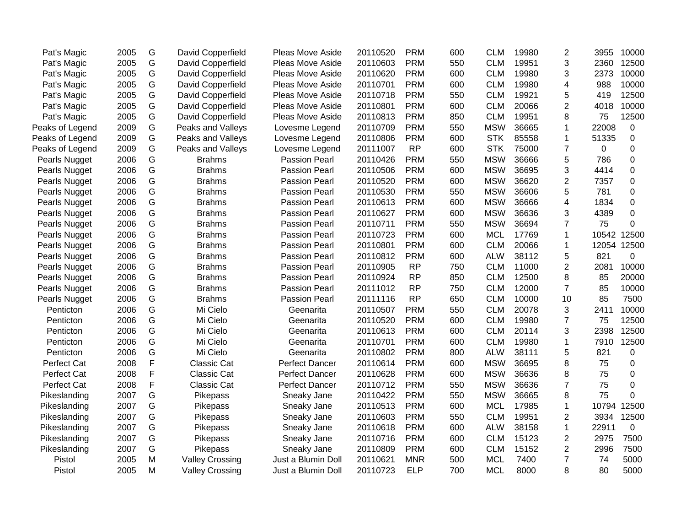| Pat's Magic     | 2005 | G | David Copperfield      | <b>Pleas Move Aside</b> | 20110520 | <b>PRM</b> | 600 | <b>CLM</b> | 19980 | $\overline{c}$ | 3955  | 10000       |
|-----------------|------|---|------------------------|-------------------------|----------|------------|-----|------------|-------|----------------|-------|-------------|
| Pat's Magic     | 2005 | G | David Copperfield      | Pleas Move Aside        | 20110603 | <b>PRM</b> | 550 | <b>CLM</b> | 19951 | 3              | 2360  | 12500       |
| Pat's Magic     | 2005 | G | David Copperfield      | Pleas Move Aside        | 20110620 | <b>PRM</b> | 600 | <b>CLM</b> | 19980 | 3              | 2373  | 10000       |
| Pat's Magic     | 2005 | G | David Copperfield      | <b>Pleas Move Aside</b> | 20110701 | <b>PRM</b> | 600 | <b>CLM</b> | 19980 | 4              | 988   | 10000       |
| Pat's Magic     | 2005 | G | David Copperfield      | <b>Pleas Move Aside</b> | 20110718 | <b>PRM</b> | 550 | <b>CLM</b> | 19921 | 5              | 419   | 12500       |
| Pat's Magic     | 2005 | G | David Copperfield      | <b>Pleas Move Aside</b> | 20110801 | <b>PRM</b> | 600 | <b>CLM</b> | 20066 | $\overline{2}$ | 4018  | 10000       |
| Pat's Magic     | 2005 | G | David Copperfield      | Pleas Move Aside        | 20110813 | <b>PRM</b> | 850 | <b>CLM</b> | 19951 | 8              | 75    | 12500       |
| Peaks of Legend | 2009 | G | Peaks and Valleys      | Lovesme Legend          | 20110709 | <b>PRM</b> | 550 | <b>MSW</b> | 36665 | 1              | 22008 | $\mathbf 0$ |
| Peaks of Legend | 2009 | G | Peaks and Valleys      | Lovesme Legend          | 20110806 | <b>PRM</b> | 600 | <b>STK</b> | 85558 | 1              | 51335 | 0           |
| Peaks of Legend | 2009 | G | Peaks and Valleys      | Lovesme Legend          | 20111007 | <b>RP</b>  | 600 | <b>STK</b> | 75000 | $\overline{7}$ | 0     | 0           |
| Pearls Nugget   | 2006 | G | <b>Brahms</b>          | <b>Passion Pearl</b>    | 20110426 | <b>PRM</b> | 550 | <b>MSW</b> | 36666 | 5              | 786   | $\Omega$    |
| Pearls Nugget   | 2006 | G | <b>Brahms</b>          | <b>Passion Pearl</b>    | 20110506 | <b>PRM</b> | 600 | <b>MSW</b> | 36695 | 3              | 4414  | $\Omega$    |
| Pearls Nugget   | 2006 | G | <b>Brahms</b>          | <b>Passion Pearl</b>    | 20110520 | <b>PRM</b> | 600 | <b>MSW</b> | 36620 | 2              | 7357  | 0           |
| Pearls Nugget   | 2006 | G | <b>Brahms</b>          | <b>Passion Pearl</b>    | 20110530 | <b>PRM</b> | 550 | <b>MSW</b> | 36606 | 5              | 781   | 0           |
| Pearls Nugget   | 2006 | G | <b>Brahms</b>          | <b>Passion Pearl</b>    | 20110613 | <b>PRM</b> | 600 | <b>MSW</b> | 36666 | 4              | 1834  | 0           |
| Pearls Nugget   | 2006 | G | <b>Brahms</b>          | <b>Passion Pearl</b>    | 20110627 | <b>PRM</b> | 600 | <b>MSW</b> | 36636 | 3              | 4389  | 0           |
| Pearls Nugget   | 2006 | G | <b>Brahms</b>          | <b>Passion Pearl</b>    | 20110711 | <b>PRM</b> | 550 | <b>MSW</b> | 36694 | $\overline{7}$ | 75    | $\Omega$    |
| Pearls Nugget   | 2006 | G | <b>Brahms</b>          | <b>Passion Pearl</b>    | 20110723 | <b>PRM</b> | 600 | <b>MCL</b> | 17769 | $\mathbf{1}$   | 10542 | 12500       |
| Pearls Nugget   | 2006 | G | <b>Brahms</b>          | <b>Passion Pearl</b>    | 20110801 | <b>PRM</b> | 600 | <b>CLM</b> | 20066 | 1              | 12054 | 12500       |
| Pearls Nugget   | 2006 | G | <b>Brahms</b>          | <b>Passion Pearl</b>    | 20110812 | <b>PRM</b> | 600 | <b>ALW</b> | 38112 | 5              | 821   | 0           |
| Pearls Nugget   | 2006 | G | <b>Brahms</b>          | <b>Passion Pearl</b>    | 20110905 | <b>RP</b>  | 750 | <b>CLM</b> | 11000 | $\overline{2}$ | 2081  | 10000       |
| Pearls Nugget   | 2006 | G | <b>Brahms</b>          | <b>Passion Pearl</b>    | 20110924 | <b>RP</b>  | 850 | <b>CLM</b> | 12500 | 8              | 85    | 20000       |
| Pearls Nugget   | 2006 | G | <b>Brahms</b>          | <b>Passion Pearl</b>    | 20111012 | <b>RP</b>  | 750 | <b>CLM</b> | 12000 | $\overline{7}$ | 85    | 10000       |
| Pearls Nugget   | 2006 | G | <b>Brahms</b>          | <b>Passion Pearl</b>    | 20111116 | <b>RP</b>  | 650 | <b>CLM</b> | 10000 | 10             | 85    | 7500        |
| Penticton       | 2006 | G | Mi Cielo               | Geenarita               | 20110507 | <b>PRM</b> | 550 | <b>CLM</b> | 20078 | 3              | 2411  | 10000       |
| Penticton       | 2006 | G | Mi Cielo               | Geenarita               | 20110520 | <b>PRM</b> | 600 | <b>CLM</b> | 19980 | $\overline{7}$ | 75    | 12500       |
| Penticton       | 2006 | G | Mi Cielo               | Geenarita               | 20110613 | <b>PRM</b> | 600 | <b>CLM</b> | 20114 | 3              | 2398  | 12500       |
| Penticton       | 2006 | G | Mi Cielo               | Geenarita               | 20110701 | <b>PRM</b> | 600 | <b>CLM</b> | 19980 | 1              | 7910  | 12500       |
| Penticton       | 2006 | G | Mi Cielo               | Geenarita               | 20110802 | <b>PRM</b> | 800 | <b>ALW</b> | 38111 | 5              | 821   | 0           |
| Perfect Cat     | 2008 | F | Classic Cat            | <b>Perfect Dancer</b>   | 20110614 | <b>PRM</b> | 600 | <b>MSW</b> | 36695 | 8              | 75    | 0           |
| Perfect Cat     | 2008 | F | <b>Classic Cat</b>     | Perfect Dancer          | 20110628 | <b>PRM</b> | 600 | <b>MSW</b> | 36636 | 8              | 75    | 0           |
| Perfect Cat     | 2008 | F | <b>Classic Cat</b>     | <b>Perfect Dancer</b>   | 20110712 | <b>PRM</b> | 550 | <b>MSW</b> | 36636 | $\overline{7}$ | 75    | 0           |
| Pikeslanding    | 2007 | G | Pikepass               | Sneaky Jane             | 20110422 | <b>PRM</b> | 550 | <b>MSW</b> | 36665 | 8              | 75    | $\Omega$    |
| Pikeslanding    | 2007 | G | Pikepass               | Sneaky Jane             | 20110513 | <b>PRM</b> | 600 | <b>MCL</b> | 17985 | 1              | 10794 | 12500       |
| Pikeslanding    | 2007 | G | Pikepass               | Sneaky Jane             | 20110603 | <b>PRM</b> | 550 | <b>CLM</b> | 19951 | 2              | 3934  | 12500       |
| Pikeslanding    | 2007 | G | Pikepass               | Sneaky Jane             | 20110618 | <b>PRM</b> | 600 | <b>ALW</b> | 38158 | $\mathbf{1}$   | 22911 | $\Omega$    |
| Pikeslanding    | 2007 | G | Pikepass               | Sneaky Jane             | 20110716 | <b>PRM</b> | 600 | <b>CLM</b> | 15123 | $\overline{2}$ | 2975  | 7500        |
| Pikeslanding    | 2007 | G | Pikepass               | Sneaky Jane             | 20110809 | <b>PRM</b> | 600 | <b>CLM</b> | 15152 | $\overline{2}$ | 2996  | 7500        |
| Pistol          | 2005 | M | <b>Valley Crossing</b> | Just a Blumin Doll      | 20110621 | <b>MNR</b> | 500 | <b>MCL</b> | 7400  | 7              | 74    | 5000        |
| Pistol          | 2005 | M | <b>Valley Crossing</b> | Just a Blumin Doll      | 20110723 | <b>ELP</b> | 700 | <b>MCL</b> | 8000  | 8              | 80    | 5000        |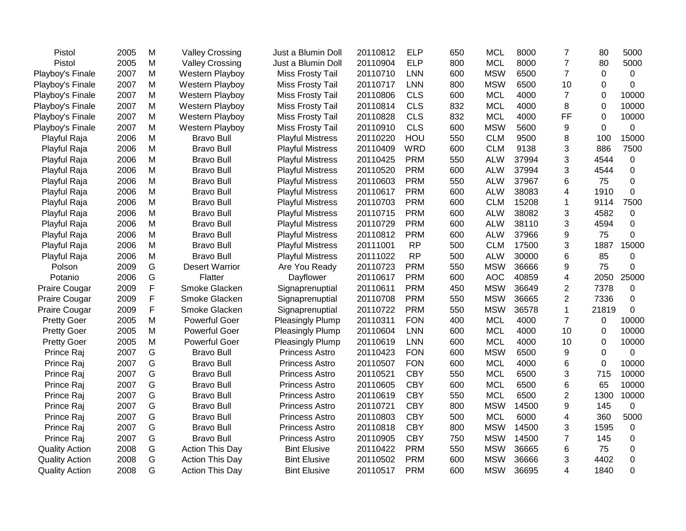| Pistol                | 2005 | M | <b>Valley Crossing</b> | Just a Blumin Doll      | 20110812 | <b>ELP</b> | 650 | <b>MCL</b> | 8000  | $\overline{7}$   | 80             | 5000        |
|-----------------------|------|---|------------------------|-------------------------|----------|------------|-----|------------|-------|------------------|----------------|-------------|
| Pistol                | 2005 | M | <b>Valley Crossing</b> | Just a Blumin Doll      | 20110904 | <b>ELP</b> | 800 | <b>MCL</b> | 8000  | $\overline{7}$   | 80             | 5000        |
| Playboy's Finale      | 2007 | M | Western Playboy        | Miss Frosty Tail        | 20110710 | <b>LNN</b> | 600 | <b>MSW</b> | 6500  | $\overline{7}$   | 0              | 0           |
| Playboy's Finale      | 2007 | M | Western Playboy        | Miss Frosty Tail        | 20110717 | <b>LNN</b> | 800 | <b>MSW</b> | 6500  | 10               | $\Omega$       | $\mathbf 0$ |
| Playboy's Finale      | 2007 | M | Western Playboy        | Miss Frosty Tail        | 20110806 | <b>CLS</b> | 600 | <b>MCL</b> | 4000  | $\overline{7}$   | $\Omega$       | 10000       |
| Playboy's Finale      | 2007 | M | Western Playboy        | Miss Frosty Tail        | 20110814 | <b>CLS</b> | 832 | <b>MCL</b> | 4000  | 8                | $\Omega$       | 10000       |
| Playboy's Finale      | 2007 | M | <b>Western Playboy</b> | Miss Frosty Tail        | 20110828 | <b>CLS</b> | 832 | <b>MCL</b> | 4000  | FF               | 0              | 10000       |
| Playboy's Finale      | 2007 | M | Western Playboy        | Miss Frosty Tail        | 20110910 | <b>CLS</b> | 600 | <b>MSW</b> | 5600  | 9                | $\overline{0}$ | $\mathbf 0$ |
| Playful Raja          | 2006 | M | <b>Bravo Bull</b>      | <b>Playful Mistress</b> | 20110220 | HOU        | 550 | <b>CLM</b> | 9500  | 8                | 100            | 15000       |
| Playful Raja          | 2006 | M | <b>Bravo Bull</b>      | <b>Playful Mistress</b> | 20110409 | <b>WRD</b> | 600 | <b>CLM</b> | 9138  | 3                | 886            | 7500        |
| Playful Raja          | 2006 | M | <b>Bravo Bull</b>      | <b>Playful Mistress</b> | 20110425 | <b>PRM</b> | 550 | <b>ALW</b> | 37994 | 3                | 4544           | $\mathbf 0$ |
| Playful Raja          | 2006 | M | <b>Bravo Bull</b>      | <b>Playful Mistress</b> | 20110520 | <b>PRM</b> | 600 | <b>ALW</b> | 37994 | 3                | 4544           | $\mathbf 0$ |
| Playful Raja          | 2006 | M | <b>Bravo Bull</b>      | <b>Playful Mistress</b> | 20110603 | <b>PRM</b> | 550 | <b>ALW</b> | 37967 | 6                | 75             | 0           |
| Playful Raja          | 2006 | M | <b>Bravo Bull</b>      | <b>Playful Mistress</b> | 20110617 | <b>PRM</b> | 600 | <b>ALW</b> | 38083 | 4                | 1910           | 0           |
| Playful Raja          | 2006 | M | <b>Bravo Bull</b>      | <b>Playful Mistress</b> | 20110703 | <b>PRM</b> | 600 | <b>CLM</b> | 15208 | 1                | 9114           | 7500        |
| Playful Raja          | 2006 | M | <b>Bravo Bull</b>      | <b>Playful Mistress</b> | 20110715 | <b>PRM</b> | 600 | <b>ALW</b> | 38082 | 3                | 4582           | 0           |
| Playful Raja          | 2006 | M | <b>Bravo Bull</b>      | <b>Playful Mistress</b> | 20110729 | <b>PRM</b> | 600 | <b>ALW</b> | 38110 | 3                | 4594           | $\Omega$    |
| Playful Raja          | 2006 | M | <b>Bravo Bull</b>      | <b>Playful Mistress</b> | 20110812 | <b>PRM</b> | 600 | <b>ALW</b> | 37966 | 9                | 75             | $\Omega$    |
| Playful Raja          | 2006 | M | <b>Bravo Bull</b>      | <b>Playful Mistress</b> | 20111001 | <b>RP</b>  | 500 | <b>CLM</b> | 17500 | 3                | 1887           | 15000       |
| Playful Raja          | 2006 | M | <b>Bravo Bull</b>      | <b>Playful Mistress</b> | 20111022 | <b>RP</b>  | 500 | <b>ALW</b> | 30000 | 6                | 85             | 0           |
| Polson                | 2009 | G | <b>Desert Warrior</b>  | Are You Ready           | 20110723 | <b>PRM</b> | 550 | <b>MSW</b> | 36666 | 9                | 75             | 0           |
| Potanio               | 2006 | G | Flatter                | Dayflower               | 20110617 | <b>PRM</b> | 600 | <b>AOC</b> | 40859 | 4                | 2050           | 25000       |
| Praire Cougar         | 2009 | F | Smoke Glacken          | Signaprenuptial         | 20110611 | <b>PRM</b> | 450 | <b>MSW</b> | 36649 | $\boldsymbol{2}$ | 7378           | 0           |
| <b>Praire Cougar</b>  | 2009 | F | Smoke Glacken          | Signaprenuptial         | 20110708 | <b>PRM</b> | 550 | <b>MSW</b> | 36665 | $\overline{2}$   | 7336           | $\Omega$    |
| <b>Praire Cougar</b>  | 2009 | F | Smoke Glacken          | Signaprenuptial         | 20110722 | <b>PRM</b> | 550 | <b>MSW</b> | 36578 | $\mathbf{1}$     | 21819          | $\Omega$    |
| <b>Pretty Goer</b>    | 2005 | M | <b>Powerful Goer</b>   | Pleasingly Plump        | 20110311 | <b>FON</b> | 400 | <b>MCL</b> | 4000  | $\overline{7}$   | 0              | 10000       |
| <b>Pretty Goer</b>    | 2005 | M | <b>Powerful Goer</b>   | <b>Pleasingly Plump</b> | 20110604 | <b>LNN</b> | 600 | <b>MCL</b> | 4000  | 10               | 0              | 10000       |
| <b>Pretty Goer</b>    | 2005 | M | <b>Powerful Goer</b>   | <b>Pleasingly Plump</b> | 20110619 | <b>LNN</b> | 600 | <b>MCL</b> | 4000  | 10               | $\Omega$       | 10000       |
| Prince Raj            | 2007 | G | <b>Bravo Bull</b>      | Princess Astro          | 20110423 | <b>FON</b> | 600 | <b>MSW</b> | 6500  | 9                | 0              | $\mathbf 0$ |
| Prince Raj            | 2007 | G | <b>Bravo Bull</b>      | <b>Princess Astro</b>   | 20110507 | <b>FON</b> | 600 | <b>MCL</b> | 4000  | 6                | 0              | 10000       |
| Prince Raj            | 2007 | G | <b>Bravo Bull</b>      | <b>Princess Astro</b>   | 20110521 | <b>CBY</b> | 550 | <b>MCL</b> | 6500  | 3                | 715            | 10000       |
| Prince Raj            | 2007 | G | <b>Bravo Bull</b>      | <b>Princess Astro</b>   | 20110605 | <b>CBY</b> | 600 | <b>MCL</b> | 6500  | 6                | 65             | 10000       |
| Prince Raj            | 2007 | G | <b>Bravo Bull</b>      | <b>Princess Astro</b>   | 20110619 | <b>CBY</b> | 550 | <b>MCL</b> | 6500  | $\overline{2}$   | 1300           | 10000       |
| Prince Raj            | 2007 | G | <b>Bravo Bull</b>      | <b>Princess Astro</b>   | 20110721 | <b>CBY</b> | 800 | <b>MSW</b> | 14500 | 9                | 145            | $\mathbf 0$ |
| Prince Raj            | 2007 | G | <b>Bravo Bull</b>      | <b>Princess Astro</b>   | 20110803 | <b>CBY</b> | 500 | <b>MCL</b> | 6000  | 4                | 360            | 5000        |
| Prince Raj            | 2007 | G | <b>Bravo Bull</b>      | <b>Princess Astro</b>   | 20110818 | <b>CBY</b> | 800 | <b>MSW</b> | 14500 | 3                | 1595           | 0           |
| Prince Raj            | 2007 | G | <b>Bravo Bull</b>      | <b>Princess Astro</b>   | 20110905 | <b>CBY</b> | 750 | <b>MSW</b> | 14500 | $\overline{7}$   | 145            | $\mathbf 0$ |
| <b>Quality Action</b> | 2008 | G | <b>Action This Day</b> | <b>Bint Elusive</b>     | 20110422 | <b>PRM</b> | 550 | <b>MSW</b> | 36665 | 6                | 75             | 0           |
| <b>Quality Action</b> | 2008 | G | Action This Day        | <b>Bint Elusive</b>     | 20110502 | <b>PRM</b> | 600 | <b>MSW</b> | 36666 | 3                | 4402           | $\mathbf 0$ |
| <b>Quality Action</b> | 2008 | G | Action This Day        | <b>Bint Elusive</b>     | 20110517 | <b>PRM</b> | 600 | <b>MSW</b> | 36695 | 4                | 1840           | $\Omega$    |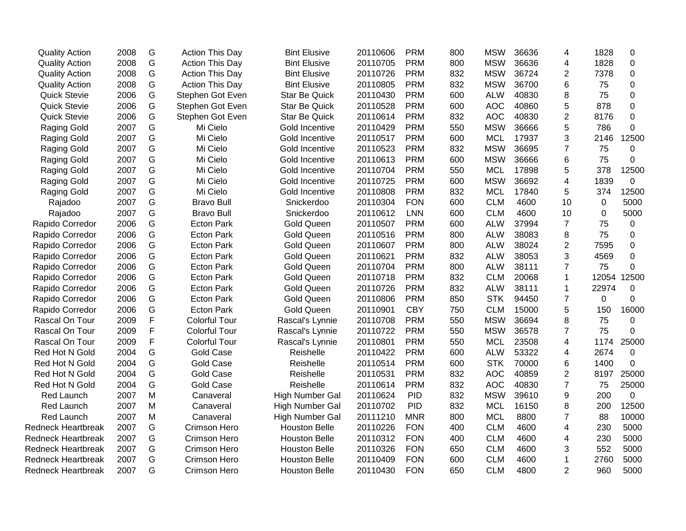| <b>Quality Action</b>     | 2008 | G | <b>Action This Day</b> | <b>Bint Elusive</b>    | 20110606 | <b>PRM</b> | 800 | <b>MSW</b> | 36636 | 4              | 1828        | 0                |
|---------------------------|------|---|------------------------|------------------------|----------|------------|-----|------------|-------|----------------|-------------|------------------|
| <b>Quality Action</b>     | 2008 | G | <b>Action This Day</b> | <b>Bint Elusive</b>    | 20110705 | <b>PRM</b> | 800 | <b>MSW</b> | 36636 | 4              | 1828        | $\mathbf 0$      |
| <b>Quality Action</b>     | 2008 | G | Action This Day        | <b>Bint Elusive</b>    | 20110726 | <b>PRM</b> | 832 | <b>MSW</b> | 36724 | $\overline{2}$ | 7378        | $\mathbf 0$      |
| <b>Quality Action</b>     | 2008 | G | Action This Day        | <b>Bint Elusive</b>    | 20110805 | <b>PRM</b> | 832 | <b>MSW</b> | 36700 | 6              | 75          | $\mathbf 0$      |
| <b>Quick Stevie</b>       | 2006 | G | Stephen Got Even       | <b>Star Be Quick</b>   | 20110430 | <b>PRM</b> | 600 | <b>ALW</b> | 40830 | 8              | 75          | $\mathbf 0$      |
| <b>Quick Stevie</b>       | 2006 | G | Stephen Got Even       | <b>Star Be Quick</b>   | 20110528 | <b>PRM</b> | 600 | <b>AOC</b> | 40860 | 5              | 878         | $\pmb{0}$        |
| <b>Quick Stevie</b>       | 2006 | G | Stephen Got Even       | Star Be Quick          | 20110614 | <b>PRM</b> | 832 | <b>AOC</b> | 40830 | $\overline{2}$ | 8176        | $\pmb{0}$        |
| <b>Raging Gold</b>        | 2007 | G | Mi Cielo               | Gold Incentive         | 20110429 | <b>PRM</b> | 550 | <b>MSW</b> | 36666 | 5              | 786         | 0                |
| Raging Gold               | 2007 | G | Mi Cielo               | Gold Incentive         | 20110517 | <b>PRM</b> | 600 | <b>MCL</b> | 17937 | 3              | 2146        | 12500            |
| Raging Gold               | 2007 | G | Mi Cielo               | Gold Incentive         | 20110523 | <b>PRM</b> | 832 | <b>MSW</b> | 36695 | $\overline{7}$ | 75          | 0                |
| Raging Gold               | 2007 | G | Mi Cielo               | Gold Incentive         | 20110613 | <b>PRM</b> | 600 | <b>MSW</b> | 36666 | 6              | 75          | $\mathbf 0$      |
| Raging Gold               | 2007 | G | Mi Cielo               | Gold Incentive         | 20110704 | <b>PRM</b> | 550 | <b>MCL</b> | 17898 | 5              | 378         | 12500            |
| Raging Gold               | 2007 | G | Mi Cielo               | Gold Incentive         | 20110725 | <b>PRM</b> | 600 | <b>MSW</b> | 36692 | 4              | 1839        | 0                |
| Raging Gold               | 2007 | G | Mi Cielo               | Gold Incentive         | 20110808 | <b>PRM</b> | 832 | <b>MCL</b> | 17840 | 5              | 374         | 12500            |
| Rajadoo                   | 2007 | G | <b>Bravo Bull</b>      | Snickerdoo             | 20110304 | <b>FON</b> | 600 | <b>CLM</b> | 4600  | 10             | $\mathbf 0$ | 5000             |
| Rajadoo                   | 2007 | G | <b>Bravo Bull</b>      | Snickerdoo             | 20110612 | <b>LNN</b> | 600 | <b>CLM</b> | 4600  | 10             | 0           | 5000             |
| Rapido Corredor           | 2006 | G | <b>Ecton Park</b>      | <b>Gold Queen</b>      | 20110507 | <b>PRM</b> | 600 | <b>ALW</b> | 37994 | $\overline{7}$ | 75          | $\mathbf 0$      |
| Rapido Corredor           | 2006 | G | <b>Ecton Park</b>      | <b>Gold Queen</b>      | 20110516 | <b>PRM</b> | 800 | <b>ALW</b> | 38083 | 8              | 75          | 0                |
| Rapido Corredor           | 2006 | G | <b>Ecton Park</b>      | <b>Gold Queen</b>      | 20110607 | <b>PRM</b> | 800 | <b>ALW</b> | 38024 | $\overline{2}$ | 7595        | $\mathbf 0$      |
| Rapido Corredor           | 2006 | G | <b>Ecton Park</b>      | <b>Gold Queen</b>      | 20110621 | <b>PRM</b> | 832 | <b>ALW</b> | 38053 | 3              | 4569        | $\mathbf 0$      |
| Rapido Corredor           | 2006 | G | <b>Ecton Park</b>      | <b>Gold Queen</b>      | 20110704 | <b>PRM</b> | 800 | <b>ALW</b> | 38111 | $\overline{7}$ | 75          | 0                |
| Rapido Corredor           | 2006 | G | <b>Ecton Park</b>      | <b>Gold Queen</b>      | 20110718 | <b>PRM</b> | 832 | <b>CLM</b> | 20068 | 1              | 12054       | 12500            |
| Rapido Corredor           | 2006 | G | <b>Ecton Park</b>      | <b>Gold Queen</b>      | 20110726 | <b>PRM</b> | 832 | <b>ALW</b> | 38111 | 1              | 22974       | $\boldsymbol{0}$ |
| Rapido Corredor           | 2006 | G | <b>Ecton Park</b>      | <b>Gold Queen</b>      | 20110806 | <b>PRM</b> | 850 | <b>STK</b> | 94450 | $\overline{7}$ | $\Omega$    | $\mathbf 0$      |
| Rapido Corredor           | 2006 | G | <b>Ecton Park</b>      | <b>Gold Queen</b>      | 20110901 | <b>CBY</b> | 750 | <b>CLM</b> | 15000 | 5              | 150         | 16000            |
| Rascal On Tour            | 2009 | F | <b>Colorful Tour</b>   | Rascal's Lynnie        | 20110708 | <b>PRM</b> | 550 | <b>MSW</b> | 36694 | 8              | 75          | $\mathbf 0$      |
| Rascal On Tour            | 2009 | F | <b>Colorful Tour</b>   | Rascal's Lynnie        | 20110722 | <b>PRM</b> | 550 | <b>MSW</b> | 36578 | $\overline{7}$ | 75          | $\Omega$         |
| Rascal On Tour            | 2009 | F | <b>Colorful Tour</b>   | Rascal's Lynnie        | 20110801 | <b>PRM</b> | 550 | <b>MCL</b> | 23508 | 4              | 1174        | 25000            |
| Red Hot N Gold            | 2004 | G | <b>Gold Case</b>       | Reishelle              | 20110422 | <b>PRM</b> | 600 | <b>ALW</b> | 53322 | 4              | 2674        | 0                |
| Red Hot N Gold            | 2004 | G | <b>Gold Case</b>       | Reishelle              | 20110514 | <b>PRM</b> | 600 | <b>STK</b> | 70000 | 6              | 1400        | 0                |
| Red Hot N Gold            | 2004 | G | <b>Gold Case</b>       | Reishelle              | 20110531 | <b>PRM</b> | 832 | <b>AOC</b> | 40859 | $\overline{2}$ | 8197        | 25000            |
| Red Hot N Gold            | 2004 | G | <b>Gold Case</b>       | Reishelle              | 20110614 | <b>PRM</b> | 832 | <b>AOC</b> | 40830 | $\overline{7}$ | 75          | 25000            |
| Red Launch                | 2007 | M | Canaveral              | <b>High Number Gal</b> | 20110624 | <b>PID</b> | 832 | <b>MSW</b> | 39610 | 9              | 200         | $\mathbf 0$      |
| Red Launch                | 2007 | M | Canaveral              | <b>High Number Gal</b> | 20110702 | <b>PID</b> | 832 | <b>MCL</b> | 16150 | 8              | 200         | 12500            |
| <b>Red Launch</b>         | 2007 | M | Canaveral              | High Number Gal        | 20111210 | <b>MNR</b> | 800 | <b>MCL</b> | 8800  | 7              | 88          | 10000            |
| <b>Redneck Heartbreak</b> | 2007 | G | Crimson Hero           | <b>Houston Belle</b>   | 20110226 | <b>FON</b> | 400 | <b>CLM</b> | 4600  | 4              | 230         | 5000             |
| <b>Redneck Heartbreak</b> | 2007 | G | Crimson Hero           | <b>Houston Belle</b>   | 20110312 | <b>FON</b> | 400 | <b>CLM</b> | 4600  | 4              | 230         | 5000             |
| <b>Redneck Heartbreak</b> | 2007 | G | Crimson Hero           | <b>Houston Belle</b>   | 20110326 | <b>FON</b> | 650 | <b>CLM</b> | 4600  | 3              | 552         | 5000             |
| <b>Redneck Heartbreak</b> | 2007 | G | Crimson Hero           | <b>Houston Belle</b>   | 20110409 | <b>FON</b> | 600 | <b>CLM</b> | 4600  | 1              | 2760        | 5000             |
| <b>Redneck Heartbreak</b> | 2007 | G | <b>Crimson Hero</b>    | <b>Houston Belle</b>   | 20110430 | <b>FON</b> | 650 | <b>CLM</b> | 4800  | $\overline{2}$ | 960         | 5000             |
|                           |      |   |                        |                        |          |            |     |            |       |                |             |                  |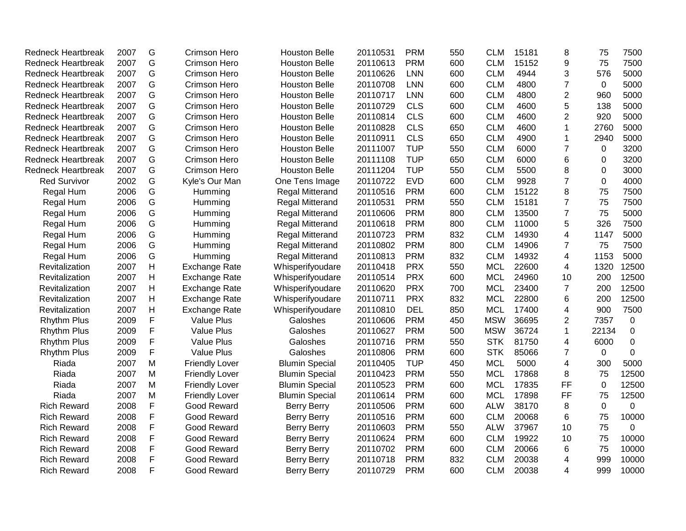| <b>Redneck Heartbreak</b> | 2007 | G              | Crimson Hero          | <b>Houston Belle</b>   | 20110531 | <b>PRM</b> | 550 | <b>CLM</b> | 15181 | 8              | 75          | 7500         |
|---------------------------|------|----------------|-----------------------|------------------------|----------|------------|-----|------------|-------|----------------|-------------|--------------|
| <b>Redneck Heartbreak</b> | 2007 | G              | Crimson Hero          | <b>Houston Belle</b>   | 20110613 | <b>PRM</b> | 600 | <b>CLM</b> | 15152 | 9              | 75          | 7500         |
| <b>Redneck Heartbreak</b> | 2007 | G              | Crimson Hero          | <b>Houston Belle</b>   | 20110626 | LNN        | 600 | <b>CLM</b> | 4944  | 3              | 576         | 5000         |
| <b>Redneck Heartbreak</b> | 2007 | G              | Crimson Hero          | <b>Houston Belle</b>   | 20110708 | <b>LNN</b> | 600 | <b>CLM</b> | 4800  | 7              | $\mathbf 0$ | 5000         |
| <b>Redneck Heartbreak</b> | 2007 | G              | Crimson Hero          | <b>Houston Belle</b>   | 20110717 | LNN        | 600 | <b>CLM</b> | 4800  | $\overline{2}$ | 960         | 5000         |
| <b>Redneck Heartbreak</b> | 2007 | G              | Crimson Hero          | <b>Houston Belle</b>   | 20110729 | <b>CLS</b> | 600 | <b>CLM</b> | 4600  | 5              | 138         | 5000         |
| <b>Redneck Heartbreak</b> | 2007 | G              | Crimson Hero          | <b>Houston Belle</b>   | 20110814 | <b>CLS</b> | 600 | <b>CLM</b> | 4600  | 2              | 920         | 5000         |
| <b>Redneck Heartbreak</b> | 2007 | G              | Crimson Hero          | <b>Houston Belle</b>   | 20110828 | <b>CLS</b> | 650 | <b>CLM</b> | 4600  | 1              | 2760        | 5000         |
| <b>Redneck Heartbreak</b> | 2007 | G              | Crimson Hero          | <b>Houston Belle</b>   | 20110911 | <b>CLS</b> | 650 | <b>CLM</b> | 4900  | 1              | 2940        | 5000         |
| <b>Redneck Heartbreak</b> | 2007 | G              | Crimson Hero          | <b>Houston Belle</b>   | 20111007 | <b>TUP</b> | 550 | <b>CLM</b> | 6000  | $\overline{7}$ | 0           | 3200         |
| <b>Redneck Heartbreak</b> | 2007 | G              | Crimson Hero          | <b>Houston Belle</b>   | 20111108 | <b>TUP</b> | 650 | <b>CLM</b> | 6000  | 6              | 0           | 3200         |
| <b>Redneck Heartbreak</b> | 2007 | G              | Crimson Hero          | <b>Houston Belle</b>   | 20111204 | <b>TUP</b> | 550 | <b>CLM</b> | 5500  | 8              | 0           | 3000         |
| <b>Red Survivor</b>       | 2002 | G              | Kyle's Our Man        | One Tens Image         | 20110722 | <b>EVD</b> | 600 | <b>CLM</b> | 9928  | $\overline{7}$ | 0           | 4000         |
| Regal Hum                 | 2006 | G              | Humming               | Regal Mitterand        | 20110516 | <b>PRM</b> | 600 | <b>CLM</b> | 15122 | 8              | 75          | 7500         |
| Regal Hum                 | 2006 | G              | Humming               | Regal Mitterand        | 20110531 | <b>PRM</b> | 550 | <b>CLM</b> | 15181 | $\overline{7}$ | 75          | 7500         |
| Regal Hum                 | 2006 | G              | Humming               | Regal Mitterand        | 20110606 | <b>PRM</b> | 800 | <b>CLM</b> | 13500 | 7              | 75          | 5000         |
| Regal Hum                 | 2006 | G              | Humming               | Regal Mitterand        | 20110618 | <b>PRM</b> | 800 | <b>CLM</b> | 11000 | 5              | 326         | 7500         |
| Regal Hum                 | 2006 | G              | Humming               | <b>Regal Mitterand</b> | 20110723 | <b>PRM</b> | 832 | <b>CLM</b> | 14930 | 4              | 1147        | 5000         |
| Regal Hum                 | 2006 | G              | Humming               | Regal Mitterand        | 20110802 | <b>PRM</b> | 800 | <b>CLM</b> | 14906 | 7              | 75          | 7500         |
| Regal Hum                 | 2006 | G              | Humming               | Regal Mitterand        | 20110813 | <b>PRM</b> | 832 | <b>CLM</b> | 14932 | 4              | 1153        | 5000         |
| Revitalization            | 2007 | H              | <b>Exchange Rate</b>  | Whisperifyoudare       | 20110418 | <b>PRX</b> | 550 | <b>MCL</b> | 22600 | 4              | 1320        | 12500        |
| Revitalization            | 2007 | $\overline{H}$ | <b>Exchange Rate</b>  | Whisperifyoudare       | 20110514 | <b>PRX</b> | 600 | <b>MCL</b> | 24960 | 10             | 200         | 12500        |
| Revitalization            | 2007 | $\mathsf{H}$   | <b>Exchange Rate</b>  | Whisperifyoudare       | 20110620 | <b>PRX</b> | 700 | <b>MCL</b> | 23400 | $\overline{7}$ | 200         | 12500        |
| Revitalization            | 2007 | $\mathsf{H}$   | <b>Exchange Rate</b>  | Whisperifyoudare       | 20110711 | <b>PRX</b> | 832 | <b>MCL</b> | 22800 | 6              | 200         | 12500        |
| Revitalization            | 2007 | $\mathsf{H}$   | <b>Exchange Rate</b>  | Whisperifyoudare       | 20110810 | <b>DEL</b> | 850 | <b>MCL</b> | 17400 | 4              | 900         | 7500         |
| <b>Rhythm Plus</b>        | 2009 | F              | <b>Value Plus</b>     | Galoshes               | 20110606 | <b>PRM</b> | 450 | <b>MSW</b> | 36695 | 2              | 7357        | $\mathbf 0$  |
| <b>Rhythm Plus</b>        | 2009 | F              | Value Plus            | Galoshes               | 20110627 | <b>PRM</b> | 500 | <b>MSW</b> | 36724 | 1              | 22134       | 0            |
| <b>Rhythm Plus</b>        | 2009 | F              | <b>Value Plus</b>     | Galoshes               | 20110716 | <b>PRM</b> | 550 | <b>STK</b> | 81750 | 4              | 6000        | $\mathbf 0$  |
| <b>Rhythm Plus</b>        | 2009 | F              | <b>Value Plus</b>     | Galoshes               | 20110806 | <b>PRM</b> | 600 | <b>STK</b> | 85066 | 7              | 0           | $\mathbf{0}$ |
| Riada                     | 2007 | M              | <b>Friendly Lover</b> | <b>Blumin Special</b>  | 20110405 | <b>TUP</b> | 450 | <b>MCL</b> | 5000  | 4              | 300         | 5000         |
| Riada                     | 2007 | M              | <b>Friendly Lover</b> | <b>Blumin Special</b>  | 20110423 | <b>PRM</b> | 550 | <b>MCL</b> | 17868 | 8              | 75          | 12500        |
| Riada                     | 2007 | M              | <b>Friendly Lover</b> | <b>Blumin Special</b>  | 20110523 | <b>PRM</b> | 600 | <b>MCL</b> | 17835 | <b>FF</b>      | $\mathbf 0$ | 12500        |
| Riada                     | 2007 | M              | <b>Friendly Lover</b> | <b>Blumin Special</b>  | 20110614 | <b>PRM</b> | 600 | <b>MCL</b> | 17898 | FF             | 75          | 12500        |
| <b>Rich Reward</b>        | 2008 | F              | Good Reward           | <b>Berry Berry</b>     | 20110506 | <b>PRM</b> | 600 | <b>ALW</b> | 38170 | 8              | $\mathbf 0$ | 0            |
| <b>Rich Reward</b>        | 2008 | F              | Good Reward           | <b>Berry Berry</b>     | 20110516 | <b>PRM</b> | 600 | <b>CLM</b> | 20068 | 6              | 75          | 10000        |
| <b>Rich Reward</b>        | 2008 | F              | Good Reward           | <b>Berry Berry</b>     | 20110603 | <b>PRM</b> | 550 | <b>ALW</b> | 37967 | 10             | 75          | 0            |
| <b>Rich Reward</b>        | 2008 | F              | Good Reward           | <b>Berry Berry</b>     | 20110624 | <b>PRM</b> | 600 | <b>CLM</b> | 19922 | 10             | 75          | 10000        |
| <b>Rich Reward</b>        | 2008 | F              | Good Reward           | <b>Berry Berry</b>     | 20110702 | <b>PRM</b> | 600 | <b>CLM</b> | 20066 | 6              | 75          | 10000        |
| <b>Rich Reward</b>        | 2008 | F              | Good Reward           | <b>Berry Berry</b>     | 20110718 | <b>PRM</b> | 832 | <b>CLM</b> | 20038 | 4              | 999         | 10000        |
| <b>Rich Reward</b>        | 2008 | F              | Good Reward           | <b>Berry Berry</b>     | 20110729 | <b>PRM</b> | 600 | <b>CLM</b> | 20038 | 4              | 999         | 10000        |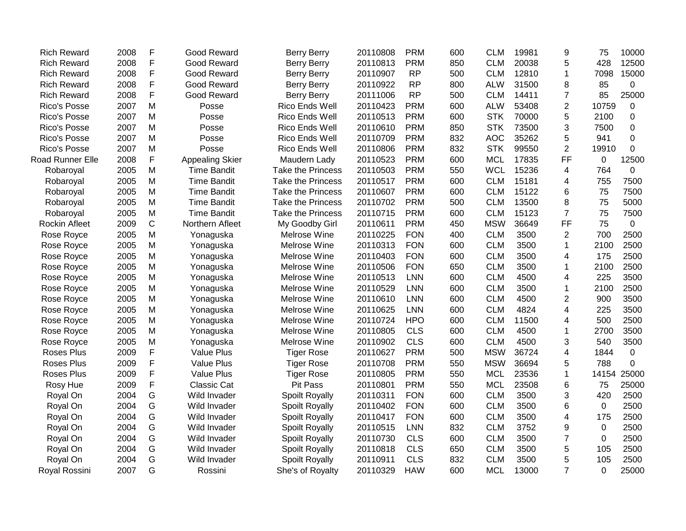| <b>Rich Reward</b>      | 2008 | F             | <b>Good Reward</b>     | <b>Berry Berry</b>       | 20110808 | <b>PRM</b> | 600 | <b>CLM</b> | 19981 | 9              | 75       | 10000 |
|-------------------------|------|---------------|------------------------|--------------------------|----------|------------|-----|------------|-------|----------------|----------|-------|
| <b>Rich Reward</b>      | 2008 | F             | Good Reward            | <b>Berry Berry</b>       | 20110813 | <b>PRM</b> | 850 | <b>CLM</b> | 20038 | 5              | 428      | 12500 |
| <b>Rich Reward</b>      | 2008 | F             | <b>Good Reward</b>     | <b>Berry Berry</b>       | 20110907 | <b>RP</b>  | 500 | <b>CLM</b> | 12810 | 1              | 7098     | 15000 |
| <b>Rich Reward</b>      | 2008 | F             | <b>Good Reward</b>     | <b>Berry Berry</b>       | 20110922 | <b>RP</b>  | 800 | <b>ALW</b> | 31500 | 8              | 85       | 0     |
| <b>Rich Reward</b>      | 2008 | F             | <b>Good Reward</b>     | <b>Berry Berry</b>       | 20111006 | <b>RP</b>  | 500 | <b>CLM</b> | 14411 | 7              | 85       | 25000 |
| Rico's Posse            | 2007 | M             | Posse                  | Rico Ends Well           | 20110423 | <b>PRM</b> | 600 | <b>ALW</b> | 53408 | $\overline{2}$ | 10759    | 0     |
| Rico's Posse            | 2007 | M             | Posse                  | Rico Ends Well           | 20110513 | <b>PRM</b> | 600 | <b>STK</b> | 70000 | 5              | 2100     | 0     |
| Rico's Posse            | 2007 | M             | Posse                  | Rico Ends Well           | 20110610 | <b>PRM</b> | 850 | <b>STK</b> | 73500 | 3              | 7500     | 0     |
| Rico's Posse            | 2007 | M             | Posse                  | Rico Ends Well           | 20110709 | <b>PRM</b> | 832 | <b>AOC</b> | 35262 | 5              | 941      | 0     |
| Rico's Posse            | 2007 | M             | Posse                  | Rico Ends Well           | 20110806 | <b>PRM</b> | 832 | <b>STK</b> | 99550 | $\overline{2}$ | 19910    | 0     |
| <b>Road Runner Elle</b> | 2008 | F             | <b>Appealing Skier</b> | Maudern Lady             | 20110523 | <b>PRM</b> | 600 | <b>MCL</b> | 17835 | <b>FF</b>      | 0        | 12500 |
| Robaroyal               | 2005 | M             | <b>Time Bandit</b>     | Take the Princess        | 20110503 | <b>PRM</b> | 550 | <b>WCL</b> | 15236 | 4              | 764      | 0     |
| Robaroyal               | 2005 | M             | <b>Time Bandit</b>     | <b>Take the Princess</b> | 20110517 | <b>PRM</b> | 600 | <b>CLM</b> | 15181 | 4              | 755      | 7500  |
| Robaroyal               | 2005 | M             | <b>Time Bandit</b>     | Take the Princess        | 20110607 | <b>PRM</b> | 600 | <b>CLM</b> | 15122 | 6              | 75       | 7500  |
| Robaroyal               | 2005 | M             | <b>Time Bandit</b>     | Take the Princess        | 20110702 | <b>PRM</b> | 500 | <b>CLM</b> | 13500 | 8              | 75       | 5000  |
| Robaroyal               | 2005 | M             | <b>Time Bandit</b>     | Take the Princess        | 20110715 | <b>PRM</b> | 600 | <b>CLM</b> | 15123 | $\overline{7}$ | 75       | 7500  |
| Rockin Afleet           | 2009 | $\mathbf C$   | Northern Afleet        | My Goodby Girl           | 20110611 | <b>PRM</b> | 450 | <b>MSW</b> | 36649 | <b>FF</b>      | 75       | 0     |
| Rose Royce              | 2005 | M             | Yonaguska              | Melrose Wine             | 20110225 | <b>FON</b> | 400 | <b>CLM</b> | 3500  | 2              | 700      | 2500  |
| Rose Royce              | 2005 | M             | Yonaguska              | Melrose Wine             | 20110313 | <b>FON</b> | 600 | <b>CLM</b> | 3500  | 1              | 2100     | 2500  |
| Rose Royce              | 2005 | M             | Yonaguska              | Melrose Wine             | 20110403 | <b>FON</b> | 600 | <b>CLM</b> | 3500  | 4              | 175      | 2500  |
| Rose Royce              | 2005 | M             | Yonaguska              | Melrose Wine             | 20110506 | <b>FON</b> | 650 | <b>CLM</b> | 3500  | 1              | 2100     | 2500  |
| Rose Royce              | 2005 | M             | Yonaguska              | Melrose Wine             | 20110513 | <b>LNN</b> | 600 | <b>CLM</b> | 4500  | 4              | 225      | 3500  |
| Rose Royce              | 2005 | M             | Yonaguska              | Melrose Wine             | 20110529 | <b>LNN</b> | 600 | <b>CLM</b> | 3500  | 1              | 2100     | 2500  |
| Rose Royce              | 2005 | M             | Yonaguska              | Melrose Wine             | 20110610 | <b>LNN</b> | 600 | <b>CLM</b> | 4500  | $\overline{2}$ | 900      | 3500  |
| Rose Royce              | 2005 | M             | Yonaguska              | Melrose Wine             | 20110625 | <b>LNN</b> | 600 | <b>CLM</b> | 4824  | 4              | 225      | 3500  |
| Rose Royce              | 2005 | M             | Yonaguska              | Melrose Wine             | 20110724 | <b>HPO</b> | 600 | <b>CLM</b> | 11500 | 4              | 500      | 2500  |
| Rose Royce              | 2005 | M             | Yonaguska              | Melrose Wine             | 20110805 | <b>CLS</b> | 600 | <b>CLM</b> | 4500  | 1              | 2700     | 3500  |
| Rose Royce              | 2005 | M             | Yonaguska              | Melrose Wine             | 20110902 | <b>CLS</b> | 600 | <b>CLM</b> | 4500  | 3              | 540      | 3500  |
| Roses Plus              | 2009 | F             | Value Plus             | <b>Tiger Rose</b>        | 20110627 | <b>PRM</b> | 500 | <b>MSW</b> | 36724 | 4              | 1844     | 0     |
| <b>Roses Plus</b>       | 2009 | F             | Value Plus             | <b>Tiger Rose</b>        | 20110708 | <b>PRM</b> | 550 | <b>MSW</b> | 36694 | 5              | 788      | 0     |
| <b>Roses Plus</b>       | 2009 | F             | Value Plus             | <b>Tiger Rose</b>        | 20110805 | <b>PRM</b> | 550 | <b>MCL</b> | 23536 | 1              | 14154    | 25000 |
| Rosy Hue                | 2009 | F             | <b>Classic Cat</b>     | Pit Pass                 | 20110801 | <b>PRM</b> | 550 | <b>MCL</b> | 23508 | 6              | 75       | 25000 |
| Royal On                | 2004 | G             | Wild Invader           | Spoilt Royally           | 20110311 | <b>FON</b> | 600 | <b>CLM</b> | 3500  | 3              | 420      | 2500  |
| Royal On                | 2004 | G             | Wild Invader           | Spoilt Royally           | 20110402 | <b>FON</b> | 600 | <b>CLM</b> | 3500  | 6              | $\Omega$ | 2500  |
| Royal On                | 2004 | G             | Wild Invader           | Spoilt Royally           | 20110417 | <b>FON</b> | 600 | <b>CLM</b> | 3500  | 4              | 175      | 2500  |
| Royal On                | 2004 | G             | Wild Invader           | Spoilt Royally           | 20110515 | <b>LNN</b> | 832 | <b>CLM</b> | 3752  | 9              | $\Omega$ | 2500  |
| Royal On                | 2004 | G             | Wild Invader           | Spoilt Royally           | 20110730 | <b>CLS</b> | 600 | <b>CLM</b> | 3500  | $\overline{7}$ | 0        | 2500  |
| Royal On                | 2004 | G             | Wild Invader           | Spoilt Royally           | 20110818 | <b>CLS</b> | 650 | <b>CLM</b> | 3500  | 5              | 105      | 2500  |
| Royal On                | 2004 | ${\mathsf G}$ | Wild Invader           | Spoilt Royally           | 20110911 | <b>CLS</b> | 832 | <b>CLM</b> | 3500  | 5              | 105      | 2500  |
| Royal Rossini           | 2007 | G             | Rossini                | She's of Royalty         | 20110329 | <b>HAW</b> | 600 | <b>MCL</b> | 13000 | $\overline{7}$ | 0        | 25000 |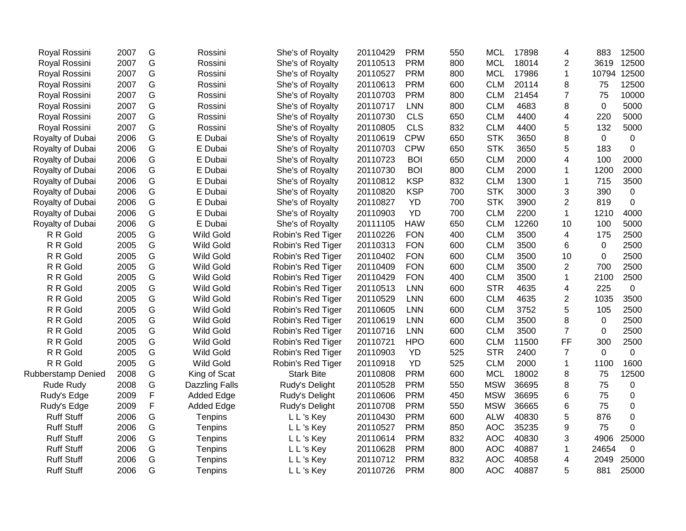| Royal Rossini             | 2007 | G | Rossini               | She's of Royalty  | 20110429 | <b>PRM</b> | 550 | <b>MCL</b> | 17898 | 4                       | 883         | 12500          |
|---------------------------|------|---|-----------------------|-------------------|----------|------------|-----|------------|-------|-------------------------|-------------|----------------|
| Royal Rossini             | 2007 | G | Rossini               | She's of Royalty  | 20110513 | <b>PRM</b> | 800 | <b>MCL</b> | 18014 | $\overline{2}$          | 3619        | 12500          |
| Royal Rossini             | 2007 | G | Rossini               | She's of Royalty  | 20110527 | <b>PRM</b> | 800 | <b>MCL</b> | 17986 | $\mathbf{1}$            | 10794       | 12500          |
| Royal Rossini             | 2007 | G | Rossini               | She's of Royalty  | 20110613 | <b>PRM</b> | 600 | <b>CLM</b> | 20114 | 8                       | 75          | 12500          |
| Royal Rossini             | 2007 | G | Rossini               | She's of Royalty  | 20110703 | <b>PRM</b> | 800 | <b>CLM</b> | 21454 | $\overline{7}$          | 75          | 10000          |
| Royal Rossini             | 2007 | G | Rossini               | She's of Royalty  | 20110717 | <b>LNN</b> | 800 | <b>CLM</b> | 4683  | 8                       | $\mathbf 0$ | 5000           |
| Royal Rossini             | 2007 | G | Rossini               | She's of Royalty  | 20110730 | <b>CLS</b> | 650 | <b>CLM</b> | 4400  | 4                       | 220         | 5000           |
| Royal Rossini             | 2007 | G | Rossini               | She's of Royalty  | 20110805 | <b>CLS</b> | 832 | <b>CLM</b> | 4400  | 5                       | 132         | 5000           |
| Royalty of Dubai          | 2006 | G | E Dubai               | She's of Royalty  | 20110619 | <b>CPW</b> | 650 | <b>STK</b> | 3650  | 8                       | 0           | 0              |
| Royalty of Dubai          | 2006 | G | E Dubai               | She's of Royalty  | 20110703 | <b>CPW</b> | 650 | <b>STK</b> | 3650  | 5                       | 183         | 0              |
| Royalty of Dubai          | 2006 | G | E Dubai               | She's of Royalty  | 20110723 | <b>BOI</b> | 650 | <b>CLM</b> | 2000  | 4                       | 100         | 2000           |
| Royalty of Dubai          | 2006 | G | E Dubai               | She's of Royalty  | 20110730 | <b>BOI</b> | 800 | <b>CLM</b> | 2000  | 1                       | 1200        | 2000           |
| Royalty of Dubai          | 2006 | G | E Dubai               | She's of Royalty  | 20110812 | <b>KSP</b> | 832 | <b>CLM</b> | 1300  | 1                       | 715         | 3500           |
| Royalty of Dubai          | 2006 | G | E Dubai               | She's of Royalty  | 20110820 | <b>KSP</b> | 700 | <b>STK</b> | 3000  | 3                       | 390         | 0              |
| Royalty of Dubai          | 2006 | G | E Dubai               | She's of Royalty  | 20110827 | <b>YD</b>  | 700 | <b>STK</b> | 3900  | $\overline{2}$          | 819         | 0              |
| Royalty of Dubai          | 2006 | G | E Dubai               | She's of Royalty  | 20110903 | <b>YD</b>  | 700 | <b>CLM</b> | 2200  | $\mathbf{1}$            | 1210        | 4000           |
| Royalty of Dubai          | 2006 | G | E Dubai               | She's of Royalty  | 20111105 | <b>HAW</b> | 650 | <b>CLM</b> | 12260 | 10                      | 100         | 5000           |
| R R Gold                  | 2005 | G | Wild Gold             | Robin's Red Tiger | 20110226 | <b>FON</b> | 400 | <b>CLM</b> | 3500  | 4                       | 175         | 2500           |
| R R Gold                  | 2005 | G | Wild Gold             | Robin's Red Tiger | 20110313 | <b>FON</b> | 600 | <b>CLM</b> | 3500  | 6                       | $\mathbf 0$ | 2500           |
| R R Gold                  | 2005 | G | <b>Wild Gold</b>      | Robin's Red Tiger | 20110402 | <b>FON</b> | 600 | <b>CLM</b> | 3500  | 10                      | 0           | 2500           |
| R R Gold                  | 2005 | G | <b>Wild Gold</b>      | Robin's Red Tiger | 20110409 | <b>FON</b> | 600 | <b>CLM</b> | 3500  | $\overline{2}$          | 700         | 2500           |
| R R Gold                  | 2005 | G | Wild Gold             | Robin's Red Tiger | 20110429 | <b>FON</b> | 400 | <b>CLM</b> | 3500  | $\mathbf{1}$            | 2100        | 2500           |
| R R Gold                  | 2005 | G | Wild Gold             | Robin's Red Tiger | 20110513 | <b>LNN</b> | 600 | <b>STR</b> | 4635  | 4                       | 225         | $\overline{0}$ |
| R R Gold                  | 2005 | G | Wild Gold             | Robin's Red Tiger | 20110529 | <b>LNN</b> | 600 | <b>CLM</b> | 4635  | $\overline{2}$          | 1035        | 3500           |
| R R Gold                  | 2005 | G | Wild Gold             | Robin's Red Tiger | 20110605 | <b>LNN</b> | 600 | <b>CLM</b> | 3752  | 5                       | 105         | 2500           |
| R R Gold                  | 2005 | G | Wild Gold             | Robin's Red Tiger | 20110619 | <b>LNN</b> | 600 | <b>CLM</b> | 3500  | 8                       | $\mathbf 0$ | 2500           |
| R R Gold                  | 2005 | G | Wild Gold             | Robin's Red Tiger | 20110716 | <b>LNN</b> | 600 | <b>CLM</b> | 3500  | $\overline{7}$          | $\Omega$    | 2500           |
| R R Gold                  | 2005 | G | Wild Gold             | Robin's Red Tiger | 20110721 | <b>HPO</b> | 600 | <b>CLM</b> | 11500 | FF                      | 300         | 2500           |
| R R Gold                  | 2005 | G | Wild Gold             | Robin's Red Tiger | 20110903 | <b>YD</b>  | 525 | <b>STR</b> | 2400  | $\overline{7}$          | $\mathbf 0$ | $\overline{0}$ |
| R R Gold                  | 2005 | G | Wild Gold             | Robin's Red Tiger | 20110918 | <b>YD</b>  | 525 | <b>CLM</b> | 2000  | $\mathbf{1}$            | 1100        | 1600           |
| <b>Rubberstamp Denied</b> | 2008 | G | King of Scat          | <b>Stark Bite</b> | 20110808 | <b>PRM</b> | 600 | <b>MCL</b> | 18002 | 8                       | 75          | 12500          |
| <b>Rude Rudy</b>          | 2008 | G | <b>Dazzling Falls</b> | Rudy's Delight    | 20110528 | <b>PRM</b> | 550 | <b>MSW</b> | 36695 | 8                       | 75          | 0              |
| Rudy's Edge               | 2009 | F | <b>Added Edge</b>     | Rudy's Delight    | 20110606 | <b>PRM</b> | 450 | <b>MSW</b> | 36695 | 6                       | 75          | 0              |
| Rudy's Edge               | 2009 | F | <b>Added Edge</b>     | Rudy's Delight    | 20110708 | <b>PRM</b> | 550 | <b>MSW</b> | 36665 | 6                       | 75          | 0              |
| <b>Ruff Stuff</b>         | 2006 | G | Tenpins               | L L's Key         | 20110430 | <b>PRM</b> | 600 | <b>ALW</b> | 40830 | 5                       | 876         | 0              |
| <b>Ruff Stuff</b>         | 2006 | G | <b>Tenpins</b>        | L L's Key         | 20110527 | <b>PRM</b> | 850 | <b>AOC</b> | 35235 | 9                       | 75          | $\Omega$       |
| <b>Ruff Stuff</b>         | 2006 | G | Tenpins               | L L's Key         | 20110614 | <b>PRM</b> | 832 | <b>AOC</b> | 40830 | 3                       | 4906        | 25000          |
| <b>Ruff Stuff</b>         | 2006 | G | Tenpins               | L L's Key         | 20110628 | <b>PRM</b> | 800 | <b>AOC</b> | 40887 | $\mathbf{1}$            | 24654       | 0              |
| <b>Ruff Stuff</b>         | 2006 | G | Tenpins               | L L's Key         | 20110712 | <b>PRM</b> | 832 | <b>AOC</b> | 40858 | $\overline{\mathbf{4}}$ | 2049        | 25000          |
| <b>Ruff Stuff</b>         | 2006 | G | Tenpins               | L L's Key         | 20110726 | <b>PRM</b> | 800 | <b>AOC</b> | 40887 | 5                       | 881         | 25000          |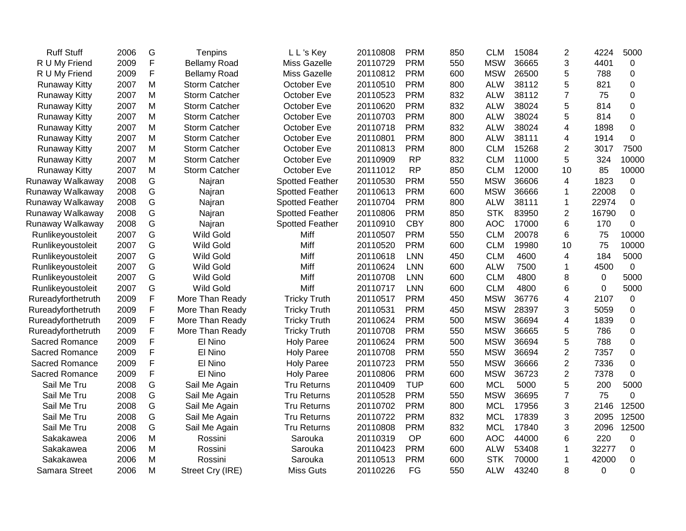| <b>Ruff Stuff</b>    | 2006 | G             | Tenpins              | L L's Key              | 20110808 | <b>PRM</b> | 850 | <b>CLM</b> | 15084 | $\overline{2}$ | 4224        | 5000        |
|----------------------|------|---------------|----------------------|------------------------|----------|------------|-----|------------|-------|----------------|-------------|-------------|
| R U My Friend        | 2009 | F             | <b>Bellamy Road</b>  | Miss Gazelle           | 20110729 | <b>PRM</b> | 550 | <b>MSW</b> | 36665 | 3              | 4401        | 0           |
| R U My Friend        | 2009 | F             | <b>Bellamy Road</b>  | <b>Miss Gazelle</b>    | 20110812 | <b>PRM</b> | 600 | <b>MSW</b> | 26500 | 5              | 788         | $\Omega$    |
| <b>Runaway Kitty</b> | 2007 | M             | <b>Storm Catcher</b> | October Eve            | 20110510 | <b>PRM</b> | 800 | <b>ALW</b> | 38112 | 5              | 821         | 0           |
| <b>Runaway Kitty</b> | 2007 | M             | Storm Catcher        | October Eve            | 20110523 | <b>PRM</b> | 832 | <b>ALW</b> | 38112 | $\overline{7}$ | 75          | $\mathbf 0$ |
| <b>Runaway Kitty</b> | 2007 | M             | Storm Catcher        | October Eve            | 20110620 | <b>PRM</b> | 832 | <b>ALW</b> | 38024 | 5              | 814         | $\mathbf 0$ |
| <b>Runaway Kitty</b> | 2007 | M             | <b>Storm Catcher</b> | October Eve            | 20110703 | <b>PRM</b> | 800 | <b>ALW</b> | 38024 | 5              | 814         | $\mathbf 0$ |
| <b>Runaway Kitty</b> | 2007 | M             | Storm Catcher        | October Eve            | 20110718 | <b>PRM</b> | 832 | <b>ALW</b> | 38024 | 4              | 1898        | 0           |
| <b>Runaway Kitty</b> | 2007 | M             | Storm Catcher        | October Eve            | 20110801 | <b>PRM</b> | 800 | <b>ALW</b> | 38111 | 4              | 1914        | 0           |
| <b>Runaway Kitty</b> | 2007 | M             | <b>Storm Catcher</b> | October Eve            | 20110813 | <b>PRM</b> | 800 | <b>CLM</b> | 15268 | $\overline{2}$ | 3017        | 7500        |
| <b>Runaway Kitty</b> | 2007 | M             | Storm Catcher        | October Eve            | 20110909 | <b>RP</b>  | 832 | <b>CLM</b> | 11000 | 5              | 324         | 10000       |
| <b>Runaway Kitty</b> | 2007 | M             | <b>Storm Catcher</b> | October Eve            | 20111012 | <b>RP</b>  | 850 | <b>CLM</b> | 12000 | 10             | 85          | 10000       |
| Runaway Walkaway     | 2008 | G             | Najran               | <b>Spotted Feather</b> | 20110530 | <b>PRM</b> | 550 | <b>MSW</b> | 36606 | 4              | 1823        | 0           |
| Runaway Walkaway     | 2008 | ${\mathsf G}$ | Najran               | Spotted Feather        | 20110613 | <b>PRM</b> | 600 | <b>MSW</b> | 36666 | $\mathbf 1$    | 22008       | 0           |
| Runaway Walkaway     | 2008 | ${\mathsf G}$ | Najran               | <b>Spotted Feather</b> | 20110704 | <b>PRM</b> | 800 | <b>ALW</b> | 38111 | 1              | 22974       | 0           |
| Runaway Walkaway     | 2008 | ${\mathsf G}$ | Najran               | <b>Spotted Feather</b> | 20110806 | <b>PRM</b> | 850 | <b>STK</b> | 83950 | $\overline{2}$ | 16790       | $\mathbf 0$ |
| Runaway Walkaway     | 2008 | G             | Najran               | <b>Spotted Feather</b> | 20110910 | <b>CBY</b> | 800 | <b>AOC</b> | 17000 | 6              | 170         | 0           |
| Runlikeyoustoleit    | 2007 | G             | <b>Wild Gold</b>     | Miff                   | 20110507 | <b>PRM</b> | 550 | <b>CLM</b> | 20078 | 6              | 75          | 10000       |
| Runlikeyoustoleit    | 2007 | G             | <b>Wild Gold</b>     | Miff                   | 20110520 | <b>PRM</b> | 600 | <b>CLM</b> | 19980 | 10             | 75          | 10000       |
| Runlikeyoustoleit    | 2007 | G             | <b>Wild Gold</b>     | Miff                   | 20110618 | <b>LNN</b> | 450 | <b>CLM</b> | 4600  | 4              | 184         | 5000        |
| Runlikeyoustoleit    | 2007 | G             | <b>Wild Gold</b>     | Miff                   | 20110624 | <b>LNN</b> | 600 | <b>ALW</b> | 7500  | 1              | 4500        | 0           |
| Runlikeyoustoleit    | 2007 | G             | <b>Wild Gold</b>     | Miff                   | 20110708 | <b>LNN</b> | 600 | <b>CLM</b> | 4800  | 8              | 0           | 5000        |
| Runlikeyoustoleit    | 2007 | G             | <b>Wild Gold</b>     | Miff                   | 20110717 | <b>LNN</b> | 600 | <b>CLM</b> | 4800  | 6              | 0           | 5000        |
| Rureadyforthetruth   | 2009 | F             | More Than Ready      | <b>Tricky Truth</b>    | 20110517 | <b>PRM</b> | 450 | <b>MSW</b> | 36776 | 4              | 2107        | 0           |
| Rureadyforthetruth   | 2009 | F             | More Than Ready      | <b>Tricky Truth</b>    | 20110531 | <b>PRM</b> | 450 | <b>MSW</b> | 28397 | 3              | 5059        | 0           |
| Rureadyforthetruth   | 2009 | F             | More Than Ready      | <b>Tricky Truth</b>    | 20110624 | <b>PRM</b> | 500 | <b>MSW</b> | 36694 | 4              | 1839        | 0           |
| Rureadyforthetruth   | 2009 | F             | More Than Ready      | <b>Tricky Truth</b>    | 20110708 | <b>PRM</b> | 550 | <b>MSW</b> | 36665 | 5              | 786         | $\mathbf 0$ |
| Sacred Romance       | 2009 | F             | El Nino              | <b>Holy Paree</b>      | 20110624 | <b>PRM</b> | 500 | <b>MSW</b> | 36694 | 5              | 788         | $\mathbf 0$ |
| Sacred Romance       | 2009 | F             | El Nino              | <b>Holy Paree</b>      | 20110708 | <b>PRM</b> | 550 | <b>MSW</b> | 36694 | $\overline{2}$ | 7357        | $\mathbf 0$ |
| Sacred Romance       | 2009 | F             | El Nino              | <b>Holy Paree</b>      | 20110723 | <b>PRM</b> | 550 | <b>MSW</b> | 36666 | $\overline{2}$ | 7336        | $\mathbf 0$ |
| Sacred Romance       | 2009 | F             | El Nino              | <b>Holy Paree</b>      | 20110806 | <b>PRM</b> | 600 | <b>MSW</b> | 36723 | $\overline{2}$ | 7378        | $\mathbf 0$ |
| Sail Me Tru          | 2008 | ${\mathsf G}$ | Sail Me Again        | <b>Tru Returns</b>     | 20110409 | <b>TUP</b> | 600 | <b>MCL</b> | 5000  | 5              | 200         | 5000        |
| Sail Me Tru          | 2008 | G             | Sail Me Again        | <b>Tru Returns</b>     | 20110528 | <b>PRM</b> | 550 | <b>MSW</b> | 36695 | $\overline{7}$ | 75          | $\mathbf 0$ |
| Sail Me Tru          | 2008 | G             | Sail Me Again        | Tru Returns            | 20110702 | <b>PRM</b> | 800 | <b>MCL</b> | 17956 | 3              | 2146        | 12500       |
| Sail Me Tru          | 2008 | G             | Sail Me Again        | <b>Tru Returns</b>     | 20110722 | <b>PRM</b> | 832 | <b>MCL</b> | 17839 | 3              | 2095        | 12500       |
| Sail Me Tru          | 2008 | G             | Sail Me Again        | <b>Tru Returns</b>     | 20110808 | <b>PRM</b> | 832 | <b>MCL</b> | 17840 | 3              | 2096        | 12500       |
| Sakakawea            | 2006 | M             | Rossini              | Sarouka                | 20110319 | OP         | 600 | <b>AOC</b> | 44000 | 6              | 220         | 0           |
| Sakakawea            | 2006 | M             | Rossini              | Sarouka                | 20110423 | <b>PRM</b> | 600 | <b>ALW</b> | 53408 | 1              | 32277       | 0           |
| Sakakawea            | 2006 | M             | Rossini              | Sarouka                | 20110513 | <b>PRM</b> | 600 | <b>STK</b> | 70000 | $\mathbf{1}$   | 42000       | $\pmb{0}$   |
| Samara Street        | 2006 | M             | Street Cry (IRE)     | <b>Miss Guts</b>       | 20110226 | FG         | 550 | <b>ALW</b> | 43240 | 8              | $\mathbf 0$ | $\mathbf 0$ |
|                      |      |               |                      |                        |          |            |     |            |       |                |             |             |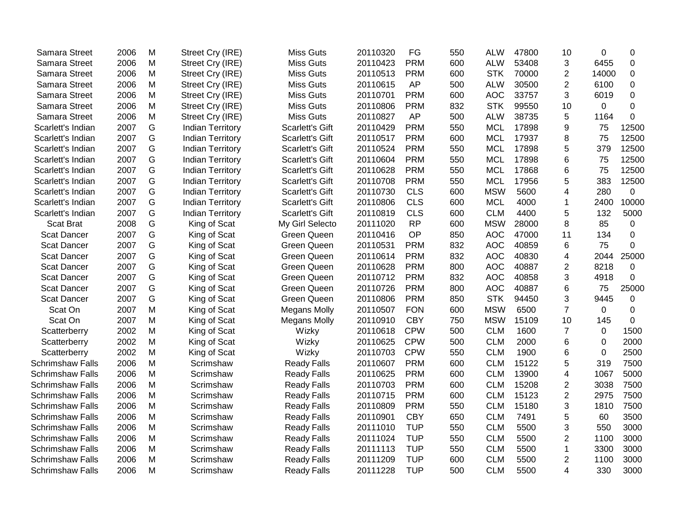| Samara Street           | 2006 | M         | Street Cry (IRE)        | <b>Miss Guts</b>       | 20110320 | FG         | 550 | <b>ALW</b> | 47800 | 10             | $\Omega$ | 0           |
|-------------------------|------|-----------|-------------------------|------------------------|----------|------------|-----|------------|-------|----------------|----------|-------------|
| Samara Street           | 2006 | M         | Street Cry (IRE)        | <b>Miss Guts</b>       | 20110423 | <b>PRM</b> | 600 | <b>ALW</b> | 53408 | 3              | 6455     | $\mathbf 0$ |
| Samara Street           | 2006 | M         | Street Cry (IRE)        | <b>Miss Guts</b>       | 20110513 | <b>PRM</b> | 600 | <b>STK</b> | 70000 | $\overline{2}$ | 14000    | $\Omega$    |
| Samara Street           | 2006 | M         | Street Cry (IRE)        | <b>Miss Guts</b>       | 20110615 | AP         | 500 | <b>ALW</b> | 30500 | $\overline{2}$ | 6100     | 0           |
| Samara Street           | 2006 | M         | Street Cry (IRE)        | <b>Miss Guts</b>       | 20110701 | <b>PRM</b> | 600 | <b>AOC</b> | 33757 | 3              | 6019     | $\mathbf 0$ |
| Samara Street           | 2006 | M         | Street Cry (IRE)        | Miss Guts              | 20110806 | <b>PRM</b> | 832 | <b>STK</b> | 99550 | 10             | 0        | $\Omega$    |
| Samara Street           | 2006 | M         | Street Cry (IRE)        | <b>Miss Guts</b>       | 20110827 | <b>AP</b>  | 500 | <b>ALW</b> | 38735 | 5              | 1164     | $\Omega$    |
| Scarlett's Indian       | 2007 | G         | <b>Indian Territory</b> | <b>Scarlett's Gift</b> | 20110429 | <b>PRM</b> | 550 | <b>MCL</b> | 17898 | 9              | 75       | 12500       |
| Scarlett's Indian       | 2007 | G         | <b>Indian Territory</b> | <b>Scarlett's Gift</b> | 20110517 | <b>PRM</b> | 600 | <b>MCL</b> | 17937 | 8              | 75       | 12500       |
| Scarlett's Indian       | 2007 | G         | <b>Indian Territory</b> | <b>Scarlett's Gift</b> | 20110524 | <b>PRM</b> | 550 | <b>MCL</b> | 17898 | 5              | 379      | 12500       |
| Scarlett's Indian       | 2007 | G         | <b>Indian Territory</b> | <b>Scarlett's Gift</b> | 20110604 | <b>PRM</b> | 550 | <b>MCL</b> | 17898 | 6              | 75       | 12500       |
| Scarlett's Indian       | 2007 | G         | <b>Indian Territory</b> | <b>Scarlett's Gift</b> | 20110628 | <b>PRM</b> | 550 | <b>MCL</b> | 17868 | 6              | 75       | 12500       |
| Scarlett's Indian       | 2007 | G         | <b>Indian Territory</b> | <b>Scarlett's Gift</b> | 20110708 | <b>PRM</b> | 550 | <b>MCL</b> | 17956 | 5              | 383      | 12500       |
| Scarlett's Indian       | 2007 | G         | <b>Indian Territory</b> | <b>Scarlett's Gift</b> | 20110730 | <b>CLS</b> | 600 | <b>MSW</b> | 5600  | 4              | 280      | 0           |
| Scarlett's Indian       | 2007 | G         | <b>Indian Territory</b> | <b>Scarlett's Gift</b> | 20110806 | <b>CLS</b> | 600 | <b>MCL</b> | 4000  | $\mathbf{1}$   | 2400     | 10000       |
| Scarlett's Indian       | 2007 | G         | <b>Indian Territory</b> | <b>Scarlett's Gift</b> | 20110819 | <b>CLS</b> | 600 | <b>CLM</b> | 4400  | 5              | 132      | 5000        |
| <b>Scat Brat</b>        | 2008 | G         | King of Scat            | My Girl Selecto        | 20111020 | <b>RP</b>  | 600 | <b>MSW</b> | 28000 | 8              | 85       | 0           |
| <b>Scat Dancer</b>      | 2007 | G         | King of Scat            | <b>Green Queen</b>     | 20110416 | OP         | 850 | <b>AOC</b> | 47000 | 11             | 134      | $\Omega$    |
| <b>Scat Dancer</b>      | 2007 | G         | King of Scat            | <b>Green Queen</b>     | 20110531 | <b>PRM</b> | 832 | <b>AOC</b> | 40859 | 6              | 75       | $\Omega$    |
| <b>Scat Dancer</b>      | 2007 | G         | King of Scat            | <b>Green Queen</b>     | 20110614 | <b>PRM</b> | 832 | <b>AOC</b> | 40830 | 4              | 2044     | 25000       |
| <b>Scat Dancer</b>      | 2007 | G         | King of Scat            | Green Queen            | 20110628 | <b>PRM</b> | 800 | <b>AOC</b> | 40887 | $\overline{2}$ | 8218     | 0           |
| <b>Scat Dancer</b>      | 2007 | G         | King of Scat            | Green Queen            | 20110712 | <b>PRM</b> | 832 | <b>AOC</b> | 40858 | 3              | 4918     | $\Omega$    |
| <b>Scat Dancer</b>      | 2007 | G         | King of Scat            | Green Queen            | 20110726 | <b>PRM</b> | 800 | <b>AOC</b> | 40887 | 6              | 75       | 25000       |
| <b>Scat Dancer</b>      | 2007 | G         | King of Scat            | Green Queen            | 20110806 | <b>PRM</b> | 850 | <b>STK</b> | 94450 | 3              | 9445     | 0           |
| Scat On                 | 2007 | M         | King of Scat            | <b>Megans Molly</b>    | 20110507 | <b>FON</b> | 600 | <b>MSW</b> | 6500  | $\overline{7}$ | 0        | 0           |
| Scat On                 | 2007 | M         | King of Scat            | <b>Megans Molly</b>    | 20110910 | <b>CBY</b> | 750 | <b>MSW</b> | 15109 | 10             | 145      | $\Omega$    |
| Scatterberry            | 2002 | M         | King of Scat            | Wizky                  | 20110618 | <b>CPW</b> | 500 | <b>CLM</b> | 1600  | $\overline{7}$ | 0        | 1500        |
| Scatterberry            | 2002 | M         | King of Scat            | Wizky                  | 20110625 | <b>CPW</b> | 500 | <b>CLM</b> | 2000  | 6              | $\Omega$ | 2000        |
| Scatterberry            | 2002 | M         | King of Scat            | Wizky                  | 20110703 | <b>CPW</b> | 550 | <b>CLM</b> | 1900  | 6              | $\Omega$ | 2500        |
| <b>Schrimshaw Falls</b> | 2006 | M         | Scrimshaw               | <b>Ready Falls</b>     | 20110607 | <b>PRM</b> | 600 | <b>CLM</b> | 15122 | 5              | 319      | 7500        |
| <b>Schrimshaw Falls</b> | 2006 | M         | Scrimshaw               | <b>Ready Falls</b>     | 20110625 | <b>PRM</b> | 600 | <b>CLM</b> | 13900 | 4              | 1067     | 5000        |
| <b>Schrimshaw Falls</b> | 2006 | M         | Scrimshaw               | <b>Ready Falls</b>     | 20110703 | <b>PRM</b> | 600 | <b>CLM</b> | 15208 | $\overline{2}$ | 3038     | 7500        |
| Schrimshaw Falls        | 2006 | M         | Scrimshaw               | <b>Ready Falls</b>     | 20110715 | <b>PRM</b> | 600 | <b>CLM</b> | 15123 | $\overline{2}$ | 2975     | 7500        |
| <b>Schrimshaw Falls</b> | 2006 | M         | Scrimshaw               | <b>Ready Falls</b>     | 20110809 | <b>PRM</b> | 550 | <b>CLM</b> | 15180 | 3              | 1810     | 7500        |
| Schrimshaw Falls        | 2006 | M         | Scrimshaw               | <b>Ready Falls</b>     | 20110901 | <b>CBY</b> | 650 | <b>CLM</b> | 7491  | 5              | 60       | 3500        |
| Schrimshaw Falls        | 2006 | M         | Scrimshaw               | Ready Falls            | 20111010 | <b>TUP</b> | 550 | <b>CLM</b> | 5500  | 3              | 550      | 3000        |
| Schrimshaw Falls        | 2006 | M         | Scrimshaw               | <b>Ready Falls</b>     | 20111024 | <b>TUP</b> | 550 | <b>CLM</b> | 5500  | $\overline{2}$ | 1100     | 3000        |
| <b>Schrimshaw Falls</b> | 2006 | ${\sf M}$ | Scrimshaw               | <b>Ready Falls</b>     | 20111113 | <b>TUP</b> | 550 | <b>CLM</b> | 5500  | 1              | 3300     | 3000        |
| <b>Schrimshaw Falls</b> | 2006 | ${\sf M}$ | Scrimshaw               | <b>Ready Falls</b>     | 20111209 | <b>TUP</b> | 600 | <b>CLM</b> | 5500  | $\overline{2}$ | 1100     | 3000        |
| <b>Schrimshaw Falls</b> | 2006 | M         | Scrimshaw               | <b>Ready Falls</b>     | 20111228 | <b>TUP</b> | 500 | <b>CLM</b> | 5500  | 4              | 330      | 3000        |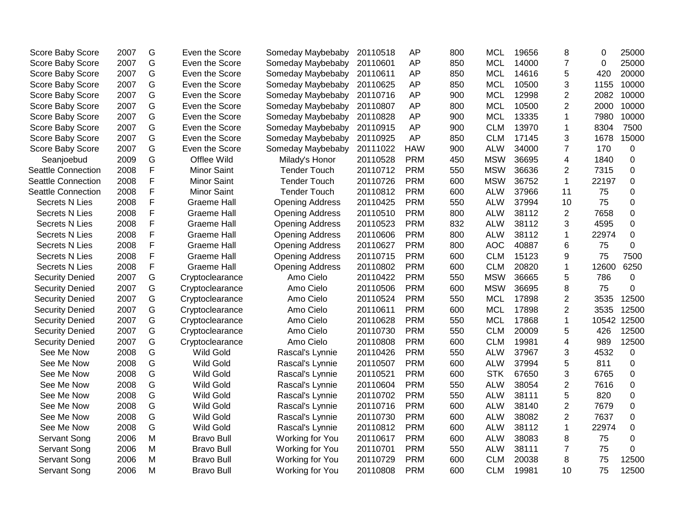| Score Baby Score          | 2007 | G | Even the Score     | Someday Maybebaby      | 20110518 | <b>AP</b>  | 800 | <b>MCL</b> | 19656 | 8              | 0        | 25000            |
|---------------------------|------|---|--------------------|------------------------|----------|------------|-----|------------|-------|----------------|----------|------------------|
| Score Baby Score          | 2007 | G | Even the Score     | Someday Maybebaby      | 20110601 | <b>AP</b>  | 850 | <b>MCL</b> | 14000 | $\overline{7}$ | $\Omega$ | 25000            |
| Score Baby Score          | 2007 | G | Even the Score     | Someday Maybebaby      | 20110611 | <b>AP</b>  | 850 | <b>MCL</b> | 14616 | 5              | 420      | 20000            |
| Score Baby Score          | 2007 | G | Even the Score     | Someday Maybebaby      | 20110625 | <b>AP</b>  | 850 | <b>MCL</b> | 10500 | 3              | 1155     | 10000            |
| Score Baby Score          | 2007 | G | Even the Score     | Someday Maybebaby      | 20110716 | <b>AP</b>  | 900 | <b>MCL</b> | 12998 | $\overline{2}$ | 2082     | 10000            |
| Score Baby Score          | 2007 | G | Even the Score     | Someday Maybebaby      | 20110807 | <b>AP</b>  | 800 | <b>MCL</b> | 10500 | $\overline{2}$ | 2000     | 10000            |
| Score Baby Score          | 2007 | G | Even the Score     | Someday Maybebaby      | 20110828 | <b>AP</b>  | 900 | <b>MCL</b> | 13335 | 1              | 7980     | 10000            |
| Score Baby Score          | 2007 | G | Even the Score     | Someday Maybebaby      | 20110915 | <b>AP</b>  | 900 | <b>CLM</b> | 13970 | $\mathbf{1}$   | 8304     | 7500             |
| Score Baby Score          | 2007 | G | Even the Score     | Someday Maybebaby      | 20110925 | AP         | 850 | <b>CLM</b> | 17145 | 3              | 1678     | 15000            |
| Score Baby Score          | 2007 | G | Even the Score     | Someday Maybebaby      | 20111022 | <b>HAW</b> | 900 | <b>ALW</b> | 34000 | $\overline{7}$ | 170      | 0                |
| Seanjoebud                | 2009 | G | Offlee Wild        | Milady's Honor         | 20110528 | <b>PRM</b> | 450 | <b>MSW</b> | 36695 | 4              | 1840     | 0                |
| <b>Seattle Connection</b> | 2008 | F | <b>Minor Saint</b> | <b>Tender Touch</b>    | 20110712 | <b>PRM</b> | 550 | <b>MSW</b> | 36636 | $\overline{2}$ | 7315     | 0                |
| Seattle Connection        | 2008 | F | <b>Minor Saint</b> | <b>Tender Touch</b>    | 20110726 | <b>PRM</b> | 600 | <b>MSW</b> | 36752 | $\mathbf{1}$   | 22197    | $\boldsymbol{0}$ |
| <b>Seattle Connection</b> | 2008 | F | <b>Minor Saint</b> | <b>Tender Touch</b>    | 20110812 | <b>PRM</b> | 600 | <b>ALW</b> | 37966 | 11             | 75       | 0                |
| <b>Secrets N Lies</b>     | 2008 | F | <b>Graeme Hall</b> | <b>Opening Address</b> | 20110425 | <b>PRM</b> | 550 | <b>ALW</b> | 37994 | 10             | 75       | 0                |
| Secrets N Lies            | 2008 | F | <b>Graeme Hall</b> | <b>Opening Address</b> | 20110510 | <b>PRM</b> | 800 | <b>ALW</b> | 38112 | $\overline{2}$ | 7658     | $\boldsymbol{0}$ |
| <b>Secrets N Lies</b>     | 2008 | F | <b>Graeme Hall</b> | <b>Opening Address</b> | 20110523 | <b>PRM</b> | 832 | <b>ALW</b> | 38112 | 3              | 4595     | $\mathbf 0$      |
| <b>Secrets N Lies</b>     | 2008 | F | <b>Graeme Hall</b> | <b>Opening Address</b> | 20110606 | <b>PRM</b> | 800 | <b>ALW</b> | 38112 | $\mathbf{1}$   | 22974    | $\overline{0}$   |
| <b>Secrets N Lies</b>     | 2008 | F | <b>Graeme Hall</b> | <b>Opening Address</b> | 20110627 | <b>PRM</b> | 800 | <b>AOC</b> | 40887 | 6              | 75       | $\overline{0}$   |
| <b>Secrets N Lies</b>     | 2008 | F | <b>Graeme Hall</b> | <b>Opening Address</b> | 20110715 | <b>PRM</b> | 600 | <b>CLM</b> | 15123 | 9              | 75       | 7500             |
| <b>Secrets N Lies</b>     | 2008 | F | <b>Graeme Hall</b> | <b>Opening Address</b> | 20110802 | <b>PRM</b> | 600 | <b>CLM</b> | 20820 | 1              | 12600    | 6250             |
| <b>Security Denied</b>    | 2007 | G | Cryptoclearance    | Amo Cielo              | 20110422 | <b>PRM</b> | 550 | <b>MSW</b> | 36665 | 5              | 786      | 0                |
| <b>Security Denied</b>    | 2007 | G | Cryptoclearance    | Amo Cielo              | 20110506 | <b>PRM</b> | 600 | <b>MSW</b> | 36695 | 8              | 75       | 0                |
| <b>Security Denied</b>    | 2007 | G | Cryptoclearance    | Amo Cielo              | 20110524 | <b>PRM</b> | 550 | <b>MCL</b> | 17898 | $\overline{2}$ | 3535     | 12500            |
| <b>Security Denied</b>    | 2007 | G | Cryptoclearance    | Amo Cielo              | 20110611 | <b>PRM</b> | 600 | <b>MCL</b> | 17898 | $\overline{2}$ | 3535     | 12500            |
| <b>Security Denied</b>    | 2007 | G | Cryptoclearance    | Amo Cielo              | 20110628 | <b>PRM</b> | 550 | <b>MCL</b> | 17868 | $\mathbf{1}$   | 10542    | 12500            |
| <b>Security Denied</b>    | 2007 | G | Cryptoclearance    | Amo Cielo              | 20110730 | <b>PRM</b> | 550 | <b>CLM</b> | 20009 | 5              | 426      | 12500            |
| <b>Security Denied</b>    | 2007 | G | Cryptoclearance    | Amo Cielo              | 20110808 | <b>PRM</b> | 600 | <b>CLM</b> | 19981 | 4              | 989      | 12500            |
| See Me Now                | 2008 | G | <b>Wild Gold</b>   | Rascal's Lynnie        | 20110426 | <b>PRM</b> | 550 | <b>ALW</b> | 37967 | 3              | 4532     | 0                |
| See Me Now                | 2008 | G | <b>Wild Gold</b>   | Rascal's Lynnie        | 20110507 | <b>PRM</b> | 600 | <b>ALW</b> | 37994 | 5              | 811      | 0                |
| See Me Now                | 2008 | G | <b>Wild Gold</b>   | Rascal's Lynnie        | 20110521 | <b>PRM</b> | 600 | <b>STK</b> | 67650 | 3              | 6765     | 0                |
| See Me Now                | 2008 | G | Wild Gold          | Rascal's Lynnie        | 20110604 | <b>PRM</b> | 550 | <b>ALW</b> | 38054 | $\overline{2}$ | 7616     | $\boldsymbol{0}$ |
| See Me Now                | 2008 | G | Wild Gold          | Rascal's Lynnie        | 20110702 | <b>PRM</b> | 550 | <b>ALW</b> | 38111 | 5              | 820      | $\mathbf 0$      |
| See Me Now                | 2008 | G | Wild Gold          | Rascal's Lynnie        | 20110716 | <b>PRM</b> | 600 | <b>ALW</b> | 38140 | $\overline{2}$ | 7679     | $\mathbf 0$      |
| See Me Now                | 2008 | G | <b>Wild Gold</b>   | Rascal's Lynnie        | 20110730 | <b>PRM</b> | 600 | <b>ALW</b> | 38082 | $\overline{2}$ | 7637     | $\mathbf 0$      |
| See Me Now                | 2008 | G | <b>Wild Gold</b>   | Rascal's Lynnie        | 20110812 | <b>PRM</b> | 600 | <b>ALW</b> | 38112 | $\mathbf{1}$   | 22974    | $\mathbf 0$      |
| Servant Song              | 2006 | M | <b>Bravo Bull</b>  | <b>Working for You</b> | 20110617 | <b>PRM</b> | 600 | <b>ALW</b> | 38083 | 8              | 75       | $\Omega$         |
| Servant Song              | 2006 | M | <b>Bravo Bull</b>  | Working for You        | 20110701 | <b>PRM</b> | 550 | <b>ALW</b> | 38111 | $\overline{7}$ | 75       | 0                |
| Servant Song              | 2006 | M | <b>Bravo Bull</b>  | Working for You        | 20110729 | <b>PRM</b> | 600 | <b>CLM</b> | 20038 | 8              | 75       | 12500            |
| Servant Song              | 2006 | M | <b>Bravo Bull</b>  | Working for You        | 20110808 | <b>PRM</b> | 600 | <b>CLM</b> | 19981 | 10             | 75       | 12500            |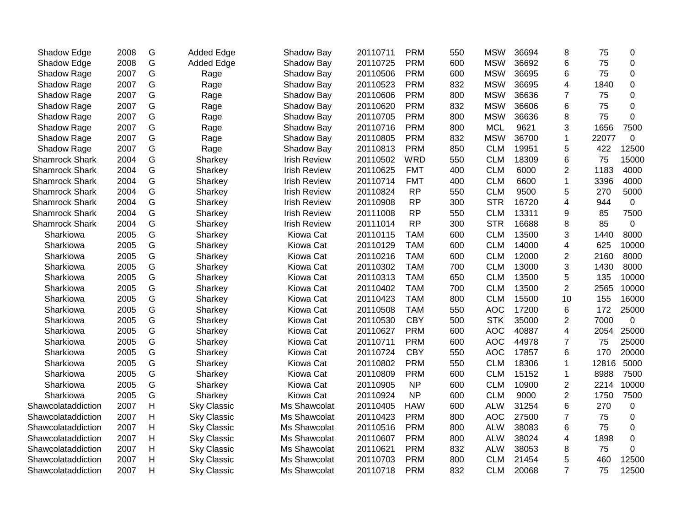| Shadow Edge           | 2008 | G | <b>Added Edge</b>  | Shadow Bay          | 20110711 | <b>PRM</b> | 550 | <b>MSW</b> | 36694 | 8               | 75    | 0           |
|-----------------------|------|---|--------------------|---------------------|----------|------------|-----|------------|-------|-----------------|-------|-------------|
| Shadow Edge           | 2008 | G | <b>Added Edge</b>  | Shadow Bay          | 20110725 | <b>PRM</b> | 600 | <b>MSW</b> | 36692 | 6               | 75    | $\mathbf 0$ |
| Shadow Rage           | 2007 | G | Rage               | Shadow Bay          | 20110506 | <b>PRM</b> | 600 | <b>MSW</b> | 36695 | 6               | 75    | 0           |
| Shadow Rage           | 2007 | G | Rage               | Shadow Bay          | 20110523 | <b>PRM</b> | 832 | <b>MSW</b> | 36695 | 4               | 1840  | 0           |
| Shadow Rage           | 2007 | G | Rage               | Shadow Bay          | 20110606 | <b>PRM</b> | 800 | <b>MSW</b> | 36636 | $\overline{7}$  | 75    | $\mathbf 0$ |
| Shadow Rage           | 2007 | G | Rage               | Shadow Bay          | 20110620 | <b>PRM</b> | 832 | <b>MSW</b> | 36606 | 6               | 75    | $\mathbf 0$ |
| Shadow Rage           | 2007 | G | Rage               | Shadow Bay          | 20110705 | <b>PRM</b> | 800 | <b>MSW</b> | 36636 | 8               | 75    | $\mathbf 0$ |
| Shadow Rage           | 2007 | G | Rage               | Shadow Bay          | 20110716 | <b>PRM</b> | 800 | <b>MCL</b> | 9621  | 3               | 1656  | 7500        |
| Shadow Rage           | 2007 | G | Rage               | Shadow Bay          | 20110805 | <b>PRM</b> | 832 | <b>MSW</b> | 36700 | $\mathbf{1}$    | 22077 | 0           |
| Shadow Rage           | 2007 | G | Rage               | Shadow Bay          | 20110813 | <b>PRM</b> | 850 | <b>CLM</b> | 19951 | 5               | 422   | 12500       |
| <b>Shamrock Shark</b> | 2004 | G | Sharkey            | <b>Irish Review</b> | 20110502 | <b>WRD</b> | 550 | <b>CLM</b> | 18309 | 6               | 75    | 15000       |
| Shamrock Shark        | 2004 | G | Sharkey            | <b>Irish Review</b> | 20110625 | <b>FMT</b> | 400 | <b>CLM</b> | 6000  | $\overline{2}$  | 1183  | 4000        |
| <b>Shamrock Shark</b> | 2004 | G | Sharkey            | <b>Irish Review</b> | 20110714 | <b>FMT</b> | 400 | <b>CLM</b> | 6600  | 1               | 3396  | 4000        |
| <b>Shamrock Shark</b> | 2004 | G | Sharkey            | <b>Irish Review</b> | 20110824 | <b>RP</b>  | 550 | <b>CLM</b> | 9500  | 5               | 270   | 5000        |
| Shamrock Shark        | 2004 | G | Sharkey            | <b>Irish Review</b> | 20110908 | <b>RP</b>  | 300 | <b>STR</b> | 16720 | 4               | 944   | $\mathbf 0$ |
| Shamrock Shark        | 2004 | G | Sharkey            | <b>Irish Review</b> | 20111008 | <b>RP</b>  | 550 | <b>CLM</b> | 13311 | 9               | 85    | 7500        |
| Shamrock Shark        | 2004 | G | Sharkey            | <b>Irish Review</b> | 20111014 | <b>RP</b>  | 300 | <b>STR</b> | 16688 | 8               | 85    | $\mathbf 0$ |
| Sharkiowa             | 2005 | G | Sharkey            | Kiowa Cat           | 20110115 | <b>TAM</b> | 600 | <b>CLM</b> | 13500 | 3               | 1440  | 8000        |
| Sharkiowa             | 2005 | G | Sharkey            | Kiowa Cat           | 20110129 | <b>TAM</b> | 600 | <b>CLM</b> | 14000 | 4               | 625   | 10000       |
| Sharkiowa             | 2005 | G | Sharkey            | Kiowa Cat           | 20110216 | <b>TAM</b> | 600 | <b>CLM</b> | 12000 | $\overline{2}$  | 2160  | 8000        |
| Sharkiowa             | 2005 | G | Sharkey            | Kiowa Cat           | 20110302 | <b>TAM</b> | 700 | <b>CLM</b> | 13000 | 3               | 1430  | 8000        |
| Sharkiowa             | 2005 | G | Sharkey            | Kiowa Cat           | 20110313 | <b>TAM</b> | 650 | <b>CLM</b> | 13500 | 5               | 135   | 10000       |
| Sharkiowa             | 2005 | G | Sharkey            | Kiowa Cat           | 20110402 | <b>TAM</b> | 700 | <b>CLM</b> | 13500 | $\overline{2}$  | 2565  | 10000       |
| Sharkiowa             | 2005 | G | Sharkey            | Kiowa Cat           | 20110423 | <b>TAM</b> | 800 | <b>CLM</b> | 15500 | 10              | 155   | 16000       |
| Sharkiowa             | 2005 | G | Sharkey            | Kiowa Cat           | 20110508 | <b>TAM</b> | 550 | <b>AOC</b> | 17200 | $6\phantom{1}6$ | 172   | 25000       |
| Sharkiowa             | 2005 | G | Sharkey            | Kiowa Cat           | 20110530 | <b>CBY</b> | 500 | <b>STK</b> | 35000 | $\overline{2}$  | 7000  | $\mathbf 0$ |
| Sharkiowa             | 2005 | G | Sharkey            | Kiowa Cat           | 20110627 | <b>PRM</b> | 600 | <b>AOC</b> | 40887 | 4               | 2054  | 25000       |
| Sharkiowa             | 2005 | G | Sharkey            | Kiowa Cat           | 20110711 | <b>PRM</b> | 600 | <b>AOC</b> | 44978 | $\overline{7}$  | 75    | 25000       |
| Sharkiowa             | 2005 | G | Sharkey            | Kiowa Cat           | 20110724 | <b>CBY</b> | 550 | <b>AOC</b> | 17857 | 6               | 170   | 20000       |
| Sharkiowa             | 2005 | G | Sharkey            | Kiowa Cat           | 20110802 | <b>PRM</b> | 550 | <b>CLM</b> | 18306 | 1               | 12816 | 5000        |
| Sharkiowa             | 2005 | G | Sharkey            | Kiowa Cat           | 20110809 | <b>PRM</b> | 600 | <b>CLM</b> | 15152 | 1               | 8988  | 7500        |
| Sharkiowa             | 2005 | G | Sharkey            | Kiowa Cat           | 20110905 | <b>NP</b>  | 600 | <b>CLM</b> | 10900 | $\overline{c}$  | 2214  | 10000       |
| Sharkiowa             | 2005 | G | Sharkey            | Kiowa Cat           | 20110924 | <b>NP</b>  | 600 | <b>CLM</b> | 9000  | $\overline{2}$  | 1750  | 7500        |
| Shawcolataddiction    | 2007 | H | <b>Sky Classic</b> | Ms Shawcolat        | 20110405 | <b>HAW</b> | 600 | <b>ALW</b> | 31254 | 6               | 270   | $\mathbf 0$ |
| Shawcolataddiction    | 2007 | H | <b>Sky Classic</b> | Ms Shawcolat        | 20110423 | <b>PRM</b> | 800 | <b>AOC</b> | 27500 | $\overline{7}$  | 75    | 0           |
| Shawcolataddiction    | 2007 | Н | <b>Sky Classic</b> | Ms Shawcolat        | 20110516 | <b>PRM</b> | 800 | <b>ALW</b> | 38083 | 6               | 75    | 0           |
| Shawcolataddiction    | 2007 | Н | <b>Sky Classic</b> | Ms Shawcolat        | 20110607 | <b>PRM</b> | 800 | <b>ALW</b> | 38024 | 4               | 1898  | $\mathbf 0$ |
| Shawcolataddiction    | 2007 | H | <b>Sky Classic</b> | Ms Shawcolat        | 20110621 | <b>PRM</b> | 832 | <b>ALW</b> | 38053 | 8               | 75    | 0           |
| Shawcolataddiction    | 2007 | H | <b>Sky Classic</b> | Ms Shawcolat        | 20110703 | <b>PRM</b> | 800 | <b>CLM</b> | 21454 | 5               | 460   | 12500       |
| Shawcolataddiction    | 2007 | H | <b>Sky Classic</b> | Ms Shawcolat        | 20110718 | <b>PRM</b> | 832 | <b>CLM</b> | 20068 | $\overline{7}$  | 75    | 12500       |
|                       |      |   |                    |                     |          |            |     |            |       |                 |       |             |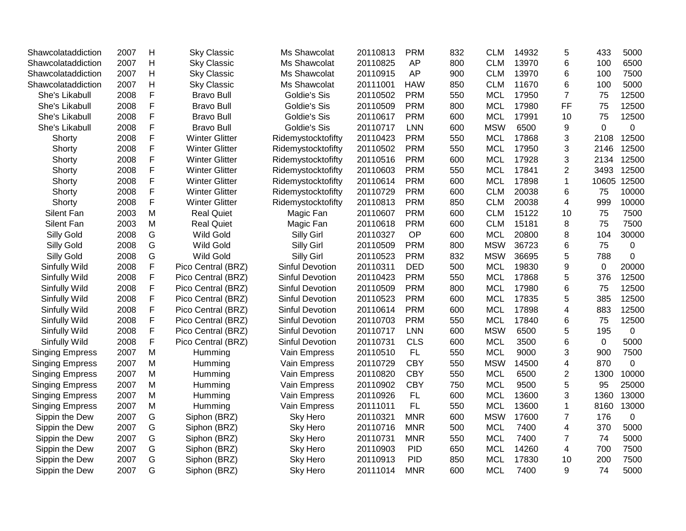| Shawcolataddiction     | 2007 | $\mathsf{H}$ | <b>Sky Classic</b>    | Ms Shawcolat           | 20110813 | <b>PRM</b> | 832 | <b>CLM</b> | 14932 | 5                       | 433         | 5000        |
|------------------------|------|--------------|-----------------------|------------------------|----------|------------|-----|------------|-------|-------------------------|-------------|-------------|
| Shawcolataddiction     | 2007 | $\mathsf{H}$ | <b>Sky Classic</b>    | Ms Shawcolat           | 20110825 | AP         | 800 | <b>CLM</b> | 13970 | 6                       | 100         | 6500        |
| Shawcolataddiction     | 2007 | $\mathsf{H}$ | <b>Sky Classic</b>    | Ms Shawcolat           | 20110915 | AP         | 900 | <b>CLM</b> | 13970 | 6                       | 100         | 7500        |
| Shawcolataddiction     | 2007 | $\mathsf{H}$ | <b>Sky Classic</b>    | Ms Shawcolat           | 20111001 | <b>HAW</b> | 850 | <b>CLM</b> | 11670 | 6                       | 100         | 5000        |
| She's Likabull         | 2008 | F            | <b>Bravo Bull</b>     | Goldie's Sis           | 20110502 | <b>PRM</b> | 550 | <b>MCL</b> | 17950 | $\overline{7}$          | 75          | 12500       |
| She's Likabull         | 2008 | F            | <b>Bravo Bull</b>     | Goldie's Sis           | 20110509 | <b>PRM</b> | 800 | <b>MCL</b> | 17980 | FF                      | 75          | 12500       |
| She's Likabull         | 2008 | $\mathsf F$  | <b>Bravo Bull</b>     | Goldie's Sis           | 20110617 | <b>PRM</b> | 600 | <b>MCL</b> | 17991 | 10                      | 75          | 12500       |
| She's Likabull         | 2008 | F            | <b>Bravo Bull</b>     | Goldie's Sis           | 20110717 | <b>LNN</b> | 600 | <b>MSW</b> | 6500  | 9                       | $\mathbf 0$ | 0           |
| Shorty                 | 2008 | F            | <b>Winter Glitter</b> | Ridemystocktofifty     | 20110423 | <b>PRM</b> | 550 | <b>MCL</b> | 17868 | 3                       | 2108        | 12500       |
| Shorty                 | 2008 | F            | <b>Winter Glitter</b> | Ridemystocktofifty     | 20110502 | <b>PRM</b> | 550 | <b>MCL</b> | 17950 | 3                       | 2146        | 12500       |
| Shorty                 | 2008 | F            | <b>Winter Glitter</b> | Ridemystocktofifty     | 20110516 | <b>PRM</b> | 600 | <b>MCL</b> | 17928 | 3                       | 2134        | 12500       |
| Shorty                 | 2008 | F            | <b>Winter Glitter</b> | Ridemystocktofifty     | 20110603 | <b>PRM</b> | 550 | <b>MCL</b> | 17841 | $\overline{2}$          | 3493        | 12500       |
| Shorty                 | 2008 | F            | <b>Winter Glitter</b> | Ridemystocktofifty     | 20110614 | <b>PRM</b> | 600 | <b>MCL</b> | 17898 | $\mathbf{1}$            | 10605       | 12500       |
| Shorty                 | 2008 | F            | <b>Winter Glitter</b> | Ridemystocktofifty     | 20110729 | <b>PRM</b> | 600 | CLM        | 20038 | 6                       | 75          | 10000       |
| Shorty                 | 2008 | F            | <b>Winter Glitter</b> | Ridemystocktofifty     | 20110813 | <b>PRM</b> | 850 | <b>CLM</b> | 20038 | $\overline{4}$          | 999         | 10000       |
| Silent Fan             | 2003 | M            | <b>Real Quiet</b>     | Magic Fan              | 20110607 | <b>PRM</b> | 600 | <b>CLM</b> | 15122 | 10                      | 75          | 7500        |
| Silent Fan             | 2003 | M            | <b>Real Quiet</b>     | Magic Fan              | 20110618 | <b>PRM</b> | 600 | <b>CLM</b> | 15181 | 8                       | 75          | 7500        |
| Silly Gold             | 2008 | G            | <b>Wild Gold</b>      | <b>Silly Girl</b>      | 20110327 | OP         | 600 | <b>MCL</b> | 20800 | 8                       | 104         | 30000       |
| Silly Gold             | 2008 | G            | <b>Wild Gold</b>      | Silly Girl             | 20110509 | <b>PRM</b> | 800 | <b>MSW</b> | 36723 | 6                       | 75          | $\pmb{0}$   |
| Silly Gold             | 2008 | G            | <b>Wild Gold</b>      | <b>Silly Girl</b>      | 20110523 | <b>PRM</b> | 832 | <b>MSW</b> | 36695 | 5                       | 788         | $\pmb{0}$   |
| Sinfully Wild          | 2008 | F            | Pico Central (BRZ)    | Sinful Devotion        | 20110311 | <b>DED</b> | 500 | <b>MCL</b> | 19830 | 9                       | 0           | 20000       |
| Sinfully Wild          | 2008 | F            | Pico Central (BRZ)    | Sinful Devotion        | 20110423 | <b>PRM</b> | 550 | <b>MCL</b> | 17868 | 5                       | 376         | 12500       |
| Sinfully Wild          | 2008 | F            | Pico Central (BRZ)    | Sinful Devotion        | 20110509 | <b>PRM</b> | 800 | <b>MCL</b> | 17980 | 6                       | 75          | 12500       |
| Sinfully Wild          | 2008 | F            | Pico Central (BRZ)    | <b>Sinful Devotion</b> | 20110523 | <b>PRM</b> | 600 | <b>MCL</b> | 17835 | 5                       | 385         | 12500       |
| Sinfully Wild          | 2008 | F            | Pico Central (BRZ)    | <b>Sinful Devotion</b> | 20110614 | <b>PRM</b> | 600 | <b>MCL</b> | 17898 | 4                       | 883         | 12500       |
| Sinfully Wild          | 2008 | F            | Pico Central (BRZ)    | <b>Sinful Devotion</b> | 20110703 | <b>PRM</b> | 550 | <b>MCL</b> | 17840 | 6                       | 75          | 12500       |
| Sinfully Wild          | 2008 | F            | Pico Central (BRZ)    | Sinful Devotion        | 20110717 | <b>LNN</b> | 600 | <b>MSW</b> | 6500  | 5                       | 195         | 0           |
| Sinfully Wild          | 2008 | F            | Pico Central (BRZ)    | <b>Sinful Devotion</b> | 20110731 | <b>CLS</b> | 600 | <b>MCL</b> | 3500  | 6                       | $\mathbf 0$ | 5000        |
| <b>Singing Empress</b> | 2007 | $\mathsf{M}$ | Humming               | Vain Empress           | 20110510 | <b>FL</b>  | 550 | <b>MCL</b> | 9000  | 3                       | 900         | 7500        |
| <b>Singing Empress</b> | 2007 | M            | Humming               | Vain Empress           | 20110729 | <b>CBY</b> | 550 | <b>MSW</b> | 14500 | $\overline{\mathbf{4}}$ | 870         | $\mathbf 0$ |
| <b>Singing Empress</b> | 2007 | M            | Humming               | Vain Empress           | 20110820 | <b>CBY</b> | 550 | <b>MCL</b> | 6500  | $\overline{2}$          | 1300        | 10000       |
| <b>Singing Empress</b> | 2007 | M            | Humming               | Vain Empress           | 20110902 | <b>CBY</b> | 750 | <b>MCL</b> | 9500  | 5                       | 95          | 25000       |
| <b>Singing Empress</b> | 2007 | M            | Humming               | Vain Empress           | 20110926 | FL         | 600 | <b>MCL</b> | 13600 | 3                       | 1360        | 13000       |
| <b>Singing Empress</b> | 2007 | M            | Humming               | Vain Empress           | 20111011 | FL         | 550 | <b>MCL</b> | 13600 | $\mathbf{1}$            | 8160        | 13000       |
| Sippin the Dew         | 2007 | G            | Siphon (BRZ)          | <b>Sky Hero</b>        | 20110321 | <b>MNR</b> | 600 | <b>MSW</b> | 17600 | $\overline{7}$          | 176         | $\mathbf 0$ |
| Sippin the Dew         | 2007 | G            | Siphon (BRZ)          | Sky Hero               | 20110716 | <b>MNR</b> | 500 | <b>MCL</b> | 7400  | 4                       | 370         | 5000        |
| Sippin the Dew         | 2007 | G            | Siphon (BRZ)          | Sky Hero               | 20110731 | <b>MNR</b> | 550 | <b>MCL</b> | 7400  | $\overline{7}$          | 74          | 5000        |
| Sippin the Dew         | 2007 | G            | Siphon (BRZ)          | Sky Hero               | 20110903 | <b>PID</b> | 650 | <b>MCL</b> | 14260 | $\overline{\mathbf{4}}$ | 700         | 7500        |
| Sippin the Dew         | 2007 | G            | Siphon (BRZ)          | Sky Hero               | 20110913 | <b>PID</b> | 850 | <b>MCL</b> | 17830 | 10                      | 200         | 7500        |
| Sippin the Dew         | 2007 | G            | Siphon (BRZ)          | Sky Hero               | 20111014 | <b>MNR</b> | 600 | <b>MCL</b> | 7400  | 9                       | 74          | 5000        |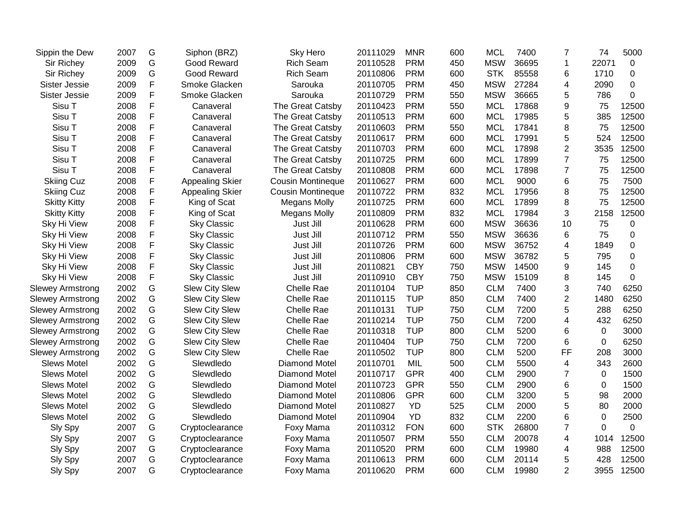| Sippin the Dew          | 2007 | G           | Siphon (BRZ)           | Sky Hero                 | 20111029 | <b>MNR</b> | 600 | <b>MCL</b> | 7400  | $\overline{7}$ | 74          | 5000        |
|-------------------------|------|-------------|------------------------|--------------------------|----------|------------|-----|------------|-------|----------------|-------------|-------------|
| Sir Richey              | 2009 | G           | Good Reward            | <b>Rich Seam</b>         | 20110528 | <b>PRM</b> | 450 | <b>MSW</b> | 36695 | $\mathbf{1}$   | 22071       | $\mathbf 0$ |
| Sir Richey              | 2009 | G           | Good Reward            | <b>Rich Seam</b>         | 20110806 | <b>PRM</b> | 600 | <b>STK</b> | 85558 | 6              | 1710        | $\Omega$    |
| Sister Jessie           | 2009 | F           | Smoke Glacken          | Sarouka                  | 20110705 | <b>PRM</b> | 450 | <b>MSW</b> | 27284 | 4              | 2090        | 0           |
| Sister Jessie           | 2009 | F           | Smoke Glacken          | Sarouka                  | 20110729 | <b>PRM</b> | 550 | <b>MSW</b> | 36665 | 5              | 786         | $\mathbf 0$ |
| Sisu T                  | 2008 | F           | Canaveral              | The Great Catsby         | 20110423 | <b>PRM</b> | 550 | <b>MCL</b> | 17868 | 9              | 75          | 12500       |
| Sisu T                  | 2008 | F           | Canaveral              | The Great Catsby         | 20110513 | <b>PRM</b> | 600 | <b>MCL</b> | 17985 | 5              | 385         | 12500       |
| Sisu T                  | 2008 | F           | Canaveral              | The Great Catsby         | 20110603 | <b>PRM</b> | 550 | <b>MCL</b> | 17841 | 8              | 75          | 12500       |
| Sisu T                  | 2008 | F           | Canaveral              | The Great Catsby         | 20110617 | <b>PRM</b> | 600 | <b>MCL</b> | 17991 | 5              | 524         | 12500       |
| Sisu T                  | 2008 | F           | Canaveral              | The Great Catsby         | 20110703 | <b>PRM</b> | 600 | <b>MCL</b> | 17898 | $\overline{2}$ | 3535        | 12500       |
| Sisu T                  | 2008 | F           | Canaveral              | The Great Catsby         | 20110725 | <b>PRM</b> | 600 | <b>MCL</b> | 17899 | $\overline{7}$ | 75          | 12500       |
| Sisu T                  | 2008 | F           | Canaveral              | The Great Catsby         | 20110808 | <b>PRM</b> | 600 | <b>MCL</b> | 17898 | $\overline{7}$ | 75          | 12500       |
| <b>Skiing Cuz</b>       | 2008 | F           | Appealing Skier        | <b>Cousin Montineque</b> | 20110627 | <b>PRM</b> | 600 | <b>MCL</b> | 9000  | 6              | 75          | 7500        |
| <b>Skiing Cuz</b>       | 2008 | F           | <b>Appealing Skier</b> | Cousin Montineque        | 20110722 | <b>PRM</b> | 832 | <b>MCL</b> | 17956 | 8              | 75          | 12500       |
| <b>Skitty Kitty</b>     | 2008 | F           | King of Scat           | <b>Megans Molly</b>      | 20110725 | <b>PRM</b> | 600 | <b>MCL</b> | 17899 | 8              | 75          | 12500       |
| <b>Skitty Kitty</b>     | 2008 | $\mathsf F$ | King of Scat           | <b>Megans Molly</b>      | 20110809 | <b>PRM</b> | 832 | <b>MCL</b> | 17984 | 3              | 2158        | 12500       |
| Sky Hi View             | 2008 | F           | <b>Sky Classic</b>     | Just Jill                | 20110628 | <b>PRM</b> | 600 | <b>MSW</b> | 36636 | 10             | 75          | 0           |
| Sky Hi View             | 2008 | F           | <b>Sky Classic</b>     | Just Jill                | 20110712 | <b>PRM</b> | 550 | <b>MSW</b> | 36636 | 6              | 75          | $\Omega$    |
| Sky Hi View             | 2008 | F           | <b>Sky Classic</b>     | Just Jill                | 20110726 | <b>PRM</b> | 600 | <b>MSW</b> | 36752 | 4              | 1849        | 0           |
| Sky Hi View             | 2008 | F           | <b>Sky Classic</b>     | Just Jill                | 20110806 | <b>PRM</b> | 600 | <b>MSW</b> | 36782 | 5              | 795         | $\mathbf 0$ |
| Sky Hi View             | 2008 | F           | <b>Sky Classic</b>     | Just Jill                | 20110821 | <b>CBY</b> | 750 | <b>MSW</b> | 14500 | 9              | 145         | 0           |
| Sky Hi View             | 2008 | F           | <b>Sky Classic</b>     | Just Jill                | 20110910 | <b>CBY</b> | 750 | <b>MSW</b> | 15109 | 8              | 145         | 0           |
| <b>Slewey Armstrong</b> | 2002 | G           | <b>Slew City Slew</b>  | Chelle Rae               | 20110104 | <b>TUP</b> | 850 | <b>CLM</b> | 7400  | 3              | 740         | 6250        |
| <b>Slewey Armstrong</b> | 2002 | G           | <b>Slew City Slew</b>  | Chelle Rae               | 20110115 | <b>TUP</b> | 850 | <b>CLM</b> | 7400  | $\overline{2}$ | 1480        | 6250        |
| <b>Slewey Armstrong</b> | 2002 | G           | Slew City Slew         | Chelle Rae               | 20110131 | <b>TUP</b> | 750 | <b>CLM</b> | 7200  | 5              | 288         | 6250        |
| <b>Slewey Armstrong</b> | 2002 | G           | <b>Slew City Slew</b>  | Chelle Rae               | 20110214 | <b>TUP</b> | 750 | <b>CLM</b> | 7200  | 4              | 432         | 6250        |
| <b>Slewey Armstrong</b> | 2002 | G           | <b>Slew City Slew</b>  | Chelle Rae               | 20110318 | <b>TUP</b> | 800 | <b>CLM</b> | 5200  | 6              | 0           | 3000        |
| <b>Slewey Armstrong</b> | 2002 | G           | Slew City Slew         | Chelle Rae               | 20110404 | <b>TUP</b> | 750 | <b>CLM</b> | 7200  | 6              | 0           | 6250        |
| <b>Slewey Armstrong</b> | 2002 | G           | Slew City Slew         | Chelle Rae               | 20110502 | <b>TUP</b> | 800 | <b>CLM</b> | 5200  | FF             | 208         | 3000        |
| <b>Slews Motel</b>      | 2002 | G           | Slewdledo              | <b>Diamond Motel</b>     | 20110701 | MIL        | 500 | <b>CLM</b> | 5500  | $\overline{4}$ | 343         | 2600        |
| <b>Slews Motel</b>      | 2002 | G           | Slewdledo              | <b>Diamond Motel</b>     | 20110717 | <b>GPR</b> | 400 | <b>CLM</b> | 2900  | $\overline{7}$ | 0           | 1500        |
| <b>Slews Motel</b>      | 2002 | G           | Slewdledo              | <b>Diamond Motel</b>     | 20110723 | <b>GPR</b> | 550 | <b>CLM</b> | 2900  | 6              | $\mathbf 0$ | 1500        |
| <b>Slews Motel</b>      | 2002 | G           | Slewdledo              | Diamond Motel            | 20110806 | <b>GPR</b> | 600 | <b>CLM</b> | 3200  | 5              | 98          | 2000        |
| <b>Slews Motel</b>      | 2002 | G           | Slewdledo              | Diamond Motel            | 20110827 | YD         | 525 | <b>CLM</b> | 2000  | 5              | 80          | 2000        |
| <b>Slews Motel</b>      | 2002 | G           | Slewdledo              | Diamond Motel            | 20110904 | <b>YD</b>  | 832 | <b>CLM</b> | 2200  | 6              | 0           | 2500        |
| Sly Spy                 | 2007 | G           | Cryptoclearance        | Foxy Mama                | 20110312 | <b>FON</b> | 600 | <b>STK</b> | 26800 | $\overline{7}$ | $\Omega$    | 0           |
| Sly Spy                 | 2007 | G           | Cryptoclearance        | Foxy Mama                | 20110507 | <b>PRM</b> | 550 | <b>CLM</b> | 20078 | 4              | 1014        | 12500       |
| Sly Spy                 | 2007 | G           | Cryptoclearance        | Foxy Mama                | 20110520 | <b>PRM</b> | 600 | <b>CLM</b> | 19980 | $\overline{4}$ | 988         | 12500       |
| Sly Spy                 | 2007 | G           | Cryptoclearance        | Foxy Mama                | 20110613 | <b>PRM</b> | 600 | <b>CLM</b> | 20114 | 5              | 428         | 12500       |
| Sly Spy                 | 2007 | G           | Cryptoclearance        | Foxy Mama                | 20110620 | <b>PRM</b> | 600 | <b>CLM</b> | 19980 | $\overline{2}$ | 3955        | 12500       |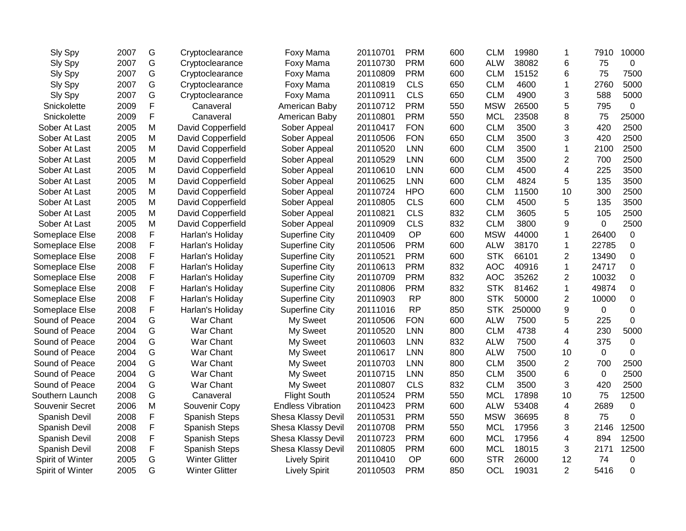| Sly Spy              | 2007 | G | Cryptoclearance       | Foxy Mama                | 20110701 | <b>PRM</b> | 600 | <b>CLM</b> | 19980  | 1              | 7910     | 10000          |
|----------------------|------|---|-----------------------|--------------------------|----------|------------|-----|------------|--------|----------------|----------|----------------|
| Sly Spy              | 2007 | G | Cryptoclearance       | Foxy Mama                | 20110730 | <b>PRM</b> | 600 | <b>ALW</b> | 38082  | 6              | 75       | 0              |
| Sly Spy              | 2007 | G | Cryptoclearance       | Foxy Mama                | 20110809 | <b>PRM</b> | 600 | <b>CLM</b> | 15152  | 6              | 75       | 7500           |
| Sly Spy              | 2007 | G | Cryptoclearance       | Foxy Mama                | 20110819 | <b>CLS</b> | 650 | <b>CLM</b> | 4600   | 1              | 2760     | 5000           |
| Sly Spy              | 2007 | G | Cryptoclearance       | Foxy Mama                | 20110911 | <b>CLS</b> | 650 | <b>CLM</b> | 4900   | 3              | 588      | 5000           |
| Snickolette          | 2009 | F | Canaveral             | American Baby            | 20110712 | <b>PRM</b> | 550 | <b>MSW</b> | 26500  | 5              | 795      | 0              |
| Snickolette          | 2009 | F | Canaveral             | American Baby            | 20110801 | <b>PRM</b> | 550 | <b>MCL</b> | 23508  | 8              | 75       | 25000          |
| Sober At Last        | 2005 | M | David Copperfield     | Sober Appeal             | 20110417 | <b>FON</b> | 600 | <b>CLM</b> | 3500   | 3              | 420      | 2500           |
| Sober At Last        | 2005 | M | David Copperfield     | Sober Appeal             | 20110506 | <b>FON</b> | 650 | <b>CLM</b> | 3500   | 3              | 420      | 2500           |
| Sober At Last        | 2005 | M | David Copperfield     | Sober Appeal             | 20110520 | <b>LNN</b> | 600 | <b>CLM</b> | 3500   | $\mathbf 1$    | 2100     | 2500           |
| Sober At Last        | 2005 | M | David Copperfield     | Sober Appeal             | 20110529 | <b>LNN</b> | 600 | <b>CLM</b> | 3500   | 2              | 700      | 2500           |
| Sober At Last        | 2005 | м | David Copperfield     | Sober Appeal             | 20110610 | <b>LNN</b> | 600 | <b>CLM</b> | 4500   | 4              | 225      | 3500           |
| Sober At Last        | 2005 | м | David Copperfield     | Sober Appeal             | 20110625 | <b>LNN</b> | 600 | <b>CLM</b> | 4824   | 5              | 135      | 3500           |
| Sober At Last        | 2005 | M | David Copperfield     | Sober Appeal             | 20110724 | <b>HPO</b> | 600 | <b>CLM</b> | 11500  | 10             | 300      | 2500           |
| Sober At Last        | 2005 | M | David Copperfield     | Sober Appeal             | 20110805 | <b>CLS</b> | 600 | <b>CLM</b> | 4500   | 5              | 135      | 3500           |
| Sober At Last        | 2005 | M | David Copperfield     | Sober Appeal             | 20110821 | <b>CLS</b> | 832 | <b>CLM</b> | 3605   | 5              | 105      | 2500           |
| Sober At Last        | 2005 | M | David Copperfield     | Sober Appeal             | 20110909 | <b>CLS</b> | 832 | <b>CLM</b> | 3800   | 9              | 0        | 2500           |
| Someplace Else       | 2008 | F | Harlan's Holiday      | <b>Superfine City</b>    | 20110409 | <b>OP</b>  | 600 | <b>MSW</b> | 44000  | 1              | 26400    | 0              |
| Someplace Else       | 2008 | F | Harlan's Holiday      | <b>Superfine City</b>    | 20110506 | <b>PRM</b> | 600 | <b>ALW</b> | 38170  | $\mathbf{1}$   | 22785    | 0              |
| Someplace Else       | 2008 | F | Harlan's Holiday      | <b>Superfine City</b>    | 20110521 | <b>PRM</b> | 600 | <b>STK</b> | 66101  | 2              | 13490    | $\mathbf 0$    |
| Someplace Else       | 2008 | F | Harlan's Holiday      | Superfine City           | 20110613 | <b>PRM</b> | 832 | <b>AOC</b> | 40916  | 1              | 24717    | $\mathbf 0$    |
| Someplace Else       | 2008 | F | Harlan's Holiday      | <b>Superfine City</b>    | 20110709 | <b>PRM</b> | 832 | <b>AOC</b> | 35262  | $\overline{2}$ | 10032    | 0              |
| Someplace Else       | 2008 | F | Harlan's Holiday      | <b>Superfine City</b>    | 20110806 | <b>PRM</b> | 832 | <b>STK</b> | 81462  | $\mathbf 1$    | 49874    | 0              |
| Someplace Else       | 2008 | F | Harlan's Holiday      | <b>Superfine City</b>    | 20110903 | <b>RP</b>  | 800 | <b>STK</b> | 50000  | $\overline{2}$ | 10000    | $\mathbf 0$    |
| Someplace Else       | 2008 | F | Harlan's Holiday      | <b>Superfine City</b>    | 20111016 | <b>RP</b>  | 850 | <b>STK</b> | 250000 | 9              | 0        | $\mathbf 0$    |
| Sound of Peace       | 2004 | G | War Chant             | My Sweet                 | 20110506 | <b>FON</b> | 600 | <b>ALW</b> | 7500   | 5              | 225      | $\overline{0}$ |
| Sound of Peace       | 2004 | G | War Chant             | My Sweet                 | 20110520 | <b>LNN</b> | 800 | <b>CLM</b> | 4738   | 4              | 230      | 5000           |
| Sound of Peace       | 2004 | G | War Chant             | My Sweet                 | 20110603 | <b>LNN</b> | 832 | <b>ALW</b> | 7500   | 4              | 375      | $\mathbf 0$    |
| Sound of Peace       | 2004 | G | War Chant             | My Sweet                 | 20110617 | <b>LNN</b> | 800 | <b>ALW</b> | 7500   | 10             | $\Omega$ | $\Omega$       |
| Sound of Peace       | 2004 | G | War Chant             | My Sweet                 | 20110703 | <b>LNN</b> | 800 | <b>CLM</b> | 3500   | 2              | 700      | 2500           |
| Sound of Peace       | 2004 | G | War Chant             | My Sweet                 | 20110715 | <b>LNN</b> | 850 | <b>CLM</b> | 3500   | 6              | $\Omega$ | 2500           |
| Sound of Peace       | 2004 | G | War Chant             | My Sweet                 | 20110807 | <b>CLS</b> | 832 | <b>CLM</b> | 3500   | 3              | 420      | 2500           |
| Southern Launch      | 2008 | G | Canaveral             | <b>Flight South</b>      | 20110524 | <b>PRM</b> | 550 | <b>MCL</b> | 17898  | 10             | 75       | 12500          |
| Souvenir Secret      | 2006 | M | Souvenir Copy         | <b>Endless Vibration</b> | 20110423 | <b>PRM</b> | 600 | <b>ALW</b> | 53408  | 4              | 2689     | $\mathbf 0$    |
| Spanish Devil        | 2008 | F | <b>Spanish Steps</b>  | Shesa Klassy Devil       | 20110531 | <b>PRM</b> | 550 | <b>MSW</b> | 36695  | 8              | 75       | $\Omega$       |
| Spanish Devil        | 2008 | F | Spanish Steps         | Shesa Klassy Devil       | 20110708 | <b>PRM</b> | 550 | <b>MCL</b> | 17956  | 3              | 2146     | 12500          |
| Spanish Devil        | 2008 | F | Spanish Steps         | Shesa Klassy Devil       | 20110723 | <b>PRM</b> | 600 | <b>MCL</b> | 17956  | 4              | 894      | 12500          |
| <b>Spanish Devil</b> | 2008 | F | <b>Spanish Steps</b>  | Shesa Klassy Devil       | 20110805 | <b>PRM</b> | 600 | <b>MCL</b> | 18015  | 3              | 2171     | 12500          |
| Spirit of Winter     | 2005 | G | <b>Winter Glitter</b> | <b>Lively Spirit</b>     | 20110410 | OP         | 600 | <b>STR</b> | 26000  | 12             | 74       | 0              |
| Spirit of Winter     | 2005 | G | <b>Winter Glitter</b> | <b>Lively Spirit</b>     | 20110503 | <b>PRM</b> | 850 | OCL        | 19031  | $\overline{2}$ | 5416     | 0              |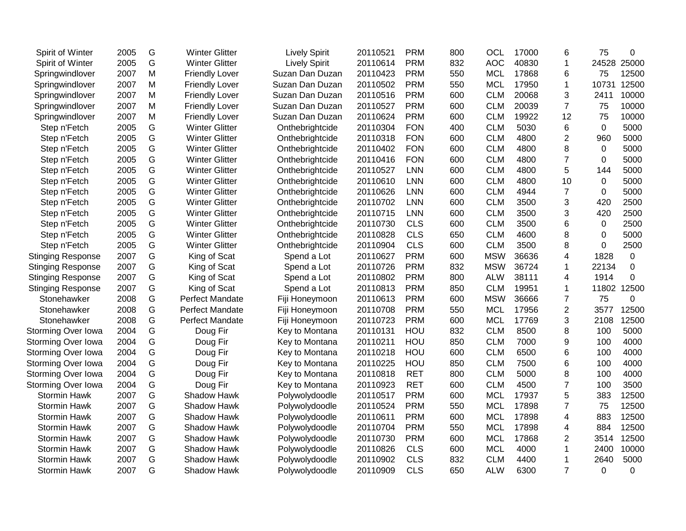| Spirit of Winter         | 2005 | G | <b>Winter Glitter</b>  | <b>Lively Spirit</b> | 20110521 | <b>PRM</b> | 800 | OCL        | 17000 | 6              | 75          | 0        |
|--------------------------|------|---|------------------------|----------------------|----------|------------|-----|------------|-------|----------------|-------------|----------|
| Spirit of Winter         | 2005 | G | <b>Winter Glitter</b>  | <b>Lively Spirit</b> | 20110614 | <b>PRM</b> | 832 | <b>AOC</b> | 40830 | $\mathbf{1}$   | 24528       | 25000    |
| Springwindlover          | 2007 | M | <b>Friendly Lover</b>  | Suzan Dan Duzan      | 20110423 | <b>PRM</b> | 550 | <b>MCL</b> | 17868 | 6              | 75          | 12500    |
| Springwindlover          | 2007 | Μ | <b>Friendly Lover</b>  | Suzan Dan Duzan      | 20110502 | <b>PRM</b> | 550 | <b>MCL</b> | 17950 | $\mathbf{1}$   | 10731       | 12500    |
| Springwindlover          | 2007 | M | <b>Friendly Lover</b>  | Suzan Dan Duzan      | 20110516 | <b>PRM</b> | 600 | <b>CLM</b> | 20068 | 3              | 2411        | 10000    |
| Springwindlover          | 2007 | M | <b>Friendly Lover</b>  | Suzan Dan Duzan      | 20110527 | <b>PRM</b> | 600 | <b>CLM</b> | 20039 | $\overline{7}$ | 75          | 10000    |
| Springwindlover          | 2007 | Μ | <b>Friendly Lover</b>  | Suzan Dan Duzan      | 20110624 | <b>PRM</b> | 600 | <b>CLM</b> | 19922 | 12             | 75          | 10000    |
| Step n'Fetch             | 2005 | G | <b>Winter Glitter</b>  | Onthebrightcide      | 20110304 | <b>FON</b> | 400 | <b>CLM</b> | 5030  | 6              | $\Omega$    | 5000     |
| Step n'Fetch             | 2005 | G | <b>Winter Glitter</b>  | Onthebrightcide      | 20110318 | <b>FON</b> | 600 | <b>CLM</b> | 4800  | $\overline{2}$ | 960         | 5000     |
| Step n'Fetch             | 2005 | G | <b>Winter Glitter</b>  | Onthebrightcide      | 20110402 | <b>FON</b> | 600 | <b>CLM</b> | 4800  | 8              | $\mathbf 0$ | 5000     |
| Step n'Fetch             | 2005 | G | <b>Winter Glitter</b>  | Onthebrightcide      | 20110416 | <b>FON</b> | 600 | <b>CLM</b> | 4800  | $\overline{7}$ | 0           | 5000     |
| Step n'Fetch             | 2005 | G | <b>Winter Glitter</b>  | Onthebrightcide      | 20110527 | <b>LNN</b> | 600 | <b>CLM</b> | 4800  | 5              | 144         | 5000     |
| Step n'Fetch             | 2005 | G | <b>Winter Glitter</b>  | Onthebrightcide      | 20110610 | LNN        | 600 | <b>CLM</b> | 4800  | 10             | 0           | 5000     |
| Step n'Fetch             | 2005 | G | <b>Winter Glitter</b>  | Onthebrightcide      | 20110626 | <b>LNN</b> | 600 | <b>CLM</b> | 4944  | $\overline{7}$ | $\mathbf 0$ | 5000     |
| Step n'Fetch             | 2005 | G | <b>Winter Glitter</b>  | Onthebrightcide      | 20110702 | <b>LNN</b> | 600 | <b>CLM</b> | 3500  | 3              | 420         | 2500     |
| Step n'Fetch             | 2005 | G | <b>Winter Glitter</b>  | Onthebrightcide      | 20110715 | <b>LNN</b> | 600 | <b>CLM</b> | 3500  | 3              | 420         | 2500     |
| Step n'Fetch             | 2005 | G | <b>Winter Glitter</b>  | Onthebrightcide      | 20110730 | <b>CLS</b> | 600 | <b>CLM</b> | 3500  | 6              | 0           | 2500     |
| Step n'Fetch             | 2005 | G | <b>Winter Glitter</b>  | Onthebrightcide      | 20110828 | <b>CLS</b> | 650 | <b>CLM</b> | 4600  | 8              | $\Omega$    | 5000     |
| Step n'Fetch             | 2005 | G | <b>Winter Glitter</b>  | Onthebrightcide      | 20110904 | <b>CLS</b> | 600 | <b>CLM</b> | 3500  | 8              | $\Omega$    | 2500     |
| <b>Stinging Response</b> | 2007 | G | King of Scat           | Spend a Lot          | 20110627 | <b>PRM</b> | 600 | <b>MSW</b> | 36636 | 4              | 1828        | 0        |
| <b>Stinging Response</b> | 2007 | G | King of Scat           | Spend a Lot          | 20110726 | <b>PRM</b> | 832 | <b>MSW</b> | 36724 | 1              | 22134       | $\Omega$ |
| <b>Stinging Response</b> | 2007 | G | King of Scat           | Spend a Lot          | 20110802 | <b>PRM</b> | 800 | <b>ALW</b> | 38111 | 4              | 1914        | 0        |
| <b>Stinging Response</b> | 2007 | G | King of Scat           | Spend a Lot          | 20110813 | <b>PRM</b> | 850 | <b>CLM</b> | 19951 | 1              | 11802       | 12500    |
| Stonehawker              | 2008 | G | Perfect Mandate        | Fiji Honeymoon       | 20110613 | <b>PRM</b> | 600 | <b>MSW</b> | 36666 | 7              | 75          | 0        |
| Stonehawker              | 2008 | G | <b>Perfect Mandate</b> | Fiji Honeymoon       | 20110708 | <b>PRM</b> | 550 | <b>MCL</b> | 17956 | $\overline{2}$ | 3577        | 12500    |
| Stonehawker              | 2008 | G | <b>Perfect Mandate</b> | Fiji Honeymoon       | 20110723 | <b>PRM</b> | 600 | <b>MCL</b> | 17769 | 3              | 2108        | 12500    |
| Storming Over Iowa       | 2004 | G | Doug Fir               | Key to Montana       | 20110131 | HOU        | 832 | <b>CLM</b> | 8500  | 8              | 100         | 5000     |
| Storming Over Iowa       | 2004 | G | Doug Fir               | Key to Montana       | 20110211 | HOU        | 850 | <b>CLM</b> | 7000  | 9              | 100         | 4000     |
| Storming Over Iowa       | 2004 | G | Doug Fir               | Key to Montana       | 20110218 | HOU        | 600 | <b>CLM</b> | 6500  | 6              | 100         | 4000     |
| Storming Over Iowa       | 2004 | G | Doug Fir               | Key to Montana       | 20110225 | HOU        | 850 | <b>CLM</b> | 7500  | 6              | 100         | 4000     |
| Storming Over Iowa       | 2004 | G | Doug Fir               | Key to Montana       | 20110818 | <b>RET</b> | 800 | <b>CLM</b> | 5000  | 8              | 100         | 4000     |
| Storming Over Iowa       | 2004 | G | Doug Fir               | Key to Montana       | 20110923 | <b>RET</b> | 600 | <b>CLM</b> | 4500  | $\overline{7}$ | 100         | 3500     |
| <b>Stormin Hawk</b>      | 2007 | G | Shadow Hawk            | Polywolydoodle       | 20110517 | <b>PRM</b> | 600 | <b>MCL</b> | 17937 | 5              | 383         | 12500    |
| Stormin Hawk             | 2007 | G | Shadow Hawk            | Polywolydoodle       | 20110524 | <b>PRM</b> | 550 | <b>MCL</b> | 17898 | $\overline{7}$ | 75          | 12500    |
| <b>Stormin Hawk</b>      | 2007 | G | Shadow Hawk            | Polywolydoodle       | 20110611 | <b>PRM</b> | 600 | <b>MCL</b> | 17898 | 4              | 883         | 12500    |
| <b>Stormin Hawk</b>      | 2007 | G | Shadow Hawk            | Polywolydoodle       | 20110704 | <b>PRM</b> | 550 | <b>MCL</b> | 17898 | 4              | 884         | 12500    |
| <b>Stormin Hawk</b>      | 2007 | G | Shadow Hawk            | Polywolydoodle       | 20110730 | <b>PRM</b> | 600 | <b>MCL</b> | 17868 | 2              | 3514        | 12500    |
| Stormin Hawk             | 2007 | G | <b>Shadow Hawk</b>     | Polywolydoodle       | 20110826 | <b>CLS</b> | 600 | <b>MCL</b> | 4000  | 1              | 2400        | 10000    |
| Stormin Hawk             | 2007 | G | <b>Shadow Hawk</b>     | Polywolydoodle       | 20110902 | <b>CLS</b> | 832 | <b>CLM</b> | 4400  | 1              | 2640        | 5000     |
| Stormin Hawk             | 2007 | G | <b>Shadow Hawk</b>     | Polywolydoodle       | 20110909 | <b>CLS</b> | 650 | <b>ALW</b> | 6300  | $\overline{7}$ | 0           | 0        |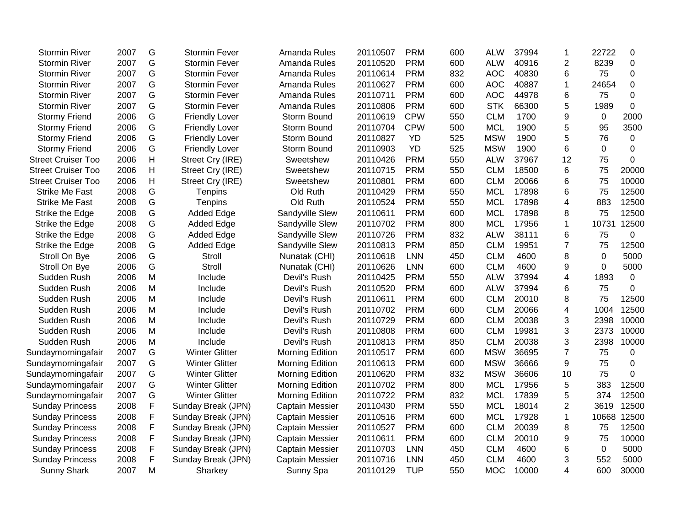| <b>Stormin River</b>      | 2007 | G             | <b>Stormin Fever</b>  | Amanda Rules           | 20110507 | <b>PRM</b> | 600 | <b>ALW</b> | 37994 | 1              | 22722    | 0           |
|---------------------------|------|---------------|-----------------------|------------------------|----------|------------|-----|------------|-------|----------------|----------|-------------|
| <b>Stormin River</b>      | 2007 | G             | <b>Stormin Fever</b>  | Amanda Rules           | 20110520 | <b>PRM</b> | 600 | <b>ALW</b> | 40916 | $\overline{c}$ | 8239     | $\mathbf 0$ |
| <b>Stormin River</b>      | 2007 | G             | <b>Stormin Fever</b>  | Amanda Rules           | 20110614 | <b>PRM</b> | 832 | <b>AOC</b> | 40830 | 6              | 75       | 0           |
| <b>Stormin River</b>      | 2007 | G             | <b>Stormin Fever</b>  | Amanda Rules           | 20110627 | <b>PRM</b> | 600 | <b>AOC</b> | 40887 | 1              | 24654    | 0           |
| <b>Stormin River</b>      | 2007 | G             | <b>Stormin Fever</b>  | Amanda Rules           | 20110711 | <b>PRM</b> | 600 | <b>AOC</b> | 44978 | 6              | 75       | 0           |
| <b>Stormin River</b>      | 2007 | G             | <b>Stormin Fever</b>  | Amanda Rules           | 20110806 | <b>PRM</b> | 600 | <b>STK</b> | 66300 | 5              | 1989     | $\mathbf 0$ |
| <b>Stormy Friend</b>      | 2006 | G             | <b>Friendly Lover</b> | Storm Bound            | 20110619 | <b>CPW</b> | 550 | <b>CLM</b> | 1700  | 9              | 0        | 2000        |
| <b>Stormy Friend</b>      | 2006 | ${\mathsf G}$ | <b>Friendly Lover</b> | Storm Bound            | 20110704 | <b>CPW</b> | 500 | <b>MCL</b> | 1900  | 5              | 95       | 3500        |
| <b>Stormy Friend</b>      | 2006 | G             | <b>Friendly Lover</b> | Storm Bound            | 20110827 | <b>YD</b>  | 525 | <b>MSW</b> | 1900  | 5              | 76       | 0           |
| <b>Stormy Friend</b>      | 2006 | G             | <b>Friendly Lover</b> | Storm Bound            | 20110903 | <b>YD</b>  | 525 | <b>MSW</b> | 1900  | 6              | 0        | $\mathbf 0$ |
| <b>Street Cruiser Too</b> | 2006 | Н             | Street Cry (IRE)      | Sweetshew              | 20110426 | <b>PRM</b> | 550 | <b>ALW</b> | 37967 | 12             | 75       | 0           |
| <b>Street Cruiser Too</b> | 2006 | н             | Street Cry (IRE)      | Sweetshew              | 20110715 | <b>PRM</b> | 550 | <b>CLM</b> | 18500 | 6              | 75       | 20000       |
| <b>Street Cruiser Too</b> | 2006 | н             | Street Cry (IRE)      | Sweetshew              | 20110801 | <b>PRM</b> | 600 | <b>CLM</b> | 20066 | 6              | 75       | 10000       |
| <b>Strike Me Fast</b>     | 2008 | G             | Tenpins               | Old Ruth               | 20110429 | <b>PRM</b> | 550 | <b>MCL</b> | 17898 | 6              | 75       | 12500       |
| <b>Strike Me Fast</b>     | 2008 | ${\mathsf G}$ | Tenpins               | Old Ruth               | 20110524 | <b>PRM</b> | 550 | <b>MCL</b> | 17898 | 4              | 883      | 12500       |
| Strike the Edge           | 2008 | G             | <b>Added Edge</b>     | Sandyville Slew        | 20110611 | <b>PRM</b> | 600 | <b>MCL</b> | 17898 | 8              | 75       | 12500       |
| Strike the Edge           | 2008 | ${\mathsf G}$ | <b>Added Edge</b>     | Sandyville Slew        | 20110702 | <b>PRM</b> | 800 | <b>MCL</b> | 17956 | $\mathbf{1}$   | 10731    | 12500       |
| Strike the Edge           | 2008 | G             | <b>Added Edge</b>     | Sandyville Slew        | 20110726 | <b>PRM</b> | 832 | <b>ALW</b> | 38111 | 6              | 75       | $\mathbf 0$ |
| Strike the Edge           | 2008 | G             | <b>Added Edge</b>     | Sandyville Slew        | 20110813 | <b>PRM</b> | 850 | <b>CLM</b> | 19951 | $\overline{7}$ | 75       | 12500       |
| Stroll On Bye             | 2006 | G             | Stroll                | Nunatak (CHI)          | 20110618 | <b>LNN</b> | 450 | <b>CLM</b> | 4600  | 8              | $\Omega$ | 5000        |
| Stroll On Bye             | 2006 | G             | Stroll                | Nunatak (CHI)          | 20110626 | <b>LNN</b> | 600 | <b>CLM</b> | 4600  | 9              | 0        | 5000        |
| Sudden Rush               | 2006 | M             | Include               | Devil's Rush           | 20110425 | <b>PRM</b> | 550 | <b>ALW</b> | 37994 | 4              | 1893     | 0           |
| Sudden Rush               | 2006 | M             | Include               | Devil's Rush           | 20110520 | <b>PRM</b> | 600 | <b>ALW</b> | 37994 | 6              | 75       | 0           |
| Sudden Rush               | 2006 | M             | Include               | Devil's Rush           | 20110611 | <b>PRM</b> | 600 | <b>CLM</b> | 20010 | 8              | 75       | 12500       |
| Sudden Rush               | 2006 | M             | Include               | Devil's Rush           | 20110702 | <b>PRM</b> | 600 | <b>CLM</b> | 20066 | 4              | 1004     | 12500       |
| Sudden Rush               | 2006 | M             | Include               | Devil's Rush           | 20110729 | <b>PRM</b> | 600 | <b>CLM</b> | 20038 | 3              | 2398     | 10000       |
| Sudden Rush               | 2006 | M             | Include               | Devil's Rush           | 20110808 | <b>PRM</b> | 600 | <b>CLM</b> | 19981 | 3              | 2373     | 10000       |
| Sudden Rush               | 2006 | M             | Include               | Devil's Rush           | 20110813 | <b>PRM</b> | 850 | <b>CLM</b> | 20038 | 3              | 2398     | 10000       |
| Sundaymorningafair        | 2007 | G             | <b>Winter Glitter</b> | Morning Edition        | 20110517 | <b>PRM</b> | 600 | <b>MSW</b> | 36695 | $\overline{7}$ | 75       | 0           |
| Sundaymorningafair        | 2007 | G             | <b>Winter Glitter</b> | Morning Edition        | 20110613 | <b>PRM</b> | 600 | <b>MSW</b> | 36666 | 9              | 75       | 0           |
| Sundaymorningafair        | 2007 | ${\mathsf G}$ | <b>Winter Glitter</b> | Morning Edition        | 20110620 | <b>PRM</b> | 832 | <b>MSW</b> | 36606 | 10             | 75       | 0           |
| Sundaymorningafair        | 2007 | G             | <b>Winter Glitter</b> | Morning Edition        | 20110702 | <b>PRM</b> | 800 | <b>MCL</b> | 17956 | 5              | 383      | 12500       |
| Sundaymorningafair        | 2007 | G             | <b>Winter Glitter</b> | <b>Morning Edition</b> | 20110722 | <b>PRM</b> | 832 | <b>MCL</b> | 17839 | 5              | 374      | 12500       |
| <b>Sunday Princess</b>    | 2008 | F             | Sunday Break (JPN)    | <b>Captain Messier</b> | 20110430 | <b>PRM</b> | 550 | <b>MCL</b> | 18014 | $\overline{2}$ | 3619     | 12500       |
| <b>Sunday Princess</b>    | 2008 | F             | Sunday Break (JPN)    | <b>Captain Messier</b> | 20110516 | <b>PRM</b> | 600 | <b>MCL</b> | 17928 | 1              | 10668    | 12500       |
| <b>Sunday Princess</b>    | 2008 | F             | Sunday Break (JPN)    | <b>Captain Messier</b> | 20110527 | <b>PRM</b> | 600 | <b>CLM</b> | 20039 | 8              | 75       | 12500       |
| <b>Sunday Princess</b>    | 2008 | F             | Sunday Break (JPN)    | <b>Captain Messier</b> | 20110611 | <b>PRM</b> | 600 | <b>CLM</b> | 20010 | 9              | 75       | 10000       |
| <b>Sunday Princess</b>    | 2008 | F             | Sunday Break (JPN)    | <b>Captain Messier</b> | 20110703 | LNN        | 450 | <b>CLM</b> | 4600  | 6              | 0        | 5000        |
| <b>Sunday Princess</b>    | 2008 | F             | Sunday Break (JPN)    | Captain Messier        | 20110716 | LNN        | 450 | <b>CLM</b> | 4600  | 3              | 552      | 5000        |
| <b>Sunny Shark</b>        | 2007 | M             | Sharkey               | Sunny Spa              | 20110129 | <b>TUP</b> | 550 | <b>MOC</b> | 10000 | 4              | 600      | 30000       |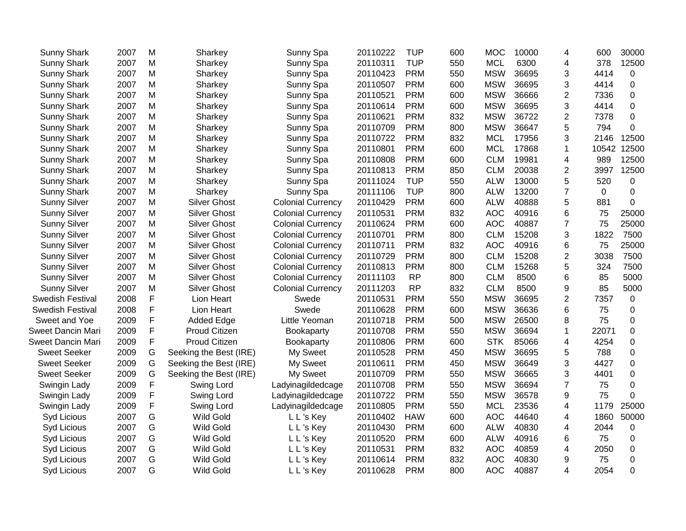| 2007 | M           | Sharkey                | Sunny Spa                | 20110222          | <b>TUP</b> | 600 | <b>MOC</b> | 10000 | 4              | 600            | 30000            |
|------|-------------|------------------------|--------------------------|-------------------|------------|-----|------------|-------|----------------|----------------|------------------|
| 2007 | M           | Sharkey                | Sunny Spa                | 20110311          | <b>TUP</b> | 550 | <b>MCL</b> | 6300  | 4              | 378            | 12500            |
| 2007 | M           | Sharkey                | Sunny Spa                | 20110423          | <b>PRM</b> | 550 | <b>MSW</b> | 36695 | 3              | 4414           | $\mathbf 0$      |
| 2007 | M           | Sharkey                | Sunny Spa                | 20110507          | <b>PRM</b> | 600 | <b>MSW</b> | 36695 | 3              | 4414           | 0                |
| 2007 | M           | Sharkey                | Sunny Spa                | 20110521          | <b>PRM</b> | 600 | <b>MSW</b> | 36666 | 2              | 7336           | 0                |
| 2007 | M           | Sharkey                | Sunny Spa                | 20110614          | <b>PRM</b> | 600 | <b>MSW</b> | 36695 | 3              | 4414           | 0                |
| 2007 | M           | Sharkey                | Sunny Spa                | 20110621          | <b>PRM</b> | 832 | <b>MSW</b> | 36722 | $\overline{2}$ | 7378           | 0                |
| 2007 | M           | Sharkey                | Sunny Spa                | 20110709          | <b>PRM</b> | 800 | <b>MSW</b> | 36647 | 5              | 794            | 0                |
| 2007 | M           | Sharkey                | Sunny Spa                | 20110722          | <b>PRM</b> | 832 | <b>MCL</b> | 17956 | 3              | 2146           | 12500            |
| 2007 | M           | Sharkey                | Sunny Spa                | 20110801          | <b>PRM</b> | 600 | <b>MCL</b> | 17868 | 1              | 10542          | 12500            |
| 2007 | M           | Sharkey                | Sunny Spa                | 20110808          | <b>PRM</b> | 600 | <b>CLM</b> | 19981 | 4              | 989            | 12500            |
| 2007 | M           | Sharkey                | Sunny Spa                | 20110813          | <b>PRM</b> | 850 | <b>CLM</b> | 20038 | $\overline{2}$ | 3997           | 12500            |
| 2007 | M           | Sharkey                | Sunny Spa                | 20111024          | <b>TUP</b> | 550 | <b>ALW</b> | 13000 | 5              | 520            | 0                |
| 2007 | M           | Sharkey                | Sunny Spa                | 20111106          | <b>TUP</b> | 800 | <b>ALW</b> | 13200 | $\overline{7}$ | $\overline{0}$ | $\mathbf 0$      |
| 2007 | M           | <b>Silver Ghost</b>    | <b>Colonial Currency</b> | 20110429          | <b>PRM</b> | 600 | <b>ALW</b> | 40888 | 5              | 881            | 0                |
| 2007 | M           | <b>Silver Ghost</b>    | <b>Colonial Currency</b> | 20110531          | <b>PRM</b> | 832 | <b>AOC</b> | 40916 | 6              | 75             | 25000            |
| 2007 | M           | <b>Silver Ghost</b>    | <b>Colonial Currency</b> | 20110624          | <b>PRM</b> | 600 | <b>AOC</b> | 40887 | $\overline{7}$ | 75             | 25000            |
| 2007 | M           | <b>Silver Ghost</b>    | <b>Colonial Currency</b> | 20110701          | <b>PRM</b> | 800 | <b>CLM</b> | 15208 | 3              | 1822           | 7500             |
| 2007 | M           | <b>Silver Ghost</b>    | <b>Colonial Currency</b> | 20110711          | <b>PRM</b> | 832 | <b>AOC</b> | 40916 | 6              | 75             | 25000            |
| 2007 | M           | <b>Silver Ghost</b>    | <b>Colonial Currency</b> | 20110729          | <b>PRM</b> | 800 | <b>CLM</b> | 15208 | 2              | 3038           | 7500             |
| 2007 | M           | <b>Silver Ghost</b>    | <b>Colonial Currency</b> | 20110813          | <b>PRM</b> | 800 | <b>CLM</b> | 15268 | 5              | 324            | 7500             |
| 2007 | M           | <b>Silver Ghost</b>    | <b>Colonial Currency</b> | 20111103          | <b>RP</b>  | 800 | <b>CLM</b> | 8500  | 6              | 85             | 5000             |
| 2007 | M           | <b>Silver Ghost</b>    | <b>Colonial Currency</b> | 20111203          | <b>RP</b>  | 832 | <b>CLM</b> | 8500  | 9              | 85             | 5000             |
| 2008 | F           | Lion Heart             | Swede                    | 20110531          | <b>PRM</b> | 550 | <b>MSW</b> | 36695 | $\overline{2}$ | 7357           | $\mathbf 0$      |
| 2008 | F           | Lion Heart             | Swede                    | 20110628          | <b>PRM</b> | 600 | <b>MSW</b> | 36636 | 6              | 75             | $\boldsymbol{0}$ |
| 2009 | F           | <b>Added Edge</b>      | Little Yeoman            | 20110718          | <b>PRM</b> | 500 | <b>MSW</b> | 26500 | 8              | 75             | 0                |
| 2009 | F           | Proud Citizen          | Bookaparty               | 20110708          | <b>PRM</b> | 550 | <b>MSW</b> | 36694 | $\mathbf{1}$   | 22071          | 0                |
| 2009 | F           | Proud Citizen          | Bookaparty               | 20110806          | <b>PRM</b> | 600 | <b>STK</b> | 85066 | 4              | 4254           | 0                |
| 2009 | G           | Seeking the Best (IRE) | My Sweet                 | 20110528          | <b>PRM</b> | 450 | <b>MSW</b> | 36695 | 5              | 788            | 0                |
| 2009 | G           | Seeking the Best (IRE) | My Sweet                 | 20110611          | <b>PRM</b> | 450 | <b>MSW</b> | 36649 | 3              | 4427           | 0                |
| 2009 | G           | Seeking the Best (IRE) | My Sweet                 | 20110709          | <b>PRM</b> | 550 | <b>MSW</b> | 36665 | 3              | 4401           | $\mathbf 0$      |
| 2009 | $\mathsf F$ | Swing Lord             | Ladyinagildedcage        | 20110708          | <b>PRM</b> | 550 | <b>MSW</b> | 36694 | $\overline{7}$ | 75             | 0                |
| 2009 | F           | Swing Lord             |                          | 20110722          | <b>PRM</b> | 550 | <b>MSW</b> | 36578 | 9              | 75             | 0                |
| 2009 | F           | Swing Lord             | Ladyinagildedcage        | 20110805          | <b>PRM</b> | 550 | <b>MCL</b> | 23536 | 4              | 1179           | 25000            |
| 2007 | G           | Wild Gold              | L L's Key                | 20110402          | <b>HAW</b> | 600 | <b>AOC</b> | 44640 | 4              | 1860           | 50000            |
| 2007 | G           | <b>Wild Gold</b>       | L L's Key                | 20110430          | <b>PRM</b> | 600 | <b>ALW</b> | 40830 | 4              | 2044           | 0                |
| 2007 | G           | <b>Wild Gold</b>       | L L's Key                | 20110520          | <b>PRM</b> | 600 | <b>ALW</b> | 40916 | 6              | 75             | 0                |
| 2007 | G           | Wild Gold              | L L's Key                | 20110531          | <b>PRM</b> | 832 | <b>AOC</b> | 40859 | 4              | 2050           | $\mathbf 0$      |
| 2007 | G           | <b>Wild Gold</b>       | L L's Key                | 20110614          | <b>PRM</b> | 832 | <b>AOC</b> | 40830 | 9              | 75             | 0                |
| 2007 | G           | <b>Wild Gold</b>       | L L's Key                | 20110628          | <b>PRM</b> | 800 | <b>AOC</b> | 40887 | 4              | 2054           | 0                |
|      |             |                        |                          | Ladyinagildedcage |            |     |            |       |                |                |                  |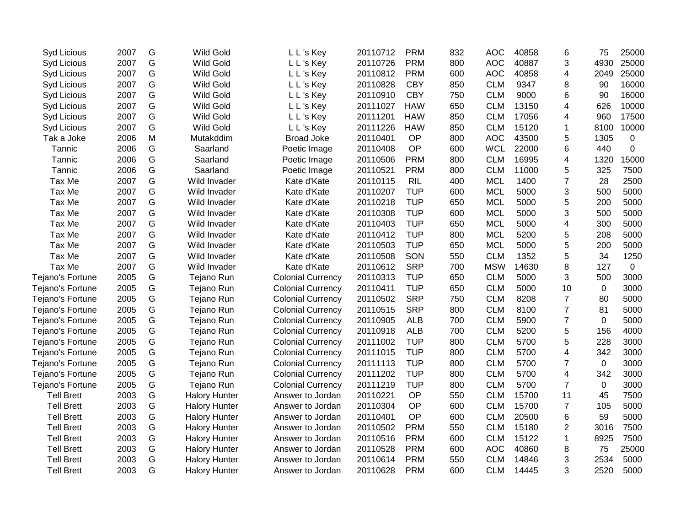| Syd Licious       | 2007 | G             | <b>Wild Gold</b>     | L L's Key                | 20110712 | <b>PRM</b> | 832 | <b>AOC</b> | 40858 | 6              | 75   | 25000       |
|-------------------|------|---------------|----------------------|--------------------------|----------|------------|-----|------------|-------|----------------|------|-------------|
| Syd Licious       | 2007 | G             | <b>Wild Gold</b>     | L L's Key                | 20110726 | <b>PRM</b> | 800 | <b>AOC</b> | 40887 | 3              | 4930 | 25000       |
| Syd Licious       | 2007 | G             | <b>Wild Gold</b>     | L L's Key                | 20110812 | <b>PRM</b> | 600 | <b>AOC</b> | 40858 | 4              | 2049 | 25000       |
| Syd Licious       | 2007 | G             | <b>Wild Gold</b>     | L L's Key                | 20110828 | <b>CBY</b> | 850 | <b>CLM</b> | 9347  | 8              | 90   | 16000       |
| Syd Licious       | 2007 | G             | Wild Gold            | L L's Key                | 20110910 | <b>CBY</b> | 750 | <b>CLM</b> | 9000  | 6              | 90   | 16000       |
| Syd Licious       | 2007 | G             | <b>Wild Gold</b>     | L L's Key                | 20111027 | <b>HAW</b> | 650 | <b>CLM</b> | 13150 | 4              | 626  | 10000       |
| Syd Licious       | 2007 | G             | <b>Wild Gold</b>     | L L's Key                | 20111201 | <b>HAW</b> | 850 | <b>CLM</b> | 17056 | 4              | 960  | 17500       |
| Syd Licious       | 2007 | G             | <b>Wild Gold</b>     | L L's Key                | 20111226 | <b>HAW</b> | 850 | <b>CLM</b> | 15120 | 1              | 8100 | 10000       |
| Tak a Joke        | 2006 | M             | Mutakddim            | <b>Broad Joke</b>        | 20110401 | OP         | 800 | <b>AOC</b> | 43500 | 5              | 1305 | $\mathbf 0$ |
| Tannic            | 2006 | G             | Saarland             | Poetic Image             | 20110408 | OP         | 600 | <b>WCL</b> | 22000 | 6              | 440  | $\mathsf 0$ |
| Tannic            | 2006 | G             | Saarland             | Poetic Image             | 20110506 | <b>PRM</b> | 800 | <b>CLM</b> | 16995 | 4              | 1320 | 15000       |
| Tannic            | 2006 | G             | Saarland             | Poetic Image             | 20110521 | <b>PRM</b> | 800 | <b>CLM</b> | 11000 | 5              | 325  | 7500        |
| Tax Me            | 2007 | G             | Wild Invader         | Kate d'Kate              | 20110115 | <b>RIL</b> | 400 | <b>MCL</b> | 1400  | 7              | 28   | 2500        |
| Tax Me            | 2007 | G             | Wild Invader         | Kate d'Kate              | 20110207 | <b>TUP</b> | 600 | <b>MCL</b> | 5000  | 3              | 500  | 5000        |
| Tax Me            | 2007 | G             | Wild Invader         | Kate d'Kate              | 20110218 | <b>TUP</b> | 650 | <b>MCL</b> | 5000  | 5              | 200  | 5000        |
| Tax Me            | 2007 | G             | Wild Invader         | Kate d'Kate              | 20110308 | <b>TUP</b> | 600 | <b>MCL</b> | 5000  | 3              | 500  | 5000        |
| Tax Me            | 2007 | G             | Wild Invader         | Kate d'Kate              | 20110403 | <b>TUP</b> | 650 | <b>MCL</b> | 5000  | 4              | 300  | 5000        |
| Tax Me            | 2007 | G             | Wild Invader         | Kate d'Kate              | 20110412 | <b>TUP</b> | 800 | <b>MCL</b> | 5200  | 5              | 208  | 5000        |
| Tax Me            | 2007 | G             | Wild Invader         | Kate d'Kate              | 20110503 | <b>TUP</b> | 650 | <b>MCL</b> | 5000  | 5              | 200  | 5000        |
| Tax Me            | 2007 | G             | Wild Invader         | Kate d'Kate              | 20110508 | SON        | 550 | <b>CLM</b> | 1352  | 5              | 34   | 1250        |
| Tax Me            | 2007 | G             | Wild Invader         | Kate d'Kate              | 20110612 | <b>SRP</b> | 700 | <b>MSW</b> | 14630 | 8              | 127  | $\mathbf 0$ |
| Tejano's Fortune  | 2005 | G             | Tejano Run           | <b>Colonial Currency</b> | 20110313 | <b>TUP</b> | 650 | <b>CLM</b> | 5000  | 3              | 500  | 3000        |
| Tejano's Fortune  | 2005 | G             | Tejano Run           | <b>Colonial Currency</b> | 20110411 | <b>TUP</b> | 650 | <b>CLM</b> | 5000  | 10             | 0    | 3000        |
| Tejano's Fortune  | 2005 | G             | Tejano Run           | <b>Colonial Currency</b> | 20110502 | <b>SRP</b> | 750 | <b>CLM</b> | 8208  | $\overline{7}$ | 80   | 5000        |
| Tejano's Fortune  | 2005 | G             | Tejano Run           | <b>Colonial Currency</b> | 20110515 | <b>SRP</b> | 800 | <b>CLM</b> | 8100  | $\overline{7}$ | 81   | 5000        |
| Tejano's Fortune  | 2005 | G             | Tejano Run           | <b>Colonial Currency</b> | 20110905 | <b>ALB</b> | 700 | <b>CLM</b> | 5900  | $\overline{7}$ | 0    | 5000        |
| Tejano's Fortune  | 2005 | G             | Tejano Run           | <b>Colonial Currency</b> | 20110918 | <b>ALB</b> | 700 | <b>CLM</b> | 5200  | 5              | 156  | 4000        |
| Tejano's Fortune  | 2005 | G             | Tejano Run           | <b>Colonial Currency</b> | 20111002 | <b>TUP</b> | 800 | <b>CLM</b> | 5700  | 5              | 228  | 3000        |
| Tejano's Fortune  | 2005 | G             | Tejano Run           | <b>Colonial Currency</b> | 20111015 | <b>TUP</b> | 800 | <b>CLM</b> | 5700  | 4              | 342  | 3000        |
| Tejano's Fortune  | 2005 | G             | Tejano Run           | <b>Colonial Currency</b> | 20111113 | <b>TUP</b> | 800 | <b>CLM</b> | 5700  | $\overline{7}$ | 0    | 3000        |
| Tejano's Fortune  | 2005 | ${\mathsf G}$ | Tejano Run           | <b>Colonial Currency</b> | 20111202 | <b>TUP</b> | 800 | <b>CLM</b> | 5700  | 4              | 342  | 3000        |
| Tejano's Fortune  | 2005 | G             | Tejano Run           | <b>Colonial Currency</b> | 20111219 | <b>TUP</b> | 800 | <b>CLM</b> | 5700  | $\overline{7}$ | 0    | 3000        |
| <b>Tell Brett</b> | 2003 | G             | <b>Halory Hunter</b> | Answer to Jordan         | 20110221 | OP         | 550 | <b>CLM</b> | 15700 | 11             | 45   | 7500        |
| <b>Tell Brett</b> | 2003 | G             | <b>Halory Hunter</b> | Answer to Jordan         | 20110304 | OP         | 600 | <b>CLM</b> | 15700 | $\overline{7}$ | 105  | 5000        |
| <b>Tell Brett</b> | 2003 | G             | <b>Halory Hunter</b> | Answer to Jordan         | 20110401 | OP         | 600 | <b>CLM</b> | 20500 | 6              | 59   | 5000        |
| <b>Tell Brett</b> | 2003 | G             | <b>Halory Hunter</b> | Answer to Jordan         | 20110502 | <b>PRM</b> | 550 | <b>CLM</b> | 15180 | $\overline{2}$ | 3016 | 7500        |
| <b>Tell Brett</b> | 2003 | G             | <b>Halory Hunter</b> | Answer to Jordan         | 20110516 | <b>PRM</b> | 600 | <b>CLM</b> | 15122 | $\mathbf{1}$   | 8925 | 7500        |
| <b>Tell Brett</b> | 2003 | G             | <b>Halory Hunter</b> | Answer to Jordan         | 20110528 | <b>PRM</b> | 600 | <b>AOC</b> | 40860 | 8              | 75   | 25000       |
| <b>Tell Brett</b> | 2003 | G             | <b>Halory Hunter</b> | Answer to Jordan         | 20110614 | <b>PRM</b> | 550 | <b>CLM</b> | 14846 | 3              | 2534 | 5000        |
| <b>Tell Brett</b> | 2003 | G             | <b>Halory Hunter</b> | Answer to Jordan         | 20110628 | <b>PRM</b> | 600 | <b>CLM</b> | 14445 | 3              | 2520 | 5000        |
|                   |      |               |                      |                          |          |            |     |            |       |                |      |             |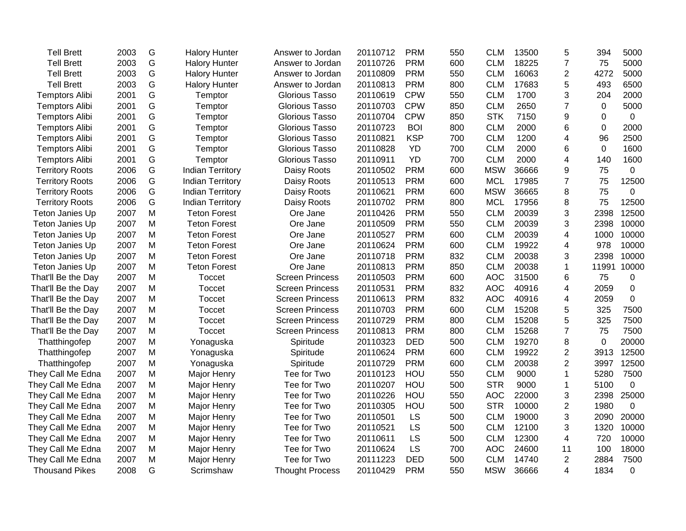| <b>Tell Brett</b>      | 2003 | G | <b>Halory Hunter</b>    | Answer to Jordan       | 20110712 | <b>PRM</b> | 550 | <b>CLM</b> | 13500 | 5                        | 394         | 5000         |
|------------------------|------|---|-------------------------|------------------------|----------|------------|-----|------------|-------|--------------------------|-------------|--------------|
| <b>Tell Brett</b>      | 2003 | G | <b>Halory Hunter</b>    | Answer to Jordan       | 20110726 | <b>PRM</b> | 600 | <b>CLM</b> | 18225 | $\overline{7}$           | 75          | 5000         |
| <b>Tell Brett</b>      | 2003 | G | <b>Halory Hunter</b>    | Answer to Jordan       | 20110809 | <b>PRM</b> | 550 | <b>CLM</b> | 16063 | $\overline{2}$           | 4272        | 5000         |
| <b>Tell Brett</b>      | 2003 | G | <b>Halory Hunter</b>    | Answer to Jordan       | 20110813 | <b>PRM</b> | 800 | <b>CLM</b> | 17683 | 5                        | 493         | 6500         |
| <b>Temptors Alibi</b>  | 2001 | G | Temptor                 | <b>Glorious Tasso</b>  | 20110619 | <b>CPW</b> | 550 | <b>CLM</b> | 1700  | 3                        | 204         | 2000         |
| <b>Temptors Alibi</b>  | 2001 | G | Temptor                 | <b>Glorious Tasso</b>  | 20110703 | <b>CPW</b> | 850 | <b>CLM</b> | 2650  | $\overline{7}$           | $\Omega$    | 5000         |
| <b>Temptors Alibi</b>  | 2001 | G | Temptor                 | <b>Glorious Tasso</b>  | 20110704 | <b>CPW</b> | 850 | <b>STK</b> | 7150  | 9                        | 0           | $\mathbf 0$  |
| <b>Temptors Alibi</b>  | 2001 | G | Temptor                 | <b>Glorious Tasso</b>  | 20110723 | <b>BOI</b> | 800 | <b>CLM</b> | 2000  | 6                        | 0           | 2000         |
| <b>Temptors Alibi</b>  | 2001 | G | Temptor                 | Glorious Tasso         | 20110821 | <b>KSP</b> | 700 | <b>CLM</b> | 1200  | 4                        | 96          | 2500         |
| <b>Temptors Alibi</b>  | 2001 | G | Temptor                 | Glorious Tasso         | 20110828 | YD         | 700 | <b>CLM</b> | 2000  | 6                        | $\Omega$    | 1600         |
| <b>Temptors Alibi</b>  | 2001 | G | Temptor                 | Glorious Tasso         | 20110911 | YD         | 700 | <b>CLM</b> | 2000  | 4                        | 140         | 1600         |
| <b>Territory Roots</b> | 2006 | G | <b>Indian Territory</b> | Daisy Roots            | 20110502 | <b>PRM</b> | 600 | <b>MSW</b> | 36666 | 9                        | 75          | $\mathbf 0$  |
| <b>Territory Roots</b> | 2006 | G | <b>Indian Territory</b> | Daisy Roots            | 20110513 | <b>PRM</b> | 600 | <b>MCL</b> | 17985 | $\overline{7}$           | 75          | 12500        |
| <b>Territory Roots</b> | 2006 | G | <b>Indian Territory</b> | Daisy Roots            | 20110621 | <b>PRM</b> | 600 | <b>MSW</b> | 36665 | 8                        | 75          | 0            |
| <b>Territory Roots</b> | 2006 | G | <b>Indian Territory</b> | Daisy Roots            | 20110702 | <b>PRM</b> | 800 | <b>MCL</b> | 17956 | 8                        | 75          | 12500        |
| Teton Janies Up        | 2007 | M | <b>Teton Forest</b>     | Ore Jane               | 20110426 | <b>PRM</b> | 550 | <b>CLM</b> | 20039 | 3                        | 2398        | 12500        |
| Teton Janies Up        | 2007 | M | <b>Teton Forest</b>     | Ore Jane               | 20110509 | <b>PRM</b> | 550 | <b>CLM</b> | 20039 | 3                        | 2398        | 10000        |
| Teton Janies Up        | 2007 | M | <b>Teton Forest</b>     | Ore Jane               | 20110527 | <b>PRM</b> | 600 | <b>CLM</b> | 20039 | 4                        | 1000        | 10000        |
| Teton Janies Up        | 2007 | M | <b>Teton Forest</b>     | Ore Jane               | 20110624 | <b>PRM</b> | 600 | <b>CLM</b> | 19922 | 4                        | 978         | 10000        |
| Teton Janies Up        | 2007 | M | <b>Teton Forest</b>     | Ore Jane               | 20110718 | <b>PRM</b> | 832 | <b>CLM</b> | 20038 | 3                        | 2398        | 10000        |
| Teton Janies Up        | 2007 | M | <b>Teton Forest</b>     | Ore Jane               | 20110813 | <b>PRM</b> | 850 | <b>CLM</b> | 20038 | 1                        | 11991       | 10000        |
| That'll Be the Day     | 2007 | M | Toccet                  | <b>Screen Princess</b> | 20110503 | <b>PRM</b> | 600 | <b>AOC</b> | 31500 | 6                        | 75          | 0            |
| That'll Be the Day     | 2007 | M | <b>Toccet</b>           | <b>Screen Princess</b> | 20110531 | <b>PRM</b> | 832 | <b>AOC</b> | 40916 | 4                        | 2059        | 0            |
| That'll Be the Day     | 2007 | M | <b>Toccet</b>           | <b>Screen Princess</b> | 20110613 | <b>PRM</b> | 832 | <b>AOC</b> | 40916 | 4                        | 2059        | 0            |
| That'll Be the Day     | 2007 | M | <b>Toccet</b>           | <b>Screen Princess</b> | 20110703 | <b>PRM</b> | 600 | <b>CLM</b> | 15208 | 5                        | 325         | 7500         |
| That'll Be the Day     | 2007 | M | Toccet                  | <b>Screen Princess</b> | 20110729 | <b>PRM</b> | 800 | <b>CLM</b> | 15208 | 5                        | 325         | 7500         |
| That'll Be the Day     | 2007 | M | Toccet                  | <b>Screen Princess</b> | 20110813 | <b>PRM</b> | 800 | <b>CLM</b> | 15268 | $\overline{7}$           | 75          | 7500         |
| Thatthingofep          | 2007 | M | Yonaguska               | Spiritude              | 20110323 | <b>DED</b> | 500 | <b>CLM</b> | 19270 | 8                        | $\mathbf 0$ | 20000        |
| Thatthingofep          | 2007 | M | Yonaguska               | Spiritude              | 20110624 | <b>PRM</b> | 600 | <b>CLM</b> | 19922 | $\overline{2}$           | 3913        | 12500        |
| Thatthingofep          | 2007 | M | Yonaguska               | Spiritude              | 20110729 | <b>PRM</b> | 600 | <b>CLM</b> | 20038 | $\overline{2}$           | 3997        | 12500        |
| They Call Me Edna      | 2007 | M | Major Henry             | Tee for Two            | 20110123 | HOU        | 550 | <b>CLM</b> | 9000  | $\mathbf{1}$             | 5280        | 7500         |
| They Call Me Edna      | 2007 | M | Major Henry             | Tee for Two            | 20110207 | HOU        | 500 | <b>STR</b> | 9000  | 1                        | 5100        | 0            |
| They Call Me Edna      | 2007 | M | Major Henry             | Tee for Two            | 20110226 | HOU        | 550 | <b>AOC</b> | 22000 | 3                        | 2398        | 25000        |
| They Call Me Edna      | 2007 | M | Major Henry             | Tee for Two            | 20110305 | HOU        | 500 | <b>STR</b> | 10000 | $\overline{2}$           | 1980        | $\mathbf{0}$ |
| They Call Me Edna      | 2007 | M | Major Henry             | Tee for Two            | 20110501 | <b>LS</b>  | 500 | <b>CLM</b> | 19000 | 3                        | 2090        | 20000        |
| They Call Me Edna      | 2007 | M | Major Henry             | Tee for Two            | 20110521 | <b>LS</b>  | 500 | <b>CLM</b> | 12100 | 3                        | 1320        | 10000        |
| They Call Me Edna      | 2007 | M | Major Henry             | Tee for Two            | 20110611 | LS         | 500 | <b>CLM</b> | 12300 | 4                        | 720         | 10000        |
| They Call Me Edna      | 2007 | M | Major Henry             | Tee for Two            | 20110624 | LS         | 700 | <b>AOC</b> | 24600 | 11                       | 100         | 18000        |
| They Call Me Edna      | 2007 | M | <b>Major Henry</b>      | Tee for Two            | 20111223 | <b>DED</b> | 500 | <b>CLM</b> | 14740 | $\overline{2}$           | 2884        | 7500         |
| <b>Thousand Pikes</b>  | 2008 | G | Scrimshaw               | <b>Thought Process</b> | 20110429 | <b>PRM</b> | 550 | <b>MSW</b> | 36666 | $\overline{\mathcal{A}}$ | 1834        | 0            |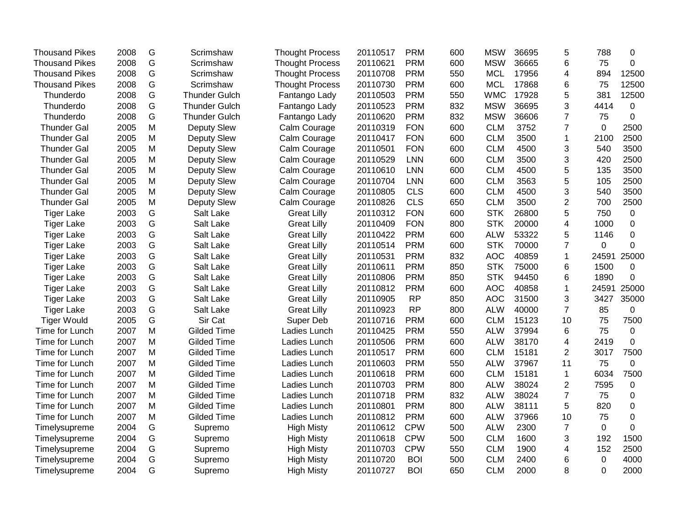| <b>Thousand Pikes</b> | 2008 | G             | Scrimshaw            | <b>Thought Process</b> | 20110517 | <b>PRM</b> | 600 | <b>MSW</b> | 36695 | 5              | 788      | 0           |
|-----------------------|------|---------------|----------------------|------------------------|----------|------------|-----|------------|-------|----------------|----------|-------------|
| <b>Thousand Pikes</b> | 2008 | G             | Scrimshaw            | <b>Thought Process</b> | 20110621 | <b>PRM</b> | 600 | <b>MSW</b> | 36665 | 6              | 75       | 0           |
| <b>Thousand Pikes</b> | 2008 | G             | Scrimshaw            | <b>Thought Process</b> | 20110708 | <b>PRM</b> | 550 | <b>MCL</b> | 17956 | 4              | 894      | 12500       |
| <b>Thousand Pikes</b> | 2008 | G             | Scrimshaw            | <b>Thought Process</b> | 20110730 | <b>PRM</b> | 600 | <b>MCL</b> | 17868 | 6              | 75       | 12500       |
| Thunderdo             | 2008 | G             | <b>Thunder Gulch</b> | Fantango Lady          | 20110503 | <b>PRM</b> | 550 | <b>WMC</b> | 17928 | 5              | 381      | 12500       |
| Thunderdo             | 2008 | G             | <b>Thunder Gulch</b> | Fantango Lady          | 20110523 | <b>PRM</b> | 832 | <b>MSW</b> | 36695 | 3              | 4414     | $\Omega$    |
| Thunderdo             | 2008 | G             | <b>Thunder Gulch</b> | Fantango Lady          | 20110620 | <b>PRM</b> | 832 | <b>MSW</b> | 36606 | 7              | 75       | 0           |
| <b>Thunder Gal</b>    | 2005 | M             | Deputy Slew          | Calm Courage           | 20110319 | <b>FON</b> | 600 | <b>CLM</b> | 3752  | 7              | 0        | 2500        |
| <b>Thunder Gal</b>    | 2005 | M             | <b>Deputy Slew</b>   | Calm Courage           | 20110417 | <b>FON</b> | 600 | <b>CLM</b> | 3500  | $\mathbf{1}$   | 2100     | 2500        |
| <b>Thunder Gal</b>    | 2005 | M             | <b>Deputy Slew</b>   | Calm Courage           | 20110501 | <b>FON</b> | 600 | <b>CLM</b> | 4500  | 3              | 540      | 3500        |
| <b>Thunder Gal</b>    | 2005 | M             | Deputy Slew          | Calm Courage           | 20110529 | <b>LNN</b> | 600 | <b>CLM</b> | 3500  | 3              | 420      | 2500        |
| <b>Thunder Gal</b>    | 2005 | M             | Deputy Slew          | Calm Courage           | 20110610 | <b>LNN</b> | 600 | <b>CLM</b> | 4500  | 5              | 135      | 3500        |
| <b>Thunder Gal</b>    | 2005 | M             | <b>Deputy Slew</b>   | Calm Courage           | 20110704 | <b>LNN</b> | 600 | <b>CLM</b> | 3563  | 5              | 105      | 2500        |
| <b>Thunder Gal</b>    | 2005 | M             | <b>Deputy Slew</b>   | Calm Courage           | 20110805 | <b>CLS</b> | 600 | <b>CLM</b> | 4500  | 3              | 540      | 3500        |
| <b>Thunder Gal</b>    | 2005 | M             | Deputy Slew          | Calm Courage           | 20110826 | <b>CLS</b> | 650 | <b>CLM</b> | 3500  | $\overline{2}$ | 700      | 2500        |
| <b>Tiger Lake</b>     | 2003 | G             | Salt Lake            | <b>Great Lilly</b>     | 20110312 | <b>FON</b> | 600 | <b>STK</b> | 26800 | 5              | 750      | 0           |
| <b>Tiger Lake</b>     | 2003 | ${\mathsf G}$ | Salt Lake            | <b>Great Lilly</b>     | 20110409 | <b>FON</b> | 800 | <b>STK</b> | 20000 | 4              | 1000     | $\Omega$    |
| <b>Tiger Lake</b>     | 2003 | G             | Salt Lake            | <b>Great Lilly</b>     | 20110422 | <b>PRM</b> | 600 | <b>ALW</b> | 53322 | 5              | 1146     | 0           |
| <b>Tiger Lake</b>     | 2003 | G             | Salt Lake            | <b>Great Lilly</b>     | 20110514 | <b>PRM</b> | 600 | <b>STK</b> | 70000 | $\overline{7}$ | 0        | 0           |
| <b>Tiger Lake</b>     | 2003 | G             | Salt Lake            | <b>Great Lilly</b>     | 20110531 | <b>PRM</b> | 832 | <b>AOC</b> | 40859 | $\mathbf{1}$   | 24591    | 25000       |
| <b>Tiger Lake</b>     | 2003 | G             | Salt Lake            | <b>Great Lilly</b>     | 20110611 | <b>PRM</b> | 850 | <b>STK</b> | 75000 | 6              | 1500     | 0           |
| <b>Tiger Lake</b>     | 2003 | G             | Salt Lake            | <b>Great Lilly</b>     | 20110806 | <b>PRM</b> | 850 | <b>STK</b> | 94450 | 6              | 1890     | 0           |
| <b>Tiger Lake</b>     | 2003 | G             | Salt Lake            | <b>Great Lilly</b>     | 20110812 | <b>PRM</b> | 600 | <b>AOC</b> | 40858 | 1              | 24591    | 25000       |
| <b>Tiger Lake</b>     | 2003 | G             | Salt Lake            | <b>Great Lilly</b>     | 20110905 | <b>RP</b>  | 850 | <b>AOC</b> | 31500 | 3              | 3427     | 35000       |
| <b>Tiger Lake</b>     | 2003 | G             | Salt Lake            | <b>Great Lilly</b>     | 20110923 | <b>RP</b>  | 800 | <b>ALW</b> | 40000 | $\overline{7}$ | 85       | 0           |
| <b>Tiger Would</b>    | 2005 | G             | Sir Cat              | Super Deb              | 20110716 | <b>PRM</b> | 600 | <b>CLM</b> | 15123 | 10             | 75       | 7500        |
| Time for Lunch        | 2007 | M             | <b>Gilded Time</b>   | Ladies Lunch           | 20110425 | <b>PRM</b> | 550 | <b>ALW</b> | 37994 | 6              | 75       | 0           |
| Time for Lunch        | 2007 | M             | <b>Gilded Time</b>   | Ladies Lunch           | 20110506 | <b>PRM</b> | 600 | <b>ALW</b> | 38170 | 4              | 2419     | 0           |
| Time for Lunch        | 2007 | M             | <b>Gilded Time</b>   | Ladies Lunch           | 20110517 | <b>PRM</b> | 600 | <b>CLM</b> | 15181 | 2              | 3017     | 7500        |
| Time for Lunch        | 2007 | M             | <b>Gilded Time</b>   | Ladies Lunch           | 20110603 | <b>PRM</b> | 550 | <b>ALW</b> | 37967 | 11             | 75       | 0           |
| Time for Lunch        | 2007 | M             | <b>Gilded Time</b>   | Ladies Lunch           | 20110618 | <b>PRM</b> | 600 | <b>CLM</b> | 15181 | $\mathbf{1}$   | 6034     | 7500        |
| Time for Lunch        | 2007 | M             | <b>Gilded Time</b>   | Ladies Lunch           | 20110703 | <b>PRM</b> | 800 | <b>ALW</b> | 38024 | $\overline{2}$ | 7595     | 0           |
| Time for Lunch        | 2007 | M             | <b>Gilded Time</b>   | Ladies Lunch           | 20110718 | <b>PRM</b> | 832 | <b>ALW</b> | 38024 | $\overline{7}$ | 75       | 0           |
| Time for Lunch        | 2007 | M             | <b>Gilded Time</b>   | Ladies Lunch           | 20110801 | <b>PRM</b> | 800 | <b>ALW</b> | 38111 | 5              | 820      | $\mathbf 0$ |
| Time for Lunch        | 2007 | M             | <b>Gilded Time</b>   | Ladies Lunch           | 20110812 | <b>PRM</b> | 600 | <b>ALW</b> | 37966 | 10             | 75       | 0           |
| Timelysupreme         | 2004 | G             | Supremo              | <b>High Misty</b>      | 20110612 | <b>CPW</b> | 500 | <b>ALW</b> | 2300  | $\overline{7}$ | $\Omega$ | 0           |
| Timelysupreme         | 2004 | G             | Supremo              | <b>High Misty</b>      | 20110618 | <b>CPW</b> | 500 | <b>CLM</b> | 1600  | 3              | 192      | 1500        |
| Timelysupreme         | 2004 | G             | Supremo              | <b>High Misty</b>      | 20110703 | <b>CPW</b> | 550 | <b>CLM</b> | 1900  | 4              | 152      | 2500        |
| Timelysupreme         | 2004 | G             | Supremo              | <b>High Misty</b>      | 20110720 | <b>BOI</b> | 500 | <b>CLM</b> | 2400  | 6              | 0        | 4000        |
| Timelysupreme         | 2004 | G             | Supremo              | <b>High Misty</b>      | 20110727 | <b>BOI</b> | 650 | <b>CLM</b> | 2000  | 8              | $\Omega$ | 2000        |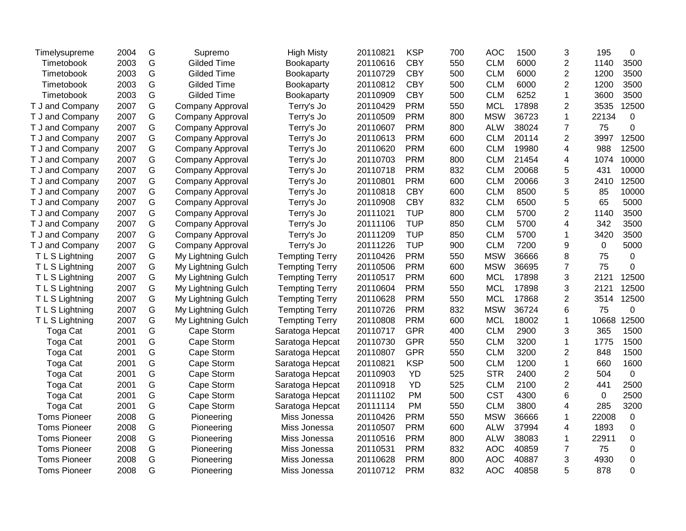| Timelysupreme       | 2004 | G | Supremo            | <b>High Misty</b>     | 20110821 | <b>KSP</b> | 700 | <b>AOC</b> | 1500  | 3              | 195   | $\Omega$       |
|---------------------|------|---|--------------------|-----------------------|----------|------------|-----|------------|-------|----------------|-------|----------------|
| Timetobook          | 2003 | G | <b>Gilded Time</b> | Bookaparty            | 20110616 | <b>CBY</b> | 550 | <b>CLM</b> | 6000  | $\overline{2}$ | 1140  | 3500           |
| Timetobook          | 2003 | G | <b>Gilded Time</b> | Bookaparty            | 20110729 | <b>CBY</b> | 500 | <b>CLM</b> | 6000  | $\overline{2}$ | 1200  | 3500           |
| Timetobook          | 2003 | G | <b>Gilded Time</b> | Bookaparty            | 20110812 | <b>CBY</b> | 500 | <b>CLM</b> | 6000  | $\overline{2}$ | 1200  | 3500           |
| Timetobook          | 2003 | G | <b>Gilded Time</b> | Bookaparty            | 20110909 | <b>CBY</b> | 500 | <b>CLM</b> | 6252  | 1              | 3600  | 3500           |
| T J and Company     | 2007 | G | Company Approval   | Terry's Jo            | 20110429 | <b>PRM</b> | 550 | <b>MCL</b> | 17898 | $\overline{2}$ | 3535  | 12500          |
| T J and Company     | 2007 | G | Company Approval   | Terry's Jo            | 20110509 | <b>PRM</b> | 800 | <b>MSW</b> | 36723 | $\mathbf{1}$   | 22134 | 0              |
| T J and Company     | 2007 | G | Company Approval   | Terry's Jo            | 20110607 | <b>PRM</b> | 800 | <b>ALW</b> | 38024 | $\overline{7}$ | 75    | $\Omega$       |
| T J and Company     | 2007 | G | Company Approval   | Terry's Jo            | 20110613 | <b>PRM</b> | 600 | <b>CLM</b> | 20114 | $\overline{2}$ | 3997  | 12500          |
| T J and Company     | 2007 | G | Company Approval   | Terry's Jo            | 20110620 | <b>PRM</b> | 600 | <b>CLM</b> | 19980 | $\overline{4}$ | 988   | 12500          |
| T J and Company     | 2007 | G | Company Approval   | Terry's Jo            | 20110703 | <b>PRM</b> | 800 | <b>CLM</b> | 21454 | 4              | 1074  | 10000          |
| T J and Company     | 2007 | G | Company Approval   | Terry's Jo            | 20110718 | <b>PRM</b> | 832 | <b>CLM</b> | 20068 | 5              | 431   | 10000          |
| T J and Company     | 2007 | G | Company Approval   | Terry's Jo            | 20110801 | <b>PRM</b> | 600 | <b>CLM</b> | 20066 | 3              | 2410  | 12500          |
| T J and Company     | 2007 | G | Company Approval   | Terry's Jo            | 20110818 | <b>CBY</b> | 600 | <b>CLM</b> | 8500  | 5              | 85    | 10000          |
| T J and Company     | 2007 | G | Company Approval   | Terry's Jo            | 20110908 | <b>CBY</b> | 832 | <b>CLM</b> | 6500  | 5              | 65    | 5000           |
| T J and Company     | 2007 | G | Company Approval   | Terry's Jo            | 20111021 | <b>TUP</b> | 800 | <b>CLM</b> | 5700  | $\overline{2}$ | 1140  | 3500           |
| T J and Company     | 2007 | G | Company Approval   | Terry's Jo            | 20111106 | <b>TUP</b> | 850 | <b>CLM</b> | 5700  | 4              | 342   | 3500           |
| T J and Company     | 2007 | G | Company Approval   | Terry's Jo            | 20111209 | <b>TUP</b> | 850 | <b>CLM</b> | 5700  | $\mathbf 1$    | 3420  | 3500           |
| T J and Company     | 2007 | G | Company Approval   | Terry's Jo            | 20111226 | <b>TUP</b> | 900 | <b>CLM</b> | 7200  | 9              | 0     | 5000           |
| T L S Lightning     | 2007 | G | My Lightning Gulch | <b>Tempting Terry</b> | 20110426 | <b>PRM</b> | 550 | <b>MSW</b> | 36666 | 8              | 75    | $\Omega$       |
| T L S Lightning     | 2007 | G | My Lightning Gulch | <b>Tempting Terry</b> | 20110506 | <b>PRM</b> | 600 | <b>MSW</b> | 36695 | $\overline{7}$ | 75    | $\Omega$       |
| T L S Lightning     | 2007 | G | My Lightning Gulch | <b>Tempting Terry</b> | 20110517 | <b>PRM</b> | 600 | <b>MCL</b> | 17898 | 3              | 2121  | 12500          |
| T L S Lightning     | 2007 | G | My Lightning Gulch | <b>Tempting Terry</b> | 20110604 | <b>PRM</b> | 550 | <b>MCL</b> | 17898 | 3              | 2121  | 12500          |
| T L S Lightning     | 2007 | G | My Lightning Gulch | <b>Tempting Terry</b> | 20110628 | <b>PRM</b> | 550 | <b>MCL</b> | 17868 | $\overline{2}$ | 3514  | 12500          |
| T L S Lightning     | 2007 | G | My Lightning Gulch | <b>Tempting Terry</b> | 20110726 | <b>PRM</b> | 832 | <b>MSW</b> | 36724 | 6              | 75    | 0              |
| T L S Lightning     | 2007 | G | My Lightning Gulch | <b>Tempting Terry</b> | 20110808 | <b>PRM</b> | 600 | <b>MCL</b> | 18002 | $\mathbf 1$    | 10668 | 12500          |
| <b>Toga Cat</b>     | 2001 | G | Cape Storm         | Saratoga Hepcat       | 20110717 | <b>GPR</b> | 400 | <b>CLM</b> | 2900  | 3              | 365   | 1500           |
| Toga Cat            | 2001 | G | Cape Storm         | Saratoga Hepcat       | 20110730 | <b>GPR</b> | 550 | <b>CLM</b> | 3200  | $\mathbf{1}$   | 1775  | 1500           |
| Toga Cat            | 2001 | G | Cape Storm         | Saratoga Hepcat       | 20110807 | <b>GPR</b> | 550 | <b>CLM</b> | 3200  | $\overline{2}$ | 848   | 1500           |
| Toga Cat            | 2001 | G | Cape Storm         | Saratoga Hepcat       | 20110821 | <b>KSP</b> | 500 | <b>CLM</b> | 1200  | $\mathbf{1}$   | 660   | 1600           |
| Toga Cat            | 2001 | G | Cape Storm         | Saratoga Hepcat       | 20110903 | <b>YD</b>  | 525 | <b>STR</b> | 2400  | $\overline{2}$ | 504   | $\overline{0}$ |
| Toga Cat            | 2001 | G | Cape Storm         | Saratoga Hepcat       | 20110918 | <b>YD</b>  | 525 | <b>CLM</b> | 2100  | $\overline{2}$ | 441   | 2500           |
| Toga Cat            | 2001 | G | Cape Storm         | Saratoga Hepcat       | 20111102 | <b>PM</b>  | 500 | <b>CST</b> | 4300  | 6              | 0     | 2500           |
| <b>Toga Cat</b>     | 2001 | G | Cape Storm         | Saratoga Hepcat       | 20111114 | <b>PM</b>  | 550 | <b>CLM</b> | 3800  | 4              | 285   | 3200           |
| <b>Toms Pioneer</b> | 2008 | G | Pioneering         | Miss Jonessa          | 20110426 | <b>PRM</b> | 550 | <b>MSW</b> | 36666 | 1              | 22008 | 0              |
| <b>Toms Pioneer</b> | 2008 | G | Pioneering         | Miss Jonessa          | 20110507 | <b>PRM</b> | 600 | <b>ALW</b> | 37994 | 4              | 1893  | 0              |
| <b>Toms Pioneer</b> | 2008 | G | Pioneering         | Miss Jonessa          | 20110516 | <b>PRM</b> | 800 | <b>ALW</b> | 38083 | $\mathbf{1}$   | 22911 | $\mathbf 0$    |
| <b>Toms Pioneer</b> | 2008 | G | Pioneering         | Miss Jonessa          | 20110531 | <b>PRM</b> | 832 | <b>AOC</b> | 40859 | $\overline{7}$ | 75    | 0              |
| <b>Toms Pioneer</b> | 2008 | G | Pioneering         | Miss Jonessa          | 20110628 | <b>PRM</b> | 800 | <b>AOC</b> | 40887 | 3              | 4930  | $\mathbf 0$    |
| <b>Toms Pioneer</b> | 2008 | G | Pioneering         | Miss Jonessa          | 20110712 | <b>PRM</b> | 832 | <b>AOC</b> | 40858 | 5              | 878   | $\Omega$       |
|                     |      |   |                    |                       |          |            |     |            |       |                |       |                |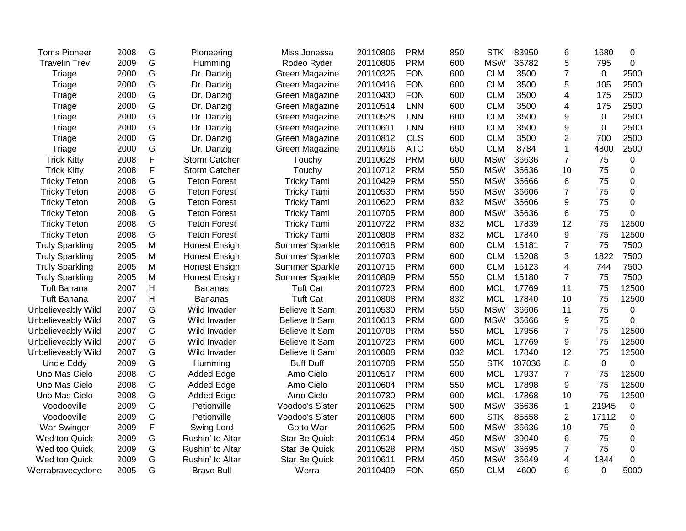| <b>Toms Pioneer</b>    | 2008 | G | Pioneering           | Miss Jonessa          | 20110806 | <b>PRM</b> | 850 | <b>STK</b> | 83950  | 6              | 1680        | 0           |
|------------------------|------|---|----------------------|-----------------------|----------|------------|-----|------------|--------|----------------|-------------|-------------|
| <b>Travelin Trev</b>   | 2009 | G | Humming              | Rodeo Ryder           | 20110806 | <b>PRM</b> | 600 | <b>MSW</b> | 36782  | 5              | 795         | $\mathbf 0$ |
| Triage                 | 2000 | G | Dr. Danzig           | Green Magazine        | 20110325 | <b>FON</b> | 600 | <b>CLM</b> | 3500   | $\overline{7}$ | 0           | 2500        |
| Triage                 | 2000 | G | Dr. Danzig           | Green Magazine        | 20110416 | <b>FON</b> | 600 | <b>CLM</b> | 3500   | 5              | 105         | 2500        |
| Triage                 | 2000 | G | Dr. Danzig           | Green Magazine        | 20110430 | <b>FON</b> | 600 | <b>CLM</b> | 3500   | 4              | 175         | 2500        |
| Triage                 | 2000 | G | Dr. Danzig           | Green Magazine        | 20110514 | <b>LNN</b> | 600 | <b>CLM</b> | 3500   | 4              | 175         | 2500        |
| Triage                 | 2000 | G | Dr. Danzig           | Green Magazine        | 20110528 | <b>LNN</b> | 600 | <b>CLM</b> | 3500   | 9              | 0           | 2500        |
| Triage                 | 2000 | G | Dr. Danzig           | Green Magazine        | 20110611 | <b>LNN</b> | 600 | <b>CLM</b> | 3500   | 9              | $\mathbf 0$ | 2500        |
| Triage                 | 2000 | G | Dr. Danzig           | Green Magazine        | 20110812 | <b>CLS</b> | 600 | <b>CLM</b> | 3500   | 2              | 700         | 2500        |
| Triage                 | 2000 | G | Dr. Danzig           | Green Magazine        | 20110916 | <b>ATO</b> | 650 | <b>CLM</b> | 8784   | $\mathbf{1}$   | 4800        | 2500        |
| <b>Trick Kitty</b>     | 2008 | F | <b>Storm Catcher</b> | Touchy                | 20110628 | <b>PRM</b> | 600 | <b>MSW</b> | 36636  | $\overline{7}$ | 75          | $\mathbf 0$ |
| <b>Trick Kitty</b>     | 2008 | F | <b>Storm Catcher</b> | Touchy                | 20110712 | <b>PRM</b> | 550 | <b>MSW</b> | 36636  | 10             | 75          | $\mathbf 0$ |
| <b>Tricky Teton</b>    | 2008 | G | <b>Teton Forest</b>  | <b>Tricky Tami</b>    | 20110429 | <b>PRM</b> | 550 | <b>MSW</b> | 36666  | 6              | 75          | $\mathbf 0$ |
| <b>Tricky Teton</b>    | 2008 | G | <b>Teton Forest</b>  | <b>Tricky Tami</b>    | 20110530 | <b>PRM</b> | 550 | <b>MSW</b> | 36606  | $\overline{7}$ | 75          | 0           |
| <b>Tricky Teton</b>    | 2008 | G | <b>Teton Forest</b>  | <b>Tricky Tami</b>    | 20110620 | <b>PRM</b> | 832 | <b>MSW</b> | 36606  | 9              | 75          | 0           |
| <b>Tricky Teton</b>    | 2008 | G | <b>Teton Forest</b>  | <b>Tricky Tami</b>    | 20110705 | <b>PRM</b> | 800 | <b>MSW</b> | 36636  | 6              | 75          | 0           |
| <b>Tricky Teton</b>    | 2008 | G | <b>Teton Forest</b>  | <b>Tricky Tami</b>    | 20110722 | <b>PRM</b> | 832 | <b>MCL</b> | 17839  | 12             | 75          | 12500       |
| <b>Tricky Teton</b>    | 2008 | G | <b>Teton Forest</b>  | <b>Tricky Tami</b>    | 20110808 | <b>PRM</b> | 832 | <b>MCL</b> | 17840  | 9              | 75          | 12500       |
| <b>Truly Sparkling</b> | 2005 | M | <b>Honest Ensign</b> | Summer Sparkle        | 20110618 | <b>PRM</b> | 600 | <b>CLM</b> | 15181  | $\overline{7}$ | 75          | 7500        |
| <b>Truly Sparkling</b> | 2005 | M | <b>Honest Ensign</b> | <b>Summer Sparkle</b> | 20110703 | <b>PRM</b> | 600 | <b>CLM</b> | 15208  | 3              | 1822        | 7500        |
| <b>Truly Sparkling</b> | 2005 | M | <b>Honest Ensign</b> | <b>Summer Sparkle</b> | 20110715 | <b>PRM</b> | 600 | <b>CLM</b> | 15123  | 4              | 744         | 7500        |
| <b>Truly Sparkling</b> | 2005 | M | <b>Honest Ensign</b> | <b>Summer Sparkle</b> | 20110809 | <b>PRM</b> | 550 | <b>CLM</b> | 15180  | $\overline{7}$ | 75          | 7500        |
| <b>Tuft Banana</b>     | 2007 | Н | <b>Bananas</b>       | <b>Tuft Cat</b>       | 20110723 | <b>PRM</b> | 600 | <b>MCL</b> | 17769  | 11             | 75          | 12500       |
| <b>Tuft Banana</b>     | 2007 | Н | <b>Bananas</b>       | <b>Tuft Cat</b>       | 20110808 | <b>PRM</b> | 832 | <b>MCL</b> | 17840  | 10             | 75          | 12500       |
| Unbelieveably Wild     | 2007 | G | Wild Invader         | Believe It Sam        | 20110530 | <b>PRM</b> | 550 | <b>MSW</b> | 36606  | 11             | 75          | $\mathbf 0$ |
| Unbelieveably Wild     | 2007 | G | Wild Invader         | Believe It Sam        | 20110613 | <b>PRM</b> | 600 | <b>MSW</b> | 36666  | 9              | 75          | 0           |
| Unbelieveably Wild     | 2007 | G | Wild Invader         | Believe It Sam        | 20110708 | <b>PRM</b> | 550 | <b>MCL</b> | 17956  | $\overline{7}$ | 75          | 12500       |
| Unbelieveably Wild     | 2007 | G | Wild Invader         | Believe It Sam        | 20110723 | <b>PRM</b> | 600 | <b>MCL</b> | 17769  | 9              | 75          | 12500       |
| Unbelieveably Wild     | 2007 | G | Wild Invader         | Believe It Sam        | 20110808 | <b>PRM</b> | 832 | <b>MCL</b> | 17840  | 12             | 75          | 12500       |
| Uncle Eddy             | 2009 | G | Humming              | <b>Buff Duff</b>      | 20110708 | <b>PRM</b> | 550 | <b>STK</b> | 107036 | 8              | $\mathbf 0$ | 0           |
| Uno Mas Cielo          | 2008 | G | <b>Added Edge</b>    | Amo Cielo             | 20110517 | <b>PRM</b> | 600 | <b>MCL</b> | 17937  | $\overline{7}$ | 75          | 12500       |
| Uno Mas Cielo          | 2008 | G | <b>Added Edge</b>    | Amo Cielo             | 20110604 | <b>PRM</b> | 550 | <b>MCL</b> | 17898  | 9              | 75          | 12500       |
| Uno Mas Cielo          | 2008 | G | <b>Added Edge</b>    | Amo Cielo             | 20110730 | <b>PRM</b> | 600 | <b>MCL</b> | 17868  | 10             | 75          | 12500       |
| Voodooville            | 2009 | G | Petionville          | Voodoo's Sister       | 20110625 | <b>PRM</b> | 500 | <b>MSW</b> | 36636  | $\mathbf{1}$   | 21945       | $\mathbf 0$ |
| Voodooville            | 2009 | G | Petionville          | Voodoo's Sister       | 20110806 | <b>PRM</b> | 600 | <b>STK</b> | 85558  | $\overline{2}$ | 17112       | 0           |
| War Swinger            | 2009 | F | Swing Lord           | Go to War             | 20110625 | <b>PRM</b> | 500 | <b>MSW</b> | 36636  | 10             | 75          | 0           |
| Wed too Quick          | 2009 | G | Rushin' to Altar     | <b>Star Be Quick</b>  | 20110514 | <b>PRM</b> | 450 | <b>MSW</b> | 39040  | 6              | 75          | 0           |
| Wed too Quick          | 2009 | G | Rushin' to Altar     | Star Be Quick         | 20110528 | <b>PRM</b> | 450 | <b>MSW</b> | 36695  | 7              | 75          | 0           |
| Wed too Quick          | 2009 | G | Rushin' to Altar     | Star Be Quick         | 20110611 | <b>PRM</b> | 450 | <b>MSW</b> | 36649  | 4              | 1844        | $\mathbf 0$ |
| Werrabravecyclone      | 2005 | G | <b>Bravo Bull</b>    | Werra                 | 20110409 | <b>FON</b> | 650 | <b>CLM</b> | 4600   | 6              | 0           | 5000        |
|                        |      |   |                      |                       |          |            |     |            |        |                |             |             |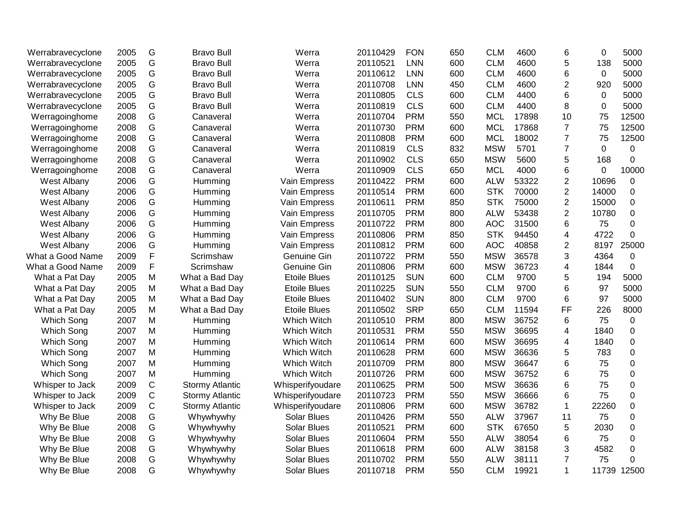| Werrabravecyclone  | 2005 | G           | <b>Bravo Bull</b>      | Werra               | 20110429 | <b>FON</b> | 650 | <b>CLM</b> | 4600  | 6              | $\mathbf 0$ | 5000        |
|--------------------|------|-------------|------------------------|---------------------|----------|------------|-----|------------|-------|----------------|-------------|-------------|
| Werrabravecyclone  | 2005 | G           | <b>Bravo Bull</b>      | Werra               | 20110521 | <b>LNN</b> | 600 | <b>CLM</b> | 4600  | 5              | 138         | 5000        |
| Werrabravecyclone  | 2005 | G           | <b>Bravo Bull</b>      | Werra               | 20110612 | <b>LNN</b> | 600 | <b>CLM</b> | 4600  | $6\phantom{1}$ | $\Omega$    | 5000        |
| Werrabravecyclone  | 2005 | G           | <b>Bravo Bull</b>      | Werra               | 20110708 | <b>LNN</b> | 450 | <b>CLM</b> | 4600  | 2              | 920         | 5000        |
| Werrabravecyclone  | 2005 | G           | <b>Bravo Bull</b>      | Werra               | 20110805 | <b>CLS</b> | 600 | <b>CLM</b> | 4400  | 6              | $\mathbf 0$ | 5000        |
| Werrabravecyclone  | 2005 | G           | <b>Bravo Bull</b>      | Werra               | 20110819 | <b>CLS</b> | 600 | <b>CLM</b> | 4400  | 8              | $\pmb{0}$   | 5000        |
| Werragoinghome     | 2008 | G           | Canaveral              | Werra               | 20110704 | <b>PRM</b> | 550 | <b>MCL</b> | 17898 | 10             | 75          | 12500       |
| Werragoinghome     | 2008 | G           | Canaveral              | Werra               | 20110730 | <b>PRM</b> | 600 | <b>MCL</b> | 17868 | $\overline{7}$ | 75          | 12500       |
| Werragoinghome     | 2008 | G           | Canaveral              | Werra               | 20110808 | <b>PRM</b> | 600 | <b>MCL</b> | 18002 | $\overline{7}$ | 75          | 12500       |
| Werragoinghome     | 2008 | G           | Canaveral              | Werra               | 20110819 | <b>CLS</b> | 832 | <b>MSW</b> | 5701  | $\overline{7}$ | $\mathbf 0$ | $\mathbf 0$ |
| Werragoinghome     | 2008 | G           | Canaveral              | Werra               | 20110902 | <b>CLS</b> | 650 | <b>MSW</b> | 5600  | 5              | 168         | 0           |
| Werragoinghome     | 2008 | G           | Canaveral              | Werra               | 20110909 | <b>CLS</b> | 650 | <b>MCL</b> | 4000  | 6              | $\mathbf 0$ | 10000       |
| West Albany        | 2006 | G           | Humming                | Vain Empress        | 20110422 | <b>PRM</b> | 600 | <b>ALW</b> | 53322 | $\overline{2}$ | 10696       | $\pmb{0}$   |
| West Albany        | 2006 | G           | Humming                | Vain Empress        | 20110514 | <b>PRM</b> | 600 | <b>STK</b> | 70000 | $\sqrt{2}$     | 14000       | 0           |
| West Albany        | 2006 | G           | Humming                | Vain Empress        | 20110611 | <b>PRM</b> | 850 | <b>STK</b> | 75000 | $\overline{2}$ | 15000       | 0           |
| West Albany        | 2006 | G           | Humming                | Vain Empress        | 20110705 | <b>PRM</b> | 800 | <b>ALW</b> | 53438 | $\overline{2}$ | 10780       | $\pmb{0}$   |
| West Albany        | 2006 | G           | Humming                | Vain Empress        | 20110722 | <b>PRM</b> | 800 | <b>AOC</b> | 31500 | 6              | 75          | 0           |
| West Albany        | 2006 | G           | Humming                | Vain Empress        | 20110806 | <b>PRM</b> | 850 | <b>STK</b> | 94450 | 4              | 4722        | 0           |
| <b>West Albany</b> | 2006 | G           | Humming                | Vain Empress        | 20110812 | <b>PRM</b> | 600 | <b>AOC</b> | 40858 | $\overline{2}$ | 8197        | 25000       |
| What a Good Name   | 2009 | F           | Scrimshaw              | Genuine Gin         | 20110722 | <b>PRM</b> | 550 | <b>MSW</b> | 36578 | 3              | 4364        | 0           |
| What a Good Name   | 2009 | F           | Scrimshaw              | Genuine Gin         | 20110806 | <b>PRM</b> | 600 | <b>MSW</b> | 36723 | 4              | 1844        | 0           |
| What a Pat Day     | 2005 | M           | What a Bad Day         | <b>Etoile Blues</b> | 20110125 | <b>SUN</b> | 600 | <b>CLM</b> | 9700  | 5              | 194         | 5000        |
| What a Pat Day     | 2005 | M           | What a Bad Day         | <b>Etoile Blues</b> | 20110225 | <b>SUN</b> | 550 | <b>CLM</b> | 9700  | 6              | 97          | 5000        |
| What a Pat Day     | 2005 | M           | What a Bad Day         | <b>Etoile Blues</b> | 20110402 | <b>SUN</b> | 800 | <b>CLM</b> | 9700  | $6\phantom{1}$ | 97          | 5000        |
| What a Pat Day     | 2005 | M           | What a Bad Day         | <b>Etoile Blues</b> | 20110502 | <b>SRP</b> | 650 | <b>CLM</b> | 11594 | FF             | 226         | 8000        |
| Which Song         | 2007 | M           | Humming                | Which Witch         | 20110510 | <b>PRM</b> | 800 | <b>MSW</b> | 36752 | 6              | 75          | 0           |
| Which Song         | 2007 | M           | Humming                | Which Witch         | 20110531 | <b>PRM</b> | 550 | <b>MSW</b> | 36695 | 4              | 1840        | 0           |
| Which Song         | 2007 | M           | Humming                | Which Witch         | 20110614 | <b>PRM</b> | 600 | <b>MSW</b> | 36695 | 4              | 1840        | 0           |
| Which Song         | 2007 | M           | Humming                | Which Witch         | 20110628 | <b>PRM</b> | 600 | <b>MSW</b> | 36636 | 5              | 783         | 0           |
| Which Song         | 2007 | M           | Humming                | Which Witch         | 20110709 | <b>PRM</b> | 800 | <b>MSW</b> | 36647 | 6              | 75          | 0           |
| Which Song         | 2007 | M           | Humming                | Which Witch         | 20110726 | <b>PRM</b> | 600 | <b>MSW</b> | 36752 | $\,6$          | 75          | 0           |
| Whisper to Jack    | 2009 | $\mathsf C$ | <b>Stormy Atlantic</b> | Whisperifyoudare    | 20110625 | <b>PRM</b> | 500 | <b>MSW</b> | 36636 | 6              | 75          | 0           |
| Whisper to Jack    | 2009 | $\mathsf C$ | <b>Stormy Atlantic</b> | Whisperifyoudare    | 20110723 | <b>PRM</b> | 550 | <b>MSW</b> | 36666 | 6              | 75          | 0           |
| Whisper to Jack    | 2009 | C           | <b>Stormy Atlantic</b> | Whisperifyoudare    | 20110806 | <b>PRM</b> | 600 | <b>MSW</b> | 36782 | $\mathbf{1}$   | 22260       | 0           |
| Why Be Blue        | 2008 | G           | Whywhywhy              | <b>Solar Blues</b>  | 20110426 | <b>PRM</b> | 550 | <b>ALW</b> | 37967 | 11             | 75          | 0           |
| Why Be Blue        | 2008 | G           | Whywhywhy              | <b>Solar Blues</b>  | 20110521 | <b>PRM</b> | 600 | <b>STK</b> | 67650 | 5              | 2030        | $\mathbf 0$ |
| Why Be Blue        | 2008 | G           | Whywhywhy              | <b>Solar Blues</b>  | 20110604 | <b>PRM</b> | 550 | <b>ALW</b> | 38054 | 6              | 75          | 0           |
| Why Be Blue        | 2008 | G           | Whywhywhy              | <b>Solar Blues</b>  | 20110618 | <b>PRM</b> | 600 | <b>ALW</b> | 38158 | 3              | 4582        | 0           |
| Why Be Blue        | 2008 | G           | Whywhywhy              | <b>Solar Blues</b>  | 20110702 | <b>PRM</b> | 550 | <b>ALW</b> | 38111 | $\overline{7}$ | 75          | 0           |
| Why Be Blue        | 2008 | G           | Whywhywhy              | <b>Solar Blues</b>  | 20110718 | <b>PRM</b> | 550 | <b>CLM</b> | 19921 | $\mathbf{1}$   | 11739       | 12500       |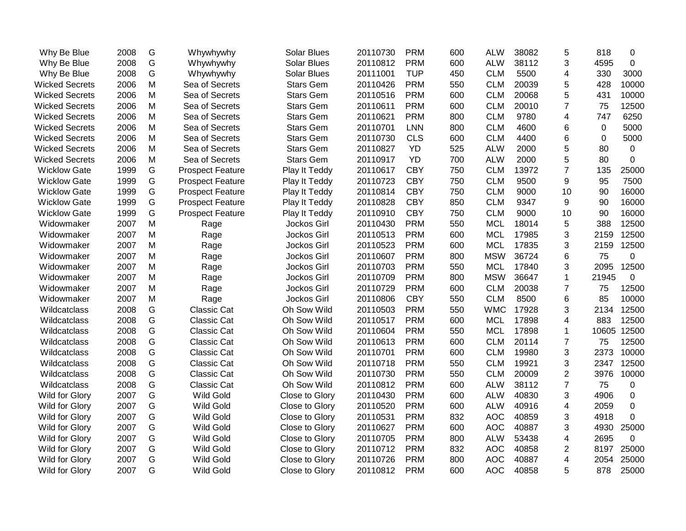| Why Be Blue           | 2008 | G | Whywhywhy               | <b>Solar Blues</b> | 20110730 | <b>PRM</b> | 600 | <b>ALW</b> | 38082 | 5              | 818   | 0           |
|-----------------------|------|---|-------------------------|--------------------|----------|------------|-----|------------|-------|----------------|-------|-------------|
| Why Be Blue           | 2008 | G | Whywhywhy               | <b>Solar Blues</b> | 20110812 | <b>PRM</b> | 600 | <b>ALW</b> | 38112 | 3              | 4595  | $\mathbf 0$ |
| Why Be Blue           | 2008 | G | Whywhywhy               | <b>Solar Blues</b> | 20111001 | <b>TUP</b> | 450 | <b>CLM</b> | 5500  | 4              | 330   | 3000        |
| <b>Wicked Secrets</b> | 2006 | M | Sea of Secrets          | <b>Stars Gem</b>   | 20110426 | <b>PRM</b> | 550 | <b>CLM</b> | 20039 | 5              | 428   | 10000       |
| <b>Wicked Secrets</b> | 2006 | M | Sea of Secrets          | <b>Stars Gem</b>   | 20110516 | <b>PRM</b> | 600 | <b>CLM</b> | 20068 | 5              | 431   | 10000       |
| <b>Wicked Secrets</b> | 2006 | M | Sea of Secrets          | <b>Stars Gem</b>   | 20110611 | <b>PRM</b> | 600 | <b>CLM</b> | 20010 | $\overline{7}$ | 75    | 12500       |
| <b>Wicked Secrets</b> | 2006 | M | Sea of Secrets          | <b>Stars Gem</b>   | 20110621 | <b>PRM</b> | 800 | <b>CLM</b> | 9780  | 4              | 747   | 6250        |
| <b>Wicked Secrets</b> | 2006 | M | Sea of Secrets          | <b>Stars Gem</b>   | 20110701 | <b>LNN</b> | 800 | <b>CLM</b> | 4600  | 6              | 0     | 5000        |
| <b>Wicked Secrets</b> | 2006 | M | Sea of Secrets          | <b>Stars Gem</b>   | 20110730 | <b>CLS</b> | 600 | <b>CLM</b> | 4400  | 6              | 0     | 5000        |
| <b>Wicked Secrets</b> | 2006 | M | Sea of Secrets          | <b>Stars Gem</b>   | 20110827 | YD         | 525 | <b>ALW</b> | 2000  | 5              | 80    | 0           |
| <b>Wicked Secrets</b> | 2006 | M | Sea of Secrets          | <b>Stars Gem</b>   | 20110917 | YD         | 700 | <b>ALW</b> | 2000  | 5              | 80    | 0           |
| <b>Wicklow Gate</b>   | 1999 | G | <b>Prospect Feature</b> | Play It Teddy      | 20110617 | <b>CBY</b> | 750 | <b>CLM</b> | 13972 | $\overline{7}$ | 135   | 25000       |
| <b>Wicklow Gate</b>   | 1999 | G | <b>Prospect Feature</b> | Play It Teddy      | 20110723 | <b>CBY</b> | 750 | <b>CLM</b> | 9500  | 9              | 95    | 7500        |
| <b>Wicklow Gate</b>   | 1999 | G | <b>Prospect Feature</b> | Play It Teddy      | 20110814 | <b>CBY</b> | 750 | <b>CLM</b> | 9000  | 10             | 90    | 16000       |
| <b>Wicklow Gate</b>   | 1999 | G | <b>Prospect Feature</b> | Play It Teddy      | 20110828 | <b>CBY</b> | 850 | <b>CLM</b> | 9347  | 9              | 90    | 16000       |
| <b>Wicklow Gate</b>   | 1999 | G | <b>Prospect Feature</b> | Play It Teddy      | 20110910 | <b>CBY</b> | 750 | <b>CLM</b> | 9000  | 10             | 90    | 16000       |
| Widowmaker            | 2007 | M | Rage                    | Jockos Girl        | 20110430 | <b>PRM</b> | 550 | <b>MCL</b> | 18014 | 5              | 388   | 12500       |
| Widowmaker            | 2007 | M | Rage                    | Jockos Girl        | 20110513 | <b>PRM</b> | 600 | <b>MCL</b> | 17985 | 3              | 2159  | 12500       |
| Widowmaker            | 2007 | M | Rage                    | Jockos Girl        | 20110523 | <b>PRM</b> | 600 | <b>MCL</b> | 17835 | 3              | 2159  | 12500       |
| Widowmaker            | 2007 | M | Rage                    | Jockos Girl        | 20110607 | <b>PRM</b> | 800 | <b>MSW</b> | 36724 | 6              | 75    | 0           |
| Widowmaker            | 2007 | M | Rage                    | Jockos Girl        | 20110703 | <b>PRM</b> | 550 | <b>MCL</b> | 17840 | 3              | 2095  | 12500       |
| Widowmaker            | 2007 | M | Rage                    | Jockos Girl        | 20110709 | <b>PRM</b> | 800 | <b>MSW</b> | 36647 | 1              | 21945 | 0           |
| Widowmaker            | 2007 | M | Rage                    | Jockos Girl        | 20110729 | <b>PRM</b> | 600 | <b>CLM</b> | 20038 | 7              | 75    | 12500       |
| Widowmaker            | 2007 | M | Rage                    | Jockos Girl        | 20110806 | <b>CBY</b> | 550 | <b>CLM</b> | 8500  | 6              | 85    | 10000       |
| Wildcatclass          | 2008 | G | Classic Cat             | Oh Sow Wild        | 20110503 | <b>PRM</b> | 550 | <b>WMC</b> | 17928 | 3              | 2134  | 12500       |
| Wildcatclass          | 2008 | G | <b>Classic Cat</b>      | Oh Sow Wild        | 20110517 | <b>PRM</b> | 600 | <b>MCL</b> | 17898 | 4              | 883   | 12500       |
| Wildcatclass          | 2008 | G | <b>Classic Cat</b>      | Oh Sow Wild        | 20110604 | <b>PRM</b> | 550 | <b>MCL</b> | 17898 | 1              | 10605 | 12500       |
| Wildcatclass          | 2008 | G | <b>Classic Cat</b>      | Oh Sow Wild        | 20110613 | <b>PRM</b> | 600 | <b>CLM</b> | 20114 | $\overline{7}$ | 75    | 12500       |
| Wildcatclass          | 2008 | G | Classic Cat             | Oh Sow Wild        | 20110701 | <b>PRM</b> | 600 | <b>CLM</b> | 19980 | 3              | 2373  | 10000       |
| Wildcatclass          | 2008 | G | Classic Cat             | Oh Sow Wild        | 20110718 | <b>PRM</b> | 550 | <b>CLM</b> | 19921 | 3              | 2347  | 12500       |
| Wildcatclass          | 2008 | G | Classic Cat             | Oh Sow Wild        | 20110730 | <b>PRM</b> | 550 | <b>CLM</b> | 20009 | $\overline{2}$ | 3976  | 10000       |
| Wildcatclass          | 2008 | G | Classic Cat             | Oh Sow Wild        | 20110812 | <b>PRM</b> | 600 | <b>ALW</b> | 38112 | $\overline{7}$ | 75    | 0           |
| Wild for Glory        | 2007 | G | <b>Wild Gold</b>        | Close to Glory     | 20110430 | <b>PRM</b> | 600 | <b>ALW</b> | 40830 | 3              | 4906  | $\Omega$    |
| Wild for Glory        | 2007 | G | <b>Wild Gold</b>        | Close to Glory     | 20110520 | <b>PRM</b> | 600 | <b>ALW</b> | 40916 | 4              | 2059  | $\Omega$    |
| Wild for Glory        | 2007 | G | <b>Wild Gold</b>        | Close to Glory     | 20110531 | <b>PRM</b> | 832 | <b>AOC</b> | 40859 | 3              | 4918  | 0           |
| Wild for Glory        | 2007 | G | <b>Wild Gold</b>        | Close to Glory     | 20110627 | <b>PRM</b> | 600 | <b>AOC</b> | 40887 | 3              | 4930  | 25000       |
| Wild for Glory        | 2007 | G | <b>Wild Gold</b>        | Close to Glory     | 20110705 | <b>PRM</b> | 800 | <b>ALW</b> | 53438 | 4              | 2695  | 0           |
| Wild for Glory        | 2007 | G | Wild Gold               | Close to Glory     | 20110712 | <b>PRM</b> | 832 | <b>AOC</b> | 40858 | 2              | 8197  | 25000       |
| Wild for Glory        | 2007 | G | <b>Wild Gold</b>        | Close to Glory     | 20110726 | <b>PRM</b> | 800 | <b>AOC</b> | 40887 | 4              | 2054  | 25000       |
| Wild for Glory        | 2007 | G | <b>Wild Gold</b>        | Close to Glory     | 20110812 | <b>PRM</b> | 600 | <b>AOC</b> | 40858 | 5              | 878   | 25000       |
|                       |      |   |                         |                    |          |            |     |            |       |                |       |             |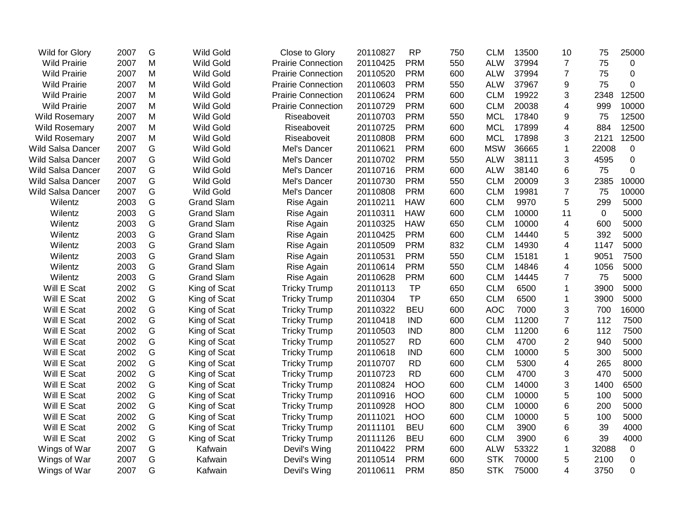| Wild for Glory           | 2007 | G             | <b>Wild Gold</b>  | Close to Glory            | 20110827 | <b>RP</b>  | 750 | <b>CLM</b> | 13500 | 10                      | 75          | 25000       |
|--------------------------|------|---------------|-------------------|---------------------------|----------|------------|-----|------------|-------|-------------------------|-------------|-------------|
| <b>Wild Prairie</b>      | 2007 | M             | <b>Wild Gold</b>  | <b>Prairie Connection</b> | 20110425 | <b>PRM</b> | 550 | <b>ALW</b> | 37994 | $\overline{7}$          | 75          | $\mathbf 0$ |
| <b>Wild Prairie</b>      | 2007 | M             | <b>Wild Gold</b>  | <b>Prairie Connection</b> | 20110520 | <b>PRM</b> | 600 | <b>ALW</b> | 37994 | $\overline{7}$          | 75          | $\mathbf 0$ |
| <b>Wild Prairie</b>      | 2007 | M             | <b>Wild Gold</b>  | <b>Prairie Connection</b> | 20110603 | <b>PRM</b> | 550 | <b>ALW</b> | 37967 | 9                       | 75          | $\Omega$    |
| <b>Wild Prairie</b>      | 2007 | M             | <b>Wild Gold</b>  | <b>Prairie Connection</b> | 20110624 | <b>PRM</b> | 600 | <b>CLM</b> | 19922 | 3                       | 2348        | 12500       |
| <b>Wild Prairie</b>      | 2007 | M             | <b>Wild Gold</b>  | <b>Prairie Connection</b> | 20110729 | <b>PRM</b> | 600 | <b>CLM</b> | 20038 | 4                       | 999         | 10000       |
| <b>Wild Rosemary</b>     | 2007 | M             | <b>Wild Gold</b>  | Riseaboveit               | 20110703 | <b>PRM</b> | 550 | <b>MCL</b> | 17840 | 9                       | 75          | 12500       |
| <b>Wild Rosemary</b>     | 2007 | M             | <b>Wild Gold</b>  | Riseaboveit               | 20110725 | <b>PRM</b> | 600 | <b>MCL</b> | 17899 | $\overline{\mathbf{4}}$ | 884         | 12500       |
| <b>Wild Rosemary</b>     | 2007 | M             | <b>Wild Gold</b>  | Riseaboveit               | 20110808 | <b>PRM</b> | 600 | <b>MCL</b> | 17898 | 3                       | 2121        | 12500       |
| Wild Salsa Dancer        | 2007 | G             | <b>Wild Gold</b>  | Mel's Dancer              | 20110621 | <b>PRM</b> | 600 | <b>MSW</b> | 36665 | $\mathbf{1}$            | 22008       | $\mathbf 0$ |
| <b>Wild Salsa Dancer</b> | 2007 | G             | <b>Wild Gold</b>  | Mel's Dancer              | 20110702 | <b>PRM</b> | 550 | <b>ALW</b> | 38111 | 3                       | 4595        | 0           |
| <b>Wild Salsa Dancer</b> | 2007 | G             | <b>Wild Gold</b>  | Mel's Dancer              | 20110716 | <b>PRM</b> | 600 | <b>ALW</b> | 38140 | 6                       | 75          | 0           |
| <b>Wild Salsa Dancer</b> | 2007 | G             | <b>Wild Gold</b>  | Mel's Dancer              | 20110730 | <b>PRM</b> | 550 | <b>CLM</b> | 20009 | 3                       | 2385        | 10000       |
| <b>Wild Salsa Dancer</b> | 2007 | G             | <b>Wild Gold</b>  | Mel's Dancer              | 20110808 | <b>PRM</b> | 600 | <b>CLM</b> | 19981 | $\overline{7}$          | 75          | 10000       |
| Wilentz                  | 2003 | G             | <b>Grand Slam</b> | Rise Again                | 20110211 | <b>HAW</b> | 600 | <b>CLM</b> | 9970  | 5                       | 299         | 5000        |
| Wilentz                  | 2003 | G             | <b>Grand Slam</b> | Rise Again                | 20110311 | <b>HAW</b> | 600 | <b>CLM</b> | 10000 | 11                      | $\mathbf 0$ | 5000        |
| Wilentz                  | 2003 | G             | <b>Grand Slam</b> | Rise Again                | 20110325 | <b>HAW</b> | 650 | <b>CLM</b> | 10000 | 4                       | 600         | 5000        |
| Wilentz                  | 2003 | G             | <b>Grand Slam</b> | Rise Again                | 20110425 | <b>PRM</b> | 600 | <b>CLM</b> | 14440 | 5                       | 392         | 5000        |
| Wilentz                  | 2003 | G             | <b>Grand Slam</b> | Rise Again                | 20110509 | <b>PRM</b> | 832 | <b>CLM</b> | 14930 | 4                       | 1147        | 5000        |
| Wilentz                  | 2003 | G             | <b>Grand Slam</b> | Rise Again                | 20110531 | <b>PRM</b> | 550 | <b>CLM</b> | 15181 | 1                       | 9051        | 7500        |
| Wilentz                  | 2003 | G             | <b>Grand Slam</b> | Rise Again                | 20110614 | <b>PRM</b> | 550 | <b>CLM</b> | 14846 | 4                       | 1056        | 5000        |
| Wilentz                  | 2003 | G             | <b>Grand Slam</b> | Rise Again                | 20110628 | <b>PRM</b> | 600 | <b>CLM</b> | 14445 | $\overline{7}$          | 75          | 5000        |
| Will E Scat              | 2002 | G             | King of Scat      | <b>Tricky Trump</b>       | 20110113 | <b>TP</b>  | 650 | <b>CLM</b> | 6500  | 1                       | 3900        | 5000        |
| Will E Scat              | 2002 | G             | King of Scat      | <b>Tricky Trump</b>       | 20110304 | <b>TP</b>  | 650 | <b>CLM</b> | 6500  | 1                       | 3900        | 5000        |
| Will E Scat              | 2002 | G             | King of Scat      | <b>Tricky Trump</b>       | 20110322 | <b>BEU</b> | 600 | <b>AOC</b> | 7000  | 3                       | 700         | 16000       |
| Will E Scat              | 2002 | G             | King of Scat      | <b>Tricky Trump</b>       | 20110418 | <b>IND</b> | 600 | <b>CLM</b> | 11200 | $\overline{7}$          | 112         | 7500        |
| Will E Scat              | 2002 | G             | King of Scat      | <b>Tricky Trump</b>       | 20110503 | <b>IND</b> | 800 | <b>CLM</b> | 11200 | 6                       | 112         | 7500        |
| Will E Scat              | 2002 | G             | King of Scat      | <b>Tricky Trump</b>       | 20110527 | <b>RD</b>  | 600 | <b>CLM</b> | 4700  | $\overline{2}$          | 940         | 5000        |
| Will E Scat              | 2002 | G             | King of Scat      | <b>Tricky Trump</b>       | 20110618 | <b>IND</b> | 600 | <b>CLM</b> | 10000 | 5                       | 300         | 5000        |
| Will E Scat              | 2002 | G             | King of Scat      | <b>Tricky Trump</b>       | 20110707 | <b>RD</b>  | 600 | <b>CLM</b> | 5300  | $\overline{\mathbf{4}}$ | 265         | 8000        |
| Will E Scat              | 2002 | G             | King of Scat      | <b>Tricky Trump</b>       | 20110723 | <b>RD</b>  | 600 | <b>CLM</b> | 4700  | 3                       | 470         | 5000        |
| Will E Scat              | 2002 | ${\mathsf G}$ | King of Scat      | <b>Tricky Trump</b>       | 20110824 | <b>HOO</b> | 600 | <b>CLM</b> | 14000 | 3                       | 1400        | 6500        |
| Will E Scat              | 2002 | G             | King of Scat      | <b>Tricky Trump</b>       | 20110916 | <b>HOO</b> | 600 | <b>CLM</b> | 10000 | 5                       | 100         | 5000        |
| Will E Scat              | 2002 | G             | King of Scat      | <b>Tricky Trump</b>       | 20110928 | <b>HOO</b> | 800 | <b>CLM</b> | 10000 | 6                       | 200         | 5000        |
| Will E Scat              | 2002 | G             | King of Scat      | <b>Tricky Trump</b>       | 20111021 | <b>HOO</b> | 600 | <b>CLM</b> | 10000 | 5                       | 100         | 5000        |
| Will E Scat              | 2002 | G             | King of Scat      | <b>Tricky Trump</b>       | 20111101 | <b>BEU</b> | 600 | <b>CLM</b> | 3900  | 6                       | 39          | 4000        |
| Will E Scat              | 2002 | G             | King of Scat      | <b>Tricky Trump</b>       | 20111126 | <b>BEU</b> | 600 | <b>CLM</b> | 3900  | 6                       | 39          | 4000        |
| Wings of War             | 2007 | G             | Kafwain           | Devil's Wing              | 20110422 | <b>PRM</b> | 600 | <b>ALW</b> | 53322 | 1                       | 32088       | $\mathbf 0$ |
| Wings of War             | 2007 | G             | Kafwain           | Devil's Wing              | 20110514 | <b>PRM</b> | 600 | <b>STK</b> | 70000 | 5                       | 2100        | $\mathbf 0$ |
| Wings of War             | 2007 | G             | Kafwain           | Devil's Wing              | 20110611 | <b>PRM</b> | 850 | <b>STK</b> | 75000 | 4                       | 3750        | 0           |
|                          |      |               |                   |                           |          |            |     |            |       |                         |             |             |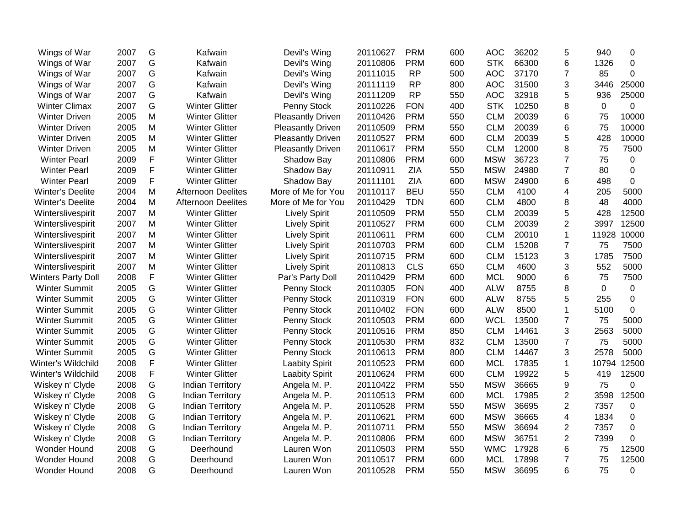| Wings of War              | 2007 | G | Kafwain                   | Devil's Wing             | 20110627 | <b>PRM</b> | 600 | <b>AOC</b> | 36202 | 5              | 940      | $\Omega$ |
|---------------------------|------|---|---------------------------|--------------------------|----------|------------|-----|------------|-------|----------------|----------|----------|
| Wings of War              | 2007 | G | Kafwain                   | Devil's Wing             | 20110806 | <b>PRM</b> | 600 | <b>STK</b> | 66300 | 6              | 1326     | 0        |
| Wings of War              | 2007 | G | Kafwain                   | Devil's Wing             | 20111015 | <b>RP</b>  | 500 | <b>AOC</b> | 37170 | $\overline{7}$ | 85       | $\Omega$ |
| Wings of War              | 2007 | G | Kafwain                   | Devil's Wing             | 20111119 | <b>RP</b>  | 800 | <b>AOC</b> | 31500 | 3              | 3446     | 25000    |
| Wings of War              | 2007 | G | Kafwain                   | Devil's Wing             | 20111209 | <b>RP</b>  | 550 | <b>AOC</b> | 32918 | 5              | 936      | 25000    |
| <b>Winter Climax</b>      | 2007 | G | <b>Winter Glitter</b>     | Penny Stock              | 20110226 | <b>FON</b> | 400 | <b>STK</b> | 10250 | 8              | $\Omega$ | 0        |
| <b>Winter Driven</b>      | 2005 | M | <b>Winter Glitter</b>     | <b>Pleasantly Driven</b> | 20110426 | <b>PRM</b> | 550 | <b>CLM</b> | 20039 | 6              | 75       | 10000    |
| <b>Winter Driven</b>      | 2005 | M | <b>Winter Glitter</b>     | <b>Pleasantly Driven</b> | 20110509 | <b>PRM</b> | 550 | <b>CLM</b> | 20039 | 6              | 75       | 10000    |
| <b>Winter Driven</b>      | 2005 | M | <b>Winter Glitter</b>     | <b>Pleasantly Driven</b> | 20110527 | <b>PRM</b> | 600 | <b>CLM</b> | 20039 | 5              | 428      | 10000    |
| <b>Winter Driven</b>      | 2005 | M | <b>Winter Glitter</b>     | <b>Pleasantly Driven</b> | 20110617 | <b>PRM</b> | 550 | <b>CLM</b> | 12000 | 8              | 75       | 7500     |
| <b>Winter Pearl</b>       | 2009 | F | <b>Winter Glitter</b>     | Shadow Bay               | 20110806 | <b>PRM</b> | 600 | <b>MSW</b> | 36723 | 7              | 75       | 0        |
| <b>Winter Pearl</b>       | 2009 | F | <b>Winter Glitter</b>     | Shadow Bay               | 20110911 | ZIA        | 550 | <b>MSW</b> | 24980 | $\overline{7}$ | 80       | 0        |
| <b>Winter Pearl</b>       | 2009 | F | <b>Winter Glitter</b>     | Shadow Bay               | 20111101 | ZIA        | 600 | <b>MSW</b> | 24900 | 6              | 498      | 0        |
| <b>Winter's Deelite</b>   | 2004 | M | Afternoon Deelites        | More of Me for You       | 20110117 | <b>BEU</b> | 550 | <b>CLM</b> | 4100  | 4              | 205      | 5000     |
| Winter's Deelite          | 2004 | M | <b>Afternoon Deelites</b> | More of Me for You       | 20110429 | <b>TDN</b> | 600 | <b>CLM</b> | 4800  | 8              | 48       | 4000     |
| Winterslivespirit         | 2007 | M | <b>Winter Glitter</b>     | <b>Lively Spirit</b>     | 20110509 | <b>PRM</b> | 550 | <b>CLM</b> | 20039 | 5              | 428      | 12500    |
| Winterslivespirit         | 2007 | M | <b>Winter Glitter</b>     | <b>Lively Spirit</b>     | 20110527 | <b>PRM</b> | 600 | <b>CLM</b> | 20039 | $\overline{2}$ | 3997     | 12500    |
| Winterslivespirit         | 2007 | M | <b>Winter Glitter</b>     | <b>Lively Spirit</b>     | 20110611 | <b>PRM</b> | 600 | <b>CLM</b> | 20010 | $\mathbf{1}$   | 11928    | 10000    |
| Winterslivespirit         | 2007 | M | <b>Winter Glitter</b>     | <b>Lively Spirit</b>     | 20110703 | <b>PRM</b> | 600 | <b>CLM</b> | 15208 | $\overline{7}$ | 75       | 7500     |
| Winterslivespirit         | 2007 | M | <b>Winter Glitter</b>     | <b>Lively Spirit</b>     | 20110715 | <b>PRM</b> | 600 | <b>CLM</b> | 15123 | 3              | 1785     | 7500     |
| Winterslivespirit         | 2007 | M | <b>Winter Glitter</b>     | <b>Lively Spirit</b>     | 20110813 | <b>CLS</b> | 650 | <b>CLM</b> | 4600  | 3              | 552      | 5000     |
| <b>Winters Party Doll</b> | 2008 | F | <b>Winter Glitter</b>     | Par's Party Doll         | 20110429 | <b>PRM</b> | 600 | <b>MCL</b> | 9000  | 6              | 75       | 7500     |
| <b>Winter Summit</b>      | 2005 | G | <b>Winter Glitter</b>     | Penny Stock              | 20110305 | <b>FON</b> | 400 | <b>ALW</b> | 8755  | 8              | 0        | 0        |
| <b>Winter Summit</b>      | 2005 | G | <b>Winter Glitter</b>     | Penny Stock              | 20110319 | <b>FON</b> | 600 | <b>ALW</b> | 8755  | 5              | 255      | 0        |
| <b>Winter Summit</b>      | 2005 | G | <b>Winter Glitter</b>     | Penny Stock              | 20110402 | <b>FON</b> | 600 | <b>ALW</b> | 8500  | 1              | 5100     | 0        |
| <b>Winter Summit</b>      | 2005 | G | <b>Winter Glitter</b>     | Penny Stock              | 20110503 | <b>PRM</b> | 600 | <b>WCL</b> | 13500 | $\overline{7}$ | 75       | 5000     |
| <b>Winter Summit</b>      | 2005 | G | <b>Winter Glitter</b>     | Penny Stock              | 20110516 | <b>PRM</b> | 850 | <b>CLM</b> | 14461 | 3              | 2563     | 5000     |
| <b>Winter Summit</b>      | 2005 | G | <b>Winter Glitter</b>     | Penny Stock              | 20110530 | <b>PRM</b> | 832 | <b>CLM</b> | 13500 | $\overline{7}$ | 75       | 5000     |
| <b>Winter Summit</b>      | 2005 | G | <b>Winter Glitter</b>     | Penny Stock              | 20110613 | <b>PRM</b> | 800 | <b>CLM</b> | 14467 | 3              | 2578     | 5000     |
| Winter's Wildchild        | 2008 | F | <b>Winter Glitter</b>     | <b>Laabity Spirit</b>    | 20110523 | <b>PRM</b> | 600 | <b>MCL</b> | 17835 | 1              | 10794    | 12500    |
| Winter's Wildchild        | 2008 | F | <b>Winter Glitter</b>     | <b>Laabity Spirit</b>    | 20110624 | <b>PRM</b> | 600 | <b>CLM</b> | 19922 | 5              | 419      | 12500    |
| Wiskey n' Clyde           | 2008 | G | <b>Indian Territory</b>   | Angela M. P.             | 20110422 | <b>PRM</b> | 550 | <b>MSW</b> | 36665 | 9              | 75       | 0        |
| Wiskey n' Clyde           | 2008 | G | <b>Indian Territory</b>   | Angela M. P.             | 20110513 | <b>PRM</b> | 600 | <b>MCL</b> | 17985 | $\overline{2}$ | 3598     | 12500    |
| Wiskey n' Clyde           | 2008 | G | <b>Indian Territory</b>   | Angela M. P.             | 20110528 | <b>PRM</b> | 550 | <b>MSW</b> | 36695 | $\overline{2}$ | 7357     | 0        |
| Wiskey n' Clyde           | 2008 | G | <b>Indian Territory</b>   | Angela M. P.             | 20110621 | <b>PRM</b> | 600 | <b>MSW</b> | 36665 | 4              | 1834     | 0        |
| Wiskey n' Clyde           | 2008 | G | <b>Indian Territory</b>   | Angela M. P.             | 20110711 | <b>PRM</b> | 550 | <b>MSW</b> | 36694 | 2              | 7357     | $\Omega$ |
| Wiskey n' Clyde           | 2008 | G | <b>Indian Territory</b>   | Angela M. P.             | 20110806 | <b>PRM</b> | 600 | <b>MSW</b> | 36751 | $\overline{c}$ | 7399     | 0        |
| <b>Wonder Hound</b>       | 2008 | G | Deerhound                 | Lauren Won               | 20110503 | <b>PRM</b> | 550 | <b>WMC</b> | 17928 | 6              | 75       | 12500    |
| <b>Wonder Hound</b>       | 2008 | G | Deerhound                 | Lauren Won               | 20110517 | <b>PRM</b> | 600 | <b>MCL</b> | 17898 | 7              | 75       | 12500    |
| <b>Wonder Hound</b>       | 2008 | G | Deerhound                 | Lauren Won               | 20110528 | <b>PRM</b> | 550 | <b>MSW</b> | 36695 | 6              | 75       | 0        |
|                           |      |   |                           |                          |          |            |     |            |       |                |          |          |